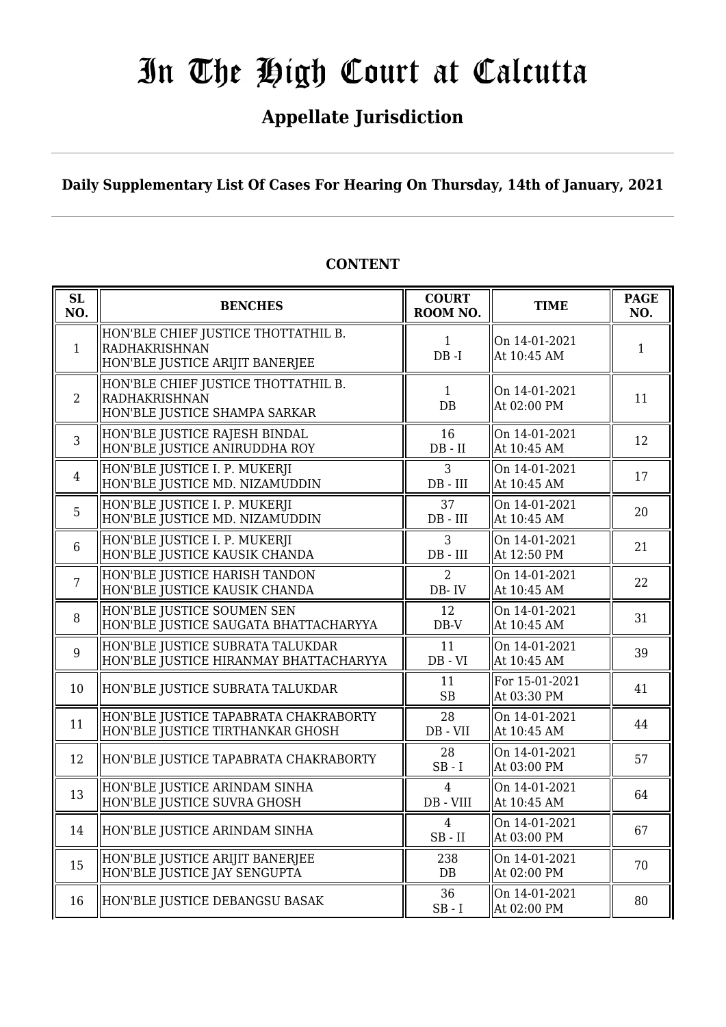# **Appellate Jurisdiction**

**Daily Supplementary List Of Cases For Hearing On Thursday, 14th of January, 2021**

| <b>SL</b><br>NO. | <b>BENCHES</b>                                                                          | <b>COURT</b><br>ROOM NO.    | <b>TIME</b>                   | <b>PAGE</b><br>NO. |
|------------------|-----------------------------------------------------------------------------------------|-----------------------------|-------------------------------|--------------------|
| $\mathbf{1}$     | HON'BLE CHIEF JUSTICE THOTTATHIL B.<br>RADHAKRISHNAN<br>HON'BLE JUSTICE ARIJIT BANERJEE | $\mathbf{1}$<br>$DB - I$    | On 14-01-2021<br>At 10:45 AM  | $\mathbf{1}$       |
| 2                | HON'BLE CHIEF JUSTICE THOTTATHIL B.<br>RADHAKRISHNAN<br>HON'BLE JUSTICE SHAMPA SARKAR   | $\mathbf{1}$<br>DB          | On 14-01-2021<br>At 02:00 PM  | 11                 |
| $\mathfrak{Z}$   | HON'BLE JUSTICE RAJESH BINDAL<br>HON'BLE JUSTICE ANIRUDDHA ROY                          | 16<br>$DB - II$             | On 14-01-2021<br>At 10:45 AM  | 12                 |
| $\overline{4}$   | HON'BLE JUSTICE I. P. MUKERJI<br>HON'BLE JUSTICE MD. NIZAMUDDIN                         | 3<br>$DB$ - $III$           | On 14-01-2021<br>At 10:45 AM  | 17                 |
| 5                | HON'BLE JUSTICE I. P. MUKERJI<br>HON'BLE JUSTICE MD. NIZAMUDDIN                         | 37<br>$DB$ - $III$          | On 14-01-2021<br>At 10:45 AM  | 20                 |
| $6\phantom{.}6$  | HON'BLE JUSTICE I. P. MUKERJI<br>HON'BLE JUSTICE KAUSIK CHANDA                          | 3<br>$DB$ - $III$           | On 14-01-2021<br>At 12:50 PM  | 21                 |
| $\overline{7}$   | HON'BLE JUSTICE HARISH TANDON<br>HON'BLE JUSTICE KAUSIK CHANDA                          | $\overline{2}$<br>DB-IV     | On 14-01-2021<br>At 10:45 AM  | 22                 |
| 8                | HON'BLE JUSTICE SOUMEN SEN<br>HON'BLE JUSTICE SAUGATA BHATTACHARYYA                     | 12<br>$DB-V$                | On 14-01-2021<br>At 10:45 AM  | 31                 |
| 9                | HON'BLE JUSTICE SUBRATA TALUKDAR<br>HON'BLE JUSTICE HIRANMAY BHATTACHARYYA              | 11<br>$DB - VI$             | On 14-01-2021<br>At 10:45 AM  | 39                 |
| 10               | HON'BLE JUSTICE SUBRATA TALUKDAR                                                        | 11<br><b>SB</b>             | For 15-01-2021<br>At 03:30 PM | 41                 |
| 11               | HON'BLE JUSTICE TAPABRATA CHAKRABORTY<br>HON'BLE JUSTICE TIRTHANKAR GHOSH               | 28<br>DB - VII              | On 14-01-2021<br>At 10:45 AM  | 44                 |
| 12               | HON'BLE JUSTICE TAPABRATA CHAKRABORTY                                                   | 28<br>$SB - I$              | On 14-01-2021<br>At 03:00 PM  | 57                 |
| 13               | HON'BLE JUSTICE ARINDAM SINHA<br>HON'BLE JUSTICE SUVRA GHOSH                            | $\overline{4}$<br>DB - VIII | On 14-01-2021<br>At 10:45 AM  | 64                 |
| 14               | HON'BLE JUSTICE ARINDAM SINHA                                                           | 4<br>$SB$ - $II$            | On 14-01-2021<br>At 03:00 PM  | 67                 |
| 15               | HON'BLE JUSTICE ARIJIT BANERJEE<br>HON'BLE JUSTICE JAY SENGUPTA                         | 238<br>DB                   | On 14-01-2021<br>At 02:00 PM  | 70                 |
| 16               | HON'BLE JUSTICE DEBANGSU BASAK                                                          | 36<br>$SB-I$                | On 14-01-2021<br>At 02:00 PM  | 80                 |

# **CONTENT**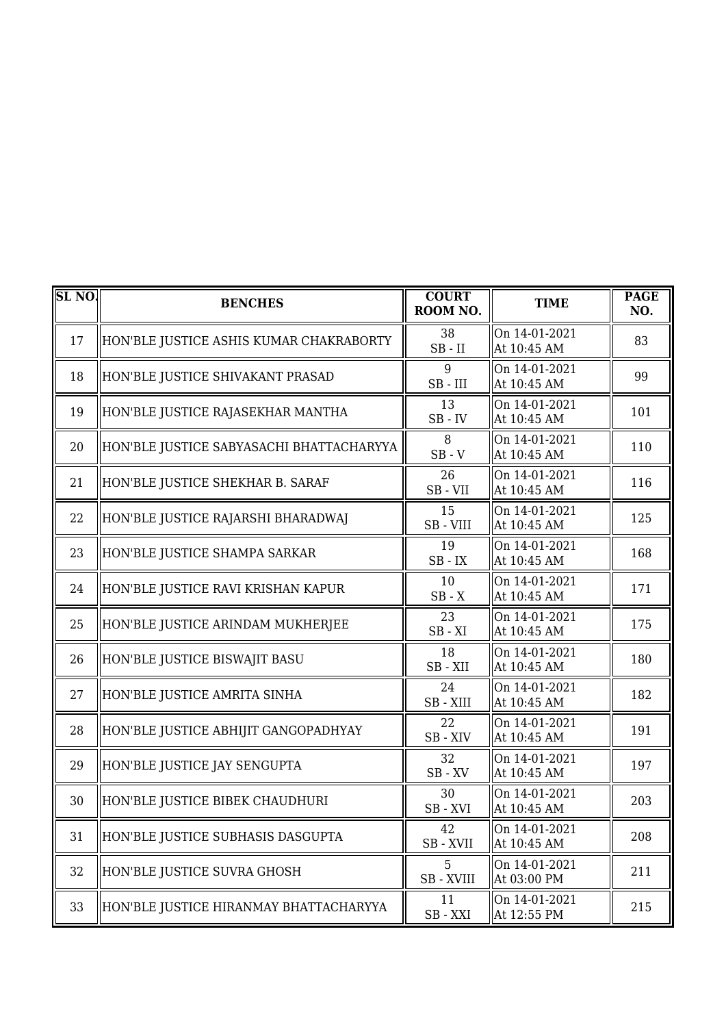| SL <sub>NO</sub> | <b>BENCHES</b>                           | <b>COURT</b><br>ROOM NO. | <b>TIME</b>                  | <b>PAGE</b><br>NO. |
|------------------|------------------------------------------|--------------------------|------------------------------|--------------------|
| 17               | HON'BLE JUSTICE ASHIS KUMAR CHAKRABORTY  | 38<br>$SB$ - $II$        | On 14-01-2021<br>At 10:45 AM | 83                 |
| 18               | HON'BLE JUSTICE SHIVAKANT PRASAD         | 9<br>$SB$ - $III$        | On 14-01-2021<br>At 10:45 AM | 99                 |
| 19               | HON'BLE JUSTICE RAJASEKHAR MANTHA        | 13<br>$SB$ - $IV$        | On 14-01-2021<br>At 10:45 AM | 101                |
| 20               | HON'BLE JUSTICE SABYASACHI BHATTACHARYYA | 8<br>$SB - V$            | On 14-01-2021<br>At 10:45 AM | 110                |
| 21               | HON'BLE JUSTICE SHEKHAR B. SARAF         | 26<br>SB-VII             | On 14-01-2021<br>At 10:45 AM | 116                |
| 22               | HON'BLE JUSTICE RAJARSHI BHARADWAJ       | 15<br>SB-VIII            | On 14-01-2021<br>At 10:45 AM | 125                |
| 23               | HON'BLE JUSTICE SHAMPA SARKAR            | 19<br>$SB$ - $IX$        | On 14-01-2021<br>At 10:45 AM | 168                |
| 24               | HON'BLE JUSTICE RAVI KRISHAN KAPUR       | 10<br>$SB - X$           | On 14-01-2021<br>At 10:45 AM | 171                |
| 25               | HON'BLE JUSTICE ARINDAM MUKHERJEE        | 23<br>$SB - XI$          | On 14-01-2021<br>At 10:45 AM | 175                |
| 26               | HON'BLE JUSTICE BISWAJIT BASU            | 18<br>SB-XII             | On 14-01-2021<br>At 10:45 AM | 180                |
| 27               | HON'BLE JUSTICE AMRITA SINHA             | 24<br>SB - XIII          | On 14-01-2021<br>At 10:45 AM | 182                |
| 28               | HON'BLE JUSTICE ABHIJIT GANGOPADHYAY     | 22<br>SB-XIV             | On 14-01-2021<br>At 10:45 AM | 191                |
| 29               | HON'BLE JUSTICE JAY SENGUPTA             | 32<br>$SB$ - $XV$        | On 14-01-2021<br>At 10:45 AM | 197                |
| 30               | HON'BLE JUSTICE BIBEK CHAUDHURI          | 30<br>SB-XVI             | On 14-01-2021<br>At 10:45 AM | 203                |
| 31               | HON'BLE JUSTICE SUBHASIS DASGUPTA        | 42<br>SB - XVII          | On 14-01-2021<br>At 10:45 AM | 208                |
| 32               | HON'BLE JUSTICE SUVRA GHOSH              | 5<br>SB - XVIII          | On 14-01-2021<br>At 03:00 PM | 211                |
| 33               | HON'BLE JUSTICE HIRANMAY BHATTACHARYYA   | 11<br>SB-XXI             | On 14-01-2021<br>At 12:55 PM | 215                |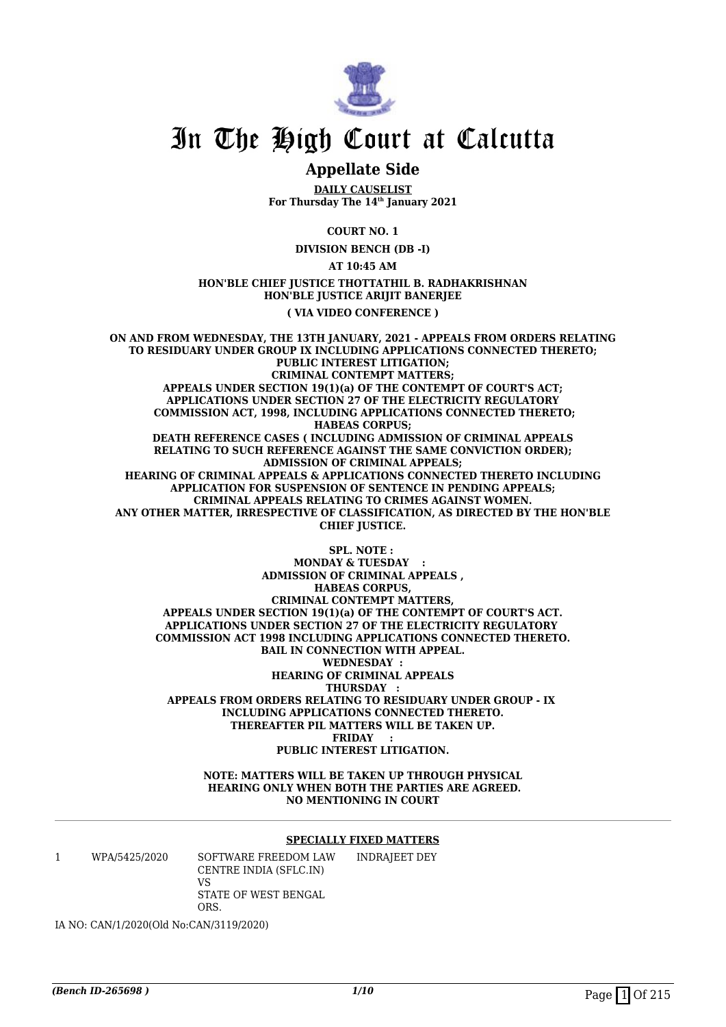

# **Appellate Side**

**DAILY CAUSELIST For Thursday The 14th January 2021**

**COURT NO. 1**

**DIVISION BENCH (DB -I)**

**AT 10:45 AM**

### **HON'BLE CHIEF JUSTICE THOTTATHIL B. RADHAKRISHNAN HON'BLE JUSTICE ARIJIT BANERJEE ( VIA VIDEO CONFERENCE )**

**ON AND FROM WEDNESDAY, THE 13TH JANUARY, 2021 - APPEALS FROM ORDERS RELATING TO RESIDUARY UNDER GROUP IX INCLUDING APPLICATIONS CONNECTED THERETO; PUBLIC INTEREST LITIGATION; CRIMINAL CONTEMPT MATTERS; APPEALS UNDER SECTION 19(1)(a) OF THE CONTEMPT OF COURT'S ACT; APPLICATIONS UNDER SECTION 27 OF THE ELECTRICITY REGULATORY COMMISSION ACT, 1998, INCLUDING APPLICATIONS CONNECTED THERETO; HABEAS CORPUS; DEATH REFERENCE CASES ( INCLUDING ADMISSION OF CRIMINAL APPEALS RELATING TO SUCH REFERENCE AGAINST THE SAME CONVICTION ORDER); ADMISSION OF CRIMINAL APPEALS; HEARING OF CRIMINAL APPEALS & APPLICATIONS CONNECTED THERETO INCLUDING APPLICATION FOR SUSPENSION OF SENTENCE IN PENDING APPEALS; CRIMINAL APPEALS RELATING TO CRIMES AGAINST WOMEN. ANY OTHER MATTER, IRRESPECTIVE OF CLASSIFICATION, AS DIRECTED BY THE HON'BLE CHIEF JUSTICE.**

**SPL. NOTE : MONDAY & TUESDAY ADMISSION OF CRIMINAL APPEALS , HABEAS CORPUS, CRIMINAL CONTEMPT MATTERS, APPEALS UNDER SECTION 19(1)(a) OF THE CONTEMPT OF COURT'S ACT. APPLICATIONS UNDER SECTION 27 OF THE ELECTRICITY REGULATORY COMMISSION ACT 1998 INCLUDING APPLICATIONS CONNECTED THERETO. BAIL IN CONNECTION WITH APPEAL. WEDNESDAY : HEARING OF CRIMINAL APPEALS THURSDAY : APPEALS FROM ORDERS RELATING TO RESIDUARY UNDER GROUP - IX INCLUDING APPLICATIONS CONNECTED THERETO. THEREAFTER PIL MATTERS WILL BE TAKEN UP. FRIDAY : PUBLIC INTEREST LITIGATION.**

> **NOTE: MATTERS WILL BE TAKEN UP THROUGH PHYSICAL HEARING ONLY WHEN BOTH THE PARTIES ARE AGREED. NO MENTIONING IN COURT**

### **SPECIALLY FIXED MATTERS**

1 WPA/5425/2020 SOFTWARE FREEDOM LAW CENTRE INDIA (SFLC.IN) VS STATE OF WEST BENGAL ORS.

INDRAJEET DEY

IA NO: CAN/1/2020(Old No:CAN/3119/2020)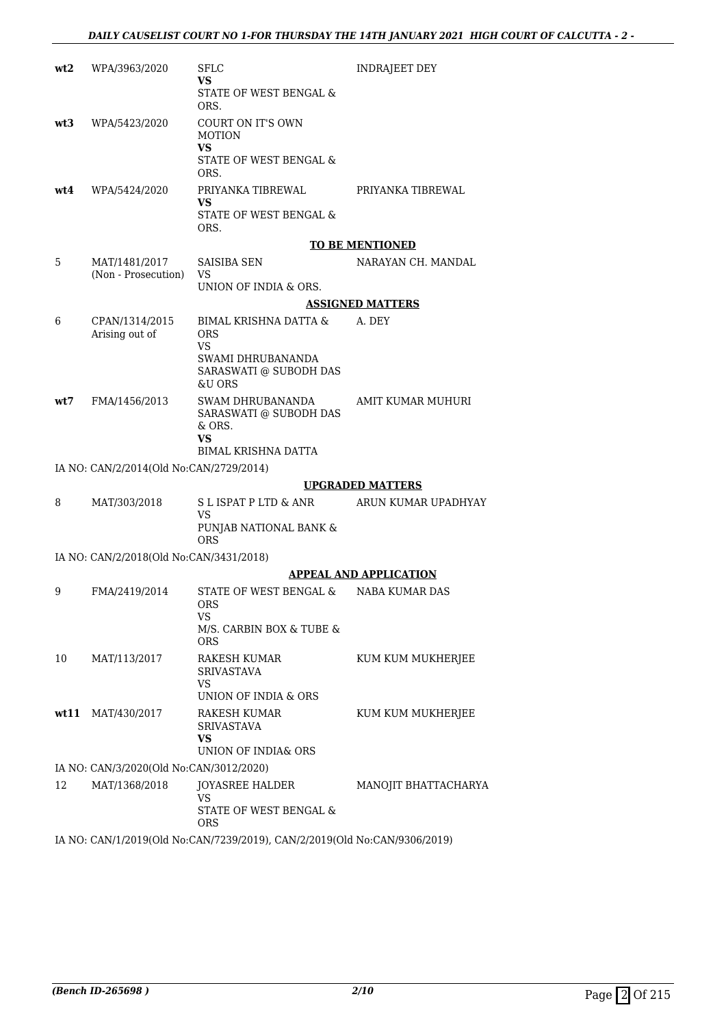| wt2  | WPA/3963/2020                           | SFLC<br>VS.<br>STATE OF WEST BENGAL &<br>ORS.                                            | INDRAJEET DEY                 |
|------|-----------------------------------------|------------------------------------------------------------------------------------------|-------------------------------|
| wt3  | WPA/5423/2020                           | COURT ON IT'S OWN<br><b>MOTION</b><br>VS<br>STATE OF WEST BENGAL &<br>ORS.               |                               |
| wt4  | WPA/5424/2020                           | PRIYANKA TIBREWAL<br>VS<br>STATE OF WEST BENGAL &<br>ORS.                                | PRIYANKA TIBREWAL             |
|      |                                         |                                                                                          | <b>TO BE MENTIONED</b>        |
| 5    | MAT/1481/2017<br>(Non - Prosecution)    | <b>SAISIBA SEN</b><br>VS<br>UNION OF INDIA & ORS.                                        | NARAYAN CH. MANDAL            |
|      |                                         |                                                                                          | <b>ASSIGNED MATTERS</b>       |
| 6    | CPAN/1314/2015<br>Arising out of        | BIMAL KRISHNA DATTA &<br>ORS<br>VS                                                       | A. DEY                        |
|      |                                         | SWAMI DHRUBANANDA<br>SARASWATI @ SUBODH DAS<br>&U ORS                                    |                               |
| wt7  | FMA/1456/2013                           | <b>SWAM DHRUBANANDA</b><br>SARASWATI @ SUBODH DAS<br>& ORS.<br>VS<br>BIMAL KRISHNA DATTA | AMIT KUMAR MUHURI             |
|      | IA NO: CAN/2/2014(Old No:CAN/2729/2014) |                                                                                          |                               |
|      |                                         |                                                                                          | <b>UPGRADED MATTERS</b>       |
| 8    | MAT/303/2018                            | S L ISPAT P LTD & ANR<br>VS<br>PUNJAB NATIONAL BANK &<br><b>ORS</b>                      | ARUN KUMAR UPADHYAY           |
|      | IA NO: CAN/2/2018(Old No:CAN/3431/2018) |                                                                                          |                               |
|      |                                         |                                                                                          | <b>APPEAL AND APPLICATION</b> |
| 9    | FMA/2419/2014                           | STATE OF WEST BENGAL &<br><b>ORS</b><br>VS<br>M/S. CARBIN BOX & TUBE &<br><b>ORS</b>     | <b>NABA KUMAR DAS</b>         |
| 10   | MAT/113/2017                            | RAKESH KUMAR<br><b>SRIVASTAVA</b><br>VS                                                  | KUM KUM MUKHERJEE             |
| wt11 | MAT/430/2017                            | UNION OF INDIA & ORS<br>RAKESH KUMAR<br><b>SRIVASTAVA</b><br>VS<br>UNION OF INDIA& ORS   | KUM KUM MUKHERJEE             |
|      | IA NO: CAN/3/2020(Old No:CAN/3012/2020) |                                                                                          |                               |
| 12   | MAT/1368/2018                           | JOYASREE HALDER<br>VS<br>STATE OF WEST BENGAL &<br>ORS                                   | MANOJIT BHATTACHARYA          |

IA NO: CAN/1/2019(Old No:CAN/7239/2019), CAN/2/2019(Old No:CAN/9306/2019)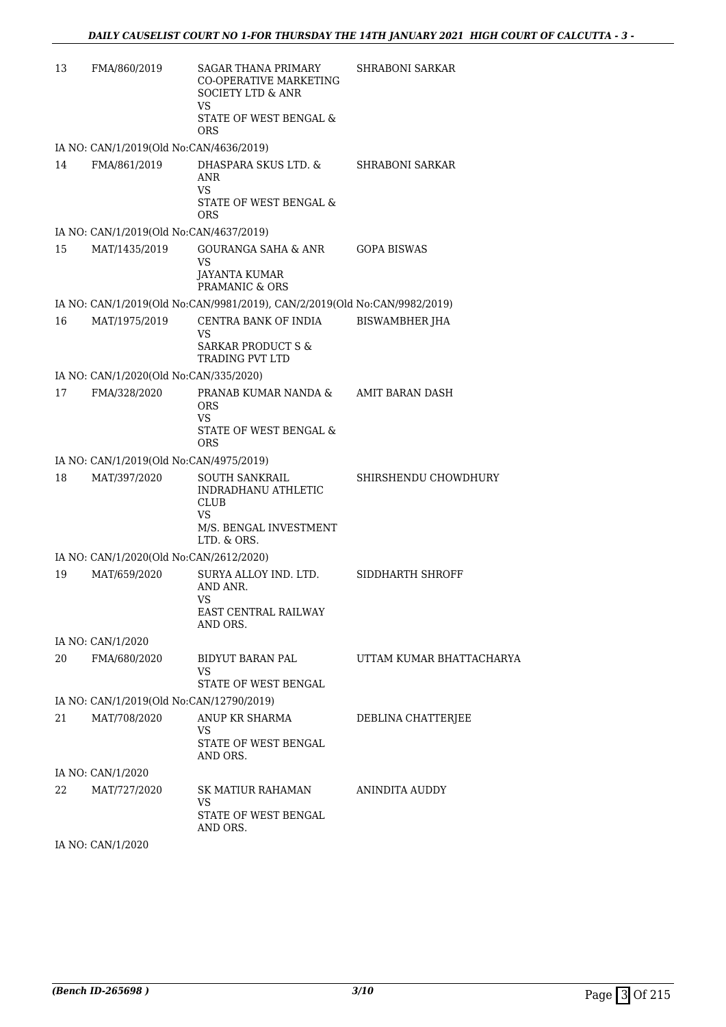| 13 | FMA/860/2019                             | <b>SAGAR THANA PRIMARY</b><br><b>CO-OPERATIVE MARKETING</b><br>SOCIETY LTD & ANR<br>VS. | <b>SHRABONI SARKAR</b>   |
|----|------------------------------------------|-----------------------------------------------------------------------------------------|--------------------------|
|    |                                          | STATE OF WEST BENGAL &<br><b>ORS</b>                                                    |                          |
|    | IA NO: CAN/1/2019(Old No:CAN/4636/2019)  |                                                                                         |                          |
| 14 | FMA/861/2019                             | DHASPARA SKUS LTD. &<br>ANR<br>VS.                                                      | <b>SHRABONI SARKAR</b>   |
|    |                                          | STATE OF WEST BENGAL &<br>ORS                                                           |                          |
|    | IA NO: CAN/1/2019(Old No:CAN/4637/2019)  |                                                                                         |                          |
| 15 | MAT/1435/2019                            | GOURANGA SAHA & ANR<br>VS<br>JAYANTA KUMAR<br>PRAMANIC & ORS                            | <b>GOPA BISWAS</b>       |
|    |                                          | IA NO: CAN/1/2019(Old No:CAN/9981/2019), CAN/2/2019(Old No:CAN/9982/2019)               |                          |
| 16 | MAT/1975/2019                            | CENTRA BANK OF INDIA<br>VS                                                              | <b>BISWAMBHER JHA</b>    |
|    |                                          | <b>SARKAR PRODUCT S &amp;</b><br>TRADING PVT LTD                                        |                          |
|    | IA NO: CAN/1/2020(Old No:CAN/335/2020)   |                                                                                         |                          |
| 17 | FMA/328/2020                             | PRANAB KUMAR NANDA &<br><b>ORS</b><br>VS                                                | AMIT BARAN DASH          |
|    |                                          | STATE OF WEST BENGAL &<br>ORS                                                           |                          |
|    | IA NO: CAN/1/2019(Old No:CAN/4975/2019)  |                                                                                         |                          |
| 18 | MAT/397/2020                             | <b>SOUTH SANKRAIL</b><br>INDRADHANU ATHLETIC<br>CLUB<br>VS                              | SHIRSHENDU CHOWDHURY     |
|    |                                          | M/S. BENGAL INVESTMENT<br>LTD. & ORS.                                                   |                          |
|    | IA NO: CAN/1/2020(Old No:CAN/2612/2020)  |                                                                                         |                          |
| 19 | MAT/659/2020                             | SURYA ALLOY IND. LTD.<br>AND ANR.<br><b>VS</b>                                          | SIDDHARTH SHROFF         |
|    |                                          | EAST CENTRAL RAILWAY<br>AND ORS.                                                        |                          |
|    | IA NO: CAN/1/2020                        |                                                                                         |                          |
| 20 | FMA/680/2020                             | BIDYUT BARAN PAL<br>VS<br>STATE OF WEST BENGAL                                          | UTTAM KUMAR BHATTACHARYA |
|    | IA NO: CAN/1/2019(Old No:CAN/12790/2019) |                                                                                         |                          |
| 21 | MAT/708/2020                             | ANUP KR SHARMA                                                                          | DEBLINA CHATTERJEE       |
|    |                                          | VS<br>STATE OF WEST BENGAL<br>AND ORS.                                                  |                          |
|    | IA NO: CAN/1/2020                        |                                                                                         |                          |
| 22 | MAT/727/2020                             | SK MATIUR RAHAMAN<br>VS<br>STATE OF WEST BENGAL<br>AND ORS.                             | ANINDITA AUDDY           |
|    |                                          |                                                                                         |                          |

IA NO: CAN/1/2020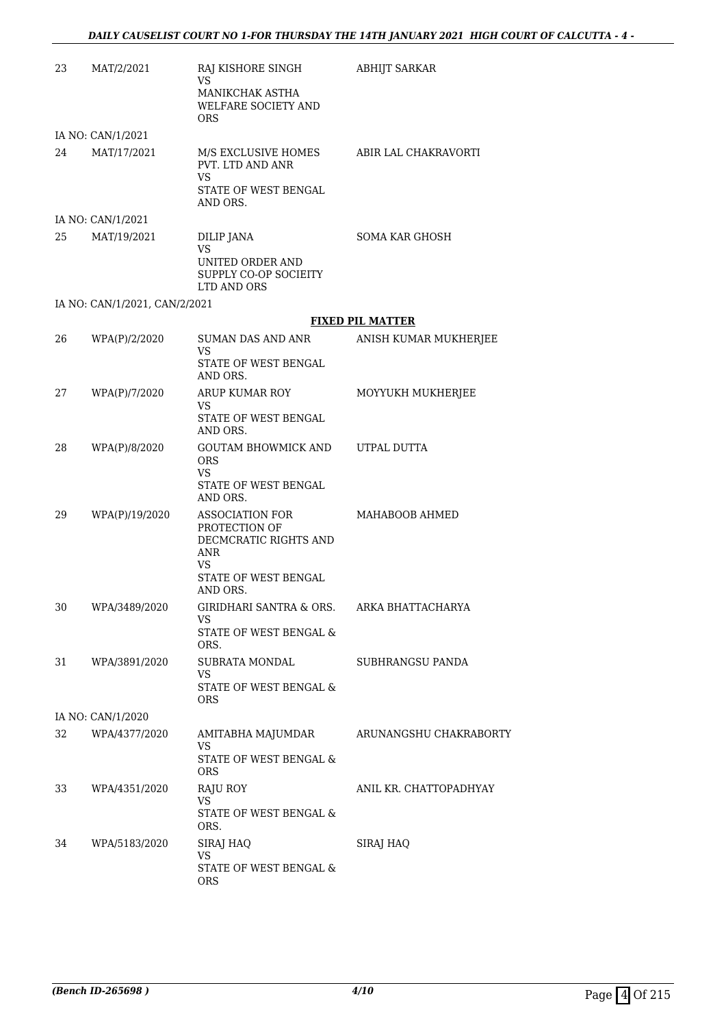| 23 | MAT/2/2021                    | RAJ KISHORE SINGH                                                                                     | <b>ABHIJT SARKAR</b>    |
|----|-------------------------------|-------------------------------------------------------------------------------------------------------|-------------------------|
|    |                               | VS<br>MANIKCHAK ASTHA<br><b>WELFARE SOCIETY AND</b><br><b>ORS</b>                                     |                         |
|    | IA NO: CAN/1/2021             |                                                                                                       |                         |
| 24 | MAT/17/2021                   | M/S EXCLUSIVE HOMES ABIR LAL CHAKRAVORTI<br>PVT. LTD AND ANR<br>VS                                    |                         |
|    |                               | STATE OF WEST BENGAL<br>AND ORS.                                                                      |                         |
|    | IA NO: CAN/1/2021             |                                                                                                       |                         |
| 25 | MAT/19/2021                   | DILIP JANA                                                                                            | <b>SOMA KAR GHOSH</b>   |
|    |                               | VS<br>UNITED ORDER AND<br>SUPPLY CO-OP SOCIEITY<br>LTD AND ORS                                        |                         |
|    | IA NO: CAN/1/2021, CAN/2/2021 |                                                                                                       |                         |
|    |                               |                                                                                                       | <b>FIXED PIL MATTER</b> |
| 26 | WPA(P)/2/2020                 | SUMAN DAS AND ANR                                                                                     | ANISH KUMAR MUKHERJEE   |
|    |                               | VS<br>STATE OF WEST BENGAL<br>AND ORS.                                                                |                         |
| 27 | WPA(P)/7/2020                 | ARUP KUMAR ROY                                                                                        | MOYYUKH MUKHERJEE       |
|    |                               | VS.<br>STATE OF WEST BENGAL<br>AND ORS.                                                               |                         |
| 28 | WPA(P)/8/2020                 | GOUTAM BHOWMICK AND UTPAL DUTTA<br><b>ORS</b><br><b>VS</b>                                            |                         |
|    |                               | STATE OF WEST BENGAL<br>AND ORS.                                                                      |                         |
| 29 | WPA(P)/19/2020                | ASSOCIATION FOR<br>PROTECTION OF<br>DECMCRATIC RIGHTS AND<br><b>ANR</b><br>VS<br>STATE OF WEST BENGAL | MAHABOOB AHMED          |
| 30 | WPA/3489/2020                 | AND ORS.<br>GIRIDHARI SANTRA & ORS.                                                                   | ARKA BHATTACHARYA       |
|    |                               | VS<br>STATE OF WEST BENGAL &<br>ORS.                                                                  |                         |
| 31 | WPA/3891/2020                 | SUBRATA MONDAL                                                                                        | SUBHRANGSU PANDA        |
|    |                               | VS<br><b>STATE OF WEST BENGAL &amp;</b><br><b>ORS</b>                                                 |                         |
|    | IA NO: CAN/1/2020             |                                                                                                       |                         |
| 32 | WPA/4377/2020                 | AMITABHA MAJUMDAR<br><b>VS</b><br>STATE OF WEST BENGAL &<br><b>ORS</b>                                | ARUNANGSHU CHAKRABORTY  |
| 33 | WPA/4351/2020                 | RAJU ROY                                                                                              | ANIL KR. CHATTOPADHYAY  |
|    |                               | VS<br>STATE OF WEST BENGAL &<br>ORS.                                                                  |                         |
| 34 | WPA/5183/2020                 | SIRAJ HAQ                                                                                             | SIRAJ HAQ               |
|    |                               | VS<br>STATE OF WEST BENGAL &<br><b>ORS</b>                                                            |                         |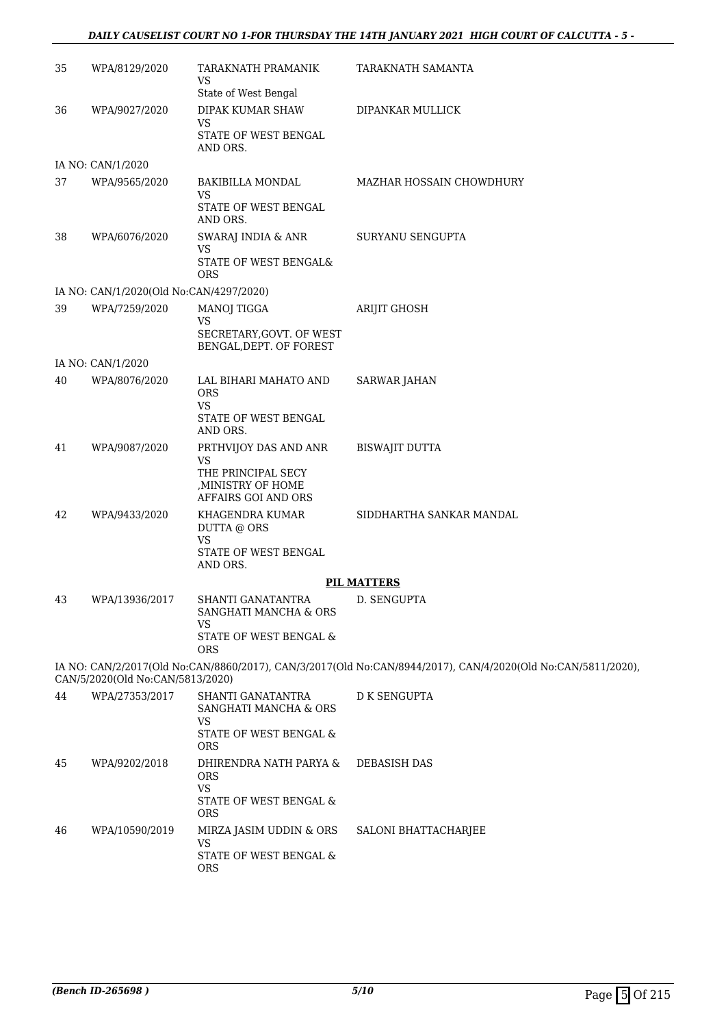## *DAILY CAUSELIST COURT NO 1-FOR THURSDAY THE 14TH JANUARY 2021 HIGH COURT OF CALCUTTA - 5 -*

| 35 | WPA/8129/2020                           | TARAKNATH PRAMANIK<br>VS<br>State of West Bengal                                                                     | TARAKNATH SAMANTA                                                                                            |
|----|-----------------------------------------|----------------------------------------------------------------------------------------------------------------------|--------------------------------------------------------------------------------------------------------------|
| 36 | WPA/9027/2020                           | DIPAK KUMAR SHAW<br>VS<br>STATE OF WEST BENGAL<br>AND ORS.                                                           | DIPANKAR MULLICK                                                                                             |
|    | IA NO: CAN/1/2020                       |                                                                                                                      |                                                                                                              |
| 37 | WPA/9565/2020                           | BAKIBILLA MONDAL<br><b>VS</b><br>STATE OF WEST BENGAL<br>AND ORS.                                                    | MAZHAR HOSSAIN CHOWDHURY                                                                                     |
| 38 | WPA/6076/2020                           | SWARAJ INDIA & ANR<br>VS<br>STATE OF WEST BENGAL&<br><b>ORS</b>                                                      | SURYANU SENGUPTA                                                                                             |
|    | IA NO: CAN/1/2020(Old No:CAN/4297/2020) |                                                                                                                      |                                                                                                              |
| 39 | WPA/7259/2020                           | MANOJ TIGGA<br>VS<br>SECRETARY, GOVT. OF WEST<br>BENGAL, DEPT. OF FOREST                                             | <b>ARIJIT GHOSH</b>                                                                                          |
|    | IA NO: CAN/1/2020                       |                                                                                                                      |                                                                                                              |
| 40 | WPA/8076/2020                           | LAL BIHARI MAHATO AND<br>ORS<br><b>VS</b>                                                                            | <b>SARWAR JAHAN</b>                                                                                          |
|    |                                         | STATE OF WEST BENGAL<br>AND ORS.                                                                                     |                                                                                                              |
| 41 | WPA/9087/2020                           | PRTHVIJOY DAS AND ANR<br>VS<br>THE PRINCIPAL SECY<br>, MINISTRY OF HOME<br>AFFAIRS GOI AND ORS                       | <b>BISWAJIT DUTTA</b>                                                                                        |
| 42 | WPA/9433/2020                           | KHAGENDRA KUMAR<br>DUTTA @ ORS<br><b>VS</b><br>STATE OF WEST BENGAL<br>AND ORS.                                      | SIDDHARTHA SANKAR MANDAL                                                                                     |
|    |                                         |                                                                                                                      | <b>PIL MATTERS</b>                                                                                           |
| 43 | WPA/13936/2017                          | SHANTI GANATANTRA<br>SANGHATI MANCHA & ORS<br><b>VS</b><br>STATE OF WEST BENGAL &<br><b>ORS</b>                      | D. SENGUPTA                                                                                                  |
|    | CAN/5/2020(Old No:CAN/5813/2020)        |                                                                                                                      | IA NO: CAN/2/2017(Old No:CAN/8860/2017), CAN/3/2017(Old No:CAN/8944/2017), CAN/4/2020(Old No:CAN/5811/2020), |
| 44 | WPA/27353/2017                          | SHANTI GANATANTRA<br>SANGHATI MANCHA & ORS<br>VS<br>STATE OF WEST BENGAL &                                           | <b>D K SENGUPTA</b>                                                                                          |
| 45 | WPA/9202/2018                           | <b>ORS</b><br>DHIRENDRA NATH PARYA &<br><b>ORS</b><br><b>VS</b>                                                      | <b>DEBASISH DAS</b>                                                                                          |
| 46 | WPA/10590/2019                          | STATE OF WEST BENGAL &<br><b>ORS</b><br>MIRZA JASIM UDDIN & ORS<br><b>VS</b><br>STATE OF WEST BENGAL &<br><b>ORS</b> | SALONI BHATTACHARJEE                                                                                         |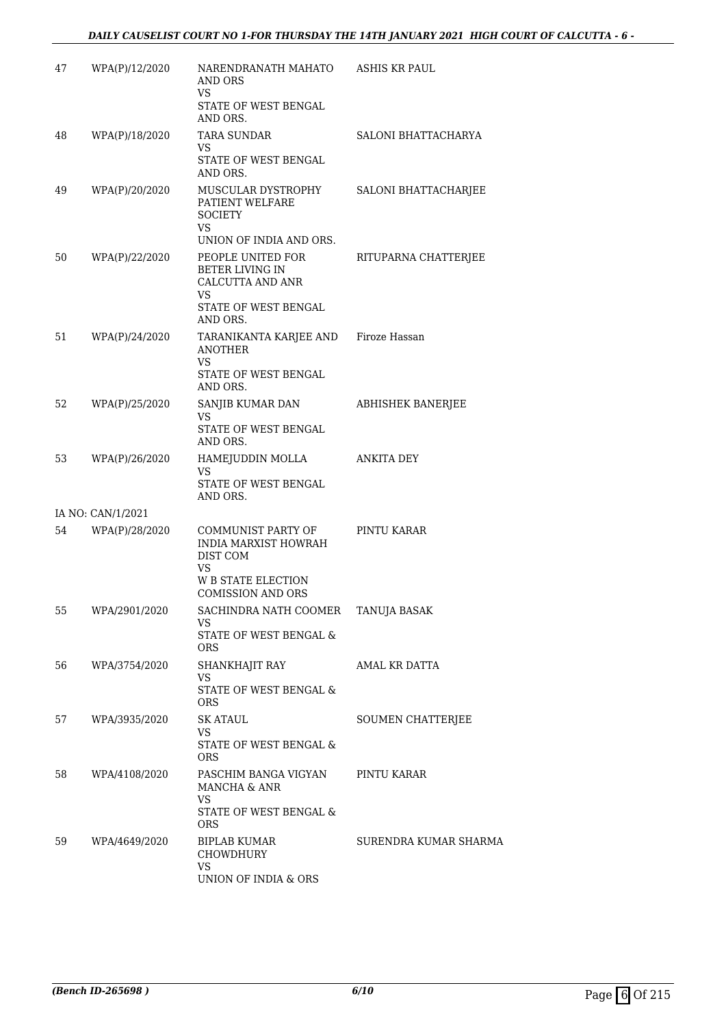| 47 | WPA(P)/12/2020    | NARENDRANATH MAHATO<br>AND ORS<br><b>VS</b>                                                             | <b>ASHIS KR PAUL</b>     |
|----|-------------------|---------------------------------------------------------------------------------------------------------|--------------------------|
|    |                   | STATE OF WEST BENGAL<br>AND ORS.                                                                        |                          |
| 48 | WPA(P)/18/2020    | <b>TARA SUNDAR</b><br>VS<br>STATE OF WEST BENGAL<br>AND ORS.                                            | SALONI BHATTACHARYA      |
| 49 | WPA(P)/20/2020    | MUSCULAR DYSTROPHY<br>PATIENT WELFARE<br><b>SOCIETY</b><br>VS.                                          | SALONI BHATTACHARJEE     |
|    |                   | UNION OF INDIA AND ORS.                                                                                 |                          |
| 50 | WPA(P)/22/2020    | PEOPLE UNITED FOR<br>BETER LIVING IN<br>CALCUTTA AND ANR<br>VS<br>STATE OF WEST BENGAL<br>AND ORS.      | RITUPARNA CHATTERJEE     |
| 51 | WPA(P)/24/2020    | TARANIKANTA KARJEE AND Firoze Hassan<br><b>ANOTHER</b><br><b>VS</b><br>STATE OF WEST BENGAL<br>AND ORS. |                          |
| 52 | WPA(P)/25/2020    | SANJIB KUMAR DAN<br>VS<br>STATE OF WEST BENGAL<br>AND ORS.                                              | ABHISHEK BANERJEE        |
| 53 | WPA(P)/26/2020    | HAMEJUDDIN MOLLA<br>VS<br>STATE OF WEST BENGAL<br>AND ORS.                                              | <b>ANKITA DEY</b>        |
|    | IA NO: CAN/1/2021 |                                                                                                         |                          |
| 54 | WPA(P)/28/2020    | COMMUNIST PARTY OF<br><b>INDIA MARXIST HOWRAH</b><br>DIST COM<br>VS                                     | PINTU KARAR              |
|    |                   | W B STATE ELECTION<br><b>COMISSION AND ORS</b>                                                          |                          |
| 55 | WPA/2901/2020     | SACHINDRA NATH COOMER TANUJA BASAK<br>VS<br><b>STATE OF WEST BENGAL &amp;</b><br>ORS                    |                          |
| 56 | WPA/3754/2020     | SHANKHAJIT RAY<br>VS<br>STATE OF WEST BENGAL &<br>ORS                                                   | AMAL KR DATTA            |
| 57 | WPA/3935/2020     | <b>SK ATAUL</b><br>VS<br>STATE OF WEST BENGAL &<br>ORS.                                                 | <b>SOUMEN CHATTERJEE</b> |
| 58 | WPA/4108/2020     | PASCHIM BANGA VIGYAN<br>MANCHA & ANR<br>VS<br>STATE OF WEST BENGAL &                                    | PINTU KARAR              |
| 59 | WPA/4649/2020     | <b>ORS</b><br>BIPLAB KUMAR<br>CHOWDHURY<br><b>VS</b><br>UNION OF INDIA & ORS                            | SURENDRA KUMAR SHARMA    |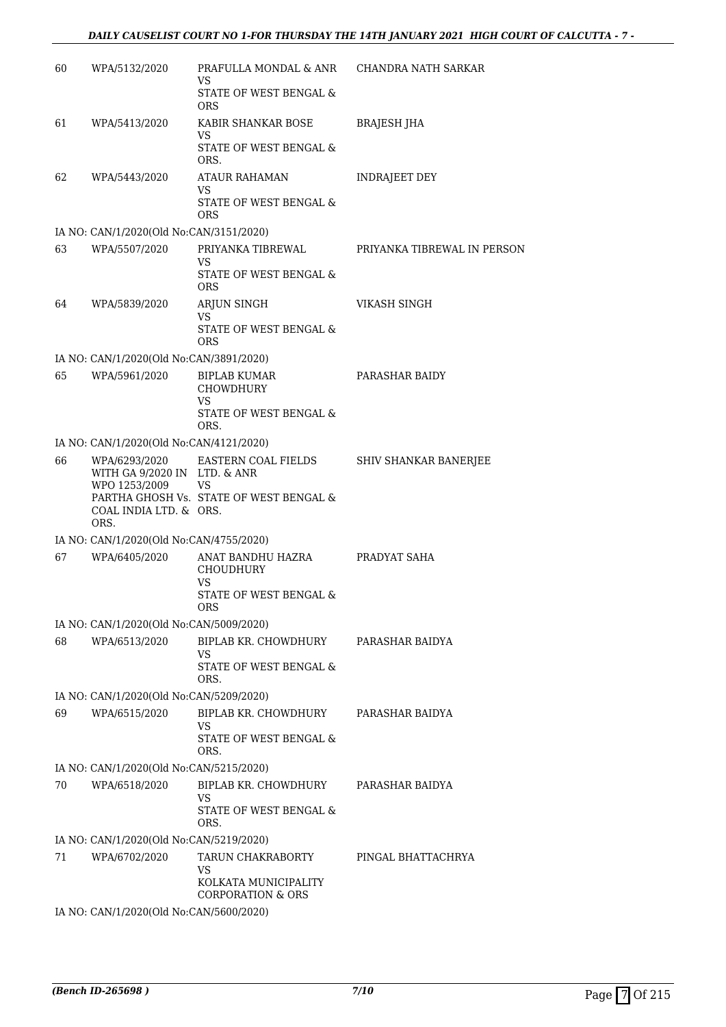| 60 | WPA/5132/2020                                                                                    | PRAFULLA MONDAL & ANR<br>VS<br>STATE OF WEST BENGAL &                                          | CHANDRA NATH SARKAR          |
|----|--------------------------------------------------------------------------------------------------|------------------------------------------------------------------------------------------------|------------------------------|
| 61 | WPA/5413/2020                                                                                    | <b>ORS</b><br>KABIR SHANKAR BOSE<br>VS<br>STATE OF WEST BENGAL &                               | BRAJESH JHA                  |
| 62 | WPA/5443/2020                                                                                    | ORS.<br><b>ATAUR RAHAMAN</b><br>VS<br>STATE OF WEST BENGAL &<br><b>ORS</b>                     | <b>INDRAJEET DEY</b>         |
|    | IA NO: CAN/1/2020(Old No:CAN/3151/2020)                                                          |                                                                                                |                              |
| 63 | WPA/5507/2020                                                                                    | PRIYANKA TIBREWAL<br>VS<br>STATE OF WEST BENGAL &<br><b>ORS</b>                                | PRIYANKA TIBREWAL IN PERSON  |
| 64 | WPA/5839/2020                                                                                    | ARJUN SINGH<br><b>VS</b><br>STATE OF WEST BENGAL &<br><b>ORS</b>                               | <b>VIKASH SINGH</b>          |
|    | IA NO: CAN/1/2020(Old No:CAN/3891/2020)                                                          |                                                                                                |                              |
| 65 | WPA/5961/2020                                                                                    | <b>BIPLAB KUMAR</b><br>CHOWDHURY<br><b>VS</b><br>STATE OF WEST BENGAL &                        | PARASHAR BAIDY               |
|    | IA NO: CAN/1/2020(Old No:CAN/4121/2020)                                                          | ORS.                                                                                           |                              |
| 66 | WPA/6293/2020<br>WITH GA 9/2020 IN LTD. & ANR<br>WPO 1253/2009<br>COAL INDIA LTD. & ORS.<br>ORS. | EASTERN COAL FIELDS<br>VS<br>PARTHA GHOSH Vs. STATE OF WEST BENGAL &                           | <b>SHIV SHANKAR BANERJEE</b> |
|    | IA NO: CAN/1/2020(Old No:CAN/4755/2020)                                                          |                                                                                                |                              |
| 67 | WPA/6405/2020                                                                                    | ANAT BANDHU HAZRA<br><b>CHOUDHURY</b><br>VS<br><b>STATE OF WEST BENGAL &amp;</b><br><b>ORS</b> | PRADYAT SAHA                 |
|    | IA NO: CAN/1/2020(Old No:CAN/5009/2020)                                                          |                                                                                                |                              |
| 68 | WPA/6513/2020                                                                                    | BIPLAB KR. CHOWDHURY<br>VS<br>STATE OF WEST BENGAL &<br>ORS.                                   | PARASHAR BAIDYA              |
|    | IA NO: CAN/1/2020(Old No:CAN/5209/2020)                                                          |                                                                                                |                              |
| 69 | WPA/6515/2020                                                                                    | BIPLAB KR. CHOWDHURY<br>VS<br>STATE OF WEST BENGAL &<br>ORS.                                   | PARASHAR BAIDYA              |
|    | IA NO: CAN/1/2020(Old No:CAN/5215/2020)                                                          |                                                                                                |                              |
| 70 | WPA/6518/2020                                                                                    | BIPLAB KR. CHOWDHURY<br>VS<br>STATE OF WEST BENGAL &<br>ORS.                                   | PARASHAR BAIDYA              |
|    | IA NO: CAN/1/2020(Old No:CAN/5219/2020)                                                          |                                                                                                |                              |
| 71 | WPA/6702/2020                                                                                    | TARUN CHAKRABORTY<br>VS<br>KOLKATA MUNICIPALITY<br><b>CORPORATION &amp; ORS</b>                | PINGAL BHATTACHRYA           |
|    | IA NO: CAN/1/2020(Old No:CAN/5600/2020)                                                          |                                                                                                |                              |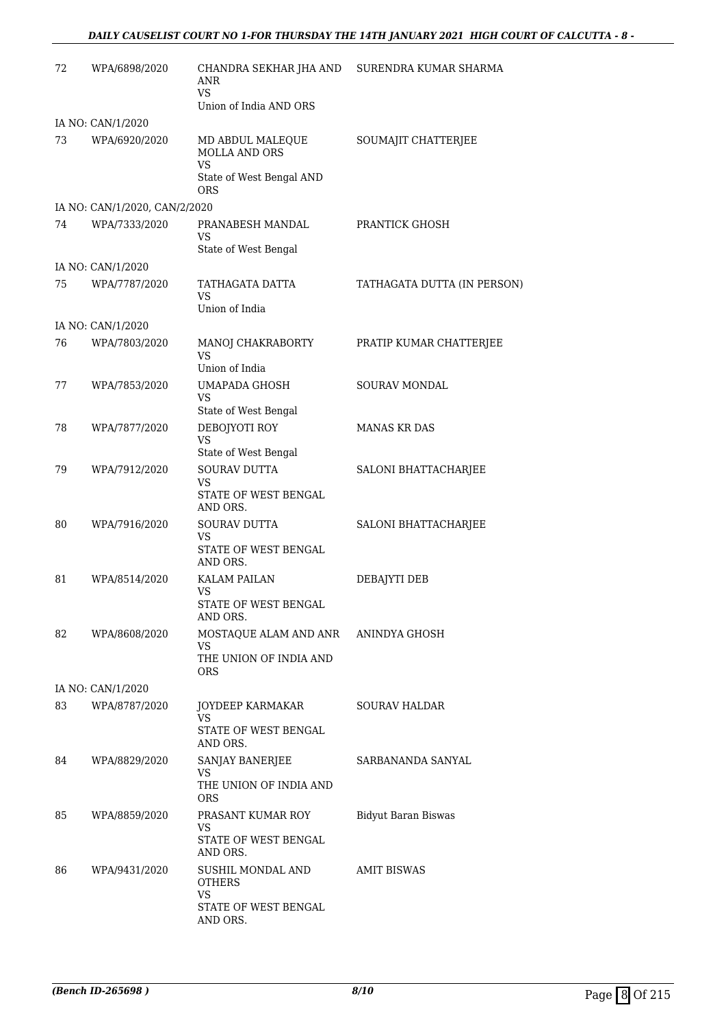| 72 | WPA/6898/2020                 | CHANDRA SEKHAR JHA AND<br>ANR<br><b>VS</b>                                          | SURENDRA KUMAR SHARMA       |
|----|-------------------------------|-------------------------------------------------------------------------------------|-----------------------------|
|    |                               | Union of India AND ORS                                                              |                             |
|    | IA NO: CAN/1/2020             |                                                                                     |                             |
| 73 | WPA/6920/2020                 | MD ABDUL MALEQUE<br><b>MOLLA AND ORS</b><br><b>VS</b>                               | SOUMAJIT CHATTERJEE         |
|    |                               | State of West Bengal AND<br><b>ORS</b>                                              |                             |
|    | IA NO: CAN/1/2020, CAN/2/2020 |                                                                                     |                             |
| 74 | WPA/7333/2020                 | PRANABESH MANDAL<br>VS<br>State of West Bengal                                      | PRANTICK GHOSH              |
|    | IA NO: CAN/1/2020             |                                                                                     |                             |
| 75 | WPA/7787/2020                 | TATHAGATA DATTA<br>VS<br>Union of India                                             | TATHAGATA DUTTA (IN PERSON) |
|    | IA NO: CAN/1/2020             |                                                                                     |                             |
| 76 | WPA/7803/2020                 | MANOJ CHAKRABORTY<br>VS<br>Union of India                                           | PRATIP KUMAR CHATTERJEE     |
| 77 | WPA/7853/2020                 | <b>UMAPADA GHOSH</b><br><b>VS</b>                                                   | <b>SOURAV MONDAL</b>        |
|    |                               | State of West Bengal                                                                |                             |
| 78 | WPA/7877/2020                 | DEBOJYOTI ROY<br><b>VS</b><br>State of West Bengal                                  | <b>MANAS KR DAS</b>         |
| 79 | WPA/7912/2020                 | <b>SOURAV DUTTA</b><br>VS<br>STATE OF WEST BENGAL<br>AND ORS.                       | SALONI BHATTACHARJEE        |
| 80 | WPA/7916/2020                 | SOURAV DUTTA<br>VS<br>STATE OF WEST BENGAL<br>AND ORS.                              | SALONI BHATTACHARJEE        |
| 81 | WPA/8514/2020                 | <b>KALAM PAILAN</b><br>VS<br>STATE OF WEST BENGAL<br>AND ORS.                       | DEBAJYTI DEB                |
| 82 | WPA/8608/2020                 | MOSTAQUE ALAM AND ANR ANINDYA GHOSH<br>VS<br>THE UNION OF INDIA AND<br>ORS.         |                             |
|    | IA NO: CAN/1/2020             |                                                                                     |                             |
| 83 | WPA/8787/2020                 | JOYDEEP KARMAKAR<br>VS<br>STATE OF WEST BENGAL<br>AND ORS.                          | <b>SOURAV HALDAR</b>        |
| 84 | WPA/8829/2020                 | SANJAY BANERJEE<br>VS.<br>THE UNION OF INDIA AND<br>ORS                             | SARBANANDA SANYAL           |
| 85 | WPA/8859/2020                 | PRASANT KUMAR ROY<br>VS<br>STATE OF WEST BENGAL                                     | Bidyut Baran Biswas         |
| 86 | WPA/9431/2020                 | AND ORS.<br>SUSHIL MONDAL AND<br><b>OTHERS</b><br><b>VS</b><br>STATE OF WEST BENGAL | <b>AMIT BISWAS</b>          |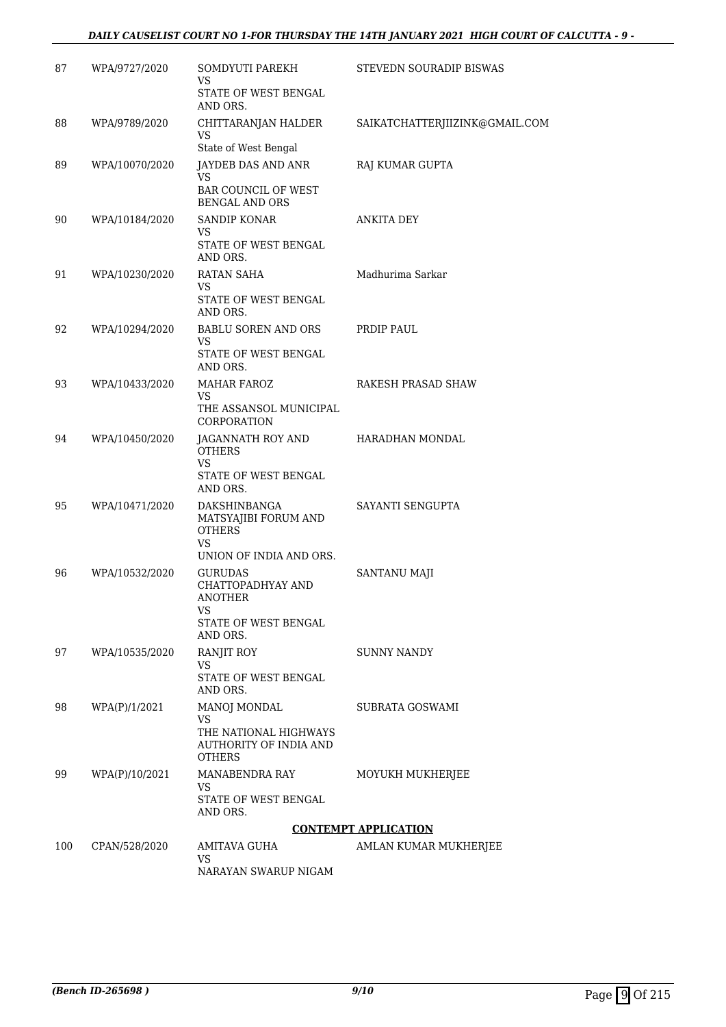## *DAILY CAUSELIST COURT NO 1-FOR THURSDAY THE 14TH JANUARY 2021 HIGH COURT OF CALCUTTA - 9 -*

| 87  | WPA/9727/2020  | SOMDYUTI PAREKH<br>VS<br>STATE OF WEST BENGAL<br>AND ORS.                                                                  | STEVEDN SOURADIP BISWAS        |
|-----|----------------|----------------------------------------------------------------------------------------------------------------------------|--------------------------------|
| 88  | WPA/9789/2020  | CHITTARANJAN HALDER<br><b>VS</b><br>State of West Bengal                                                                   | SAIKATCHATTERJIIZINK@GMAIL.COM |
| 89  | WPA/10070/2020 | <b>JAYDEB DAS AND ANR</b><br>VS.<br><b>BAR COUNCIL OF WEST</b><br><b>BENGAL AND ORS</b>                                    | RAJ KUMAR GUPTA                |
| 90  | WPA/10184/2020 | <b>SANDIP KONAR</b><br>VS<br>STATE OF WEST BENGAL<br>AND ORS.                                                              | ANKITA DEY                     |
| 91  | WPA/10230/2020 | RATAN SAHA<br>VS<br>STATE OF WEST BENGAL<br>AND ORS.                                                                       | Madhurima Sarkar               |
| 92  | WPA/10294/2020 | <b>BABLU SOREN AND ORS</b><br>VS<br>STATE OF WEST BENGAL<br>AND ORS.                                                       | PRDIP PAUL                     |
| 93  | WPA/10433/2020 | <b>MAHAR FAROZ</b><br><b>VS</b><br>THE ASSANSOL MUNICIPAL                                                                  | RAKESH PRASAD SHAW             |
| 94  | WPA/10450/2020 | CORPORATION<br>JAGANNATH ROY AND<br><b>OTHERS</b><br>VS<br>STATE OF WEST BENGAL                                            | HARADHAN MONDAL                |
| 95  | WPA/10471/2020 | AND ORS.<br>DAKSHINBANGA<br>MATSYAJIBI FORUM AND<br><b>OTHERS</b><br>VS                                                    | SAYANTI SENGUPTA               |
| 96  | WPA/10532/2020 | UNION OF INDIA AND ORS.<br><b>GURUDAS</b><br>CHATTOPADHYAY AND<br><b>ANOTHER</b><br>VS<br>STATE OF WEST BENGAL<br>AND ORS. | SANTANU MAJI                   |
| 97  | WPA/10535/2020 | RANJIT ROY<br>VS<br>STATE OF WEST BENGAL<br>AND ORS.                                                                       | SUNNY NANDY                    |
| 98  | WPA(P)/1/2021  | MANOJ MONDAL<br><b>VS</b><br>THE NATIONAL HIGHWAYS<br><b>AUTHORITY OF INDIA AND</b><br><b>OTHERS</b>                       | SUBRATA GOSWAMI                |
| 99  | WPA(P)/10/2021 | MANABENDRA RAY<br><b>VS</b><br>STATE OF WEST BENGAL<br>AND ORS.                                                            | MOYUKH MUKHERJEE               |
|     |                |                                                                                                                            | <b>CONTEMPT APPLICATION</b>    |
| 100 | CPAN/528/2020  | AMITAVA GUHA<br><b>VS</b><br>NARAYAN SWARUP NIGAM                                                                          | AMLAN KUMAR MUKHERJEE          |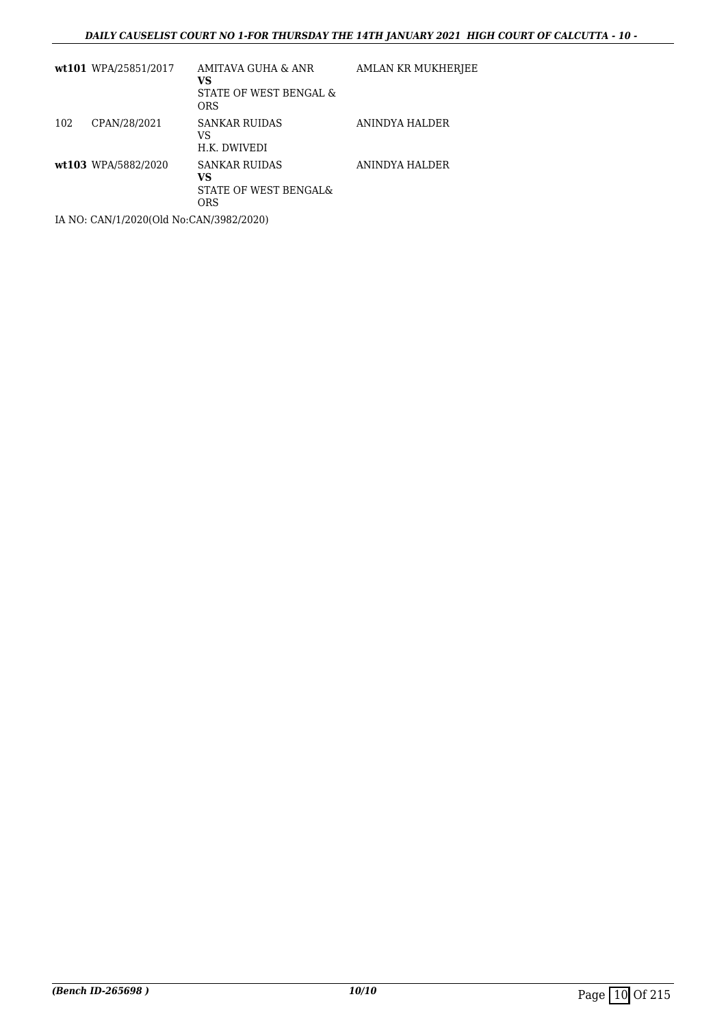### *DAILY CAUSELIST COURT NO 1-FOR THURSDAY THE 14TH JANUARY 2021 HIGH COURT OF CALCUTTA - 10 -*

|     | wt101 WPA/25851/2017 | AMITAVA GUHA & ANR<br>VS<br>STATE OF WEST BENGAL &<br><b>ORS</b>             | AMLAN KR MUKHERJEE |
|-----|----------------------|------------------------------------------------------------------------------|--------------------|
| 102 | CPAN/28/2021         | <b>SANKAR RUIDAS</b><br>VS<br>H.K. DWIVEDI                                   | ANINDYA HALDER     |
|     | wt103 WPA/5882/2020  | <b>SANKAR RUIDAS</b><br>VS<br><b>STATE OF WEST BENGAL&amp;</b><br><b>ORS</b> | ANINDYA HALDER     |

IA NO: CAN/1/2020(Old No:CAN/3982/2020)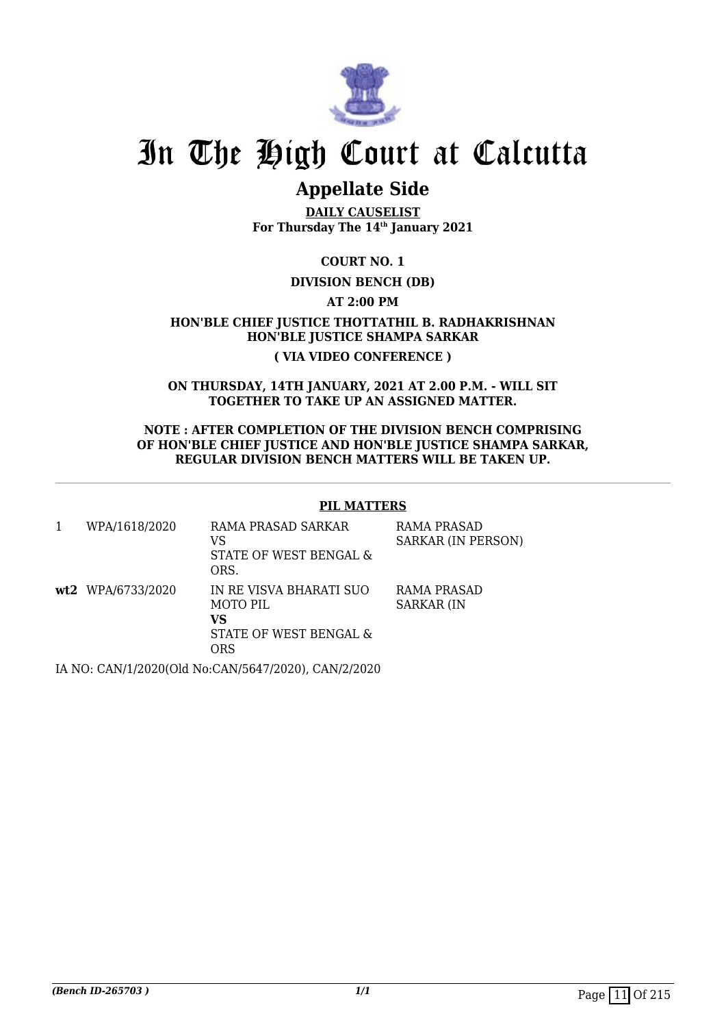

# **Appellate Side**

**DAILY CAUSELIST For Thursday The 14th January 2021**

**COURT NO. 1**

# **DIVISION BENCH (DB)**

**AT 2:00 PM**

**HON'BLE CHIEF JUSTICE THOTTATHIL B. RADHAKRISHNAN HON'BLE JUSTICE SHAMPA SARKAR ( VIA VIDEO CONFERENCE )**

**ON THURSDAY, 14TH JANUARY, 2021 AT 2.00 P.M. - WILL SIT TOGETHER TO TAKE UP AN ASSIGNED MATTER.**

**NOTE : AFTER COMPLETION OF THE DIVISION BENCH COMPRISING OF HON'BLE CHIEF JUSTICE AND HON'BLE JUSTICE SHAMPA SARKAR, REGULAR DIVISION BENCH MATTERS WILL BE TAKEN UP.**

## **PIL MATTERS**

| WPA/1618/2020     | RAMA PRASAD SARKAR<br>VS<br>STATE OF WEST BENGAL &<br>ORS.                  | RAMA PRASAD<br><b>SARKAR (IN PERSON)</b> |
|-------------------|-----------------------------------------------------------------------------|------------------------------------------|
| wt2 WPA/6733/2020 | IN RE VISVA BHARATI SUO<br>MOTO PIL<br>vs<br>STATE OF WEST BENGAL &<br>ORS. | RAMA PRASAD<br><b>SARKAR (IN</b>         |
|                   |                                                                             |                                          |

IA NO: CAN/1/2020(Old No:CAN/5647/2020), CAN/2/2020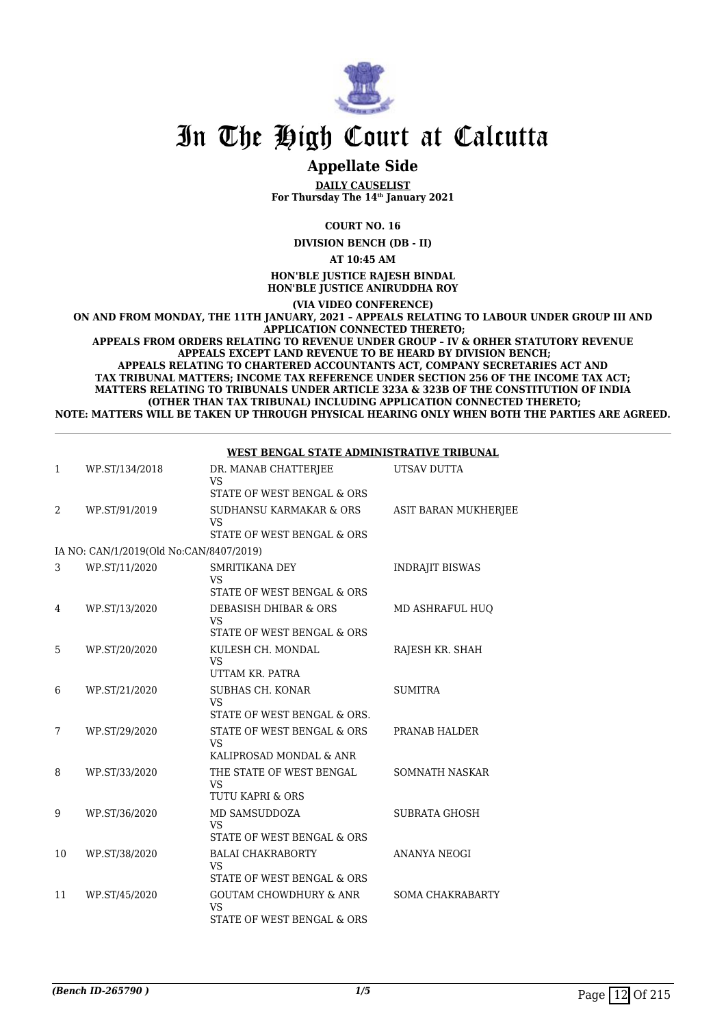

# **Appellate Side**

**DAILY CAUSELIST For Thursday The 14th January 2021**

**COURT NO. 16**

**DIVISION BENCH (DB - II)**

**AT 10:45 AM**

**HON'BLE JUSTICE RAJESH BINDAL HON'BLE JUSTICE ANIRUDDHA ROY**

**(VIA VIDEO CONFERENCE)**

**ON AND FROM MONDAY, THE 11TH JANUARY, 2021 – APPEALS RELATING TO LABOUR UNDER GROUP III AND APPLICATION CONNECTED THERETO;**

**APPEALS FROM ORDERS RELATING TO REVENUE UNDER GROUP – IV & ORHER STATUTORY REVENUE APPEALS EXCEPT LAND REVENUE TO BE HEARD BY DIVISION BENCH; APPEALS RELATING TO CHARTERED ACCOUNTANTS ACT, COMPANY SECRETARIES ACT AND TAX TRIBUNAL MATTERS; INCOME TAX REFERENCE UNDER SECTION 256 OF THE INCOME TAX ACT; MATTERS RELATING TO TRIBUNALS UNDER ARTICLE 323A & 323B OF THE CONSTITUTION OF INDIA (OTHER THAN TAX TRIBUNAL) INCLUDING APPLICATION CONNECTED THERETO; NOTE: MATTERS WILL BE TAKEN UP THROUGH PHYSICAL HEARING ONLY WHEN BOTH THE PARTIES ARE AGREED.**

|    |                                         |                                                                              | ,,,,,,,,,,,,,,,,       |
|----|-----------------------------------------|------------------------------------------------------------------------------|------------------------|
| 1  | WP.ST/134/2018                          | DR. MANAB CHATTERJEE<br><b>VS</b>                                            | UTSAV DUTTA            |
|    |                                         | STATE OF WEST BENGAL & ORS                                                   |                        |
| 2  | WP.ST/91/2019                           | SUDHANSU KARMAKAR & ORS<br><b>VS</b>                                         | ASIT BARAN MUKHERJEE   |
|    |                                         | STATE OF WEST BENGAL & ORS                                                   |                        |
|    | IA NO: CAN/1/2019(Old No:CAN/8407/2019) |                                                                              |                        |
| 3  | WP.ST/11/2020                           | SMRITIKANA DEY<br><b>VS</b>                                                  | <b>INDRAJIT BISWAS</b> |
|    |                                         | STATE OF WEST BENGAL & ORS                                                   |                        |
| 4  | WP.ST/13/2020                           | DEBASISH DHIBAR & ORS<br><b>VS</b>                                           | MD ASHRAFUL HUO        |
|    |                                         | STATE OF WEST BENGAL & ORS                                                   |                        |
| 5  | WP.ST/20/2020                           | KULESH CH. MONDAL<br><b>VS</b>                                               | RAJESH KR. SHAH        |
|    |                                         | UTTAM KR. PATRA                                                              |                        |
| 6  | WP.ST/21/2020                           | <b>SUBHAS CH. KONAR</b><br>VS                                                | <b>SUMITRA</b>         |
|    |                                         | STATE OF WEST BENGAL & ORS.                                                  |                        |
| 7  | WP.ST/29/2020                           | STATE OF WEST BENGAL & ORS<br><b>VS</b>                                      | PRANAB HALDER          |
|    |                                         | KALIPROSAD MONDAL & ANR                                                      |                        |
| 8  | WP.ST/33/2020                           | THE STATE OF WEST BENGAL<br>VS                                               | <b>SOMNATH NASKAR</b>  |
|    |                                         | <b>TUTU KAPRI &amp; ORS</b>                                                  |                        |
| 9  | WP.ST/36/2020                           | MD SAMSUDDOZA<br><b>VS</b>                                                   | <b>SUBRATA GHOSH</b>   |
|    |                                         | STATE OF WEST BENGAL & ORS                                                   |                        |
| 10 | WP.ST/38/2020                           | <b>BALAI CHAKRABORTY</b><br><b>VS</b><br>STATE OF WEST BENGAL & ORS          | <b>ANANYA NEOGI</b>    |
|    |                                         |                                                                              |                        |
| 11 | WP.ST/45/2020                           | <b>GOUTAM CHOWDHURY &amp; ANR</b><br><b>VS</b><br>STATE OF WEST BENGAL & ORS | SOMA CHAKRABARTY       |
|    |                                         |                                                                              |                        |

### **WEST BENGAL STATE ADMINISTRATIVE TRIBUNAL**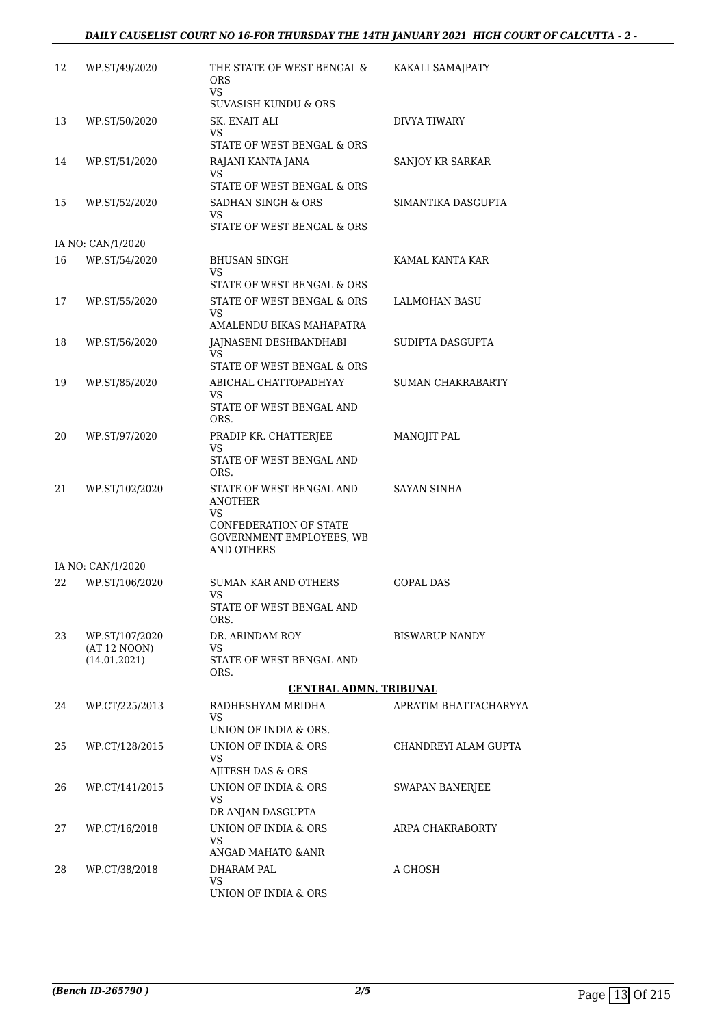## *DAILY CAUSELIST COURT NO 16-FOR THURSDAY THE 14TH JANUARY 2021 HIGH COURT OF CALCUTTA - 2 -*

| 12 | WP.ST/49/2020                      | THE STATE OF WEST BENGAL &<br>ORS.<br><b>VS</b>                               | KAKALI SAMAJPATY         |
|----|------------------------------------|-------------------------------------------------------------------------------|--------------------------|
| 13 | WP.ST/50/2020                      | <b>SUVASISH KUNDU &amp; ORS</b><br>SK. ENAIT ALI                              | <b>DIVYA TIWARY</b>      |
|    |                                    | VS<br>STATE OF WEST BENGAL & ORS                                              |                          |
| 14 | WP.ST/51/2020                      | RAJANI KANTA JANA<br>VS.                                                      | SANJOY KR SARKAR         |
|    |                                    | STATE OF WEST BENGAL & ORS                                                    |                          |
| 15 | WP.ST/52/2020                      | SADHAN SINGH & ORS<br>VS                                                      | SIMANTIKA DASGUPTA       |
|    |                                    | STATE OF WEST BENGAL & ORS                                                    |                          |
| 16 | IA NO: CAN/1/2020<br>WP.ST/54/2020 | <b>BHUSAN SINGH</b>                                                           | KAMAL KANTA KAR          |
|    |                                    | VS<br>STATE OF WEST BENGAL & ORS                                              |                          |
| 17 | WP.ST/55/2020                      | STATE OF WEST BENGAL & ORS<br>VS.                                             | LALMOHAN BASU            |
|    |                                    | AMALENDU BIKAS MAHAPATRA                                                      |                          |
| 18 | WP.ST/56/2020                      | JAJNASENI DESHBANDHABI<br><b>VS</b>                                           | SUDIPTA DASGUPTA         |
|    |                                    | STATE OF WEST BENGAL & ORS                                                    |                          |
| 19 | WP.ST/85/2020                      | ABICHAL CHATTOPADHYAY<br>VS<br>STATE OF WEST BENGAL AND                       | <b>SUMAN CHAKRABARTY</b> |
|    |                                    | ORS.                                                                          |                          |
| 20 | WP.ST/97/2020                      | PRADIP KR. CHATTERJEE<br>VS<br>STATE OF WEST BENGAL AND                       | MANOJIT PAL              |
|    |                                    | ORS.                                                                          |                          |
| 21 | WP.ST/102/2020                     | STATE OF WEST BENGAL AND<br><b>ANOTHER</b>                                    | SAYAN SINHA              |
|    |                                    | VS<br>CONFEDERATION OF STATE<br>GOVERNMENT EMPLOYEES, WB<br><b>AND OTHERS</b> |                          |
|    | IA NO: CAN/1/2020                  |                                                                               |                          |
| 22 | WP.ST/106/2020                     | <b>SUMAN KAR AND OTHERS</b><br>VS                                             | <b>GOPAL DAS</b>         |
|    |                                    | STATE OF WEST BENGAL AND<br>ORS.                                              |                          |
| 23 | WP.ST/107/2020<br>(AT 12 NOON)     | DR. ARINDAM ROY<br>VS                                                         | <b>BISWARUP NANDY</b>    |
|    | (14.01.2021)                       | STATE OF WEST BENGAL AND<br>ORS.                                              |                          |
|    |                                    | <b>CENTRAL ADMN. TRIBUNAL</b>                                                 |                          |
| 24 | WP.CT/225/2013                     | RADHESHYAM MRIDHA<br><b>VS</b><br>UNION OF INDIA & ORS.                       | APRATIM BHATTACHARYYA    |
| 25 | WP.CT/128/2015                     | UNION OF INDIA & ORS                                                          | CHANDREYI ALAM GUPTA     |
|    |                                    | VS<br>AJITESH DAS & ORS                                                       |                          |
| 26 | WP.CT/141/2015                     | UNION OF INDIA & ORS                                                          | <b>SWAPAN BANERJEE</b>   |
|    |                                    | VS<br>DR ANJAN DASGUPTA                                                       |                          |
| 27 | WP.CT/16/2018                      | UNION OF INDIA & ORS<br>VS                                                    | ARPA CHAKRABORTY         |
|    |                                    | ANGAD MAHATO & ANR                                                            |                          |
| 28 | WP.CT/38/2018                      | DHARAM PAL<br>VS                                                              | A GHOSH                  |
|    |                                    | UNION OF INDIA & ORS                                                          |                          |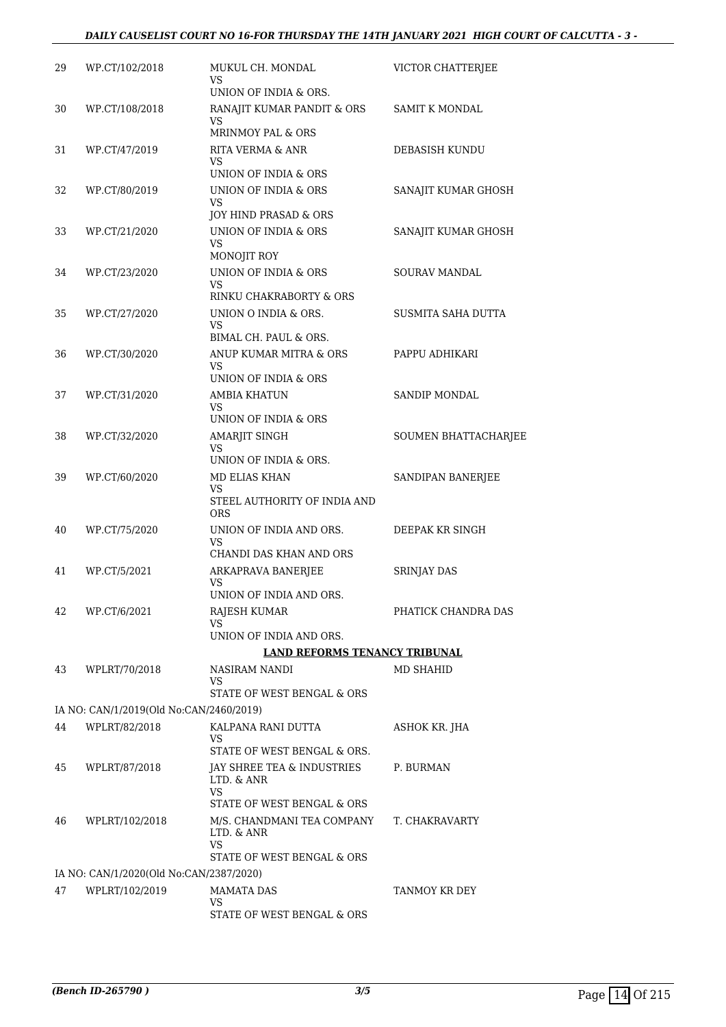| 29 | WP.CT/102/2018                          | MUKUL CH. MONDAL<br>VS                                      | VICTOR CHATTERJEE    |
|----|-----------------------------------------|-------------------------------------------------------------|----------------------|
| 30 | WP.CT/108/2018                          | UNION OF INDIA & ORS.<br>RANAJIT KUMAR PANDIT & ORS<br>VS   | SAMIT K MONDAL       |
| 31 | WP.CT/47/2019                           | <b>MRINMOY PAL &amp; ORS</b><br><b>RITA VERMA &amp; ANR</b> | DEBASISH KUNDU       |
|    |                                         | VS<br>UNION OF INDIA & ORS                                  |                      |
| 32 | WP.CT/80/2019                           | UNION OF INDIA & ORS                                        | SANAJIT KUMAR GHOSH  |
|    |                                         | VS.                                                         |                      |
|    |                                         | JOY HIND PRASAD & ORS                                       |                      |
| 33 | WP.CT/21/2020                           | UNION OF INDIA & ORS<br>VS.<br>MONOJIT ROY                  | SANAJIT KUMAR GHOSH  |
| 34 | WP.CT/23/2020                           | UNION OF INDIA & ORS                                        | <b>SOURAV MANDAL</b> |
|    |                                         | VS                                                          |                      |
|    |                                         | RINKU CHAKRABORTY & ORS                                     |                      |
| 35 | WP.CT/27/2020                           | UNION O INDIA & ORS.<br>VS.                                 | SUSMITA SAHA DUTTA   |
|    |                                         | BIMAL CH. PAUL & ORS.                                       |                      |
| 36 | WP.CT/30/2020                           | ANUP KUMAR MITRA & ORS                                      | PAPPU ADHIKARI       |
|    |                                         | VS                                                          |                      |
|    |                                         | UNION OF INDIA & ORS                                        |                      |
| 37 | WP.CT/31/2020                           | <b>AMBIA KHATUN</b><br>VS                                   | <b>SANDIP MONDAL</b> |
|    |                                         | UNION OF INDIA & ORS                                        |                      |
| 38 | WP.CT/32/2020                           | AMARJIT SINGH                                               | SOUMEN BHATTACHARJEE |
|    |                                         | VS<br>UNION OF INDIA & ORS.                                 |                      |
| 39 | WP.CT/60/2020                           | <b>MD ELIAS KHAN</b>                                        | SANDIPAN BANERJEE    |
|    |                                         | VS<br>STEEL AUTHORITY OF INDIA AND<br><b>ORS</b>            |                      |
| 40 | WP.CT/75/2020                           | UNION OF INDIA AND ORS.                                     | DEEPAK KR SINGH      |
|    |                                         | <b>VS</b><br>CHANDI DAS KHAN AND ORS                        |                      |
| 41 | WP.CT/5/2021                            | ARKAPRAVA BANERJEE                                          | <b>SRINJAY DAS</b>   |
|    |                                         | VS<br>UNION OF INDIA AND ORS.                               |                      |
| 42 | WP.CT/6/2021                            | RAJESH KUMAR                                                | PHATICK CHANDRA DAS  |
|    |                                         | VS                                                          |                      |
|    |                                         | UNION OF INDIA AND ORS.                                     |                      |
|    |                                         | <b>LAND REFORMS TENANCY TRIBUNAL</b>                        |                      |
| 43 | WPLRT/70/2018                           | NASIRAM NANDI<br>VS                                         | MD SHAHID            |
|    |                                         | STATE OF WEST BENGAL & ORS                                  |                      |
|    | IA NO: CAN/1/2019(Old No:CAN/2460/2019) |                                                             |                      |
| 44 | WPLRT/82/2018                           | KALPANA RANI DUTTA                                          | ASHOK KR. JHA        |
|    |                                         | VS                                                          |                      |
| 45 | WPLRT/87/2018                           | STATE OF WEST BENGAL & ORS.                                 | P. BURMAN            |
|    |                                         | JAY SHREE TEA & INDUSTRIES<br>LTD. & ANR<br>VS.             |                      |
|    |                                         | STATE OF WEST BENGAL & ORS                                  |                      |
| 46 | WPLRT/102/2018                          | M/S. CHANDMANI TEA COMPANY<br>LTD. & ANR<br>VS.             | T. CHAKRAVARTY       |
|    |                                         | STATE OF WEST BENGAL & ORS                                  |                      |
|    | IA NO: CAN/1/2020(Old No:CAN/2387/2020) |                                                             |                      |
| 47 | WPLRT/102/2019                          | <b>MAMATA DAS</b><br>VS                                     | TANMOY KR DEY        |
|    |                                         | STATE OF WEST BENGAL & ORS                                  |                      |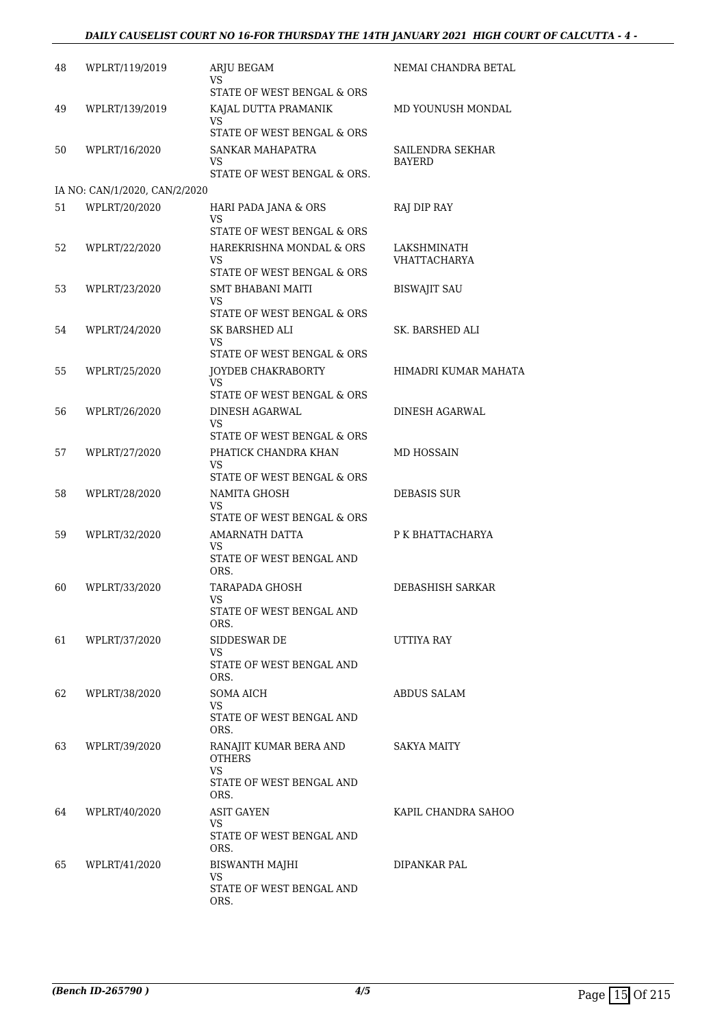## *DAILY CAUSELIST COURT NO 16-FOR THURSDAY THE 14TH JANUARY 2021 HIGH COURT OF CALCUTTA - 4 -*

| 48 | WPLRT/119/2019                | <b>ARJU BEGAM</b><br>VS                 | NEMAI CHANDRA BETAL               |
|----|-------------------------------|-----------------------------------------|-----------------------------------|
|    |                               | STATE OF WEST BENGAL & ORS              |                                   |
| 49 | WPLRT/139/2019                | KAJAL DUTTA PRAMANIK<br>VS              | MD YOUNUSH MONDAL                 |
|    |                               | STATE OF WEST BENGAL & ORS              |                                   |
| 50 | WPLRT/16/2020                 | SANKAR MAHAPATRA<br>VS                  | SAILENDRA SEKHAR<br><b>BAYERD</b> |
|    |                               | STATE OF WEST BENGAL & ORS.             |                                   |
|    | IA NO: CAN/1/2020, CAN/2/2020 |                                         |                                   |
| 51 | WPLRT/20/2020                 | HARI PADA JANA & ORS                    | RAJ DIP RAY                       |
|    |                               | VS<br>STATE OF WEST BENGAL & ORS        |                                   |
| 52 | WPLRT/22/2020                 | HAREKRISHNA MONDAL & ORS                | LAKSHMINATH                       |
|    |                               | VS<br>STATE OF WEST BENGAL & ORS        | VHATTACHARYA                      |
| 53 | WPLRT/23/2020                 | SMT BHABANI MAITI                       | <b>BISWAJIT SAU</b>               |
|    |                               | VS                                      |                                   |
|    |                               | STATE OF WEST BENGAL & ORS              |                                   |
| 54 | WPLRT/24/2020                 | SK BARSHED ALI<br>VS                    | SK. BARSHED ALI                   |
|    |                               | STATE OF WEST BENGAL & ORS              |                                   |
| 55 | WPLRT/25/2020                 | JOYDEB CHAKRABORTY                      | HIMADRI KUMAR MAHATA              |
|    |                               | VS.                                     |                                   |
|    |                               | STATE OF WEST BENGAL & ORS              |                                   |
| 56 | WPLRT/26/2020                 | DINESH AGARWAL<br>VS                    | DINESH AGARWAL                    |
|    |                               | STATE OF WEST BENGAL & ORS              |                                   |
| 57 | WPLRT/27/2020                 | PHATICK CHANDRA KHAN<br>VS              | MD HOSSAIN                        |
|    |                               | STATE OF WEST BENGAL & ORS              |                                   |
| 58 | WPLRT/28/2020                 | NAMITA GHOSH                            | DEBASIS SUR                       |
|    |                               | VS<br>STATE OF WEST BENGAL & ORS        |                                   |
| 59 | WPLRT/32/2020                 | AMARNATH DATTA                          | P K BHATTACHARYA                  |
|    |                               | VS                                      |                                   |
|    |                               | STATE OF WEST BENGAL AND<br>ORS.        |                                   |
| 60 | WPLRT/33/2020                 | TARAPADA GHOSH                          | DEBASHISH SARKAR                  |
|    |                               | VS                                      |                                   |
|    |                               | STATE OF WEST BENGAL AND<br>ORS.        |                                   |
| 61 | WPLRT/37/2020                 | SIDDESWAR DE                            | UTTIYA RAY                        |
|    |                               | VS<br>STATE OF WEST BENGAL AND          |                                   |
|    |                               | ORS.                                    |                                   |
| 62 | WPLRT/38/2020                 | SOMA AICH                               | ABDUS SALAM                       |
|    |                               | VS                                      |                                   |
|    |                               | STATE OF WEST BENGAL AND<br>ORS.        |                                   |
|    |                               |                                         |                                   |
| 63 | WPLRT/39/2020                 | RANAJIT KUMAR BERA AND<br><b>OTHERS</b> | SAKYA MAITY                       |
|    |                               | VS.                                     |                                   |
|    |                               | STATE OF WEST BENGAL AND<br>ORS.        |                                   |
|    |                               |                                         |                                   |
| 64 | WPLRT/40/2020                 | ASIT GAYEN<br>VS.                       | KAPIL CHANDRA SAHOO               |
|    |                               | STATE OF WEST BENGAL AND<br>ORS.        |                                   |
| 65 | WPLRT/41/2020                 | <b>BISWANTH MAJHI</b>                   | DIPANKAR PAL                      |
|    |                               | VS                                      |                                   |
|    |                               | STATE OF WEST BENGAL AND<br>ORS.        |                                   |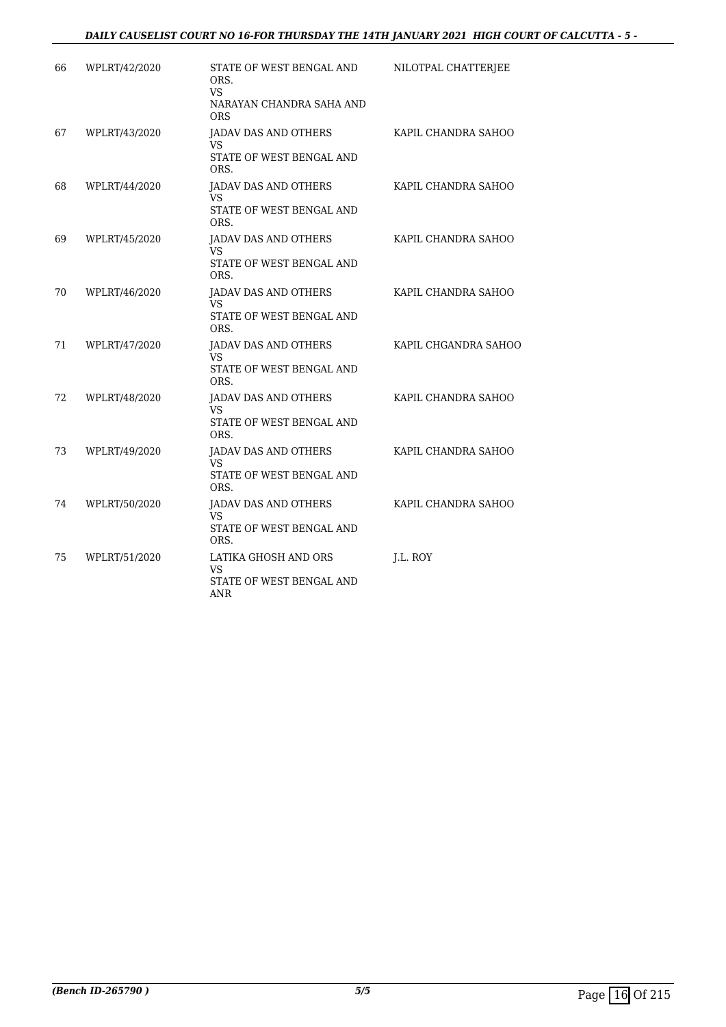| 66 | WPLRT/42/2020 | STATE OF WEST BENGAL AND<br>ORS.<br>VS.<br>NARAYAN CHANDRA SAHA AND<br><b>ORS</b> | NILOTPAL CHATTERJEE  |
|----|---------------|-----------------------------------------------------------------------------------|----------------------|
| 67 | WPLRT/43/2020 | JADAV DAS AND OTHERS<br><b>VS</b><br>STATE OF WEST BENGAL AND<br>ORS.             | KAPIL CHANDRA SAHOO  |
| 68 | WPLRT/44/2020 | JADAV DAS AND OTHERS<br>VS<br>STATE OF WEST BENGAL AND<br>ORS.                    | KAPIL CHANDRA SAHOO  |
| 69 | WPLRT/45/2020 | <b>JADAV DAS AND OTHERS</b><br><b>VS</b><br>STATE OF WEST BENGAL AND<br>ORS.      | KAPIL CHANDRA SAHOO  |
| 70 | WPLRT/46/2020 | JADAV DAS AND OTHERS<br><b>VS</b><br>STATE OF WEST BENGAL AND<br>ORS.             | KAPIL CHANDRA SAHOO  |
| 71 | WPLRT/47/2020 | JADAV DAS AND OTHERS<br>VS<br>STATE OF WEST BENGAL AND<br>ORS.                    | KAPIL CHGANDRA SAHOO |
| 72 | WPLRT/48/2020 | <b>JADAV DAS AND OTHERS</b><br>VS.<br>STATE OF WEST BENGAL AND<br>ORS.            | KAPIL CHANDRA SAHOO  |
| 73 | WPLRT/49/2020 | <b>JADAV DAS AND OTHERS</b><br><b>VS</b><br>STATE OF WEST BENGAL AND<br>ORS.      | KAPIL CHANDRA SAHOO  |
| 74 | WPLRT/50/2020 | JADAV DAS AND OTHERS<br>VS<br>STATE OF WEST BENGAL AND<br>ORS.                    | KAPIL CHANDRA SAHOO  |
| 75 | WPLRT/51/2020 | LATIKA GHOSH AND ORS<br><b>VS</b><br>STATE OF WEST BENGAL AND<br>ANR              | J.L. ROY             |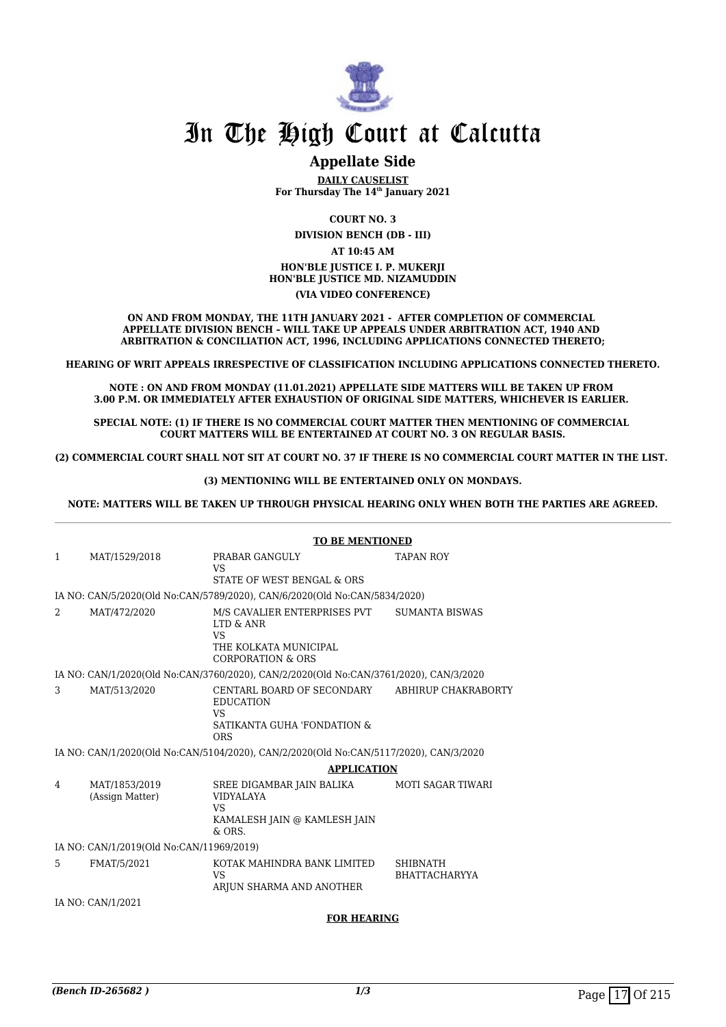

# **Appellate Side**

**DAILY CAUSELIST For Thursday The 14th January 2021**

**COURT NO. 3**

**DIVISION BENCH (DB - III)**

**AT 10:45 AM HON'BLE JUSTICE I. P. MUKERJI HON'BLE JUSTICE MD. NIZAMUDDIN (VIA VIDEO CONFERENCE)**

**ON AND FROM MONDAY, THE 11TH JANUARY 2021 - AFTER COMPLETION OF COMMERCIAL APPELLATE DIVISION BENCH – WILL TAKE UP APPEALS UNDER ARBITRATION ACT, 1940 AND ARBITRATION & CONCILIATION ACT, 1996, INCLUDING APPLICATIONS CONNECTED THERETO;**

**HEARING OF WRIT APPEALS IRRESPECTIVE OF CLASSIFICATION INCLUDING APPLICATIONS CONNECTED THERETO.**

**NOTE : ON AND FROM MONDAY (11.01.2021) APPELLATE SIDE MATTERS WILL BE TAKEN UP FROM 3.00 P.M. OR IMMEDIATELY AFTER EXHAUSTION OF ORIGINAL SIDE MATTERS, WHICHEVER IS EARLIER.** 

**SPECIAL NOTE: (1) IF THERE IS NO COMMERCIAL COURT MATTER THEN MENTIONING OF COMMERCIAL COURT MATTERS WILL BE ENTERTAINED AT COURT NO. 3 ON REGULAR BASIS.**

**(2) COMMERCIAL COURT SHALL NOT SIT AT COURT NO. 37 IF THERE IS NO COMMERCIAL COURT MATTER IN THE LIST.** 

**(3) MENTIONING WILL BE ENTERTAINED ONLY ON MONDAYS.**

**NOTE: MATTERS WILL BE TAKEN UP THROUGH PHYSICAL HEARING ONLY WHEN BOTH THE PARTIES ARE AGREED.**

|              |                                          | <b>TO BE MENTIONED</b>                                                                                          |                                         |  |
|--------------|------------------------------------------|-----------------------------------------------------------------------------------------------------------------|-----------------------------------------|--|
| $\mathbf{1}$ | MAT/1529/2018                            | PRABAR GANGULY<br><b>VS</b>                                                                                     | <b>TAPAN ROY</b>                        |  |
|              |                                          | STATE OF WEST BENGAL & ORS                                                                                      |                                         |  |
|              |                                          | IA NO: CAN/5/2020(Old No:CAN/5789/2020), CAN/6/2020(Old No:CAN/5834/2020)                                       |                                         |  |
| 2            | MAT/472/2020                             | M/S CAVALIER ENTERPRISES PVT<br>LTD & ANR<br><b>VS</b><br>THE KOLKATA MUNICIPAL<br><b>CORPORATION &amp; ORS</b> | SUMANTA BISWAS                          |  |
|              |                                          | IA NO: CAN/1/2020(Old No:CAN/3760/2020), CAN/2/2020(Old No:CAN/3761/2020), CAN/3/2020                           |                                         |  |
|              |                                          |                                                                                                                 |                                         |  |
| 3            | MAT/513/2020                             | CENTARL BOARD OF SECONDARY<br><b>EDUCATION</b><br><b>VS</b><br>SATIKANTA GUHA 'FONDATION &<br><b>ORS</b>        | ABHIRUP CHAKRABORTY                     |  |
|              |                                          | IA NO: CAN/1/2020(Old No:CAN/5104/2020), CAN/2/2020(Old No:CAN/5117/2020), CAN/3/2020                           |                                         |  |
|              |                                          | <b>APPLICATION</b>                                                                                              |                                         |  |
| 4            | MAT/1853/2019<br>(Assign Matter)         | SREE DIGAMBAR JAIN BALIKA<br><b>VIDYALAYA</b><br>VS.                                                            | <b>MOTI SAGAR TIWARI</b>                |  |
|              |                                          | KAMALESH JAIN @ KAMLESH JAIN<br>$&$ ORS.                                                                        |                                         |  |
|              | IA NO: CAN/1/2019(Old No:CAN/11969/2019) |                                                                                                                 |                                         |  |
| 5            | FMAT/5/2021                              | KOTAK MAHINDRA BANK LIMITED<br><b>VS</b><br>ARJUN SHARMA AND ANOTHER                                            | <b>SHIBNATH</b><br><b>BHATTACHARYYA</b> |  |
|              | IA NO: CAN/1/2021                        |                                                                                                                 |                                         |  |
|              |                                          | <b>FOR HEARING</b>                                                                                              |                                         |  |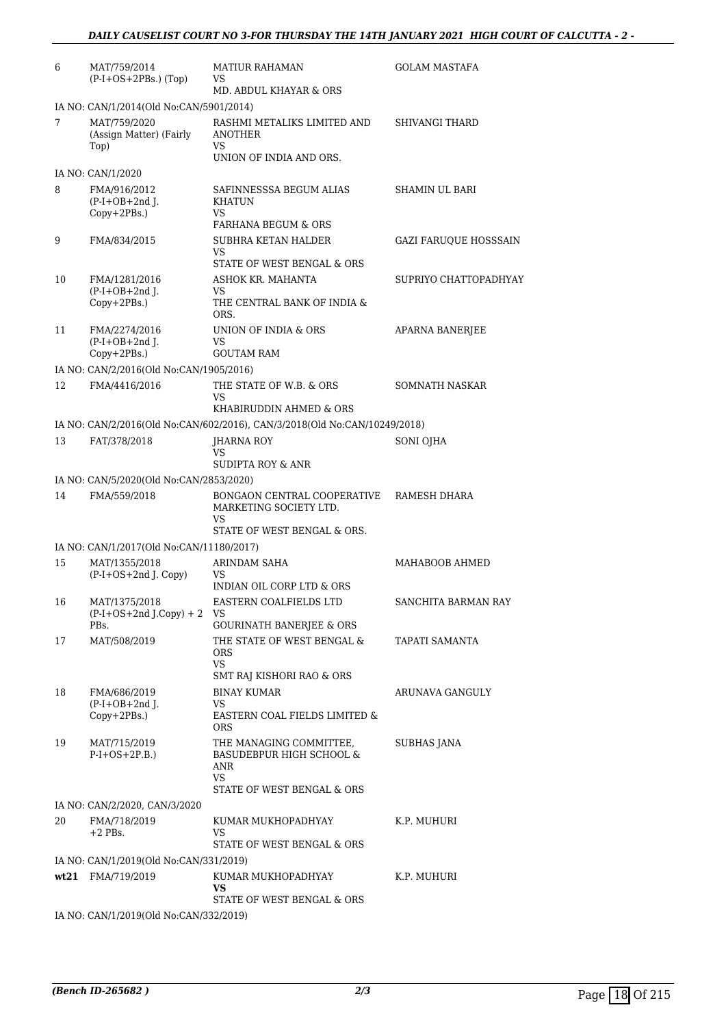| 6  | MAT/759/2014<br>$(P-I+OS+2PBs.)$ (Top)          | <b>MATIUR RAHAMAN</b><br>VS                                                                       | <b>GOLAM MASTAFA</b>  |  |  |
|----|-------------------------------------------------|---------------------------------------------------------------------------------------------------|-----------------------|--|--|
|    |                                                 | MD. ABDUL KHAYAR & ORS                                                                            |                       |  |  |
|    | IA NO: CAN/1/2014(Old No:CAN/5901/2014)         |                                                                                                   |                       |  |  |
| 7  | MAT/759/2020<br>(Assign Matter) (Fairly<br>Top) | RASHMI METALIKS LIMITED AND<br>ANOTHER<br>VS                                                      | <b>SHIVANGI THARD</b> |  |  |
|    |                                                 | UNION OF INDIA AND ORS.                                                                           |                       |  |  |
|    | IA NO: CAN/1/2020                               |                                                                                                   |                       |  |  |
| 8  | FMA/916/2012<br>$(P-I+OB+2nd$ J.<br>Copy+2PBs.) | SAFINNESSSA BEGUM ALIAS<br><b>KHATUN</b><br><b>VS</b>                                             | SHAMIN UL BARI        |  |  |
|    |                                                 | <b>FARHANA BEGUM &amp; ORS</b>                                                                    |                       |  |  |
| 9  | FMA/834/2015                                    | SUBHRA KETAN HALDER<br>VS<br>STATE OF WEST BENGAL & ORS                                           | GAZI FARUQUE HOSSSAIN |  |  |
| 10 | FMA/1281/2016                                   | ASHOK KR. MAHANTA                                                                                 | SUPRIYO CHATTOPADHYAY |  |  |
|    | $(P-I+OB+2nd$ J.                                | VS.                                                                                               |                       |  |  |
|    | Copy+2PBs.)                                     | THE CENTRAL BANK OF INDIA &<br>ORS.                                                               |                       |  |  |
| 11 | FMA/2274/2016                                   | UNION OF INDIA & ORS                                                                              | APARNA BANERJEE       |  |  |
|    | $(P-I+OB+2nd$ J.<br>Copy+2PBs.)                 | <b>VS</b><br><b>GOUTAM RAM</b>                                                                    |                       |  |  |
|    | IA NO: CAN/2/2016(Old No:CAN/1905/2016)         |                                                                                                   |                       |  |  |
| 12 | FMA/4416/2016                                   | THE STATE OF W.B. & ORS                                                                           | SOMNATH NASKAR        |  |  |
|    |                                                 | VS                                                                                                |                       |  |  |
|    |                                                 | KHABIRUDDIN AHMED & ORS                                                                           |                       |  |  |
|    |                                                 | IA NO: CAN/2/2016(Old No:CAN/602/2016), CAN/3/2018(Old No:CAN/10249/2018)                         |                       |  |  |
| 13 | FAT/378/2018                                    | JHARNA ROY<br>VS                                                                                  | SONI OJHA             |  |  |
|    |                                                 | SUDIPTA ROY & ANR                                                                                 |                       |  |  |
|    | IA NO: CAN/5/2020(Old No:CAN/2853/2020)         |                                                                                                   |                       |  |  |
| 14 | FMA/559/2018                                    | BONGAON CENTRAL COOPERATIVE<br>MARKETING SOCIETY LTD.<br><b>VS</b><br>STATE OF WEST BENGAL & ORS. | RAMESH DHARA          |  |  |
|    | IA NO: CAN/1/2017(Old No:CAN/11180/2017)        |                                                                                                   |                       |  |  |
| 15 | MAT/1355/2018                                   | <b>ARINDAM SAHA</b>                                                                               | MAHABOOB AHMED        |  |  |
|    | (P-I+OS+2nd J. Copy)                            | VS                                                                                                |                       |  |  |
|    |                                                 | INDIAN OIL CORP LTD & ORS                                                                         |                       |  |  |
| 16 | MAT/1375/2018<br>$(P-I+OS+2nd J.Copy) + 2$      | EASTERN COALFIELDS LTD<br>VS                                                                      | SANCHITA BARMAN RAY   |  |  |
| 17 | PBs.<br>MAT/508/2019                            | <b>GOURINATH BANERJEE &amp; ORS</b><br>THE STATE OF WEST BENGAL &                                 | TAPATI SAMANTA        |  |  |
|    |                                                 | <b>ORS</b><br>VS.                                                                                 |                       |  |  |
|    |                                                 | SMT RAJ KISHORI RAO & ORS                                                                         |                       |  |  |
| 18 | FMA/686/2019                                    | <b>BINAY KUMAR</b>                                                                                | ARUNAVA GANGULY       |  |  |
|    | $(P-I+OB+2nd I.$<br>Copy+2PBs.)                 | VS<br>EASTERN COAL FIELDS LIMITED &<br>ORS                                                        |                       |  |  |
| 19 | MAT/715/2019<br>$P-I+OS+2P.B.)$                 | THE MANAGING COMMITTEE,<br><b>BASUDEBPUR HIGH SCHOOL &amp;</b><br>ANR<br>VS                       | SUBHAS JANA           |  |  |
|    |                                                 | STATE OF WEST BENGAL & ORS                                                                        |                       |  |  |
| 20 | IA NO: CAN/2/2020, CAN/3/2020<br>FMA/718/2019   | KUMAR MUKHOPADHYAY                                                                                | K.P. MUHURI           |  |  |
|    | $+2$ PBs.                                       | VS<br>STATE OF WEST BENGAL & ORS                                                                  |                       |  |  |
|    | IA NO: CAN/1/2019(Old No:CAN/331/2019)          |                                                                                                   |                       |  |  |
|    | wt21 FMA/719/2019                               | KUMAR MUKHOPADHYAY<br>VS                                                                          | K.P. MUHURI           |  |  |
|    |                                                 | STATE OF WEST BENGAL & ORS                                                                        |                       |  |  |
|    | IA NO: CAN/1/2019(Old No:CAN/332/2019)          |                                                                                                   |                       |  |  |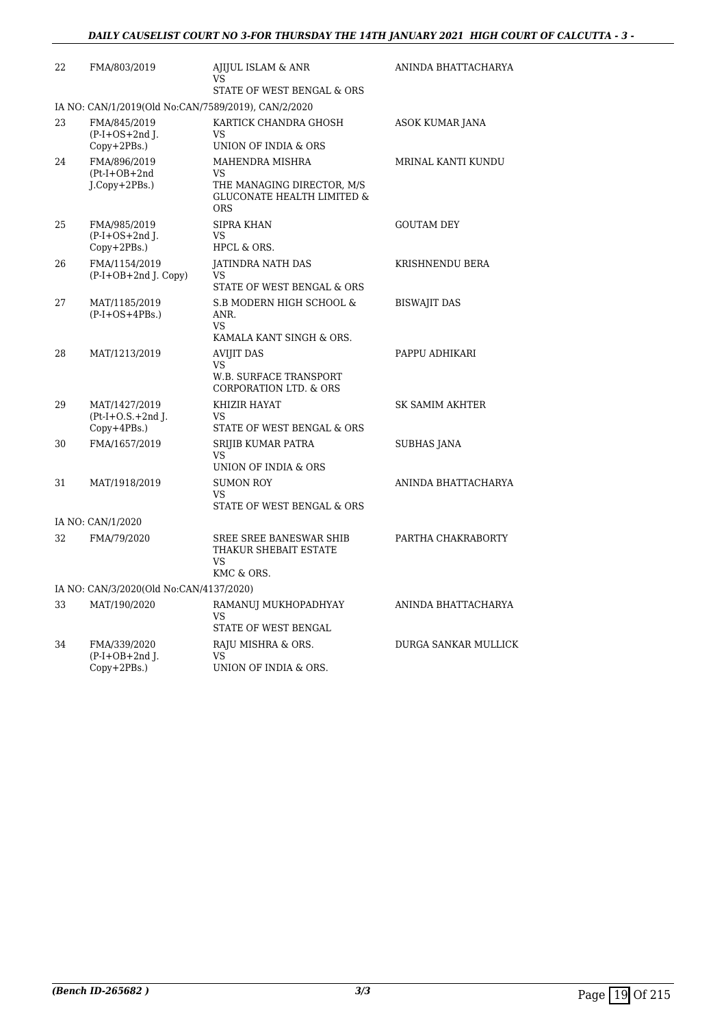| 22 | FMA/803/2019                                          | AJIJUL ISLAM & ANR<br>VS<br>STATE OF WEST BENGAL & ORS                                              | ANINDA BHATTACHARYA  |
|----|-------------------------------------------------------|-----------------------------------------------------------------------------------------------------|----------------------|
|    | IA NO: CAN/1/2019(Old No:CAN/7589/2019), CAN/2/2020   |                                                                                                     |                      |
| 23 | FMA/845/2019<br>$(P-I+OS+2nd$ J.<br>$Copy+2PBs.$ )    | KARTICK CHANDRA GHOSH<br>VS<br>UNION OF INDIA & ORS                                                 | ASOK KUMAR JANA      |
| 24 | FMA/896/2019<br>$(Pt-I+OB+2nd$<br>$J$ .Copy+2PBs.)    | MAHENDRA MISHRA<br>VS<br>THE MANAGING DIRECTOR, M/S<br><b>GLUCONATE HEALTH LIMITED &amp;</b><br>ORS | MRINAL KANTI KUNDU   |
| 25 | FMA/985/2019<br>$(P-I+OS+2nd I.$<br>$Copy+2PBs.$ )    | <b>SIPRA KHAN</b><br>VS<br>HPCL & ORS.                                                              | <b>GOUTAM DEY</b>    |
| 26 | FMA/1154/2019<br>$(P-I+OB+2nd$ J. Copy)               | <b>JATINDRA NATH DAS</b><br>VS<br>STATE OF WEST BENGAL & ORS                                        | KRISHNENDU BERA      |
| 27 | MAT/1185/2019<br>$(P-I+OS+4PBs.)$                     | S.B MODERN HIGH SCHOOL &<br>ANR.<br><b>VS</b><br>KAMALA KANT SINGH & ORS.                           | <b>BISWAJIT DAS</b>  |
| 28 | MAT/1213/2019                                         | <b>AVIJIT DAS</b><br>VS<br><b>W.B. SURFACE TRANSPORT</b><br><b>CORPORATION LTD. &amp; ORS</b>       | PAPPU ADHIKARI       |
| 29 | MAT/1427/2019<br>$Pt-I+O.S.+2nd$ J.<br>$Copy+4PBs.$ ) | KHIZIR HAYAT<br>VS<br>STATE OF WEST BENGAL & ORS                                                    | SK SAMIM AKHTER      |
| 30 | FMA/1657/2019                                         | SRIJIB KUMAR PATRA<br>VS<br>UNION OF INDIA & ORS                                                    | SUBHAS JANA          |
| 31 | MAT/1918/2019                                         | <b>SUMON ROY</b><br>VS<br>STATE OF WEST BENGAL & ORS                                                | ANINDA BHATTACHARYA  |
|    | IA NO: CAN/1/2020                                     |                                                                                                     |                      |
| 32 | FMA/79/2020                                           | SREE SREE BANESWAR SHIB<br>THAKUR SHEBAIT ESTATE<br>VS<br>KMC & ORS.                                | PARTHA CHAKRABORTY   |
|    | IA NO: CAN/3/2020(Old No:CAN/4137/2020)               |                                                                                                     |                      |
| 33 | MAT/190/2020                                          | RAMANUJ MUKHOPADHYAY<br>VS<br>STATE OF WEST BENGAL                                                  | ANINDA BHATTACHARYA  |
| 34 | FMA/339/2020<br>$(P-I+OB+2nd$ ].<br>$Copy+2PBs.$ )    | RAJU MISHRA & ORS.<br>VS<br>UNION OF INDIA & ORS.                                                   | DURGA SANKAR MULLICK |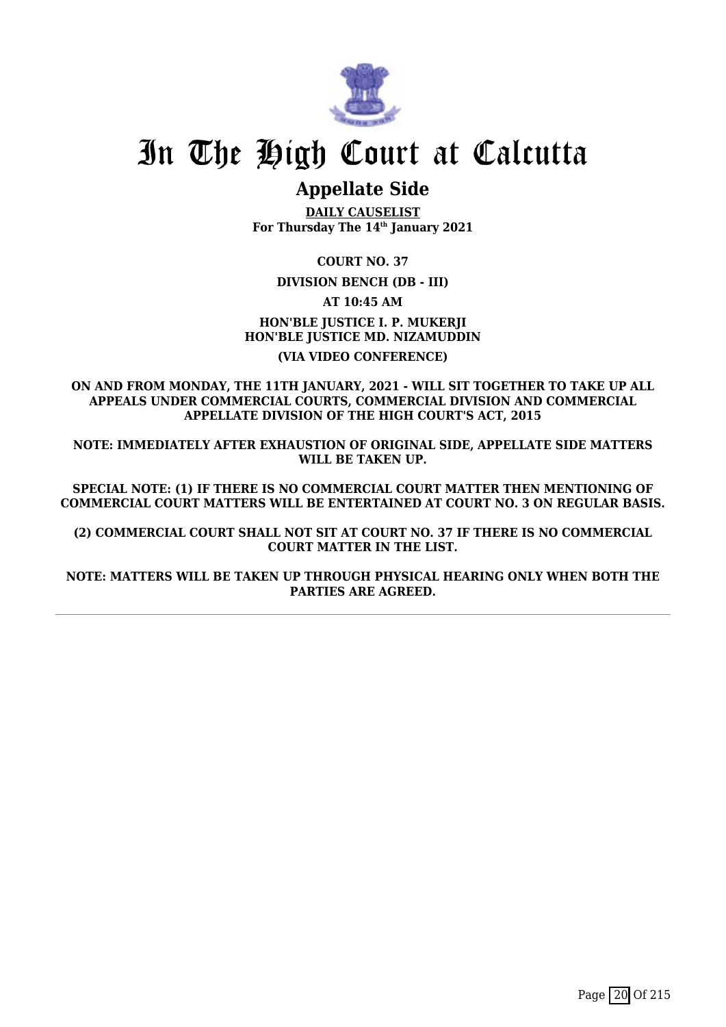

# **Appellate Side**

**DAILY CAUSELIST For Thursday The 14th January 2021**

**COURT NO. 37**

**DIVISION BENCH (DB - III)**

**AT 10:45 AM**

**HON'BLE JUSTICE I. P. MUKERJI HON'BLE JUSTICE MD. NIZAMUDDIN (VIA VIDEO CONFERENCE)**

**ON AND FROM MONDAY, THE 11TH JANUARY, 2021 - WILL SIT TOGETHER TO TAKE UP ALL APPEALS UNDER COMMERCIAL COURTS, COMMERCIAL DIVISION AND COMMERCIAL APPELLATE DIVISION OF THE HIGH COURT'S ACT, 2015**

**NOTE: IMMEDIATELY AFTER EXHAUSTION OF ORIGINAL SIDE, APPELLATE SIDE MATTERS WILL BE TAKEN UP.**

**SPECIAL NOTE: (1) IF THERE IS NO COMMERCIAL COURT MATTER THEN MENTIONING OF COMMERCIAL COURT MATTERS WILL BE ENTERTAINED AT COURT NO. 3 ON REGULAR BASIS.**

**(2) COMMERCIAL COURT SHALL NOT SIT AT COURT NO. 37 IF THERE IS NO COMMERCIAL COURT MATTER IN THE LIST.**

**NOTE: MATTERS WILL BE TAKEN UP THROUGH PHYSICAL HEARING ONLY WHEN BOTH THE PARTIES ARE AGREED.**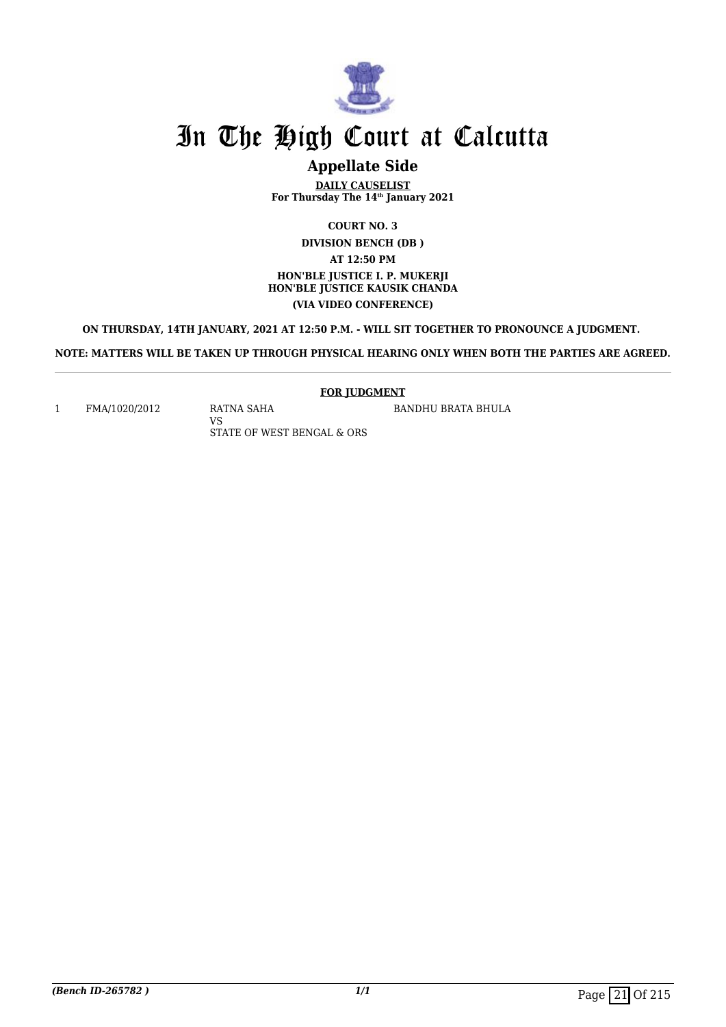

# **Appellate Side**

**DAILY CAUSELIST For Thursday The 14th January 2021**

**COURT NO. 3**

**DIVISION BENCH (DB ) AT 12:50 PM HON'BLE JUSTICE I. P. MUKERJI HON'BLE JUSTICE KAUSIK CHANDA (VIA VIDEO CONFERENCE)**

**ON THURSDAY, 14TH JANUARY, 2021 AT 12:50 P.M. - WILL SIT TOGETHER TO PRONOUNCE A JUDGMENT.** 

**NOTE: MATTERS WILL BE TAKEN UP THROUGH PHYSICAL HEARING ONLY WHEN BOTH THE PARTIES ARE AGREED.**

**FOR JUDGMENT**

BANDHU BRATA BHULA

1 FMA/1020/2012 RATNA SAHA

VS STATE OF WEST BENGAL & ORS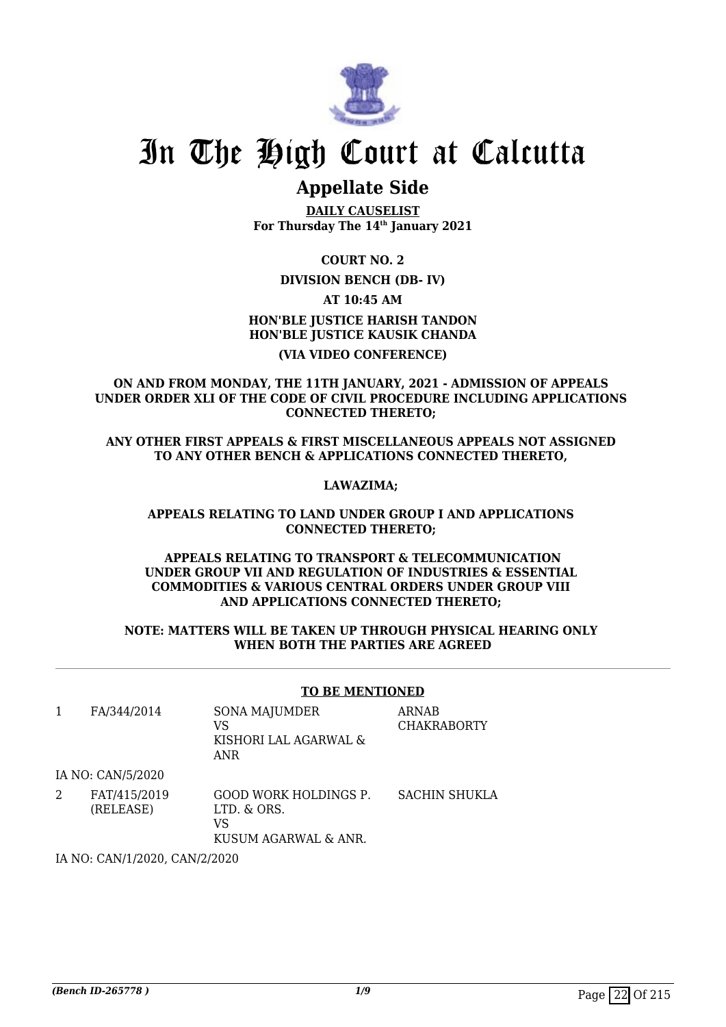

# **Appellate Side**

**DAILY CAUSELIST For Thursday The 14th January 2021**

**COURT NO. 2**

## **DIVISION BENCH (DB- IV)**

**AT 10:45 AM**

# **HON'BLE JUSTICE HARISH TANDON HON'BLE JUSTICE KAUSIK CHANDA (VIA VIDEO CONFERENCE)**

**ON AND FROM MONDAY, THE 11TH JANUARY, 2021 - ADMISSION OF APPEALS UNDER ORDER XLI OF THE CODE OF CIVIL PROCEDURE INCLUDING APPLICATIONS CONNECTED THERETO;** 

**ANY OTHER FIRST APPEALS & FIRST MISCELLANEOUS APPEALS NOT ASSIGNED TO ANY OTHER BENCH & APPLICATIONS CONNECTED THERETO,** 

## **LAWAZIMA;**

## **APPEALS RELATING TO LAND UNDER GROUP I AND APPLICATIONS CONNECTED THERETO;**

## **APPEALS RELATING TO TRANSPORT & TELECOMMUNICATION UNDER GROUP VII AND REGULATION OF INDUSTRIES & ESSENTIAL COMMODITIES & VARIOUS CENTRAL ORDERS UNDER GROUP VIII AND APPLICATIONS CONNECTED THERETO;**

## **NOTE: MATTERS WILL BE TAKEN UP THROUGH PHYSICAL HEARING ONLY WHEN BOTH THE PARTIES ARE AGREED**

## **TO BE MENTIONED**

| FA/344/2014               | SONA MAJUMDER<br>VS<br>KISHORI LAL AGARWAL &<br>ANR                       | <b>ARNAB</b><br><b>CHAKRABORTY</b> |
|---------------------------|---------------------------------------------------------------------------|------------------------------------|
| IA NO: CAN/5/2020         |                                                                           |                                    |
| FAT/415/2019<br>(RELEASE) | <b>GOOD WORK HOLDINGS P.</b><br>LTD. & ORS.<br>VS<br>KUSUM AGARWAL & ANR. | <b>SACHIN SHUKLA</b>               |

IA NO: CAN/1/2020, CAN/2/2020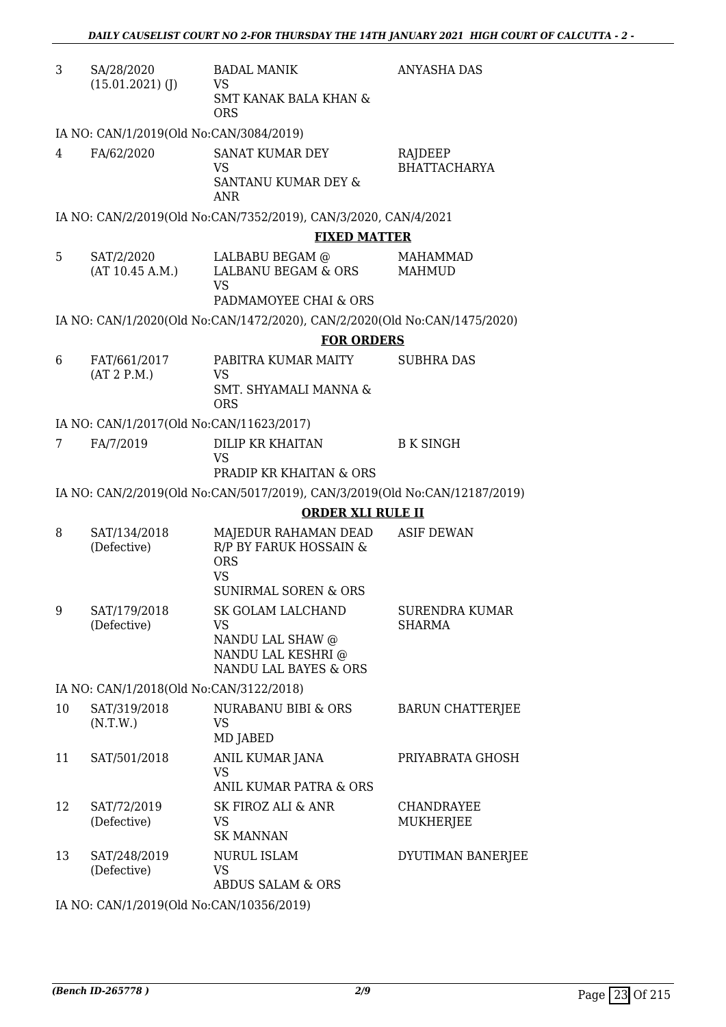| 3  | SA/28/2020<br>$(15.01.2021)$ (J)         | <b>BADAL MANIK</b><br>VS                                                   | ANYASHA DAS                            |  |  |
|----|------------------------------------------|----------------------------------------------------------------------------|----------------------------------------|--|--|
|    |                                          | <b>SMT KANAK BALA KHAN &amp;</b><br><b>ORS</b>                             |                                        |  |  |
|    | IA NO: CAN/1/2019(Old No:CAN/3084/2019)  |                                                                            |                                        |  |  |
| 4  | FA/62/2020                               | SANAT KUMAR DEY<br><b>VS</b>                                               | RAJDEEP<br><b>BHATTACHARYA</b>         |  |  |
|    |                                          | SANTANU KUMAR DEY &<br><b>ANR</b>                                          |                                        |  |  |
|    |                                          | IA NO: CAN/2/2019(Old No:CAN/7352/2019), CAN/3/2020, CAN/4/2021            |                                        |  |  |
|    |                                          | <b>FIXED MATTER</b>                                                        |                                        |  |  |
| 5  | SAT/2/2020<br>(AT 10.45 A.M.)            | LALBABU BEGAM @<br>LALBANU BEGAM & ORS<br><b>VS</b>                        | <b>MAHAMMAD</b><br>MAHMUD              |  |  |
|    |                                          | PADMAMOYEE CHAI & ORS                                                      |                                        |  |  |
|    |                                          | IA NO: CAN/1/2020(Old No:CAN/1472/2020), CAN/2/2020(Old No:CAN/1475/2020)  |                                        |  |  |
|    |                                          | <b>FOR ORDERS</b>                                                          |                                        |  |  |
| 6  | FAT/661/2017                             | PABITRA KUMAR MAITY                                                        | <b>SUBHRA DAS</b>                      |  |  |
|    | (AT 2 P.M.)                              | VS<br>SMT. SHYAMALI MANNA &<br><b>ORS</b>                                  |                                        |  |  |
|    | IA NO: CAN/1/2017(Old No:CAN/11623/2017) |                                                                            |                                        |  |  |
| 7  | FA/7/2019                                | DILIP KR KHAITAN<br><b>VS</b>                                              | <b>B K SINGH</b>                       |  |  |
|    |                                          | <b>PRADIP KR KHAITAN &amp; ORS</b>                                         |                                        |  |  |
|    |                                          | IA NO: CAN/2/2019(Old No:CAN/5017/2019), CAN/3/2019(Old No:CAN/12187/2019) |                                        |  |  |
|    |                                          | <b>ORDER XLI RULE II</b>                                                   |                                        |  |  |
| 8  | SAT/134/2018<br>(Defective)              | MAJEDUR RAHAMAN DEAD<br>R/P BY FARUK HOSSAIN &<br><b>ORS</b>               | <b>ASIF DEWAN</b>                      |  |  |
|    |                                          | <b>VS</b><br><b>SUNIRMAL SOREN &amp; ORS</b>                               |                                        |  |  |
| 9  | SAT/179/2018<br>(Defective)              | <b>SK GOLAM LALCHAND</b><br><b>VS</b>                                      | <b>SURENDRA KUMAR</b><br><b>SHARMA</b> |  |  |
|    |                                          | NANDU LAL SHAW @<br>NANDU LAL KESHRI @<br>NANDU LAL BAYES & ORS            |                                        |  |  |
|    | IA NO: CAN/1/2018(Old No:CAN/3122/2018)  |                                                                            |                                        |  |  |
| 10 | SAT/319/2018<br>(N.T.W.)                 | <b>NURABANU BIBI &amp; ORS</b><br><b>VS</b><br>MD JABED                    | <b>BARUN CHATTERJEE</b>                |  |  |
| 11 | SAT/501/2018                             | ANIL KUMAR JANA<br><b>VS</b>                                               | PRIYABRATA GHOSH                       |  |  |
|    |                                          | ANIL KUMAR PATRA & ORS                                                     |                                        |  |  |
| 12 | SAT/72/2019<br>(Defective)               | SK FIROZ ALI & ANR<br><b>VS</b><br><b>SK MANNAN</b>                        | CHANDRAYEE<br>MUKHERJEE                |  |  |
| 13 | SAT/248/2019                             | NURUL ISLAM                                                                | DYUTIMAN BANERJEE                      |  |  |
|    | (Defective)                              | <b>VS</b><br><b>ABDUS SALAM &amp; ORS</b>                                  |                                        |  |  |
|    | IA NO: CAN/1/2019(Old No:CAN/10356/2019) |                                                                            |                                        |  |  |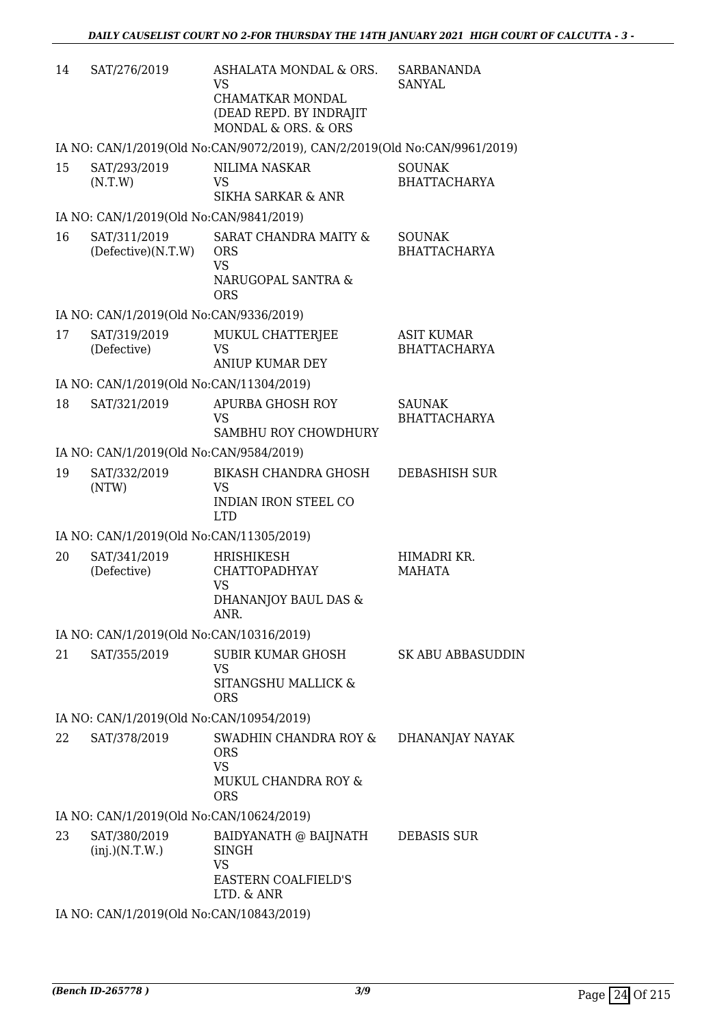| 14 | SAT/276/2019                             | ASHALATA MONDAL & ORS.<br><b>VS</b><br>CHAMATKAR MONDAL<br>(DEAD REPD. BY INDRAJIT<br>MONDAL & ORS. & ORS | <b>SARBANANDA</b><br><b>SANYAL</b>       |
|----|------------------------------------------|-----------------------------------------------------------------------------------------------------------|------------------------------------------|
|    |                                          | IA NO: CAN/1/2019(Old No:CAN/9072/2019), CAN/2/2019(Old No:CAN/9961/2019)                                 |                                          |
| 15 | SAT/293/2019<br>(N.T.W)                  | <b>NILIMA NASKAR</b><br><b>VS</b><br><b>SIKHA SARKAR &amp; ANR</b>                                        | <b>SOUNAK</b><br><b>BHATTACHARYA</b>     |
|    | IA NO: CAN/1/2019(Old No:CAN/9841/2019)  |                                                                                                           |                                          |
| 16 | SAT/311/2019<br>(Defective)(N.T.W)       | SARAT CHANDRA MAITY &<br><b>ORS</b><br><b>VS</b><br>NARUGOPAL SANTRA &<br><b>ORS</b>                      | <b>SOUNAK</b><br><b>BHATTACHARYA</b>     |
|    | IA NO: CAN/1/2019(Old No:CAN/9336/2019)  |                                                                                                           |                                          |
| 17 | SAT/319/2019<br>(Defective)              | MUKUL CHATTERJEE<br>VS<br><b>ANIUP KUMAR DEY</b>                                                          | <b>ASIT KUMAR</b><br><b>BHATTACHARYA</b> |
|    | IA NO: CAN/1/2019(Old No:CAN/11304/2019) |                                                                                                           |                                          |
| 18 | SAT/321/2019                             | <b>APURBA GHOSH ROY</b><br><b>VS</b>                                                                      | <b>SAUNAK</b><br><b>BHATTACHARYA</b>     |
|    | IA NO: CAN/1/2019(Old No:CAN/9584/2019)  | SAMBHU ROY CHOWDHURY                                                                                      |                                          |
| 19 | SAT/332/2019                             | <b>BIKASH CHANDRA GHOSH</b>                                                                               | <b>DEBASHISH SUR</b>                     |
|    | (NTW)                                    | <b>VS</b><br><b>INDIAN IRON STEEL CO</b><br><b>LTD</b>                                                    |                                          |
|    | IA NO: CAN/1/2019(Old No:CAN/11305/2019) |                                                                                                           |                                          |
| 20 | SAT/341/2019<br>(Defective)              | <b>HRISHIKESH</b><br><b>CHATTOPADHYAY</b><br><b>VS</b><br>DHANANJOY BAUL DAS &<br>ANR.                    | HIMADRI KR.<br><b>MAHATA</b>             |
|    | IA NO: CAN/1/2019(Old No:CAN/10316/2019) |                                                                                                           |                                          |
| 21 | SAT/355/2019                             | <b>SUBIR KUMAR GHOSH</b><br><b>VS</b><br>SITANGSHU MALLICK &<br><b>ORS</b>                                | <b>SK ABU ABBASUDDIN</b>                 |
|    | IA NO: CAN/1/2019(Old No:CAN/10954/2019) |                                                                                                           |                                          |
| 22 | SAT/378/2019                             | SWADHIN CHANDRA ROY &<br><b>ORS</b><br><b>VS</b><br>MUKUL CHANDRA ROY &<br><b>ORS</b>                     | DHANANJAY NAYAK                          |
|    | IA NO: CAN/1/2019(Old No:CAN/10624/2019) |                                                                                                           |                                          |
| 23 | SAT/380/2019<br>(inj.)(N.T.W.)           | BAIDYANATH @ BAIJNATH<br><b>SINGH</b><br><b>VS</b><br><b>EASTERN COALFIELD'S</b><br>LTD. & ANR            | <b>DEBASIS SUR</b>                       |
|    | IA NO: CAN/1/2019(Old No:CAN/10843/2019) |                                                                                                           |                                          |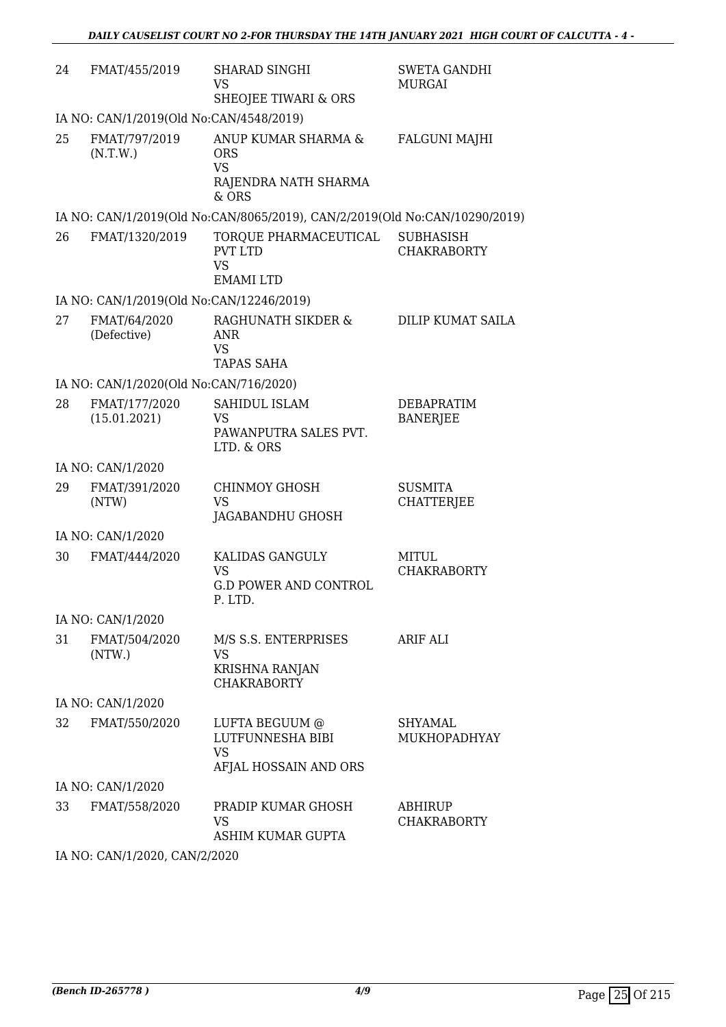| 24 | FMAT/455/2019                            | <b>SHARAD SINGHI</b><br><b>VS</b><br>SHEOJEE TIWARI & ORS                         | <b>SWETA GANDHI</b><br>MURGAI          |
|----|------------------------------------------|-----------------------------------------------------------------------------------|----------------------------------------|
|    | IA NO: CAN/1/2019(Old No:CAN/4548/2019)  |                                                                                   |                                        |
| 25 | FMAT/797/2019<br>(N.T.W.)                | ANUP KUMAR SHARMA &<br><b>ORS</b><br><b>VS</b><br>RAJENDRA NATH SHARMA<br>$&$ ORS | <b>FALGUNI MAJHI</b>                   |
|    |                                          | IA NO: CAN/1/2019(Old No:CAN/8065/2019), CAN/2/2019(Old No:CAN/10290/2019)        |                                        |
| 26 | FMAT/1320/2019                           | TORQUE PHARMACEUTICAL<br><b>PVT LTD</b><br><b>VS</b><br><b>EMAMI LTD</b>          | <b>SUBHASISH</b><br><b>CHAKRABORTY</b> |
|    | IA NO: CAN/1/2019(Old No:CAN/12246/2019) |                                                                                   |                                        |
| 27 | FMAT/64/2020<br>(Defective)              | RAGHUNATH SIKDER &<br><b>ANR</b><br><b>VS</b><br><b>TAPAS SAHA</b>                | DILIP KUMAT SAILA                      |
|    | IA NO: CAN/1/2020(Old No:CAN/716/2020)   |                                                                                   |                                        |
| 28 | FMAT/177/2020<br>(15.01.2021)            | SAHIDUL ISLAM<br><b>VS</b><br>PAWANPUTRA SALES PVT.<br>LTD. & ORS                 | DEBAPRATIM<br><b>BANERJEE</b>          |
|    | IA NO: CAN/1/2020                        |                                                                                   |                                        |
| 29 | FMAT/391/2020<br>(NTW)                   | <b>CHINMOY GHOSH</b><br><b>VS</b><br>JAGABANDHU GHOSH                             | <b>SUSMITA</b><br><b>CHATTERJEE</b>    |
|    | IA NO: CAN/1/2020                        |                                                                                   |                                        |
| 30 | FMAT/444/2020                            | KALIDAS GANGULY<br><b>VS</b><br><b>G.D POWER AND CONTROL</b><br>P. LTD.           | MITUL<br><b>CHAKRABORTY</b>            |
|    | IA NO: CAN/1/2020                        |                                                                                   |                                        |
| 31 | FMAT/504/2020<br>(NTW.)                  | M/S S.S. ENTERPRISES<br><b>VS</b><br>KRISHNA RANJAN<br><b>CHAKRABORTY</b>         | ARIF ALI                               |
|    | IA NO: CAN/1/2020                        |                                                                                   |                                        |
| 32 | FMAT/550/2020                            | LUFTA BEGUUM @<br>LUTFUNNESHA BIBI<br><b>VS</b><br>AFJAL HOSSAIN AND ORS          | SHYAMAL<br><b>MUKHOPADHYAY</b>         |
|    | IA NO: CAN/1/2020                        |                                                                                   |                                        |
| 33 | FMAT/558/2020                            | PRADIP KUMAR GHOSH<br>VS<br>ASHIM KUMAR GUPTA                                     | ABHIRUP<br><b>CHAKRABORTY</b>          |
|    | IA NO: CAN/1/2020, CAN/2/2020            |                                                                                   |                                        |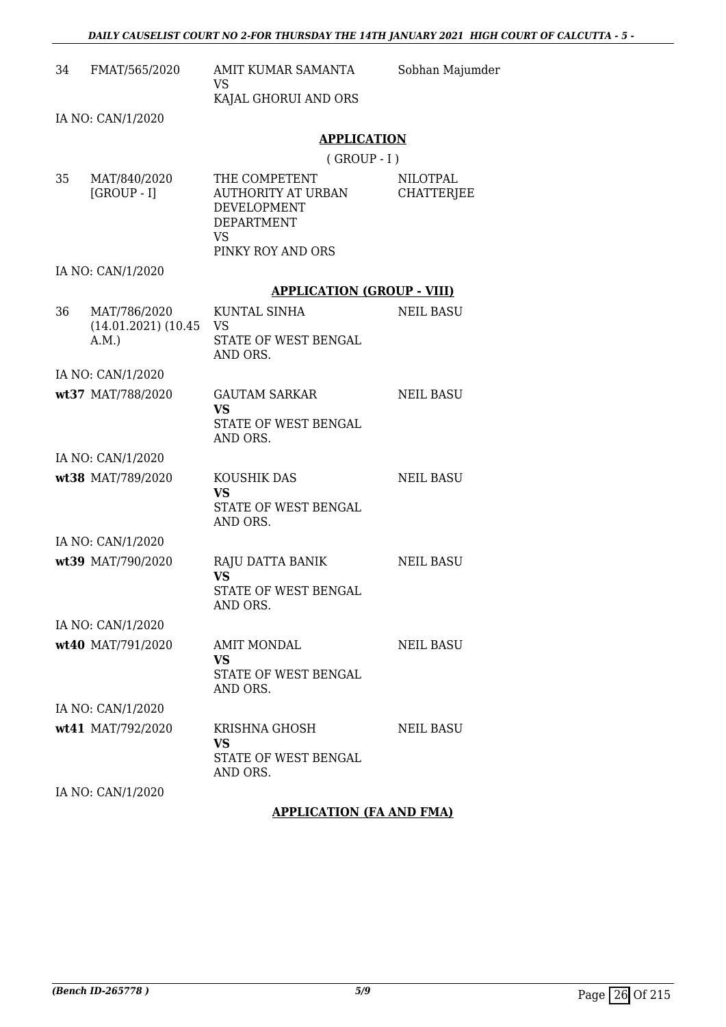|    | 34 FMAT/565/2020                                   | AMIT KUMAR SAMANTA<br><b>VS</b>                                               | Sobhan Majumder                      |
|----|----------------------------------------------------|-------------------------------------------------------------------------------|--------------------------------------|
|    |                                                    | KAJAL GHORUI AND ORS                                                          |                                      |
|    | IA NO: CAN/1/2020                                  |                                                                               |                                      |
|    |                                                    | <b>APPLICATION</b>                                                            |                                      |
|    |                                                    | $($ GROUP - I $)$                                                             |                                      |
| 35 | MAT/840/2020<br>$[GROUP - I]$                      | THE COMPETENT<br>AUTHORITY AT URBAN<br>DEVELOPMENT<br>DEPARTMENT<br><b>VS</b> | <b>NILOTPAL</b><br><b>CHATTERJEE</b> |
|    |                                                    | PINKY ROY AND ORS                                                             |                                      |
|    | IA NO: CAN/1/2020                                  |                                                                               |                                      |
|    |                                                    | <b>APPLICATION (GROUP - VIII)</b>                                             |                                      |
| 36 | MAT/786/2020<br>$(14.01.2021)$ $(10.45$ VS<br>A.M. | KUNTAL SINHA<br>STATE OF WEST BENGAL<br>AND ORS.                              | <b>NEIL BASU</b>                     |
|    | IA NO: CAN/1/2020                                  |                                                                               |                                      |
|    | wt37 MAT/788/2020                                  | GAUTAM SARKAR<br><b>VS</b><br>STATE OF WEST BENGAL<br>AND ORS.                | <b>NEIL BASU</b>                     |
|    | IA NO: CAN/1/2020                                  |                                                                               |                                      |
|    | wt38 MAT/789/2020                                  | KOUSHIK DAS<br><b>VS</b><br>STATE OF WEST BENGAL<br>AND ORS.                  | <b>NEIL BASU</b>                     |
|    | IA NO: CAN/1/2020                                  |                                                                               |                                      |
|    | wt39 MAT/790/2020                                  | RAJU DATTA BANIK<br><b>VS</b><br>STATE OF WEST BENGAL<br>AND ORS.             | <b>NEIL BASU</b>                     |
|    | IA NO: CAN/1/2020                                  |                                                                               |                                      |
|    | wt40 MAT/791/2020                                  | <b>AMIT MONDAL</b><br>VS<br>STATE OF WEST BENGAL<br>AND ORS.                  | <b>NEIL BASU</b>                     |
|    | IA NO: CAN/1/2020                                  |                                                                               |                                      |
|    | wt41 MAT/792/2020                                  | KRISHNA GHOSH<br>VS<br>STATE OF WEST BENGAL<br>AND ORS.                       | <b>NEIL BASU</b>                     |
|    | IA NO: CAN/1/2020                                  |                                                                               |                                      |

# **APPLICATION (FA AND FMA)**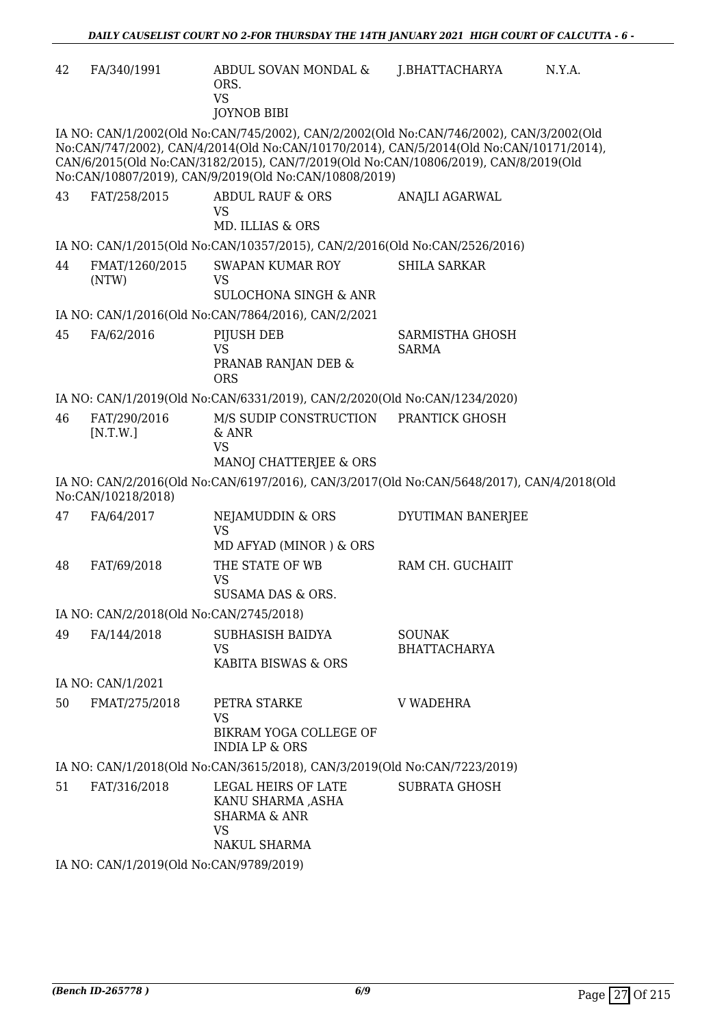| 42 | FA/340/1991                                                               | ABDUL SOVAN MONDAL &<br>ORS.<br><b>VS</b><br><b>JOYNOB BIBI</b>                                                                                                                                                                                                                                                                    | J.BHATTACHARYA                         | N.Y.A. |  |
|----|---------------------------------------------------------------------------|------------------------------------------------------------------------------------------------------------------------------------------------------------------------------------------------------------------------------------------------------------------------------------------------------------------------------------|----------------------------------------|--------|--|
|    |                                                                           | IA NO: CAN/1/2002(Old No:CAN/745/2002), CAN/2/2002(Old No:CAN/746/2002), CAN/3/2002(Old<br>No:CAN/747/2002), CAN/4/2014(Old No:CAN/10170/2014), CAN/5/2014(Old No:CAN/10171/2014),<br>CAN/6/2015(Old No:CAN/3182/2015), CAN/7/2019(Old No:CAN/10806/2019), CAN/8/2019(Old<br>No:CAN/10807/2019), CAN/9/2019(Old No:CAN/10808/2019) |                                        |        |  |
| 43 | FAT/258/2015                                                              | <b>ABDUL RAUF &amp; ORS</b><br>VS<br>MD. ILLIAS & ORS                                                                                                                                                                                                                                                                              | ANAJLI AGARWAL                         |        |  |
|    |                                                                           | IA NO: CAN/1/2015(Old No:CAN/10357/2015), CAN/2/2016(Old No:CAN/2526/2016)                                                                                                                                                                                                                                                         |                                        |        |  |
| 44 | FMAT/1260/2015<br>(NTW)                                                   | SWAPAN KUMAR ROY<br><b>VS</b>                                                                                                                                                                                                                                                                                                      | <b>SHILA SARKAR</b>                    |        |  |
|    |                                                                           | <b>SULOCHONA SINGH &amp; ANR</b>                                                                                                                                                                                                                                                                                                   |                                        |        |  |
|    |                                                                           | IA NO: CAN/1/2016(Old No:CAN/7864/2016), CAN/2/2021                                                                                                                                                                                                                                                                                |                                        |        |  |
| 45 | FA/62/2016                                                                | PIJUSH DEB<br><b>VS</b><br>PRANAB RANJAN DEB &<br><b>ORS</b>                                                                                                                                                                                                                                                                       | <b>SARMISTHA GHOSH</b><br><b>SARMA</b> |        |  |
|    |                                                                           | IA NO: CAN/1/2019(Old No:CAN/6331/2019), CAN/2/2020(Old No:CAN/1234/2020)                                                                                                                                                                                                                                                          |                                        |        |  |
| 46 | FAT/290/2016<br>[N.T.W.]                                                  | M/S SUDIP CONSTRUCTION<br>& ANR<br><b>VS</b>                                                                                                                                                                                                                                                                                       | PRANTICK GHOSH                         |        |  |
|    | No:CAN/10218/2018)                                                        | MANOJ CHATTERJEE & ORS<br>IA NO: CAN/2/2016(Old No:CAN/6197/2016), CAN/3/2017(Old No:CAN/5648/2017), CAN/4/2018(Old                                                                                                                                                                                                                |                                        |        |  |
| 47 | FA/64/2017                                                                | NEJAMUDDIN & ORS<br><b>VS</b><br>MD AFYAD (MINOR) & ORS                                                                                                                                                                                                                                                                            | DYUTIMAN BANERJEE                      |        |  |
| 48 | FAT/69/2018                                                               | THE STATE OF WB<br><b>VS</b><br>SUSAMA DAS & ORS.                                                                                                                                                                                                                                                                                  | RAM CH. GUCHAIIT                       |        |  |
|    | IA NO: CAN/2/2018(Old No:CAN/2745/2018)                                   |                                                                                                                                                                                                                                                                                                                                    |                                        |        |  |
| 49 | FA/144/2018                                                               | SUBHASISH BAIDYA<br><b>VS</b><br>KABITA BISWAS & ORS                                                                                                                                                                                                                                                                               | <b>SOUNAK</b><br><b>BHATTACHARYA</b>   |        |  |
|    | IA NO: CAN/1/2021                                                         |                                                                                                                                                                                                                                                                                                                                    |                                        |        |  |
| 50 | FMAT/275/2018                                                             | PETRA STARKE<br><b>VS</b><br>BIKRAM YOGA COLLEGE OF<br><b>INDIA LP &amp; ORS</b>                                                                                                                                                                                                                                                   | <b>V WADEHRA</b>                       |        |  |
|    | IA NO: CAN/1/2018(Old No:CAN/3615/2018), CAN/3/2019(Old No:CAN/7223/2019) |                                                                                                                                                                                                                                                                                                                                    |                                        |        |  |
| 51 | FAT/316/2018                                                              | LEGAL HEIRS OF LATE<br>KANU SHARMA ,ASHA<br><b>SHARMA &amp; ANR</b><br><b>VS</b><br>NAKUL SHARMA                                                                                                                                                                                                                                   | <b>SUBRATA GHOSH</b>                   |        |  |
|    | IA NO: CAN/1/2019(Old No:CAN/9789/2019)                                   |                                                                                                                                                                                                                                                                                                                                    |                                        |        |  |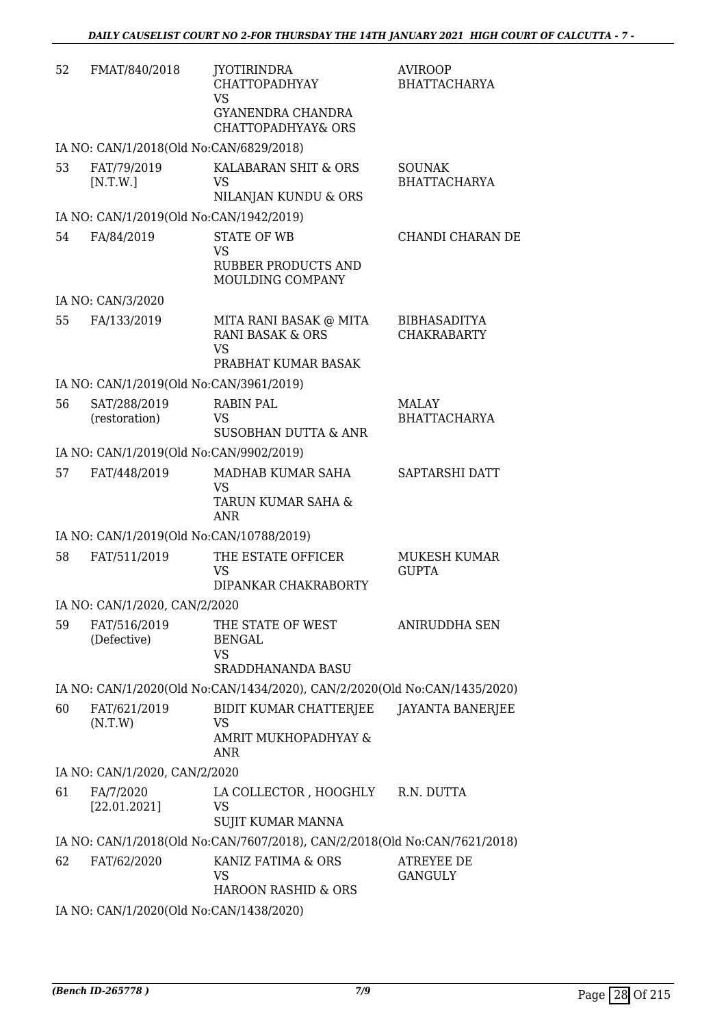| 52 | FMAT/840/2018                                         | <b>JYOTIRINDRA</b><br>CHATTOPADHYAY<br><b>VS</b><br>GYANENDRA CHANDRA<br><b>CHATTOPADHYAY&amp; ORS</b> | <b>AVIROOP</b><br><b>BHATTACHARYA</b>     |
|----|-------------------------------------------------------|--------------------------------------------------------------------------------------------------------|-------------------------------------------|
|    | IA NO: CAN/1/2018(Old No:CAN/6829/2018)               |                                                                                                        |                                           |
| 53 | FAT/79/2019<br>[N.T.W.]                               | KALABARAN SHIT & ORS<br><b>VS</b>                                                                      | <b>SOUNAK</b><br><b>BHATTACHARYA</b>      |
|    |                                                       | NILANJAN KUNDU & ORS                                                                                   |                                           |
| 54 | IA NO: CAN/1/2019(Old No:CAN/1942/2019)<br>FA/84/2019 | <b>STATE OF WB</b>                                                                                     | CHANDI CHARAN DE                          |
|    |                                                       | VS<br><b>RUBBER PRODUCTS AND</b>                                                                       |                                           |
|    |                                                       | MOULDING COMPANY                                                                                       |                                           |
|    | IA NO: CAN/3/2020                                     |                                                                                                        |                                           |
| 55 | FA/133/2019                                           | MITA RANI BASAK @ MITA<br><b>RANI BASAK &amp; ORS</b><br><b>VS</b><br>PRABHAT KUMAR BASAK              | <b>BIBHASADITYA</b><br><b>CHAKRABARTY</b> |
|    | IA NO: CAN/1/2019(Old No:CAN/3961/2019)               |                                                                                                        |                                           |
| 56 | SAT/288/2019<br>(restoration)                         | <b>RABIN PAL</b><br><b>VS</b><br><b>SUSOBHAN DUTTA &amp; ANR</b>                                       | <b>MALAY</b><br><b>BHATTACHARYA</b>       |
|    | IA NO: CAN/1/2019(Old No:CAN/9902/2019)               |                                                                                                        |                                           |
| 57 | FAT/448/2019                                          | MADHAB KUMAR SAHA<br><b>VS</b><br>TARUN KUMAR SAHA &                                                   | SAPTARSHI DATT                            |
|    |                                                       | <b>ANR</b>                                                                                             |                                           |
|    | IA NO: CAN/1/2019(Old No:CAN/10788/2019)              |                                                                                                        |                                           |
| 58 | FAT/511/2019                                          | THE ESTATE OFFICER<br><b>VS</b><br>DIPANKAR CHAKRABORTY                                                | MUKESH KUMAR<br><b>GUPTA</b>              |
|    | IA NO: CAN/1/2020, CAN/2/2020                         |                                                                                                        |                                           |
| 59 | FAT/516/2019<br>(Defective)                           | THE STATE OF WEST<br><b>BENGAL</b><br><b>VS</b><br><b>SRADDHANANDA BASU</b>                            | ANIRUDDHA SEN                             |
|    |                                                       | IA NO: CAN/1/2020(Old No:CAN/1434/2020), CAN/2/2020(Old No:CAN/1435/2020)                              |                                           |
| 60 | FAT/621/2019<br>(N.T.W)                               | BIDIT KUMAR CHATTERJEE<br>VS<br>AMRIT MUKHOPADHYAY &<br>ANR                                            | <b>JAYANTA BANERJEE</b>                   |
|    | IA NO: CAN/1/2020, CAN/2/2020                         |                                                                                                        |                                           |
| 61 | FA/7/2020<br>[22.01.2021]                             | LA COLLECTOR, HOOGHLY R.N. DUTTA<br><b>VS</b><br>SUJIT KUMAR MANNA                                     |                                           |
|    |                                                       | IA NO: CAN/1/2018(Old No:CAN/7607/2018), CAN/2/2018(Old No:CAN/7621/2018)                              |                                           |
| 62 | FAT/62/2020                                           | KANIZ FATIMA & ORS<br><b>VS</b><br><b>HAROON RASHID &amp; ORS</b>                                      | <b>ATREYEE DE</b><br><b>GANGULY</b>       |
|    | IA NO: CAN/1/2020(Old No:CAN/1438/2020)               |                                                                                                        |                                           |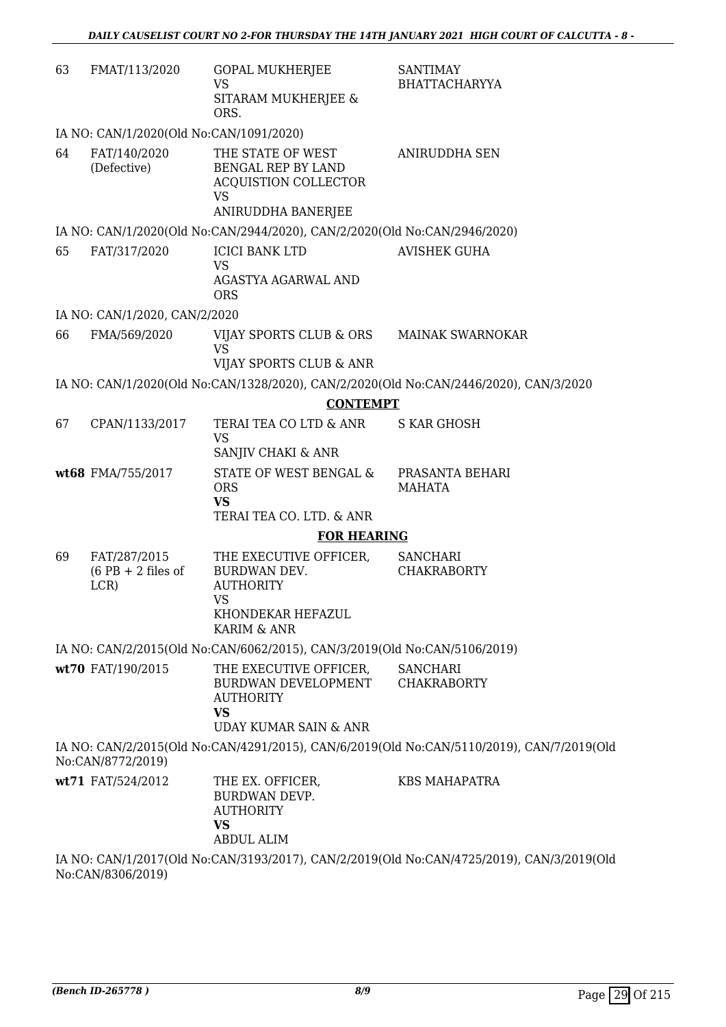| 63 | FMAT/113/2020                                | <b>GOPAL MUKHERJEE</b><br><b>VS</b><br>SITARAM MUKHERJEE &<br>ORS.                                                 | <b>SANTIMAY</b><br><b>BHATTACHARYYA</b>                                                   |
|----|----------------------------------------------|--------------------------------------------------------------------------------------------------------------------|-------------------------------------------------------------------------------------------|
|    | IA NO: CAN/1/2020(Old No:CAN/1091/2020)      |                                                                                                                    |                                                                                           |
| 64 | FAT/140/2020<br>(Defective)                  | THE STATE OF WEST<br>BENGAL REP BY LAND<br>ACQUISTION COLLECTOR<br><b>VS</b><br>ANIRUDDHA BANERJEE                 | <b>ANIRUDDHA SEN</b>                                                                      |
|    |                                              | IA NO: CAN/1/2020(Old No:CAN/2944/2020), CAN/2/2020(Old No:CAN/2946/2020)                                          |                                                                                           |
| 65 | FAT/317/2020                                 | <b>ICICI BANK LTD</b><br><b>VS</b><br>AGASTYA AGARWAL AND<br><b>ORS</b>                                            | <b>AVISHEK GUHA</b>                                                                       |
|    | IA NO: CAN/1/2020, CAN/2/2020                |                                                                                                                    |                                                                                           |
| 66 | FMA/569/2020                                 | VIJAY SPORTS CLUB & ORS<br><b>VS</b>                                                                               | <b>MAINAK SWARNOKAR</b>                                                                   |
|    |                                              | VIJAY SPORTS CLUB & ANR                                                                                            |                                                                                           |
|    |                                              |                                                                                                                    | IA NO: CAN/1/2020(Old No:CAN/1328/2020), CAN/2/2020(Old No:CAN/2446/2020), CAN/3/2020     |
|    |                                              | <b>CONTEMPT</b>                                                                                                    |                                                                                           |
| 67 | CPAN/1133/2017                               | TERAI TEA CO LTD & ANR<br><b>VS</b><br>SANJIV CHAKI & ANR                                                          | <b>S KAR GHOSH</b>                                                                        |
|    | wt68 FMA/755/2017                            | STATE OF WEST BENGAL &<br><b>ORS</b><br><b>VS</b>                                                                  | PRASANTA BEHARI<br><b>MAHATA</b>                                                          |
|    |                                              | TERAI TEA CO. LTD. & ANR                                                                                           |                                                                                           |
|    |                                              | <b>FOR HEARING</b>                                                                                                 |                                                                                           |
| 69 | FAT/287/2015<br>$(6$ PB + 2 files of<br>LCR) | THE EXECUTIVE OFFICER,<br>BURDWAN DEV.<br><b>AUTHORITY</b><br><b>VS</b><br>KHONDEKAR HEFAZUL<br>KARIM & ANR        | <b>SANCHARI</b><br><b>CHAKRABORTY</b>                                                     |
|    |                                              | IA NO: CAN/2/2015(Old No:CAN/6062/2015), CAN/3/2019(Old No:CAN/5106/2019)                                          |                                                                                           |
|    | wt70 FAT/190/2015                            | THE EXECUTIVE OFFICER,<br>BURDWAN DEVELOPMENT<br><b>AUTHORITY</b><br><b>VS</b><br><b>UDAY KUMAR SAIN &amp; ANR</b> | <b>SANCHARI</b><br><b>CHAKRABORTY</b>                                                     |
|    | No:CAN/8772/2019)                            |                                                                                                                    | IA NO: CAN/2/2015(Old No:CAN/4291/2015), CAN/6/2019(Old No:CAN/5110/2019), CAN/7/2019(Old |
|    | wt71 FAT/524/2012                            | THE EX. OFFICER,<br>BURDWAN DEVP.<br><b>AUTHORITY</b><br><b>VS</b><br><b>ABDUL ALIM</b>                            | <b>KBS MAHAPATRA</b>                                                                      |
|    | No:CAN/8306/2019)                            |                                                                                                                    | IA NO: CAN/1/2017(Old No:CAN/3193/2017), CAN/2/2019(Old No:CAN/4725/2019), CAN/3/2019(Old |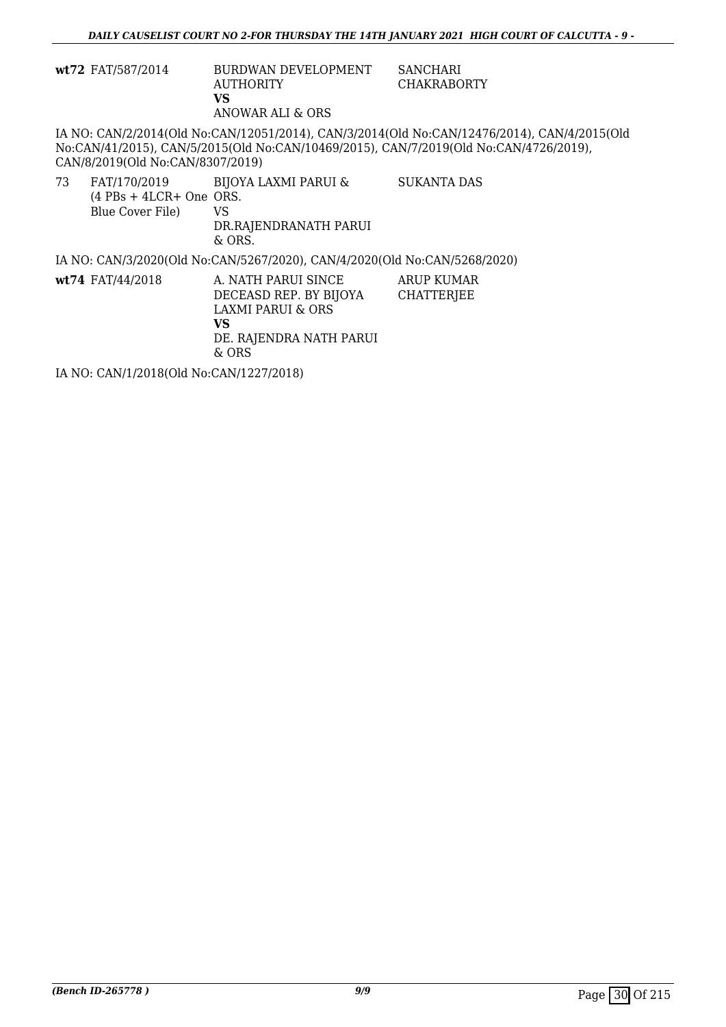|    | wt72 FAT/587/2014                             | BURDWAN DEVELOPMENT<br><b>AUTHORITY</b><br>VS.<br>ANOWAR ALI & ORS                                                               | <b>SANCHARI</b><br><b>CHAKRABORTY</b>                                                                                                                                                |
|----|-----------------------------------------------|----------------------------------------------------------------------------------------------------------------------------------|--------------------------------------------------------------------------------------------------------------------------------------------------------------------------------------|
|    | CAN/8/2019(Old No:CAN/8307/2019)              |                                                                                                                                  | IA NO: CAN/2/2014(Old No:CAN/12051/2014), CAN/3/2014(Old No:CAN/12476/2014), CAN/4/2015(Old<br>No:CAN/41/2015), CAN/5/2015(Old No:CAN/10469/2015), CAN/7/2019(Old No:CAN/4726/2019), |
| 73 | $(4$ PBs + 4LCR+ One ORS.<br>Blue Cover File) | FAT/170/2019 BIJOYA LAXMI PARUI &<br>VS.<br>DR.RAJENDRANATH PARUI<br>$&$ ORS.                                                    | SUKANTA DAS                                                                                                                                                                          |
|    |                                               | IA NO: CAN/3/2020(Old No:CAN/5267/2020), CAN/4/2020(Old No:CAN/5268/2020)                                                        |                                                                                                                                                                                      |
|    | $wt74$ FAT/44/2018                            | A. NATH PARUI SINCE<br>DECEASD REP. BY BIJOYA<br><b>LAXMI PARUI &amp; ORS</b><br><b>VS</b><br>DE. RAJENDRA NATH PARUI<br>$&$ ORS | ARUP KUMAR<br><b>CHATTERJEE</b>                                                                                                                                                      |
|    | IA NO: CAN/1/2018(Old No:CAN/1227/2018)       |                                                                                                                                  |                                                                                                                                                                                      |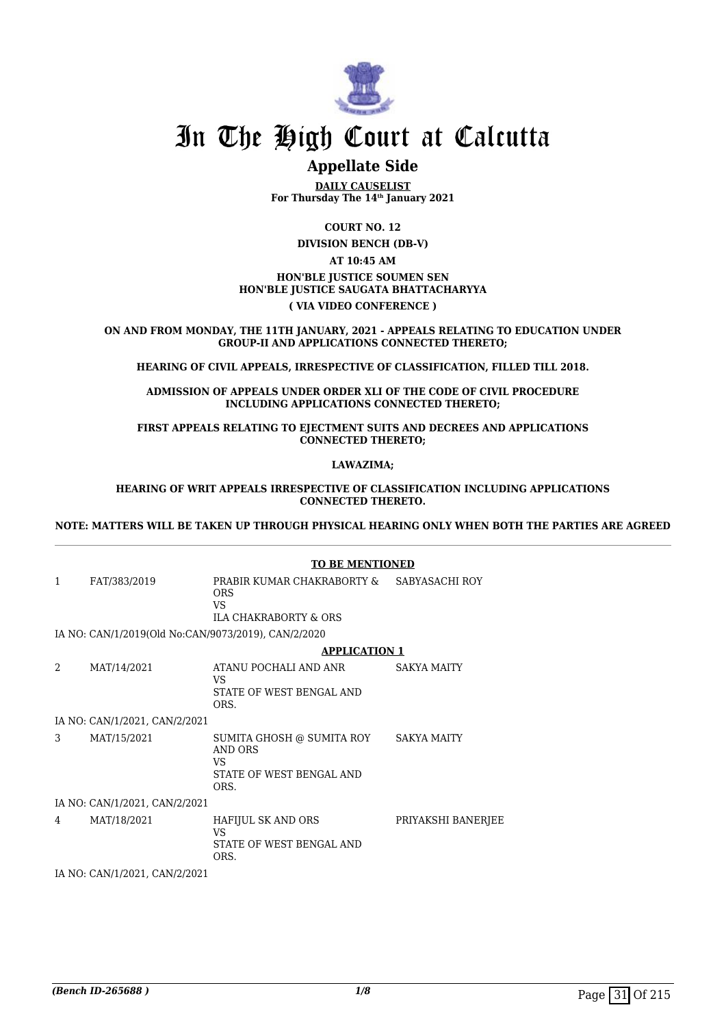

# **Appellate Side**

**DAILY CAUSELIST For Thursday The 14th January 2021**

**COURT NO. 12**

**DIVISION BENCH (DB-V)**

### **AT 10:45 AM HON'BLE JUSTICE SOUMEN SEN HON'BLE JUSTICE SAUGATA BHATTACHARYYA ( VIA VIDEO CONFERENCE )**

**ON AND FROM MONDAY, THE 11TH JANUARY, 2021 - APPEALS RELATING TO EDUCATION UNDER GROUP-II AND APPLICATIONS CONNECTED THERETO;**

**HEARING OF CIVIL APPEALS, IRRESPECTIVE OF CLASSIFICATION, FILLED TILL 2018.**

**ADMISSION OF APPEALS UNDER ORDER XLI OF THE CODE OF CIVIL PROCEDURE INCLUDING APPLICATIONS CONNECTED THERETO;**

**FIRST APPEALS RELATING TO EJECTMENT SUITS AND DECREES AND APPLICATIONS CONNECTED THERETO;**

**LAWAZIMA;**

**HEARING OF WRIT APPEALS IRRESPECTIVE OF CLASSIFICATION INCLUDING APPLICATIONS CONNECTED THERETO.**

**NOTE: MATTERS WILL BE TAKEN UP THROUGH PHYSICAL HEARING ONLY WHEN BOTH THE PARTIES ARE AGREED**

|   |                                                     | <b>TO BE MENTIONED</b>                                                                            |                    |  |
|---|-----------------------------------------------------|---------------------------------------------------------------------------------------------------|--------------------|--|
| 1 | FAT/383/2019                                        | PRABIR KUMAR CHAKRABORTY & SABYASACHI ROY<br><b>ORS</b><br>VS<br><b>ILA CHAKRABORTY &amp; ORS</b> |                    |  |
|   | IA NO: CAN/1/2019(Old No:CAN/9073/2019), CAN/2/2020 |                                                                                                   |                    |  |
|   |                                                     | <b>APPLICATION 1</b>                                                                              |                    |  |
| 2 | MAT/14/2021                                         | ATANU POCHALI AND ANR<br>VS<br>STATE OF WEST BENGAL AND<br>ORS.                                   | <b>SAKYA MAITY</b> |  |
|   | IA NO: CAN/1/2021, CAN/2/2021                       |                                                                                                   |                    |  |
| 3 | MAT/15/2021                                         | SUMITA GHOSH @ SUMITA ROY SAKYA MAITY<br>AND ORS<br>VS<br>STATE OF WEST BENGAL AND<br>ORS.        |                    |  |
|   | IA NO: CAN/1/2021, CAN/2/2021                       |                                                                                                   |                    |  |
| 4 | MAT/18/2021                                         | HAFIJUL SK AND ORS<br>VS<br>STATE OF WEST BENGAL AND<br>ORS.                                      | PRIYAKSHI BANERJEE |  |
|   | IA NO: CAN/1/2021, CAN/2/2021                       |                                                                                                   |                    |  |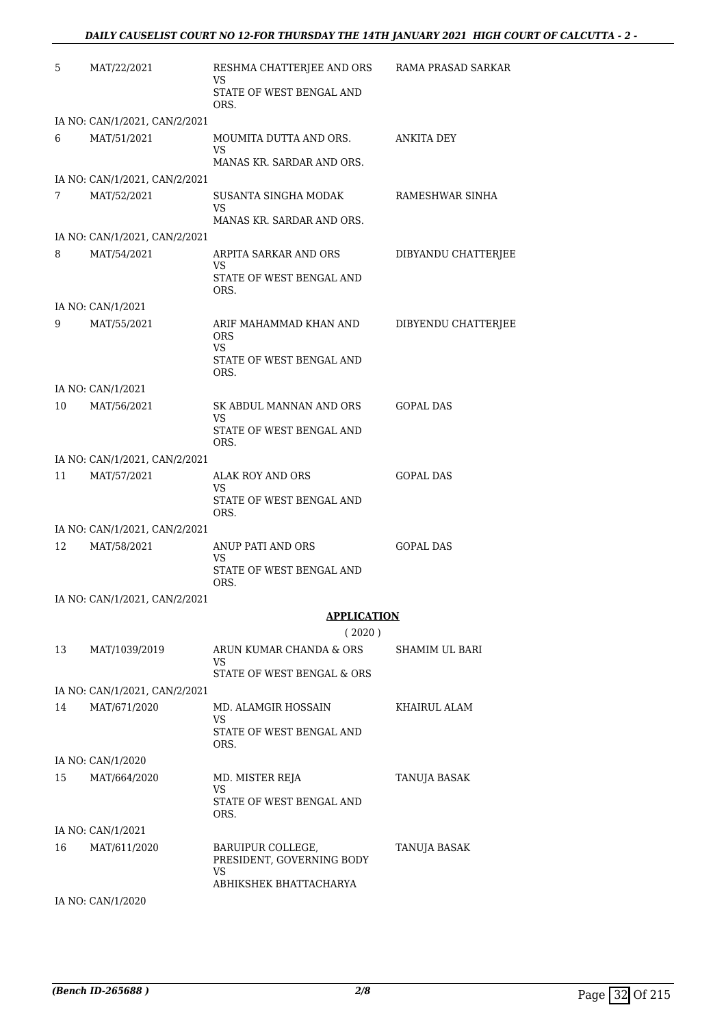| 5  | MAT/22/2021                   | RESHMA CHATTERJEE AND ORS<br>VS                         | RAMA PRASAD SARKAR  |
|----|-------------------------------|---------------------------------------------------------|---------------------|
|    |                               | STATE OF WEST BENGAL AND<br>ORS.                        |                     |
|    | IA NO: CAN/1/2021, CAN/2/2021 |                                                         |                     |
| 6  | MAT/51/2021                   | MOUMITA DUTTA AND ORS.<br>VS                            | ANKITA DEY          |
|    |                               | MANAS KR. SARDAR AND ORS.                               |                     |
|    | IA NO: CAN/1/2021, CAN/2/2021 |                                                         |                     |
| 7  | MAT/52/2021                   | SUSANTA SINGHA MODAK<br>VS<br>MANAS KR. SARDAR AND ORS. | RAMESHWAR SINHA     |
|    | IA NO: CAN/1/2021, CAN/2/2021 |                                                         |                     |
| 8  | MAT/54/2021                   | ARPITA SARKAR AND ORS                                   | DIBYANDU CHATTERJEE |
|    |                               | VS<br>STATE OF WEST BENGAL AND<br>ORS.                  |                     |
|    | IA NO: CAN/1/2021             |                                                         |                     |
| 9  | MAT/55/2021                   | ARIF MAHAMMAD KHAN AND<br><b>ORS</b><br>VS.             | DIBYENDU CHATTERJEE |
|    |                               | STATE OF WEST BENGAL AND<br>ORS.                        |                     |
|    | IA NO: CAN/1/2021             |                                                         |                     |
| 10 | MAT/56/2021                   | SK ABDUL MANNAN AND ORS<br>VS                           | GOPAL DAS           |
|    |                               | STATE OF WEST BENGAL AND<br>ORS.                        |                     |
|    | IA NO: CAN/1/2021, CAN/2/2021 |                                                         |                     |
| 11 | MAT/57/2021                   | ALAK ROY AND ORS<br>VS.                                 | <b>GOPAL DAS</b>    |
|    |                               | STATE OF WEST BENGAL AND<br>ORS.                        |                     |
|    | IA NO: CAN/1/2021, CAN/2/2021 |                                                         |                     |
| 12 | MAT/58/2021                   | ANUP PATI AND ORS                                       | <b>GOPAL DAS</b>    |
|    |                               | VS<br>STATE OF WEST BENGAL AND<br>ORS.                  |                     |
|    | IA NO: CAN/1/2021, CAN/2/2021 |                                                         |                     |
|    |                               | <b>APPLICATION</b>                                      |                     |
|    |                               | (2020)                                                  |                     |
| 13 | MAT/1039/2019                 | ARUN KUMAR CHANDA & ORS<br>VS                           | SHAMIM UL BARI      |
|    |                               | STATE OF WEST BENGAL & ORS                              |                     |
|    | IA NO: CAN/1/2021, CAN/2/2021 |                                                         |                     |
| 14 | MAT/671/2020                  | MD. ALAMGIR HOSSAIN<br>VS                               | KHAIRUL ALAM        |
|    |                               | STATE OF WEST BENGAL AND<br>ORS.                        |                     |
|    | IA NO: CAN/1/2020             |                                                         |                     |
| 15 | MAT/664/2020                  | MD. MISTER REJA<br>VS.                                  | TANUJA BASAK        |
|    |                               | STATE OF WEST BENGAL AND<br>ORS.                        |                     |
|    | IA NO: CAN/1/2021             |                                                         |                     |
| 16 | MAT/611/2020                  | BARUIPUR COLLEGE,<br>PRESIDENT, GOVERNING BODY          | TANUJA BASAK        |
|    |                               | VS<br>ABHIKSHEK BHATTACHARYA                            |                     |
|    | IA NO: CAN/1/2020             |                                                         |                     |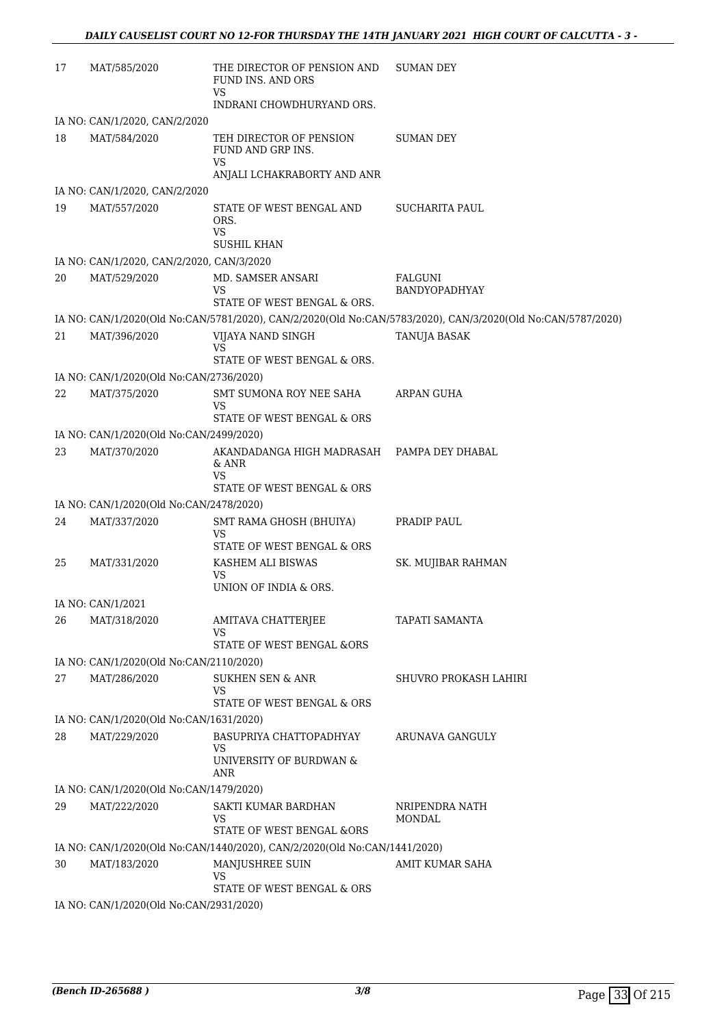| 17 | MAT/585/2020                              | THE DIRECTOR OF PENSION AND<br>FUND INS. AND ORS<br>VS                                         | <b>SUMAN DEY</b>                                                                                            |
|----|-------------------------------------------|------------------------------------------------------------------------------------------------|-------------------------------------------------------------------------------------------------------------|
|    |                                           | INDRANI CHOWDHURYAND ORS.                                                                      |                                                                                                             |
|    | IA NO: CAN/1/2020, CAN/2/2020             |                                                                                                |                                                                                                             |
| 18 | MAT/584/2020                              | TEH DIRECTOR OF PENSION<br>FUND AND GRP INS.<br>VS<br>ANJALI LCHAKRABORTY AND ANR              | SUMAN DEY                                                                                                   |
|    | IA NO: CAN/1/2020, CAN/2/2020             |                                                                                                |                                                                                                             |
| 19 | MAT/557/2020                              | STATE OF WEST BENGAL AND<br>ORS.<br><b>VS</b>                                                  | SUCHARITA PAUL                                                                                              |
|    |                                           | <b>SUSHIL KHAN</b>                                                                             |                                                                                                             |
|    | IA NO: CAN/1/2020, CAN/2/2020, CAN/3/2020 |                                                                                                |                                                                                                             |
| 20 | MAT/529/2020                              | MD. SAMSER ANSARI<br>VS<br>STATE OF WEST BENGAL & ORS.                                         | FALGUNI<br>BANDYOPADHYAY                                                                                    |
|    |                                           |                                                                                                | IA NO: CAN/1/2020(Old No:CAN/5781/2020), CAN/2/2020(Old No:CAN/5783/2020), CAN/3/2020(Old No:CAN/5787/2020) |
| 21 | MAT/396/2020                              | VIJAYA NAND SINGH                                                                              | TANUJA BASAK                                                                                                |
|    |                                           | <b>VS</b><br>STATE OF WEST BENGAL & ORS.                                                       |                                                                                                             |
|    | IA NO: CAN/1/2020(Old No:CAN/2736/2020)   |                                                                                                |                                                                                                             |
| 22 | MAT/375/2020                              | SMT SUMONA ROY NEE SAHA<br><b>VS</b><br>STATE OF WEST BENGAL & ORS                             | ARPAN GUHA                                                                                                  |
|    | IA NO: CAN/1/2020(Old No:CAN/2499/2020)   |                                                                                                |                                                                                                             |
| 23 | MAT/370/2020                              | AKANDADANGA HIGH MADRASAH PAMPA DEY DHABAL<br>& ANR<br><b>VS</b><br>STATE OF WEST BENGAL & ORS |                                                                                                             |
|    | IA NO: CAN/1/2020(Old No:CAN/2478/2020)   |                                                                                                |                                                                                                             |
| 24 | MAT/337/2020                              | SMT RAMA GHOSH (BHUIYA)<br><b>VS</b>                                                           | PRADIP PAUL                                                                                                 |
|    |                                           | STATE OF WEST BENGAL & ORS                                                                     |                                                                                                             |
| 25 | MAT/331/2020                              | KASHEM ALI BISWAS<br>VS<br>UNION OF INDIA & ORS.                                               | SK. MUJIBAR RAHMAN                                                                                          |
|    | IA NO: CAN/1/2021                         |                                                                                                |                                                                                                             |
| 26 | MAT/318/2020                              | AMITAVA CHATTERJEE                                                                             | TAPATI SAMANTA                                                                                              |
|    |                                           | VS<br><b>STATE OF WEST BENGAL &amp;ORS</b>                                                     |                                                                                                             |
|    | IA NO: CAN/1/2020(Old No:CAN/2110/2020)   |                                                                                                |                                                                                                             |
| 27 | MAT/286/2020                              | <b>SUKHEN SEN &amp; ANR</b><br><b>VS</b><br>STATE OF WEST BENGAL & ORS                         | SHUVRO PROKASH LAHIRI                                                                                       |
|    | IA NO: CAN/1/2020(Old No:CAN/1631/2020)   |                                                                                                |                                                                                                             |
| 28 | MAT/229/2020                              | BASUPRIYA CHATTOPADHYAY                                                                        | ARUNAVA GANGULY                                                                                             |
|    |                                           | VS<br>UNIVERSITY OF BURDWAN &<br>ANR                                                           |                                                                                                             |
|    | IA NO: CAN/1/2020(Old No:CAN/1479/2020)   |                                                                                                |                                                                                                             |
| 29 | MAT/222/2020                              | SAKTI KUMAR BARDHAN<br>VS<br>STATE OF WEST BENGAL &ORS                                         | NRIPENDRA NATH<br>MONDAL                                                                                    |
|    |                                           | IA NO: CAN/1/2020(Old No:CAN/1440/2020), CAN/2/2020(Old No:CAN/1441/2020)                      |                                                                                                             |
| 30 | MAT/183/2020                              | MANJUSHREE SUIN<br>VS                                                                          | AMIT KUMAR SAHA                                                                                             |
|    | IA NO: CAN/1/2020(Old No:CAN/2931/2020)   | STATE OF WEST BENGAL & ORS                                                                     |                                                                                                             |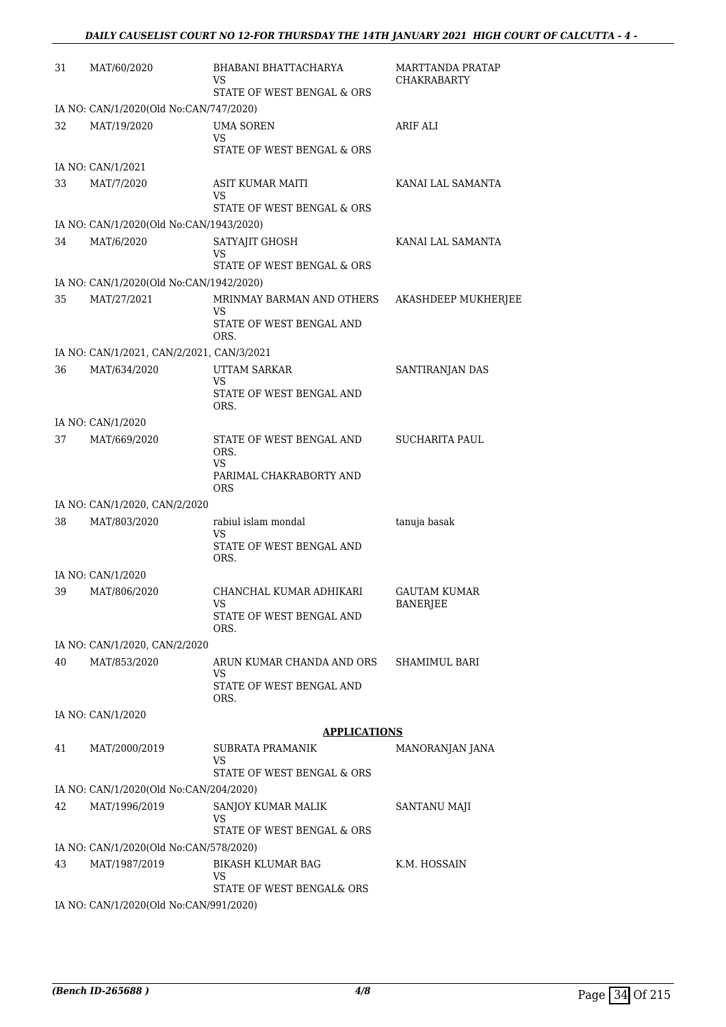| 31 | MAT/60/2020                                   | BHABANI BHATTACHARYA<br>VS<br>STATE OF WEST BENGAL & ORS           | MARTTANDA PRATAP<br><b>CHAKRABARTY</b> |
|----|-----------------------------------------------|--------------------------------------------------------------------|----------------------------------------|
|    | IA NO: CAN/1/2020(Old No:CAN/747/2020)        |                                                                    |                                        |
| 32 | MAT/19/2020                                   | <b>UMA SOREN</b><br>VS<br>STATE OF WEST BENGAL & ORS               | ARIF ALI                               |
|    | IA NO: CAN/1/2021                             |                                                                    |                                        |
| 33 | MAT/7/2020                                    | ASIT KUMAR MAITI<br>VS                                             | KANAI LAL SAMANTA                      |
|    |                                               | STATE OF WEST BENGAL & ORS                                         |                                        |
|    | IA NO: CAN/1/2020(Old No:CAN/1943/2020)       |                                                                    |                                        |
| 34 | MAT/6/2020                                    | SATYAJIT GHOSH<br>VS<br>STATE OF WEST BENGAL & ORS                 | KANAI LAL SAMANTA                      |
|    | IA NO: CAN/1/2020(Old No:CAN/1942/2020)       |                                                                    |                                        |
| 35 | MAT/27/2021                                   | MRINMAY BARMAN AND OTHERS<br>VS<br>STATE OF WEST BENGAL AND        | AKASHDEEP MUKHERJEE                    |
|    |                                               | ORS.                                                               |                                        |
|    | IA NO: CAN/1/2021, CAN/2/2021, CAN/3/2021     |                                                                    |                                        |
| 36 | MAT/634/2020                                  | <b>UTTAM SARKAR</b><br>VS<br>STATE OF WEST BENGAL AND<br>ORS.      | SANTIRANJAN DAS                        |
|    | IA NO: CAN/1/2020                             |                                                                    |                                        |
| 37 | MAT/669/2020                                  | STATE OF WEST BENGAL AND<br>ORS.<br>VS<br>PARIMAL CHAKRABORTY AND  | <b>SUCHARITA PAUL</b>                  |
|    |                                               | <b>ORS</b>                                                         |                                        |
| 38 | IA NO: CAN/1/2020, CAN/2/2020<br>MAT/803/2020 | rabiul islam mondal                                                | tanuja basak                           |
|    |                                               | VS<br>STATE OF WEST BENGAL AND<br>ORS.                             |                                        |
|    | IA NO: CAN/1/2020                             |                                                                    |                                        |
| 39 | MAT/806/2020                                  | CHANCHAL KUMAR ADHIKARI<br>VS.<br>STATE OF WEST BENGAL AND<br>ORS. | GAUTAM KUMAR<br><b>BANERJEE</b>        |
|    | IA NO: CAN/1/2020, CAN/2/2020                 |                                                                    |                                        |
| 40 | MAT/853/2020                                  | ARUN KUMAR CHANDA AND ORS<br>VS<br>STATE OF WEST BENGAL AND        | SHAMIMUL BARI                          |
|    |                                               | ORS.                                                               |                                        |
|    | IA NO: CAN/1/2020                             |                                                                    |                                        |
|    |                                               | <b>APPLICATIONS</b>                                                |                                        |
| 41 | MAT/2000/2019                                 | <b>SUBRATA PRAMANIK</b><br>VS<br>STATE OF WEST BENGAL & ORS        | MANORANJAN JANA                        |
|    | IA NO: CAN/1/2020(Old No:CAN/204/2020)        |                                                                    |                                        |
| 42 | MAT/1996/2019                                 | SANJOY KUMAR MALIK<br>VS                                           | SANTANU MAJI                           |
|    |                                               | STATE OF WEST BENGAL & ORS                                         |                                        |
|    | IA NO: CAN/1/2020(Old No:CAN/578/2020)        |                                                                    |                                        |
| 43 | MAT/1987/2019                                 | <b>BIKASH KLUMAR BAG</b><br>VS<br>STATE OF WEST BENGAL& ORS        | K.M. HOSSAIN                           |
|    | IA NO: CAN/1/2020(Old No:CAN/991/2020)        |                                                                    |                                        |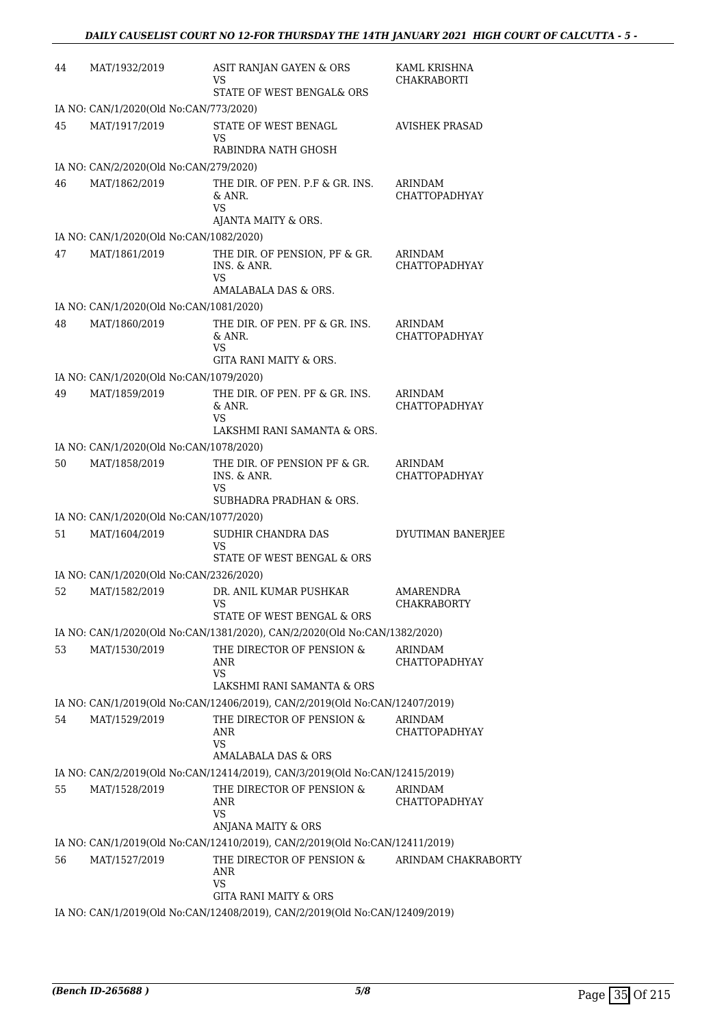| 44 | MAT/1932/2019                           | ASIT RANJAN GAYEN & ORS<br>VS<br>STATE OF WEST BENGAL& ORS                                                | KAML KRISHNA<br><b>CHAKRABORTI</b> |
|----|-----------------------------------------|-----------------------------------------------------------------------------------------------------------|------------------------------------|
|    | IA NO: CAN/1/2020(Old No:CAN/773/2020)  |                                                                                                           |                                    |
| 45 | MAT/1917/2019                           | STATE OF WEST BENAGL<br>VS<br>RABINDRA NATH GHOSH                                                         | <b>AVISHEK PRASAD</b>              |
|    | IA NO: CAN/2/2020(Old No:CAN/279/2020)  |                                                                                                           |                                    |
| 46 | MAT/1862/2019                           | THE DIR. OF PEN. P.F & GR. INS.<br>& ANR.<br>VS<br>AJANTA MAITY & ORS.                                    | ARINDAM<br>CHATTOPADHYAY           |
|    | IA NO: CAN/1/2020(Old No:CAN/1082/2020) |                                                                                                           |                                    |
| 47 | MAT/1861/2019                           | THE DIR. OF PENSION, PF & GR.<br>INS. & ANR.<br>VS<br>AMALABALA DAS & ORS.                                | ARINDAM<br><b>CHATTOPADHYAY</b>    |
|    | IA NO: CAN/1/2020(Old No:CAN/1081/2020) |                                                                                                           |                                    |
| 48 | MAT/1860/2019                           | THE DIR. OF PEN. PF & GR. INS.<br>& ANR.<br><b>VS</b><br>GITA RANI MAITY & ORS.                           | ARINDAM<br><b>CHATTOPADHYAY</b>    |
|    | IA NO: CAN/1/2020(Old No:CAN/1079/2020) |                                                                                                           |                                    |
| 49 | MAT/1859/2019                           | THE DIR. OF PEN. PF & GR. INS.<br>& ANR.<br>VS                                                            | ARINDAM<br><b>CHATTOPADHYAY</b>    |
|    |                                         | LAKSHMI RANI SAMANTA & ORS.                                                                               |                                    |
|    | IA NO: CAN/1/2020(Old No:CAN/1078/2020) |                                                                                                           |                                    |
| 50 | MAT/1858/2019                           | THE DIR. OF PENSION PF & GR.<br>INS. & ANR.<br><b>VS</b><br>SUBHADRA PRADHAN & ORS.                       | ARINDAM<br><b>CHATTOPADHYAY</b>    |
|    | IA NO: CAN/1/2020(Old No:CAN/1077/2020) |                                                                                                           |                                    |
| 51 | MAT/1604/2019                           | SUDHIR CHANDRA DAS<br>VS<br>STATE OF WEST BENGAL & ORS                                                    | DYUTIMAN BANERJEE                  |
|    | IA NO: CAN/1/2020(Old No:CAN/2326/2020) |                                                                                                           |                                    |
| 52 | MAT/1582/2019                           | DR. ANIL KUMAR PUSHKAR<br>VS.<br>STATE OF WEST BENGAL & ORS                                               | AMARENDRA<br>CHAKRABORTY           |
|    |                                         | IA NO: CAN/1/2020(Old No:CAN/1381/2020), CAN/2/2020(Old No:CAN/1382/2020)                                 |                                    |
| 53 | MAT/1530/2019                           | THE DIRECTOR OF PENSION &<br>ANR<br><b>VS</b>                                                             | ARINDAM<br><b>CHATTOPADHYAY</b>    |
|    |                                         | LAKSHMI RANI SAMANTA & ORS<br>IA NO: CAN/1/2019(Old No:CAN/12406/2019), CAN/2/2019(Old No:CAN/12407/2019) |                                    |
| 54 | MAT/1529/2019                           | THE DIRECTOR OF PENSION &<br>ANR<br><b>VS</b>                                                             | ARINDAM<br><b>CHATTOPADHYAY</b>    |
|    |                                         | AMALABALA DAS & ORS                                                                                       |                                    |
|    |                                         | IA NO: CAN/2/2019(Old No:CAN/12414/2019), CAN/3/2019(Old No:CAN/12415/2019)                               |                                    |
| 55 | MAT/1528/2019                           | THE DIRECTOR OF PENSION &<br>ANR<br>VS<br>ANJANA MAITY & ORS                                              | ARINDAM<br>CHATTOPADHYAY           |
|    |                                         | IA NO: CAN/1/2019(Old No:CAN/12410/2019), CAN/2/2019(Old No:CAN/12411/2019)                               |                                    |
| 56 | MAT/1527/2019                           | THE DIRECTOR OF PENSION &<br>ANR<br>VS<br><b>GITA RANI MAITY &amp; ORS</b>                                | ARINDAM CHAKRABORTY                |
|    |                                         | IA NO: CAN/1/2019(Old No:CAN/12408/2019), CAN/2/2019(Old No:CAN/12409/2019)                               |                                    |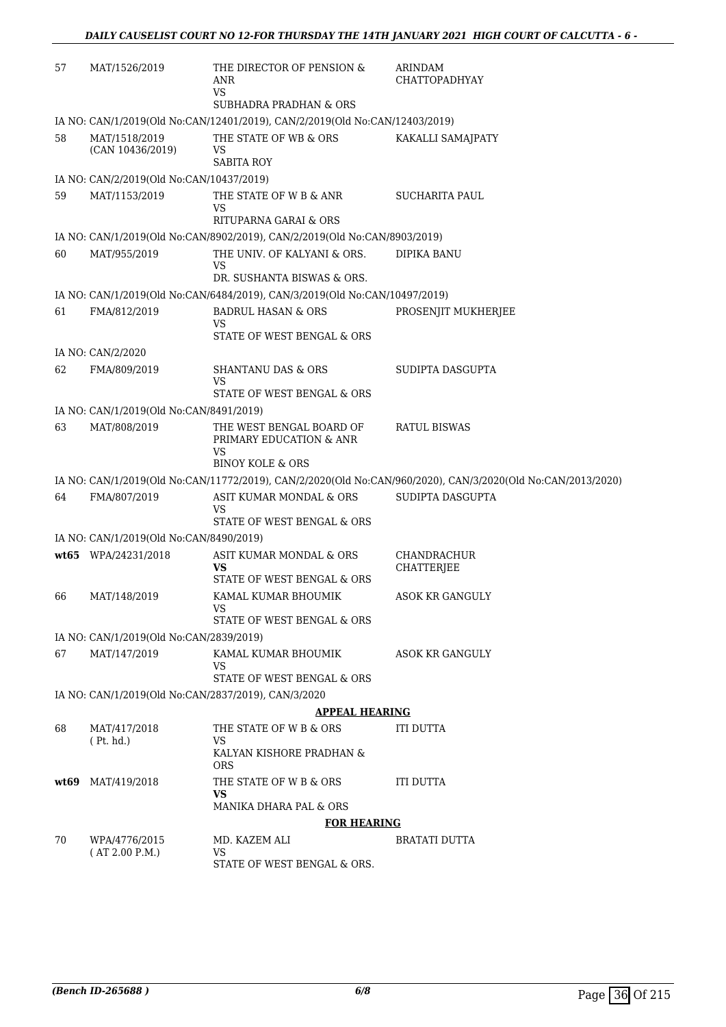| 57 | MAT/1526/2019                                                                                                    | THE DIRECTOR OF PENSION &<br>ANR<br><b>VS</b>                                                            | ARINDAM<br>CHATTOPADHYAY                                                                                    |  |  |
|----|------------------------------------------------------------------------------------------------------------------|----------------------------------------------------------------------------------------------------------|-------------------------------------------------------------------------------------------------------------|--|--|
|    | <b>SUBHADRA PRADHAN &amp; ORS</b><br>IA NO: CAN/1/2019(Old No:CAN/12401/2019), CAN/2/2019(Old No:CAN/12403/2019) |                                                                                                          |                                                                                                             |  |  |
|    |                                                                                                                  |                                                                                                          |                                                                                                             |  |  |
| 58 | MAT/1518/2019<br>(CAN 10436/2019)                                                                                | THE STATE OF WB & ORS<br>VS<br><b>SABITA ROY</b>                                                         | KAKALLI SAMAJPATY                                                                                           |  |  |
|    | IA NO: CAN/2/2019(Old No:CAN/10437/2019)                                                                         |                                                                                                          |                                                                                                             |  |  |
| 59 | MAT/1153/2019                                                                                                    | THE STATE OF W B & ANR<br>VS                                                                             | <b>SUCHARITA PAUL</b>                                                                                       |  |  |
|    |                                                                                                                  | RITUPARNA GARAI & ORS                                                                                    |                                                                                                             |  |  |
| 60 | MAT/955/2019                                                                                                     | IA NO: CAN/1/2019(Old No:CAN/8902/2019), CAN/2/2019(Old No:CAN/8903/2019)<br>THE UNIV. OF KALYANI & ORS. | <b>DIPIKA BANU</b>                                                                                          |  |  |
|    |                                                                                                                  | VS<br>DR. SUSHANTA BISWAS & ORS.                                                                         |                                                                                                             |  |  |
|    |                                                                                                                  | IA NO: CAN/1/2019(Old No:CAN/6484/2019), CAN/3/2019(Old No:CAN/10497/2019)                               |                                                                                                             |  |  |
| 61 | FMA/812/2019                                                                                                     | <b>BADRUL HASAN &amp; ORS</b><br>VS                                                                      | PROSENJIT MUKHERJEE                                                                                         |  |  |
|    |                                                                                                                  | STATE OF WEST BENGAL & ORS                                                                               |                                                                                                             |  |  |
|    | IA NO: CAN/2/2020                                                                                                |                                                                                                          |                                                                                                             |  |  |
| 62 | FMA/809/2019                                                                                                     | <b>SHANTANU DAS &amp; ORS</b><br>VS                                                                      | SUDIPTA DASGUPTA                                                                                            |  |  |
|    |                                                                                                                  | STATE OF WEST BENGAL & ORS                                                                               |                                                                                                             |  |  |
|    | IA NO: CAN/1/2019(Old No:CAN/8491/2019)                                                                          |                                                                                                          |                                                                                                             |  |  |
| 63 | MAT/808/2019                                                                                                     | THE WEST BENGAL BOARD OF<br>PRIMARY EDUCATION & ANR<br>VS<br><b>BINOY KOLE &amp; ORS</b>                 | <b>RATUL BISWAS</b>                                                                                         |  |  |
|    |                                                                                                                  |                                                                                                          | IA NO: CAN/1/2019(Old No:CAN/11772/2019), CAN/2/2020(Old No:CAN/960/2020), CAN/3/2020(Old No:CAN/2013/2020) |  |  |
| 64 | FMA/807/2019                                                                                                     | ASIT KUMAR MONDAL & ORS<br>VS                                                                            | SUDIPTA DASGUPTA                                                                                            |  |  |
|    |                                                                                                                  | STATE OF WEST BENGAL & ORS                                                                               |                                                                                                             |  |  |
|    | IA NO: CAN/1/2019(Old No:CAN/8490/2019)                                                                          |                                                                                                          |                                                                                                             |  |  |
|    | wt65 WPA/24231/2018                                                                                              | ASIT KUMAR MONDAL & ORS<br><b>VS</b><br>STATE OF WEST BENGAL & ORS                                       | CHANDRACHUR<br>CHATTERJEE                                                                                   |  |  |
| 66 | MAT/148/2019                                                                                                     | KAMAL KUMAR BHOUMIK                                                                                      | <b>ASOK KR GANGULY</b>                                                                                      |  |  |
|    |                                                                                                                  | VS                                                                                                       |                                                                                                             |  |  |
|    |                                                                                                                  | STATE OF WEST BENGAL & ORS                                                                               |                                                                                                             |  |  |
|    | IA NO: CAN/1/2019(Old No:CAN/2839/2019)                                                                          |                                                                                                          |                                                                                                             |  |  |
| 67 | MAT/147/2019                                                                                                     | KAMAL KUMAR BHOUMIK<br>VS<br>STATE OF WEST BENGAL & ORS                                                  | ASOK KR GANGULY                                                                                             |  |  |
|    | IA NO: CAN/1/2019(Old No:CAN/2837/2019), CAN/3/2020                                                              |                                                                                                          |                                                                                                             |  |  |
|    |                                                                                                                  | <b>APPEAL HEARING</b>                                                                                    |                                                                                                             |  |  |
| 68 | MAT/417/2018<br>(Pt. hd.)                                                                                        | THE STATE OF W B & ORS<br>VS                                                                             | ITI DUTTA                                                                                                   |  |  |
|    |                                                                                                                  | KALYAN KISHORE PRADHAN &<br><b>ORS</b>                                                                   |                                                                                                             |  |  |
|    | $wt69$ MAT/419/2018                                                                                              | THE STATE OF W B & ORS<br><b>VS</b>                                                                      | ITI DUTTA                                                                                                   |  |  |
|    |                                                                                                                  | MANIKA DHARA PAL & ORS                                                                                   |                                                                                                             |  |  |
|    |                                                                                                                  | <b>FOR HEARING</b>                                                                                       |                                                                                                             |  |  |
| 70 | WPA/4776/2015<br>(AT 2.00 P.M.)                                                                                  | MD. KAZEM ALI<br>VS                                                                                      | BRATATI DUTTA                                                                                               |  |  |
|    |                                                                                                                  | STATE OF WEST BENGAL & ORS.                                                                              |                                                                                                             |  |  |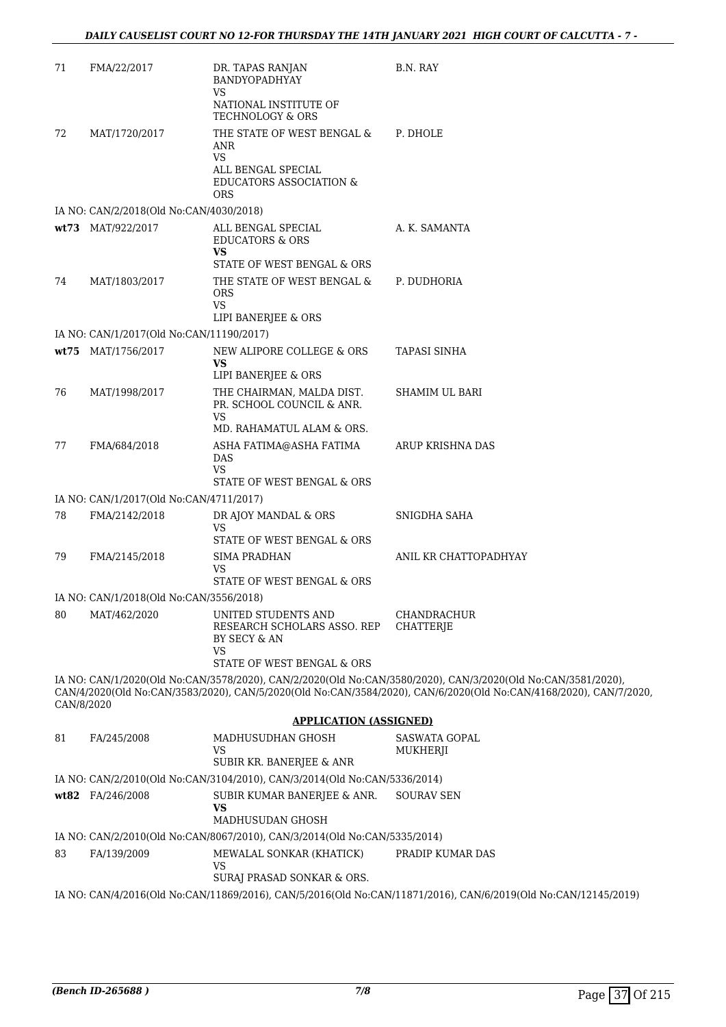| 71         | FMA/22/2017                              | DR. TAPAS RANJAN<br>BANDYOPADHYAY<br>VS                                                     | B.N. RAY                                                                                                                                                                                                                         |
|------------|------------------------------------------|---------------------------------------------------------------------------------------------|----------------------------------------------------------------------------------------------------------------------------------------------------------------------------------------------------------------------------------|
|            |                                          | NATIONAL INSTITUTE OF<br><b>TECHNOLOGY &amp; ORS</b>                                        |                                                                                                                                                                                                                                  |
| 72         | MAT/1720/2017                            | THE STATE OF WEST BENGAL &<br>ANR<br>VS                                                     | P. DHOLE                                                                                                                                                                                                                         |
|            |                                          | ALL BENGAL SPECIAL<br>EDUCATORS ASSOCIATION &<br><b>ORS</b>                                 |                                                                                                                                                                                                                                  |
|            | IA NO: CAN/2/2018(Old No:CAN/4030/2018)  |                                                                                             |                                                                                                                                                                                                                                  |
|            | wt73 MAT/922/2017                        | ALL BENGAL SPECIAL<br><b>EDUCATORS &amp; ORS</b><br><b>VS</b><br>STATE OF WEST BENGAL & ORS | A. K. SAMANTA                                                                                                                                                                                                                    |
| 74         | MAT/1803/2017                            | THE STATE OF WEST BENGAL &<br><b>ORS</b><br><b>VS</b><br>LIPI BANERJEE & ORS                | P. DUDHORIA                                                                                                                                                                                                                      |
|            | IA NO: CAN/1/2017(Old No:CAN/11190/2017) |                                                                                             |                                                                                                                                                                                                                                  |
|            | wt75 MAT/1756/2017                       | NEW ALIPORE COLLEGE & ORS<br><b>VS</b>                                                      | TAPASI SINHA                                                                                                                                                                                                                     |
| 76         | MAT/1998/2017                            | LIPI BANERJEE & ORS<br>THE CHAIRMAN, MALDA DIST.<br>PR. SCHOOL COUNCIL & ANR.<br>VS         | SHAMIM UL BARI                                                                                                                                                                                                                   |
|            |                                          | MD. RAHAMATUL ALAM & ORS.                                                                   |                                                                                                                                                                                                                                  |
| 77         | FMA/684/2018                             | ASHA FATIMA@ASHA FATIMA<br>DAS<br><b>VS</b>                                                 | ARUP KRISHNA DAS                                                                                                                                                                                                                 |
|            |                                          | STATE OF WEST BENGAL & ORS                                                                  |                                                                                                                                                                                                                                  |
|            | IA NO: CAN/1/2017(Old No:CAN/4711/2017)  |                                                                                             |                                                                                                                                                                                                                                  |
| 78         | FMA/2142/2018                            | DR AJOY MANDAL & ORS<br>VS                                                                  | SNIGDHA SAHA                                                                                                                                                                                                                     |
|            | FMA/2145/2018                            | STATE OF WEST BENGAL & ORS<br><b>SIMA PRADHAN</b>                                           | ANIL KR CHATTOPADHYAY                                                                                                                                                                                                            |
| 79         |                                          | VS<br>STATE OF WEST BENGAL & ORS                                                            |                                                                                                                                                                                                                                  |
|            | IA NO: CAN/1/2018(Old No:CAN/3556/2018)  |                                                                                             |                                                                                                                                                                                                                                  |
| 80         | MAT/462/2020                             | UNITED STUDENTS AND<br>RESEARCH SCHOLARS ASSO. REP<br>BY SECY & AN<br>VS                    | CHANDRACHUR<br>CHATTERJE                                                                                                                                                                                                         |
|            |                                          | STATE OF WEST BENGAL & ORS                                                                  |                                                                                                                                                                                                                                  |
| CAN/8/2020 |                                          |                                                                                             | IA NO: CAN/1/2020(Old No:CAN/3578/2020), CAN/2/2020(Old No:CAN/3580/2020), CAN/3/2020(Old No:CAN/3581/2020),<br>CAN/4/2020(Old No:CAN/3583/2020), CAN/5/2020(Old No:CAN/3584/2020), CAN/6/2020(Old No:CAN/4168/2020), CAN/7/2020 |
|            |                                          | <b>APPLICATION (ASSIGNED)</b>                                                               |                                                                                                                                                                                                                                  |
| 81         | FA/245/2008                              | MADHUSUDHAN GHOSH                                                                           | <b>SASWATA GOPAL</b>                                                                                                                                                                                                             |
|            |                                          | VS<br>SUBIR KR. BANERJEE & ANR                                                              | MUKHERJI                                                                                                                                                                                                                         |
|            |                                          | IA NO: CAN/2/2010(Old No:CAN/3104/2010), CAN/3/2014(Old No:CAN/5336/2014)                   |                                                                                                                                                                                                                                  |
|            | wt82 FA/246/2008                         | SUBIR KUMAR BANERJEE & ANR.                                                                 | SOURAV SEN                                                                                                                                                                                                                       |
|            |                                          | <b>VS</b><br>MADHUSUDAN GHOSH                                                               |                                                                                                                                                                                                                                  |
|            |                                          | IA NO: CAN/2/2010(Old No:CAN/8067/2010), CAN/3/2014(Old No:CAN/5335/2014)                   |                                                                                                                                                                                                                                  |
| 83         | FA/139/2009                              | MEWALAL SONKAR (KHATICK)<br>VS                                                              | PRADIP KUMAR DAS                                                                                                                                                                                                                 |
|            |                                          | SURAJ PRASAD SONKAR & ORS.                                                                  |                                                                                                                                                                                                                                  |

IA NO: CAN/4/2016(Old No:CAN/11869/2016), CAN/5/2016(Old No:CAN/11871/2016), CAN/6/2019(Old No:CAN/12145/2019)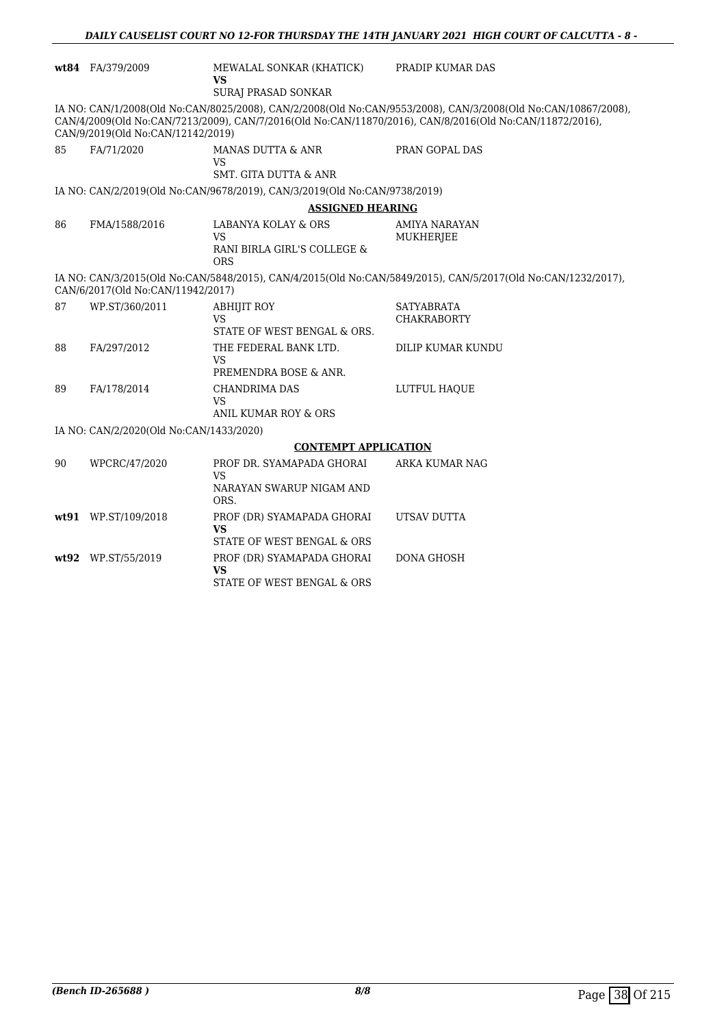|    | wt84 FA/379/2009                        | MEWALAL SONKAR (KHATICK)<br><b>VS</b><br>SURAJ PRASAD SONKAR              | PRADIP KUMAR DAS                                                                                                                                                                                                         |
|----|-----------------------------------------|---------------------------------------------------------------------------|--------------------------------------------------------------------------------------------------------------------------------------------------------------------------------------------------------------------------|
|    | CAN/9/2019(Old No:CAN/12142/2019)       |                                                                           | IA NO: CAN/1/2008(Old No:CAN/8025/2008), CAN/2/2008(Old No:CAN/9553/2008), CAN/3/2008(Old No:CAN/10867/2008),<br>CAN/4/2009(Old No:CAN/7213/2009), CAN/7/2016(Old No:CAN/11870/2016), CAN/8/2016(Old No:CAN/11872/2016), |
| 85 | FA/71/2020                              | MANAS DUTTA & ANR<br>VS<br>SMT. GITA DUTTA & ANR                          | PRAN GOPAL DAS                                                                                                                                                                                                           |
|    |                                         | IA NO: CAN/2/2019(Old No:CAN/9678/2019), CAN/3/2019(Old No:CAN/9738/2019) |                                                                                                                                                                                                                          |
|    |                                         | <b>ASSIGNED HEARING</b>                                                   |                                                                                                                                                                                                                          |
| 86 | FMA/1588/2016                           | LABANYA KOLAY & ORS<br>VS<br>RANI BIRLA GIRL'S COLLEGE &<br><b>ORS</b>    | AMIYA NARAYAN<br>MUKHERJEE                                                                                                                                                                                               |
|    | CAN/6/2017(Old No:CAN/11942/2017)       |                                                                           | IA NO: CAN/3/2015(Old No:CAN/5848/2015), CAN/4/2015(Old No:CAN/5849/2015), CAN/5/2017(Old No:CAN/1232/2017),                                                                                                             |
| 87 | WP.ST/360/2011                          | <b>ABHIJIT ROY</b><br>VS<br>STATE OF WEST BENGAL & ORS.                   | <b>SATYABRATA</b><br><b>CHAKRABORTY</b>                                                                                                                                                                                  |
| 88 | FA/297/2012                             | THE FEDERAL BANK LTD.<br>VS<br>PREMENDRA BOSE & ANR.                      | DILIP KUMAR KUNDU                                                                                                                                                                                                        |
| 89 | FA/178/2014                             | CHANDRIMA DAS<br><b>VS</b><br>ANIL KUMAR ROY & ORS                        | LUTFUL HAOUE                                                                                                                                                                                                             |
|    | IA NO: CAN/2/2020(Old No:CAN/1433/2020) |                                                                           |                                                                                                                                                                                                                          |
|    |                                         | <b>CONTEMPT APPLICATION</b>                                               |                                                                                                                                                                                                                          |
| 90 | WPCRC/47/2020                           | PROF DR. SYAMAPADA GHORAI<br>VS<br>NARAYAN SWARUP NIGAM AND<br>ORS.       | ARKA KUMAR NAG                                                                                                                                                                                                           |
|    | wt91 WP.ST/109/2018                     | PROF (DR) SYAMAPADA GHORAI<br><b>VS</b><br>STATE OF WEST BENGAL & ORS     | UTSAV DUTTA                                                                                                                                                                                                              |
|    | wt92 WP.ST/55/2019                      | PROF (DR) SYAMAPADA GHORAI<br><b>VS</b><br>STATE OF WEST BENGAL & ORS     | <b>DONA GHOSH</b>                                                                                                                                                                                                        |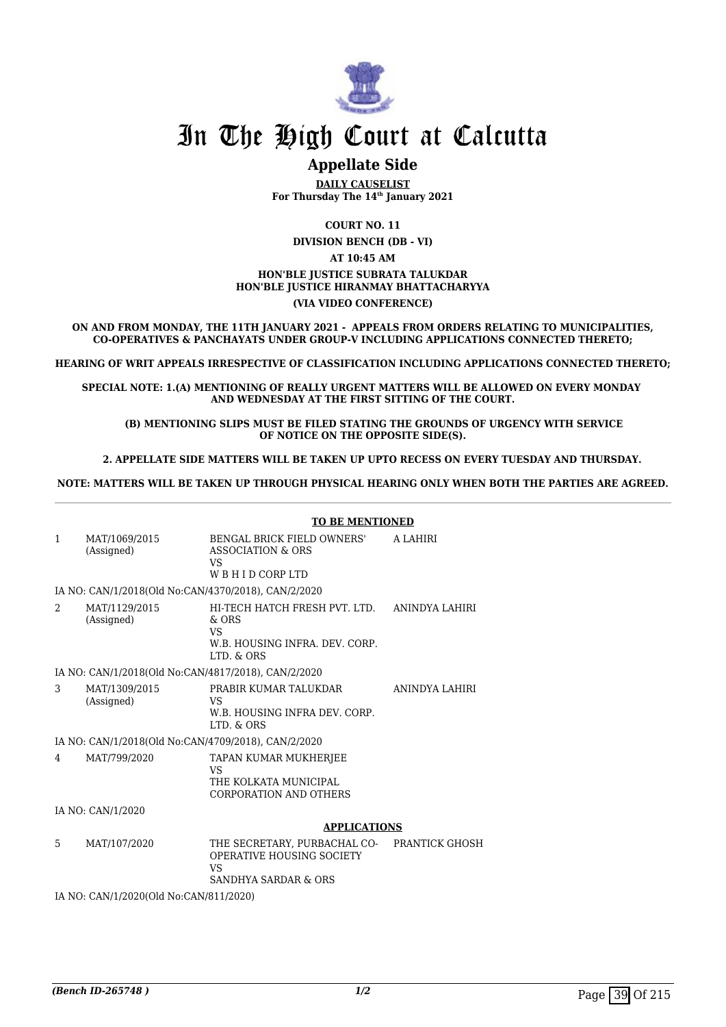

## **Appellate Side**

**DAILY CAUSELIST For Thursday The 14th January 2021**

**COURT NO. 11**

**DIVISION BENCH (DB - VI) AT 10:45 AM HON'BLE JUSTICE SUBRATA TALUKDAR HON'BLE JUSTICE HIRANMAY BHATTACHARYYA**

#### **(VIA VIDEO CONFERENCE)**

**ON AND FROM MONDAY, THE 11TH JANUARY 2021 - APPEALS FROM ORDERS RELATING TO MUNICIPALITIES, CO-OPERATIVES & PANCHAYATS UNDER GROUP-V INCLUDING APPLICATIONS CONNECTED THERETO;**

**HEARING OF WRIT APPEALS IRRESPECTIVE OF CLASSIFICATION INCLUDING APPLICATIONS CONNECTED THERETO;**

**SPECIAL NOTE: 1.(A) MENTIONING OF REALLY URGENT MATTERS WILL BE ALLOWED ON EVERY MONDAY AND WEDNESDAY AT THE FIRST SITTING OF THE COURT.**

 **(B) MENTIONING SLIPS MUST BE FILED STATING THE GROUNDS OF URGENCY WITH SERVICE OF NOTICE ON THE OPPOSITE SIDE(S).**

 **2. APPELLATE SIDE MATTERS WILL BE TAKEN UP UPTO RECESS ON EVERY TUESDAY AND THURSDAY.** 

**NOTE: MATTERS WILL BE TAKEN UP THROUGH PHYSICAL HEARING ONLY WHEN BOTH THE PARTIES ARE AGREED.**

|              |                                                     | <b>TO BE MENTIONED</b>                                                                         |                |  |
|--------------|-----------------------------------------------------|------------------------------------------------------------------------------------------------|----------------|--|
| $\mathbf{1}$ | MAT/1069/2015<br>(Assigned)                         | <b>BENGAL BRICK FIELD OWNERS'</b><br>ASSOCIATION & ORS<br>VS<br>WBHIDCORPLTD                   | A LAHIRI       |  |
|              | IA NO: CAN/1/2018(Old No:CAN/4370/2018), CAN/2/2020 |                                                                                                |                |  |
| 2            | MAT/1129/2015<br>(Assigned)                         | HI-TECH HATCH FRESH PVT. I TD.<br>& ORS<br>VS<br>W.B. HOUSING INFRA. DEV. CORP.<br>LTD. & ORS  | ANINDYA LAHIRI |  |
|              | IA NO: CAN/1/2018(Old No:CAN/4817/2018), CAN/2/2020 |                                                                                                |                |  |
| 3            | MAT/1309/2015<br>(Assigned)                         | PRABIR KUMAR TALUKDAR<br>VS<br>W.B. HOUSING INFRA DEV. CORP.<br>LTD. & ORS                     | ANINDYA LAHIRI |  |
|              | IA NO: CAN/1/2018(Old No:CAN/4709/2018), CAN/2/2020 |                                                                                                |                |  |
| 4            | MAT/799/2020                                        | TAPAN KUMAR MUKHERJEE<br>VS<br>THE KOLKATA MUNICIPAL<br>CORPORATION AND OTHERS                 |                |  |
|              | IA NO: CAN/1/2020                                   |                                                                                                |                |  |
|              |                                                     | <b>APPLICATIONS</b>                                                                            |                |  |
| 5            | MAT/107/2020                                        | THE SECRETARY, PURBACHAL CO-<br>OPERATIVE HOUSING SOCIETY<br><b>VS</b><br>SANDHYA SARDAR & ORS | PRANTICK GHOSH |  |
|              | IA NO: CAN/1/2020(Old No:CAN/811/2020)              |                                                                                                |                |  |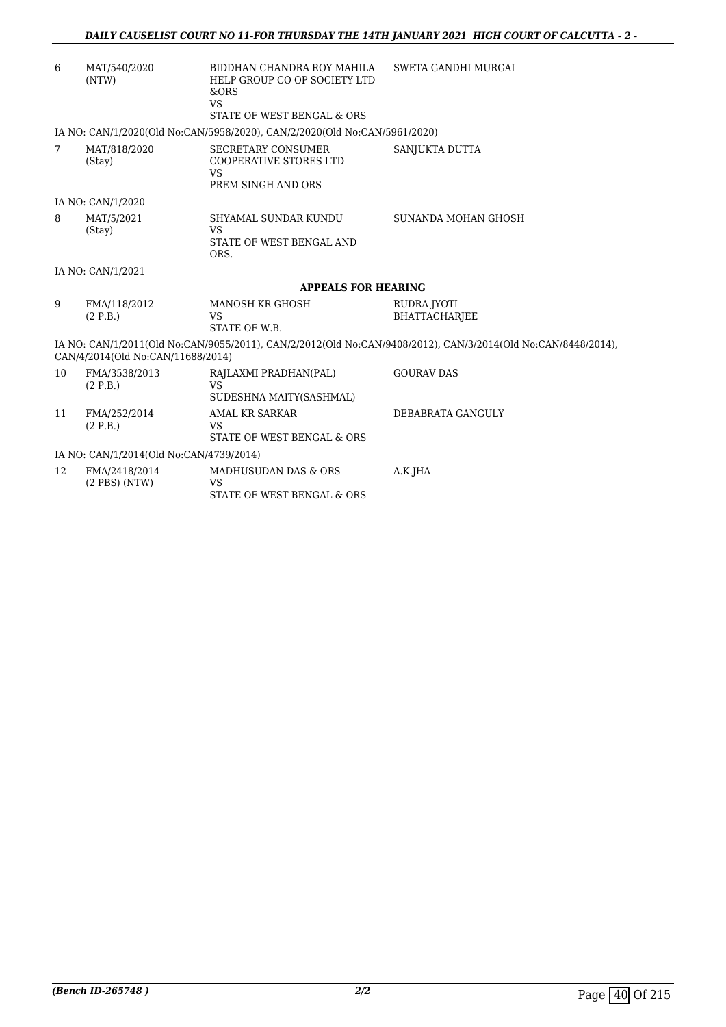| 6  | MAT/540/2020<br>(NTW)                   | BIDDHAN CHANDRA ROY MAHILA<br>HELP GROUP CO OP SOCIETY LTD<br><b>&amp;ORS</b><br><b>VS</b><br>STATE OF WEST BENGAL & ORS | SWETA GANDHI MURGAI                                                                                          |
|----|-----------------------------------------|--------------------------------------------------------------------------------------------------------------------------|--------------------------------------------------------------------------------------------------------------|
|    |                                         | IA NO: CAN/1/2020(Old No:CAN/5958/2020), CAN/2/2020(Old No:CAN/5961/2020)                                                |                                                                                                              |
| 7  | MAT/818/2020<br>(Stay)                  | <b>SECRETARY CONSUMER</b><br><b>COOPERATIVE STORES LTD</b><br><b>VS</b><br>PREM SINGH AND ORS                            | SANJUKTA DUTTA                                                                                               |
|    | IA NO: CAN/1/2020                       |                                                                                                                          |                                                                                                              |
| 8  | MAT/5/2021<br>(Stay)                    | SHYAMAL SUNDAR KUNDU<br>VS.<br>STATE OF WEST BENGAL AND<br>ORS.                                                          | SUNANDA MOHAN GHOSH                                                                                          |
|    | IA NO: CAN/1/2021                       |                                                                                                                          |                                                                                                              |
|    |                                         | <b>APPEALS FOR HEARING</b>                                                                                               |                                                                                                              |
| 9  | FMA/118/2012<br>(2 P.B.)                | <b>MANOSH KR GHOSH</b><br><b>VS</b><br>STATE OF W.B.                                                                     | RUDRA JYOTI<br><b>BHATTACHARJEE</b>                                                                          |
|    | CAN/4/2014(Old No:CAN/11688/2014)       |                                                                                                                          | IA NO: CAN/1/2011(Old No:CAN/9055/2011), CAN/2/2012(Old No:CAN/9408/2012), CAN/3/2014(Old No:CAN/8448/2014), |
| 10 | FMA/3538/2013<br>(2 P.B.)               | RAJLAXMI PRADHAN(PAL)<br>VS<br>SUDESHNA MAITY(SASHMAL)                                                                   | <b>GOURAV DAS</b>                                                                                            |
| 11 | FMA/252/2014<br>(2 P.B.)                | <b>AMAL KR SARKAR</b><br>VS<br>STATE OF WEST BENGAL & ORS                                                                | DEBABRATA GANGULY                                                                                            |
|    | IA NO: CAN/1/2014(Old No:CAN/4739/2014) |                                                                                                                          |                                                                                                              |
| 12 | FMA/2418/2014<br>$(2$ PBS $)$ (NTW)     | MADHUSUDAN DAS & ORS<br><b>VS</b><br>STATE OF WEST BENGAL & ORS                                                          | A.K.JHA                                                                                                      |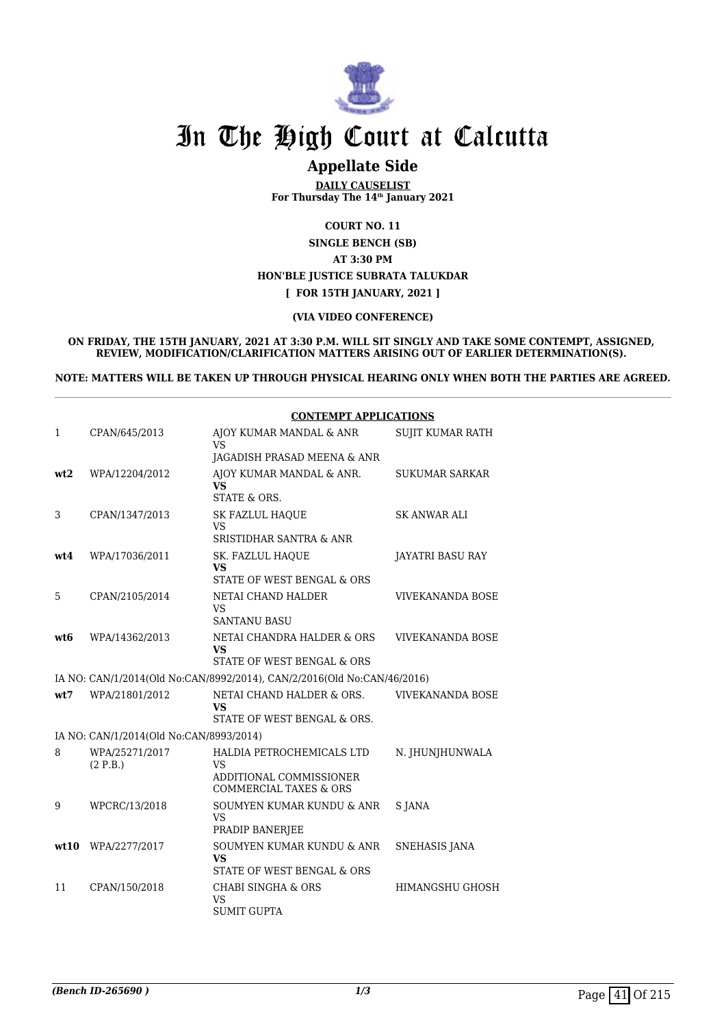

## **Appellate Side**

**DAILY CAUSELIST For Thursday The 14th January 2021**

**COURT NO. 11**

**SINGLE BENCH (SB) AT 3:30 PM HON'BLE JUSTICE SUBRATA TALUKDAR [ FOR 15TH JANUARY, 2021 ]**

#### **(VIA VIDEO CONFERENCE)**

**ON FRIDAY, THE 15TH JANUARY, 2021 AT 3:30 P.M. WILL SIT SINGLY AND TAKE SOME CONTEMPT, ASSIGNED, REVIEW, MODIFICATION/CLARIFICATION MATTERS ARISING OUT OF EARLIER DETERMINATION(S).** 

**NOTE: MATTERS WILL BE TAKEN UP THROUGH PHYSICAL HEARING ONLY WHEN BOTH THE PARTIES ARE AGREED.**

|      |                                         | <b>CONTEMPT APPLICATIONS</b>                                                                |                         |  |
|------|-----------------------------------------|---------------------------------------------------------------------------------------------|-------------------------|--|
| 1    | CPAN/645/2013                           | AJOY KUMAR MANDAL & ANR<br><b>VS</b>                                                        | <b>SUJIT KUMAR RATH</b> |  |
|      |                                         | JAGADISH PRASAD MEENA & ANR                                                                 |                         |  |
| wt2  | WPA/12204/2012                          | AJOY KUMAR MANDAL & ANR.<br>VS<br>STATE & ORS.                                              | <b>SUKUMAR SARKAR</b>   |  |
| 3    | CPAN/1347/2013                          | <b>SK FAZLUL HAOUE</b><br>VS<br><b>SRISTIDHAR SANTRA &amp; ANR</b>                          | <b>SK ANWAR ALI</b>     |  |
| wt4  | WPA/17036/2011                          | SK. FAZLUL HAQUE<br>VS<br>STATE OF WEST BENGAL & ORS                                        | JAYATRI BASU RAY        |  |
| 5    | CPAN/2105/2014                          | NETAI CHAND HALDER<br>VS<br><b>SANTANU BASU</b>                                             | <b>VIVEKANANDA BOSE</b> |  |
| wt6  | WPA/14362/2013                          | NETAI CHANDRA HALDER & ORS<br>VS<br>STATE OF WEST BENGAL & ORS                              | <b>VIVEKANANDA BOSE</b> |  |
|      |                                         | IA NO: CAN/1/2014(Old No:CAN/8992/2014), CAN/2/2016(Old No:CAN/46/2016)                     |                         |  |
| wt:7 | WPA/21801/2012                          | NETAI CHAND HALDER & ORS.<br>VS<br>STATE OF WEST BENGAL & ORS.                              | <b>VIVEKANANDA BOSE</b> |  |
|      | IA NO: CAN/1/2014(Old No:CAN/8993/2014) |                                                                                             |                         |  |
| 8    | WPA/25271/2017<br>(2 P.B.)              | HALDIA PETROCHEMICALS LTD<br><b>VS</b><br>ADDITIONAL COMMISSIONER<br>COMMERCIAL TAXES & ORS | N. JHUNJHUNWALA         |  |
| 9    | WPCRC/13/2018                           | SOUMYEN KUMAR KUNDU & ANR<br><b>VS</b><br>PRADIP BANERJEE                                   | S JANA                  |  |
| wt10 | WPA/2277/2017                           | SOUMYEN KUMAR KUNDU & ANR<br>VS.<br>STATE OF WEST BENGAL & ORS                              | SNEHASIS JANA           |  |
| 11   | CPAN/150/2018                           | <b>CHABI SINGHA &amp; ORS</b><br><b>VS</b><br><b>SUMIT GUPTA</b>                            | <b>HIMANGSHU GHOSH</b>  |  |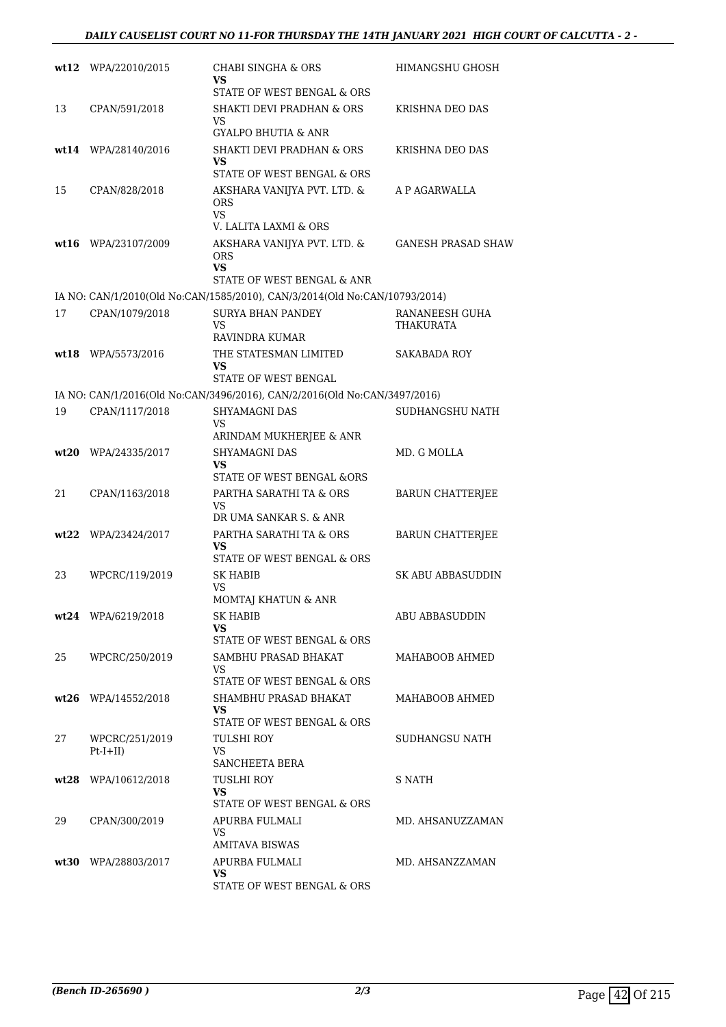|      | wt12 WPA/22010/2015   | CHABI SINGHA & ORS<br>VS                                                       | HIMANGSHU GHOSH                    |
|------|-----------------------|--------------------------------------------------------------------------------|------------------------------------|
| 13   | CPAN/591/2018         | STATE OF WEST BENGAL & ORS<br><b>SHAKTI DEVI PRADHAN &amp; ORS</b>             | KRISHNA DEO DAS                    |
|      |                       | VS.<br><b>GYALPO BHUTIA &amp; ANR</b>                                          |                                    |
|      | wt14 WPA/28140/2016   | SHAKTI DEVI PRADHAN & ORS                                                      | KRISHNA DEO DAS                    |
|      |                       | VS.<br>STATE OF WEST BENGAL & ORS                                              |                                    |
| 15   | CPAN/828/2018         | AKSHARA VANIJYA PVT. LTD. &<br><b>ORS</b><br>VS.                               | A P AGARWALLA                      |
|      |                       | V. LALITA LAXMI & ORS                                                          |                                    |
|      | wt16 WPA/23107/2009   | AKSHARA VANIJYA PVT. LTD. &<br><b>ORS</b><br>VS.<br>STATE OF WEST BENGAL & ANR | <b>GANESH PRASAD SHAW</b>          |
|      |                       | IA NO: CAN/1/2010(Old No:CAN/1585/2010), CAN/3/2014(Old No:CAN/10793/2014)     |                                    |
| 17   | CPAN/1079/2018        | <b>SURYA BHAN PANDEY</b><br>VS.<br>RAVINDRA KUMAR                              | RANANEESH GUHA<br><b>THAKURATA</b> |
|      | wt18 WPA/5573/2016    | THE STATESMAN LIMITED<br><b>VS</b>                                             | SAKABADA ROY                       |
|      |                       | STATE OF WEST BENGAL                                                           |                                    |
|      |                       | IA NO: CAN/1/2016(Old No:CAN/3496/2016), CAN/2/2016(Old No:CAN/3497/2016)      |                                    |
| 19   | CPAN/1117/2018        | <b>SHYAMAGNI DAS</b><br>VS<br>ARINDAM MUKHERJEE & ANR                          | SUDHANGSHU NATH                    |
| wt20 | WPA/24335/2017        | <b>SHYAMAGNI DAS</b><br>VS<br>STATE OF WEST BENGAL &ORS                        | MD. G MOLLA                        |
| 21   | CPAN/1163/2018        | PARTHA SARATHI TA & ORS<br>VS                                                  | <b>BARUN CHATTERJEE</b>            |
|      | $wt22$ WPA/23424/2017 | DR UMA SANKAR S. & ANR<br>PARTHA SARATHI TA & ORS                              | <b>BARUN CHATTERIEE</b>            |
|      |                       | VS<br>STATE OF WEST BENGAL & ORS                                               |                                    |
| 23   | WPCRC/119/2019        | <b>SK HABIB</b><br>VS.<br>MOMTAJ KHATUN & ANR                                  | <b>SK ABU ABBASUDDIN</b>           |
|      | wt24 WPA/6219/2018    | SK HABIB                                                                       | <b>ABU ABBASUDDIN</b>              |
|      |                       | VS.<br>STATE OF WEST BENGAL & ORS                                              |                                    |
| 25   | WPCRC/250/2019        | SAMBHU PRASAD BHAKAT<br>VS.                                                    | MAHABOOB AHMED                     |
|      |                       | STATE OF WEST BENGAL & ORS                                                     |                                    |
|      | $wt26$ WPA/14552/2018 | SHAMBHU PRASAD BHAKAT<br>VS.<br>STATE OF WEST BENGAL & ORS                     | MAHABOOB AHMED                     |
| 27   | WPCRC/251/2019        | TULSHI ROY                                                                     | SUDHANGSU NATH                     |
|      | $Pt-I+II)$            | VS<br>SANCHEETA BERA                                                           |                                    |
|      | wt28 WPA/10612/2018   | TUSLHI ROY<br>VS.                                                              | S NATH                             |
|      |                       | STATE OF WEST BENGAL & ORS                                                     |                                    |
| 29   | CPAN/300/2019         | APURBA FULMALI<br>VS.<br>AMITAVA BISWAS                                        | MD. AHSANUZZAMAN                   |
|      | wt30 WPA/28803/2017   | APURBA FULMALI<br>VS.<br>STATE OF WEST BENGAL & ORS                            | MD. AHSANZZAMAN                    |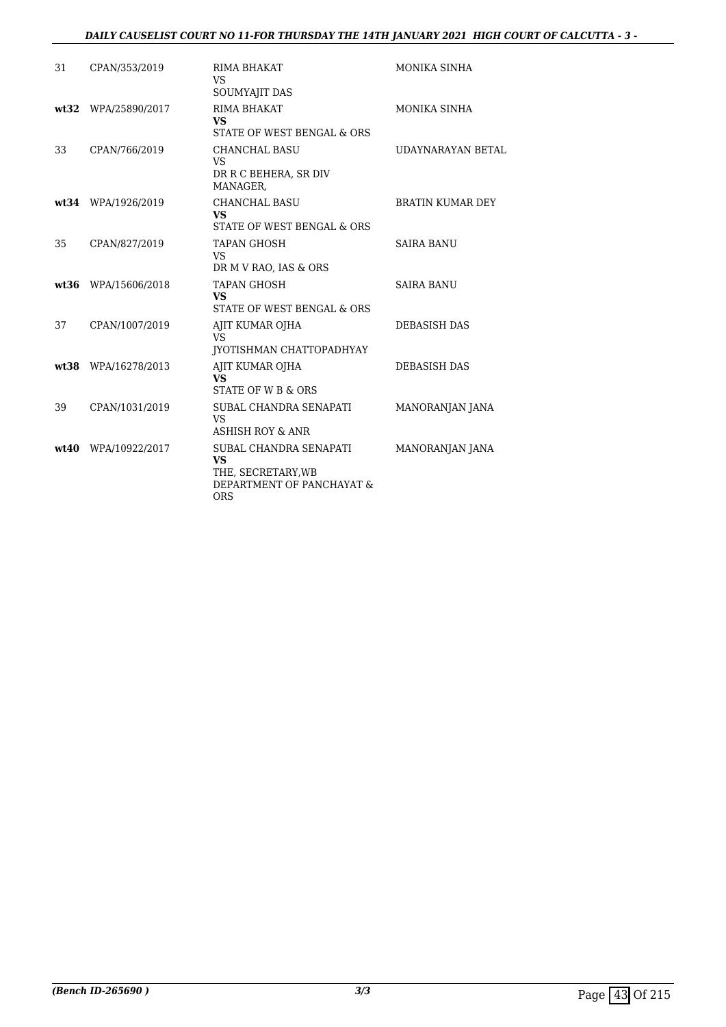#### *DAILY CAUSELIST COURT NO 11-FOR THURSDAY THE 14TH JANUARY 2021 HIGH COURT OF CALCUTTA - 3 -*

| 31    | CPAN/353/2019       | RIMA BHAKAT<br>VS<br>SOUMYAJIT DAS                                                                   | MONIKA SINHA            |
|-------|---------------------|------------------------------------------------------------------------------------------------------|-------------------------|
|       | wt32 WPA/25890/2017 | RIMA BHAKAT<br><b>VS</b><br>STATE OF WEST BENGAL & ORS                                               | MONIKA SINHA            |
| 33    | CPAN/766/2019       | <b>CHANCHAL BASU</b><br>VS<br>DR R C BEHERA, SR DIV<br>MANAGER,                                      | UDAYNARAYAN BETAL       |
|       | wt34 WPA/1926/2019  | <b>CHANCHAL BASU</b><br><b>VS</b><br>STATE OF WEST BENGAL & ORS                                      | <b>BRATIN KUMAR DEY</b> |
| 35    | CPAN/827/2019       | <b>TAPAN GHOSH</b><br>VS<br>DR M V RAO, IAS & ORS                                                    | <b>SAIRA BANU</b>       |
| wt:36 | WPA/15606/2018      | <b>TAPAN GHOSH</b><br><b>VS</b><br>STATE OF WEST BENGAL & ORS                                        | <b>SAIRA BANU</b>       |
| 37    | CPAN/1007/2019      | AJIT KUMAR OJHA<br>VS<br>JYOTISHMAN CHATTOPADHYAY                                                    | <b>DEBASISH DAS</b>     |
|       | wt38 WPA/16278/2013 | AJIT KUMAR OJHA<br><b>VS</b><br>STATE OF W B & ORS                                                   | <b>DEBASISH DAS</b>     |
| 39    | CPAN/1031/2019      | SUBAL CHANDRA SENAPATI<br><b>VS</b><br><b>ASHISH ROY &amp; ANR</b>                                   | MANORANJAN JANA         |
|       | wt40 WPA/10922/2017 | SUBAL CHANDRA SENAPATI<br><b>VS</b><br>THE, SECRETARY, WB<br>DEPARTMENT OF PANCHAYAT &<br><b>ORS</b> | MANORANJAN JANA         |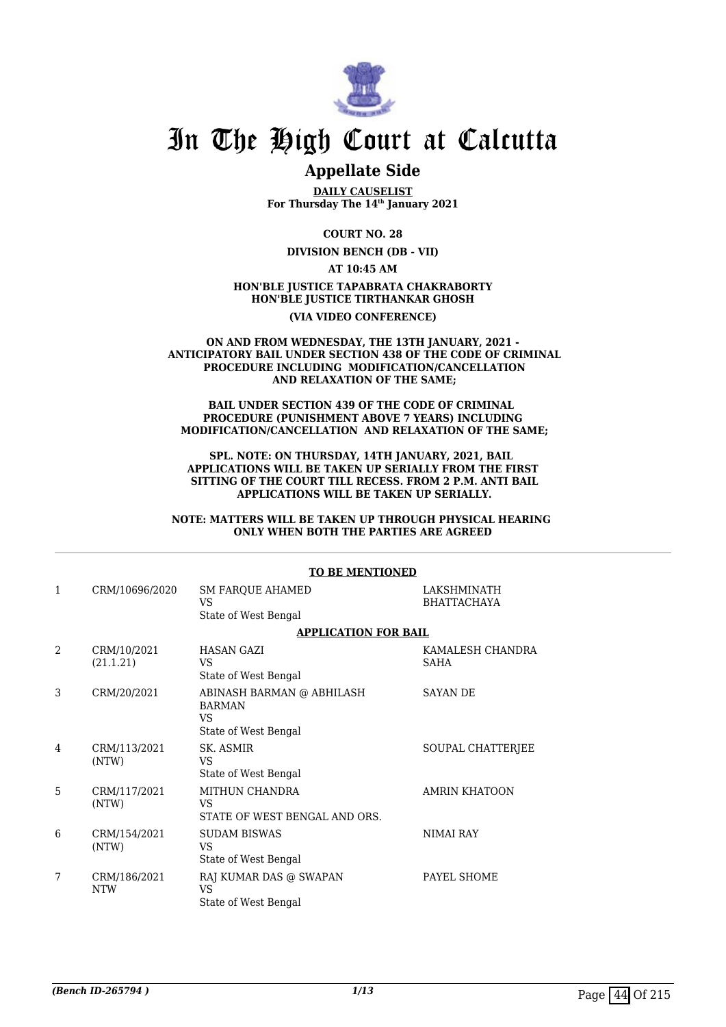

## **Appellate Side**

**DAILY CAUSELIST For Thursday The 14th January 2021**

**COURT NO. 28**

**DIVISION BENCH (DB - VII)**

**AT 10:45 AM**

#### **HON'BLE JUSTICE TAPABRATA CHAKRABORTY HON'BLE JUSTICE TIRTHANKAR GHOSH (VIA VIDEO CONFERENCE)**

#### **ON AND FROM WEDNESDAY, THE 13TH JANUARY, 2021 - ANTICIPATORY BAIL UNDER SECTION 438 OF THE CODE OF CRIMINAL PROCEDURE INCLUDING MODIFICATION/CANCELLATION AND RELAXATION OF THE SAME;**

#### **BAIL UNDER SECTION 439 OF THE CODE OF CRIMINAL PROCEDURE (PUNISHMENT ABOVE 7 YEARS) INCLUDING MODIFICATION/CANCELLATION AND RELAXATION OF THE SAME;**

**SPL. NOTE: ON THURSDAY, 14TH JANUARY, 2021, BAIL APPLICATIONS WILL BE TAKEN UP SERIALLY FROM THE FIRST SITTING OF THE COURT TILL RECESS. FROM 2 P.M. ANTI BAIL APPLICATIONS WILL BE TAKEN UP SERIALLY.**

**NOTE: MATTERS WILL BE TAKEN UP THROUGH PHYSICAL HEARING ONLY WHEN BOTH THE PARTIES ARE AGREED**

|              |                            | <b>TO BE MENTIONED</b>                                                   |                                   |
|--------------|----------------------------|--------------------------------------------------------------------------|-----------------------------------|
| $\mathbf{1}$ | CRM/10696/2020             | SM FARQUE AHAMED<br>VS<br>State of West Bengal                           | LAKSHMINATH<br><b>BHATTACHAYA</b> |
|              |                            | <b>APPLICATION FOR BAIL</b>                                              |                                   |
| 2            | CRM/10/2021<br>(21.1.21)   | <b>HASAN GAZI</b><br>VS<br>State of West Bengal                          | KAMALESH CHANDRA<br>SAHA          |
| 3            | CRM/20/2021                | ABINASH BARMAN @ ABHILASH<br><b>BARMAN</b><br>VS<br>State of West Bengal | <b>SAYAN DE</b>                   |
| 4            | CRM/113/2021<br>(NTW)      | SK. ASMIR<br>VS<br>State of West Bengal                                  | SOUPAL CHATTERJEE                 |
| 5            | CRM/117/2021<br>(NTW)      | MITHUN CHANDRA<br>VS<br>STATE OF WEST BENGAL AND ORS.                    | <b>AMRIN KHATOON</b>              |
| 6            | CRM/154/2021<br>(NTW)      | <b>SUDAM BISWAS</b><br>VS<br>State of West Bengal                        | <b>NIMAI RAY</b>                  |
| 7            | CRM/186/2021<br><b>NTW</b> | RAJ KUMAR DAS @ SWAPAN<br><b>VS</b><br>State of West Bengal              | PAYEL SHOME                       |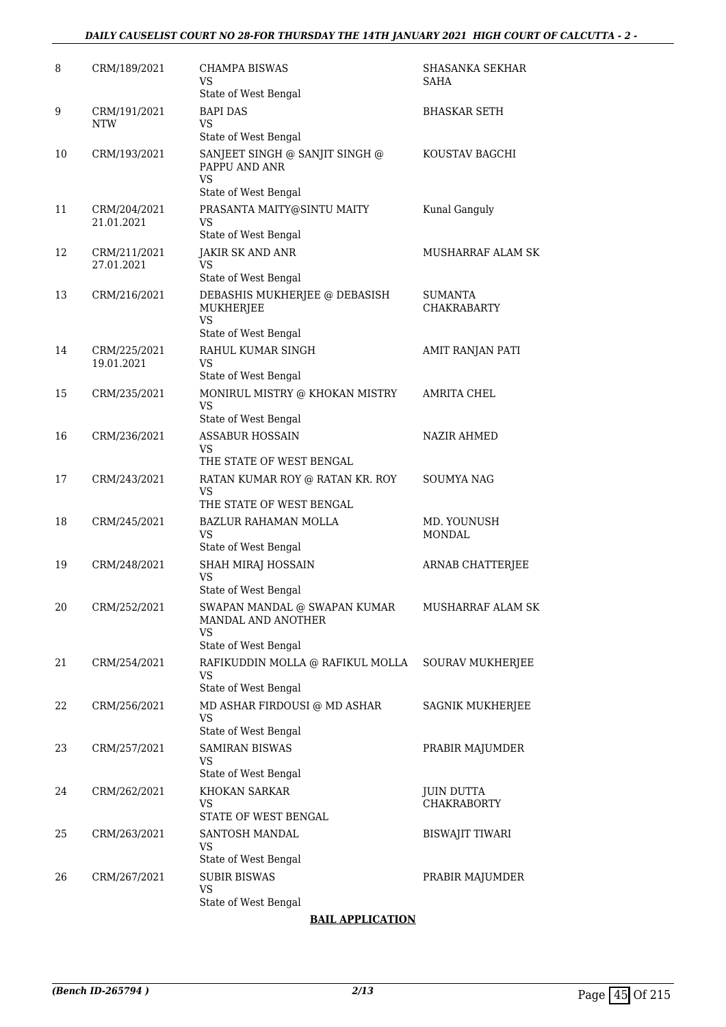#### *DAILY CAUSELIST COURT NO 28-FOR THURSDAY THE 14TH JANUARY 2021 HIGH COURT OF CALCUTTA - 2 -*

| 8  | CRM/189/2021               | <b>CHAMPA BISWAS</b><br>VS<br>State of West Bengal                                      | SHASANKA SEKHAR<br>SAHA              |
|----|----------------------------|-----------------------------------------------------------------------------------------|--------------------------------------|
| 9  | CRM/191/2021<br><b>NTW</b> | <b>BAPI DAS</b><br>VS                                                                   | <b>BHASKAR SETH</b>                  |
| 10 | CRM/193/2021               | State of West Bengal<br>SANJEET SINGH @ SANJIT SINGH @<br>PAPPU AND ANR<br>VS.          | KOUSTAV BAGCHI                       |
| 11 | CRM/204/2021<br>21.01.2021 | State of West Bengal<br>PRASANTA MAITY@SINTU MAITY<br><b>VS</b><br>State of West Bengal | Kunal Ganguly                        |
| 12 | CRM/211/2021<br>27.01.2021 | <b>JAKIR SK AND ANR</b><br>VS<br>State of West Bengal                                   | MUSHARRAF ALAM SK                    |
| 13 | CRM/216/2021               | DEBASHIS MUKHERJEE @ DEBASISH<br>MUKHERJEE<br><b>VS</b>                                 | <b>SUMANTA</b><br><b>CHAKRABARTY</b> |
| 14 | CRM/225/2021<br>19.01.2021 | State of West Bengal<br>RAHUL KUMAR SINGH<br>VS<br>State of West Bengal                 | AMIT RANJAN PATI                     |
| 15 | CRM/235/2021               | MONIRUL MISTRY @ KHOKAN MISTRY<br>VS<br>State of West Bengal                            | <b>AMRITA CHEL</b>                   |
| 16 | CRM/236/2021               | <b>ASSABUR HOSSAIN</b><br><b>VS</b><br>THE STATE OF WEST BENGAL                         | NAZIR AHMED                          |
| 17 | CRM/243/2021               | RATAN KUMAR ROY @ RATAN KR. ROY<br>VS<br>THE STATE OF WEST BENGAL                       | SOUMYA NAG                           |
| 18 | CRM/245/2021               | <b>BAZLUR RAHAMAN MOLLA</b><br>VS<br>State of West Bengal                               | MD. YOUNUSH<br>MONDAL                |
| 19 | CRM/248/2021               | SHAH MIRAJ HOSSAIN<br>VS<br>State of West Bengal                                        | ARNAB CHATTERJEE                     |
| 20 | CRM/252/2021               | SWAPAN MANDAL @ SWAPAN KUMAR<br>MANDAL AND ANOTHER<br>VS<br>State of West Bengal        | MUSHARRAF ALAM SK                    |
| 21 | CRM/254/2021               | RAFIKUDDIN MOLLA @ RAFIKUL MOLLA<br>VS.<br>State of West Bengal                         | SOURAV MUKHERJEE                     |
| 22 | CRM/256/2021               | MD ASHAR FIRDOUSI @ MD ASHAR<br>VS.<br>State of West Bengal                             | SAGNIK MUKHERJEE                     |
| 23 | CRM/257/2021               | <b>SAMIRAN BISWAS</b><br>VS.<br>State of West Bengal                                    | PRABIR MAJUMDER                      |
| 24 | CRM/262/2021               | KHOKAN SARKAR<br>VS.<br>STATE OF WEST BENGAL                                            | JUIN DUTTA<br><b>CHAKRABORTY</b>     |
| 25 | CRM/263/2021               | SANTOSH MANDAL<br>VS.<br>State of West Bengal                                           | <b>BISWAJIT TIWARI</b>               |
| 26 | CRM/267/2021               | <b>SUBIR BISWAS</b><br>VS.<br>State of West Bengal                                      | PRABIR MAJUMDER                      |

### **BAIL APPLICATION**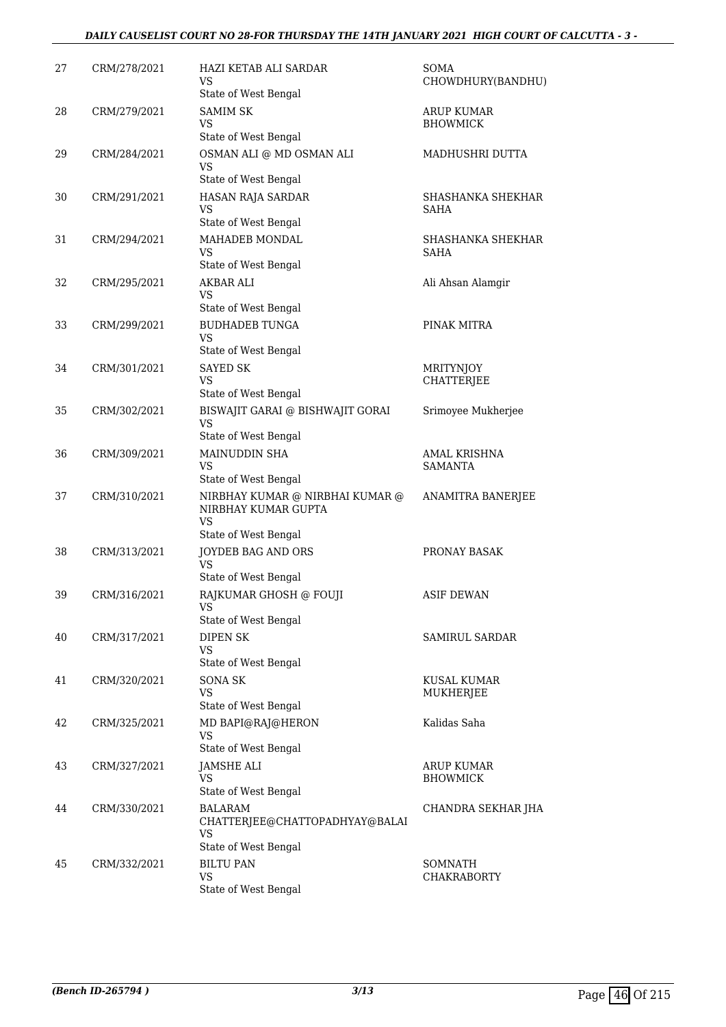#### *DAILY CAUSELIST COURT NO 28-FOR THURSDAY THE 14TH JANUARY 2021 HIGH COURT OF CALCUTTA - 3 -*

| 27 | CRM/278/2021 | HAZI KETAB ALI SARDAR<br>VS<br>State of West Bengal                                   | SOMA<br>CHOWDHURY(BANDHU)             |
|----|--------------|---------------------------------------------------------------------------------------|---------------------------------------|
| 28 | CRM/279/2021 | <b>SAMIM SK</b><br>VS<br>State of West Bengal                                         | <b>ARUP KUMAR</b><br><b>BHOWMICK</b>  |
| 29 | CRM/284/2021 | OSMAN ALI @ MD OSMAN ALI<br><b>VS</b>                                                 | MADHUSHRI DUTTA                       |
| 30 | CRM/291/2021 | State of West Bengal<br>HASAN RAJA SARDAR<br><b>VS</b>                                | SHASHANKA SHEKHAR<br>SAHA             |
| 31 | CRM/294/2021 | State of West Bengal<br><b>MAHADEB MONDAL</b><br>VS<br>State of West Bengal           | SHASHANKA SHEKHAR<br>SAHA             |
| 32 | CRM/295/2021 | <b>AKBAR ALI</b><br>VS                                                                | Ali Ahsan Alamgir                     |
| 33 | CRM/299/2021 | State of West Bengal<br><b>BUDHADEB TUNGA</b><br><b>VS</b>                            | PINAK MITRA                           |
| 34 | CRM/301/2021 | State of West Bengal<br><b>SAYED SK</b><br>VS<br>State of West Bengal                 | <b>MRITYNJOY</b><br><b>CHATTERJEE</b> |
| 35 | CRM/302/2021 | BISWAJIT GARAI @ BISHWAJIT GORAI<br>VS<br>State of West Bengal                        | Srimoyee Mukherjee                    |
| 36 | CRM/309/2021 | MAINUDDIN SHA<br><b>VS</b><br>State of West Bengal                                    | AMAL KRISHNA<br><b>SAMANTA</b>        |
| 37 | CRM/310/2021 | NIRBHAY KUMAR @ NIRBHAI KUMAR @<br>NIRBHAY KUMAR GUPTA<br><b>VS</b>                   | ANAMITRA BANERJEE                     |
| 38 | CRM/313/2021 | State of West Bengal<br>JOYDEB BAG AND ORS<br><b>VS</b>                               | PRONAY BASAK                          |
| 39 | CRM/316/2021 | State of West Bengal<br>RAJKUMAR GHOSH @ FOUJI<br>VS<br>State of West Bengal          | <b>ASIF DEWAN</b>                     |
| 40 | CRM/317/2021 | <b>DIPEN SK</b><br>VS<br>State of West Bengal                                         | SAMIRUL SARDAR                        |
| 41 | CRM/320/2021 | <b>SONA SK</b><br><b>VS</b><br>State of West Bengal                                   | KUSAL KUMAR<br>MUKHERJEE              |
| 42 | CRM/325/2021 | MD BAPI@RAJ@HERON<br>VS<br>State of West Bengal                                       | Kalidas Saha                          |
| 43 | CRM/327/2021 | JAMSHE ALI<br>VS<br>State of West Bengal                                              | <b>ARUP KUMAR</b><br><b>BHOWMICK</b>  |
| 44 | CRM/330/2021 | <b>BALARAM</b><br>CHATTERJEE@CHATTOPADHYAY@BALAI<br><b>VS</b><br>State of West Bengal | CHANDRA SEKHAR JHA                    |
| 45 | CRM/332/2021 | <b>BILTU PAN</b><br>VS<br>State of West Bengal                                        | SOMNATH<br>CHAKRABORTY                |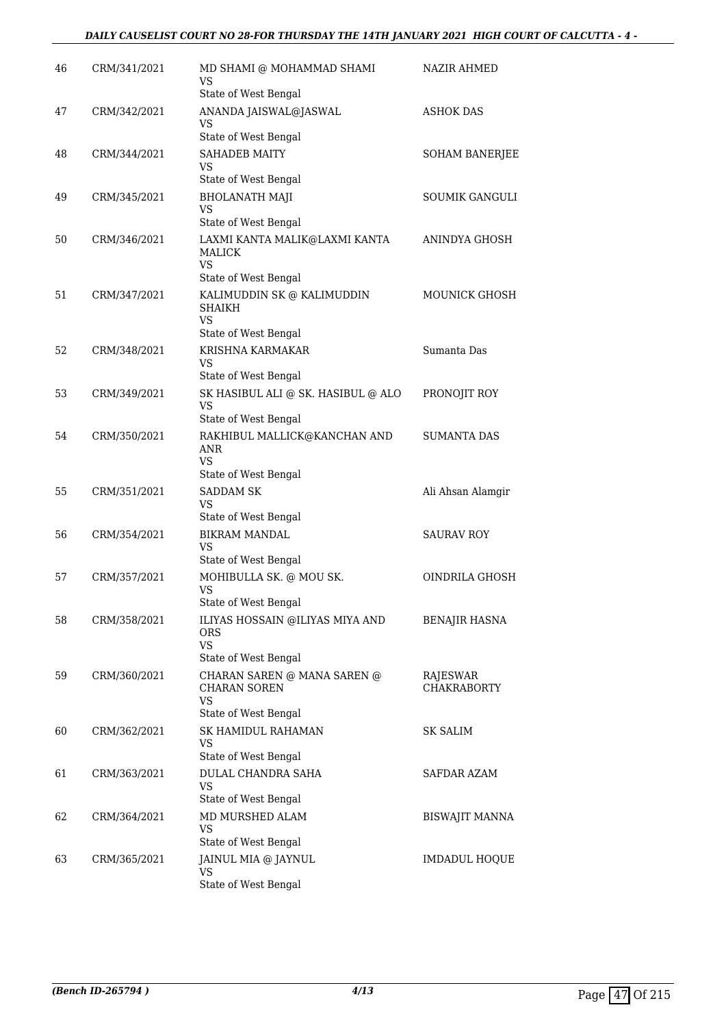#### *DAILY CAUSELIST COURT NO 28-FOR THURSDAY THE 14TH JANUARY 2021 HIGH COURT OF CALCUTTA - 4 -*

| 46 | CRM/341/2021 | MD SHAMI @ MOHAMMAD SHAMI<br>VS<br>State of West Bengal                                               | <b>NAZIR AHMED</b>             |
|----|--------------|-------------------------------------------------------------------------------------------------------|--------------------------------|
| 47 | CRM/342/2021 | ANANDA JAISWAL@JASWAL<br>VS                                                                           | <b>ASHOK DAS</b>               |
|    |              | State of West Bengal                                                                                  |                                |
| 48 | CRM/344/2021 | <b>SAHADEB MAITY</b><br>VS<br>State of West Bengal                                                    | <b>SOHAM BANERJEE</b>          |
| 49 | CRM/345/2021 | <b>BHOLANATH MAJI</b><br>VS                                                                           | <b>SOUMIK GANGULI</b>          |
| 50 | CRM/346/2021 | State of West Bengal<br>LAXMI KANTA MALIK@LAXMI KANTA<br><b>MALICK</b><br>VS.<br>State of West Bengal | ANINDYA GHOSH                  |
| 51 | CRM/347/2021 | KALIMUDDIN SK @ KALIMUDDIN<br>SHAIKH<br>VS<br>State of West Bengal                                    | <b>MOUNICK GHOSH</b>           |
| 52 | CRM/348/2021 | <b>KRISHNA KARMAKAR</b><br>VS<br>State of West Bengal                                                 | Sumanta Das                    |
| 53 | CRM/349/2021 | SK HASIBUL ALI @ SK. HASIBUL @ ALO<br><b>VS</b>                                                       | PRONOJIT ROY                   |
| 54 | CRM/350/2021 | State of West Bengal<br>RAKHIBUL MALLICK@KANCHAN AND<br>ANR<br>VS<br>State of West Bengal             | <b>SUMANTA DAS</b>             |
| 55 | CRM/351/2021 | SADDAM SK<br>VS                                                                                       | Ali Ahsan Alamgir              |
| 56 | CRM/354/2021 | State of West Bengal<br><b>BIKRAM MANDAL</b><br>VS<br>State of West Bengal                            | <b>SAURAV ROY</b>              |
| 57 | CRM/357/2021 | MOHIBULLA SK. @ MOU SK.<br>VS<br>State of West Bengal                                                 | OINDRILA GHOSH                 |
| 58 | CRM/358/2021 | ILIYAS HOSSAIN @ILIYAS MIYA AND<br><b>ORS</b><br><b>VS</b><br>State of West Bengal                    | BENAJIR HASNA                  |
| 59 | CRM/360/2021 | CHARAN SAREN @ MANA SAREN @<br><b>CHARAN SOREN</b><br><b>VS</b><br>State of West Bengal               | RAJESWAR<br><b>CHAKRABORTY</b> |
| 60 | CRM/362/2021 | <b>SK HAMIDUL RAHAMAN</b><br>VS<br>State of West Bengal                                               | <b>SK SALIM</b>                |
| 61 | CRM/363/2021 | DULAL CHANDRA SAHA<br><b>VS</b><br>State of West Bengal                                               | SAFDAR AZAM                    |
| 62 | CRM/364/2021 | MD MURSHED ALAM<br><b>VS</b><br>State of West Bengal                                                  | BISWAJIT MANNA                 |
| 63 | CRM/365/2021 | JAINUL MIA @ JAYNUL<br>VS<br>State of West Bengal                                                     | IMDADUL HOQUE                  |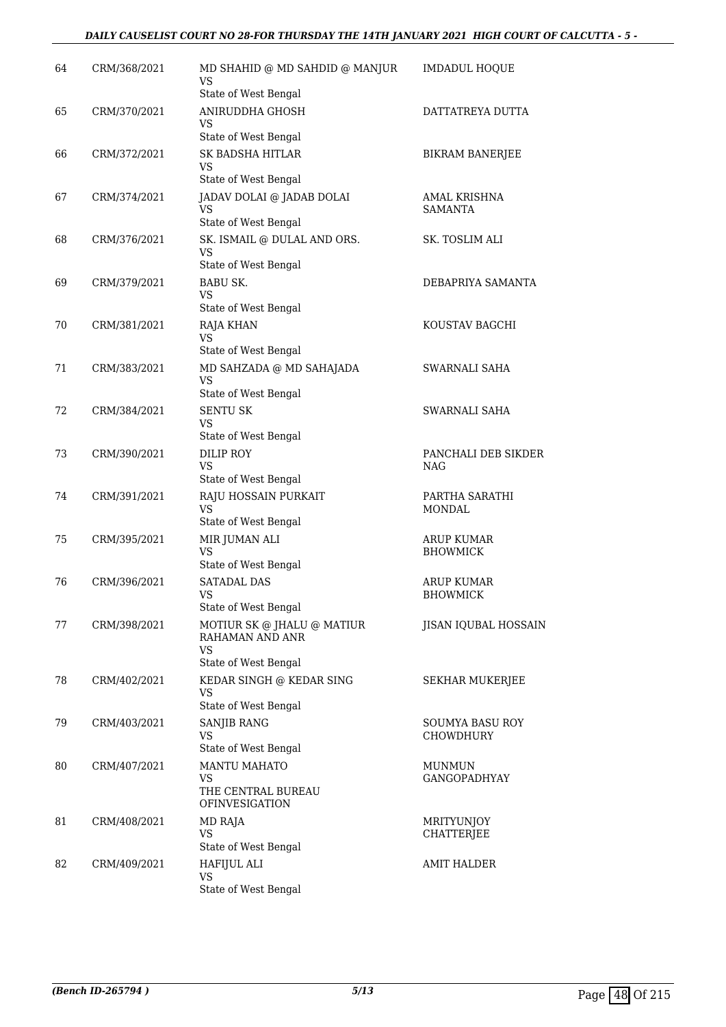#### *DAILY CAUSELIST COURT NO 28-FOR THURSDAY THE 14TH JANUARY 2021 HIGH COURT OF CALCUTTA - 5 -*

| 64 | CRM/368/2021 | MD SHAHID @ MD SAHDID @ MANJUR<br>VS.                         | <b>IMDADUL HOQUE</b>                 |
|----|--------------|---------------------------------------------------------------|--------------------------------------|
| 65 | CRM/370/2021 | State of West Bengal<br>ANIRUDDHA GHOSH<br>VS                 | DATTATREYA DUTTA                     |
|    |              | State of West Bengal                                          |                                      |
| 66 | CRM/372/2021 | SK BADSHA HITLAR<br>VS                                        | BIKRAM BANERJEE                      |
| 67 | CRM/374/2021 | State of West Bengal<br>JADAV DOLAI @ JADAB DOLAI             | <b>AMAL KRISHNA</b>                  |
|    |              | VS<br>State of West Bengal                                    | <b>SAMANTA</b>                       |
| 68 | CRM/376/2021 | SK. ISMAIL @ DULAL AND ORS.<br><b>VS</b>                      | SK. TOSLIM ALI                       |
|    |              | State of West Bengal                                          |                                      |
| 69 | CRM/379/2021 | <b>BABU SK.</b><br>VS                                         | DEBAPRIYA SAMANTA                    |
|    |              | State of West Bengal                                          |                                      |
| 70 | CRM/381/2021 | <b>RAJA KHAN</b><br><b>VS</b>                                 | KOUSTAV BAGCHI                       |
|    |              | State of West Bengal                                          |                                      |
| 71 | CRM/383/2021 | MD SAHZADA @ MD SAHAJADA<br><b>VS</b><br>State of West Bengal | SWARNALI SAHA                        |
| 72 | CRM/384/2021 | <b>SENTU SK</b>                                               | SWARNALI SAHA                        |
|    |              | VS<br>State of West Bengal                                    |                                      |
| 73 | CRM/390/2021 | <b>DILIP ROY</b><br>VS                                        | PANCHALI DEB SIKDER<br>NAG           |
|    |              | State of West Bengal                                          |                                      |
| 74 | CRM/391/2021 | RAJU HOSSAIN PURKAIT<br>VS                                    | PARTHA SARATHI<br>MONDAL             |
|    |              | State of West Bengal                                          |                                      |
| 75 | CRM/395/2021 | MIR JUMAN ALI<br><b>VS</b><br>State of West Bengal            | <b>ARUP KUMAR</b><br><b>BHOWMICK</b> |
| 76 | CRM/396/2021 | <b>SATADAL DAS</b>                                            | <b>ARUP KUMAR</b>                    |
|    |              | <b>VS</b>                                                     | <b>BHOWMICK</b>                      |
|    |              | State of West Bengal                                          |                                      |
| 77 | CRM/398/2021 | MOTIUR SK @ JHALU @ MATIUR<br>RAHAMAN AND ANR<br>VS           | JISAN IQUBAL HOSSAIN                 |
|    |              | State of West Bengal                                          |                                      |
| 78 | CRM/402/2021 | KEDAR SINGH @ KEDAR SING<br>VS                                | SEKHAR MUKERJEE                      |
|    |              | State of West Bengal                                          |                                      |
| 79 | CRM/403/2021 | <b>SANJIB RANG</b><br>VS<br>State of West Bengal              | <b>SOUMYA BASU ROY</b><br>CHOWDHURY  |
| 80 | CRM/407/2021 | <b>MANTU MAHATO</b>                                           | <b>MUNMUN</b>                        |
|    |              | VS<br>THE CENTRAL BUREAU<br><b>OFINVESIGATION</b>             | <b>GANGOPADHYAY</b>                  |
| 81 | CRM/408/2021 | MD RAJA                                                       | <b>MRITYUNJOY</b>                    |
|    |              | <b>VS</b><br>State of West Bengal                             | <b>CHATTERJEE</b>                    |
| 82 | CRM/409/2021 | <b>HAFIJUL ALI</b>                                            | <b>AMIT HALDER</b>                   |
|    |              | VS.<br>State of West Bengal                                   |                                      |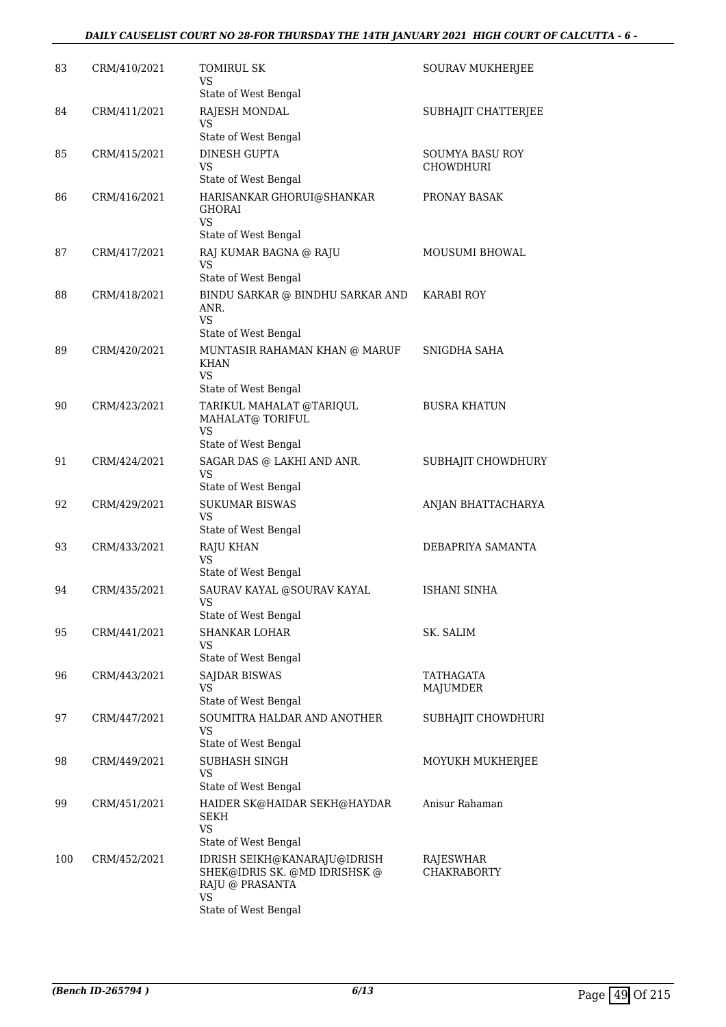#### *DAILY CAUSELIST COURT NO 28-FOR THURSDAY THE 14TH JANUARY 2021 HIGH COURT OF CALCUTTA - 6 -*

| 83  | CRM/410/2021 | TOMIRUL SK<br>VS<br>State of West Bengal                                               | <b>SOURAV MUKHERJEE</b>             |
|-----|--------------|----------------------------------------------------------------------------------------|-------------------------------------|
| 84  | CRM/411/2021 | RAJESH MONDAL<br>VS                                                                    | SUBHAJIT CHATTERJEE                 |
|     |              | State of West Bengal                                                                   |                                     |
| 85  | CRM/415/2021 | DINESH GUPTA<br>VS                                                                     | SOUMYA BASU ROY<br><b>CHOWDHURI</b> |
| 86  | CRM/416/2021 | State of West Bengal<br>HARISANKAR GHORUI@SHANKAR<br><b>GHORAI</b><br>VS               | PRONAY BASAK                        |
| 87  | CRM/417/2021 | State of West Bengal<br>RAJ KUMAR BAGNA @ RAJU<br><b>VS</b>                            | <b>MOUSUMI BHOWAL</b>               |
| 88  | CRM/418/2021 | State of West Bengal<br>BINDU SARKAR @ BINDHU SARKAR AND<br>ANR.<br>VS                 | <b>KARABI ROY</b>                   |
|     |              | State of West Bengal                                                                   |                                     |
| 89  | CRM/420/2021 | MUNTASIR RAHAMAN KHAN @ MARUF<br><b>KHAN</b><br>VS                                     | SNIGDHA SAHA                        |
|     |              | State of West Bengal                                                                   |                                     |
| 90  | CRM/423/2021 | TARIKUL MAHALAT @TARIQUL<br>MAHALAT@ TORIFUL<br>VS                                     | <b>BUSRA KHATUN</b>                 |
|     |              | State of West Bengal                                                                   |                                     |
| 91  | CRM/424/2021 | SAGAR DAS @ LAKHI AND ANR.<br><b>VS</b>                                                | SUBHAJIT CHOWDHURY                  |
| 92  | CRM/429/2021 | State of West Bengal<br><b>SUKUMAR BISWAS</b><br>VS                                    | ANJAN BHATTACHARYA                  |
|     |              | State of West Bengal                                                                   |                                     |
| 93  | CRM/433/2021 | <b>RAJU KHAN</b><br>VS<br>State of West Bengal                                         | DEBAPRIYA SAMANTA                   |
| 94  | CRM/435/2021 | SAURAV KAYAL @SOURAV KAYAL<br>VS.<br>State of West Bengal                              | ISHANI SINHA                        |
| 95  |              | <b>SHANKAR LOHAR</b>                                                                   | SK. SALIM                           |
|     | CRM/441/2021 | VS<br>State of West Bengal                                                             |                                     |
| 96  | CRM/443/2021 | SAJDAR BISWAS                                                                          | TATHAGATA                           |
|     |              | VS<br>State of West Bengal                                                             | MAJUMDER                            |
| 97  | CRM/447/2021 | SOUMITRA HALDAR AND ANOTHER<br><b>VS</b><br>State of West Bengal                       | SUBHAJIT CHOWDHURI                  |
| 98  | CRM/449/2021 | SUBHASH SINGH<br><b>VS</b>                                                             | MOYUKH MUKHERJEE                    |
|     |              | State of West Bengal                                                                   |                                     |
| 99  | CRM/451/2021 | HAIDER SK@HAIDAR SEKH@HAYDAR<br><b>SEKH</b><br>VS                                      | Anisur Rahaman                      |
|     |              | State of West Bengal                                                                   |                                     |
| 100 | CRM/452/2021 | IDRISH SEIKH@KANARAJU@IDRISH<br>SHEK@IDRIS SK. @MD IDRISHSK @<br>RAJU @ PRASANTA<br>VS | RAJESWHAR<br><b>CHAKRABORTY</b>     |
|     |              | State of West Bengal                                                                   |                                     |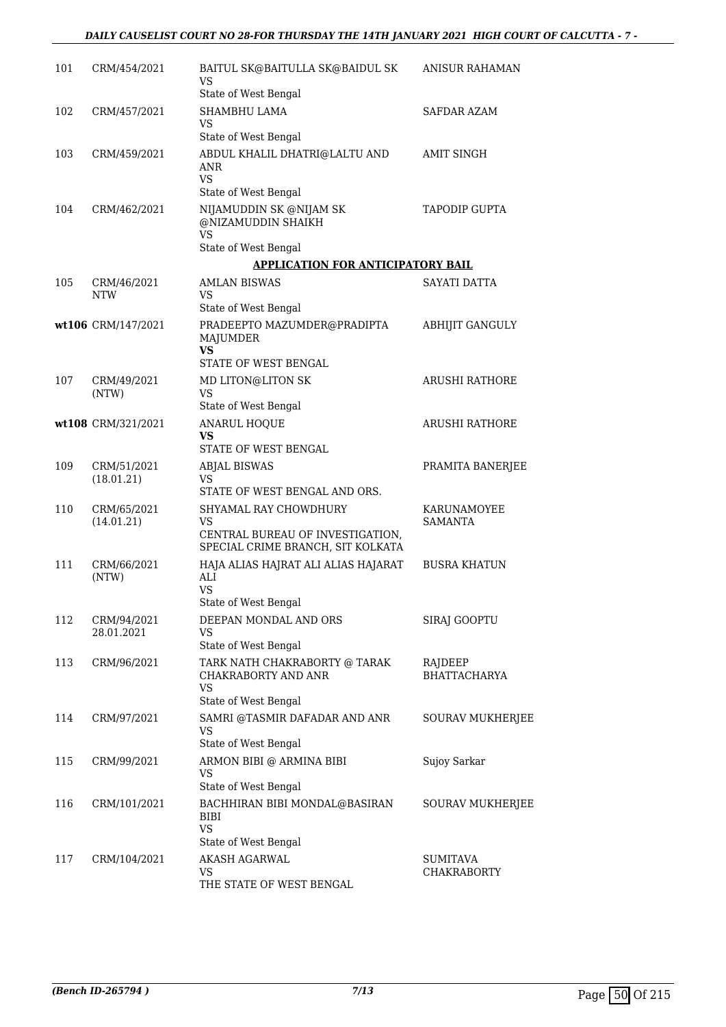#### *DAILY CAUSELIST COURT NO 28-FOR THURSDAY THE 14TH JANUARY 2021 HIGH COURT OF CALCUTTA - 7 -*

| 101 | CRM/454/2021              | BAITUL SK@BAITULLA SK@BAIDUL SK<br>VS                                                     | <b>ANISUR RAHAMAN</b>          |
|-----|---------------------------|-------------------------------------------------------------------------------------------|--------------------------------|
|     |                           | State of West Bengal                                                                      |                                |
| 102 | CRM/457/2021              | SHAMBHU LAMA<br>VS.                                                                       | <b>SAFDAR AZAM</b>             |
|     |                           | State of West Bengal                                                                      |                                |
| 103 | CRM/459/2021              | ABDUL KHALIL DHATRI@LALTU AND<br>ANR<br><b>VS</b>                                         | <b>AMIT SINGH</b>              |
|     |                           | State of West Bengal                                                                      |                                |
| 104 | CRM/462/2021              | NIJAMUDDIN SK @NIJAM SK<br>@NIZAMUDDIN SHAIKH<br><b>VS</b>                                | <b>TAPODIP GUPTA</b>           |
|     |                           | State of West Bengal                                                                      |                                |
|     |                           | <b>APPLICATION FOR ANTICIPATORY BAIL</b>                                                  |                                |
| 105 | CRM/46/2021<br><b>NTW</b> | <b>AMLAN BISWAS</b><br>VS.                                                                | SAYATI DATTA                   |
|     |                           | State of West Bengal                                                                      |                                |
|     | wt106 CRM/147/2021        | PRADEEPTO MAZUMDER@PRADIPTA<br>MAJUMDER<br><b>VS</b>                                      | <b>ABHIJIT GANGULY</b>         |
|     |                           | STATE OF WEST BENGAL                                                                      |                                |
| 107 | CRM/49/2021               | MD LITON@LITON SK                                                                         | <b>ARUSHI RATHORE</b>          |
|     | (NTW)                     | <b>VS</b><br>State of West Bengal                                                         |                                |
|     | wt108 CRM/321/2021        | <b>ANARUL HOQUE</b>                                                                       | <b>ARUSHI RATHORE</b>          |
|     |                           | VS<br>STATE OF WEST BENGAL                                                                |                                |
| 109 | CRM/51/2021               | <b>ABJAL BISWAS</b>                                                                       | PRAMITA BANERJEE               |
|     | (18.01.21)                | VS.<br>STATE OF WEST BENGAL AND ORS.                                                      |                                |
| 110 | CRM/65/2021<br>(14.01.21) | SHYAMAL RAY CHOWDHURY<br><b>VS</b>                                                        | KARUNAMOYEE<br>SAMANTA         |
|     |                           | CENTRAL BUREAU OF INVESTIGATION,<br>SPECIAL CRIME BRANCH, SIT KOLKATA                     |                                |
| 111 | CRM/66/2021<br>(NTW)      | HAJA ALIAS HAJRAT ALI ALIAS HAJARAT<br>ALI<br>VS.                                         | <b>BUSRA KHATUN</b>            |
|     |                           | State of West Bengal                                                                      |                                |
| 112 | CRM/94/2021<br>28.01.2021 | DEEPAN MONDAL AND ORS<br>VS                                                               | SIRAJ GOOPTU                   |
|     |                           | State of West Bengal                                                                      |                                |
| 113 | CRM/96/2021               | TARK NATH CHAKRABORTY @ TARAK<br><b>CHAKRABORTY AND ANR</b><br>VS<br>State of West Bengal | RAJDEEP<br><b>BHATTACHARYA</b> |
| 114 | CRM/97/2021               | SAMRI @TASMIR DAFADAR AND ANR                                                             | <b>SOURAV MUKHERJEE</b>        |
|     |                           | <b>VS</b>                                                                                 |                                |
|     |                           | State of West Bengal                                                                      |                                |
| 115 | CRM/99/2021               | ARMON BIBI @ ARMINA BIBI<br><b>VS</b><br>State of West Bengal                             | Sujoy Sarkar                   |
| 116 | CRM/101/2021              | BACHHIRAN BIBI MONDAL@BASIRAN<br><b>BIBI</b><br><b>VS</b><br>State of West Bengal         | <b>SOURAV MUKHERJEE</b>        |
| 117 | CRM/104/2021              | <b>AKASH AGARWAL</b>                                                                      | <b>SUMITAVA</b>                |
|     |                           | VS                                                                                        | <b>CHAKRABORTY</b>             |
|     |                           | THE STATE OF WEST BENGAL                                                                  |                                |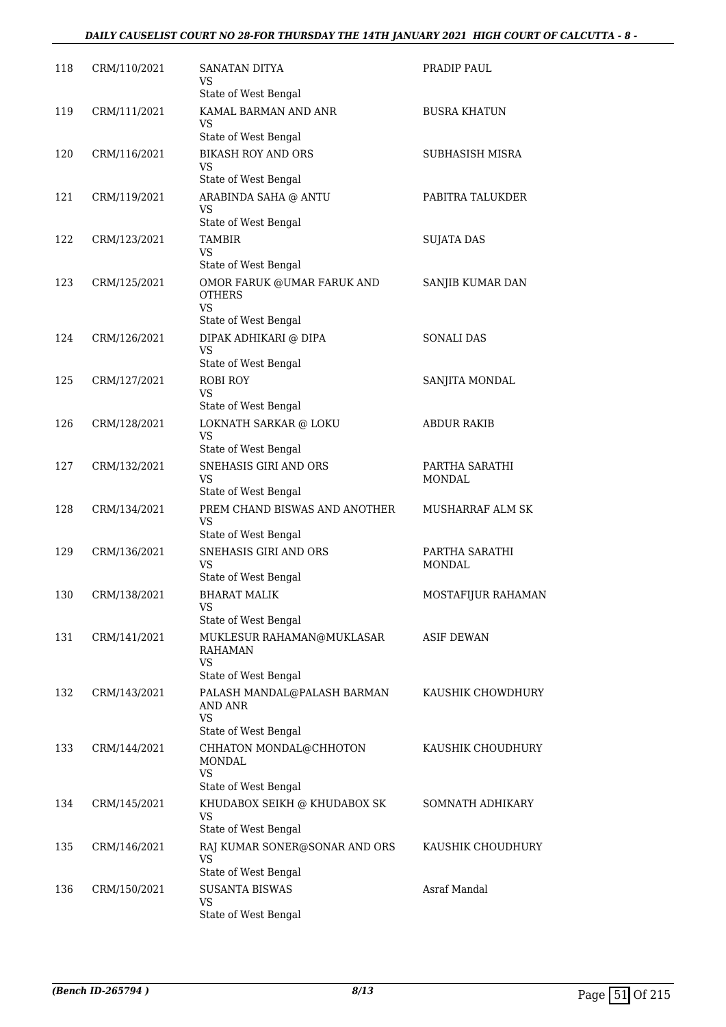#### *DAILY CAUSELIST COURT NO 28-FOR THURSDAY THE 14TH JANUARY 2021 HIGH COURT OF CALCUTTA - 8 -*

| 118 | CRM/110/2021 | SANATAN DITYA<br>VS<br>State of West Bengal                | PRADIP PAUL              |
|-----|--------------|------------------------------------------------------------|--------------------------|
| 119 | CRM/111/2021 | KAMAL BARMAN AND ANR<br>VS                                 | <b>BUSRA KHATUN</b>      |
| 120 | CRM/116/2021 | State of West Bengal<br><b>BIKASH ROY AND ORS</b>          | SUBHASISH MISRA          |
|     |              | VS<br>State of West Bengal                                 |                          |
| 121 | CRM/119/2021 | ARABINDA SAHA @ ANTU<br>VS                                 | PABITRA TALUKDER         |
| 122 | CRM/123/2021 | State of West Bengal<br><b>TAMBIR</b>                      | <b>SUJATA DAS</b>        |
|     |              | VS<br>State of West Bengal                                 |                          |
| 123 | CRM/125/2021 | OMOR FARUK @UMAR FARUK AND<br><b>OTHERS</b><br>VS.         | SANJIB KUMAR DAN         |
|     |              | State of West Bengal                                       |                          |
| 124 | CRM/126/2021 | DIPAK ADHIKARI @ DIPA<br>VS<br>State of West Bengal        | <b>SONALI DAS</b>        |
| 125 | CRM/127/2021 | <b>ROBI ROY</b>                                            | SANJITA MONDAL           |
|     |              | VS                                                         |                          |
|     |              | State of West Bengal                                       |                          |
| 126 | CRM/128/2021 | LOKNATH SARKAR @ LOKU<br>VS<br>State of West Bengal        | <b>ABDUR RAKIB</b>       |
| 127 | CRM/132/2021 | SNEHASIS GIRI AND ORS<br>VS<br>State of West Bengal        | PARTHA SARATHI<br>MONDAL |
| 128 | CRM/134/2021 | PREM CHAND BISWAS AND ANOTHER<br>VS                        | <b>MUSHARRAF ALM SK</b>  |
|     |              | State of West Bengal                                       |                          |
| 129 | CRM/136/2021 | SNEHASIS GIRI AND ORS<br><b>VS</b><br>State of West Bengal | PARTHA SARATHI<br>MONDAL |
| 130 | CRM/138/2021 | <b>BHARAT MALIK</b>                                        | MOSTAFIJUR RAHAMAN       |
|     |              | <b>VS</b><br>State of West Bengal                          |                          |
| 131 | CRM/141/2021 | MUKLESUR RAHAMAN@MUKLASAR<br>RAHAMAN<br>VS                 | <b>ASIF DEWAN</b>        |
|     |              | State of West Bengal                                       |                          |
| 132 | CRM/143/2021 | PALASH MANDAL@PALASH BARMAN<br><b>AND ANR</b><br><b>VS</b> | KAUSHIK CHOWDHURY        |
|     |              | State of West Bengal                                       |                          |
| 133 | CRM/144/2021 | CHHATON MONDAL@CHHOTON<br>MONDAL<br><b>VS</b>              | KAUSHIK CHOUDHURY        |
|     |              | State of West Bengal                                       |                          |
| 134 | CRM/145/2021 | KHUDABOX SEIKH @ KHUDABOX SK<br>VS<br>State of West Bengal | SOMNATH ADHIKARY         |
| 135 | CRM/146/2021 | RAJ KUMAR SONER@SONAR AND ORS<br>VS                        | KAUSHIK CHOUDHURY        |
|     |              | State of West Bengal                                       |                          |
| 136 | CRM/150/2021 | <b>SUSANTA BISWAS</b><br><b>VS</b><br>State of West Bengal | Asraf Mandal             |
|     |              |                                                            |                          |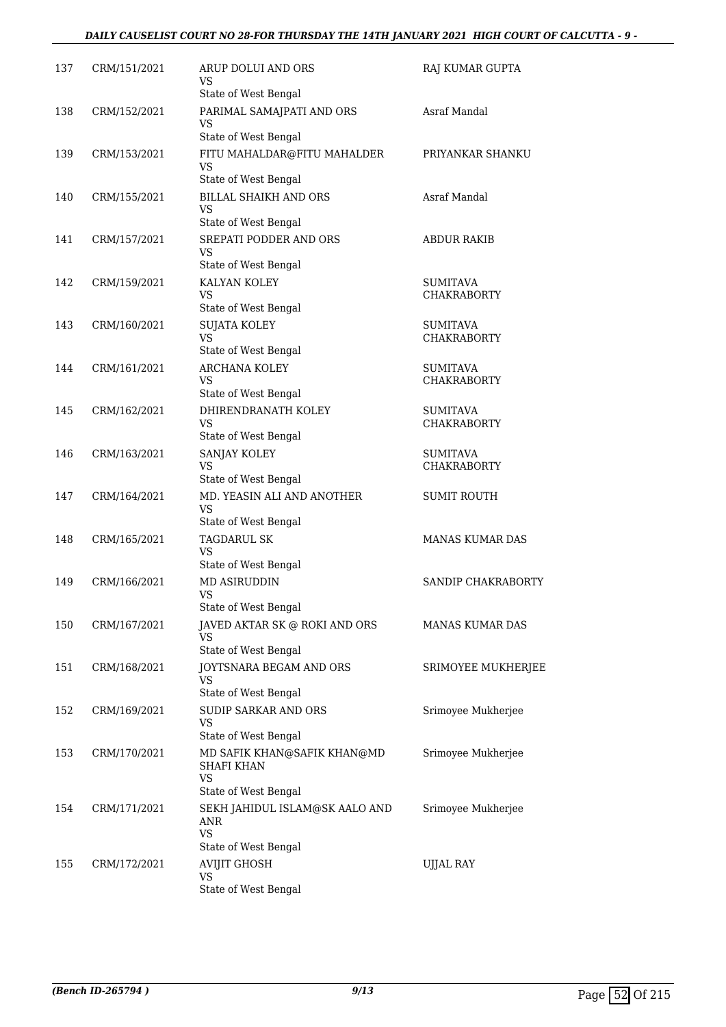#### *DAILY CAUSELIST COURT NO 28-FOR THURSDAY THE 14TH JANUARY 2021 HIGH COURT OF CALCUTTA - 9 -*

| 137 | CRM/151/2021 | ARUP DOLUI AND ORS<br>VS<br>State of West Bengal                           | RAJ KUMAR GUPTA                       |
|-----|--------------|----------------------------------------------------------------------------|---------------------------------------|
| 138 | CRM/152/2021 | PARIMAL SAMAJPATI AND ORS<br>VS                                            | Asraf Mandal                          |
|     |              | State of West Bengal                                                       |                                       |
| 139 | CRM/153/2021 | FITU MAHALDAR@FITU MAHALDER<br>VS                                          | PRIYANKAR SHANKU                      |
|     |              | State of West Bengal                                                       |                                       |
| 140 | CRM/155/2021 | <b>BILLAL SHAIKH AND ORS</b><br>VS                                         | Asraf Mandal                          |
|     |              | State of West Bengal                                                       |                                       |
| 141 | CRM/157/2021 | <b>SREPATI PODDER AND ORS</b><br>VS.<br>State of West Bengal               | <b>ABDUR RAKIB</b>                    |
| 142 | CRM/159/2021 | KALYAN KOLEY                                                               | <b>SUMITAVA</b>                       |
|     |              | VS.                                                                        | <b>CHAKRABORTY</b>                    |
|     |              | State of West Bengal                                                       |                                       |
| 143 | CRM/160/2021 | <b>SUJATA KOLEY</b><br><b>VS</b>                                           | SUMITAVA<br><b>CHAKRABORTY</b>        |
|     |              | State of West Bengal                                                       |                                       |
| 144 | CRM/161/2021 | <b>ARCHANA KOLEY</b>                                                       | <b>SUMITAVA</b>                       |
|     |              | VS                                                                         | <b>CHAKRABORTY</b>                    |
|     |              | State of West Bengal                                                       |                                       |
| 145 | CRM/162/2021 | DHIRENDRANATH KOLEY<br>VS                                                  | <b>SUMITAVA</b><br><b>CHAKRABORTY</b> |
|     |              | State of West Bengal                                                       |                                       |
| 146 | CRM/163/2021 | SANJAY KOLEY                                                               | <b>SUMITAVA</b>                       |
|     |              | <b>VS</b><br>State of West Bengal                                          | <b>CHAKRABORTY</b>                    |
| 147 | CRM/164/2021 | MD. YEASIN ALI AND ANOTHER                                                 | <b>SUMIT ROUTH</b>                    |
|     |              | <b>VS</b>                                                                  |                                       |
|     |              | State of West Bengal                                                       |                                       |
| 148 | CRM/165/2021 | <b>TAGDARUL SK</b><br>VS<br>State of West Bengal                           | MANAS KUMAR DAS                       |
| 149 | CRM/166/2021 | <b>MD ASIRUDDIN</b>                                                        | SANDIP CHAKRABORTY                    |
|     |              | VS                                                                         |                                       |
|     |              | State of West Bengal                                                       |                                       |
| 150 | CRM/167/2021 | JAVED AKTAR SK @ ROKI AND ORS<br>VS                                        | MANAS KUMAR DAS                       |
|     |              | State of West Bengal                                                       |                                       |
| 151 | CRM/168/2021 | JOYTSNARA BEGAM AND ORS<br>VS                                              | SRIMOYEE MUKHERJEE                    |
|     |              | State of West Bengal                                                       |                                       |
| 152 | CRM/169/2021 | <b>SUDIP SARKAR AND ORS</b><br>VS                                          | Srimoyee Mukherjee                    |
|     |              | State of West Bengal                                                       |                                       |
| 153 | CRM/170/2021 | MD SAFIK KHAN@SAFIK KHAN@MD<br><b>SHAFI KHAN</b><br>VS                     | Srimoyee Mukherjee                    |
|     |              | State of West Bengal                                                       |                                       |
| 154 | CRM/171/2021 | SEKH JAHIDUL ISLAM@SK AALO AND<br>ANR<br><b>VS</b><br>State of West Bengal | Srimoyee Mukherjee                    |
| 155 | CRM/172/2021 | AVIJIT GHOSH                                                               | UJJAL RAY                             |
|     |              | VS                                                                         |                                       |
|     |              | State of West Bengal                                                       |                                       |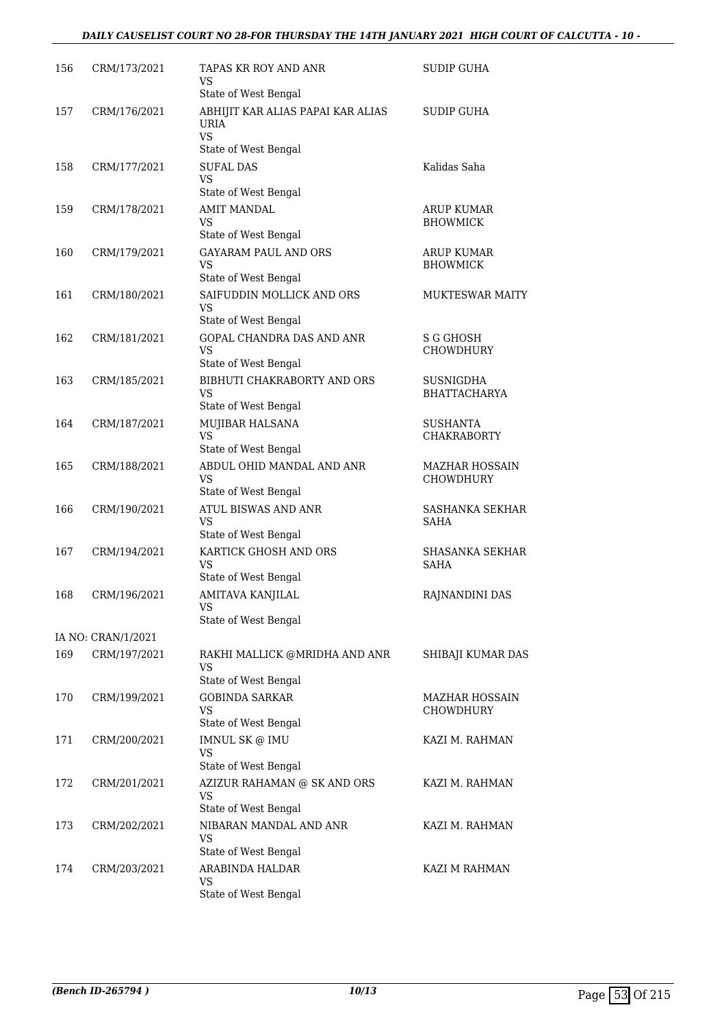| 156 | CRM/173/2021       | TAPAS KR ROY AND ANR<br>VS                              | <b>SUDIP GUHA</b>                         |
|-----|--------------------|---------------------------------------------------------|-------------------------------------------|
|     |                    | State of West Bengal                                    |                                           |
| 157 | CRM/176/2021       | ABHIJIT KAR ALIAS PAPAI KAR ALIAS<br>URIA<br><b>VS</b>  | <b>SUDIP GUHA</b>                         |
|     |                    | State of West Bengal                                    |                                           |
| 158 | CRM/177/2021       | <b>SUFAL DAS</b><br>VS                                  | Kalidas Saha                              |
|     |                    | State of West Bengal                                    |                                           |
| 159 | CRM/178/2021       | <b>AMIT MANDAL</b><br><b>VS</b><br>State of West Bengal | <b>ARUP KUMAR</b><br><b>BHOWMICK</b>      |
| 160 | CRM/179/2021       | <b>GAYARAM PAUL AND ORS</b>                             | <b>ARUP KUMAR</b>                         |
|     |                    | VS<br>State of West Bengal                              | <b>BHOWMICK</b>                           |
| 161 | CRM/180/2021       | SAIFUDDIN MOLLICK AND ORS                               | <b>MUKTESWAR MAITY</b>                    |
|     |                    | <b>VS</b><br>State of West Bengal                       |                                           |
| 162 | CRM/181/2021       | GOPAL CHANDRA DAS AND ANR                               | S G GHOSH                                 |
|     |                    | <b>VS</b>                                               | <b>CHOWDHURY</b>                          |
|     |                    | State of West Bengal                                    |                                           |
| 163 | CRM/185/2021       | BIBHUTI CHAKRABORTY AND ORS                             | <b>SUSNIGDHA</b>                          |
|     |                    | <b>VS</b><br>State of West Bengal                       | <b>BHATTACHARYA</b>                       |
| 164 | CRM/187/2021       | MUJIBAR HALSANA                                         | <b>SUSHANTA</b>                           |
|     |                    | <b>VS</b><br>State of West Bengal                       | <b>CHAKRABORTY</b>                        |
| 165 | CRM/188/2021       | ABDUL OHID MANDAL AND ANR                               | <b>MAZHAR HOSSAIN</b>                     |
|     |                    | VS<br>State of West Bengal                              | <b>CHOWDHURY</b>                          |
| 166 | CRM/190/2021       | ATUL BISWAS AND ANR                                     | <b>SASHANKA SEKHAR</b>                    |
|     |                    | <b>VS</b>                                               | SAHA                                      |
|     |                    | State of West Bengal                                    |                                           |
| 167 | CRM/194/2021       | KARTICK GHOSH AND ORS<br><b>VS</b>                      | <b>SHASANKA SEKHAR</b><br><b>SAHA</b>     |
|     |                    | State of West Bengal                                    |                                           |
| 168 | CRM/196/2021       | AMITAVA KANJILAL<br>VS<br>State of West Bengal          | RAJNANDINI DAS                            |
|     | IA NO: CRAN/1/2021 |                                                         |                                           |
|     |                    |                                                         |                                           |
| 169 | CRM/197/2021       | RAKHI MALLICK @MRIDHA AND ANR<br>VS                     | SHIBAJI KUMAR DAS                         |
|     |                    | State of West Bengal                                    |                                           |
| 170 | CRM/199/2021       | <b>GOBINDA SARKAR</b><br><b>VS</b>                      | <b>MAZHAR HOSSAIN</b><br><b>CHOWDHURY</b> |
|     |                    | State of West Bengal                                    |                                           |
| 171 | CRM/200/2021       | <b>IMNUL SK @ IMU</b><br>VS                             | KAZI M. RAHMAN                            |
|     |                    | State of West Bengal                                    |                                           |
| 172 | CRM/201/2021       | AZIZUR RAHAMAN @ SK AND ORS<br><b>VS</b>                | KAZI M. RAHMAN                            |
|     |                    | State of West Bengal                                    |                                           |
| 173 | CRM/202/2021       | NIBARAN MANDAL AND ANR<br>VS                            | KAZI M. RAHMAN                            |
|     |                    | State of West Bengal                                    |                                           |
| 174 | CRM/203/2021       | ARABINDA HALDAR<br>VS                                   | KAZI M RAHMAN                             |
|     |                    | State of West Bengal                                    |                                           |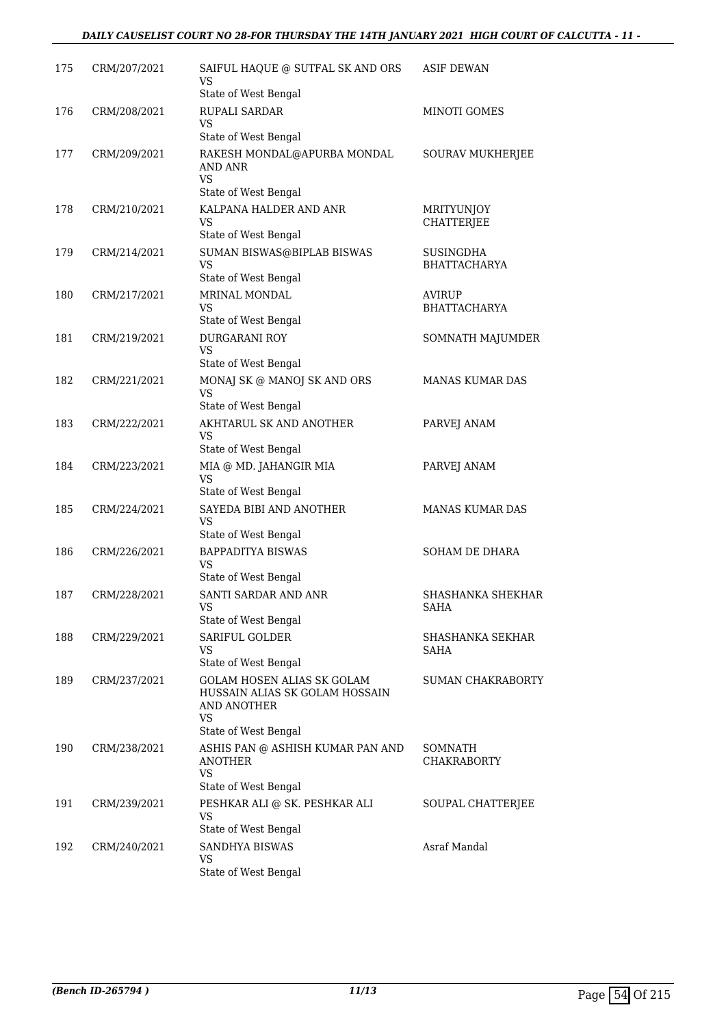#### *DAILY CAUSELIST COURT NO 28-FOR THURSDAY THE 14TH JANUARY 2021 HIGH COURT OF CALCUTTA - 11 -*

| 175 | CRM/207/2021 | SAIFUL HAQUE @ SUTFAL SK AND ORS<br>VS<br>State of West Bengal                                                   | ASIF DEWAN                              |
|-----|--------------|------------------------------------------------------------------------------------------------------------------|-----------------------------------------|
| 176 | CRM/208/2021 | RUPALI SARDAR<br>VS                                                                                              | <b>MINOTI GOMES</b>                     |
| 177 | CRM/209/2021 | State of West Bengal<br>RAKESH MONDAL@APURBA MONDAL<br>AND ANR<br>VS                                             | SOURAV MUKHERJEE                        |
| 178 | CRM/210/2021 | State of West Bengal<br>KALPANA HALDER AND ANR<br>VS.<br>State of West Bengal                                    | MRITYUNJOY<br><b>CHATTERJEE</b>         |
| 179 | CRM/214/2021 | SUMAN BISWAS@BIPLAB BISWAS<br>VS<br>State of West Bengal                                                         | <b>SUSINGDHA</b><br><b>BHATTACHARYA</b> |
| 180 | CRM/217/2021 | MRINAL MONDAL<br><b>VS</b><br>State of West Bengal                                                               | AVIRUP<br><b>BHATTACHARYA</b>           |
| 181 | CRM/219/2021 | <b>DURGARANI ROY</b><br>VS<br>State of West Bengal                                                               | SOMNATH MAJUMDER                        |
| 182 | CRM/221/2021 | MONAJ SK @ MANOJ SK AND ORS<br><b>VS</b><br>State of West Bengal                                                 | MANAS KUMAR DAS                         |
| 183 | CRM/222/2021 | AKHTARUL SK AND ANOTHER<br>VS<br>State of West Bengal                                                            | PARVEJ ANAM                             |
| 184 | CRM/223/2021 | MIA @ MD. JAHANGIR MIA<br>VS<br>State of West Bengal                                                             | PARVEJ ANAM                             |
| 185 | CRM/224/2021 | SAYEDA BIBI AND ANOTHER<br>VS<br>State of West Bengal                                                            | <b>MANAS KUMAR DAS</b>                  |
| 186 | CRM/226/2021 | <b>BAPPADITYA BISWAS</b><br>VS<br>State of West Bengal                                                           | SOHAM DE DHARA                          |
| 187 | CRM/228/2021 | SANTI SARDAR AND ANR<br>VS<br>State of West Bengal                                                               | <b>SHASHANKA SHEKHAR</b><br><b>SAHA</b> |
| 188 | CRM/229/2021 | <b>SARIFUL GOLDER</b><br>VS<br>State of West Bengal                                                              | SHASHANKA SEKHAR<br>SAHA                |
| 189 | CRM/237/2021 | <b>GOLAM HOSEN ALIAS SK GOLAM</b><br>HUSSAIN ALIAS SK GOLAM HOSSAIN<br>AND ANOTHER<br>VS<br>State of West Bengal | <b>SUMAN CHAKRABORTY</b>                |
| 190 | CRM/238/2021 | ASHIS PAN @ ASHISH KUMAR PAN AND<br><b>ANOTHER</b><br>VS                                                         | SOMNATH<br><b>CHAKRABORTY</b>           |
| 191 | CRM/239/2021 | State of West Bengal<br>PESHKAR ALI @ SK. PESHKAR ALI<br><b>VS</b>                                               | SOUPAL CHATTERJEE                       |
| 192 | CRM/240/2021 | State of West Bengal<br>SANDHYA BISWAS<br>VS<br>State of West Bengal                                             | Asraf Mandal                            |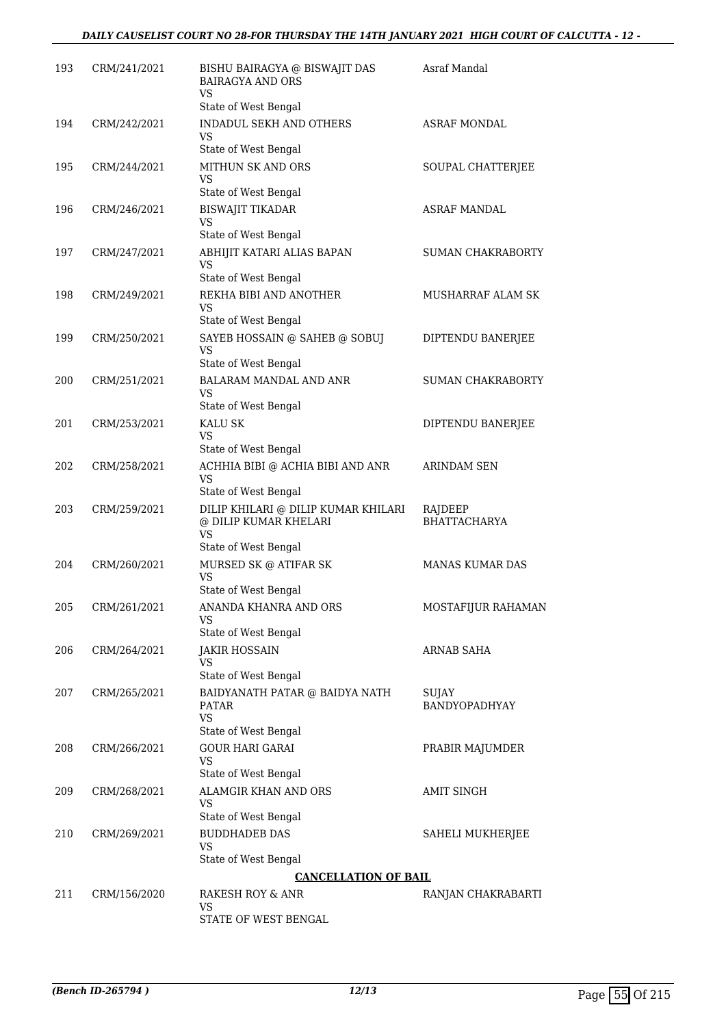| 193 | CRM/241/2021 | BISHU BAIRAGYA @ BISWAJIT DAS<br><b>BAIRAGYA AND ORS</b><br><b>VS</b>                      | Asraf Mandal                   |
|-----|--------------|--------------------------------------------------------------------------------------------|--------------------------------|
|     |              | State of West Bengal                                                                       |                                |
| 194 | CRM/242/2021 | <b>INDADUL SEKH AND OTHERS</b><br><b>VS</b>                                                | <b>ASRAF MONDAL</b>            |
|     |              | State of West Bengal                                                                       |                                |
| 195 | CRM/244/2021 | MITHUN SK AND ORS<br><b>VS</b>                                                             | SOUPAL CHATTERJEE              |
|     |              | State of West Bengal                                                                       |                                |
| 196 | CRM/246/2021 | <b>BISWAJIT TIKADAR</b><br>VS                                                              | <b>ASRAF MANDAL</b>            |
| 197 | CRM/247/2021 | State of West Bengal<br>ABHIJIT KATARI ALIAS BAPAN                                         | SUMAN CHAKRABORTY              |
|     |              | VS<br>State of West Bengal                                                                 |                                |
| 198 | CRM/249/2021 | REKHA BIBI AND ANOTHER                                                                     | MUSHARRAF ALAM SK              |
|     |              | VS<br>State of West Bengal                                                                 |                                |
| 199 | CRM/250/2021 | SAYEB HOSSAIN @ SAHEB @ SOBUJ                                                              | DIPTENDU BANERJEE              |
|     |              | <b>VS</b><br>State of West Bengal                                                          |                                |
| 200 | CRM/251/2021 | BALARAM MANDAL AND ANR                                                                     | <b>SUMAN CHAKRABORTY</b>       |
|     |              | VS                                                                                         |                                |
|     |              | State of West Bengal                                                                       |                                |
| 201 | CRM/253/2021 | KALU SK<br>VS                                                                              | DIPTENDU BANERJEE              |
|     |              | State of West Bengal                                                                       |                                |
| 202 | CRM/258/2021 | ACHHIA BIBI @ ACHIA BIBI AND ANR<br>VS                                                     | <b>ARINDAM SEN</b>             |
|     |              | State of West Bengal                                                                       |                                |
| 203 | CRM/259/2021 | DILIP KHILARI @ DILIP KUMAR KHILARI<br>@ DILIP KUMAR KHELARI<br>VS<br>State of West Bengal | RAJDEEP<br><b>BHATTACHARYA</b> |
| 204 | CRM/260/2021 | MURSED SK @ ATIFAR SK                                                                      | <b>MANAS KUMAR DAS</b>         |
|     |              | VS                                                                                         |                                |
| 205 | CRM/261/2021 | State of West Bengal<br>ANANDA KHANRA AND ORS                                              | MOSTAFIJUR RAHAMAN             |
|     |              | VS<br>State of West Bengal                                                                 |                                |
| 206 | CRM/264/2021 | JAKIR HOSSAIN                                                                              | <b>ARNAB SAHA</b>              |
|     |              | VS.                                                                                        |                                |
|     |              | State of West Bengal                                                                       |                                |
| 207 | CRM/265/2021 | BAIDYANATH PATAR @ BAIDYA NATH<br><b>PATAR</b><br><b>VS</b>                                | SUJAY<br>BANDYOPADHYAY         |
|     |              | State of West Bengal                                                                       |                                |
| 208 | CRM/266/2021 | <b>GOUR HARI GARAI</b><br><b>VS</b>                                                        | PRABIR MAJUMDER                |
| 209 | CRM/268/2021 | State of West Bengal<br>ALAMGIR KHAN AND ORS                                               | AMIT SINGH                     |
|     |              | VS.<br>State of West Bengal                                                                |                                |
| 210 | CRM/269/2021 | <b>BUDDHADEB DAS</b>                                                                       | SAHELI MUKHERJEE               |
|     |              | <b>VS</b><br>State of West Bengal                                                          |                                |
|     |              | <b>CANCELLATION OF BAIL</b>                                                                |                                |
| 211 | CRM/156/2020 | RAKESH ROY & ANR                                                                           | RANJAN CHAKRABARTI             |
|     |              | <b>VS</b><br>STATE OF WEST BENGAL                                                          |                                |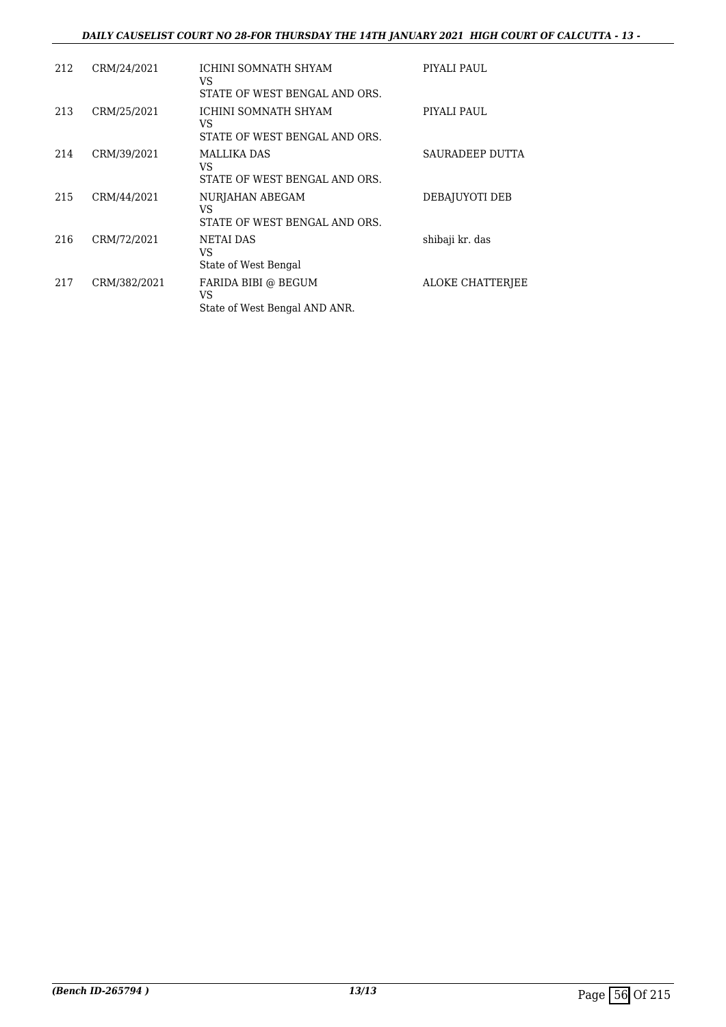#### *DAILY CAUSELIST COURT NO 28-FOR THURSDAY THE 14TH JANUARY 2021 HIGH COURT OF CALCUTTA - 13 -*

| 212 | CRM/24/2021  | ICHINI SOMNATH SHYAM<br>VS<br>STATE OF WEST BENGAL AND ORS. | PIYALI PAUL             |
|-----|--------------|-------------------------------------------------------------|-------------------------|
| 213 | CRM/25/2021  | ICHINI SOMNATH SHYAM<br>VS<br>STATE OF WEST BENGAL AND ORS. | PIYALI PAUL             |
| 214 | CRM/39/2021  | MALLIKA DAS<br>VS<br>STATE OF WEST BENGAL AND ORS.          | SAURADEEP DUTTA         |
| 215 | CRM/44/2021  | NURJAHAN ABEGAM<br>VS<br>STATE OF WEST BENGAL AND ORS.      | DEBAJUYOTI DEB          |
| 216 | CRM/72/2021  | NETAI DAS<br>VS<br>State of West Bengal                     | shibaji kr. das         |
| 217 | CRM/382/2021 | FARIDA BIBI @ BEGUM<br>VS<br>State of West Bengal AND ANR.  | <b>ALOKE CHATTERIEE</b> |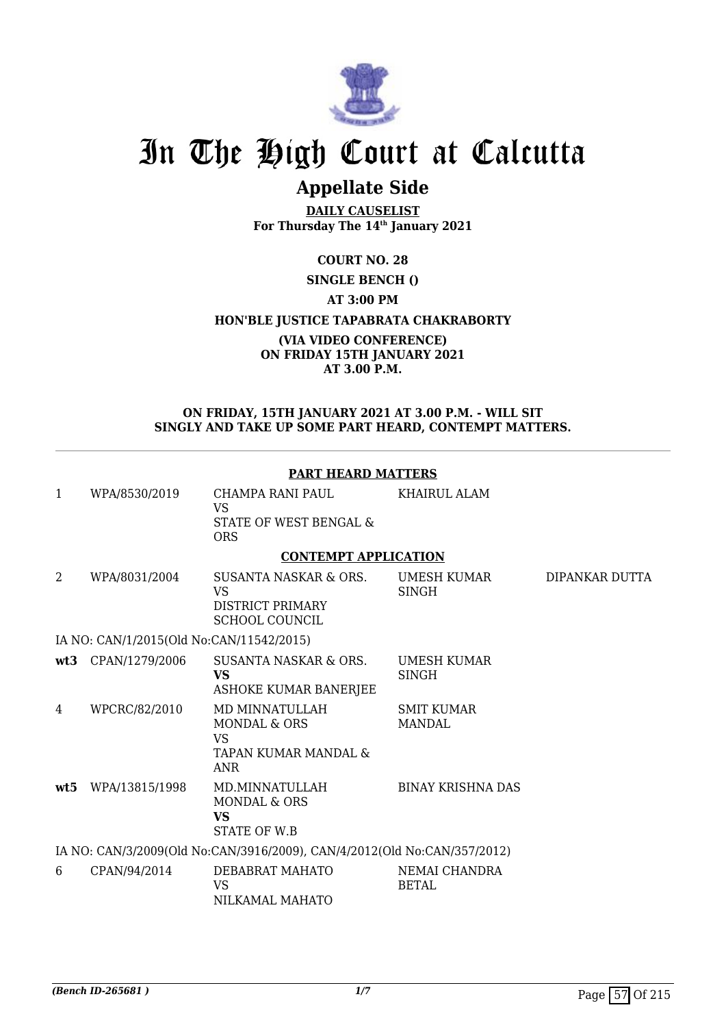

# **Appellate Side**

**DAILY CAUSELIST For Thursday The 14th January 2021**

**COURT NO. 28**

**SINGLE BENCH ()**

**AT 3:00 PM**

**HON'BLE JUSTICE TAPABRATA CHAKRABORTY**

#### **(VIA VIDEO CONFERENCE) ON FRIDAY 15TH JANUARY 2021 AT 3.00 P.M.**

#### **ON FRIDAY, 15TH JANUARY 2021 AT 3.00 P.M. - WILL SIT SINGLY AND TAKE UP SOME PART HEARD, CONTEMPT MATTERS.**

|              |                                          | <b>PART HEARD MATTERS</b>                                                                    |                                    |                |
|--------------|------------------------------------------|----------------------------------------------------------------------------------------------|------------------------------------|----------------|
| $\mathbf{1}$ | WPA/8530/2019                            | CHAMPA RANI PAUL<br><b>VS</b>                                                                | KHAIRUL ALAM                       |                |
|              |                                          | STATE OF WEST BENGAL &<br><b>ORS</b>                                                         |                                    |                |
|              |                                          | <b>CONTEMPT APPLICATION</b>                                                                  |                                    |                |
| 2            | WPA/8031/2004                            | SUSANTA NASKAR & ORS.<br><b>VS</b>                                                           | <b>UMESH KUMAR</b><br><b>SINGH</b> | DIPANKAR DUTTA |
|              |                                          | <b>DISTRICT PRIMARY</b><br><b>SCHOOL COUNCIL</b>                                             |                                    |                |
|              | IA NO: CAN/1/2015(Old No:CAN/11542/2015) |                                                                                              |                                    |                |
| wt3          | CPAN/1279/2006                           | <b>SUSANTA NASKAR &amp; ORS.</b><br>VS.<br>ASHOKE KUMAR BANERJEE                             | <b>UMESH KUMAR</b><br>SINGH        |                |
| 4            | WPCRC/82/2010                            | MD MINNATULLAH<br><b>MONDAL &amp; ORS</b><br><b>VS</b><br>TAPAN KUMAR MANDAL &<br><b>ANR</b> | <b>SMIT KUMAR</b><br><b>MANDAL</b> |                |
| wt5          | WPA/13815/1998                           | MD.MINNATULLAH<br><b>MONDAL &amp; ORS</b><br><b>VS</b><br><b>STATE OF W.B</b>                | <b>BINAY KRISHNA DAS</b>           |                |
|              |                                          | IA NO: CAN/3/2009(Old No:CAN/3916/2009), CAN/4/2012(Old No:CAN/357/2012)                     |                                    |                |
| 6            | CPAN/94/2014                             | DEBABRAT MAHATO<br><b>VS</b><br>NILKAMAL MAHATO                                              | NEMAI CHANDRA<br><b>BETAL</b>      |                |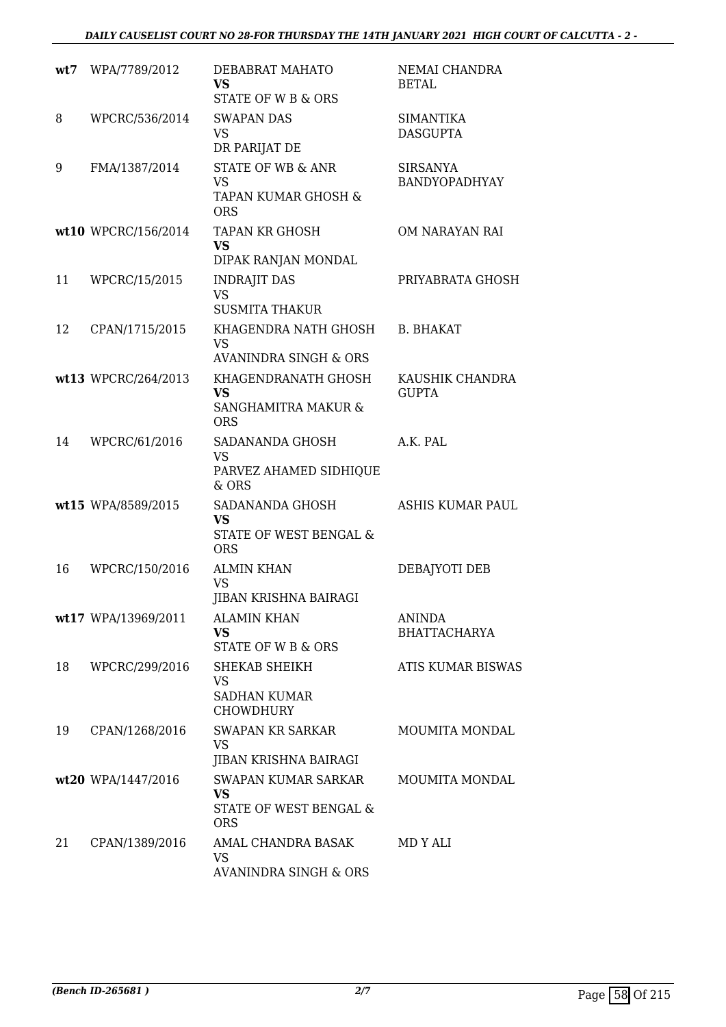| wt7 | WPA/7789/2012       | DEBABRAT MAHATO<br><b>VS</b><br><b>STATE OF W B &amp; ORS</b>                    | NEMAI CHANDRA<br><b>BETAL</b>           |
|-----|---------------------|----------------------------------------------------------------------------------|-----------------------------------------|
| 8   | WPCRC/536/2014      | <b>SWAPAN DAS</b><br>VS<br>DR PARIJAT DE                                         | <b>SIMANTIKA</b><br><b>DASGUPTA</b>     |
| 9   | FMA/1387/2014       | <b>STATE OF WB &amp; ANR</b><br>VS<br>TAPAN KUMAR GHOSH &<br><b>ORS</b>          | <b>SIRSANYA</b><br><b>BANDYOPADHYAY</b> |
|     | wt10 WPCRC/156/2014 | TAPAN KR GHOSH<br>VS<br>DIPAK RANJAN MONDAL                                      | OM NARAYAN RAI                          |
| 11  | WPCRC/15/2015       | <b>INDRAJIT DAS</b><br><b>VS</b><br><b>SUSMITA THAKUR</b>                        | PRIYABRATA GHOSH                        |
| 12  | CPAN/1715/2015      | KHAGENDRA NATH GHOSH<br><b>VS</b><br><b>AVANINDRA SINGH &amp; ORS</b>            | <b>B. BHAKAT</b>                        |
|     | wt13 WPCRC/264/2013 | KHAGENDRANATH GHOSH<br><b>VS</b><br><b>SANGHAMITRA MAKUR &amp;</b><br><b>ORS</b> | KAUSHIK CHANDRA<br><b>GUPTA</b>         |
| 14  | WPCRC/61/2016       | SADANANDA GHOSH<br><b>VS</b><br>PARVEZ AHAMED SIDHIQUE<br>& ORS                  | A.K. PAL                                |
|     | wt15 WPA/8589/2015  | SADANANDA GHOSH<br><b>VS</b><br><b>STATE OF WEST BENGAL &amp;</b><br><b>ORS</b>  | ASHIS KUMAR PAUL                        |
| 16  | WPCRC/150/2016      | <b>ALMIN KHAN</b><br><b>VS</b><br><b>JIBAN KRISHNA BAIRAGI</b>                   | DEBAJYOTI DEB                           |
|     | wt17 WPA/13969/2011 | <b>ALAMIN KHAN</b><br><b>VS</b><br>STATE OF W B & ORS                            | <b>ANINDA</b><br><b>BHATTACHARYA</b>    |
| 18  | WPCRC/299/2016      | SHEKAB SHEIKH<br>VS<br><b>SADHAN KUMAR</b><br><b>CHOWDHURY</b>                   | <b>ATIS KUMAR BISWAS</b>                |
| 19  | CPAN/1268/2016      | <b>SWAPAN KR SARKAR</b><br><b>VS</b><br>JIBAN KRISHNA BAIRAGI                    | MOUMITA MONDAL                          |
|     | wt20 WPA/1447/2016  | SWAPAN KUMAR SARKAR<br><b>VS</b><br>STATE OF WEST BENGAL &<br><b>ORS</b>         | MOUMITA MONDAL                          |
| 21  | CPAN/1389/2016      | AMAL CHANDRA BASAK<br>VS.<br><b>AVANINDRA SINGH &amp; ORS</b>                    | MD Y ALI                                |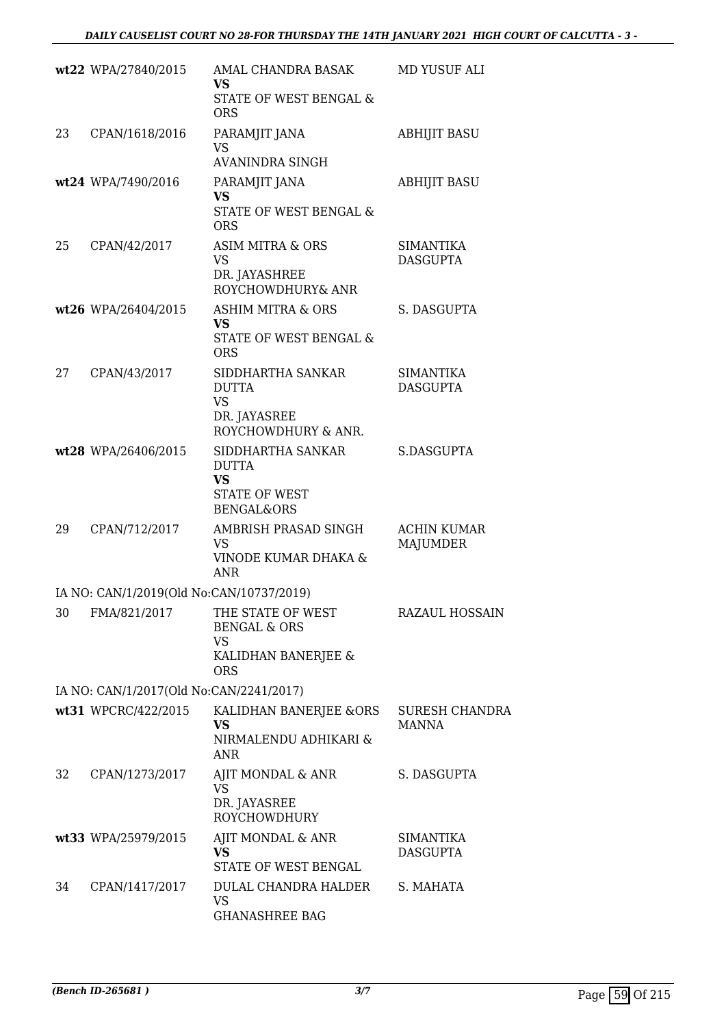|    | wt22 WPA/27840/2015                      | AMAL CHANDRA BASAK<br>VS                                  | MD YUSUF ALI                        |
|----|------------------------------------------|-----------------------------------------------------------|-------------------------------------|
|    |                                          | STATE OF WEST BENGAL &<br><b>ORS</b>                      |                                     |
| 23 | CPAN/1618/2016                           | PARAMJIT JANA<br><b>VS</b>                                | <b>ABHIJIT BASU</b>                 |
|    | wt24 WPA/7490/2016                       | <b>AVANINDRA SINGH</b><br>PARAMJIT JANA                   | <b>ABHIJIT BASU</b>                 |
|    |                                          | <b>VS</b>                                                 |                                     |
|    |                                          | STATE OF WEST BENGAL &<br><b>ORS</b>                      |                                     |
| 25 | CPAN/42/2017                             | <b>ASIM MITRA &amp; ORS</b><br><b>VS</b>                  | <b>SIMANTIKA</b><br><b>DASGUPTA</b> |
|    |                                          | DR. JAYASHREE<br>ROYCHOWDHURY& ANR                        |                                     |
|    | wt26 WPA/26404/2015                      | <b>ASHIM MITRA &amp; ORS</b>                              | S. DASGUPTA                         |
|    |                                          | <b>VS</b><br>STATE OF WEST BENGAL &<br><b>ORS</b>         |                                     |
| 27 | CPAN/43/2017                             | SIDDHARTHA SANKAR                                         | <b>SIMANTIKA</b>                    |
|    |                                          | <b>DUTTA</b><br><b>VS</b>                                 | <b>DASGUPTA</b>                     |
|    |                                          | DR. JAYASREE<br>ROYCHOWDHURY & ANR.                       |                                     |
|    | wt28 WPA/26406/2015                      | SIDDHARTHA SANKAR                                         | S.DASGUPTA                          |
|    |                                          | <b>DUTTA</b><br><b>VS</b>                                 |                                     |
|    |                                          | <b>STATE OF WEST</b><br><b>BENGAL&amp;ORS</b>             |                                     |
| 29 | CPAN/712/2017                            | AMBRISH PRASAD SINGH                                      | <b>ACHIN KUMAR</b>                  |
|    |                                          | <b>VS</b><br>VINODE KUMAR DHAKA &                         | <b>MAJUMDER</b>                     |
|    |                                          | <b>ANR</b>                                                |                                     |
|    | IA NO: CAN/1/2019(Old No:CAN/10737/2019) |                                                           |                                     |
| 30 | FMA/821/2017                             | THE STATE OF WEST<br><b>BENGAL &amp; ORS</b><br><b>VS</b> | RAZAUL HOSSAIN                      |
|    |                                          | KALIDHAN BANERJEE &<br><b>ORS</b>                         |                                     |
|    | IA NO: CAN/1/2017(Old No:CAN/2241/2017)  |                                                           |                                     |
|    | wt31 WPCRC/422/2015                      | KALIDHAN BANERJEE &ORS<br><b>VS</b>                       | <b>SURESH CHANDRA</b><br>MANNA      |
|    |                                          | NIRMALENDU ADHIKARI &<br><b>ANR</b>                       |                                     |
| 32 | CPAN/1273/2017                           | AJIT MONDAL & ANR                                         | S. DASGUPTA                         |
|    |                                          | <b>VS</b><br>DR. JAYASREE<br><b>ROYCHOWDHURY</b>          |                                     |
|    | wt33 WPA/25979/2015                      | AJIT MONDAL & ANR                                         | <b>SIMANTIKA</b>                    |
|    |                                          | <b>VS</b><br>STATE OF WEST BENGAL                         | <b>DASGUPTA</b>                     |
| 34 | CPAN/1417/2017                           | DULAL CHANDRA HALDER                                      | S. MAHATA                           |
|    |                                          | <b>VS</b><br><b>GHANASHREE BAG</b>                        |                                     |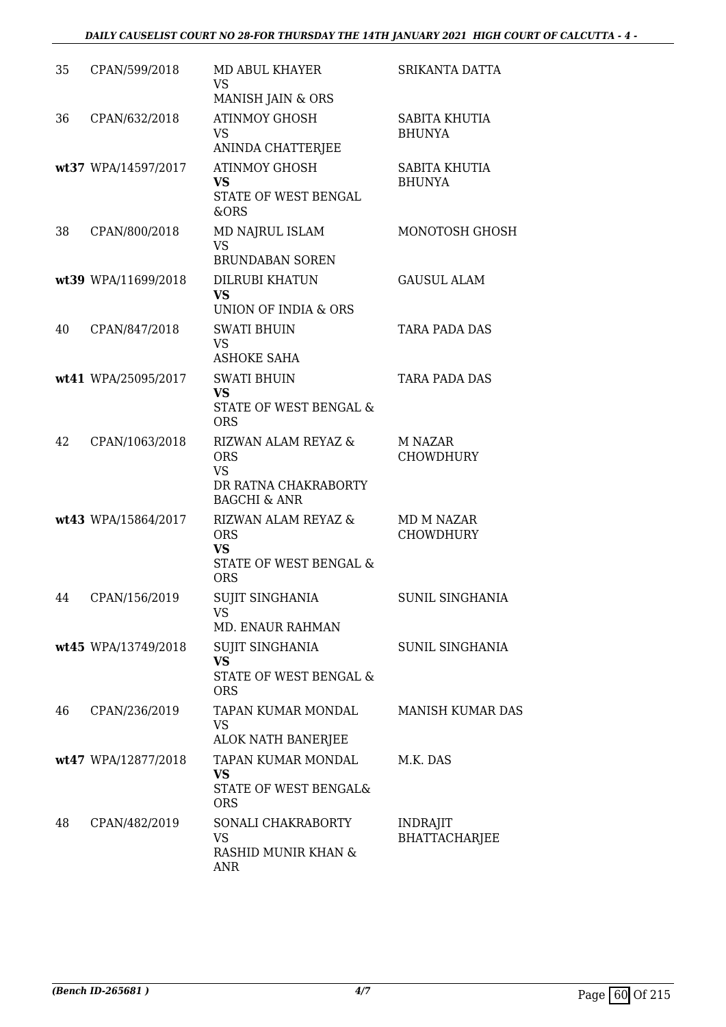#### *DAILY CAUSELIST COURT NO 28-FOR THURSDAY THE 14TH JANUARY 2021 HIGH COURT OF CALCUTTA - 4 -*

| 35 | CPAN/599/2018       | MD ABUL KHAYER                                                                                    | SRIKANTA DATTA                          |
|----|---------------------|---------------------------------------------------------------------------------------------------|-----------------------------------------|
|    |                     | <b>VS</b><br>MANISH JAIN & ORS                                                                    |                                         |
| 36 | CPAN/632/2018       | <b>ATINMOY GHOSH</b><br><b>VS</b><br>ANINDA CHATTERJEE                                            | <b>SABITA KHUTIA</b><br><b>BHUNYA</b>   |
|    | wt37 WPA/14597/2017 | <b>ATINMOY GHOSH</b><br><b>VS</b><br>STATE OF WEST BENGAL<br>&ORS                                 | SABITA KHUTIA<br><b>BHUNYA</b>          |
| 38 | CPAN/800/2018       | MD NAJRUL ISLAM<br><b>VS</b><br><b>BRUNDABAN SOREN</b>                                            | MONOTOSH GHOSH                          |
|    | wt39 WPA/11699/2018 | <b>DILRUBI KHATUN</b><br><b>VS</b><br>UNION OF INDIA & ORS                                        | <b>GAUSUL ALAM</b>                      |
| 40 | CPAN/847/2018       | <b>SWATI BHUIN</b><br><b>VS</b><br><b>ASHOKE SAHA</b>                                             | TARA PADA DAS                           |
|    | wt41 WPA/25095/2017 | <b>SWATI BHUIN</b><br><b>VS</b><br>STATE OF WEST BENGAL &<br><b>ORS</b>                           | TARA PADA DAS                           |
| 42 | CPAN/1063/2018      | RIZWAN ALAM REYAZ &<br><b>ORS</b><br><b>VS</b><br>DR RATNA CHAKRABORTY<br><b>BAGCHI &amp; ANR</b> | M NAZAR<br><b>CHOWDHURY</b>             |
|    | wt43 WPA/15864/2017 | RIZWAN ALAM REYAZ &<br><b>ORS</b><br><b>VS</b><br><b>STATE OF WEST BENGAL &amp;</b><br><b>ORS</b> | MD M NAZAR<br><b>CHOWDHURY</b>          |
| 44 | CPAN/156/2019       | <b>SUJIT SINGHANIA</b><br>VS<br>MD. ENAUR RAHMAN                                                  | <b>SUNIL SINGHANIA</b>                  |
|    | wt45 WPA/13749/2018 | SUJIT SINGHANIA<br><b>VS</b><br>STATE OF WEST BENGAL &<br><b>ORS</b>                              | SUNIL SINGHANIA                         |
| 46 | CPAN/236/2019       | TAPAN KUMAR MONDAL<br>VS<br>ALOK NATH BANERJEE                                                    | <b>MANISH KUMAR DAS</b>                 |
|    | wt47 WPA/12877/2018 | TAPAN KUMAR MONDAL<br><b>VS</b><br>STATE OF WEST BENGAL&<br><b>ORS</b>                            | M.K. DAS                                |
| 48 | CPAN/482/2019       | SONALI CHAKRABORTY<br>VS<br>RASHID MUNIR KHAN &<br><b>ANR</b>                                     | <b>INDRAJIT</b><br><b>BHATTACHARJEE</b> |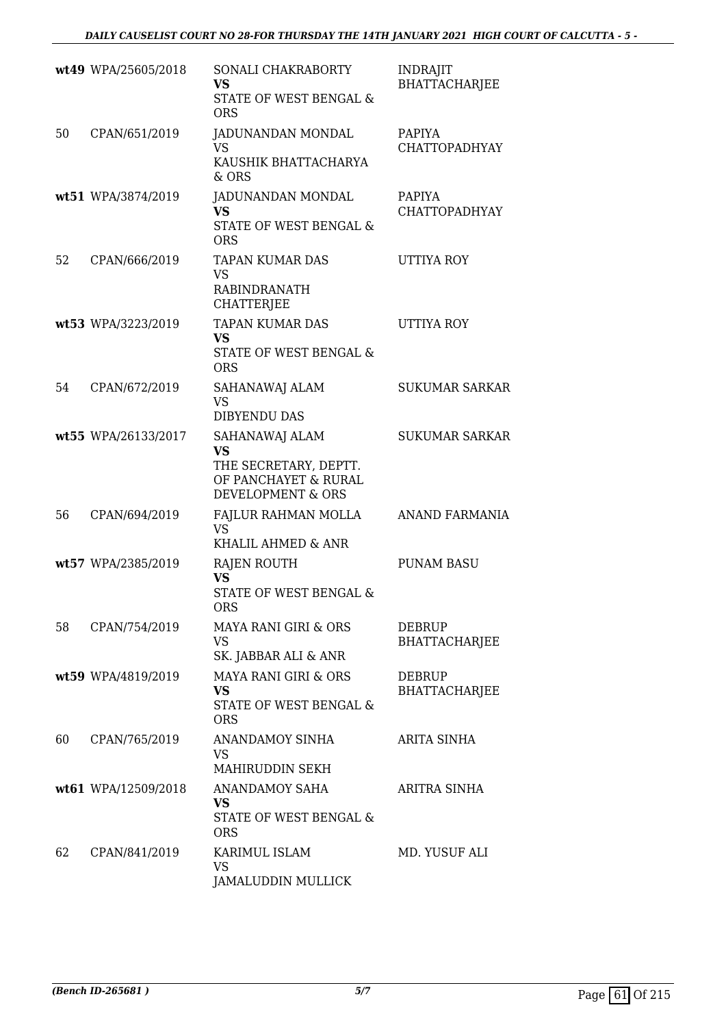|    | wt49 WPA/25605/2018 | SONALI CHAKRABORTY<br><b>VS</b><br>STATE OF WEST BENGAL &<br><b>ORS</b>                           | <b>INDRAJIT</b><br>BHATTACHARJEE      |
|----|---------------------|---------------------------------------------------------------------------------------------------|---------------------------------------|
| 50 | CPAN/651/2019       | JADUNANDAN MONDAL<br>VS<br>KAUSHIK BHATTACHARYA<br>$&$ ORS                                        | <b>PAPIYA</b><br><b>CHATTOPADHYAY</b> |
|    | wt51 WPA/3874/2019  | JADUNANDAN MONDAL<br><b>VS</b><br>STATE OF WEST BENGAL &<br><b>ORS</b>                            | PAPIYA<br>CHATTOPADHYAY               |
| 52 | CPAN/666/2019       | <b>TAPAN KUMAR DAS</b><br><b>VS</b><br><b>RABINDRANATH</b><br><b>CHATTERJEE</b>                   | <b>UTTIYA ROY</b>                     |
|    | wt53 WPA/3223/2019  | <b>TAPAN KUMAR DAS</b><br><b>VS</b><br>STATE OF WEST BENGAL &<br><b>ORS</b>                       | <b>UTTIYA ROY</b>                     |
| 54 | CPAN/672/2019       | SAHANAWAJ ALAM<br><b>VS</b><br><b>DIBYENDU DAS</b>                                                | <b>SUKUMAR SARKAR</b>                 |
|    | wt55 WPA/26133/2017 | SAHANAWAJ ALAM<br><b>VS</b><br>THE SECRETARY, DEPTT.<br>OF PANCHAYET & RURAL<br>DEVELOPMENT & ORS | <b>SUKUMAR SARKAR</b>                 |
| 56 | CPAN/694/2019       | FAJLUR RAHMAN MOLLA<br><b>VS</b><br>KHALIL AHMED & ANR                                            | ANAND FARMANIA                        |
|    | wt57 WPA/2385/2019  | RAJEN ROUTH<br><b>VS</b><br>STATE OF WEST BENGAL &<br>ORS                                         | <b>PUNAM BASU</b>                     |
| 58 | CPAN/754/2019       | <b>MAYA RANI GIRI &amp; ORS</b><br><b>VS</b><br>SK. JABBAR ALI & ANR                              | DEBRUP<br><b>BHATTACHARJEE</b>        |
|    | wt59 WPA/4819/2019  | <b>MAYA RANI GIRI &amp; ORS</b><br><b>VS</b><br>STATE OF WEST BENGAL &<br><b>ORS</b>              | <b>DEBRUP</b><br><b>BHATTACHARJEE</b> |
| 60 | CPAN/765/2019       | ANANDAMOY SINHA<br>VS<br>MAHIRUDDIN SEKH                                                          | ARITA SINHA                           |
|    | wt61 WPA/12509/2018 | ANANDAMOY SAHA<br><b>VS</b><br>STATE OF WEST BENGAL &<br><b>ORS</b>                               | <b>ARITRA SINHA</b>                   |
| 62 | CPAN/841/2019       | KARIMUL ISLAM<br>VS<br>JAMALUDDIN MULLICK                                                         | MD. YUSUF ALI                         |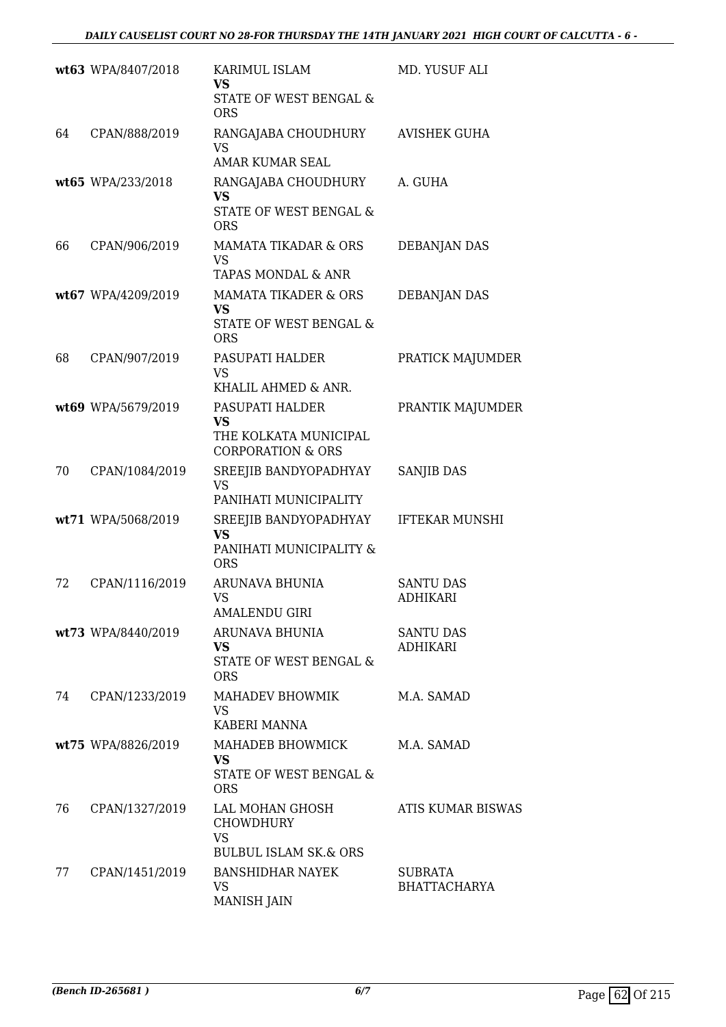|    | wt63 WPA/8407/2018 | KARIMUL ISLAM<br><b>VS</b><br>STATE OF WEST BENGAL &<br><b>ORS</b>                             | MD. YUSUF ALI                         |
|----|--------------------|------------------------------------------------------------------------------------------------|---------------------------------------|
| 64 | CPAN/888/2019      | RANGAJABA CHOUDHURY<br><b>VS</b><br>AMAR KUMAR SEAL                                            | <b>AVISHEK GUHA</b>                   |
|    | wt65 WPA/233/2018  | RANGAJABA CHOUDHURY<br><b>VS</b><br>STATE OF WEST BENGAL &<br><b>ORS</b>                       | A. GUHA                               |
| 66 | CPAN/906/2019      | <b>MAMATA TIKADAR &amp; ORS</b><br><b>VS</b><br>TAPAS MONDAL & ANR                             | DEBANJAN DAS                          |
|    | wt67 WPA/4209/2019 | <b>MAMATA TIKADER &amp; ORS</b><br><b>VS</b><br>STATE OF WEST BENGAL &<br><b>ORS</b>           | <b>DEBANJAN DAS</b>                   |
| 68 | CPAN/907/2019      | PASUPATI HALDER<br><b>VS</b><br>KHALIL AHMED & ANR.                                            | PRATICK MAJUMDER                      |
|    | wt69 WPA/5679/2019 | PASUPATI HALDER<br><b>VS</b><br>THE KOLKATA MUNICIPAL<br><b>CORPORATION &amp; ORS</b>          | PRANTIK MAJUMDER                      |
| 70 | CPAN/1084/2019     | SREEJIB BANDYOPADHYAY<br><b>VS</b><br>PANIHATI MUNICIPALITY                                    | <b>SANJIB DAS</b>                     |
|    | wt71 WPA/5068/2019 | SREEJIB BANDYOPADHYAY<br>VS<br>PANIHATI MUNICIPALITY &<br><b>ORS</b>                           | <b>IFTEKAR MUNSHI</b>                 |
| 72 | CPAN/1116/2019     | <b>ARUNAVA BHUNIA</b><br><b>VS</b><br><b>AMALENDU GIRI</b>                                     | <b>SANTU DAS</b><br><b>ADHIKARI</b>   |
|    | wt73 WPA/8440/2019 | ARUNAVA BHUNIA<br><b>VS</b><br>STATE OF WEST BENGAL &<br><b>ORS</b>                            | <b>SANTU DAS</b><br><b>ADHIKARI</b>   |
| 74 | CPAN/1233/2019     | MAHADEV BHOWMIK<br>VS.<br>KABERI MANNA                                                         | M.A. SAMAD                            |
|    | wt75 WPA/8826/2019 | MAHADEB BHOWMICK<br><b>VS</b><br>STATE OF WEST BENGAL &<br><b>ORS</b>                          | M.A. SAMAD                            |
| 76 | CPAN/1327/2019     | LAL MOHAN GHOSH<br><b>CHOWDHURY</b><br><b>VS</b>                                               | ATIS KUMAR BISWAS                     |
| 77 | CPAN/1451/2019     | <b>BULBUL ISLAM SK.&amp; ORS</b><br><b>BANSHIDHAR NAYEK</b><br><b>VS</b><br><b>MANISH JAIN</b> | <b>SUBRATA</b><br><b>BHATTACHARYA</b> |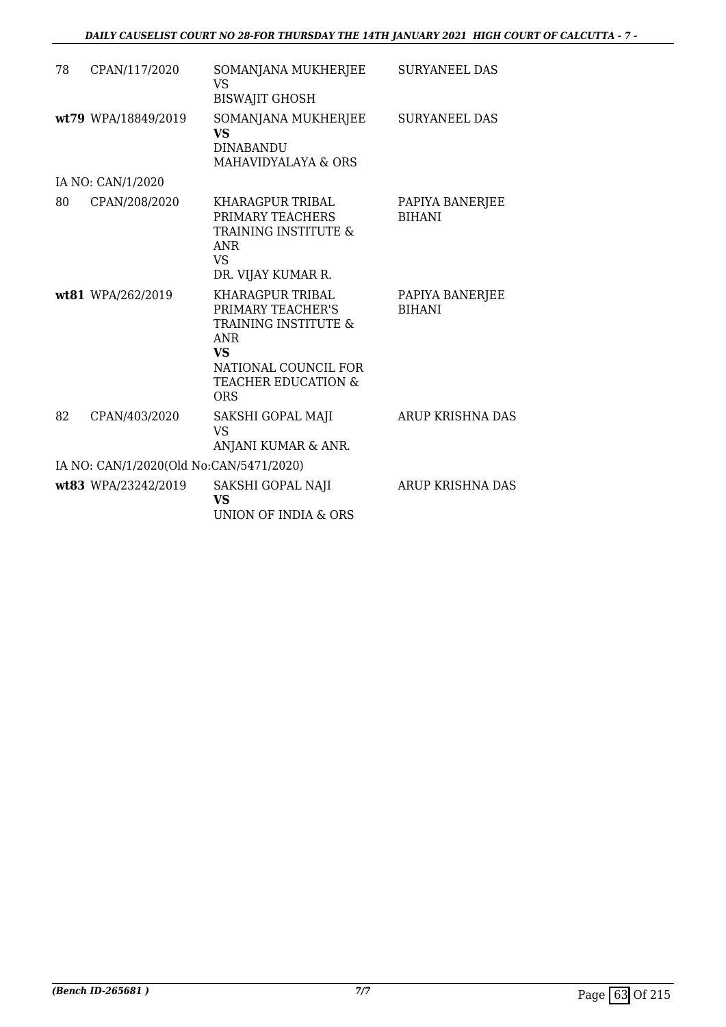| 78 | CPAN/117/2020                           | SOMANJANA MUKHERJEE<br>VS<br><b>BISWAJIT GHOSH</b>                                                                                                                          | <b>SURYANEEL DAS</b>             |
|----|-----------------------------------------|-----------------------------------------------------------------------------------------------------------------------------------------------------------------------------|----------------------------------|
|    | wt79 WPA/18849/2019                     | SOMANJANA MUKHERJEE<br>VS<br><b>DINABANDU</b><br><b>MAHAVIDYALAYA &amp; ORS</b>                                                                                             | <b>SURYANEEL DAS</b>             |
|    | IA NO: CAN/1/2020                       |                                                                                                                                                                             |                                  |
| 80 | CPAN/208/2020                           | KHARAGPUR TRIBAL<br>PRIMARY TEACHERS<br><b>TRAINING INSTITUTE &amp;</b><br><b>ANR</b><br><b>VS</b><br>DR. VIJAY KUMAR R.                                                    | PAPIYA BANERJEE<br><b>BIHANI</b> |
|    | wt81 WPA/262/2019                       | KHARAGPUR TRIBAL<br>PRIMARY TEACHER'S<br><b>TRAINING INSTITUTE &amp;</b><br><b>ANR</b><br><b>VS</b><br>NATIONAL COUNCIL FOR<br><b>TEACHER EDUCATION &amp;</b><br><b>ORS</b> | PAPIYA BANERJEE<br><b>BIHANI</b> |
| 82 | CPAN/403/2020                           | SAKSHI GOPAL MAJI<br><b>VS</b><br>ANJANI KUMAR & ANR.                                                                                                                       | ARUP KRISHNA DAS                 |
|    | IA NO: CAN/1/2020(Old No:CAN/5471/2020) |                                                                                                                                                                             |                                  |
|    | wt83 WPA/23242/2019                     | SAKSHI GOPAL NAJI<br>VS<br>UNION OF INDIA & ORS                                                                                                                             | ARUP KRISHNA DAS                 |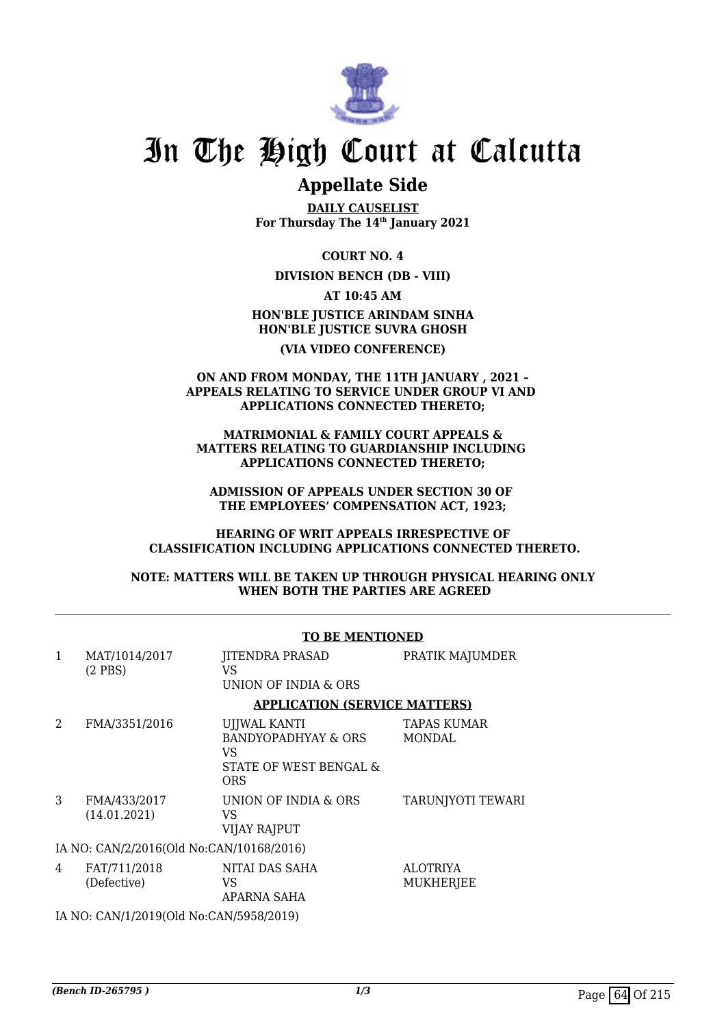

## **Appellate Side**

**DAILY CAUSELIST For Thursday The 14th January 2021**

#### **COURT NO. 4**

**DIVISION BENCH (DB - VIII)**

#### **AT 10:45 AM**

**HON'BLE JUSTICE ARINDAM SINHA HON'BLE JUSTICE SUVRA GHOSH (VIA VIDEO CONFERENCE)**

#### **ON AND FROM MONDAY, THE 11TH JANUARY , 2021 – APPEALS RELATING TO SERVICE UNDER GROUP VI AND APPLICATIONS CONNECTED THERETO;**

 **MATRIMONIAL & FAMILY COURT APPEALS & MATTERS RELATING TO GUARDIANSHIP INCLUDING APPLICATIONS CONNECTED THERETO;**

**ADMISSION OF APPEALS UNDER SECTION 30 OF THE EMPLOYEES' COMPENSATION ACT, 1923;**

#### **HEARING OF WRIT APPEALS IRRESPECTIVE OF CLASSIFICATION INCLUDING APPLICATIONS CONNECTED THERETO.**

**NOTE: MATTERS WILL BE TAKEN UP THROUGH PHYSICAL HEARING ONLY WHEN BOTH THE PARTIES ARE AGREED**

|                                          |                                         | TO BE MENTIONED                                                                   |                                     |
|------------------------------------------|-----------------------------------------|-----------------------------------------------------------------------------------|-------------------------------------|
| $\mathbf{1}$                             | MAT/1014/2017<br>$(2$ PBS)              | <b>JITENDRA PRASAD</b><br>VS<br>UNION OF INDIA & ORS                              | PRATIK MAJUMDER                     |
|                                          |                                         | <b>APPLICATION (SERVICE MATTERS)</b>                                              |                                     |
| 2                                        | FMA/3351/2016                           | UJJWAL KANTI<br>BANDYOPADHYAY & ORS<br>VS<br>STATE OF WEST BENGAL &<br><b>ORS</b> | <b>TAPAS KUMAR</b><br><b>MONDAL</b> |
| 3                                        | FMA/433/2017<br>(14.01.2021)            | UNION OF INDIA & ORS<br>VS<br>VIJAY RAJPUT                                        | TARUNJYOTI TEWARI                   |
| IA NO: CAN/2/2016(Old No:CAN/10168/2016) |                                         |                                                                                   |                                     |
| 4                                        | FAT/711/2018<br>(Defective)             | NITAI DAS SAHA<br>VS<br>APARNA SAHA                                               | <b>ALOTRIYA</b><br>MUKHERJEE        |
|                                          | IA NO: CAN/1/2019(Old No:CAN/5958/2019) |                                                                                   |                                     |

## **TO BE MENTIONED**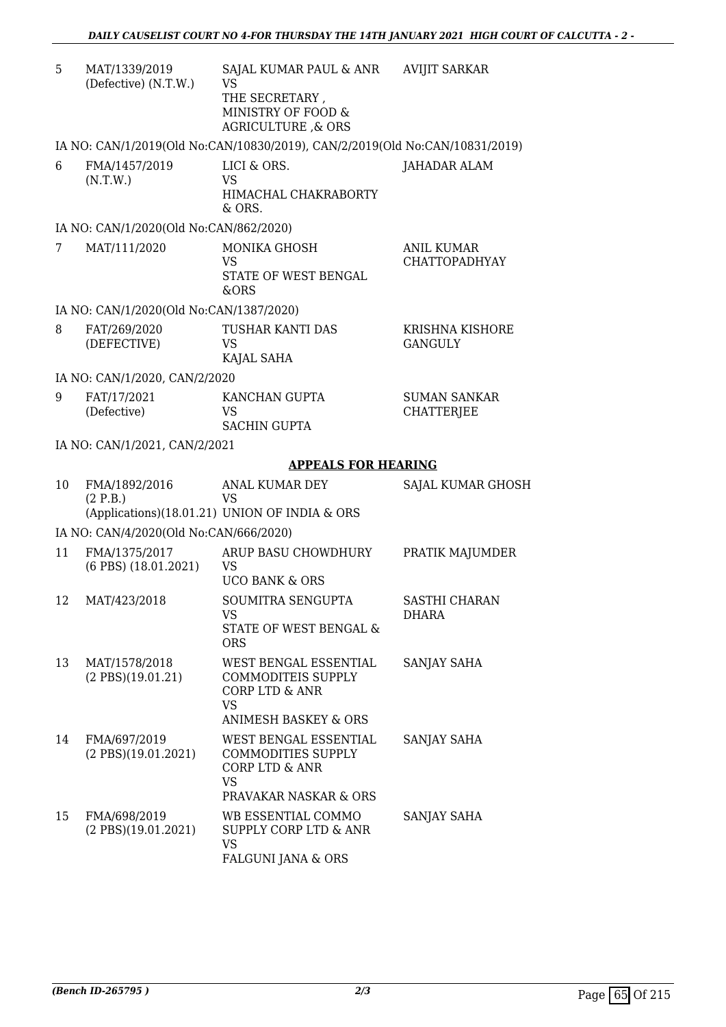| 5  | MAT/1339/2019<br>(Defective) (N.T.W.)        | SAJAL KUMAR PAUL & ANR<br>VS<br>THE SECRETARY,<br>MINISTRY OF FOOD &<br>AGRICULTURE, & ORS                                      | <b>AVIJIT SARKAR</b>                      |
|----|----------------------------------------------|---------------------------------------------------------------------------------------------------------------------------------|-------------------------------------------|
|    |                                              | IA NO: CAN/1/2019(Old No:CAN/10830/2019), CAN/2/2019(Old No:CAN/10831/2019)                                                     |                                           |
| 6  | FMA/1457/2019<br>(N.T.W.)                    | LICI & ORS.<br>VS<br>HIMACHAL CHAKRABORTY<br>& ORS.                                                                             | JAHADAR ALAM                              |
|    | IA NO: CAN/1/2020(Old No:CAN/862/2020)       |                                                                                                                                 |                                           |
| 7  | MAT/111/2020                                 | <b>MONIKA GHOSH</b><br><b>VS</b><br>STATE OF WEST BENGAL<br>&ORS                                                                | <b>ANIL KUMAR</b><br><b>CHATTOPADHYAY</b> |
|    | IA NO: CAN/1/2020(Old No:CAN/1387/2020)      |                                                                                                                                 |                                           |
| 8  | FAT/269/2020<br>(DEFECTIVE)                  | TUSHAR KANTI DAS<br>VS<br>KAJAL SAHA                                                                                            | KRISHNA KISHORE<br><b>GANGULY</b>         |
|    | IA NO: CAN/1/2020, CAN/2/2020                |                                                                                                                                 |                                           |
| 9  | FAT/17/2021<br>(Defective)                   | KANCHAN GUPTA<br>VS<br><b>SACHIN GUPTA</b>                                                                                      | <b>SUMAN SANKAR</b><br><b>CHATTERJEE</b>  |
|    | IA NO: CAN/1/2021, CAN/2/2021                |                                                                                                                                 |                                           |
|    |                                              | <b>APPEALS FOR HEARING</b>                                                                                                      |                                           |
| 10 | FMA/1892/2016<br>(2 P.B.)                    | <b>ANAL KUMAR DEY</b><br><b>VS</b><br>(Applications)(18.01.21) UNION OF INDIA & ORS                                             | SAJAL KUMAR GHOSH                         |
|    | IA NO: CAN/4/2020(Old No:CAN/666/2020)       |                                                                                                                                 |                                           |
| 11 | FMA/1375/2017<br>$(6$ PBS $)$ $(18.01.2021)$ | ARUP BASU CHOWDHURY<br><b>VS</b><br><b>UCO BANK &amp; ORS</b>                                                                   | PRATIK MAJUMDER                           |
| 12 | MAT/423/2018                                 | SOUMITRA SENGUPTA<br>VS<br>STATE OF WEST BENGAL &<br><b>ORS</b>                                                                 | SASTHI CHARAN<br>DHARA                    |
| 13 | MAT/1578/2018<br>$(2$ PBS $)(19.01.21)$      | WEST BENGAL ESSENTIAL<br><b>COMMODITEIS SUPPLY</b><br><b>CORP LTD &amp; ANR</b><br><b>VS</b><br><b>ANIMESH BASKEY &amp; ORS</b> | <b>SANJAY SAHA</b>                        |
| 14 | FMA/697/2019<br>$(2$ PBS $)(19.01.2021)$     | WEST BENGAL ESSENTIAL<br><b>COMMODITIES SUPPLY</b><br>CORP LTD & ANR<br><b>VS</b><br>PRAVAKAR NASKAR & ORS                      | SANJAY SAHA                               |
| 15 | FMA/698/2019<br>$(2$ PBS $)(19.01.2021)$     | WB ESSENTIAL COMMO<br>SUPPLY CORP LTD & ANR<br><b>VS</b>                                                                        | SANJAY SAHA                               |

FALGUNI JANA & ORS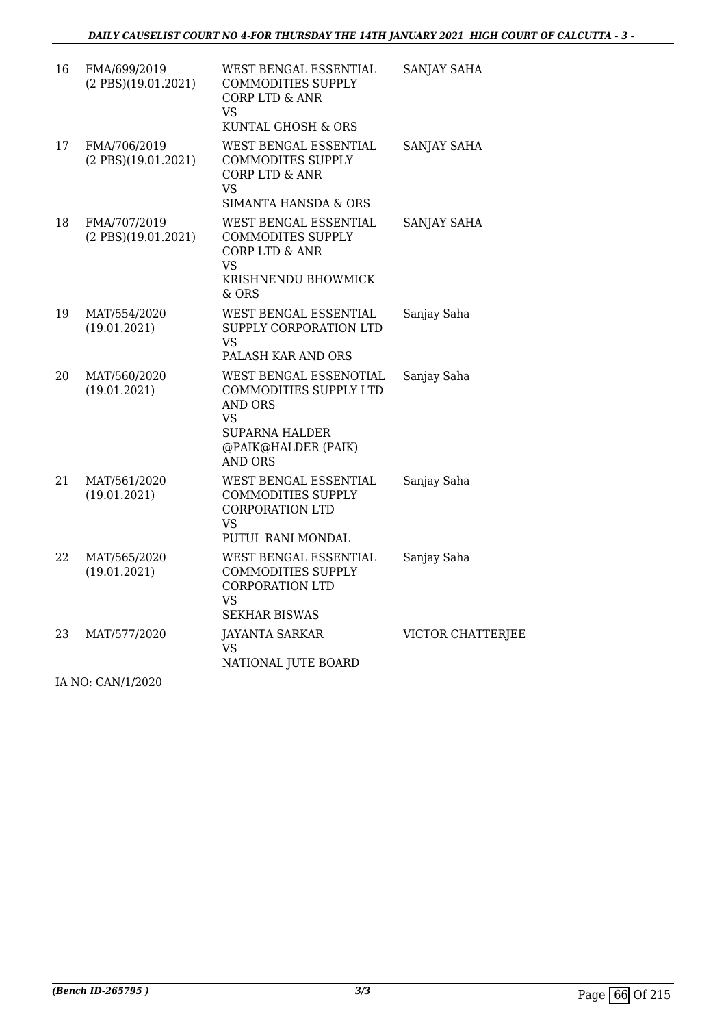| 16 | FMA/699/2019<br>$(2$ PBS $)(19.01.2021)$ | WEST BENGAL ESSENTIAL<br><b>COMMODITIES SUPPLY</b><br><b>CORP LTD &amp; ANR</b><br>VS.<br>KUNTAL GHOSH & ORS                               | SANJAY SAHA        |
|----|------------------------------------------|--------------------------------------------------------------------------------------------------------------------------------------------|--------------------|
| 17 | FMA/706/2019<br>$(2$ PBS $)(19.01.2021)$ | WEST BENGAL ESSENTIAL<br><b>COMMODITES SUPPLY</b><br><b>CORP LTD &amp; ANR</b><br>VS.<br><b>SIMANTA HANSDA &amp; ORS</b>                   | <b>SANJAY SAHA</b> |
| 18 | FMA/707/2019<br>$(2$ PBS $)(19.01.2021)$ | WEST BENGAL ESSENTIAL<br><b>COMMODITES SUPPLY</b><br>CORP LTD & ANR<br>VS<br>KRISHNENDU BHOWMICK<br>& ORS                                  | SANJAY SAHA        |
| 19 | MAT/554/2020<br>(19.01.2021)             | WEST BENGAL ESSENTIAL<br>SUPPLY CORPORATION LTD<br>VS.<br>PALASH KAR AND ORS                                                               | Sanjay Saha        |
| 20 | MAT/560/2020<br>(19.01.2021)             | WEST BENGAL ESSENOTIAL<br>COMMODITIES SUPPLY LTD<br><b>AND ORS</b><br>VS<br><b>SUPARNA HALDER</b><br>@PAIK@HALDER (PAIK)<br><b>AND ORS</b> | Sanjay Saha        |
| 21 | MAT/561/2020<br>(19.01.2021)             | WEST BENGAL ESSENTIAL<br><b>COMMODITIES SUPPLY</b><br><b>CORPORATION LTD</b><br>VS.<br>PUTUL RANI MONDAL                                   | Sanjay Saha        |
| 22 | MAT/565/2020<br>(19.01.2021)             | WEST BENGAL ESSENTIAL<br><b>COMMODITIES SUPPLY</b><br><b>CORPORATION LTD</b><br>VS.<br><b>SEKHAR BISWAS</b>                                | Sanjay Saha        |
| 23 | MAT/577/2020                             | <b>JAYANTA SARKAR</b><br>VS.<br>NATIONAL JUTE BOARD                                                                                        | VICTOR CHATTERJEE  |

IA NO: CAN/1/2020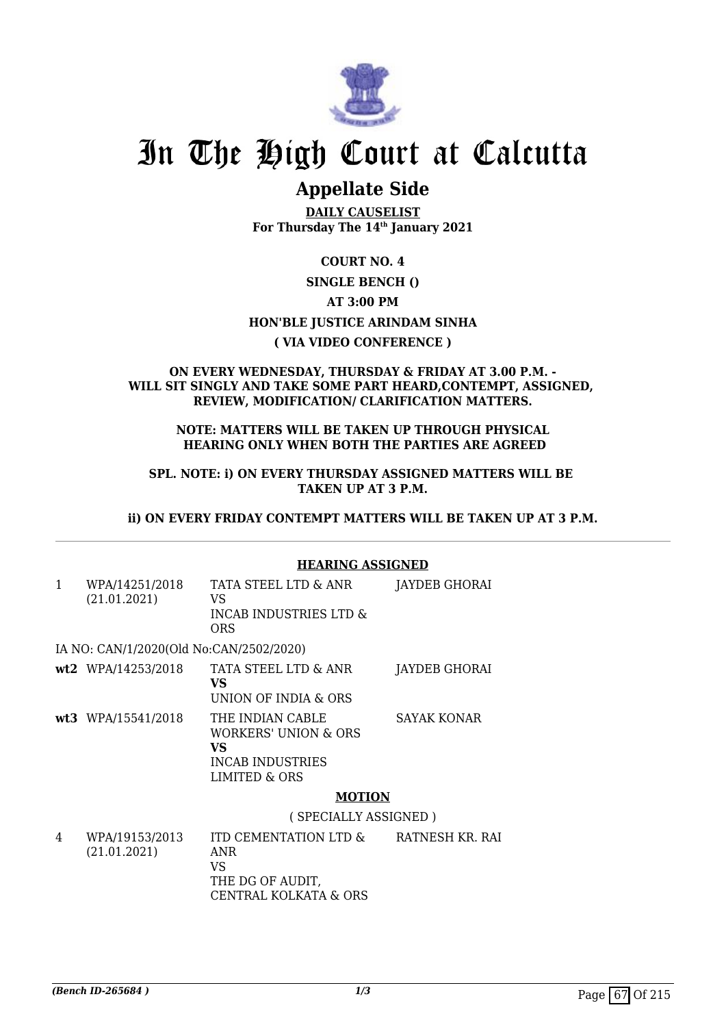

## **Appellate Side**

**DAILY CAUSELIST For Thursday The 14th January 2021**

### **COURT NO. 4**

### **SINGLE BENCH ()**

**AT 3:00 PM**

### **HON'BLE JUSTICE ARINDAM SINHA**

### **( VIA VIDEO CONFERENCE )**

#### **ON EVERY WEDNESDAY, THURSDAY & FRIDAY AT 3.00 P.M. - WILL SIT SINGLY AND TAKE SOME PART HEARD,CONTEMPT, ASSIGNED, REVIEW, MODIFICATION/ CLARIFICATION MATTERS.**

#### **NOTE: MATTERS WILL BE TAKEN UP THROUGH PHYSICAL HEARING ONLY WHEN BOTH THE PARTIES ARE AGREED**

**SPL. NOTE: i) ON EVERY THURSDAY ASSIGNED MATTERS WILL BE TAKEN UP AT 3 P.M.**

**ii) ON EVERY FRIDAY CONTEMPT MATTERS WILL BE TAKEN UP AT 3 P.M.**

|              |                                         | <b>HEARING ASSIGNED</b>                                                                    |                      |
|--------------|-----------------------------------------|--------------------------------------------------------------------------------------------|----------------------|
| $\mathbf{1}$ | WPA/14251/2018<br>(21.01.2021)          | TATA STEEL LTD & ANR<br>VS<br><b>INCAB INDUSTRIES LTD &amp;</b><br>ORS.                    | <b>JAYDEB GHORAI</b> |
|              | IA NO: CAN/1/2020(Old No:CAN/2502/2020) |                                                                                            |                      |
|              | wt2 WPA/14253/2018                      | TATA STEEL LTD & ANR<br>VS<br>UNION OF INDIA & ORS                                         | JAYDEB GHORAI        |
|              | wt3 WPA/15541/2018                      | THE INDIAN CABLE<br>WORKERS' UNION & ORS<br>VS<br><b>INCAB INDUSTRIES</b><br>LIMITED & ORS | <b>SAYAK KONAR</b>   |
|              |                                         | <b>MOTION</b>                                                                              |                      |
|              |                                         | (SPECIALLY ASSIGNED)                                                                       |                      |
| 4            | WPA/19153/2013<br>(21.01.2021)          | ITD CEMENTATION LTD &<br>ANR<br>VS                                                         | RATNESH KR. RAI      |

THE DG OF AUDIT,

CENTRAL KOLKATA & ORS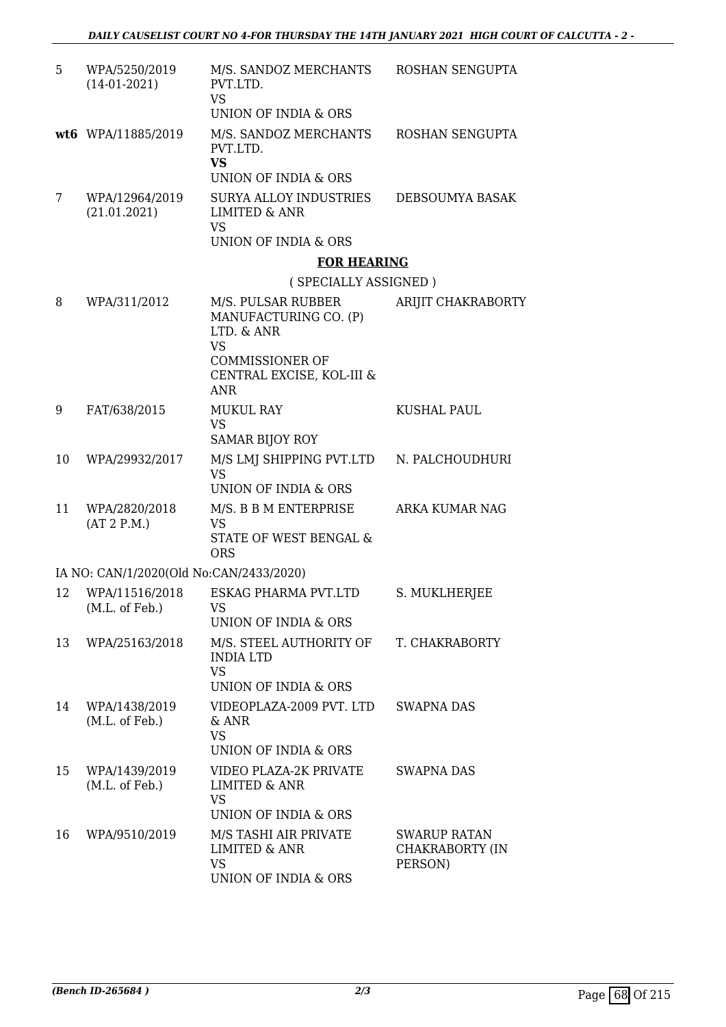| 5  | WPA/5250/2019<br>$(14-01-2021)$         | M/S. SANDOZ MERCHANTS<br>PVT.LTD.<br><b>VS</b><br><b>UNION OF INDIA &amp; ORS</b>       | ROSHAN SENGUPTA                                   |
|----|-----------------------------------------|-----------------------------------------------------------------------------------------|---------------------------------------------------|
|    |                                         |                                                                                         |                                                   |
|    | wt6 WPA/11885/2019                      | M/S. SANDOZ MERCHANTS<br>PVT.LTD.<br><b>VS</b><br>UNION OF INDIA & ORS                  | ROSHAN SENGUPTA                                   |
| 7  | WPA/12964/2019<br>(21.01.2021)          | SURYA ALLOY INDUSTRIES<br><b>LIMITED &amp; ANR</b><br><b>VS</b>                         | DEBSOUMYA BASAK                                   |
|    |                                         | UNION OF INDIA & ORS                                                                    |                                                   |
|    |                                         | <b>FOR HEARING</b>                                                                      |                                                   |
|    |                                         | (SPECIALLY ASSIGNED)                                                                    |                                                   |
| 8  | WPA/311/2012                            | M/S. PULSAR RUBBER<br>MANUFACTURING CO. (P)<br>LTD. & ANR<br><b>VS</b>                  | ARIJIT CHAKRABORTY                                |
|    |                                         | <b>COMMISSIONER OF</b><br>CENTRAL EXCISE, KOL-III &<br><b>ANR</b>                       |                                                   |
| 9  | FAT/638/2015                            | <b>MUKUL RAY</b><br><b>VS</b><br><b>SAMAR BIJOY ROY</b>                                 | <b>KUSHAL PAUL</b>                                |
| 10 | WPA/29932/2017                          | M/S LMJ SHIPPING PVT.LTD<br><b>VS</b><br>UNION OF INDIA & ORS                           | N. PALCHOUDHURI                                   |
| 11 | WPA/2820/2018<br>(AT 2 P.M.)            | M/S. B B M ENTERPRISE<br><b>VS</b><br><b>STATE OF WEST BENGAL &amp;</b><br><b>ORS</b>   | <b>ARKA KUMAR NAG</b>                             |
|    | IA NO: CAN/1/2020(Old No:CAN/2433/2020) |                                                                                         |                                                   |
| 12 | WPA/11516/2018<br>(M.L. of Feb.)        | ESKAG PHARMA PVT.LTD<br><b>VS</b><br>UNION OF INDIA & ORS                               | S. MUKLHERJEE                                     |
| 13 | WPA/25163/2018                          | M/S. STEEL AUTHORITY OF<br><b>INDIA LTD</b><br><b>VS</b><br>UNION OF INDIA & ORS        | T. CHAKRABORTY                                    |
| 14 | WPA/1438/2019<br>(M.L. of Feb.)         | VIDEOPLAZA-2009 PVT. LTD<br>& ANR<br><b>VS</b><br>UNION OF INDIA & ORS                  | <b>SWAPNA DAS</b>                                 |
| 15 | WPA/1439/2019<br>(M.L. of Feb.)         | VIDEO PLAZA-2K PRIVATE<br><b>LIMITED &amp; ANR</b><br><b>VS</b><br>UNION OF INDIA & ORS | SWAPNA DAS                                        |
| 16 | WPA/9510/2019                           | M/S TASHI AIR PRIVATE<br><b>LIMITED &amp; ANR</b><br><b>VS</b><br>UNION OF INDIA & ORS  | <b>SWARUP RATAN</b><br>CHAKRABORTY (IN<br>PERSON) |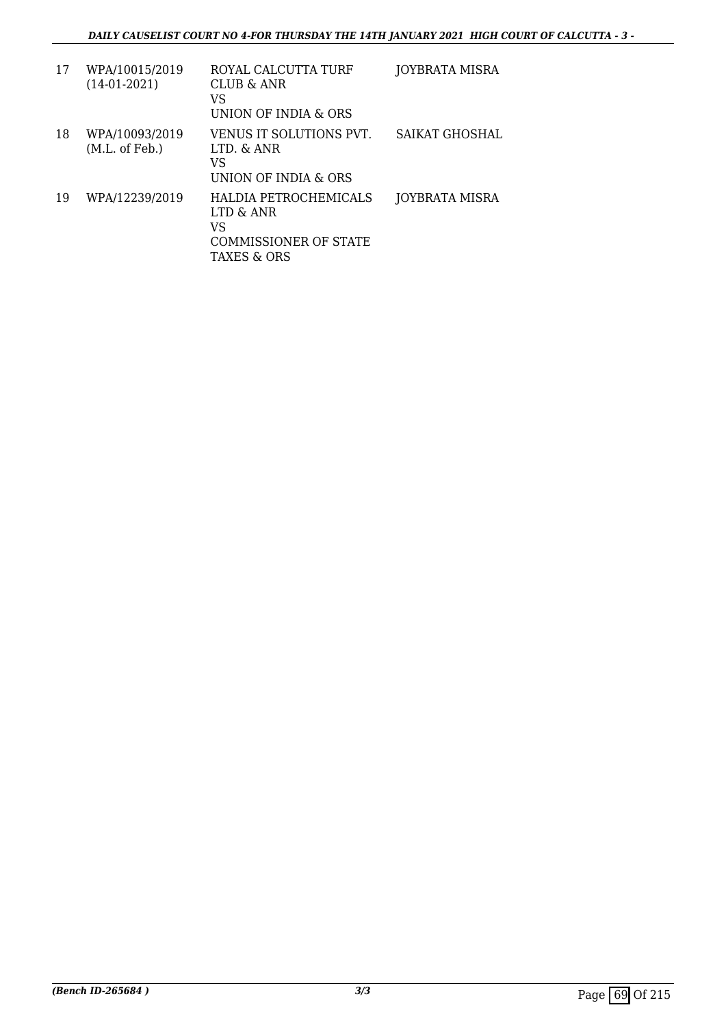| 17 | WPA/10015/2019<br>$(14-01-2021)$ | ROYAL CALCUTTA TURF<br>CLUB & ANR<br>VS<br>UNION OF INDIA & ORS                         | <b>JOYBRATA MISRA</b> |
|----|----------------------------------|-----------------------------------------------------------------------------------------|-----------------------|
| 18 | WPA/10093/2019<br>(M.L. of Feb.) | VENUS IT SOLUTIONS PVT.<br>LTD. & ANR<br>VS<br>UNION OF INDIA & ORS                     | SAIKAT GHOSHAL        |
| 19 | WPA/12239/2019                   | HALDIA PETROCHEMICALS<br>LTD & ANR<br>VS<br><b>COMMISSIONER OF STATE</b><br>TAXES & ORS | JOYBRATA MISRA        |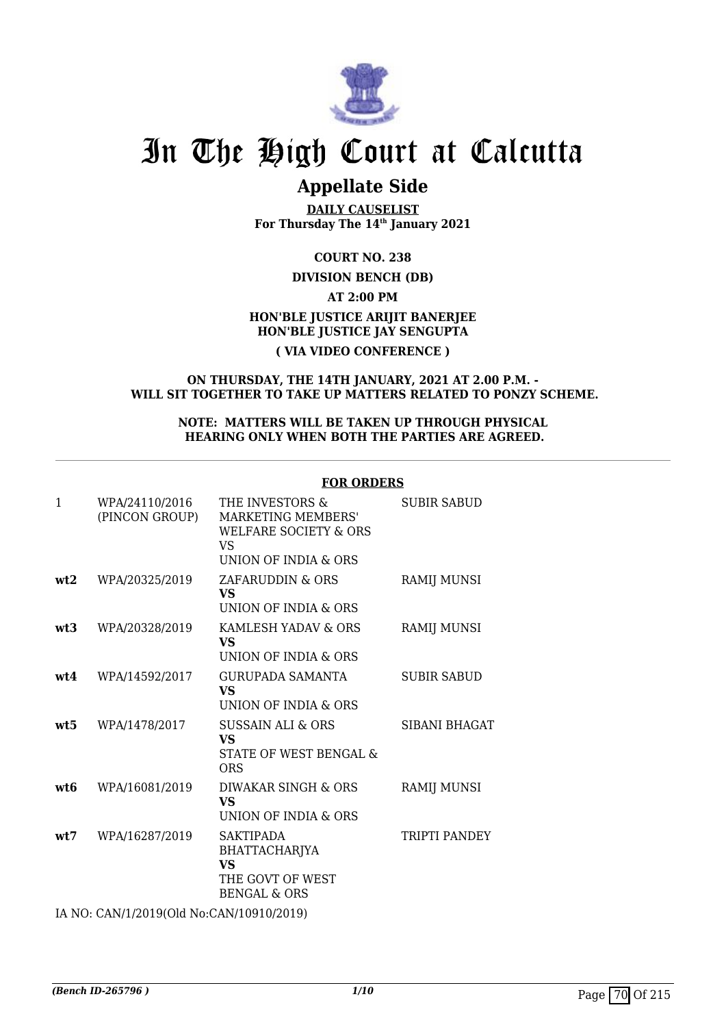

# **Appellate Side**

**DAILY CAUSELIST For Thursday The 14th January 2021**

**COURT NO. 238**

**DIVISION BENCH (DB)**

**AT 2:00 PM HON'BLE JUSTICE ARIJIT BANERJEE HON'BLE JUSTICE JAY SENGUPTA**

### **( VIA VIDEO CONFERENCE )**

#### **ON THURSDAY, THE 14TH JANUARY, 2021 AT 2.00 P.M. - WILL SIT TOGETHER TO TAKE UP MATTERS RELATED TO PONZY SCHEME.**

#### **NOTE: MATTERS WILL BE TAKEN UP THROUGH PHYSICAL HEARING ONLY WHEN BOTH THE PARTIES ARE AGREED.**

|              |                                          | FUK UKDEKS                                                                                               |                      |
|--------------|------------------------------------------|----------------------------------------------------------------------------------------------------------|----------------------|
| $\mathbf{1}$ | WPA/24110/2016<br>(PINCON GROUP)         | THE INVESTORS &<br>MARKETING MEMBERS'<br><b>WELFARE SOCIETY &amp; ORS</b><br>VS.<br>UNION OF INDIA & ORS | <b>SUBIR SABUD</b>   |
| wt2          | WPA/20325/2019                           | ZAFARUDDIN & ORS<br><b>VS</b><br>UNION OF INDIA & ORS                                                    | <b>RAMIJ MUNSI</b>   |
| wt3          | WPA/20328/2019                           | KAMLESH YADAV & ORS<br>VS.<br>UNION OF INDIA & ORS                                                       | <b>RAMIJ MUNSI</b>   |
| wt4          | WPA/14592/2017                           | <b>GURUPADA SAMANTA</b><br><b>VS</b><br>UNION OF INDIA & ORS                                             | <b>SUBIR SABUD</b>   |
| wt5          | WPA/1478/2017                            | SUSSAIN ALI & ORS<br><b>VS</b><br>STATE OF WEST BENGAL &<br><b>ORS</b>                                   | <b>SIBANI BHAGAT</b> |
| wt6          | WPA/16081/2019                           | DIWAKAR SINGH & ORS<br>VS.<br>UNION OF INDIA & ORS                                                       | <b>RAMIJ MUNSI</b>   |
| wt.7         | WPA/16287/2019                           | <b>SAKTIPADA</b><br>BHATTACHARJYA<br><b>VS</b><br>THE GOVT OF WEST<br><b>BENGAL &amp; ORS</b>            | TRIPTI PANDEY        |
|              | IA NO: CAN/1/2019(Old No:CAN/10910/2019) |                                                                                                          |                      |

### **FOR ORDERS**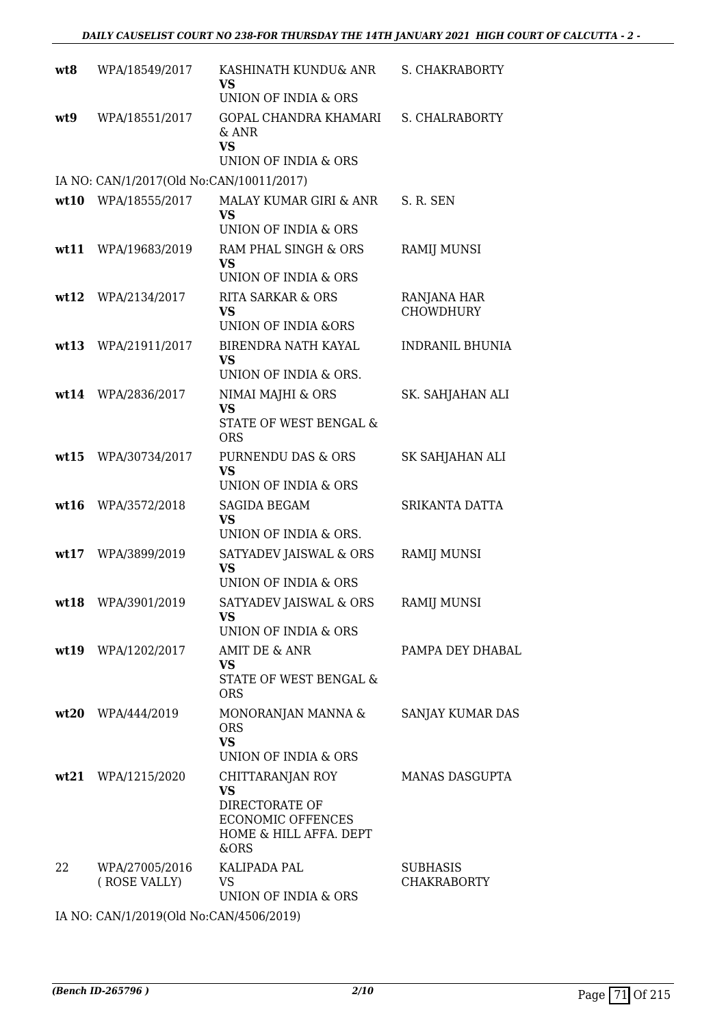| wt8  | WPA/18549/2017                           | KASHINATH KUNDU& ANR<br>VS<br>UNION OF INDIA & ORS                                                            | <b>S. CHAKRABORTY</b>                 |
|------|------------------------------------------|---------------------------------------------------------------------------------------------------------------|---------------------------------------|
| wt9  | WPA/18551/2017                           | GOPAL CHANDRA KHAMARI<br>& ANR<br><b>VS</b><br>UNION OF INDIA & ORS                                           | S. CHALRABORTY                        |
|      | IA NO: CAN/1/2017(Old No:CAN/10011/2017) |                                                                                                               |                                       |
|      | wt10 WPA/18555/2017                      | MALAY KUMAR GIRI & ANR<br>VS                                                                                  | S. R. SEN                             |
| wt11 | WPA/19683/2019                           | UNION OF INDIA & ORS<br>RAM PHAL SINGH & ORS<br><b>VS</b><br>UNION OF INDIA & ORS                             | RAMIJ MUNSI                           |
| wt12 | WPA/2134/2017                            | <b>RITA SARKAR &amp; ORS</b><br><b>VS</b><br>UNION OF INDIA &ORS                                              | RANJANA HAR<br><b>CHOWDHURY</b>       |
| wt13 | WPA/21911/2017                           | BIRENDRA NATH KAYAL<br><b>VS</b><br>UNION OF INDIA & ORS.                                                     | <b>INDRANIL BHUNIA</b>                |
| wt14 | WPA/2836/2017                            | NIMAI MAJHI & ORS<br><b>VS</b><br>STATE OF WEST BENGAL &<br><b>ORS</b>                                        | SK. SAHJAHAN ALI                      |
| wt15 | WPA/30734/2017                           | PURNENDU DAS & ORS<br><b>VS</b><br>UNION OF INDIA & ORS                                                       | SK SAHJAHAN ALI                       |
| wt16 | WPA/3572/2018                            | SAGIDA BEGAM<br><b>VS</b><br>UNION OF INDIA & ORS.                                                            | SRIKANTA DATTA                        |
| wt17 | WPA/3899/2019                            | SATYADEV JAISWAL & ORS<br><b>VS</b><br>UNION OF INDIA & ORS                                                   | <b>RAMIJ MUNSI</b>                    |
|      | wt18 WPA/3901/2019                       | SATYADEV JAISWAL & ORS<br>VS.<br>UNION OF INDIA & ORS                                                         | RAMIJ MUNSI                           |
|      | wt19 WPA/1202/2017                       | AMIT DE & ANR<br><b>VS</b><br>STATE OF WEST BENGAL &<br><b>ORS</b>                                            | PAMPA DEY DHABAL                      |
|      | wt20 WPA/444/2019                        | MONORANJAN MANNA &<br><b>ORS</b><br><b>VS</b><br>UNION OF INDIA & ORS                                         | SANJAY KUMAR DAS                      |
|      | wt21 WPA/1215/2020                       | CHITTARANJAN ROY<br><b>VS</b><br>DIRECTORATE OF<br><b>ECONOMIC OFFENCES</b><br>HOME & HILL AFFA. DEPT<br>&ORS | MANAS DASGUPTA                        |
| 22   | WPA/27005/2016<br>(ROSE VALLY)           | KALIPADA PAL<br>VS.<br>UNION OF INDIA & ORS                                                                   | <b>SUBHASIS</b><br><b>CHAKRABORTY</b> |
|      |                                          |                                                                                                               |                                       |

IA NO: CAN/1/2019(Old No:CAN/4506/2019)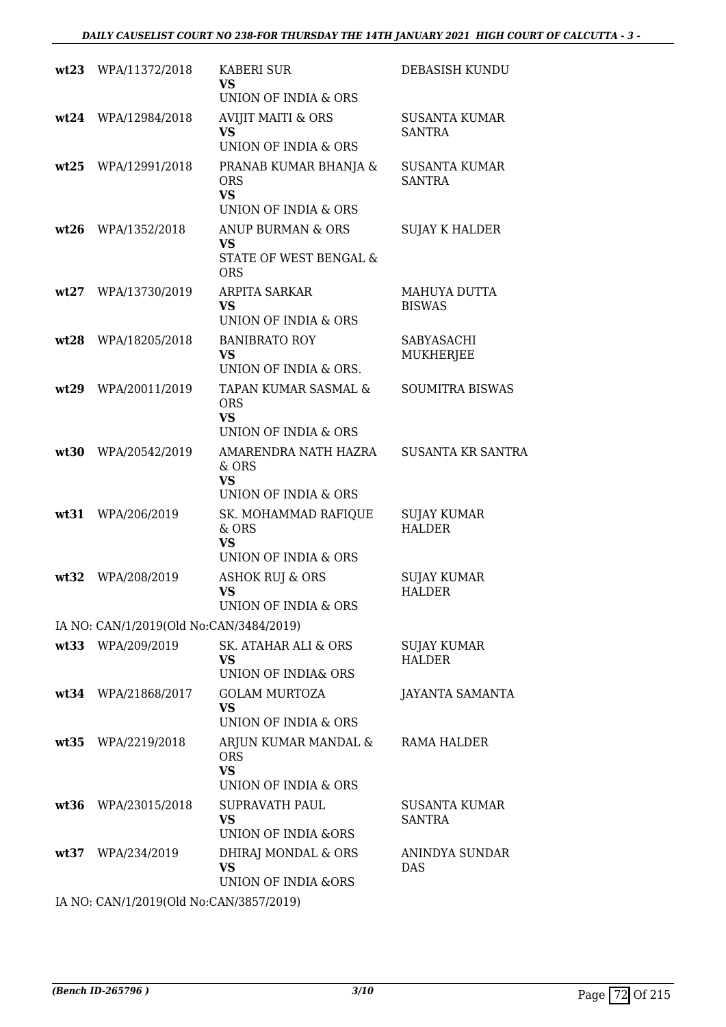|      | wt23 WPA/11372/2018                     | <b>KABERI SUR</b><br><b>VS</b><br>UNION OF INDIA & ORS                                     | DEBASISH KUNDU                        |
|------|-----------------------------------------|--------------------------------------------------------------------------------------------|---------------------------------------|
| wt24 | WPA/12984/2018                          | <b>AVIJIT MAITI &amp; ORS</b><br><b>VS</b><br>UNION OF INDIA & ORS                         | <b>SUSANTA KUMAR</b><br><b>SANTRA</b> |
| wt25 | WPA/12991/2018                          | PRANAB KUMAR BHANJA &<br><b>ORS</b><br><b>VS</b>                                           | SUSANTA KUMAR<br><b>SANTRA</b>        |
|      |                                         | UNION OF INDIA & ORS                                                                       |                                       |
| wt26 | WPA/1352/2018                           | ANUP BURMAN & ORS<br><b>VS</b><br>STATE OF WEST BENGAL &<br><b>ORS</b>                     | <b>SUJAY K HALDER</b>                 |
| wt27 | WPA/13730/2019                          | ARPITA SARKAR<br><b>VS</b><br>UNION OF INDIA & ORS                                         | MAHUYA DUTTA<br><b>BISWAS</b>         |
| wt28 | WPA/18205/2018                          | <b>BANIBRATO ROY</b><br><b>VS</b><br>UNION OF INDIA & ORS.                                 | SABYASACHI<br>MUKHERJEE               |
| wt29 | WPA/20011/2019                          | TAPAN KUMAR SASMAL &<br><b>ORS</b><br><b>VS</b>                                            | <b>SOUMITRA BISWAS</b>                |
| wt30 | WPA/20542/2019                          | UNION OF INDIA & ORS<br>AMARENDRA NATH HAZRA<br>& ORS<br><b>VS</b><br>UNION OF INDIA & ORS | <b>SUSANTA KR SANTRA</b>              |
| wt31 | WPA/206/2019                            | SK. MOHAMMAD RAFIQUE<br>& ORS<br><b>VS</b><br>UNION OF INDIA & ORS                         | <b>SUJAY KUMAR</b><br><b>HALDER</b>   |
| wt32 | WPA/208/2019                            | <b>ASHOK RUJ &amp; ORS</b><br><b>VS</b><br>UNION OF INDIA & ORS                            | <b>SUJAY KUMAR</b><br><b>HALDER</b>   |
|      | IA NO: CAN/1/2019(Old No:CAN/3484/2019) |                                                                                            |                                       |
|      | wt33 WPA/209/2019                       | SK. ATAHAR ALI & ORS<br><b>VS</b><br>UNION OF INDIA& ORS                                   | <b>SUJAY KUMAR</b><br><b>HALDER</b>   |
|      | wt34 WPA/21868/2017                     | <b>GOLAM MURTOZA</b><br><b>VS</b><br>UNION OF INDIA & ORS                                  | <b>JAYANTA SAMANTA</b>                |
| wt35 | WPA/2219/2018                           | ARJUN KUMAR MANDAL &<br><b>ORS</b><br><b>VS</b><br>UNION OF INDIA & ORS                    | RAMA HALDER                           |
| wt36 | WPA/23015/2018                          | <b>SUPRAVATH PAUL</b><br><b>VS</b><br><b>UNION OF INDIA &amp;ORS</b>                       | SUSANTA KUMAR<br><b>SANTRA</b>        |
|      | wt37 WPA/234/2019                       | DHIRAJ MONDAL & ORS<br><b>VS</b><br>UNION OF INDIA &ORS                                    | ANINDYA SUNDAR<br><b>DAS</b>          |
|      |                                         |                                                                                            |                                       |

IA NO: CAN/1/2019(Old No:CAN/3857/2019)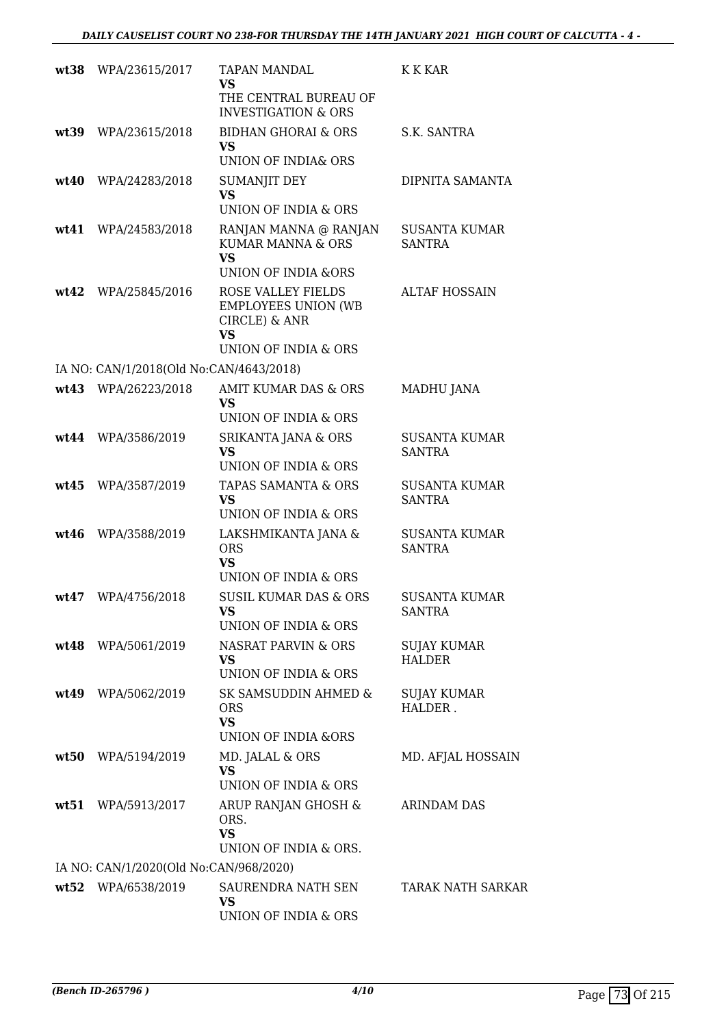|      | wt38 WPA/23615/2017                     | <b>TAPAN MANDAL</b><br><b>VS</b>                                                                       | K K KAR                               |
|------|-----------------------------------------|--------------------------------------------------------------------------------------------------------|---------------------------------------|
|      |                                         | THE CENTRAL BUREAU OF<br><b>INVESTIGATION &amp; ORS</b>                                                |                                       |
| wt39 | WPA/23615/2018                          | <b>BIDHAN GHORAI &amp; ORS</b><br>VS.<br>UNION OF INDIA& ORS                                           | S.K. SANTRA                           |
| wt40 | WPA/24283/2018                          | <b>SUMANJIT DEY</b><br><b>VS</b>                                                                       | DIPNITA SAMANTA                       |
|      |                                         | UNION OF INDIA & ORS                                                                                   |                                       |
|      | wt41 WPA/24583/2018                     | RANJAN MANNA @ RANJAN<br>KUMAR MANNA & ORS<br>VS<br>UNION OF INDIA &ORS                                | <b>SUSANTA KUMAR</b><br><b>SANTRA</b> |
| wt42 | WPA/25845/2016                          | <b>ROSE VALLEY FIELDS</b><br><b>EMPLOYEES UNION (WB</b><br>CIRCLE) & ANR<br>VS<br>UNION OF INDIA & ORS | <b>ALTAF HOSSAIN</b>                  |
|      | IA NO: CAN/1/2018(Old No:CAN/4643/2018) |                                                                                                        |                                       |
|      | wt43 WPA/26223/2018                     | AMIT KUMAR DAS & ORS<br>VS<br>UNION OF INDIA & ORS                                                     | <b>MADHU JANA</b>                     |
| wt44 | WPA/3586/2019                           | <b>SRIKANTA JANA &amp; ORS</b><br><b>VS</b><br>UNION OF INDIA & ORS                                    | <b>SUSANTA KUMAR</b><br><b>SANTRA</b> |
| wt45 | WPA/3587/2019                           | TAPAS SAMANTA & ORS<br>VS<br>UNION OF INDIA & ORS                                                      | <b>SUSANTA KUMAR</b><br><b>SANTRA</b> |
| wt46 | WPA/3588/2019                           | LAKSHMIKANTA JANA &<br><b>ORS</b><br><b>VS</b><br>UNION OF INDIA & ORS                                 | <b>SUSANTA KUMAR</b><br><b>SANTRA</b> |
| wt47 | WPA/4756/2018                           | SUSIL KUMAR DAS & ORS<br>VS<br>UNION OF INDIA & ORS                                                    | <b>SUSANTA KUMAR</b><br><b>SANTRA</b> |
|      | wt48 WPA/5061/2019                      | NASRAT PARVIN & ORS<br>VS<br>UNION OF INDIA & ORS                                                      | <b>SUJAY KUMAR</b><br>HALDER          |
| wt49 | WPA/5062/2019                           | SK SAMSUDDIN AHMED &<br><b>ORS</b><br><b>VS</b><br><b>UNION OF INDIA &amp;ORS</b>                      | <b>SUJAY KUMAR</b><br>HALDER.         |
| wt50 | WPA/5194/2019                           | MD. JALAL & ORS<br><b>VS</b><br>UNION OF INDIA & ORS                                                   | MD. AFJAL HOSSAIN                     |
|      | wt51 WPA/5913/2017                      | ARUP RANJAN GHOSH &<br>ORS.<br><b>VS</b><br>UNION OF INDIA & ORS.                                      | ARINDAM DAS                           |
|      | IA NO: CAN/1/2020(Old No:CAN/968/2020)  |                                                                                                        |                                       |
|      | wt52 WPA/6538/2019                      | SAURENDRA NATH SEN<br>VS<br>UNION OF INDIA & ORS                                                       | <b>TARAK NATH SARKAR</b>              |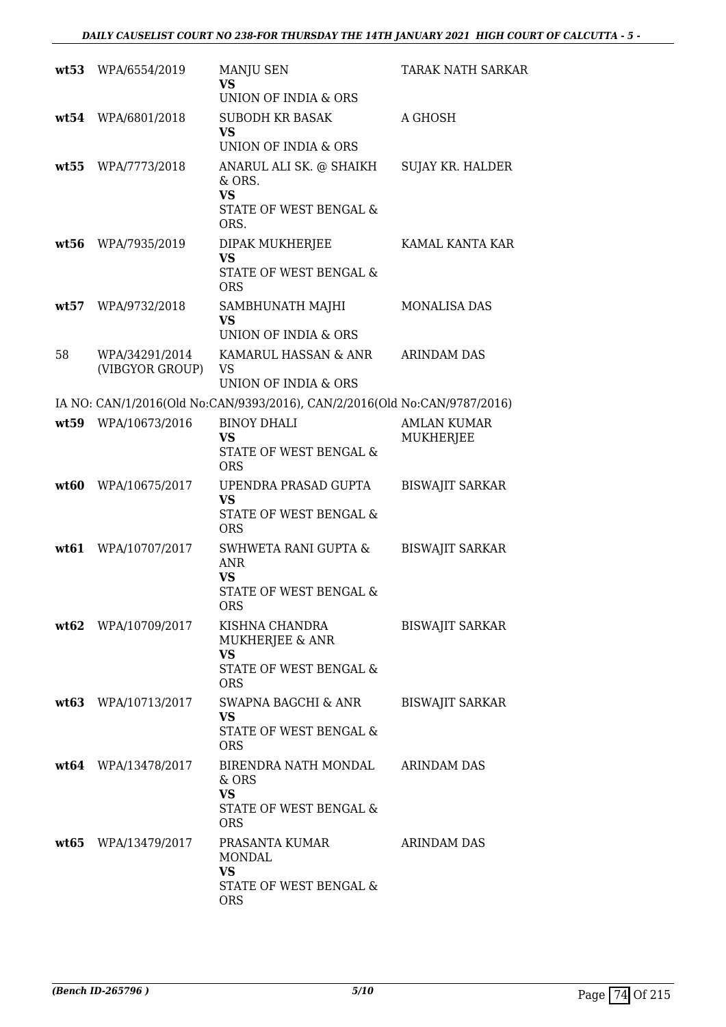|      | wt53 WPA/6554/2019                | MANJU SEN<br>VS<br>UNION OF INDIA & ORS                                              | <b>TARAK NATH SARKAR</b>               |
|------|-----------------------------------|--------------------------------------------------------------------------------------|----------------------------------------|
| wt54 | WPA/6801/2018                     | <b>SUBODH KR BASAK</b><br><b>VS</b><br>UNION OF INDIA & ORS                          | A GHOSH                                |
| wt55 | WPA/7773/2018                     | ANARUL ALI SK. @ SHAIKH<br>& ORS.<br><b>VS</b><br>STATE OF WEST BENGAL &<br>ORS.     | SUJAY KR. HALDER                       |
| wt56 | WPA/7935/2019                     | DIPAK MUKHERJEE<br><b>VS</b><br>STATE OF WEST BENGAL &<br><b>ORS</b>                 | KAMAL KANTA KAR                        |
| wt57 | WPA/9732/2018                     | SAMBHUNATH MAJHI<br><b>VS</b><br>UNION OF INDIA & ORS                                | <b>MONALISA DAS</b>                    |
| 58   | WPA/34291/2014<br>(VIBGYOR GROUP) | KAMARUL HASSAN & ANR<br>VS<br>UNION OF INDIA & ORS                                   | <b>ARINDAM DAS</b>                     |
|      |                                   | IA NO: CAN/1/2016(Old No:CAN/9393/2016), CAN/2/2016(Old No:CAN/9787/2016)            |                                        |
| wt59 | WPA/10673/2016                    | <b>BINOY DHALI</b><br>VS<br>STATE OF WEST BENGAL &<br><b>ORS</b>                     | <b>AMLAN KUMAR</b><br><b>MUKHERJEE</b> |
| wt60 | WPA/10675/2017                    | UPENDRA PRASAD GUPTA<br><b>VS</b><br>STATE OF WEST BENGAL &<br><b>ORS</b>            | <b>BISWAJIT SARKAR</b>                 |
| wt61 | WPA/10707/2017                    | SWHWETA RANI GUPTA &<br><b>ANR</b><br>VS<br><b>STATE OF WEST BENGAL &amp;</b><br>ORS | <b>BISWAJIT SARKAR</b>                 |
|      | wt62 WPA/10709/2017               | KISHNA CHANDRA<br>MUKHERJEE & ANR<br>VS<br>STATE OF WEST BENGAL &<br><b>ORS</b>      | <b>BISWAJIT SARKAR</b>                 |
|      | wt63 WPA/10713/2017               | SWAPNA BAGCHI & ANR<br><b>VS</b><br>STATE OF WEST BENGAL &<br><b>ORS</b>             | <b>BISWAJIT SARKAR</b>                 |
|      | $wt64$ WPA/13478/2017             | BIRENDRA NATH MONDAL<br>& ORS<br><b>VS</b><br>STATE OF WEST BENGAL &<br><b>ORS</b>   | ARINDAM DAS                            |
|      | wt65 WPA/13479/2017               | PRASANTA KUMAR<br>MONDAL<br><b>VS</b><br>STATE OF WEST BENGAL &<br><b>ORS</b>        | <b>ARINDAM DAS</b>                     |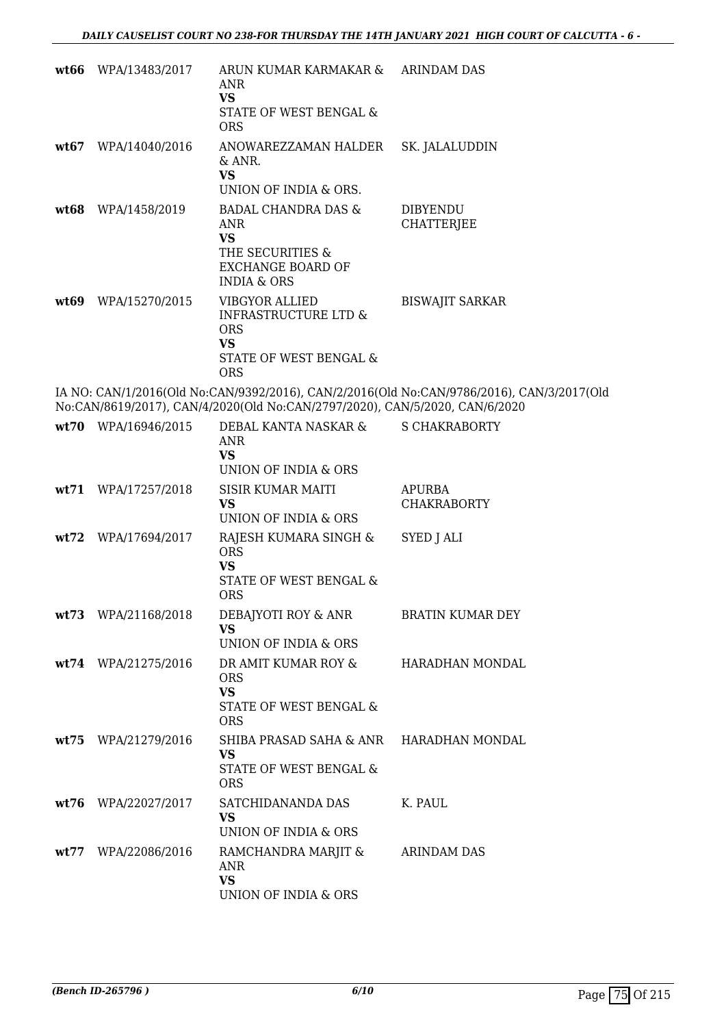| wt66 | WPA/13483/2017      | ARUN KUMAR KARMAKAR &<br>ANR<br><b>VS</b><br>STATE OF WEST BENGAL &<br><b>ORS</b>                                            | <b>ARINDAM DAS</b>                                                                        |
|------|---------------------|------------------------------------------------------------------------------------------------------------------------------|-------------------------------------------------------------------------------------------|
|      | wt67 WPA/14040/2016 | ANOWAREZZAMAN HALDER<br>& ANR.<br><b>VS</b><br>UNION OF INDIA & ORS.                                                         | SK. JALALUDDIN                                                                            |
| wt68 | WPA/1458/2019       | <b>BADAL CHANDRA DAS &amp;</b><br>ANR<br><b>VS</b><br>THE SECURITIES &<br><b>EXCHANGE BOARD OF</b><br><b>INDIA &amp; ORS</b> | <b>DIBYENDU</b><br><b>CHATTERJEE</b>                                                      |
| wt69 | WPA/15270/2015      | <b>VIBGYOR ALLIED</b><br><b>INFRASTRUCTURE LTD &amp;</b><br><b>ORS</b><br><b>VS</b><br>STATE OF WEST BENGAL &<br><b>ORS</b>  | <b>BISWAJIT SARKAR</b>                                                                    |
|      |                     | No:CAN/8619/2017), CAN/4/2020(Old No:CAN/2797/2020), CAN/5/2020, CAN/6/2020                                                  | IA NO: CAN/1/2016(Old No:CAN/9392/2016), CAN/2/2016(Old No:CAN/9786/2016), CAN/3/2017(Old |
|      | wt70 WPA/16946/2015 | DEBAL KANTA NASKAR &<br><b>ANR</b><br><b>VS</b><br>UNION OF INDIA & ORS                                                      | <b>S CHAKRABORTY</b>                                                                      |
| wt71 | WPA/17257/2018      | <b>SISIR KUMAR MAITI</b><br><b>VS</b><br>UNION OF INDIA & ORS                                                                | <b>APURBA</b><br><b>CHAKRABORTY</b>                                                       |
|      | wt72 WPA/17694/2017 | RAJESH KUMARA SINGH &<br><b>ORS</b><br><b>VS</b><br>STATE OF WEST BENGAL &<br><b>ORS</b>                                     | SYED J ALI                                                                                |
|      | wt73 WPA/21168/2018 | DEBAJYOTI ROY & ANR<br><b>VS</b><br>UNION OF INDIA & ORS                                                                     | <b>BRATIN KUMAR DEY</b>                                                                   |
|      | wt74 WPA/21275/2016 | DR AMIT KUMAR ROY &<br><b>ORS</b><br><b>VS</b><br>STATE OF WEST BENGAL &<br><b>ORS</b>                                       | HARADHAN MONDAL                                                                           |
|      | wt75 WPA/21279/2016 | SHIBA PRASAD SAHA & ANR HARADHAN MONDAL<br><b>VS</b><br>STATE OF WEST BENGAL &<br><b>ORS</b>                                 |                                                                                           |
| wt76 | WPA/22027/2017      | SATCHIDANANDA DAS<br><b>VS</b><br>UNION OF INDIA & ORS                                                                       | K. PAUL                                                                                   |
|      | wt77 WPA/22086/2016 | RAMCHANDRA MARJIT &<br>ANR<br><b>VS</b><br>UNION OF INDIA & ORS                                                              | ARINDAM DAS                                                                               |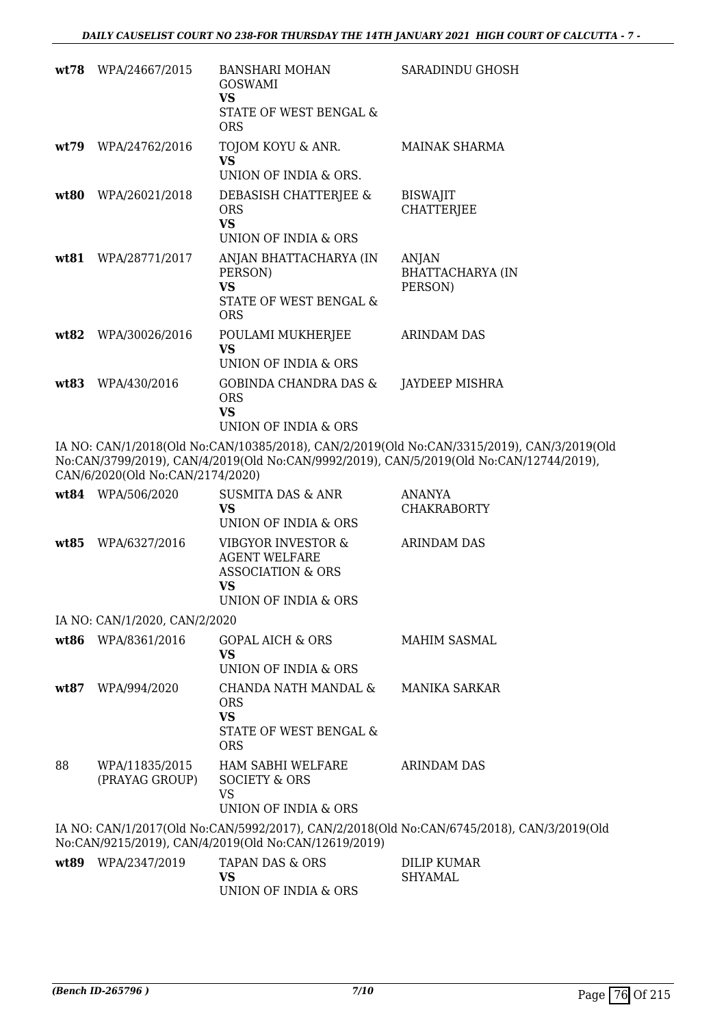| wt78  | WPA/24667/2015 | BANSHARI MOHAN<br>GOSWAMI<br>VS<br>STATE OF WEST BENGAL &<br>ORS                | SARADINDU GHOSH                             |
|-------|----------------|---------------------------------------------------------------------------------|---------------------------------------------|
| wt.79 | WPA/24762/2016 | TOJOM KOYU & ANR.<br>VS.<br>UNION OF INDIA & ORS.                               | MAINAK SHARMA                               |
| wt80  | WPA/26021/2018 | DEBASISH CHATTERJEE &<br>ORS<br><b>VS</b><br>UNION OF INDIA & ORS               | <b>BISWAJIT</b><br><b>CHATTERJEE</b>        |
| wt.81 | WPA/28771/2017 | ANJAN BHATTACHARYA (IN<br>PERSON)<br>VS<br>STATE OF WEST BENGAL &<br><b>ORS</b> | <b>ANJAN</b><br>BHATTACHARYA (IN<br>PERSON) |
| wt82  | WPA/30026/2016 | POULAMI MUKHERJEE<br>VS<br>UNION OF INDIA & ORS                                 | <b>ARINDAM DAS</b>                          |
| wt83  | WPA/430/2016   | GOBINDA CHANDRA DAS &<br>ORS<br><b>VS</b><br>UNION OF INDIA & ORS               | JAYDEEP MISHRA                              |

IA NO: CAN/1/2018(Old No:CAN/10385/2018), CAN/2/2019(Old No:CAN/3315/2019), CAN/3/2019(Old No:CAN/3799/2019), CAN/4/2019(Old No:CAN/9992/2019), CAN/5/2019(Old No:CAN/12744/2019), CAN/6/2020(Old No:CAN/2174/2020)

|      | wt84 WPA/506/2020                | SUSMITA DAS & ANR<br><b>VS</b><br>UNION OF INDIA & ORS                                                    | ANANYA<br><b>CHAKRABORTY</b>                                                              |
|------|----------------------------------|-----------------------------------------------------------------------------------------------------------|-------------------------------------------------------------------------------------------|
| wt85 | WPA/6327/2016                    | VIBGYOR INVESTOR &<br><b>AGENT WELFARE</b><br><b>ASSOCIATION &amp; ORS</b><br>VS.<br>UNION OF INDIA & ORS | ARINDAM DAS                                                                               |
|      | IA NO: CAN/1/2020, CAN/2/2020    |                                                                                                           |                                                                                           |
|      | wt86 WPA/8361/2016               | GOPAL AICH & ORS<br>VS.<br>UNION OF INDIA & ORS                                                           | MAHIM SASMAL                                                                              |
| wt87 | WPA/994/2020                     | CHANDA NATH MANDAL &<br><b>ORS</b><br><b>VS</b><br>STATE OF WEST BENGAL &<br><b>ORS</b>                   | MANIKA SARKAR                                                                             |
| 88   | WPA/11835/2015<br>(PRAYAG GROUP) | HAM SABHI WELFARE<br>SOCIETY & ORS<br>VS<br>UNION OF INDIA & ORS                                          | ARINDAM DAS                                                                               |
|      |                                  | No:CAN/9215/2019), CAN/4/2019(Old No:CAN/12619/2019)                                                      | IA NO: CAN/1/2017(Old No:CAN/5992/2017), CAN/2/2018(Old No:CAN/6745/2018), CAN/3/2019(Old |
| wt89 | WPA/2347/2019                    | <b>TAPAN DAS &amp; ORS</b><br><b>VS</b>                                                                   | <b>DILIP KUMAR</b><br><b>SHYAMAL</b>                                                      |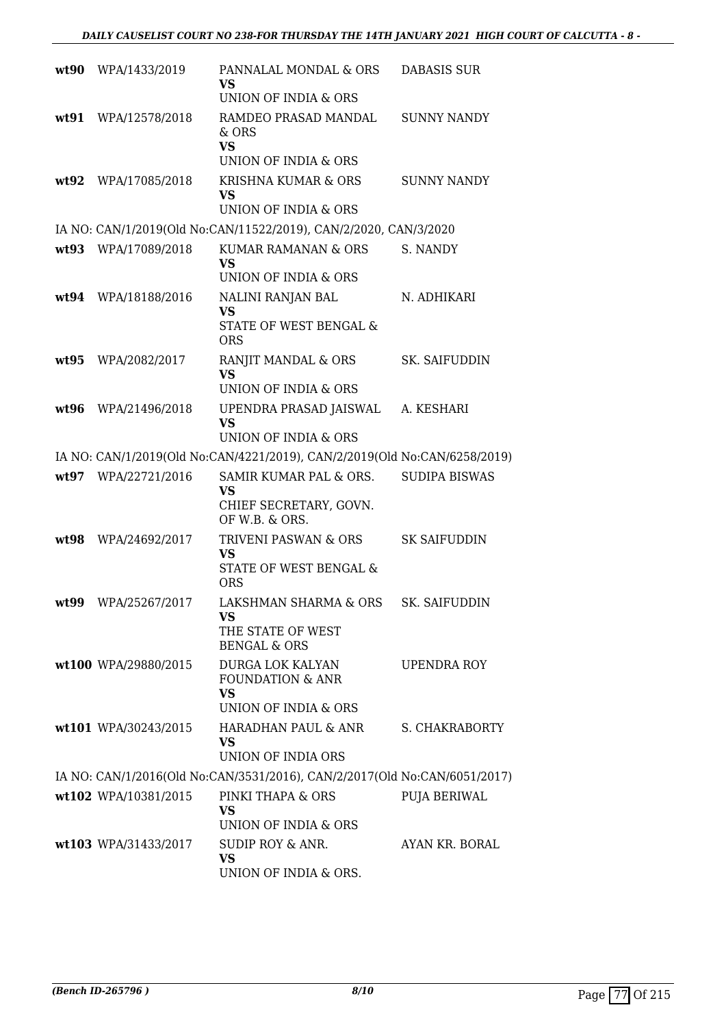| wt90  | WPA/1433/2019        | PANNALAL MONDAL & ORS<br>VS<br>UNION OF INDIA & ORS                                  | DABASIS SUR          |
|-------|----------------------|--------------------------------------------------------------------------------------|----------------------|
| wt.91 | WPA/12578/2018       | RAMDEO PRASAD MANDAL<br>$&$ ORS<br><b>VS</b><br>UNION OF INDIA & ORS                 | <b>SUNNY NANDY</b>   |
| wt92  | WPA/17085/2018       | KRISHNA KUMAR & ORS<br><b>VS</b><br>UNION OF INDIA & ORS                             | <b>SUNNY NANDY</b>   |
|       |                      | IA NO: CAN/1/2019(Old No:CAN/11522/2019), CAN/2/2020, CAN/3/2020                     |                      |
| wt93  | WPA/17089/2018       | KUMAR RAMANAN & ORS<br><b>VS</b><br>UNION OF INDIA & ORS                             | S. NANDY             |
| wt94  | WPA/18188/2016       | NALINI RANJAN BAL<br><b>VS</b>                                                       | N. ADHIKARI          |
|       |                      | STATE OF WEST BENGAL &<br><b>ORS</b>                                                 |                      |
| wt95  | WPA/2082/2017        | RANJIT MANDAL & ORS<br><b>VS</b><br>UNION OF INDIA & ORS                             | SK. SAIFUDDIN        |
| wt96  | WPA/21496/2018       | UPENDRA PRASAD JAISWAL<br><b>VS</b><br>UNION OF INDIA & ORS                          | A. KESHARI           |
|       |                      | IA NO: CAN/1/2019(Old No:CAN/4221/2019), CAN/2/2019(Old No:CAN/6258/2019)            |                      |
|       | wt97 WPA/22721/2016  | SAMIR KUMAR PAL & ORS.<br>VS<br>CHIEF SECRETARY, GOVN.<br>OF W.B. & ORS.             | <b>SUDIPA BISWAS</b> |
| wt98  | WPA/24692/2017       | TRIVENI PASWAN & ORS<br><b>VS</b><br>STATE OF WEST BENGAL &<br><b>ORS</b>            | <b>SK SAIFUDDIN</b>  |
|       | wt99 WPA/25267/2017  | LAKSHMAN SHARMA & ORS<br>VS.<br>THE STATE OF WEST<br><b>BENGAL &amp; ORS</b>         | <b>SK. SAIFUDDIN</b> |
|       | wt100 WPA/29880/2015 | DURGA LOK KALYAN<br><b>FOUNDATION &amp; ANR</b><br><b>VS</b><br>UNION OF INDIA & ORS | <b>UPENDRA ROY</b>   |
|       | wt101 WPA/30243/2015 | HARADHAN PAUL & ANR S. CHAKRABORTY<br>VS.<br><b>UNION OF INDIA ORS</b>               |                      |
|       |                      | IA NO: CAN/1/2016(Old No:CAN/3531/2016), CAN/2/2017(Old No:CAN/6051/2017)            |                      |
|       | wt102 WPA/10381/2015 | PINKI THAPA & ORS<br>VS<br>UNION OF INDIA & ORS                                      | PUJA BERIWAL         |
|       | wt103 WPA/31433/2017 | SUDIP ROY & ANR.<br><b>VS</b><br>UNION OF INDIA & ORS.                               | AYAN KR. BORAL       |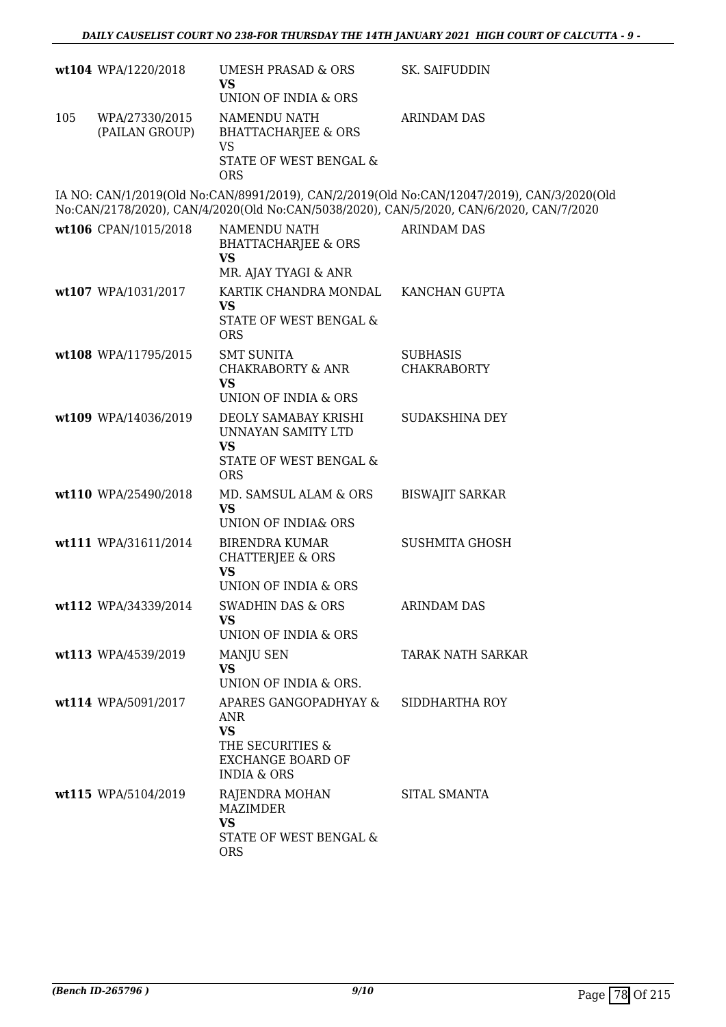|     | wt104 WPA/1220/2018              | UMESH PRASAD & ORS<br><b>VS</b><br>UNION OF INDIA & ORS                                                             | SK. SAIFUDDIN                                                                                                                                                                         |
|-----|----------------------------------|---------------------------------------------------------------------------------------------------------------------|---------------------------------------------------------------------------------------------------------------------------------------------------------------------------------------|
| 105 | WPA/27330/2015<br>(PAILAN GROUP) | NAMENDU NATH<br><b>BHATTACHARJEE &amp; ORS</b><br>VS<br>STATE OF WEST BENGAL &<br><b>ORS</b>                        | ARINDAM DAS                                                                                                                                                                           |
|     |                                  |                                                                                                                     | IA NO: CAN/1/2019(Old No:CAN/8991/2019), CAN/2/2019(Old No:CAN/12047/2019), CAN/3/2020(Old<br>No:CAN/2178/2020), CAN/4/2020(Old No:CAN/5038/2020), CAN/5/2020, CAN/6/2020, CAN/7/2020 |
|     | wt106 CPAN/1015/2018             | NAMENDU NATH<br><b>BHATTACHARJEE &amp; ORS</b><br><b>VS</b>                                                         | <b>ARINDAM DAS</b>                                                                                                                                                                    |
|     | wt107 WPA/1031/2017              | MR. AJAY TYAGI & ANR<br>KARTIK CHANDRA MONDAL<br><b>VS</b><br>STATE OF WEST BENGAL &<br><b>ORS</b>                  | KANCHAN GUPTA                                                                                                                                                                         |
|     | wt108 WPA/11795/2015             | <b>SMT SUNITA</b><br><b>CHAKRABORTY &amp; ANR</b><br><b>VS</b><br>UNION OF INDIA & ORS                              | <b>SUBHASIS</b><br><b>CHAKRABORTY</b>                                                                                                                                                 |
|     | wt109 WPA/14036/2019             | DEOLY SAMABAY KRISHI<br>UNNAYAN SAMITY LTD<br><b>VS</b><br>STATE OF WEST BENGAL &<br><b>ORS</b>                     | SUDAKSHINA DEY                                                                                                                                                                        |
|     | wt110 WPA/25490/2018             | MD. SAMSUL ALAM & ORS<br>VS.<br><b>UNION OF INDIA&amp; ORS</b>                                                      | <b>BISWAJIT SARKAR</b>                                                                                                                                                                |
|     | wt111 WPA/31611/2014             | <b>BIRENDRA KUMAR</b><br><b>CHATTERJEE &amp; ORS</b><br><b>VS</b><br>UNION OF INDIA & ORS                           | <b>SUSHMITA GHOSH</b>                                                                                                                                                                 |
|     | wt112 WPA/34339/2014             | SWADHIN DAS & ORS<br><b>VS</b><br>UNION OF INDIA & ORS                                                              | ARINDAM DAS                                                                                                                                                                           |
|     | wt113 WPA/4539/2019              | MANJU SEN<br><b>VS</b><br>UNION OF INDIA & ORS.                                                                     | TARAK NATH SARKAR                                                                                                                                                                     |
|     | wt114 WPA/5091/2017              | APARES GANGOPADHYAY &<br>ANR<br><b>VS</b><br>THE SECURITIES &<br><b>EXCHANGE BOARD OF</b><br><b>INDIA &amp; ORS</b> | SIDDHARTHA ROY                                                                                                                                                                        |
|     | wt115 WPA/5104/2019              | RAJENDRA MOHAN<br>MAZIMDER<br><b>VS</b><br>STATE OF WEST BENGAL &<br><b>ORS</b>                                     | SITAL SMANTA                                                                                                                                                                          |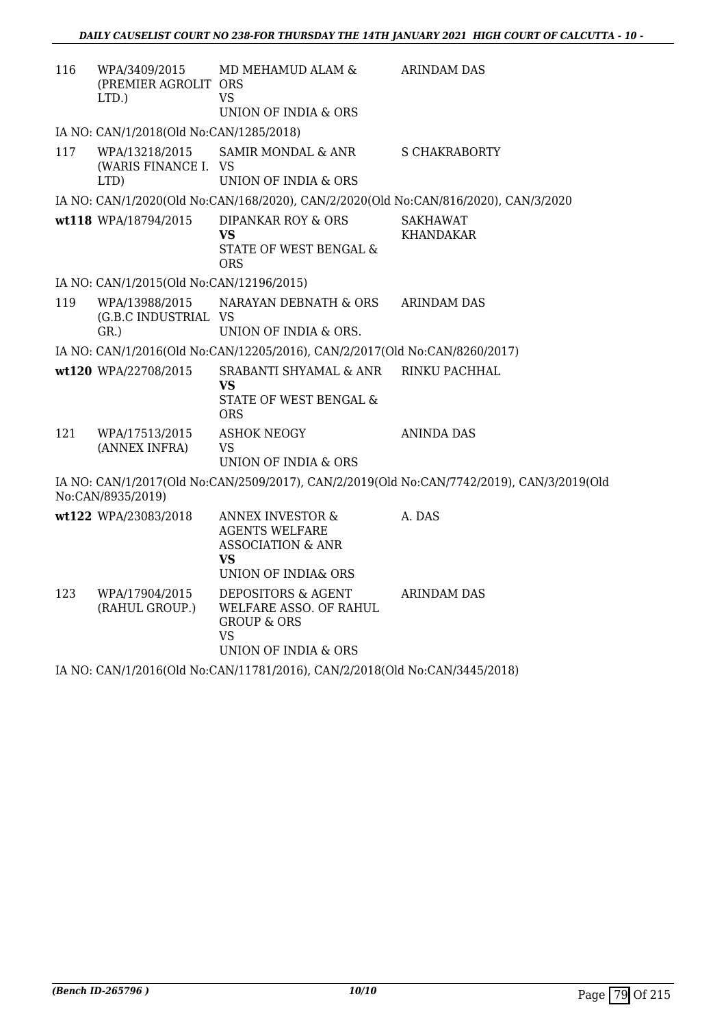| 116 | WPA/3409/2015<br>(PREMIER AGROLIT ORS<br>LTD.) | MD MEHAMUD ALAM &<br>VS<br>UNION OF INDIA & ORS                                                                    | <b>ARINDAM DAS</b>                                                                        |
|-----|------------------------------------------------|--------------------------------------------------------------------------------------------------------------------|-------------------------------------------------------------------------------------------|
|     | IA NO: CAN/1/2018(Old No:CAN/1285/2018)        |                                                                                                                    |                                                                                           |
| 117 | WPA/13218/2015<br>(WARIS FINANCE I. VS<br>LTD) | SAMIR MONDAL & ANR<br>UNION OF INDIA & ORS                                                                         | <b>S CHAKRABORTY</b>                                                                      |
|     |                                                | IA NO: CAN/1/2020(Old No:CAN/168/2020), CAN/2/2020(Old No:CAN/816/2020), CAN/3/2020                                |                                                                                           |
|     | wt118 WPA/18794/2015                           | <b>DIPANKAR ROY &amp; ORS</b><br>VS<br>STATE OF WEST BENGAL &<br><b>ORS</b>                                        | <b>SAKHAWAT</b><br><b>KHANDAKAR</b>                                                       |
|     | IA NO: CAN/1/2015(Old No:CAN/12196/2015)       |                                                                                                                    |                                                                                           |
| 119 | (G.B.C INDUSTRIAL VS<br>$GR.$ )                | WPA/13988/2015 NARAYAN DEBNATH & ORS<br>UNION OF INDIA & ORS.                                                      | <b>ARINDAM DAS</b>                                                                        |
|     |                                                | IA NO: CAN/1/2016(Old No:CAN/12205/2016), CAN/2/2017(Old No:CAN/8260/2017)                                         |                                                                                           |
|     | wt120 WPA/22708/2015                           | SRABANTI SHYAMAL & ANR<br><b>VS</b><br>STATE OF WEST BENGAL &<br><b>ORS</b>                                        | RINKU PACHHAL                                                                             |
| 121 | WPA/17513/2015<br>(ANNEX INFRA)                | <b>ASHOK NEOGY</b><br><b>VS</b><br>UNION OF INDIA & ORS                                                            | ANINDA DAS                                                                                |
|     | No:CAN/8935/2019)                              |                                                                                                                    | IA NO: CAN/1/2017(Old No:CAN/2509/2017), CAN/2/2019(Old No:CAN/7742/2019), CAN/3/2019(Old |
|     | wt122 WPA/23083/2018                           | <b>ANNEX INVESTOR &amp;</b><br><b>AGENTS WELFARE</b><br><b>ASSOCIATION &amp; ANR</b><br>VS.<br>UNION OF INDIA& ORS | A. DAS                                                                                    |
| 123 | WPA/17904/2015<br>(RAHUL GROUP.)               | DEPOSITORS & AGENT<br>WELFARE ASSO. OF RAHUL<br><b>GROUP &amp; ORS</b><br>VS<br>UNION OF INDIA & ORS               | ARINDAM DAS                                                                               |

IA NO: CAN/1/2016(Old No:CAN/11781/2016), CAN/2/2018(Old No:CAN/3445/2018)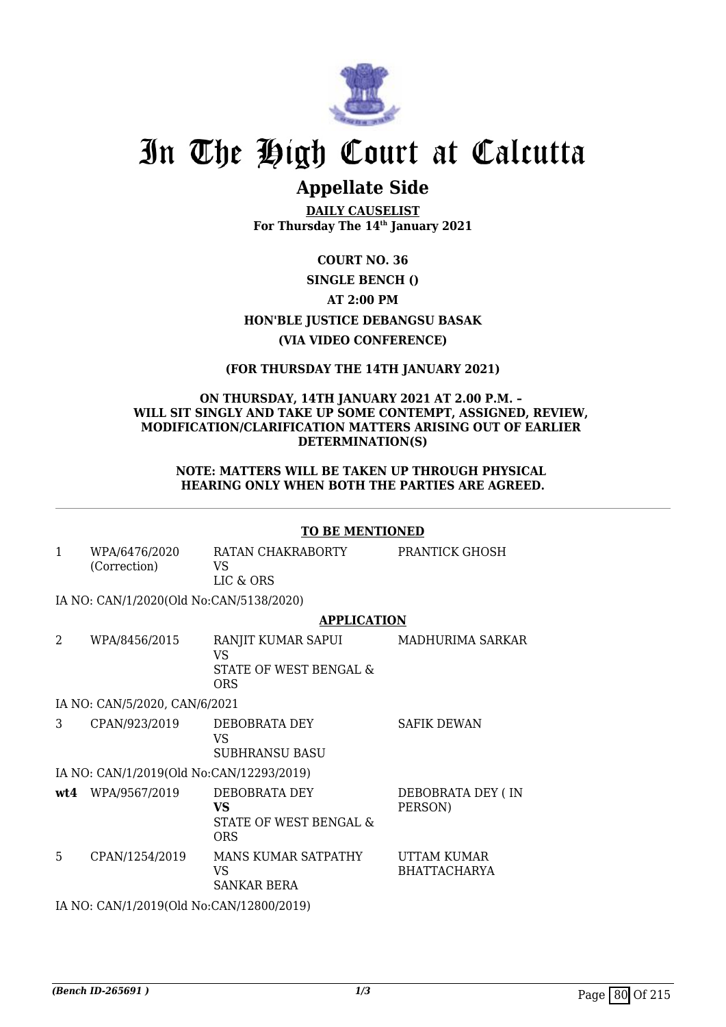

# **Appellate Side**

**DAILY CAUSELIST For Thursday The 14th January 2021**

# **COURT NO. 36**

# **SINGLE BENCH () AT 2:00 PM HON'BLE JUSTICE DEBANGSU BASAK (VIA VIDEO CONFERENCE)**

## **(FOR THURSDAY THE 14TH JANUARY 2021)**

#### **ON THURSDAY, 14TH JANUARY 2021 AT 2.00 P.M. – WILL SIT SINGLY AND TAKE UP SOME CONTEMPT, ASSIGNED, REVIEW, MODIFICATION/CLARIFICATION MATTERS ARISING OUT OF EARLIER DETERMINATION(S)**

#### **NOTE: MATTERS WILL BE TAKEN UP THROUGH PHYSICAL HEARING ONLY WHEN BOTH THE PARTIES ARE AGREED.**

#### **TO BE MENTIONED**

1 WPA/6476/2020 (Correction) RATAN CHAKRABORTY VS LIC & ORS PRANTICK GHOSH IA NO: CAN/1/2020(Old No:CAN/5138/2020)

#### **APPLICATION**

| $\overline{2}$ | WPA/8456/2015                            | RANJIT KUMAR SAPUI<br>VS<br>STATE OF WEST BENGAL &<br>ORS   | MADHURIMA SARKAR                   |  |  |
|----------------|------------------------------------------|-------------------------------------------------------------|------------------------------------|--|--|
|                | IA NO: CAN/5/2020, CAN/6/2021            |                                                             |                                    |  |  |
| 3              | CPAN/923/2019                            | DEBOBRATA DEY<br>VS<br><b>SUBHRANSU BASU</b>                | <b>SAFIK DEWAN</b>                 |  |  |
|                | IA NO: CAN/1/2019(Old No:CAN/12293/2019) |                                                             |                                    |  |  |
|                | wt4 WPA/9567/2019                        | DEBOBRATA DEY<br>VS<br>STATE OF WEST BENGAL &<br><b>ORS</b> | DEBOBRATA DEY (IN<br>PERSON)       |  |  |
| 5              | CPAN/1254/2019                           | MANS KUMAR SATPATHY<br>VS<br>SANKAR BERA                    | UTTAM KUMAR<br><b>BHATTACHARYA</b> |  |  |
|                | IA NO: CAN/1/2019(Old No:CAN/12800/2019) |                                                             |                                    |  |  |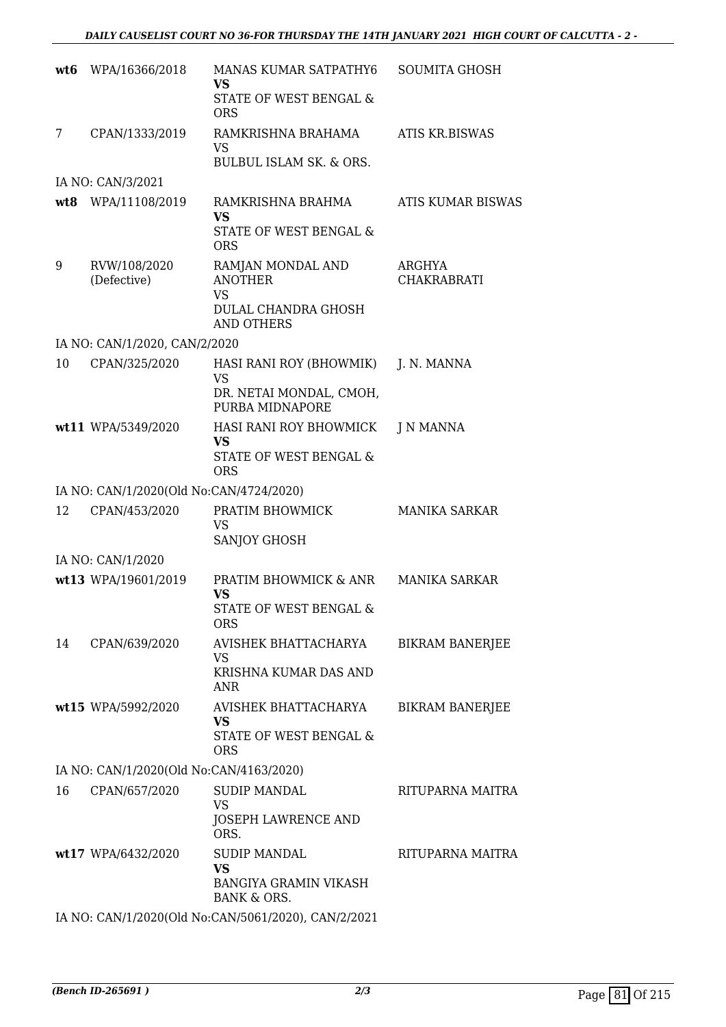|    | wt6 WPA/16366/2018                      | MANAS KUMAR SATPATHY6<br><b>VS</b><br>STATE OF WEST BENGAL &<br><b>ORS</b>                          | <b>SOUMITA GHOSH</b>         |
|----|-----------------------------------------|-----------------------------------------------------------------------------------------------------|------------------------------|
| 7  | CPAN/1333/2019                          | RAMKRISHNA BRAHAMA<br>VS<br><b>BULBUL ISLAM SK. &amp; ORS.</b>                                      | <b>ATIS KR.BISWAS</b>        |
|    | IA NO: CAN/3/2021                       |                                                                                                     |                              |
|    | wt8 WPA/11108/2019                      | RAMKRISHNA BRAHMA<br><b>VS</b><br>STATE OF WEST BENGAL &<br><b>ORS</b>                              | ATIS KUMAR BISWAS            |
| 9  | RVW/108/2020<br>(Defective)             | RAMJAN MONDAL AND<br><b>ANOTHER</b><br><b>VS</b><br><b>DULAL CHANDRA GHOSH</b><br><b>AND OTHERS</b> | ARGHYA<br><b>CHAKRABRATI</b> |
|    | IA NO: CAN/1/2020, CAN/2/2020           |                                                                                                     |                              |
| 10 | CPAN/325/2020                           | HASI RANI ROY (BHOWMIK)<br><b>VS</b><br>DR. NETAI MONDAL, CMOH,<br>PURBA MIDNAPORE                  | J. N. MANNA                  |
|    | wt11 WPA/5349/2020                      | HASI RANI ROY BHOWMICK<br><b>VS</b><br>STATE OF WEST BENGAL &<br><b>ORS</b>                         | J N MANNA                    |
|    | IA NO: CAN/1/2020(Old No:CAN/4724/2020) |                                                                                                     |                              |
| 12 | CPAN/453/2020                           | PRATIM BHOWMICK<br><b>VS</b><br>SANJOY GHOSH                                                        | <b>MANIKA SARKAR</b>         |
|    | IA NO: CAN/1/2020                       |                                                                                                     |                              |
|    | wt13 WPA/19601/2019                     | PRATIM BHOWMICK & ANR MANIKA SARKAR<br>VS<br>STATE OF WEST BENGAL &<br><b>ORS</b>                   |                              |
| 14 | CPAN/639/2020                           | AVISHEK BHATTACHARYA<br><b>VS</b><br>KRISHNA KUMAR DAS AND<br><b>ANR</b>                            | <b>BIKRAM BANERJEE</b>       |
|    | wt15 WPA/5992/2020                      | AVISHEK BHATTACHARYA<br><b>VS</b><br>STATE OF WEST BENGAL &<br><b>ORS</b>                           | <b>BIKRAM BANERJEE</b>       |
|    | IA NO: CAN/1/2020(Old No:CAN/4163/2020) |                                                                                                     |                              |
| 16 | CPAN/657/2020                           | <b>SUDIP MANDAL</b><br><b>VS</b><br><b>JOSEPH LAWRENCE AND</b><br>ORS.                              | RITUPARNA MAITRA             |
|    | wt17 WPA/6432/2020                      | <b>SUDIP MANDAL</b><br>VS<br><b>BANGIYA GRAMIN VIKASH</b><br><b>BANK &amp; ORS.</b>                 | RITUPARNA MAITRA             |
|    |                                         | IA NO: CAN/1/2020(Old No:CAN/5061/2020), CAN/2/2021                                                 |                              |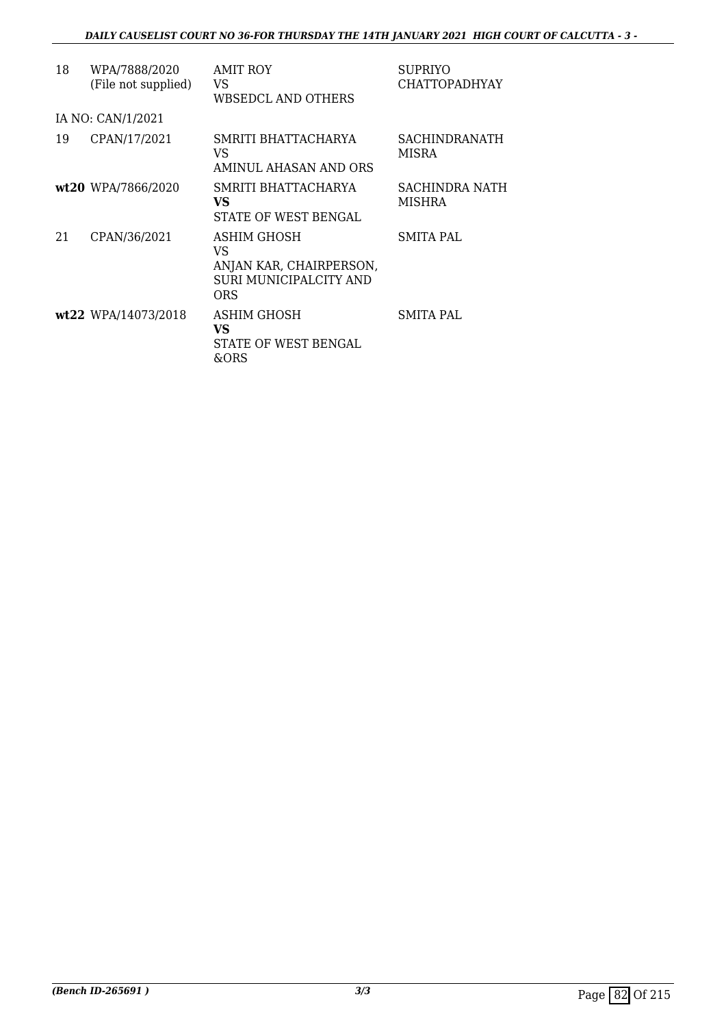| 18 | WPA/7888/2020<br>(File not supplied) | <b>AMIT ROY</b><br>VS<br>WBSEDCL AND OTHERS                                   | <b>SUPRIYO</b><br><b>CHATTOPADHYAY</b> |
|----|--------------------------------------|-------------------------------------------------------------------------------|----------------------------------------|
|    | IA NO: CAN/1/2021                    |                                                                               |                                        |
| 19 | CPAN/17/2021                         | SMRITI BHATTACHARYA<br>VS<br>AMINUL AHASAN AND ORS                            | <b>SACHINDRANATH</b><br><b>MISRA</b>   |
|    | wt20 WPA/7866/2020                   | SMRITI BHATTACHARYA<br>VS<br>STATE OF WEST BENGAL                             | SACHINDRA NATH<br><b>MISHRA</b>        |
| 21 | CPAN/36/2021                         | ASHIM GHOSH<br>VS<br>ANJAN KAR, CHAIRPERSON,<br>SURI MUNICIPALCITY AND<br>ORS | SMITA PAL                              |
|    | wt22 WPA/14073/2018                  | ASHIM GHOSH<br>VS<br>STATE OF WEST BENGAL<br>&ORS                             | SMITA PAL                              |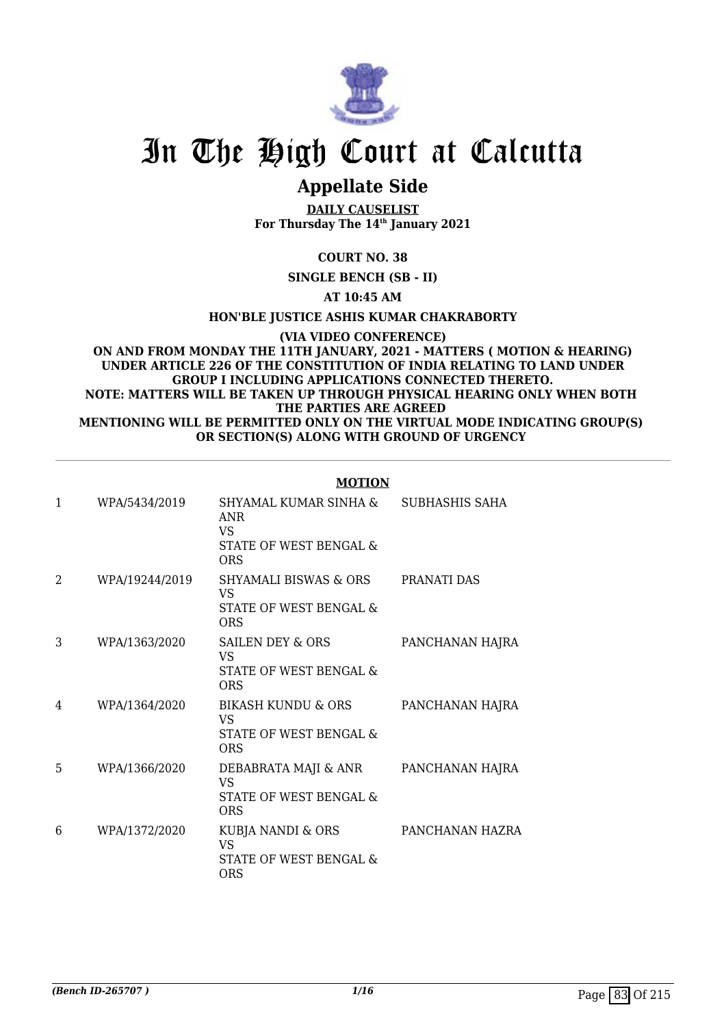

# **Appellate Side**

**DAILY CAUSELIST For Thursday The 14th January 2021**

# **COURT NO. 38**

**SINGLE BENCH (SB - II)**

**AT 10:45 AM**

**HON'BLE JUSTICE ASHIS KUMAR CHAKRABORTY**

**(VIA VIDEO CONFERENCE)**

#### **ON AND FROM MONDAY THE 11TH JANUARY, 2021 - MATTERS ( MOTION & HEARING) UNDER ARTICLE 226 OF THE CONSTITUTION OF INDIA RELATING TO LAND UNDER GROUP I INCLUDING APPLICATIONS CONNECTED THERETO. NOTE: MATTERS WILL BE TAKEN UP THROUGH PHYSICAL HEARING ONLY WHEN BOTH THE PARTIES ARE AGREED MENTIONING WILL BE PERMITTED ONLY ON THE VIRTUAL MODE INDICATING GROUP(S) OR SECTION(S) ALONG WITH GROUND OF URGENCY**

#### **MOTION**

| $\mathbf{1}$ | WPA/5434/2019  | SHYAMAL KUMAR SINHA &<br><b>ANR</b><br>VS.<br><b>STATE OF WEST BENGAL &amp;</b><br><b>ORS</b> | SUBHASHIS SAHA  |
|--------------|----------------|-----------------------------------------------------------------------------------------------|-----------------|
| 2            | WPA/19244/2019 | SHYAMALI BISWAS & ORS<br>VS<br>STATE OF WEST BENGAL &<br><b>ORS</b>                           | PRANATI DAS     |
| 3            | WPA/1363/2020  | SAILEN DEY & ORS<br>VS.<br>STATE OF WEST BENGAL &<br><b>ORS</b>                               | PANCHANAN HAJRA |
| 4            | WPA/1364/2020  | BIKASH KUNDU & ORS<br>VS.<br>STATE OF WEST BENGAL &<br><b>ORS</b>                             | PANCHANAN HAJRA |
| 5            | WPA/1366/2020  | DEBABRATA MAJI & ANR<br><b>VS</b><br>STATE OF WEST BENGAL &<br><b>ORS</b>                     | PANCHANAN HAJRA |
| 6            | WPA/1372/2020  | KUBJA NANDI & ORS<br><b>VS</b><br>STATE OF WEST BENGAL &<br><b>ORS</b>                        | PANCHANAN HAZRA |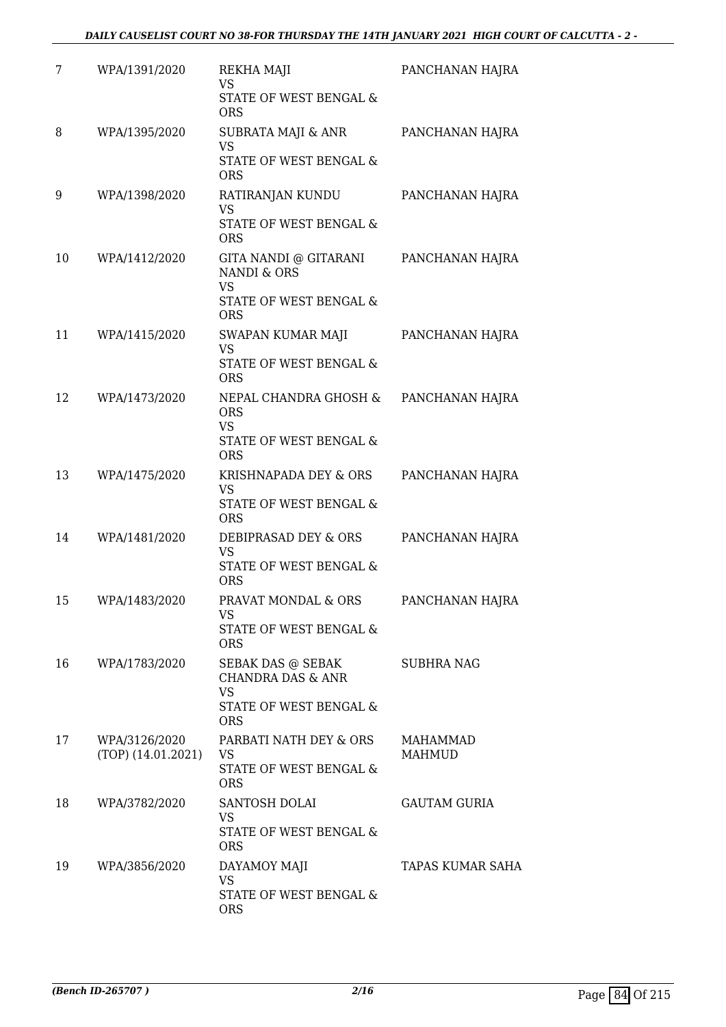| 7  | WPA/1391/2020                         | REKHA MAJI<br><b>VS</b><br>STATE OF WEST BENGAL &<br><b>ORS</b>                                        | PANCHANAN HAJRA           |
|----|---------------------------------------|--------------------------------------------------------------------------------------------------------|---------------------------|
| 8  | WPA/1395/2020                         | SUBRATA MAJI & ANR<br><b>VS</b><br>STATE OF WEST BENGAL &<br><b>ORS</b>                                | PANCHANAN HAJRA           |
| 9  | WPA/1398/2020                         | RATIRANJAN KUNDU<br><b>VS</b><br>STATE OF WEST BENGAL &<br><b>ORS</b>                                  | PANCHANAN HAJRA           |
| 10 | WPA/1412/2020                         | GITA NANDI @ GITARANI<br><b>NANDI &amp; ORS</b><br><b>VS</b><br>STATE OF WEST BENGAL &<br><b>ORS</b>   | PANCHANAN HAJRA           |
| 11 | WPA/1415/2020                         | SWAPAN KUMAR MAJI<br>VS<br>STATE OF WEST BENGAL &<br><b>ORS</b>                                        | PANCHANAN HAJRA           |
| 12 | WPA/1473/2020                         | NEPAL CHANDRA GHOSH &<br><b>ORS</b><br><b>VS</b><br>STATE OF WEST BENGAL &<br><b>ORS</b>               | PANCHANAN HAJRA           |
| 13 | WPA/1475/2020                         | KRISHNAPADA DEY & ORS<br><b>VS</b><br>STATE OF WEST BENGAL &<br><b>ORS</b>                             | PANCHANAN HAJRA           |
| 14 | WPA/1481/2020                         | DEBIPRASAD DEY & ORS<br><b>VS</b><br>STATE OF WEST BENGAL &<br><b>ORS</b>                              | PANCHANAN HAJRA           |
| 15 | WPA/1483/2020                         | PRAVAT MONDAL & ORS<br>VS<br>STATE OF WEST BENGAL &<br><b>ORS</b>                                      | PANCHANAN HAJRA           |
| 16 | WPA/1783/2020                         | SEBAK DAS @ SEBAK<br><b>CHANDRA DAS &amp; ANR</b><br><b>VS</b><br>STATE OF WEST BENGAL &<br><b>ORS</b> | <b>SUBHRA NAG</b>         |
| 17 | WPA/3126/2020<br>$(TOP)$ (14.01.2021) | PARBATI NATH DEY & ORS<br>VS<br>STATE OF WEST BENGAL &<br><b>ORS</b>                                   | MAHAMMAD<br><b>MAHMUD</b> |
| 18 | WPA/3782/2020                         | SANTOSH DOLAI<br><b>VS</b><br>STATE OF WEST BENGAL &<br><b>ORS</b>                                     | <b>GAUTAM GURIA</b>       |
| 19 | WPA/3856/2020                         | DAYAMOY MAJI<br>VS<br>STATE OF WEST BENGAL &<br><b>ORS</b>                                             | TAPAS KUMAR SAHA          |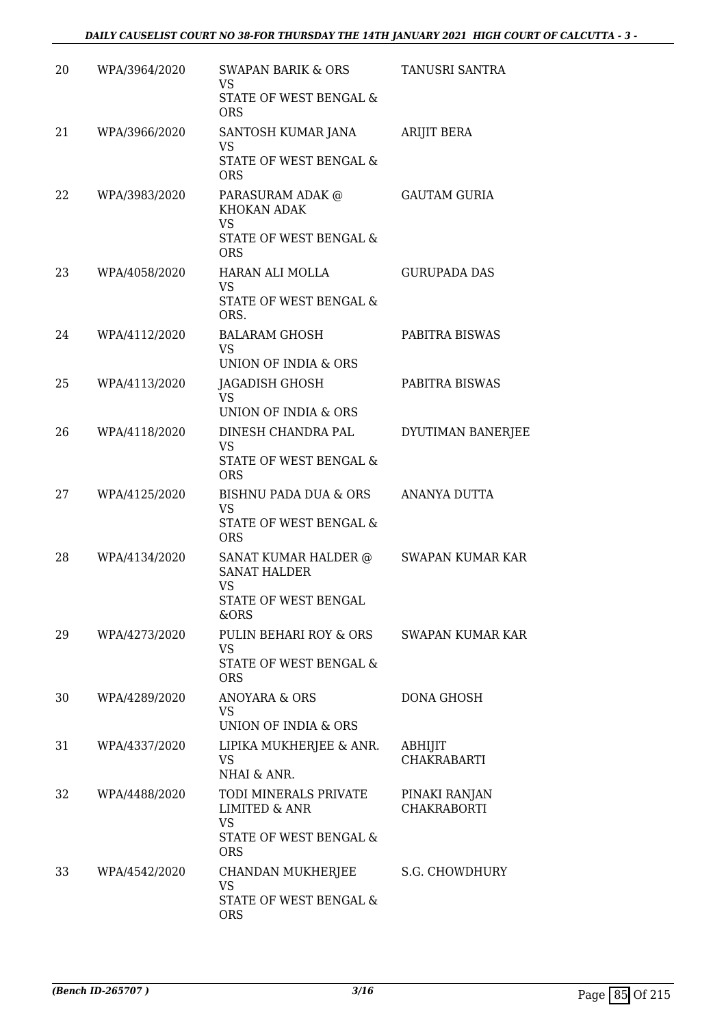| 20 | WPA/3964/2020 | SWAPAN BARIK & ORS<br><b>VS</b><br>STATE OF WEST BENGAL &                                       | TANUSRI SANTRA                      |
|----|---------------|-------------------------------------------------------------------------------------------------|-------------------------------------|
| 21 | WPA/3966/2020 | <b>ORS</b><br>SANTOSH KUMAR JANA<br><b>VS</b>                                                   | <b>ARIJIT BERA</b>                  |
|    |               | STATE OF WEST BENGAL &<br><b>ORS</b>                                                            |                                     |
| 22 | WPA/3983/2020 | PARASURAM ADAK @<br>KHOKAN ADAK<br><b>VS</b><br>STATE OF WEST BENGAL &<br><b>ORS</b>            | <b>GAUTAM GURIA</b>                 |
| 23 | WPA/4058/2020 | HARAN ALI MOLLA<br>VS<br>STATE OF WEST BENGAL &<br>ORS.                                         | <b>GURUPADA DAS</b>                 |
| 24 | WPA/4112/2020 | <b>BALARAM GHOSH</b><br><b>VS</b><br>UNION OF INDIA & ORS                                       | PABITRA BISWAS                      |
| 25 | WPA/4113/2020 | JAGADISH GHOSH<br><b>VS</b><br>UNION OF INDIA & ORS                                             | PABITRA BISWAS                      |
| 26 | WPA/4118/2020 | DINESH CHANDRA PAL<br><b>VS</b><br>STATE OF WEST BENGAL &<br><b>ORS</b>                         | DYUTIMAN BANERJEE                   |
| 27 | WPA/4125/2020 | BISHNU PADA DUA & ORS<br>VS<br>STATE OF WEST BENGAL &<br><b>ORS</b>                             | ANANYA DUTTA                        |
| 28 | WPA/4134/2020 | <b>SANAT KUMAR HALDER @</b><br><b>SANAT HALDER</b><br>VS<br>STATE OF WEST BENGAL<br>&ORS        | <b>SWAPAN KUMAR KAR</b>             |
| 29 | WPA/4273/2020 | PULIN BEHARI ROY & ORS<br>VS<br>STATE OF WEST BENGAL &<br><b>ORS</b>                            | SWAPAN KUMAR KAR                    |
| 30 | WPA/4289/2020 | ANOYARA & ORS<br>VS.<br>UNION OF INDIA & ORS                                                    | DONA GHOSH                          |
| 31 | WPA/4337/2020 | LIPIKA MUKHERJEE & ANR.<br>VS<br>NHAI & ANR.                                                    | ABHIJIT<br><b>CHAKRABARTI</b>       |
| 32 | WPA/4488/2020 | TODI MINERALS PRIVATE<br><b>LIMITED &amp; ANR</b><br>VS<br>STATE OF WEST BENGAL &<br><b>ORS</b> | PINAKI RANJAN<br><b>CHAKRABORTI</b> |
| 33 | WPA/4542/2020 | CHANDAN MUKHERJEE<br>VS<br>STATE OF WEST BENGAL &<br><b>ORS</b>                                 | S.G. CHOWDHURY                      |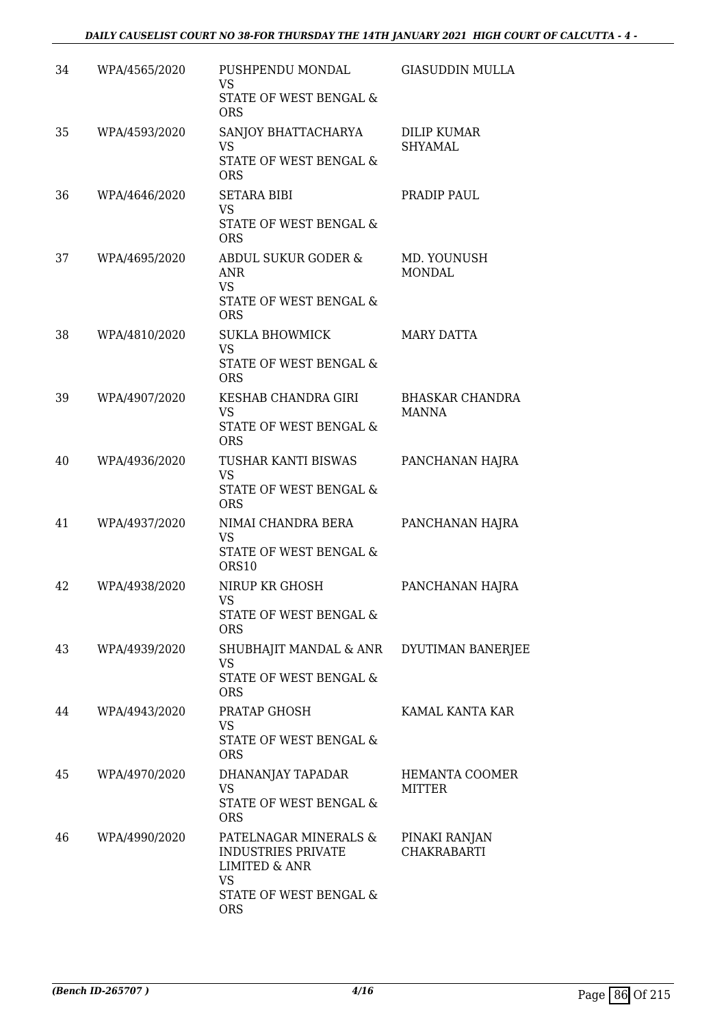| 34 | WPA/4565/2020 | PUSHPENDU MONDAL<br><b>VS</b><br>STATE OF WEST BENGAL & | <b>GIASUDDIN MULLA</b>                 |
|----|---------------|---------------------------------------------------------|----------------------------------------|
|    |               | <b>ORS</b>                                              |                                        |
| 35 | WPA/4593/2020 | SANJOY BHATTACHARYA<br>VS                               | <b>DILIP KUMAR</b><br><b>SHYAMAL</b>   |
|    |               | STATE OF WEST BENGAL &<br><b>ORS</b>                    |                                        |
| 36 | WPA/4646/2020 | <b>SETARA BIBI</b><br><b>VS</b>                         | PRADIP PAUL                            |
|    |               | STATE OF WEST BENGAL &<br><b>ORS</b>                    |                                        |
| 37 | WPA/4695/2020 | ABDUL SUKUR GODER &<br><b>ANR</b><br><b>VS</b>          | MD. YOUNUSH<br><b>MONDAL</b>           |
|    |               | STATE OF WEST BENGAL &<br><b>ORS</b>                    |                                        |
| 38 | WPA/4810/2020 | <b>SUKLA BHOWMICK</b><br><b>VS</b>                      | <b>MARY DATTA</b>                      |
|    |               | STATE OF WEST BENGAL &<br><b>ORS</b>                    |                                        |
| 39 | WPA/4907/2020 | KESHAB CHANDRA GIRI<br><b>VS</b>                        | <b>BHASKAR CHANDRA</b><br><b>MANNA</b> |
|    |               | STATE OF WEST BENGAL &<br><b>ORS</b>                    |                                        |
| 40 | WPA/4936/2020 | TUSHAR KANTI BISWAS<br><b>VS</b>                        | PANCHANAN HAJRA                        |
|    |               | STATE OF WEST BENGAL &<br><b>ORS</b>                    |                                        |
| 41 | WPA/4937/2020 | NIMAI CHANDRA BERA<br><b>VS</b>                         | PANCHANAN HAJRA                        |
|    |               | STATE OF WEST BENGAL &<br>ORS10                         |                                        |
| 42 | WPA/4938/2020 | NIRUP KR GHOSH<br><b>VS</b>                             | PANCHANAN HAJRA                        |
|    |               | STATE OF WEST BENGAL &<br><b>ORS</b>                    |                                        |
| 43 | WPA/4939/2020 | SHUBHAJIT MANDAL & ANR DYUTIMAN BANERJEE<br>VS          |                                        |
|    |               | STATE OF WEST BENGAL &<br><b>ORS</b>                    |                                        |
| 44 | WPA/4943/2020 | PRATAP GHOSH<br>VS                                      | KAMAL KANTA KAR                        |
|    |               | STATE OF WEST BENGAL &<br><b>ORS</b>                    |                                        |
| 45 | WPA/4970/2020 | DHANANJAY TAPADAR<br><b>VS</b>                          | HEMANTA COOMER<br>MITTER               |
|    |               | STATE OF WEST BENGAL &<br><b>ORS</b>                    |                                        |
| 46 | WPA/4990/2020 | PATELNAGAR MINERALS &<br><b>INDUSTRIES PRIVATE</b>      | PINAKI RANJAN<br><b>CHAKRABARTI</b>    |
|    |               | <b>LIMITED &amp; ANR</b><br>VS                          |                                        |
|    |               | STATE OF WEST BENGAL &<br><b>ORS</b>                    |                                        |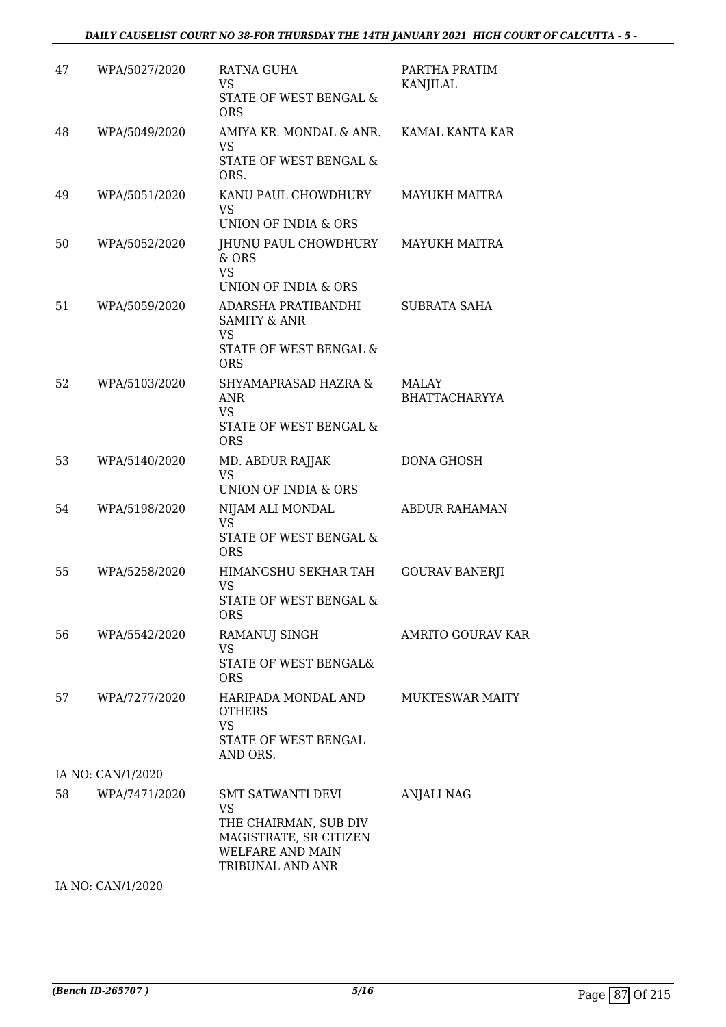| 47 | WPA/5027/2020     | RATNA GUHA<br>VS<br>STATE OF WEST BENGAL &<br><b>ORS</b>                                                           | PARTHA PRATIM<br><b>KANJILAL</b>     |
|----|-------------------|--------------------------------------------------------------------------------------------------------------------|--------------------------------------|
| 48 | WPA/5049/2020     | AMIYA KR. MONDAL & ANR.<br>VS<br>STATE OF WEST BENGAL &<br>ORS.                                                    | KAMAL KANTA KAR                      |
| 49 | WPA/5051/2020     | KANU PAUL CHOWDHURY<br><b>VS</b><br>UNION OF INDIA & ORS                                                           | <b>MAYUKH MAITRA</b>                 |
| 50 | WPA/5052/2020     | JHUNU PAUL CHOWDHURY<br>& ORS<br><b>VS</b><br>UNION OF INDIA & ORS                                                 | <b>MAYUKH MAITRA</b>                 |
| 51 | WPA/5059/2020     | ADARSHA PRATIBANDHI<br><b>SAMITY &amp; ANR</b><br>VS<br>STATE OF WEST BENGAL &<br><b>ORS</b>                       | <b>SUBRATA SAHA</b>                  |
| 52 | WPA/5103/2020     | <b>SHYAMAPRASAD HAZRA &amp;</b><br><b>ANR</b><br>VS.<br>STATE OF WEST BENGAL &<br><b>ORS</b>                       | <b>MALAY</b><br><b>BHATTACHARYYA</b> |
| 53 | WPA/5140/2020     | MD. ABDUR RAJJAK<br><b>VS</b><br>UNION OF INDIA & ORS                                                              | DONA GHOSH                           |
| 54 | WPA/5198/2020     | NIJAM ALI MONDAL<br><b>VS</b><br>STATE OF WEST BENGAL &<br><b>ORS</b>                                              | <b>ABDUR RAHAMAN</b>                 |
| 55 | WPA/5258/2020     | HIMANGSHU SEKHAR TAH<br><b>VS</b><br>STATE OF WEST BENGAL &<br><b>ORS</b>                                          | <b>GOURAV BANERJI</b>                |
| 56 | WPA/5542/2020     | RAMANUJ SINGH<br>VS<br>STATE OF WEST BENGAL&<br><b>ORS</b>                                                         | <b>AMRITO GOURAV KAR</b>             |
| 57 | WPA/7277/2020     | HARIPADA MONDAL AND<br><b>OTHERS</b><br><b>VS</b><br>STATE OF WEST BENGAL<br>AND ORS.                              | <b>MUKTESWAR MAITY</b>               |
|    | IA NO: CAN/1/2020 |                                                                                                                    |                                      |
| 58 | WPA/7471/2020     | SMT SATWANTI DEVI<br>VS<br>THE CHAIRMAN, SUB DIV<br>MAGISTRATE, SR CITIZEN<br>WELFARE AND MAIN<br>TRIBUNAL AND ANR | ANJALI NAG                           |

IA NO: CAN/1/2020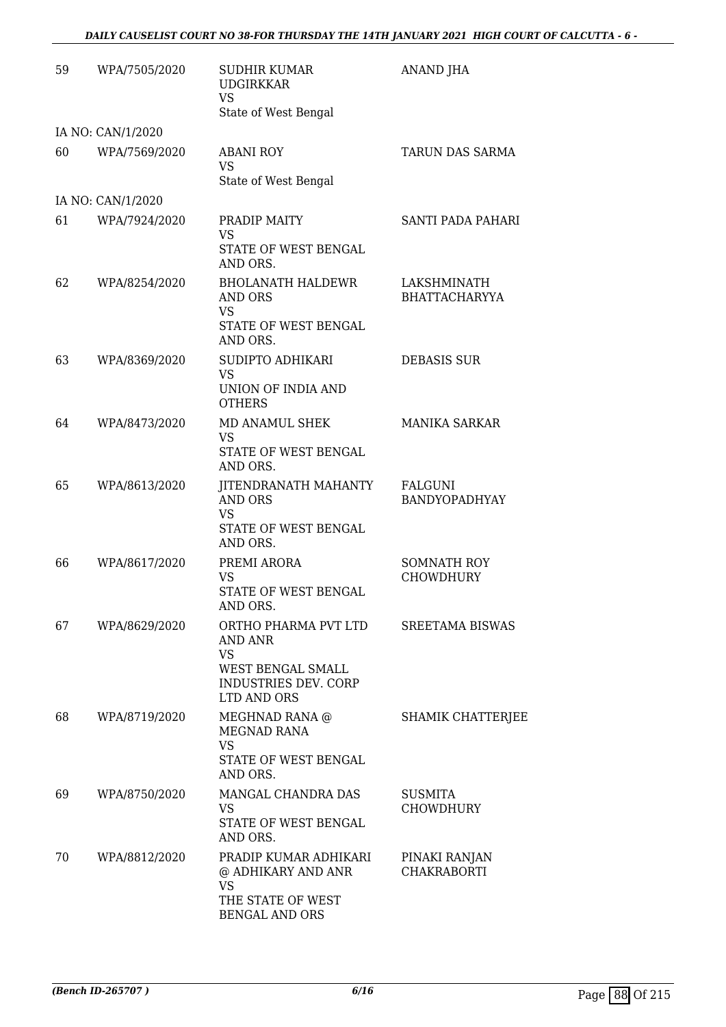## *DAILY CAUSELIST COURT NO 38-FOR THURSDAY THE 14TH JANUARY 2021 HIGH COURT OF CALCUTTA - 6 -*

| 59 | WPA/7505/2020     | <b>SUDHIR KUMAR</b><br><b>UDGIRKKAR</b><br><b>VS</b><br>State of West Bengal                             | ANAND JHA                              |
|----|-------------------|----------------------------------------------------------------------------------------------------------|----------------------------------------|
|    | IA NO: CAN/1/2020 |                                                                                                          |                                        |
| 60 | WPA/7569/2020     | <b>ABANI ROY</b><br><b>VS</b><br>State of West Bengal                                                    | TARUN DAS SARMA                        |
|    | IA NO: CAN/1/2020 |                                                                                                          |                                        |
| 61 | WPA/7924/2020     | PRADIP MAITY<br>VS<br>STATE OF WEST BENGAL                                                               | SANTI PADA PAHARI                      |
| 62 | WPA/8254/2020     | AND ORS.<br><b>BHOLANATH HALDEWR</b><br>AND ORS<br>VS<br>STATE OF WEST BENGAL<br>AND ORS.                | LAKSHMINATH<br><b>BHATTACHARYYA</b>    |
| 63 | WPA/8369/2020     | SUDIPTO ADHIKARI<br><b>VS</b><br>UNION OF INDIA AND<br><b>OTHERS</b>                                     | <b>DEBASIS SUR</b>                     |
| 64 | WPA/8473/2020     | MD ANAMUL SHEK<br>VS<br>STATE OF WEST BENGAL<br>AND ORS.                                                 | <b>MANIKA SARKAR</b>                   |
| 65 | WPA/8613/2020     | <b>JITENDRANATH MAHANTY</b><br><b>AND ORS</b><br>VS<br>STATE OF WEST BENGAL<br>AND ORS.                  | FALGUNI<br><b>BANDYOPADHYAY</b>        |
| 66 | WPA/8617/2020     | PREMI ARORA<br>VS<br><b>STATE OF WEST BENGAL</b><br>AND ORS.                                             | <b>SOMNATH ROY</b><br><b>CHOWDHURY</b> |
| 67 | WPA/8629/2020     | ORTHO PHARMA PVT LTD<br>AND ANR<br><b>VS</b><br>WEST BENGAL SMALL<br>INDUSTRIES DEV. CORP<br>LTD AND ORS | <b>SREETAMA BISWAS</b>                 |
| 68 | WPA/8719/2020     | MEGHNAD RANA @<br>MEGNAD RANA<br><b>VS</b><br>STATE OF WEST BENGAL<br>AND ORS.                           | SHAMIK CHATTERJEE                      |
| 69 | WPA/8750/2020     | MANGAL CHANDRA DAS<br>VS<br>STATE OF WEST BENGAL<br>AND ORS.                                             | SUSMITA<br><b>CHOWDHURY</b>            |
| 70 | WPA/8812/2020     | PRADIP KUMAR ADHIKARI<br>@ ADHIKARY AND ANR<br>VS<br>THE STATE OF WEST<br><b>BENGAL AND ORS</b>          | PINAKI RANJAN<br><b>CHAKRABORTI</b>    |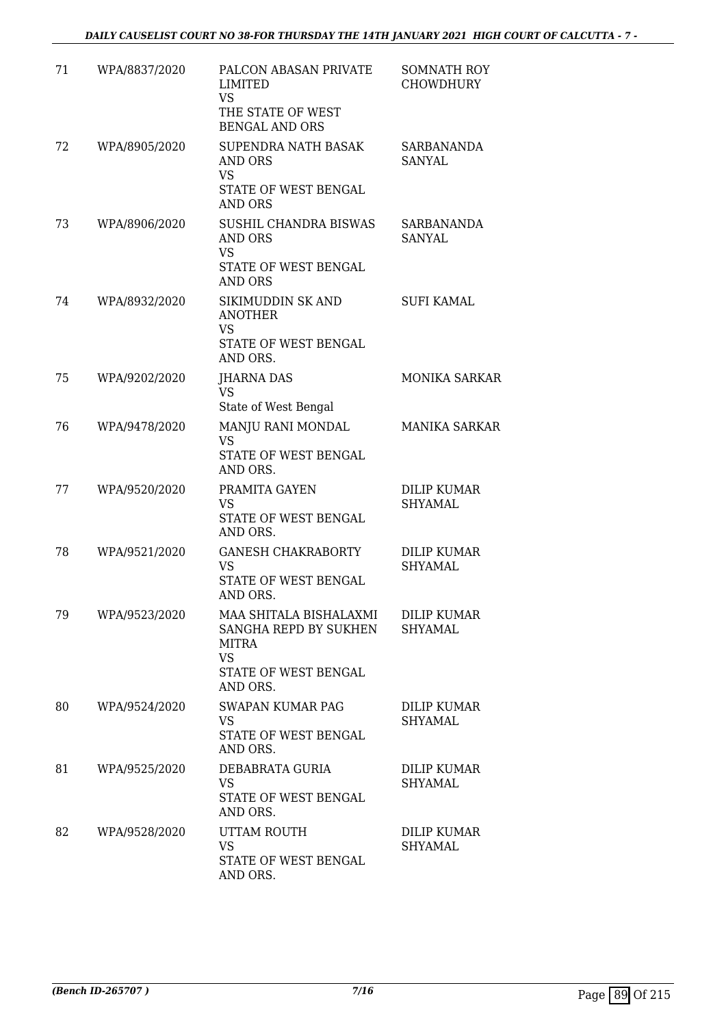| 71 | WPA/8837/2020 | PALCON ABASAN PRIVATE<br>LIMITED<br>VS<br>THE STATE OF WEST<br><b>BENGAL AND ORS</b>                             | <b>SOMNATH ROY</b><br><b>CHOWDHURY</b> |
|----|---------------|------------------------------------------------------------------------------------------------------------------|----------------------------------------|
| 72 | WPA/8905/2020 | SUPENDRA NATH BASAK<br>AND ORS<br><b>VS</b><br>STATE OF WEST BENGAL                                              | SARBANANDA<br>SANYAL                   |
| 73 | WPA/8906/2020 | <b>AND ORS</b><br>SUSHIL CHANDRA BISWAS<br><b>AND ORS</b><br><b>VS</b><br>STATE OF WEST BENGAL<br><b>AND ORS</b> | SARBANANDA<br>SANYAL                   |
| 74 | WPA/8932/2020 | SIKIMUDDIN SK AND<br><b>ANOTHER</b><br>VS<br>STATE OF WEST BENGAL<br>AND ORS.                                    | <b>SUFI KAMAL</b>                      |
| 75 | WPA/9202/2020 | <b>JHARNA DAS</b><br><b>VS</b><br>State of West Bengal                                                           | <b>MONIKA SARKAR</b>                   |
| 76 | WPA/9478/2020 | MANJU RANI MONDAL<br><b>VS</b><br>STATE OF WEST BENGAL<br>AND ORS.                                               | <b>MANIKA SARKAR</b>                   |
| 77 | WPA/9520/2020 | PRAMITA GAYEN<br><b>VS</b><br>STATE OF WEST BENGAL<br>AND ORS.                                                   | <b>DILIP KUMAR</b><br>SHYAMAL          |
| 78 | WPA/9521/2020 | <b>GANESH CHAKRABORTY</b><br><b>VS</b><br>STATE OF WEST BENGAL<br>AND ORS.                                       | DILIP KUMAR<br><b>SHYAMAL</b>          |
| 79 | WPA/9523/2020 | MAA SHITALA BISHALAXMI<br>SANGHA REPD BY SUKHEN<br>MITRA<br><b>VS</b><br>STATE OF WEST BENGAL<br>AND ORS.        | <b>DILIP KUMAR</b><br><b>SHYAMAL</b>   |
| 80 | WPA/9524/2020 | <b>SWAPAN KUMAR PAG</b><br><b>VS</b><br>STATE OF WEST BENGAL<br>AND ORS.                                         | <b>DILIP KUMAR</b><br>SHYAMAL          |
| 81 | WPA/9525/2020 | DEBABRATA GURIA<br>VS<br>STATE OF WEST BENGAL<br>AND ORS.                                                        | DILIP KUMAR<br>SHYAMAL                 |
| 82 | WPA/9528/2020 | UTTAM ROUTH<br><b>VS</b><br>STATE OF WEST BENGAL<br>AND ORS.                                                     | DILIP KUMAR<br>SHYAMAL                 |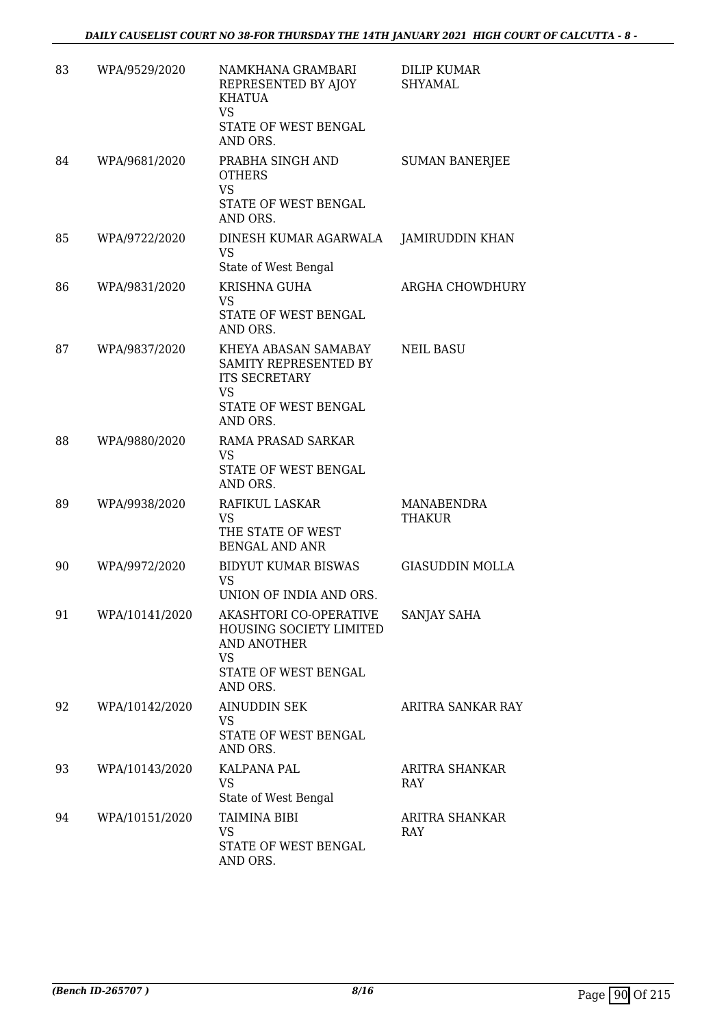| 83 | WPA/9529/2020  | NAMKHANA GRAMBARI<br>REPRESENTED BY AJOY<br><b>KHATUA</b><br><b>VS</b><br>STATE OF WEST BENGAL<br>AND ORS.        | <b>DILIP KUMAR</b><br><b>SHYAMAL</b> |
|----|----------------|-------------------------------------------------------------------------------------------------------------------|--------------------------------------|
| 84 | WPA/9681/2020  | PRABHA SINGH AND<br><b>OTHERS</b><br><b>VS</b><br>STATE OF WEST BENGAL<br>AND ORS.                                | <b>SUMAN BANERJEE</b>                |
| 85 | WPA/9722/2020  | DINESH KUMAR AGARWALA<br>VS<br>State of West Bengal                                                               | <b>JAMIRUDDIN KHAN</b>               |
| 86 | WPA/9831/2020  | KRISHNA GUHA<br><b>VS</b><br>STATE OF WEST BENGAL<br>AND ORS.                                                     | ARGHA CHOWDHURY                      |
| 87 | WPA/9837/2020  | KHEYA ABASAN SAMABAY<br>SAMITY REPRESENTED BY<br><b>ITS SECRETARY</b><br>VS<br>STATE OF WEST BENGAL<br>AND ORS.   | <b>NEIL BASU</b>                     |
| 88 | WPA/9880/2020  | RAMA PRASAD SARKAR<br><b>VS</b><br>STATE OF WEST BENGAL<br>AND ORS.                                               |                                      |
| 89 | WPA/9938/2020  | RAFIKUL LASKAR<br>VS.<br>THE STATE OF WEST<br><b>BENGAL AND ANR</b>                                               | MANABENDRA<br><b>THAKUR</b>          |
| 90 | WPA/9972/2020  | BIDYUT KUMAR BISWAS<br>VS<br>UNION OF INDIA AND ORS.                                                              | <b>GIASUDDIN MOLLA</b>               |
| 91 | WPA/10141/2020 | AKASHTORI CO-OPERATIVE<br>HOUSING SOCIETY LIMITED<br>AND ANOTHER<br><b>VS</b><br>STATE OF WEST BENGAL<br>AND ORS. | SANJAY SAHA                          |
| 92 | WPA/10142/2020 | AINUDDIN SEK<br><b>VS</b><br>STATE OF WEST BENGAL<br>AND ORS.                                                     | ARITRA SANKAR RAY                    |
| 93 | WPA/10143/2020 | KALPANA PAL<br>VS<br>State of West Bengal                                                                         | ARITRA SHANKAR<br>RAY                |
| 94 | WPA/10151/2020 | TAIMINA BIBI<br><b>VS</b><br>STATE OF WEST BENGAL<br>AND ORS.                                                     | ARITRA SHANKAR<br>RAY                |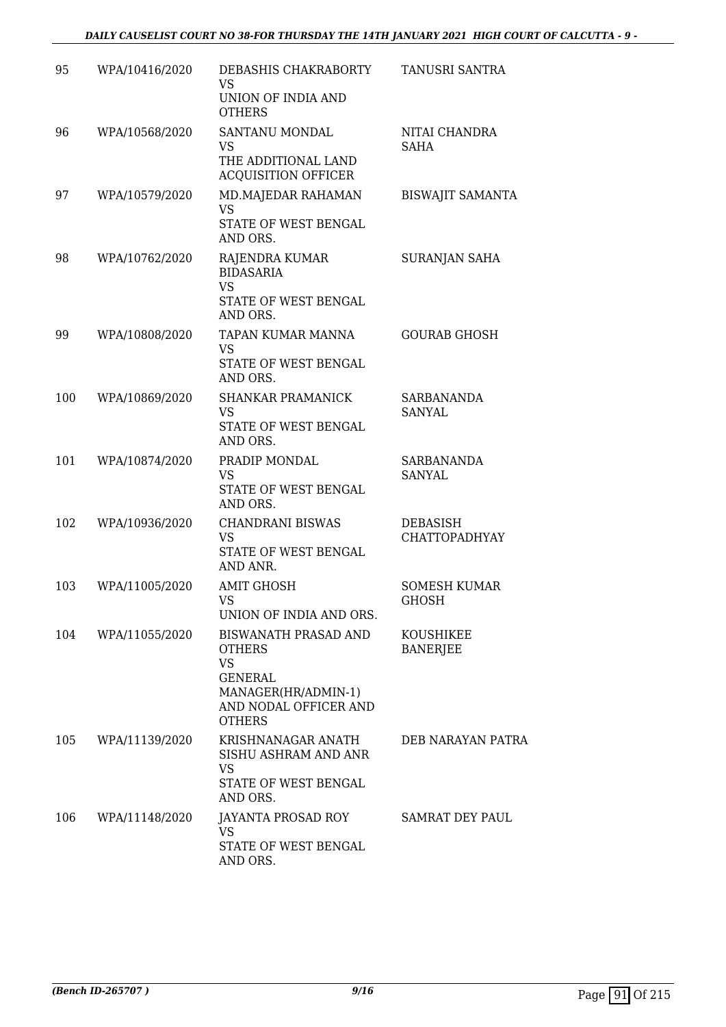| 95  | WPA/10416/2020 | DEBASHIS CHAKRABORTY<br><b>VS</b><br>UNION OF INDIA AND<br><b>OTHERS</b>                                                                     | TANUSRI SANTRA                      |
|-----|----------------|----------------------------------------------------------------------------------------------------------------------------------------------|-------------------------------------|
| 96  | WPA/10568/2020 | SANTANU MONDAL<br>VS<br>THE ADDITIONAL LAND<br><b>ACQUISITION OFFICER</b>                                                                    | NITAI CHANDRA<br><b>SAHA</b>        |
| 97  | WPA/10579/2020 | MD.MAJEDAR RAHAMAN<br><b>VS</b><br>STATE OF WEST BENGAL<br>AND ORS.                                                                          | <b>BISWAJIT SAMANTA</b>             |
| 98  | WPA/10762/2020 | RAJENDRA KUMAR<br><b>BIDASARIA</b><br><b>VS</b><br>STATE OF WEST BENGAL<br>AND ORS.                                                          | SURANJAN SAHA                       |
| 99  | WPA/10808/2020 | TAPAN KUMAR MANNA<br><b>VS</b><br>STATE OF WEST BENGAL<br>AND ORS.                                                                           | <b>GOURAB GHOSH</b>                 |
| 100 | WPA/10869/2020 | <b>SHANKAR PRAMANICK</b><br><b>VS</b><br>STATE OF WEST BENGAL<br>AND ORS.                                                                    | <b>SARBANANDA</b><br>SANYAL         |
| 101 | WPA/10874/2020 | PRADIP MONDAL<br>VS<br>STATE OF WEST BENGAL<br>AND ORS.                                                                                      | <b>SARBANANDA</b><br><b>SANYAL</b>  |
| 102 | WPA/10936/2020 | <b>CHANDRANI BISWAS</b><br><b>VS</b><br>STATE OF WEST BENGAL<br>AND ANR.                                                                     | DEBASISH<br><b>CHATTOPADHYAY</b>    |
| 103 | WPA/11005/2020 | <b>AMIT GHOSH</b><br><b>VS</b><br>UNION OF INDIA AND ORS.                                                                                    | <b>SOMESH KUMAR</b><br><b>GHOSH</b> |
| 104 | WPA/11055/2020 | <b>BISWANATH PRASAD AND</b><br><b>OTHERS</b><br><b>VS</b><br><b>GENERAL</b><br>MANAGER(HR/ADMIN-1)<br>AND NODAL OFFICER AND<br><b>OTHERS</b> | KOUSHIKEE<br><b>BANERJEE</b>        |
| 105 | WPA/11139/2020 | KRISHNANAGAR ANATH<br>SISHU ASHRAM AND ANR<br>VS<br>STATE OF WEST BENGAL<br>AND ORS.                                                         | DEB NARAYAN PATRA                   |
| 106 | WPA/11148/2020 | JAYANTA PROSAD ROY<br><b>VS</b><br>STATE OF WEST BENGAL<br>AND ORS.                                                                          | SAMRAT DEY PAUL                     |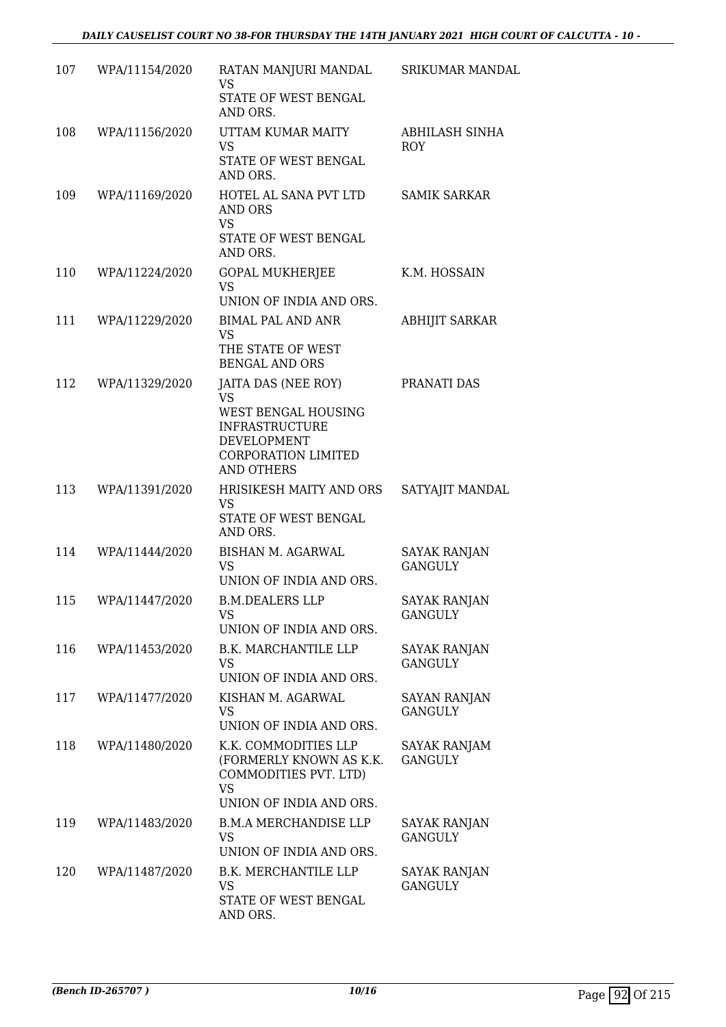| 107 | WPA/11154/2020 | RATAN MANJURI MANDAL<br>VS                                                                                       | <b>SRIKUMAR MANDAL</b>                |
|-----|----------------|------------------------------------------------------------------------------------------------------------------|---------------------------------------|
|     |                | STATE OF WEST BENGAL<br>AND ORS.                                                                                 |                                       |
| 108 | WPA/11156/2020 | UTTAM KUMAR MAITY<br><b>VS</b>                                                                                   | ABHILASH SINHA<br><b>ROY</b>          |
|     |                | STATE OF WEST BENGAL<br>AND ORS.                                                                                 |                                       |
| 109 | WPA/11169/2020 | HOTEL AL SANA PVT LTD<br>AND ORS<br><b>VS</b><br>STATE OF WEST BENGAL<br>AND ORS.                                | <b>SAMIK SARKAR</b>                   |
| 110 | WPA/11224/2020 | <b>GOPAL MUKHERJEE</b><br><b>VS</b>                                                                              | K.M. HOSSAIN                          |
|     |                | UNION OF INDIA AND ORS.                                                                                          |                                       |
| 111 | WPA/11229/2020 | <b>BIMAL PAL AND ANR</b><br><b>VS</b><br>THE STATE OF WEST<br><b>BENGAL AND ORS</b>                              | ABHIJIT SARKAR                        |
| 112 | WPA/11329/2020 | JAITA DAS (NEE ROY)<br><b>VS</b>                                                                                 | PRANATI DAS                           |
|     |                | WEST BENGAL HOUSING<br><b>INFRASTRUCTURE</b><br>DEVELOPMENT<br><b>CORPORATION LIMITED</b><br><b>AND OTHERS</b>   |                                       |
| 113 | WPA/11391/2020 | HRISIKESH MAITY AND ORS<br>VS<br>STATE OF WEST BENGAL<br>AND ORS.                                                | SATYAJIT MANDAL                       |
| 114 | WPA/11444/2020 | BISHAN M. AGARWAL<br><b>VS</b><br>UNION OF INDIA AND ORS.                                                        | <b>SAYAK RANJAN</b><br><b>GANGULY</b> |
| 115 | WPA/11447/2020 | <b>B.M.DEALERS LLP</b><br>VS<br>UNION OF INDIA AND ORS.                                                          | <b>SAYAK RANJAN</b><br><b>GANGULY</b> |
| 116 | WPA/11453/2020 | <b>B.K. MARCHANTILE LLP</b><br>VS<br>UNION OF INDIA AND ORS.                                                     | <b>SAYAK RANJAN</b><br><b>GANGULY</b> |
| 117 | WPA/11477/2020 | KISHAN M. AGARWAL<br><b>VS</b><br>UNION OF INDIA AND ORS.                                                        | SAYAN RANJAN<br><b>GANGULY</b>        |
| 118 | WPA/11480/2020 | K.K. COMMODITIES LLP<br>(FORMERLY KNOWN AS K.K.<br>COMMODITIES PVT. LTD)<br><b>VS</b><br>UNION OF INDIA AND ORS. | SAYAK RANJAM<br><b>GANGULY</b>        |
| 119 | WPA/11483/2020 | <b>B.M.A MERCHANDISE LLP</b><br>VS<br>UNION OF INDIA AND ORS.                                                    | <b>SAYAK RANJAN</b><br><b>GANGULY</b> |
| 120 | WPA/11487/2020 | <b>B.K. MERCHANTILE LLP</b><br><b>VS</b><br>STATE OF WEST BENGAL<br>AND ORS.                                     | <b>SAYAK RANJAN</b><br><b>GANGULY</b> |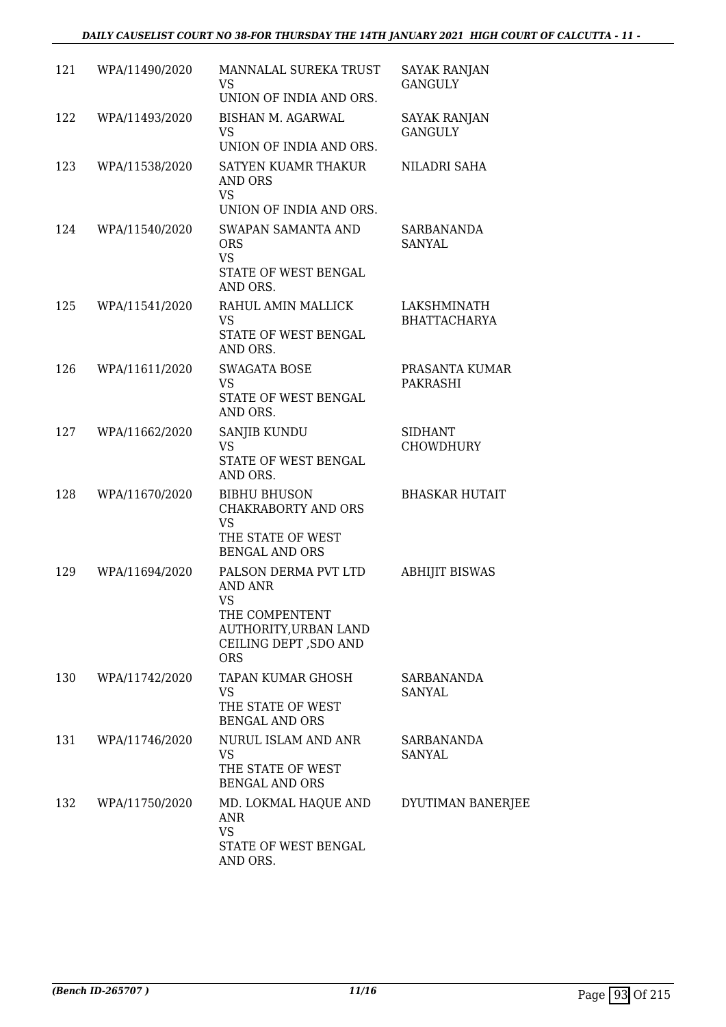## *DAILY CAUSELIST COURT NO 38-FOR THURSDAY THE 14TH JANUARY 2021 HIGH COURT OF CALCUTTA - 11 -*

| 121 | WPA/11490/2020 | MANNALAL SUREKA TRUST<br>VS<br>UNION OF INDIA AND ORS.                                                                                | <b>SAYAK RANJAN</b><br><b>GANGULY</b> |
|-----|----------------|---------------------------------------------------------------------------------------------------------------------------------------|---------------------------------------|
| 122 | WPA/11493/2020 | BISHAN M. AGARWAL<br><b>VS</b><br>UNION OF INDIA AND ORS.                                                                             | <b>SAYAK RANJAN</b><br><b>GANGULY</b> |
| 123 | WPA/11538/2020 | SATYEN KUAMR THAKUR<br>AND ORS<br><b>VS</b><br>UNION OF INDIA AND ORS.                                                                | NILADRI SAHA                          |
| 124 | WPA/11540/2020 | <b>SWAPAN SAMANTA AND</b><br><b>ORS</b><br><b>VS</b><br>STATE OF WEST BENGAL<br>AND ORS.                                              | SARBANANDA<br>SANYAL                  |
| 125 | WPA/11541/2020 | RAHUL AMIN MALLICK<br><b>VS</b><br>STATE OF WEST BENGAL<br>AND ORS.                                                                   | LAKSHMINATH<br><b>BHATTACHARYA</b>    |
| 126 | WPA/11611/2020 | <b>SWAGATA BOSE</b><br><b>VS</b><br>STATE OF WEST BENGAL<br>AND ORS.                                                                  | PRASANTA KUMAR<br><b>PAKRASHI</b>     |
| 127 | WPA/11662/2020 | SANJIB KUNDU<br><b>VS</b><br>STATE OF WEST BENGAL<br>AND ORS.                                                                         | <b>SIDHANT</b><br><b>CHOWDHURY</b>    |
| 128 | WPA/11670/2020 | <b>BIBHU BHUSON</b><br><b>CHAKRABORTY AND ORS</b><br><b>VS</b><br>THE STATE OF WEST<br><b>BENGAL AND ORS</b>                          | <b>BHASKAR HUTAIT</b>                 |
| 129 | WPA/11694/2020 | PALSON DERMA PVT LTD<br><b>AND ANR</b><br><b>VS</b><br>THE COMPENTENT<br>AUTHORITY, URBAN LAND<br>CEILING DEPT, SDO AND<br><b>ORS</b> | <b>ABHIJIT BISWAS</b>                 |
| 130 | WPA/11742/2020 | <b>TAPAN KUMAR GHOSH</b><br>VS<br>THE STATE OF WEST<br><b>BENGAL AND ORS</b>                                                          | SARBANANDA<br>SANYAL                  |
| 131 | WPA/11746/2020 | NURUL ISLAM AND ANR<br><b>VS</b><br>THE STATE OF WEST<br><b>BENGAL AND ORS</b>                                                        | <b>SARBANANDA</b><br>SANYAL           |
| 132 | WPA/11750/2020 | MD. LOKMAL HAQUE AND<br>ANR<br><b>VS</b><br>STATE OF WEST BENGAL<br>AND ORS.                                                          | DYUTIMAN BANERJEE                     |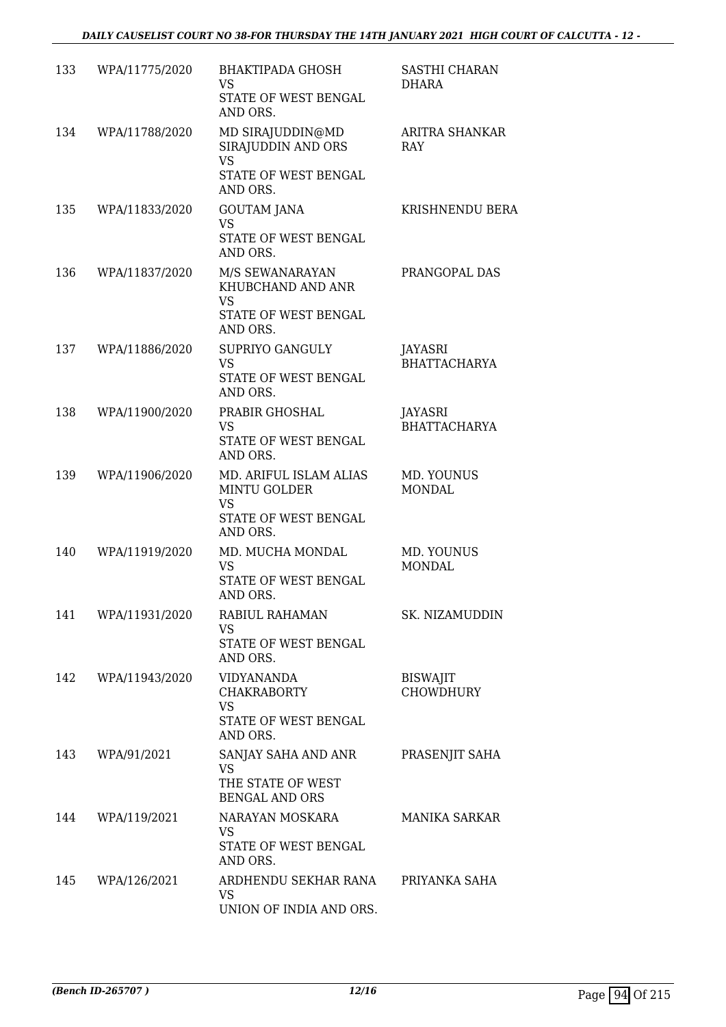| 133 | WPA/11775/2020 | <b>BHAKTIPADA GHOSH</b><br>VS<br>STATE OF WEST BENGAL<br>AND ORS.                              | <b>SASTHI CHARAN</b><br>DHARA       |
|-----|----------------|------------------------------------------------------------------------------------------------|-------------------------------------|
| 134 | WPA/11788/2020 | MD SIRAJUDDIN@MD<br>SIRAJUDDIN AND ORS<br><b>VS</b><br>STATE OF WEST BENGAL                    | ARITRA SHANKAR<br>RAY               |
|     |                | AND ORS.                                                                                       |                                     |
| 135 | WPA/11833/2020 | <b>GOUTAM JANA</b><br><b>VS</b><br>STATE OF WEST BENGAL<br>AND ORS.                            | KRISHNENDU BERA                     |
| 136 | WPA/11837/2020 | M/S SEWANARAYAN<br>KHUBCHAND AND ANR<br><b>VS</b><br>STATE OF WEST BENGAL<br>AND ORS.          | PRANGOPAL DAS                       |
| 137 | WPA/11886/2020 | SUPRIYO GANGULY<br><b>VS</b><br>STATE OF WEST BENGAL<br>AND ORS.                               | JAYASRI<br><b>BHATTACHARYA</b>      |
| 138 | WPA/11900/2020 | PRABIR GHOSHAL<br><b>VS</b><br>STATE OF WEST BENGAL<br>AND ORS.                                | JAYASRI<br><b>BHATTACHARYA</b>      |
| 139 | WPA/11906/2020 | MD. ARIFUL ISLAM ALIAS<br><b>MINTU GOLDER</b><br><b>VS</b><br>STATE OF WEST BENGAL<br>AND ORS. | MD. YOUNUS<br><b>MONDAL</b>         |
| 140 | WPA/11919/2020 | MD. MUCHA MONDAL<br><b>VS</b><br>STATE OF WEST BENGAL<br>AND ORS.                              | MD. YOUNUS<br><b>MONDAL</b>         |
| 141 | WPA/11931/2020 | RABIUL RAHAMAN<br>VS.<br>STATE OF WEST BENGAL<br>AND ORS.                                      | SK. NIZAMUDDIN                      |
| 142 | WPA/11943/2020 | VIDYANANDA<br>CHAKRABORTY<br>VS<br>STATE OF WEST BENGAL<br>AND ORS.                            | <b>BISWAJIT</b><br><b>CHOWDHURY</b> |
| 143 | WPA/91/2021    | SANJAY SAHA AND ANR<br><b>VS</b><br>THE STATE OF WEST<br><b>BENGAL AND ORS</b>                 | PRASENJIT SAHA                      |
| 144 | WPA/119/2021   | NARAYAN MOSKARA<br><b>VS</b><br>STATE OF WEST BENGAL<br>AND ORS.                               | <b>MANIKA SARKAR</b>                |
| 145 | WPA/126/2021   | ARDHENDU SEKHAR RANA<br>VS<br>UNION OF INDIA AND ORS.                                          | PRIYANKA SAHA                       |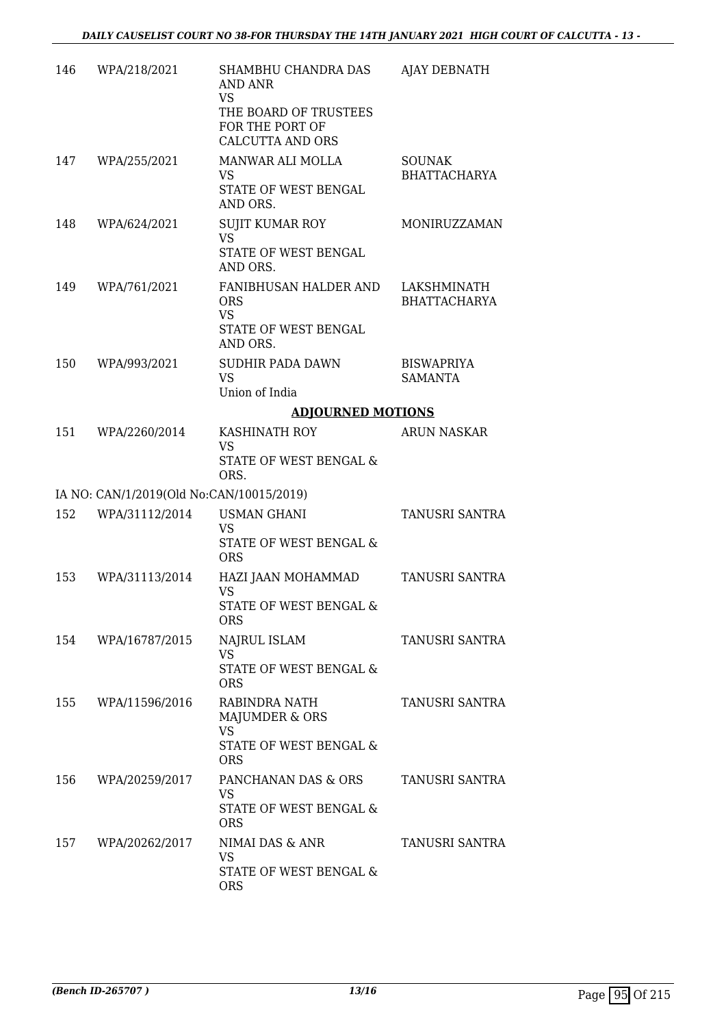| 146 | WPA/218/2021                             | SHAMBHU CHANDRA DAS<br>AND ANR<br><b>VS</b><br>THE BOARD OF TRUSTEES<br>FOR THE PORT OF<br><b>CALCUTTA AND ORS</b> | <b>AJAY DEBNATH</b>                  |
|-----|------------------------------------------|--------------------------------------------------------------------------------------------------------------------|--------------------------------------|
| 147 | WPA/255/2021                             | MANWAR ALI MOLLA<br>VS<br>STATE OF WEST BENGAL<br>AND ORS.                                                         | <b>SOUNAK</b><br><b>BHATTACHARYA</b> |
| 148 | WPA/624/2021                             | <b>SUJIT KUMAR ROY</b><br><b>VS</b><br>STATE OF WEST BENGAL<br>AND ORS.                                            | MONIRUZZAMAN                         |
| 149 | WPA/761/2021                             | FANIBHUSAN HALDER AND<br><b>ORS</b><br><b>VS</b><br>STATE OF WEST BENGAL<br>AND ORS.                               | LAKSHMINATH<br><b>BHATTACHARYA</b>   |
| 150 | WPA/993/2021                             | <b>SUDHIR PADA DAWN</b><br><b>VS</b><br>Union of India                                                             | <b>BISWAPRIYA</b><br>SAMANTA         |
|     |                                          | <b>ADJOURNED MOTIONS</b>                                                                                           |                                      |
| 151 | WPA/2260/2014                            | KASHINATH ROY<br><b>VS</b><br>STATE OF WEST BENGAL &<br>ORS.                                                       | ARUN NASKAR                          |
|     | IA NO: CAN/1/2019(Old No:CAN/10015/2019) |                                                                                                                    |                                      |
| 152 | WPA/31112/2014                           | <b>USMAN GHANI</b>                                                                                                 | <b>TANUSRI SANTRA</b>                |
|     |                                          | <b>VS</b><br>STATE OF WEST BENGAL &<br><b>ORS</b>                                                                  |                                      |
| 153 | WPA/31113/2014                           | HAZI JAAN MOHAMMAD<br>VS<br>STATE OF WEST BENGAL &<br><b>ORS</b>                                                   | TANUSRI SANTRA                       |
| 154 | WPA/16787/2015                           | NAJRUL ISLAM<br><b>VS</b><br>STATE OF WEST BENGAL &<br><b>ORS</b>                                                  | TANUSRI SANTRA                       |
| 155 | WPA/11596/2016                           | RABINDRA NATH<br>MAJUMDER & ORS<br><b>VS</b><br>STATE OF WEST BENGAL &<br><b>ORS</b>                               | TANUSRI SANTRA                       |
| 156 | WPA/20259/2017                           | PANCHANAN DAS & ORS<br><b>VS</b><br>STATE OF WEST BENGAL &<br><b>ORS</b>                                           | TANUSRI SANTRA                       |
| 157 | WPA/20262/2017                           | NIMAI DAS & ANR<br><b>VS</b><br>STATE OF WEST BENGAL &<br><b>ORS</b>                                               | TANUSRI SANTRA                       |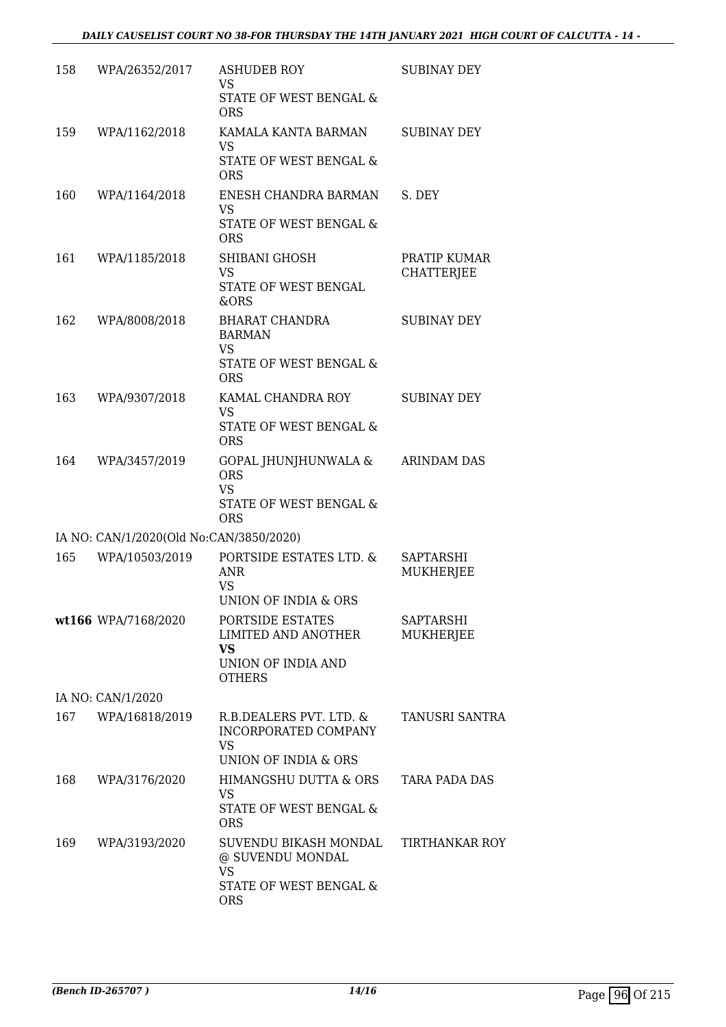| 158 | WPA/26352/2017                          | <b>ASHUDEB ROY</b><br>VS<br>STATE OF WEST BENGAL &<br><b>ORS</b>                               | <b>SUBINAY DEY</b>                   |
|-----|-----------------------------------------|------------------------------------------------------------------------------------------------|--------------------------------------|
| 159 | WPA/1162/2018                           | KAMALA KANTA BARMAN<br><b>VS</b><br>STATE OF WEST BENGAL &<br><b>ORS</b>                       | <b>SUBINAY DEY</b>                   |
| 160 | WPA/1164/2018                           | ENESH CHANDRA BARMAN<br><b>VS</b><br>STATE OF WEST BENGAL &<br><b>ORS</b>                      | S. DEY                               |
| 161 | WPA/1185/2018                           | SHIBANI GHOSH<br><b>VS</b><br>STATE OF WEST BENGAL<br>&ORS                                     | PRATIP KUMAR<br><b>CHATTERJEE</b>    |
| 162 | WPA/8008/2018                           | <b>BHARAT CHANDRA</b><br><b>BARMAN</b><br>VS<br>STATE OF WEST BENGAL &<br><b>ORS</b>           | <b>SUBINAY DEY</b>                   |
| 163 | WPA/9307/2018                           | KAMAL CHANDRA ROY<br><b>VS</b><br>STATE OF WEST BENGAL &<br><b>ORS</b>                         | <b>SUBINAY DEY</b>                   |
| 164 | WPA/3457/2019                           | GOPAL JHUNJHUNWALA &<br><b>ORS</b><br><b>VS</b><br>STATE OF WEST BENGAL &<br><b>ORS</b>        | <b>ARINDAM DAS</b>                   |
|     | IA NO: CAN/1/2020(Old No:CAN/3850/2020) |                                                                                                |                                      |
| 165 | WPA/10503/2019                          | PORTSIDE ESTATES LTD. &<br><b>ANR</b><br><b>VS</b><br>UNION OF INDIA & ORS                     | <b>SAPTARSHI</b><br>MUKHERJEE        |
|     | wt166 WPA/7168/2020                     | PORTSIDE ESTATES<br>LIMITED AND ANOTHER<br>VS<br>UNION OF INDIA AND<br><b>OTHERS</b>           | <b>SAPTARSHI</b><br><b>MUKHERJEE</b> |
|     | IA NO: CAN/1/2020                       |                                                                                                |                                      |
| 167 | WPA/16818/2019                          | R.B.DEALERS PVT. LTD. &<br>INCORPORATED COMPANY<br>VS                                          | <b>TANUSRI SANTRA</b>                |
| 168 | WPA/3176/2020                           | UNION OF INDIA & ORS<br>HIMANGSHU DUTTA & ORS<br>VS<br>STATE OF WEST BENGAL &<br><b>ORS</b>    | TARA PADA DAS                        |
| 169 | WPA/3193/2020                           | SUVENDU BIKASH MONDAL<br>@ SUVENDU MONDAL<br><b>VS</b><br>STATE OF WEST BENGAL &<br><b>ORS</b> | <b>TIRTHANKAR ROY</b>                |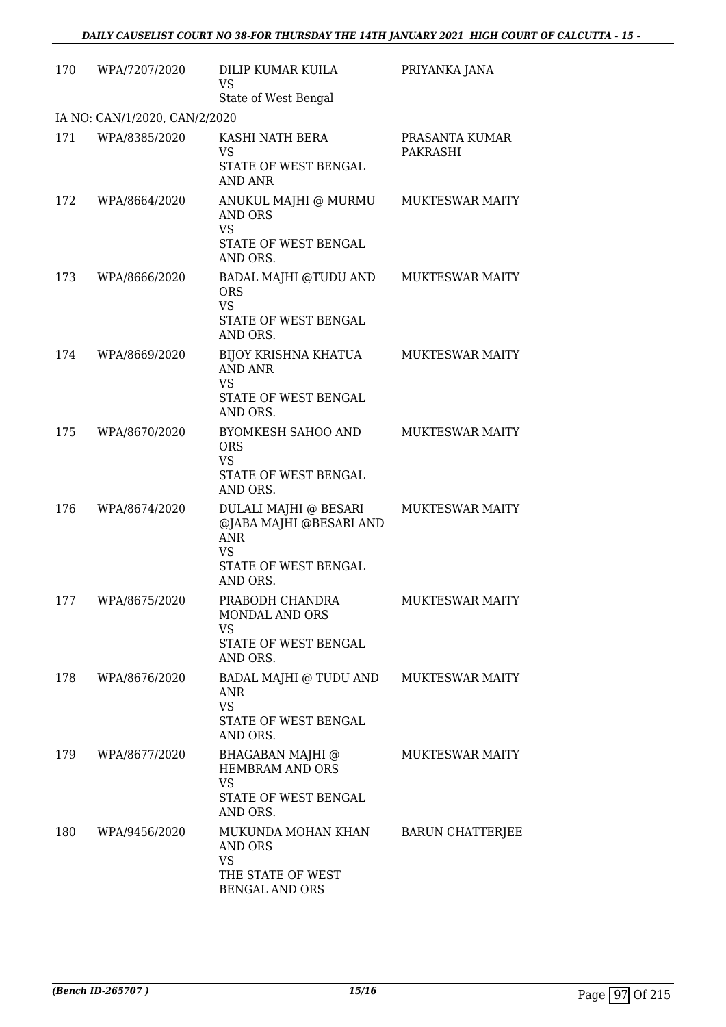| 170 | WPA/7207/2020                 | DILIP KUMAR KUILA<br><b>VS</b><br>State of West Bengal                                                          | PRIYANKA JANA              |
|-----|-------------------------------|-----------------------------------------------------------------------------------------------------------------|----------------------------|
|     | IA NO: CAN/1/2020, CAN/2/2020 |                                                                                                                 |                            |
| 171 | WPA/8385/2020                 | KASHI NATH BERA<br>VS<br>STATE OF WEST BENGAL<br>AND ANR                                                        | PRASANTA KUMAR<br>PAKRASHI |
| 172 | WPA/8664/2020                 | ANUKUL MAJHI @ MURMU<br><b>AND ORS</b><br><b>VS</b><br>STATE OF WEST BENGAL                                     | <b>MUKTESWAR MAITY</b>     |
| 173 | WPA/8666/2020                 | AND ORS.<br>BADAL MAJHI @TUDU AND<br><b>ORS</b><br><b>VS</b><br>STATE OF WEST BENGAL<br>AND ORS.                | <b>MUKTESWAR MAITY</b>     |
| 174 | WPA/8669/2020                 | BIJOY KRISHNA KHATUA<br><b>AND ANR</b><br><b>VS</b><br>STATE OF WEST BENGAL<br>AND ORS.                         | <b>MUKTESWAR MAITY</b>     |
| 175 | WPA/8670/2020                 | <b>BYOMKESH SAHOO AND</b><br><b>ORS</b><br><b>VS</b><br>STATE OF WEST BENGAL<br>AND ORS.                        | <b>MUKTESWAR MAITY</b>     |
| 176 | WPA/8674/2020                 | DULALI MAJHI @ BESARI<br>@JABA MAJHI @BESARI AND<br><b>ANR</b><br><b>VS</b><br>STATE OF WEST BENGAL<br>AND ORS. | <b>MUKTESWAR MAITY</b>     |
| 177 | WPA/8675/2020                 | PRABODH CHANDRA<br><b>MONDAL AND ORS</b><br>VS<br>STATE OF WEST BENGAL<br>AND ORS.                              | MUKTESWAR MAITY            |
| 178 | WPA/8676/2020                 | BADAL MAJHI @ TUDU AND<br>ANR.<br><b>VS</b><br>STATE OF WEST BENGAL<br>AND ORS.                                 | <b>MUKTESWAR MAITY</b>     |
| 179 | WPA/8677/2020                 | BHAGABAN MAJHI @<br><b>HEMBRAM AND ORS</b><br><b>VS</b><br>STATE OF WEST BENGAL<br>AND ORS.                     | <b>MUKTESWAR MAITY</b>     |
| 180 | WPA/9456/2020                 | MUKUNDA MOHAN KHAN<br><b>AND ORS</b><br><b>VS</b><br>THE STATE OF WEST<br>BENGAL AND ORS                        | <b>BARUN CHATTERJEE</b>    |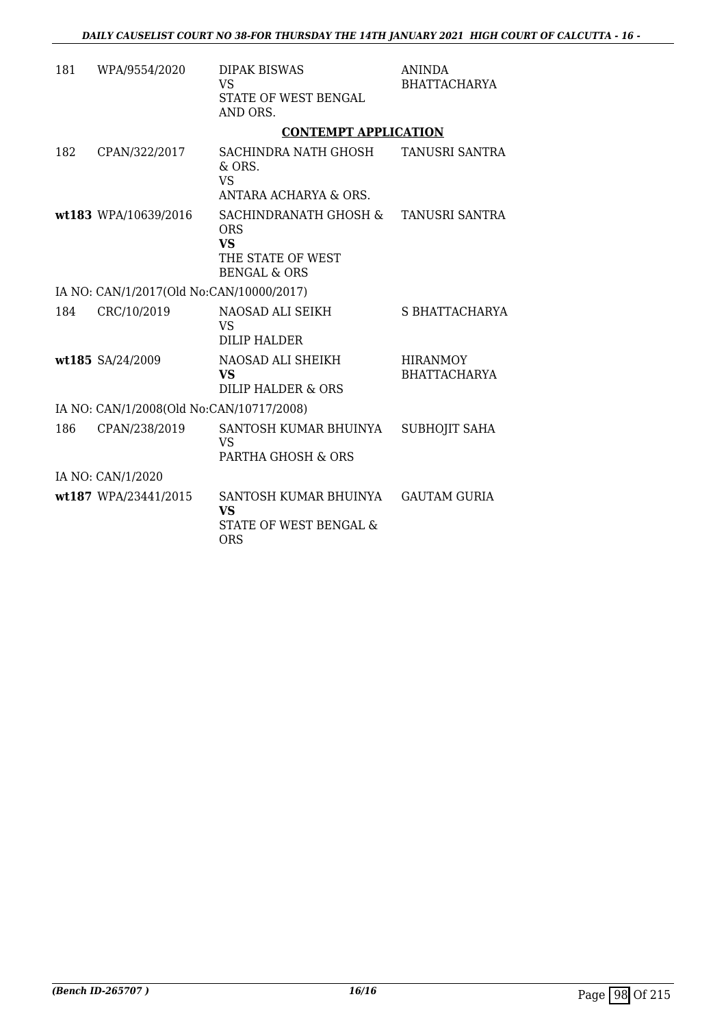| 181 | WPA/9554/2020                            | <b>DIPAK BISWAS</b><br>VS<br>STATE OF WEST BENGAL<br>AND ORS.                                    | <b>ANINDA</b><br><b>BHATTACHARYA</b>   |
|-----|------------------------------------------|--------------------------------------------------------------------------------------------------|----------------------------------------|
|     |                                          | <b>CONTEMPT APPLICATION</b>                                                                      |                                        |
| 182 | CPAN/322/2017                            | SACHINDRA NATH GHOSH<br>& ORS.<br>VS<br>ANTARA ACHARYA & ORS.                                    | <b>TANUSRI SANTRA</b>                  |
|     | wt183 WPA/10639/2016                     | SACHINDRANATH GHOSH &<br><b>ORS</b><br><b>VS</b><br>THE STATE OF WEST<br><b>BENGAL &amp; ORS</b> | TANUSRI SANTRA                         |
|     | IA NO: CAN/1/2017(Old No:CAN/10000/2017) |                                                                                                  |                                        |
| 184 | CRC/10/2019                              | NAOSAD ALI SEIKH<br><b>VS</b><br>DILIP HALDER                                                    | S BHATTACHARYA                         |
|     | wt185 SA/24/2009                         | NAOSAD ALI SHEIKH<br>VS<br>DILIP HALDER & ORS                                                    | <b>HIRANMOY</b><br><b>BHATTACHARYA</b> |
|     | IA NO: CAN/1/2008(Old No:CAN/10717/2008) |                                                                                                  |                                        |
| 186 | CPAN/238/2019                            | SANTOSH KUMAR BHUINYA<br><b>VS</b><br>PARTHA GHOSH & ORS                                         | <b>SUBHOJIT SAHA</b>                   |
|     | IA NO: CAN/1/2020                        |                                                                                                  |                                        |
|     | wt187 WPA/23441/2015                     | SANTOSH KUMAR BHUINYA<br><b>VS</b><br>STATE OF WEST BENGAL &<br><b>ORS</b>                       | <b>GAUTAM GURIA</b>                    |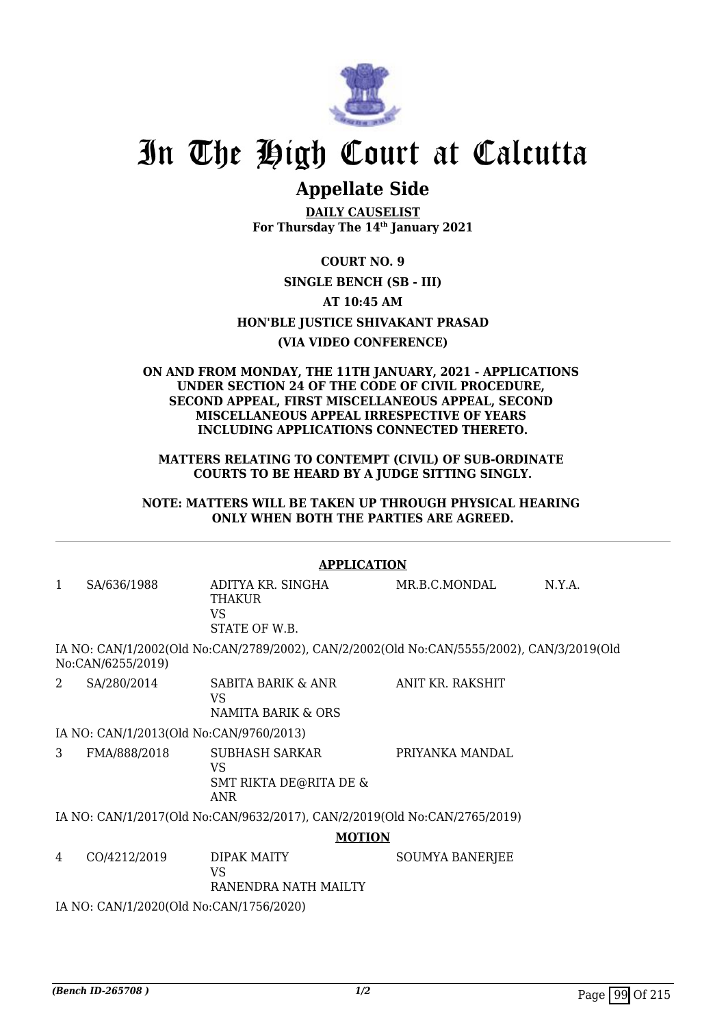

# **Appellate Side**

**DAILY CAUSELIST For Thursday The 14th January 2021**

**COURT NO. 9**

## **SINGLE BENCH (SB - III)**

**AT 10:45 AM**

**HON'BLE JUSTICE SHIVAKANT PRASAD**

# **(VIA VIDEO CONFERENCE)**

#### **ON AND FROM MONDAY, THE 11TH JANUARY, 2021 - APPLICATIONS UNDER SECTION 24 OF THE CODE OF CIVIL PROCEDURE, SECOND APPEAL, FIRST MISCELLANEOUS APPEAL, SECOND MISCELLANEOUS APPEAL IRRESPECTIVE OF YEARS INCLUDING APPLICATIONS CONNECTED THERETO.**

**MATTERS RELATING TO CONTEMPT (CIVIL) OF SUB-ORDINATE COURTS TO BE HEARD BY A JUDGE SITTING SINGLY.**

**NOTE: MATTERS WILL BE TAKEN UP THROUGH PHYSICAL HEARING ONLY WHEN BOTH THE PARTIES ARE AGREED.**

|   | <b>APPLICATION</b>                      |                                                                                           |                        |        |  |
|---|-----------------------------------------|-------------------------------------------------------------------------------------------|------------------------|--------|--|
| 1 | SA/636/1988                             | ADITYA KR. SINGHA<br>THAKUR<br>VS.<br>STATE OF W.B.                                       | MR.B.C.MONDAL          | N.Y.A. |  |
|   | No:CAN/6255/2019)                       | IA NO: CAN/1/2002(Old No:CAN/2789/2002), CAN/2/2002(Old No:CAN/5555/2002), CAN/3/2019(Old |                        |        |  |
| 2 | SA/280/2014                             | SABITA BARIK & ANR<br>VS.<br>NAMITA BARIK & ORS                                           | ANIT KR. RAKSHIT       |        |  |
|   | IA NO: CAN/1/2013(Old No:CAN/9760/2013) |                                                                                           |                        |        |  |
| 3 | FMA/888/2018                            | SUBHASH SARKAR<br><b>VS</b><br><b>SMT RIKTA DE@RITA DE &amp;</b><br><b>ANR</b>            | PRIYANKA MANDAL        |        |  |
|   |                                         | IA NO: CAN/1/2017(Old No:CAN/9632/2017), CAN/2/2019(Old No:CAN/2765/2019)                 |                        |        |  |
|   |                                         | <b>MOTION</b>                                                                             |                        |        |  |
| 4 | CO/4212/2019                            | DIPAK MAITY<br>VS<br>RANENDRA NATH MAILTY                                                 | <b>SOUMYA BANERJEE</b> |        |  |
|   | IA NO: CAN/1/2020(Old No:CAN/1756/2020) |                                                                                           |                        |        |  |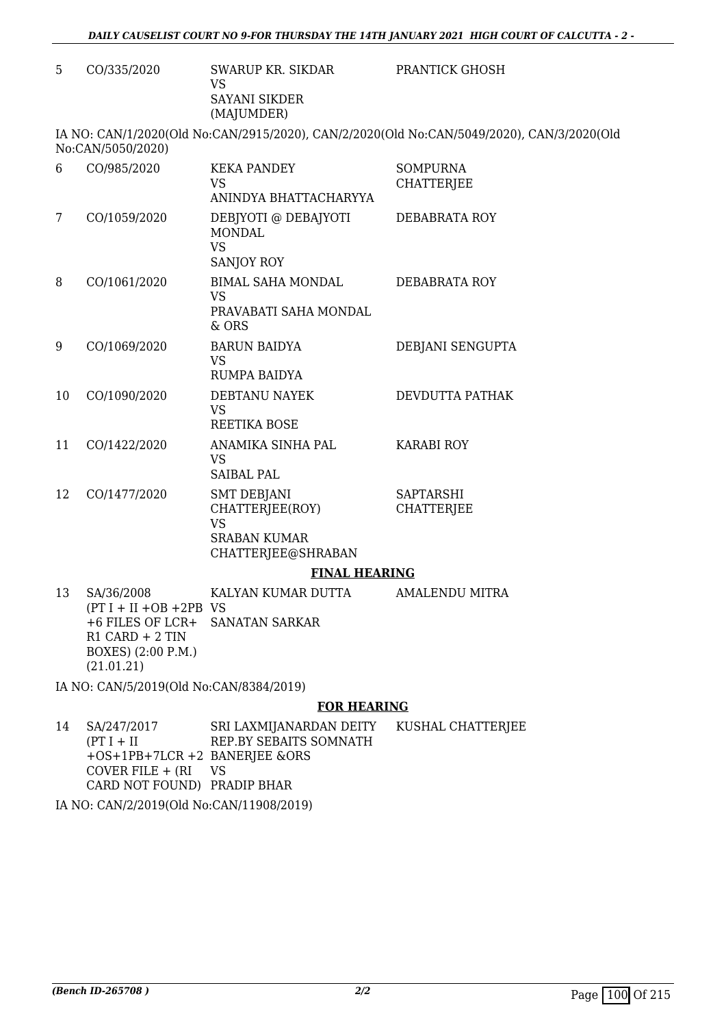5 CO/335/2020 SWARUP KR. SIKDAR VS SAYANI SIKDER (MAJUMDER)

PRANTICK GHOSH

IA NO: CAN/1/2020(Old No:CAN/2915/2020), CAN/2/2020(Old No:CAN/5049/2020), CAN/3/2020(Old No:CAN/5050/2020)

| 6  | CO/985/2020                                                                                                           | <b>KEKA PANDEY</b><br><b>VS</b><br>ANINDYA BHATTACHARYYA                                        | <b>SOMPURNA</b><br><b>CHATTERJEE</b>  |
|----|-----------------------------------------------------------------------------------------------------------------------|-------------------------------------------------------------------------------------------------|---------------------------------------|
| 7  | CO/1059/2020                                                                                                          | DEBIYOTI @ DEBAJYOTI<br><b>MONDAL</b><br><b>VS</b><br><b>SANJOY ROY</b>                         | DEBABRATA ROY                         |
| 8  | CO/1061/2020                                                                                                          | <b>BIMAL SAHA MONDAL</b><br><b>VS</b><br>PRAVABATI SAHA MONDAL<br>$&$ ORS                       | <b>DEBABRATA ROY</b>                  |
| 9  | CO/1069/2020                                                                                                          | <b>BARUN BAIDYA</b><br><b>VS</b><br>RUMPA BAIDYA                                                | DEBJANI SENGUPTA                      |
| 10 | CO/1090/2020                                                                                                          | DEBTANU NAYEK<br><b>VS</b><br><b>REETIKA BOSE</b>                                               | DEVDUTTA PATHAK                       |
| 11 | CO/1422/2020                                                                                                          | ANAMIKA SINHA PAL<br><b>VS</b><br><b>SAIBAL PAL</b>                                             | <b>KARABI ROY</b>                     |
| 12 | CO/1477/2020                                                                                                          | <b>SMT DEBJANI</b><br>CHATTERJEE(ROY)<br><b>VS</b><br><b>SRABAN KUMAR</b><br>CHATTERJEE@SHRABAN | <b>SAPTARSHI</b><br><b>CHATTERJEE</b> |
|    |                                                                                                                       | <b>FINAL HEARING</b>                                                                            |                                       |
| 13 | SA/36/2008<br>$(PT I + II + OB + 2PB$ VS<br>+6 FILES OF LCR+<br>$R1$ CARD + 2 TIN<br>BOXES) (2:00 P.M.)<br>(21.01.21) | KALYAN KUMAR DUTTA<br><b>SANATAN SARKAR</b>                                                     | <b>AMALENDU MITRA</b>                 |

IA NO: CAN/5/2019(Old No:CAN/8384/2019)

#### **FOR HEARING**

14 SA/247/2017  $(PT I + II$ +OS+1PB+7LCR +2 BANERJEE &ORS  $Cover$  FILE + (RI CARD NOT FOUND) PRADIP BHAR SRI LAXMIJANARDAN DEITY REP.BY SEBAITS SOMNATH VS KUSHAL CHATTERJEE

IA NO: CAN/2/2019(Old No:CAN/11908/2019)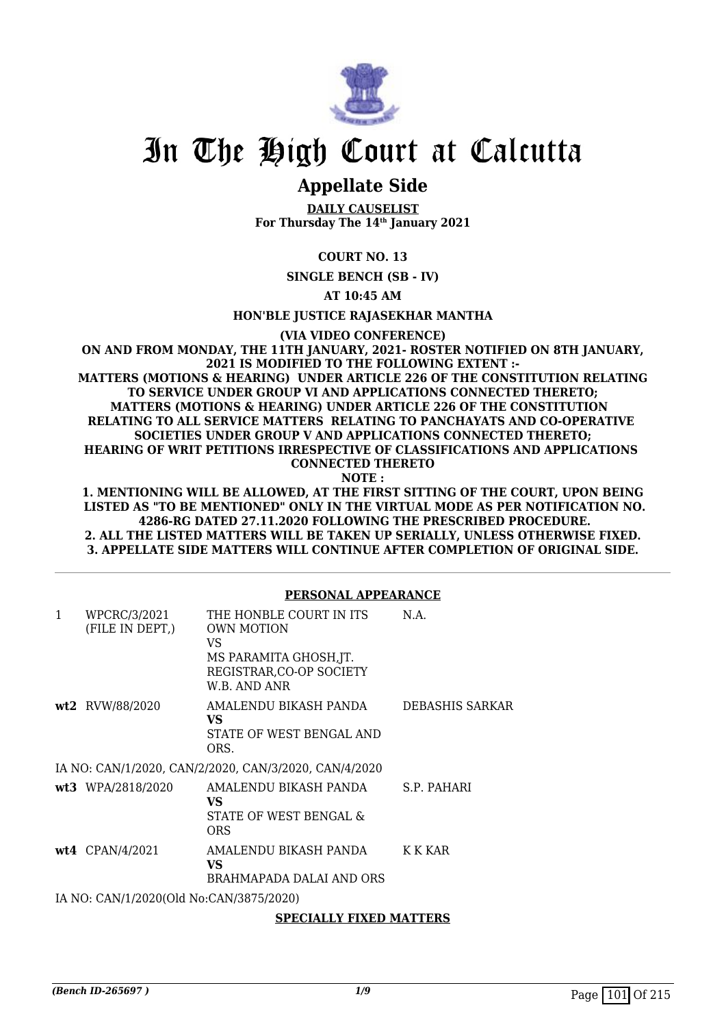

# **Appellate Side**

**DAILY CAUSELIST For Thursday The 14th January 2021**

# **COURT NO. 13**

**SINGLE BENCH (SB - IV)**

**AT 10:45 AM**

#### **HON'BLE JUSTICE RAJASEKHAR MANTHA**

**(VIA VIDEO CONFERENCE)**

**ON AND FROM MONDAY, THE 11TH JANUARY, 2021- ROSTER NOTIFIED ON 8TH JANUARY, 2021 IS MODIFIED TO THE FOLLOWING EXTENT :- MATTERS (MOTIONS & HEARING) UNDER ARTICLE 226 OF THE CONSTITUTION RELATING TO SERVICE UNDER GROUP VI AND APPLICATIONS CONNECTED THERETO; MATTERS (MOTIONS & HEARING) UNDER ARTICLE 226 OF THE CONSTITUTION RELATING TO ALL SERVICE MATTERS RELATING TO PANCHAYATS AND CO-OPERATIVE SOCIETIES UNDER GROUP V AND APPLICATIONS CONNECTED THERETO; HEARING OF WRIT PETITIONS IRRESPECTIVE OF CLASSIFICATIONS AND APPLICATIONS CONNECTED THERETO NOTE :**

**1. MENTIONING WILL BE ALLOWED, AT THE FIRST SITTING OF THE COURT, UPON BEING LISTED AS "TO BE MENTIONED" ONLY IN THE VIRTUAL MODE AS PER NOTIFICATION NO. 4286-RG DATED 27.11.2020 FOLLOWING THE PRESCRIBED PROCEDURE. 2. ALL THE LISTED MATTERS WILL BE TAKEN UP SERIALLY, UNLESS OTHERWISE FIXED. 3. APPELLATE SIDE MATTERS WILL CONTINUE AFTER COMPLETION OF ORIGINAL SIDE.**

**PERSONAL APPEARANCE**

|              |                                         | PEKSUNAL APPEAKANCE                                                                                                       |                        |
|--------------|-----------------------------------------|---------------------------------------------------------------------------------------------------------------------------|------------------------|
| $\mathbf{1}$ | WPCRC/3/2021<br>(FILE IN DEPT,)         | THE HONBLE COURT IN ITS<br><b>OWN MOTION</b><br>VS.<br>MS PARAMITA GHOSH, JT.<br>REGISTRAR, CO-OP SOCIETY<br>W.B. AND ANR | N.A.                   |
|              | <b>wt2</b> RVW/88/2020                  | AMALENDU BIKASH PANDA<br>VS<br>STATE OF WEST BENGAL AND<br>ORS.                                                           | <b>DEBASHIS SARKAR</b> |
|              |                                         | IA NO: CAN/1/2020, CAN/2/2020, CAN/3/2020, CAN/4/2020                                                                     |                        |
|              | wt3 WPA/2818/2020                       | AMALENDU BIKASH PANDA<br>VS.<br>STATE OF WEST BENGAL &<br><b>ORS</b>                                                      | S.P. PAHARI            |
|              | $wt4$ CPAN/4/2021                       | AMALENDU BIKASH PANDA<br>VS.<br>BRAHMAPADA DALAI AND ORS                                                                  | K K KAR                |
|              | IA NO: CAN/1/2020(Old No:CAN/3875/2020) |                                                                                                                           |                        |
|              |                                         |                                                                                                                           |                        |

#### **SPECIALLY FIXED MATTERS**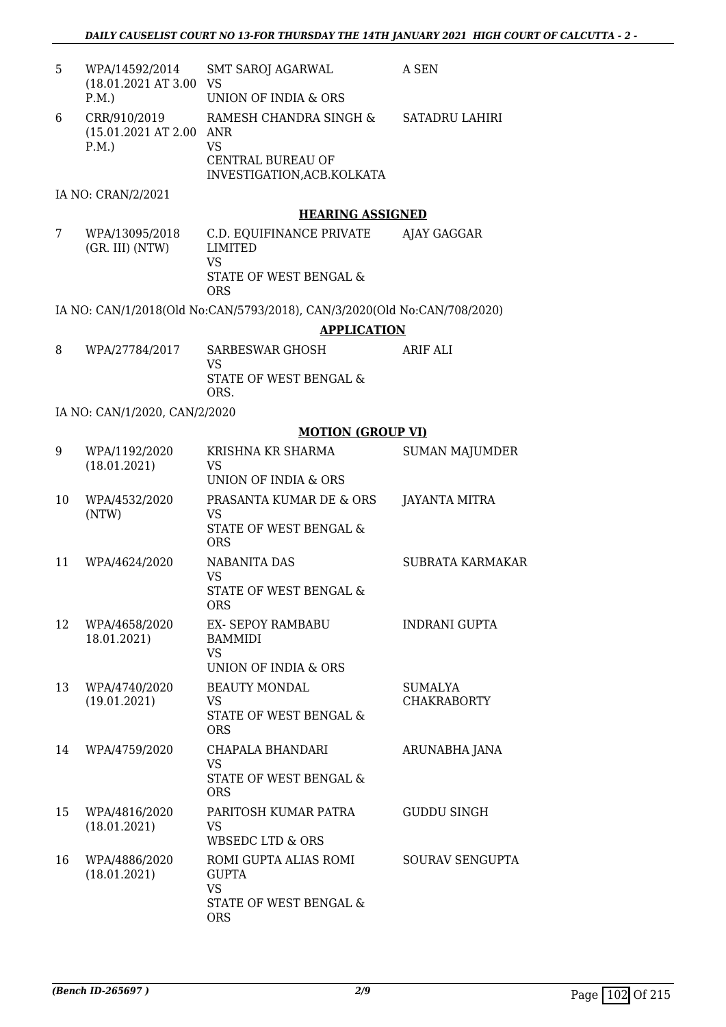| 5  | WPA/14592/2014<br>(18.01.2021 AT 3.00<br>P.M.          | <b>SMT SAROJ AGARWAL</b><br>VS<br>UNION OF INDIA & ORS                                            | A SEN                         |
|----|--------------------------------------------------------|---------------------------------------------------------------------------------------------------|-------------------------------|
| 6  | CRR/910/2019<br>$(15.01.2021 \text{ AT } 2.00$<br>P.M. | RAMESH CHANDRA SINGH &<br>ANR<br><b>VS</b><br><b>CENTRAL BUREAU OF</b>                            | SATADRU LAHIRI                |
|    | IA NO: CRAN/2/2021                                     | INVESTIGATION, ACB. KOLKATA                                                                       |                               |
|    |                                                        | <b>HEARING ASSIGNED</b>                                                                           |                               |
| 7  | WPA/13095/2018<br>(GR. III) (NTW)                      | C.D. EQUIFINANCE PRIVATE<br>LIMITED<br><b>VS</b><br>STATE OF WEST BENGAL &                        | AJAY GAGGAR                   |
|    |                                                        | <b>ORS</b>                                                                                        |                               |
|    |                                                        | IA NO: CAN/1/2018(Old No:CAN/5793/2018), CAN/3/2020(Old No:CAN/708/2020)                          |                               |
|    |                                                        | <b>APPLICATION</b>                                                                                |                               |
| 8  | WPA/27784/2017                                         | SARBESWAR GHOSH<br>VS                                                                             | ARIF ALI                      |
|    |                                                        | STATE OF WEST BENGAL &<br>ORS.                                                                    |                               |
|    | IA NO: CAN/1/2020, CAN/2/2020                          |                                                                                                   |                               |
|    |                                                        | <b>MOTION (GROUP VI)</b>                                                                          |                               |
| 9  | WPA/1192/2020<br>(18.01.2021)                          | KRISHNA KR SHARMA<br>VS<br>UNION OF INDIA & ORS                                                   | <b>SUMAN MAJUMDER</b>         |
| 10 | WPA/4532/2020<br>(NTW)                                 | PRASANTA KUMAR DE & ORS<br><b>VS</b><br>STATE OF WEST BENGAL &<br><b>ORS</b>                      | <b>JAYANTA MITRA</b>          |
| 11 | WPA/4624/2020                                          | <b>NABANITA DAS</b><br>VS<br>STATE OF WEST BENGAL &<br><b>ORS</b>                                 | SUBRATA KARMAKAR              |
| 12 | WPA/4658/2020<br>18.01.2021)                           | EX- SEPOY RAMBABU<br><b>BAMMIDI</b><br><b>VS</b>                                                  | <b>INDRANI GUPTA</b>          |
| 13 | WPA/4740/2020<br>(19.01.2021)                          | UNION OF INDIA & ORS<br><b>BEAUTY MONDAL</b><br><b>VS</b><br>STATE OF WEST BENGAL &<br><b>ORS</b> | SUMALYA<br><b>CHAKRABORTY</b> |
| 14 | WPA/4759/2020                                          | CHAPALA BHANDARI<br>VS.<br>STATE OF WEST BENGAL &<br><b>ORS</b>                                   | ARUNABHA JANA                 |
| 15 | WPA/4816/2020<br>(18.01.2021)                          | PARITOSH KUMAR PATRA<br>VS<br><b>WBSEDC LTD &amp; ORS</b>                                         | <b>GUDDU SINGH</b>            |
| 16 | WPA/4886/2020<br>(18.01.2021)                          | ROMI GUPTA ALIAS ROMI<br><b>GUPTA</b><br><b>VS</b><br>STATE OF WEST BENGAL &<br><b>ORS</b>        | SOURAV SENGUPTA               |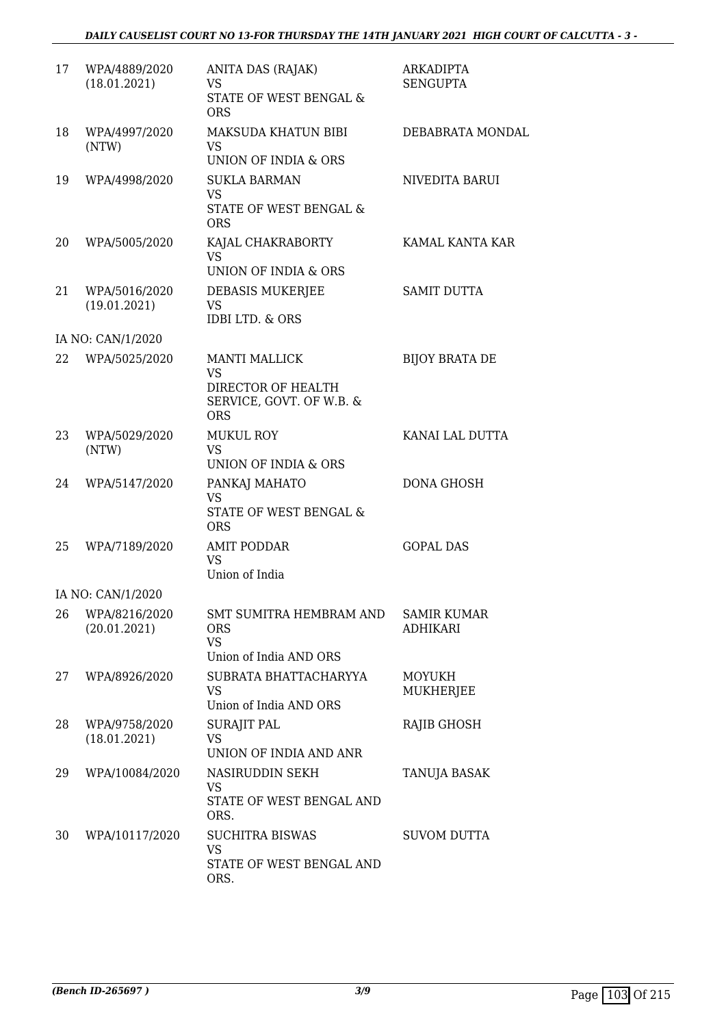| 17 | WPA/4889/2020<br>(18.01.2021) | ANITA DAS (RAJAK)<br>VS<br>STATE OF WEST BENGAL &<br><b>ORS</b>                                   | <b>ARKADIPTA</b><br><b>SENGUPTA</b>   |
|----|-------------------------------|---------------------------------------------------------------------------------------------------|---------------------------------------|
| 18 | WPA/4997/2020<br>(NTW)        | MAKSUDA KHATUN BIBI<br>VS.<br>UNION OF INDIA & ORS                                                | DEBABRATA MONDAL                      |
| 19 | WPA/4998/2020                 | <b>SUKLA BARMAN</b><br><b>VS</b><br><b>STATE OF WEST BENGAL &amp;</b><br><b>ORS</b>               | NIVEDITA BARUI                        |
| 20 | WPA/5005/2020                 | KAJAL CHAKRABORTY<br><b>VS</b><br>UNION OF INDIA & ORS                                            | KAMAL KANTA KAR                       |
| 21 | WPA/5016/2020<br>(19.01.2021) | DEBASIS MUKERJEE<br>VS.<br><b>IDBI LTD. &amp; ORS</b>                                             | <b>SAMIT DUTTA</b>                    |
|    | IA NO: CAN/1/2020             |                                                                                                   |                                       |
| 22 | WPA/5025/2020                 | <b>MANTI MALLICK</b><br><b>VS</b><br>DIRECTOR OF HEALTH<br>SERVICE, GOVT. OF W.B. &<br><b>ORS</b> | <b>BIJOY BRATA DE</b>                 |
| 23 | WPA/5029/2020<br>(NTW)        | <b>MUKUL ROY</b><br><b>VS</b><br>UNION OF INDIA & ORS                                             | KANAI LAL DUTTA                       |
| 24 | WPA/5147/2020                 | PANKAJ MAHATO<br><b>VS</b><br>STATE OF WEST BENGAL &<br><b>ORS</b>                                | DONA GHOSH                            |
| 25 | WPA/7189/2020                 | <b>AMIT PODDAR</b><br>VS.<br>Union of India                                                       | <b>GOPAL DAS</b>                      |
|    | IA NO: CAN/1/2020             |                                                                                                   |                                       |
| 26 | WPA/8216/2020<br>(20.01.2021) | SMT SUMITRA HEMBRAM AND<br>ORS<br><b>VS</b>                                                       | <b>SAMIR KUMAR</b><br><b>ADHIKARI</b> |
| 27 | WPA/8926/2020                 | Union of India AND ORS<br>SUBRATA BHATTACHARYYA<br>VS<br>Union of India AND ORS                   | <b>MOYUKH</b><br><b>MUKHERJEE</b>     |
| 28 | WPA/9758/2020<br>(18.01.2021) | <b>SURAJIT PAL</b><br><b>VS</b><br>UNION OF INDIA AND ANR                                         | RAJIB GHOSH                           |
| 29 | WPA/10084/2020                | NASIRUDDIN SEKH<br>VS.<br>STATE OF WEST BENGAL AND<br>ORS.                                        | TANUJA BASAK                          |
| 30 | WPA/10117/2020                | <b>SUCHITRA BISWAS</b><br><b>VS</b><br>STATE OF WEST BENGAL AND<br>ORS.                           | <b>SUVOM DUTTA</b>                    |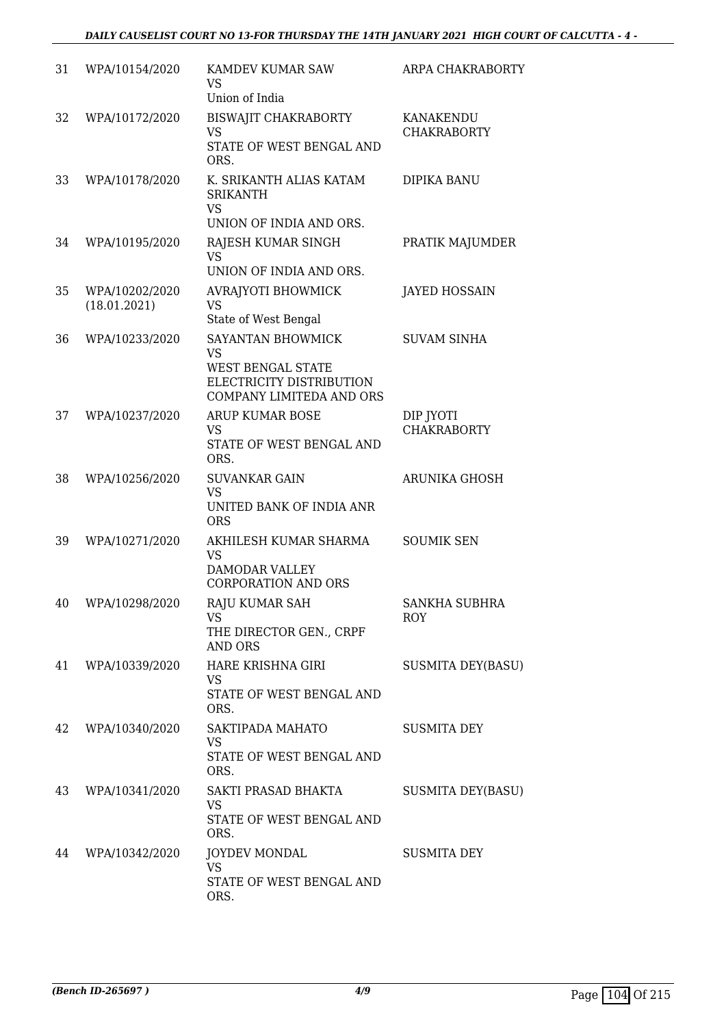## *DAILY CAUSELIST COURT NO 13-FOR THURSDAY THE 14TH JANUARY 2021 HIGH COURT OF CALCUTTA - 4 -*

| 31 | WPA/10154/2020                 | KAMDEV KUMAR SAW<br>VS<br>Union of India                                                                    | ARPA CHAKRABORTY                |
|----|--------------------------------|-------------------------------------------------------------------------------------------------------------|---------------------------------|
| 32 | WPA/10172/2020                 | BISWAJIT CHAKRABORTY<br>VS<br>STATE OF WEST BENGAL AND<br>ORS.                                              | KANAKENDU<br><b>CHAKRABORTY</b> |
| 33 | WPA/10178/2020                 | K. SRIKANTH ALIAS KATAM<br><b>SRIKANTH</b><br>VS<br>UNION OF INDIA AND ORS.                                 | DIPIKA BANU                     |
| 34 | WPA/10195/2020                 | RAJESH KUMAR SINGH<br><b>VS</b><br>UNION OF INDIA AND ORS.                                                  | PRATIK MAJUMDER                 |
| 35 | WPA/10202/2020<br>(18.01.2021) | AVRAJYOTI BHOWMICK<br>VS<br>State of West Bengal                                                            | <b>JAYED HOSSAIN</b>            |
| 36 | WPA/10233/2020                 | SAYANTAN BHOWMICK<br>VS<br><b>WEST BENGAL STATE</b><br>ELECTRICITY DISTRIBUTION<br>COMPANY LIMITEDA AND ORS | <b>SUVAM SINHA</b>              |
| 37 | WPA/10237/2020                 | ARUP KUMAR BOSE<br>VS<br>STATE OF WEST BENGAL AND<br>ORS.                                                   | DIP JYOTI<br><b>CHAKRABORTY</b> |
| 38 | WPA/10256/2020                 | <b>SUVANKAR GAIN</b><br><b>VS</b><br>UNITED BANK OF INDIA ANR<br><b>ORS</b>                                 | <b>ARUNIKA GHOSH</b>            |
| 39 | WPA/10271/2020                 | AKHILESH KUMAR SHARMA<br><b>VS</b><br>DAMODAR VALLEY<br><b>CORPORATION AND ORS</b>                          | <b>SOUMIK SEN</b>               |
| 40 | WPA/10298/2020                 | RAJU KUMAR SAH<br>VS<br>THE DIRECTOR GEN., CRPF<br>AND ORS                                                  | SANKHA SUBHRA<br><b>ROY</b>     |
| 41 | WPA/10339/2020                 | HARE KRISHNA GIRI<br>VS.<br>STATE OF WEST BENGAL AND<br>ORS.                                                | <b>SUSMITA DEY(BASU)</b>        |
| 42 | WPA/10340/2020                 | SAKTIPADA MAHATO<br>VS<br>STATE OF WEST BENGAL AND<br>ORS.                                                  | <b>SUSMITA DEY</b>              |
| 43 | WPA/10341/2020                 | SAKTI PRASAD BHAKTA<br>VS<br>STATE OF WEST BENGAL AND<br>ORS.                                               | <b>SUSMITA DEY(BASU)</b>        |
| 44 | WPA/10342/2020                 | <b>JOYDEV MONDAL</b><br>VS<br>STATE OF WEST BENGAL AND<br>ORS.                                              | SUSMITA DEY                     |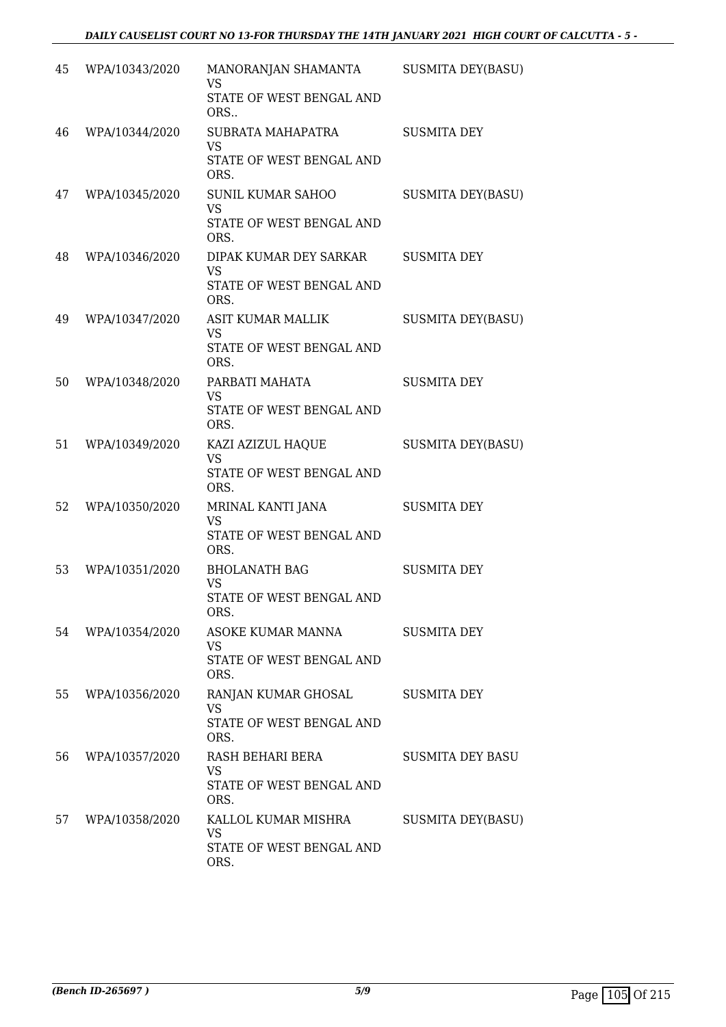| 45 | WPA/10343/2020 | MANORANJAN SHAMANTA<br><b>VS</b><br>STATE OF WEST BENGAL AND<br>ORS       | <b>SUSMITA DEY(BASU)</b> |
|----|----------------|---------------------------------------------------------------------------|--------------------------|
| 46 | WPA/10344/2020 | SUBRATA MAHAPATRA<br>VS<br>STATE OF WEST BENGAL AND<br>ORS.               | <b>SUSMITA DEY</b>       |
| 47 | WPA/10345/2020 | SUNIL KUMAR SAHOO<br><b>VS</b><br>STATE OF WEST BENGAL AND<br>ORS.        | <b>SUSMITA DEY(BASU)</b> |
| 48 | WPA/10346/2020 | DIPAK KUMAR DEY SARKAR<br><b>VS</b><br>STATE OF WEST BENGAL AND<br>ORS.   | <b>SUSMITA DEY</b>       |
| 49 | WPA/10347/2020 | <b>ASIT KUMAR MALLIK</b><br><b>VS</b><br>STATE OF WEST BENGAL AND<br>ORS. | <b>SUSMITA DEY(BASU)</b> |
| 50 | WPA/10348/2020 | PARBATI MAHATA<br><b>VS</b><br>STATE OF WEST BENGAL AND<br>ORS.           | <b>SUSMITA DEY</b>       |
| 51 | WPA/10349/2020 | KAZI AZIZUL HAQUE<br><b>VS</b><br>STATE OF WEST BENGAL AND<br>ORS.        | <b>SUSMITA DEY(BASU)</b> |
| 52 | WPA/10350/2020 | MRINAL KANTI JANA<br>VS<br>STATE OF WEST BENGAL AND<br>ORS.               | <b>SUSMITA DEY</b>       |
| 53 | WPA/10351/2020 | <b>BHOLANATH BAG</b><br>VS<br>STATE OF WEST BENGAL AND<br>ORS.            | <b>SUSMITA DEY</b>       |
| 54 | WPA/10354/2020 | ASOKE KUMAR MANNA<br>VS.<br>STATE OF WEST BENGAL AND<br>ORS.              | <b>SUSMITA DEY</b>       |
| 55 | WPA/10356/2020 | RANJAN KUMAR GHOSAL<br>VS<br>STATE OF WEST BENGAL AND<br>ORS.             | <b>SUSMITA DEY</b>       |
| 56 | WPA/10357/2020 | RASH BEHARI BERA<br>VS.<br>STATE OF WEST BENGAL AND<br>ORS.               | <b>SUSMITA DEY BASU</b>  |
| 57 | WPA/10358/2020 | KALLOL KUMAR MISHRA<br><b>VS</b><br>STATE OF WEST BENGAL AND<br>ORS.      | SUSMITA DEY(BASU)        |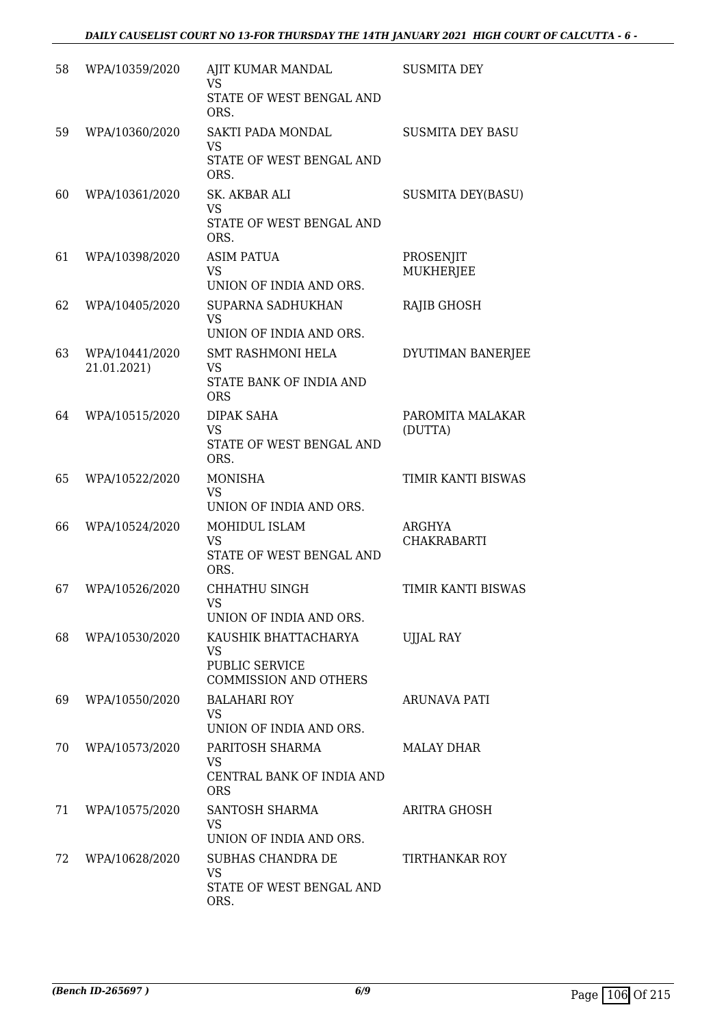| 58 | WPA/10359/2020                | AJIT KUMAR MANDAL<br><b>VS</b>                 | <b>SUSMITA DEY</b>           |
|----|-------------------------------|------------------------------------------------|------------------------------|
|    |                               | STATE OF WEST BENGAL AND<br>ORS.               |                              |
| 59 | WPA/10360/2020                | SAKTI PADA MONDAL<br>VS                        | <b>SUSMITA DEY BASU</b>      |
|    |                               | STATE OF WEST BENGAL AND<br>ORS.               |                              |
| 60 | WPA/10361/2020                | SK. AKBAR ALI<br><b>VS</b>                     | <b>SUSMITA DEY(BASU)</b>     |
|    |                               | STATE OF WEST BENGAL AND<br>ORS.               |                              |
| 61 | WPA/10398/2020                | <b>ASIM PATUA</b>                              | PROSENJIT                    |
|    |                               | <b>VS</b><br>UNION OF INDIA AND ORS.           | <b>MUKHERJEE</b>             |
| 62 | WPA/10405/2020                | SUPARNA SADHUKHAN<br><b>VS</b>                 | <b>RAJIB GHOSH</b>           |
|    |                               | UNION OF INDIA AND ORS.                        |                              |
| 63 | WPA/10441/2020<br>21.01.2021) | <b>SMT RASHMONI HELA</b><br><b>VS</b>          | DYUTIMAN BANERJEE            |
|    |                               | STATE BANK OF INDIA AND<br><b>ORS</b>          |                              |
| 64 | WPA/10515/2020                | DIPAK SAHA<br><b>VS</b>                        | PAROMITA MALAKAR<br>(DUTTA)  |
|    |                               | STATE OF WEST BENGAL AND<br>ORS.               |                              |
| 65 | WPA/10522/2020                | <b>MONISHA</b><br><b>VS</b>                    | TIMIR KANTI BISWAS           |
|    |                               | UNION OF INDIA AND ORS.                        |                              |
| 66 | WPA/10524/2020                | MOHIDUL ISLAM<br><b>VS</b>                     | ARGHYA<br><b>CHAKRABARTI</b> |
|    |                               | STATE OF WEST BENGAL AND<br>ORS.               |                              |
| 67 | WPA/10526/2020                | <b>CHHATHU SINGH</b><br>VS                     | TIMIR KANTI BISWAS           |
|    |                               | UNION OF INDIA AND ORS.                        |                              |
| 68 | WPA/10530/2020                | KAUSHIK BHATTACHARYA<br>VS                     | <b>UJJAL RAY</b>             |
|    |                               | PUBLIC SERVICE<br><b>COMMISSION AND OTHERS</b> |                              |
| 69 | WPA/10550/2020                | <b>BALAHARI ROY</b><br>VS.                     | ARUNAVA PATI                 |
|    |                               | UNION OF INDIA AND ORS.                        |                              |
| 70 | WPA/10573/2020                | PARITOSH SHARMA<br>VS                          | MALAY DHAR                   |
|    |                               | CENTRAL BANK OF INDIA AND<br><b>ORS</b>        |                              |
| 71 | WPA/10575/2020                | SANTOSH SHARMA                                 | ARITRA GHOSH                 |
|    |                               | VS<br>UNION OF INDIA AND ORS.                  |                              |
| 72 | WPA/10628/2020                | SUBHAS CHANDRA DE<br>VS                        | TIRTHANKAR ROY               |
|    |                               | STATE OF WEST BENGAL AND<br>ORS.               |                              |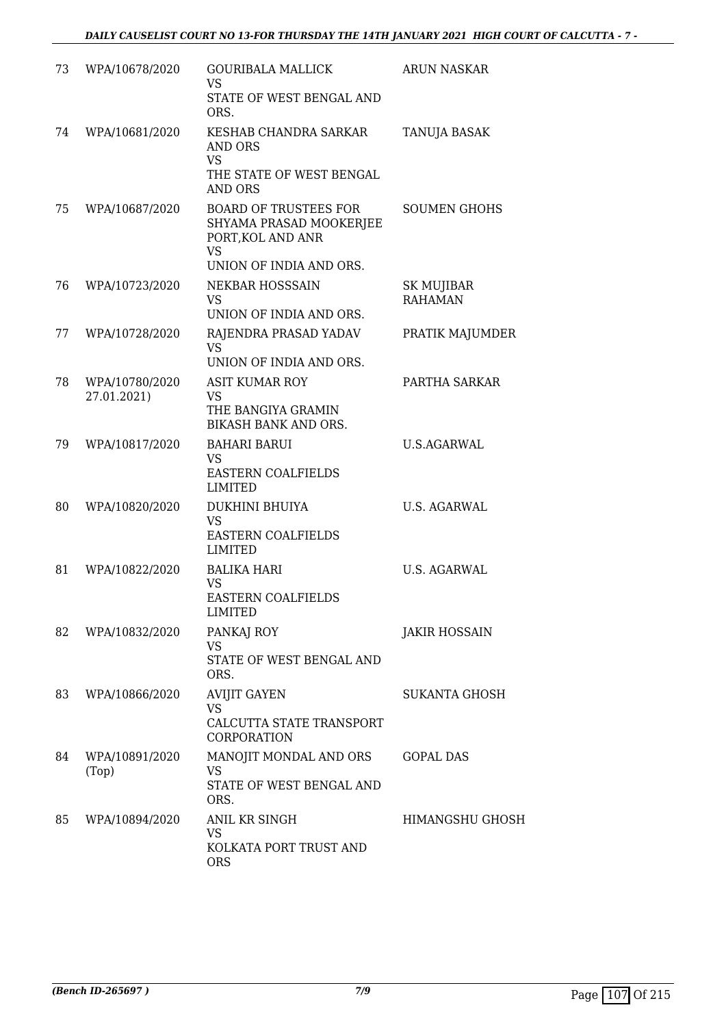| 73 | WPA/10678/2020                | <b>GOURIBALA MALLICK</b><br><b>VS</b><br>STATE OF WEST BENGAL AND<br>ORS.                                            | <b>ARUN NASKAR</b>           |
|----|-------------------------------|----------------------------------------------------------------------------------------------------------------------|------------------------------|
| 74 | WPA/10681/2020                | KESHAB CHANDRA SARKAR<br>AND ORS<br><b>VS</b><br>THE STATE OF WEST BENGAL<br>AND ORS                                 | TANUJA BASAK                 |
| 75 | WPA/10687/2020                | <b>BOARD OF TRUSTEES FOR</b><br>SHYAMA PRASAD MOOKERJEE<br>PORT, KOL AND ANR<br><b>VS</b><br>UNION OF INDIA AND ORS. | <b>SOUMEN GHOHS</b>          |
| 76 | WPA/10723/2020                | NEKBAR HOSSSAIN<br><b>VS</b><br>UNION OF INDIA AND ORS.                                                              | SK MUJIBAR<br><b>RAHAMAN</b> |
| 77 | WPA/10728/2020                | RAJENDRA PRASAD YADAV<br><b>VS</b><br>UNION OF INDIA AND ORS.                                                        | PRATIK MAJUMDER              |
| 78 | WPA/10780/2020<br>27.01.2021) | <b>ASIT KUMAR ROY</b><br><b>VS</b><br>THE BANGIYA GRAMIN<br>BIKASH BANK AND ORS.                                     | PARTHA SARKAR                |
| 79 | WPA/10817/2020                | <b>BAHARI BARUI</b><br><b>VS</b><br>EASTERN COALFIELDS<br><b>LIMITED</b>                                             | <b>U.S.AGARWAL</b>           |
| 80 | WPA/10820/2020                | DUKHINI BHUIYA<br><b>VS</b><br>EASTERN COALFIELDS<br><b>LIMITED</b>                                                  | U.S. AGARWAL                 |
| 81 | WPA/10822/2020                | <b>BALIKA HARI</b><br>VS<br><b>EASTERN COALFIELDS</b><br><b>LIMITED</b>                                              | <b>U.S. AGARWAL</b>          |
| 82 | WPA/10832/2020                | PANKAJ ROY<br>VS<br>STATE OF WEST BENGAL AND<br>ORS.                                                                 | <b>JAKIR HOSSAIN</b>         |
| 83 | WPA/10866/2020                | <b>AVIJIT GAYEN</b><br>VS<br>CALCUTTA STATE TRANSPORT<br>CORPORATION                                                 | SUKANTA GHOSH                |
| 84 | WPA/10891/2020<br>(Top)       | MANOJIT MONDAL AND ORS<br><b>VS</b><br>STATE OF WEST BENGAL AND<br>ORS.                                              | <b>GOPAL DAS</b>             |
| 85 | WPA/10894/2020                | ANIL KR SINGH<br><b>VS</b><br>KOLKATA PORT TRUST AND<br><b>ORS</b>                                                   | HIMANGSHU GHOSH              |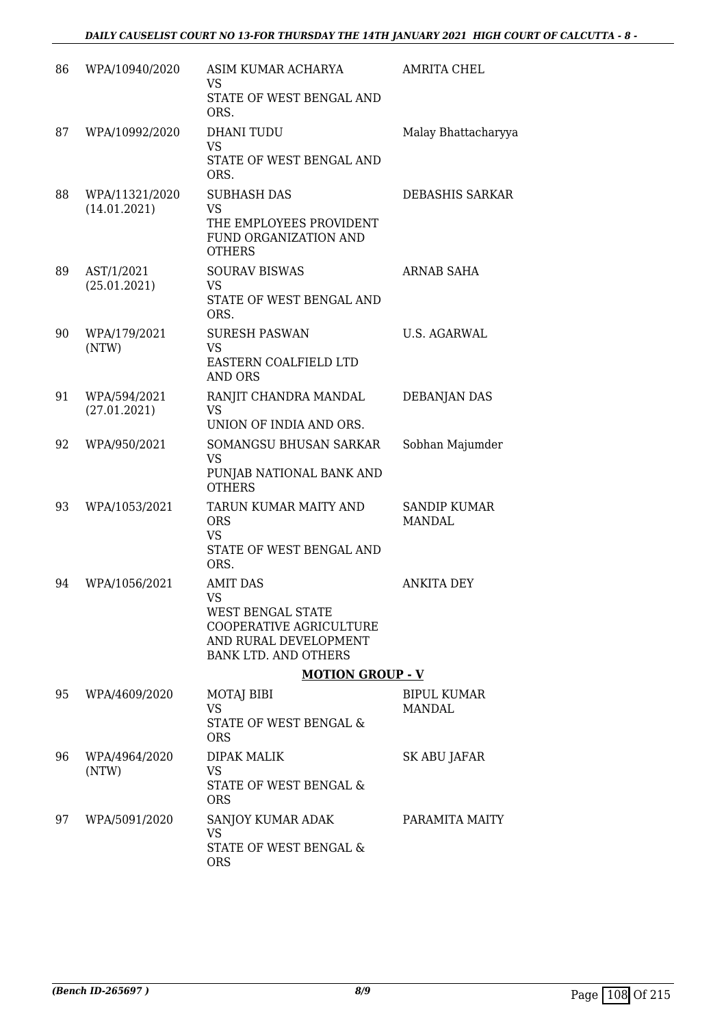| 86 | WPA/10940/2020                 | ASIM KUMAR ACHARYA<br>VS<br>STATE OF WEST BENGAL AND<br>ORS.                                                                         | <b>AMRITA CHEL</b>            |
|----|--------------------------------|--------------------------------------------------------------------------------------------------------------------------------------|-------------------------------|
| 87 | WPA/10992/2020                 | <b>DHANI TUDU</b><br><b>VS</b><br>STATE OF WEST BENGAL AND<br>ORS.                                                                   | Malay Bhattacharyya           |
| 88 | WPA/11321/2020<br>(14.01.2021) | <b>SUBHASH DAS</b><br><b>VS</b><br>THE EMPLOYEES PROVIDENT<br>FUND ORGANIZATION AND<br><b>OTHERS</b>                                 | <b>DEBASHIS SARKAR</b>        |
| 89 | AST/1/2021<br>(25.01.2021)     | <b>SOURAV BISWAS</b><br><b>VS</b><br>STATE OF WEST BENGAL AND<br>ORS.                                                                | ARNAB SAHA                    |
| 90 | WPA/179/2021<br>(NTW)          | <b>SURESH PASWAN</b><br><b>VS</b><br>EASTERN COALFIELD LTD<br>AND ORS                                                                | U.S. AGARWAL                  |
| 91 | WPA/594/2021<br>(27.01.2021)   | RANJIT CHANDRA MANDAL<br><b>VS</b><br>UNION OF INDIA AND ORS.                                                                        | <b>DEBANJAN DAS</b>           |
| 92 | WPA/950/2021                   | SOMANGSU BHUSAN SARKAR<br><b>VS</b><br>PUNJAB NATIONAL BANK AND<br><b>OTHERS</b>                                                     | Sobhan Majumder               |
| 93 | WPA/1053/2021                  | TARUN KUMAR MAITY AND<br><b>ORS</b><br>VS<br>STATE OF WEST BENGAL AND<br>ORS.                                                        | <b>SANDIP KUMAR</b><br>MANDAL |
| 94 | WPA/1056/2021                  | <b>AMIT DAS</b><br>VS<br><b>WEST BENGAL STATE</b><br>COOPERATIVE AGRICULTURE<br>AND RURAL DEVELOPMENT<br><b>BANK LTD. AND OTHERS</b> | <b>ANKITA DEY</b>             |
|    |                                | <b>MOTION GROUP - V</b>                                                                                                              |                               |
| 95 | WPA/4609/2020                  | MOTAJ BIBI<br><b>VS</b><br>STATE OF WEST BENGAL &<br><b>ORS</b>                                                                      | BIPUL KUMAR<br><b>MANDAL</b>  |
| 96 | WPA/4964/2020<br>(NTW)         | <b>DIPAK MALIK</b><br>VS<br>STATE OF WEST BENGAL &<br><b>ORS</b>                                                                     | SK ABU JAFAR                  |
| 97 | WPA/5091/2020                  | SANJOY KUMAR ADAK<br><b>VS</b><br>STATE OF WEST BENGAL &<br><b>ORS</b>                                                               | PARAMITA MAITY                |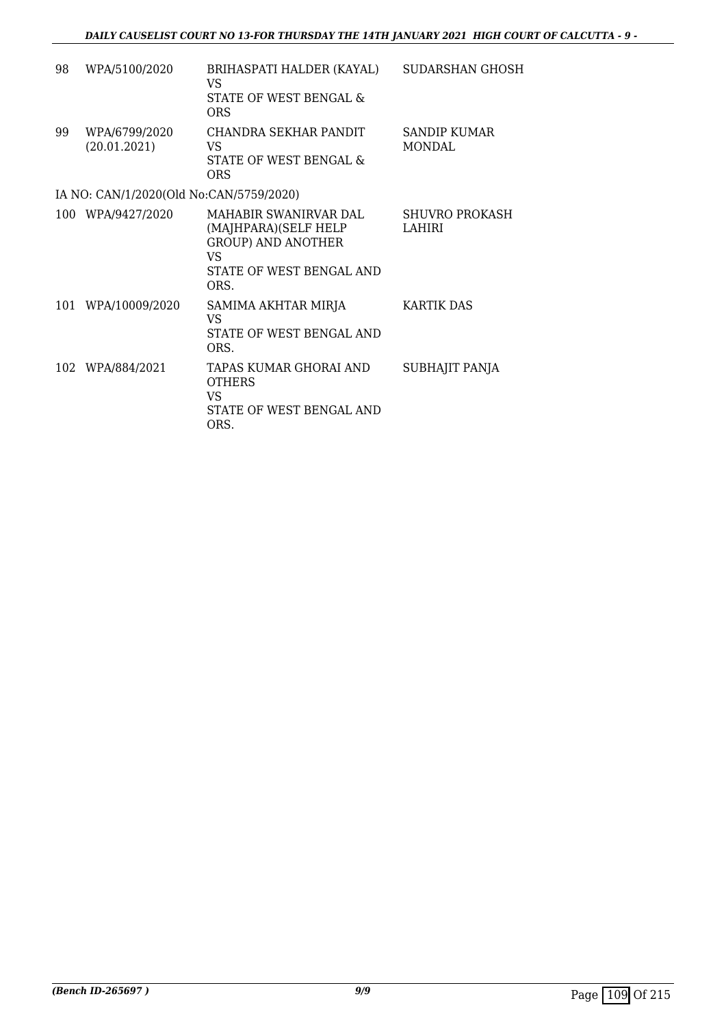| 98 | WPA/5100/2020                           | BRIHASPATI HALDER (KAYAL)<br>VS.<br>STATE OF WEST BENGAL &<br><b>ORS</b>                                              | SUDARSHAN GHOSH                 |
|----|-----------------------------------------|-----------------------------------------------------------------------------------------------------------------------|---------------------------------|
| 99 | WPA/6799/2020<br>(20.01.2021)           | CHANDRA SEKHAR PANDIT<br>VS<br>STATE OF WEST BENGAL &<br>ORS                                                          | SANDIP KUMAR<br>MONDAL          |
|    | IA NO: CAN/1/2020(Old No:CAN/5759/2020) |                                                                                                                       |                                 |
|    | 100 WPA/9427/2020                       | MAHABIR SWANIRVAR DAL.<br>(MAJHPARA)(SELF HELP<br><b>GROUP) AND ANOTHER</b><br>VS<br>STATE OF WEST BENGAL AND<br>ORS. | <b>SHUVRO PROKASH</b><br>LAHIRI |
|    | 101 WPA/10009/2020                      | SAMIMA AKHTAR MIRJA<br>VS<br>STATE OF WEST BENGAL AND<br>ORS.                                                         | KARTIK DAS                      |
|    | 102 WPA/884/2021                        | TAPAS KUMAR GHORAI AND<br><b>OTHERS</b><br>VS<br>STATE OF WEST BENGAL AND<br>ORS.                                     | SUBHAJIT PANJA                  |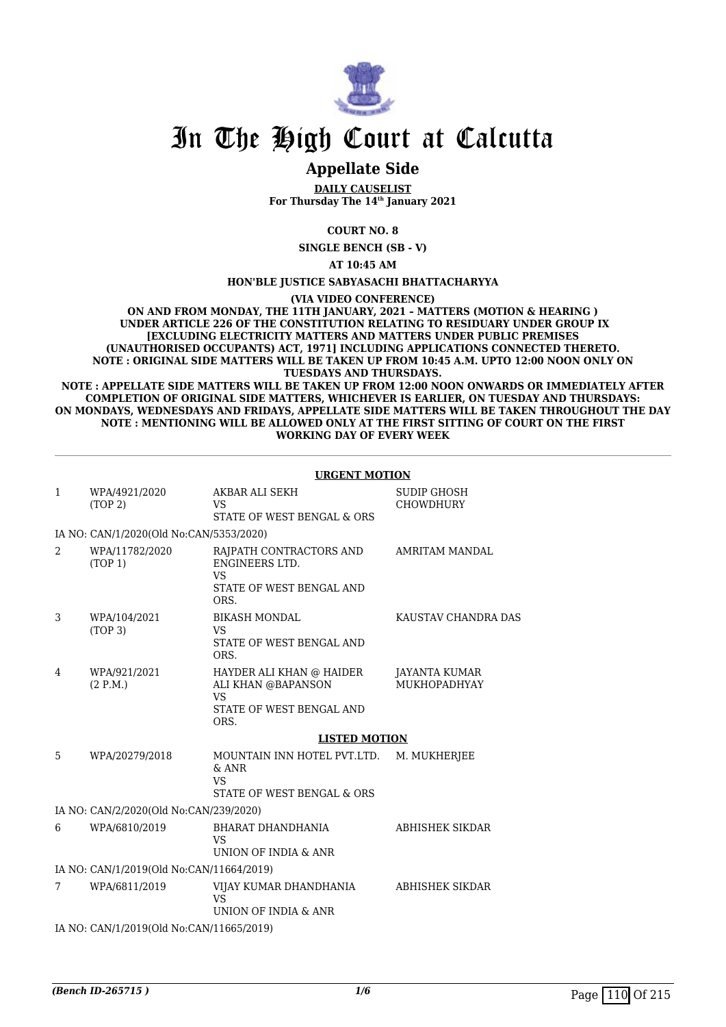

# In The High Court at Calcutta

### **Appellate Side**

**DAILY CAUSELIST For Thursday The 14th January 2021**

**COURT NO. 8**

**SINGLE BENCH (SB - V)**

**AT 10:45 AM**

#### **HON'BLE JUSTICE SABYASACHI BHATTACHARYYA**

**(VIA VIDEO CONFERENCE)**

**ON AND FROM MONDAY, THE 11TH JANUARY, 2021 – MATTERS (MOTION & HEARING ) UNDER ARTICLE 226 OF THE CONSTITUTION RELATING TO RESIDUARY UNDER GROUP IX [EXCLUDING ELECTRICITY MATTERS AND MATTERS UNDER PUBLIC PREMISES (UNAUTHORISED OCCUPANTS) ACT, 1971] INCLUDING APPLICATIONS CONNECTED THERETO. NOTE : ORIGINAL SIDE MATTERS WILL BE TAKEN UP FROM 10:45 A.M. UPTO 12:00 NOON ONLY ON TUESDAYS AND THURSDAYS.**

**NOTE : APPELLATE SIDE MATTERS WILL BE TAKEN UP FROM 12:00 NOON ONWARDS OR IMMEDIATELY AFTER COMPLETION OF ORIGINAL SIDE MATTERS, WHICHEVER IS EARLIER, ON TUESDAY AND THURSDAYS: ON MONDAYS, WEDNESDAYS AND FRIDAYS, APPELLATE SIDE MATTERS WILL BE TAKEN THROUGHOUT THE DAY NOTE : MENTIONING WILL BE ALLOWED ONLY AT THE FIRST SITTING OF COURT ON THE FIRST WORKING DAY OF EVERY WEEK**

|                |                                          | <b>URGENT MOTION</b>                                                                            |                                        |
|----------------|------------------------------------------|-------------------------------------------------------------------------------------------------|----------------------------------------|
| $\mathbf{1}$   | WPA/4921/2020<br>(TOP 2)                 | AKBAR ALI SEKH<br><b>VS</b><br>STATE OF WEST BENGAL & ORS                                       | <b>SUDIP GHOSH</b><br><b>CHOWDHURY</b> |
|                | IA NO: CAN/1/2020(Old No:CAN/5353/2020)  |                                                                                                 |                                        |
| $\overline{2}$ | WPA/11782/2020<br>(TOP 1)                | RAJPATH CONTRACTORS AND<br>ENGINEERS LTD.<br><b>VS</b><br>STATE OF WEST BENGAL AND<br>ORS.      | AMRITAM MANDAL                         |
| 3              | WPA/104/2021<br>(TOP <sub>3</sub> )      | <b>BIKASH MONDAL</b><br><b>VS</b><br>STATE OF WEST BENGAL AND<br>ORS.                           | KAUSTAV CHANDRA DAS                    |
| 4              | WPA/921/2021<br>(2 P.M.)                 | HAYDER ALI KHAN @ HAIDER<br>ALI KHAN @BAPANSON<br><b>VS</b><br>STATE OF WEST BENGAL AND<br>ORS. | JAYANTA KUMAR<br>MUKHOPADHYAY          |
|                |                                          | <b>LISTED MOTION</b>                                                                            |                                        |
| 5              | WPA/20279/2018                           | MOUNTAIN INN HOTEL PVT.LTD.<br>$&$ ANR<br><b>VS</b><br>STATE OF WEST BENGAL & ORS               | M. MUKHERJEE                           |
|                | IA NO: CAN/2/2020(Old No:CAN/239/2020)   |                                                                                                 |                                        |
| 6              | WPA/6810/2019                            | BHARAT DHANDHANIA<br><b>VS</b><br>UNION OF INDIA & ANR                                          | ABHISHEK SIKDAR                        |
|                | IA NO: CAN/1/2019(Old No:CAN/11664/2019) |                                                                                                 |                                        |
| 7              | WPA/6811/2019                            | VIJAY KUMAR DHANDHANIA<br><b>VS</b><br>UNION OF INDIA & ANR                                     | ABHISHEK SIKDAR                        |
|                | IA NO: CAN/1/2019(Old No:CAN/11665/2019) |                                                                                                 |                                        |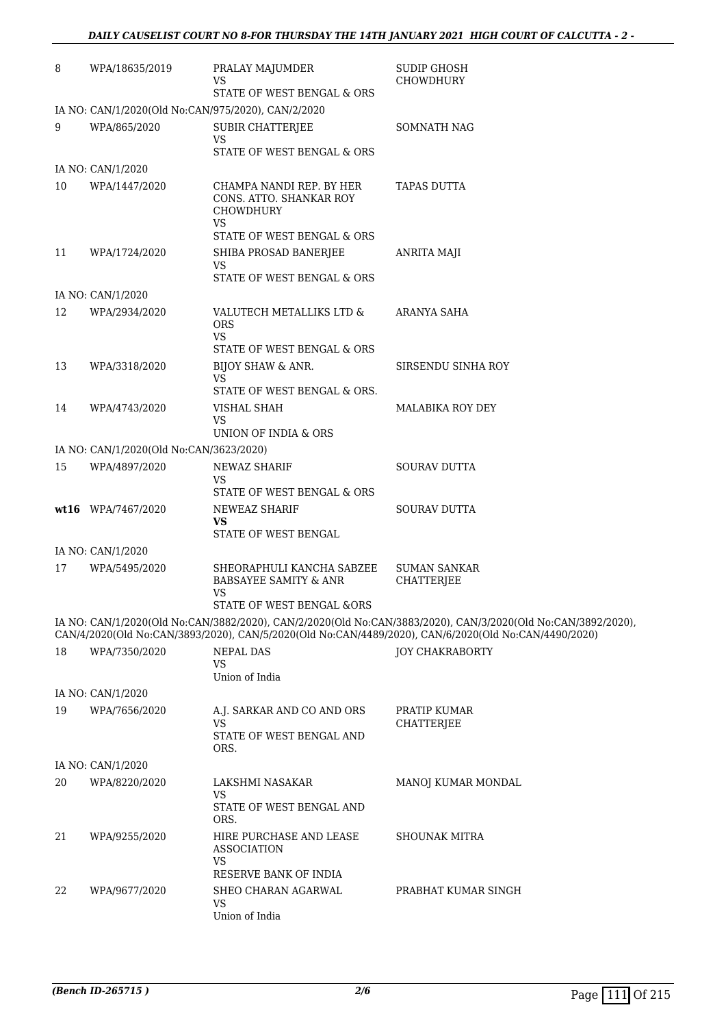| 8  | WPA/18635/2019                          | PRALAY MAJUMDER<br>VS<br>STATE OF WEST BENGAL & ORS                                 | <b>SUDIP GHOSH</b><br><b>CHOWDHURY</b>                                                                                                                                                                               |
|----|-----------------------------------------|-------------------------------------------------------------------------------------|----------------------------------------------------------------------------------------------------------------------------------------------------------------------------------------------------------------------|
|    |                                         | IA NO: CAN/1/2020(Old No:CAN/975/2020), CAN/2/2020                                  |                                                                                                                                                                                                                      |
| 9  | WPA/865/2020                            | <b>SUBIR CHATTERJEE</b><br>VS<br>STATE OF WEST BENGAL & ORS                         | <b>SOMNATH NAG</b>                                                                                                                                                                                                   |
|    | IA NO: CAN/1/2020                       |                                                                                     |                                                                                                                                                                                                                      |
| 10 | WPA/1447/2020                           | CHAMPA NANDI REP. BY HER<br>CONS. ATTO. SHANKAR ROY<br><b>CHOWDHURY</b><br>VS       | <b>TAPAS DUTTA</b>                                                                                                                                                                                                   |
|    |                                         | STATE OF WEST BENGAL & ORS                                                          |                                                                                                                                                                                                                      |
| 11 | WPA/1724/2020                           | SHIBA PROSAD BANERJEE<br><b>VS</b><br>STATE OF WEST BENGAL & ORS                    | ANRITA MAJI                                                                                                                                                                                                          |
|    | IA NO: CAN/1/2020                       |                                                                                     |                                                                                                                                                                                                                      |
| 12 | WPA/2934/2020                           | VALUTECH METALLIKS LTD &<br><b>ORS</b><br><b>VS</b><br>STATE OF WEST BENGAL & ORS   | ARANYA SAHA                                                                                                                                                                                                          |
| 13 | WPA/3318/2020                           | BIJOY SHAW & ANR.                                                                   | SIRSENDU SINHA ROY                                                                                                                                                                                                   |
|    |                                         | <b>VS</b>                                                                           |                                                                                                                                                                                                                      |
|    |                                         | STATE OF WEST BENGAL & ORS.                                                         |                                                                                                                                                                                                                      |
| 14 | WPA/4743/2020                           | VISHAL SHAH<br>VS                                                                   | MALABIKA ROY DEY                                                                                                                                                                                                     |
|    |                                         | UNION OF INDIA & ORS                                                                |                                                                                                                                                                                                                      |
|    | IA NO: CAN/1/2020(Old No:CAN/3623/2020) |                                                                                     |                                                                                                                                                                                                                      |
| 15 | WPA/4897/2020                           | NEWAZ SHARIF<br>VS<br>STATE OF WEST BENGAL & ORS                                    | <b>SOURAV DUTTA</b>                                                                                                                                                                                                  |
|    | wt16 WPA/7467/2020                      | NEWEAZ SHARIF                                                                       | <b>SOURAV DUTTA</b>                                                                                                                                                                                                  |
|    |                                         | VS<br>STATE OF WEST BENGAL                                                          |                                                                                                                                                                                                                      |
|    | IA NO: CAN/1/2020                       |                                                                                     |                                                                                                                                                                                                                      |
| 17 | WPA/5495/2020                           | SHEORAPHULI KANCHA SABZEE<br><b>BABSAYEE SAMITY &amp; ANR</b><br>VS                 | <b>SUMAN SANKAR</b><br><b>CHATTERJEE</b>                                                                                                                                                                             |
|    |                                         | STATE OF WEST BENGAL &ORS                                                           |                                                                                                                                                                                                                      |
|    |                                         |                                                                                     | IA NO: CAN/1/2020(Old No:CAN/3882/2020), CAN/2/2020(Old No:CAN/3883/2020), CAN/3/2020(Old No:CAN/3892/2020),<br>CAN/4/2020(Old No:CAN/3893/2020), CAN/5/2020(Old No:CAN/4489/2020), CAN/6/2020(Old No:CAN/4490/2020) |
| 18 | WPA/7350/2020                           | <b>NEPAL DAS</b><br>VS<br>Union of India                                            | <b>JOY CHAKRABORTY</b>                                                                                                                                                                                               |
|    | IA NO: CAN/1/2020                       |                                                                                     |                                                                                                                                                                                                                      |
| 19 | WPA/7656/2020                           | A.J. SARKAR AND CO AND ORS                                                          | PRATIP KUMAR                                                                                                                                                                                                         |
|    |                                         | VS<br>STATE OF WEST BENGAL AND<br>ORS.                                              | CHATTERJEE                                                                                                                                                                                                           |
|    | IA NO: CAN/1/2020                       |                                                                                     |                                                                                                                                                                                                                      |
| 20 | WPA/8220/2020                           | LAKSHMI NASAKAR                                                                     | MANOJ KUMAR MONDAL                                                                                                                                                                                                   |
|    |                                         | VS<br>STATE OF WEST BENGAL AND<br>ORS.                                              |                                                                                                                                                                                                                      |
| 21 | WPA/9255/2020                           | HIRE PURCHASE AND LEASE<br><b>ASSOCIATION</b><br><b>VS</b><br>RESERVE BANK OF INDIA | <b>SHOUNAK MITRA</b>                                                                                                                                                                                                 |
| 22 | WPA/9677/2020                           | SHEO CHARAN AGARWAL<br><b>VS</b><br>Union of India                                  | PRABHAT KUMAR SINGH                                                                                                                                                                                                  |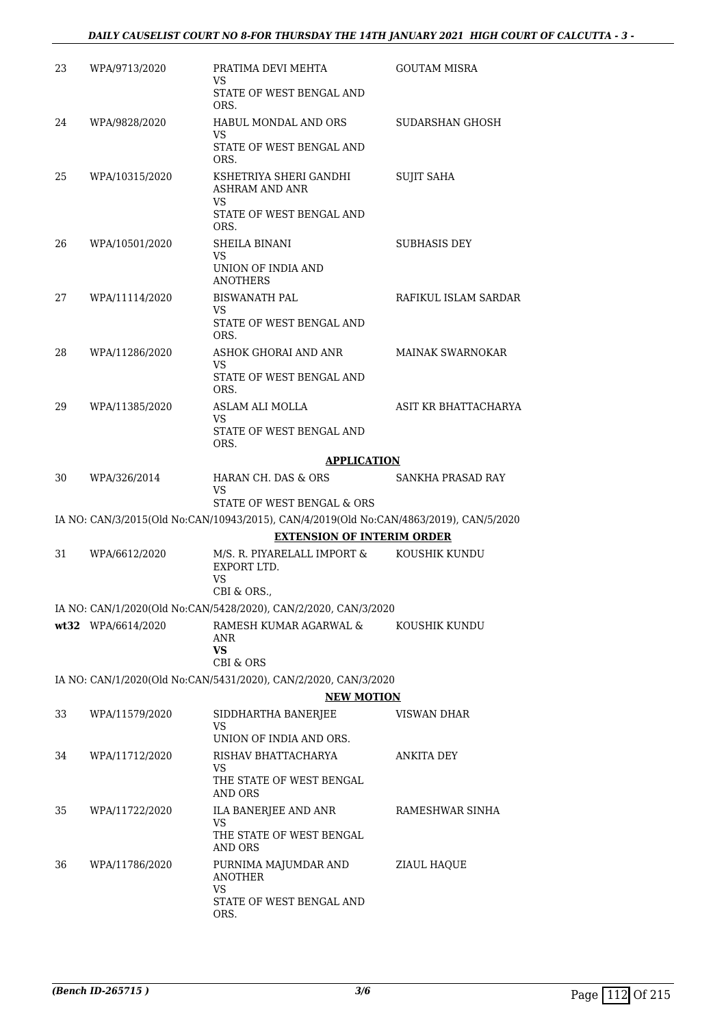| 23 | WPA/9713/2020        | PRATIMA DEVI MEHTA<br>VS                                                                                                    | <b>GOUTAM MISRA</b>     |
|----|----------------------|-----------------------------------------------------------------------------------------------------------------------------|-------------------------|
|    |                      | STATE OF WEST BENGAL AND<br>ORS.                                                                                            |                         |
| 24 | WPA/9828/2020        | <b>HABUL MONDAL AND ORS</b>                                                                                                 | SUDARSHAN GHOSH         |
|    |                      | VS<br>STATE OF WEST BENGAL AND<br>ORS.                                                                                      |                         |
| 25 | WPA/10315/2020       | KSHETRIYA SHERI GANDHI<br><b>ASHRAM AND ANR</b>                                                                             | <b>SUJIT SAHA</b>       |
|    |                      | VS<br>STATE OF WEST BENGAL AND<br>ORS.                                                                                      |                         |
| 26 | WPA/10501/2020       | SHEILA BINANI                                                                                                               | <b>SUBHASIS DEY</b>     |
|    |                      | VS<br>UNION OF INDIA AND<br><b>ANOTHERS</b>                                                                                 |                         |
| 27 | WPA/11114/2020       | <b>BISWANATH PAL</b>                                                                                                        | RAFIKUL ISLAM SARDAR    |
|    |                      | VS<br>STATE OF WEST BENGAL AND<br>ORS.                                                                                      |                         |
| 28 | WPA/11286/2020       | ASHOK GHORAI AND ANR                                                                                                        | <b>MAINAK SWARNOKAR</b> |
|    |                      | <b>VS</b><br>STATE OF WEST BENGAL AND<br>ORS.                                                                               |                         |
| 29 | WPA/11385/2020       | ASLAM ALI MOLLA                                                                                                             | ASIT KR BHATTACHARYA    |
|    |                      | VS<br>STATE OF WEST BENGAL AND<br>ORS.                                                                                      |                         |
|    |                      | <b>APPLICATION</b>                                                                                                          |                         |
| 30 | WPA/326/2014         | HARAN CH. DAS & ORS<br>VS                                                                                                   | SANKHA PRASAD RAY       |
|    |                      | STATE OF WEST BENGAL & ORS                                                                                                  |                         |
|    |                      | IA NO: CAN/3/2015(Old No:CAN/10943/2015), CAN/4/2019(Old No:CAN/4863/2019), CAN/5/2020<br><b>EXTENSION OF INTERIM ORDER</b> |                         |
| 31 | WPA/6612/2020        | M/S. R. PIYARELALL IMPORT &                                                                                                 | KOUSHIK KUNDU           |
|    |                      | EXPORT LTD.<br><b>VS</b>                                                                                                    |                         |
|    |                      | CBI & ORS.,                                                                                                                 |                         |
|    |                      | IA NO: CAN/1/2020(Old No:CAN/5428/2020), CAN/2/2020, CAN/3/2020<br>RAMESH KUMAR AGARWAL &                                   |                         |
|    | $wt32$ WPA/6614/2020 | ANR<br><b>VS</b>                                                                                                            | KOUSHIK KUNDU           |
|    |                      | CBI & ORS                                                                                                                   |                         |
|    |                      | IA NO: CAN/1/2020(Old No:CAN/5431/2020), CAN/2/2020, CAN/3/2020                                                             |                         |
| 33 | WPA/11579/2020       | <b>NEW MOTION</b>                                                                                                           | <b>VISWAN DHAR</b>      |
|    |                      | SIDDHARTHA BANERJEE<br>VS<br>UNION OF INDIA AND ORS.                                                                        |                         |
| 34 | WPA/11712/2020       | RISHAV BHATTACHARYA                                                                                                         | ANKITA DEY              |
|    |                      | VS<br>THE STATE OF WEST BENGAL<br>AND ORS                                                                                   |                         |
| 35 | WPA/11722/2020       | ILA BANERJEE AND ANR                                                                                                        | RAMESHWAR SINHA         |
|    |                      | VS<br>THE STATE OF WEST BENGAL<br>AND ORS                                                                                   |                         |
| 36 | WPA/11786/2020       | PURNIMA MAJUMDAR AND<br><b>ANOTHER</b>                                                                                      | ZIAUL HAQUE             |
|    |                      | <b>VS</b><br>STATE OF WEST BENGAL AND<br>ORS.                                                                               |                         |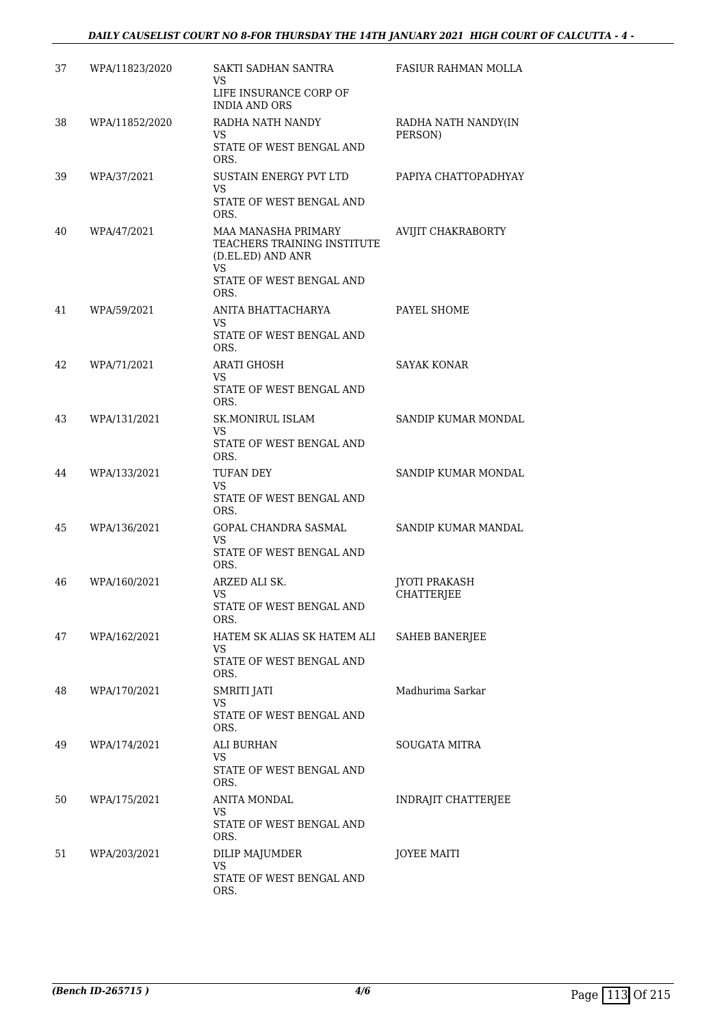#### *DAILY CAUSELIST COURT NO 8-FOR THURSDAY THE 14TH JANUARY 2021 HIGH COURT OF CALCUTTA - 4 -*

| 37 | WPA/11823/2020 | SAKTI SADHAN SANTRA<br>VS<br>LIFE INSURANCE CORP OF<br><b>INDIA AND ORS</b>                                               | FASIUR RAHMAN MOLLA                       |
|----|----------------|---------------------------------------------------------------------------------------------------------------------------|-------------------------------------------|
| 38 | WPA/11852/2020 | RADHA NATH NANDY<br>VS.<br>STATE OF WEST BENGAL AND<br>ORS.                                                               | RADHA NATH NANDY(IN<br>PERSON)            |
| 39 | WPA/37/2021    | SUSTAIN ENERGY PVT LTD<br>VS.<br>STATE OF WEST BENGAL AND<br>ORS.                                                         | PAPIYA CHATTOPADHYAY                      |
| 40 | WPA/47/2021    | <b>MAA MANASHA PRIMARY</b><br>TEACHERS TRAINING INSTITUTE<br>(D.EL.ED) AND ANR<br>VS.<br>STATE OF WEST BENGAL AND<br>ORS. | <b>AVIJIT CHAKRABORTY</b>                 |
| 41 | WPA/59/2021    | ANITA BHATTACHARYA<br>VS.<br>STATE OF WEST BENGAL AND<br>ORS.                                                             | PAYEL SHOME                               |
| 42 | WPA/71/2021    | <b>ARATI GHOSH</b><br>VS<br>STATE OF WEST BENGAL AND<br>ORS.                                                              | <b>SAYAK KONAR</b>                        |
| 43 | WPA/131/2021   | <b>SK.MONIRUL ISLAM</b><br>VS<br>STATE OF WEST BENGAL AND<br>ORS.                                                         | SANDIP KUMAR MONDAL                       |
| 44 | WPA/133/2021   | <b>TUFAN DEY</b><br>VS<br>STATE OF WEST BENGAL AND<br>ORS.                                                                | SANDIP KUMAR MONDAL                       |
| 45 | WPA/136/2021   | GOPAL CHANDRA SASMAL<br><b>VS</b><br>STATE OF WEST BENGAL AND<br>ORS.                                                     | SANDIP KUMAR MANDAL                       |
| 46 | WPA/160/2021   | ARZED ALI SK.<br><b>VS</b><br>STATE OF WEST BENGAL AND<br>ORS.                                                            | <b>JYOTI PRAKASH</b><br><b>CHATTERJEE</b> |
| 47 | WPA/162/2021   | HATEM SK ALIAS SK HATEM ALI<br>VS.<br>STATE OF WEST BENGAL AND<br>ORS.                                                    | SAHEB BANERJEE                            |
| 48 | WPA/170/2021   | <b>SMRITI JATI</b><br>VS<br>STATE OF WEST BENGAL AND<br>ORS.                                                              | Madhurima Sarkar                          |
| 49 | WPA/174/2021   | ALI BURHAN<br><b>VS</b><br>STATE OF WEST BENGAL AND<br>ORS.                                                               | SOUGATA MITRA                             |
| 50 | WPA/175/2021   | ANITA MONDAL<br>VS<br>STATE OF WEST BENGAL AND<br>ORS.                                                                    | INDRAJIT CHATTERJEE                       |
| 51 | WPA/203/2021   | DILIP MAJUMDER<br>VS.<br>STATE OF WEST BENGAL AND<br>ORS.                                                                 | <b>JOYEE MAITI</b>                        |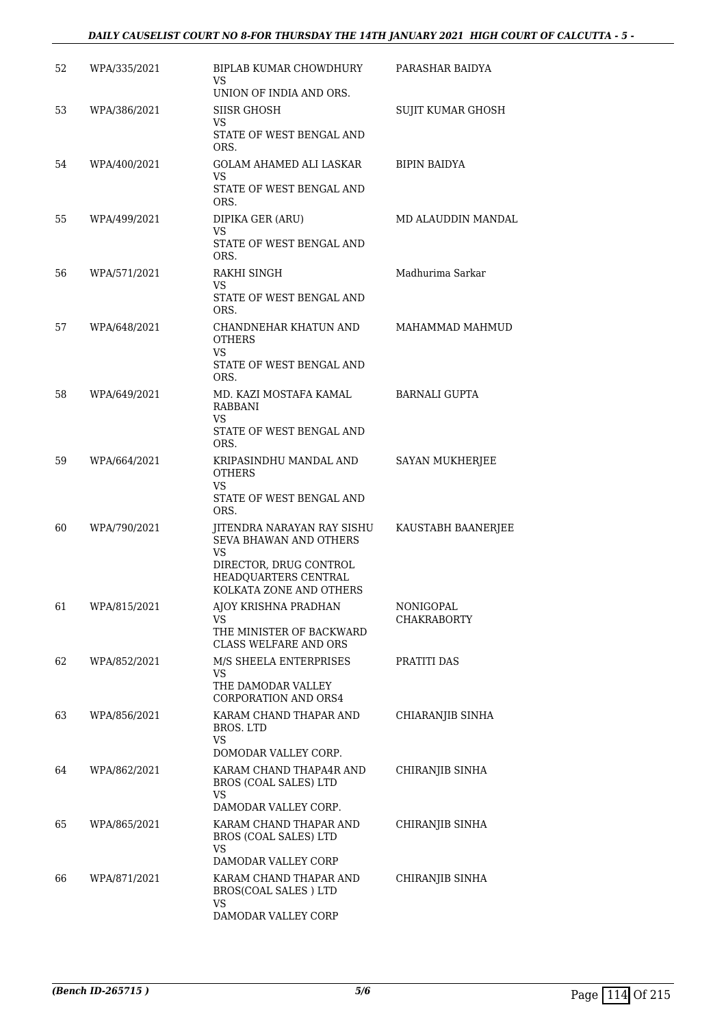#### *DAILY CAUSELIST COURT NO 8-FOR THURSDAY THE 14TH JANUARY 2021 HIGH COURT OF CALCUTTA - 5 -*

| 52 | WPA/335/2021 | BIPLAB KUMAR CHOWDHURY<br>VS<br>UNION OF INDIA AND ORS.                                                                                                | PARASHAR BAIDYA                 |
|----|--------------|--------------------------------------------------------------------------------------------------------------------------------------------------------|---------------------------------|
| 53 | WPA/386/2021 | <b>SIISR GHOSH</b><br><b>VS</b><br>STATE OF WEST BENGAL AND                                                                                            | SUJIT KUMAR GHOSH               |
| 54 | WPA/400/2021 | ORS.<br>GOLAM AHAMED ALI LASKAR<br>VS<br>STATE OF WEST BENGAL AND                                                                                      | <b>BIPIN BAIDYA</b>             |
| 55 | WPA/499/2021 | ORS.<br>DIPIKA GER (ARU)<br>VS<br>STATE OF WEST BENGAL AND<br>ORS.                                                                                     | MD ALAUDDIN MANDAL              |
| 56 | WPA/571/2021 | RAKHI SINGH<br>VS<br>STATE OF WEST BENGAL AND<br>ORS.                                                                                                  | Madhurima Sarkar                |
| 57 | WPA/648/2021 | CHANDNEHAR KHATUN AND<br><b>OTHERS</b><br>VS<br>STATE OF WEST BENGAL AND<br>ORS.                                                                       | MAHAMMAD MAHMUD                 |
| 58 | WPA/649/2021 | MD. KAZI MOSTAFA KAMAL<br>RABBANI<br>VS.<br>STATE OF WEST BENGAL AND                                                                                   | <b>BARNALI GUPTA</b>            |
| 59 | WPA/664/2021 | ORS.<br>KRIPASINDHU MANDAL AND<br><b>OTHERS</b><br>VS<br>STATE OF WEST BENGAL AND                                                                      | SAYAN MUKHERJEE                 |
| 60 | WPA/790/2021 | ORS.<br>JITENDRA NARAYAN RAY SISHU<br>SEVA BHAWAN AND OTHERS<br><b>VS</b><br>DIRECTOR, DRUG CONTROL<br>HEADQUARTERS CENTRAL<br>KOLKATA ZONE AND OTHERS | KAUSTABH BAANERJEE              |
| 61 | WPA/815/2021 | AJOY KRISHNA PRADHAN<br>VS.<br>THE MINISTER OF BACKWARD<br>CLASS WELFARE AND ORS                                                                       | NONIGOPAL<br><b>CHAKRABORTY</b> |
| 62 | WPA/852/2021 | M/S SHEELA ENTERPRISES<br>VS<br>THE DAMODAR VALLEY<br><b>CORPORATION AND ORS4</b>                                                                      | PRATITI DAS                     |
| 63 | WPA/856/2021 | KARAM CHAND THAPAR AND<br><b>BROS. LTD</b><br><b>VS</b>                                                                                                | CHIARANJIB SINHA                |
| 64 | WPA/862/2021 | DOMODAR VALLEY CORP.<br>KARAM CHAND THAPA4R AND<br>BROS (COAL SALES) LTD<br>VS                                                                         | CHIRANJIB SINHA                 |
| 65 | WPA/865/2021 | DAMODAR VALLEY CORP.<br>KARAM CHAND THAPAR AND<br>BROS (COAL SALES) LTD<br>VS                                                                          | CHIRANJIB SINHA                 |
| 66 | WPA/871/2021 | DAMODAR VALLEY CORP<br>KARAM CHAND THAPAR AND<br>BROS(COAL SALES) LTD<br><b>VS</b><br>DAMODAR VALLEY CORP                                              | CHIRANJIB SINHA                 |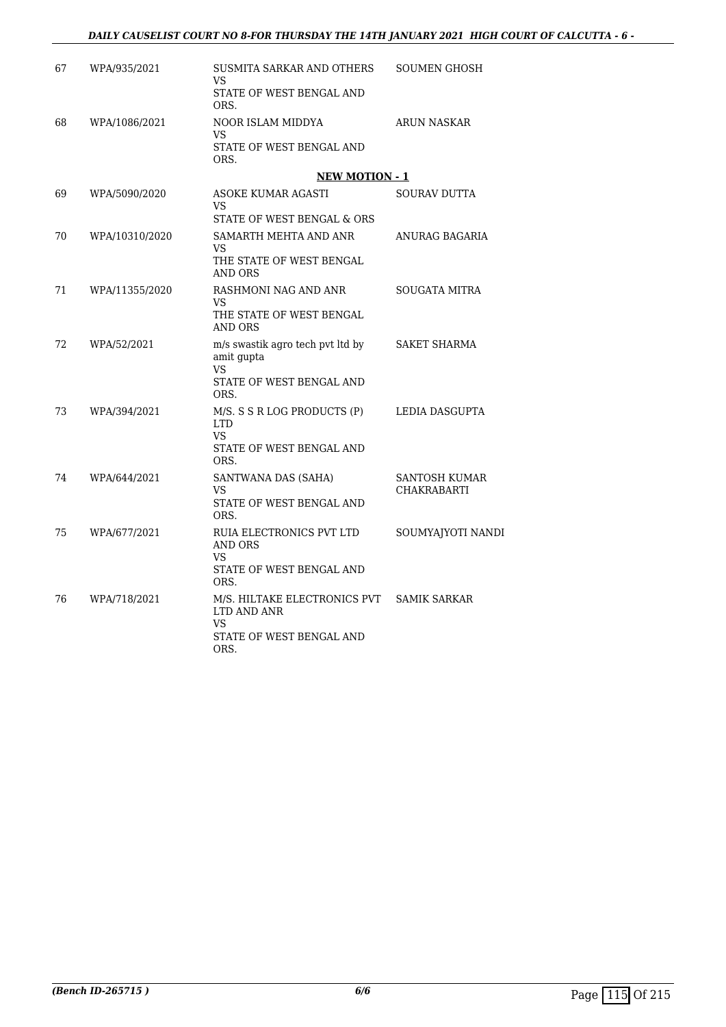| 67 | WPA/935/2021   | SUSMITA SARKAR AND OTHERS<br>VS.<br>STATE OF WEST BENGAL AND<br>ORS.                        | <b>SOUMEN GHOSH</b>                 |
|----|----------------|---------------------------------------------------------------------------------------------|-------------------------------------|
| 68 | WPA/1086/2021  | NOOR ISLAM MIDDYA<br>VS<br>STATE OF WEST BENGAL AND<br>ORS.                                 | <b>ARUN NASKAR</b>                  |
|    |                | <b>NEW MOTION - 1</b>                                                                       |                                     |
| 69 | WPA/5090/2020  | <b>ASOKE KUMAR AGASTI</b><br>VS.<br>STATE OF WEST BENGAL & ORS                              | <b>SOURAV DUTTA</b>                 |
| 70 | WPA/10310/2020 | SAMARTH MEHTA AND ANR<br><b>VS</b><br>THE STATE OF WEST BENGAL<br><b>AND ORS</b>            | ANURAG BAGARIA                      |
| 71 | WPA/11355/2020 | RASHMONI NAG AND ANR<br>VS.<br>THE STATE OF WEST BENGAL<br><b>AND ORS</b>                   | <b>SOUGATA MITRA</b>                |
| 72 | WPA/52/2021    | m/s swastik agro tech pvt ltd by<br>amit gupta<br>VS.<br>STATE OF WEST BENGAL AND<br>ORS.   | <b>SAKET SHARMA</b>                 |
| 73 | WPA/394/2021   | M/S. S S R LOG PRODUCTS (P)<br><b>LTD</b><br>VS<br>STATE OF WEST BENGAL AND<br>ORS.         | LEDIA DASGUPTA                      |
| 74 | WPA/644/2021   | SANTWANA DAS (SAHA)<br>VS<br>STATE OF WEST BENGAL AND<br>ORS.                               | SANTOSH KUMAR<br><b>CHAKRABARTI</b> |
| 75 | WPA/677/2021   | RUIA ELECTRONICS PVT LTD<br><b>AND ORS</b><br><b>VS</b><br>STATE OF WEST BENGAL AND<br>ORS. | SOUMYAJYOTI NANDI                   |
| 76 | WPA/718/2021   | M/S. HILTAKE ELECTRONICS PVT<br>LTD AND ANR<br>VS<br>STATE OF WEST BENGAL AND<br>ORS.       | <b>SAMIK SARKAR</b>                 |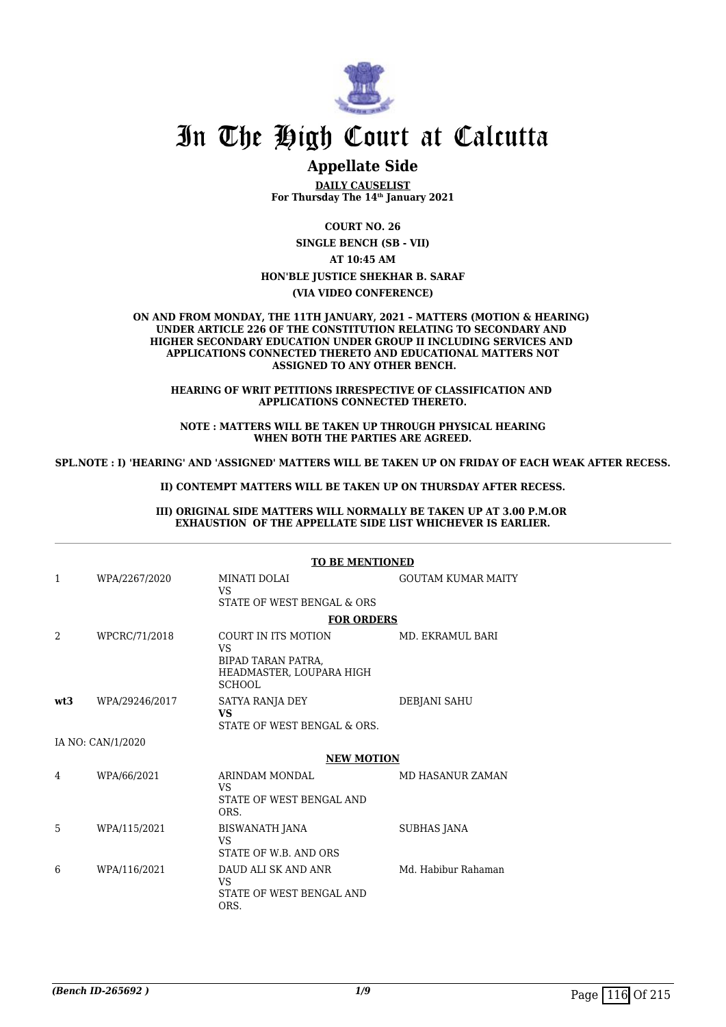

# In The High Court at Calcutta

### **Appellate Side**

**DAILY CAUSELIST For Thursday The 14th January 2021**

**COURT NO. 26 SINGLE BENCH (SB - VII) AT 10:45 AM HON'BLE JUSTICE SHEKHAR B. SARAF (VIA VIDEO CONFERENCE)**

**ON AND FROM MONDAY, THE 11TH JANUARY, 2021 – MATTERS (MOTION & HEARING) UNDER ARTICLE 226 OF THE CONSTITUTION RELATING TO SECONDARY AND HIGHER SECONDARY EDUCATION UNDER GROUP II INCLUDING SERVICES AND APPLICATIONS CONNECTED THERETO AND EDUCATIONAL MATTERS NOT ASSIGNED TO ANY OTHER BENCH.**

**HEARING OF WRIT PETITIONS IRRESPECTIVE OF CLASSIFICATION AND APPLICATIONS CONNECTED THERETO.**

**NOTE : MATTERS WILL BE TAKEN UP THROUGH PHYSICAL HEARING WHEN BOTH THE PARTIES ARE AGREED.**

**SPL.NOTE : I) 'HEARING' AND 'ASSIGNED' MATTERS WILL BE TAKEN UP ON FRIDAY OF EACH WEAK AFTER RECESS.**

**II) CONTEMPT MATTERS WILL BE TAKEN UP ON THURSDAY AFTER RECESS.**

**III) ORIGINAL SIDE MATTERS WILL NORMALLY BE TAKEN UP AT 3.00 P.M.OR EXHAUSTION OF THE APPELLATE SIDE LIST WHICHEVER IS EARLIER.**

|     |                   | <b>TO BE MENTIONED</b>                                               |                           |  |
|-----|-------------------|----------------------------------------------------------------------|---------------------------|--|
| 1   | WPA/2267/2020     | MINATI DOLAI<br><b>VS</b><br>STATE OF WEST BENGAL & ORS              | <b>GOUTAM KUMAR MAITY</b> |  |
|     |                   | <b>FOR ORDERS</b>                                                    |                           |  |
| 2   | WPCRC/71/2018     | COURT IN ITS MOTION<br><b>VS</b><br>BIPAD TARAN PATRA.               | MD. EKRAMUL BARI          |  |
|     |                   | HEADMASTER, LOUPARA HIGH<br><b>SCHOOL</b>                            |                           |  |
| wt3 | WPA/29246/2017    | SATYA RANJA DEY<br><b>VS</b><br>STATE OF WEST BENGAL & ORS.          | DEBJANI SAHU              |  |
|     | IA NO: CAN/1/2020 |                                                                      |                           |  |
|     |                   | <b>NEW MOTION</b>                                                    |                           |  |
| 4   | WPA/66/2021       | ARINDAM MONDAL<br>VS.<br>STATE OF WEST BENGAL AND<br>ORS.            | <b>MD HASANUR ZAMAN</b>   |  |
| 5   | WPA/115/2021      | BISWANATH JANA<br><b>VS</b><br>STATE OF W.B. AND ORS                 | <b>SUBHAS JANA</b>        |  |
| 6   | WPA/116/2021      | DAUD ALI SK AND ANR<br><b>VS</b><br>STATE OF WEST BENGAL AND<br>ORS. | Md. Habibur Rahaman       |  |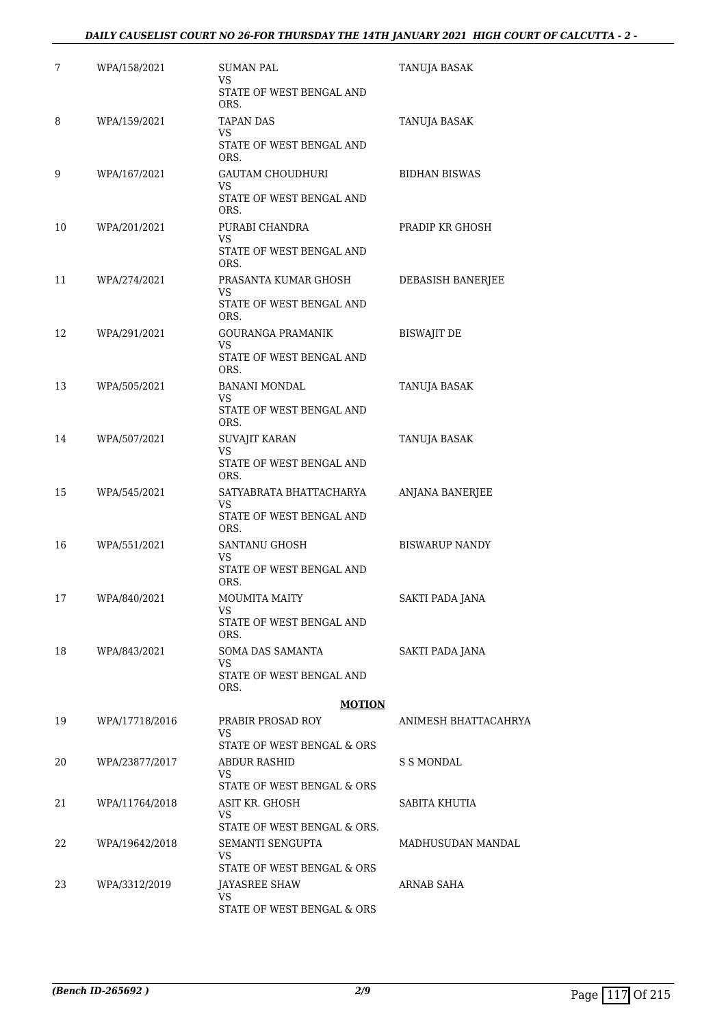#### *DAILY CAUSELIST COURT NO 26-FOR THURSDAY THE 14TH JANUARY 2021 HIGH COURT OF CALCUTTA - 2 -*

| 7  | WPA/158/2021   | SUMAN PAL<br>VS<br>STATE OF WEST BENGAL AND                       | TANUJA BASAK          |
|----|----------------|-------------------------------------------------------------------|-----------------------|
| 8  | WPA/159/2021   | ORS.<br>TAPAN DAS<br>VS<br>STATE OF WEST BENGAL AND               | TANUJA BASAK          |
| 9  | WPA/167/2021   | ORS.<br><b>GAUTAM CHOUDHURI</b><br>VS                             | <b>BIDHAN BISWAS</b>  |
| 10 | WPA/201/2021   | STATE OF WEST BENGAL AND<br>ORS.<br>PURABI CHANDRA<br>VS.         | PRADIP KR GHOSH       |
|    |                | STATE OF WEST BENGAL AND<br>ORS.                                  |                       |
| 11 | WPA/274/2021   | PRASANTA KUMAR GHOSH<br>VS<br>STATE OF WEST BENGAL AND<br>ORS.    | DEBASISH BANERJEE     |
| 12 | WPA/291/2021   | GOURANGA PRAMANIK<br>VS<br>STATE OF WEST BENGAL AND               | <b>BISWAJIT DE</b>    |
| 13 | WPA/505/2021   | ORS.<br><b>BANANI MONDAL</b><br>VS.<br>STATE OF WEST BENGAL AND   | TANUJA BASAK          |
| 14 | WPA/507/2021   | ORS.<br>SUVAJIT KARAN<br>VS                                       | TANUJA BASAK          |
|    |                | STATE OF WEST BENGAL AND<br>ORS.                                  |                       |
| 15 | WPA/545/2021   | SATYABRATA BHATTACHARYA<br>VS<br>STATE OF WEST BENGAL AND<br>ORS. | ANJANA BANERJEE       |
| 16 | WPA/551/2021   | SANTANU GHOSH<br>VS<br>STATE OF WEST BENGAL AND<br>ORS.           | <b>BISWARUP NANDY</b> |
| 17 | WPA/840/2021   | <b>MOUMITA MAITY</b><br>VS<br>STATE OF WEST BENGAL AND<br>ORS.    | SAKTI PADA JANA       |
| 18 | WPA/843/2021   | SOMA DAS SAMANTA<br>VS.<br>STATE OF WEST BENGAL AND<br>ORS.       | SAKTI PADA JANA       |
|    |                | <b>MOTION</b>                                                     |                       |
| 19 | WPA/17718/2016 | PRABIR PROSAD ROY<br>VS<br>STATE OF WEST BENGAL & ORS             | ANIMESH BHATTACAHRYA  |
| 20 | WPA/23877/2017 | <b>ABDUR RASHID</b><br>VS.<br>STATE OF WEST BENGAL & ORS          | S S MONDAL            |
| 21 | WPA/11764/2018 | ASIT KR. GHOSH<br>VS.<br>STATE OF WEST BENGAL & ORS.              | SABITA KHUTIA         |
| 22 | WPA/19642/2018 | SEMANTI SENGUPTA<br>VS.<br>STATE OF WEST BENGAL & ORS             | MADHUSUDAN MANDAL     |
| 23 | WPA/3312/2019  | JAYASREE SHAW<br>VS.<br>STATE OF WEST BENGAL & ORS                | ARNAB SAHA            |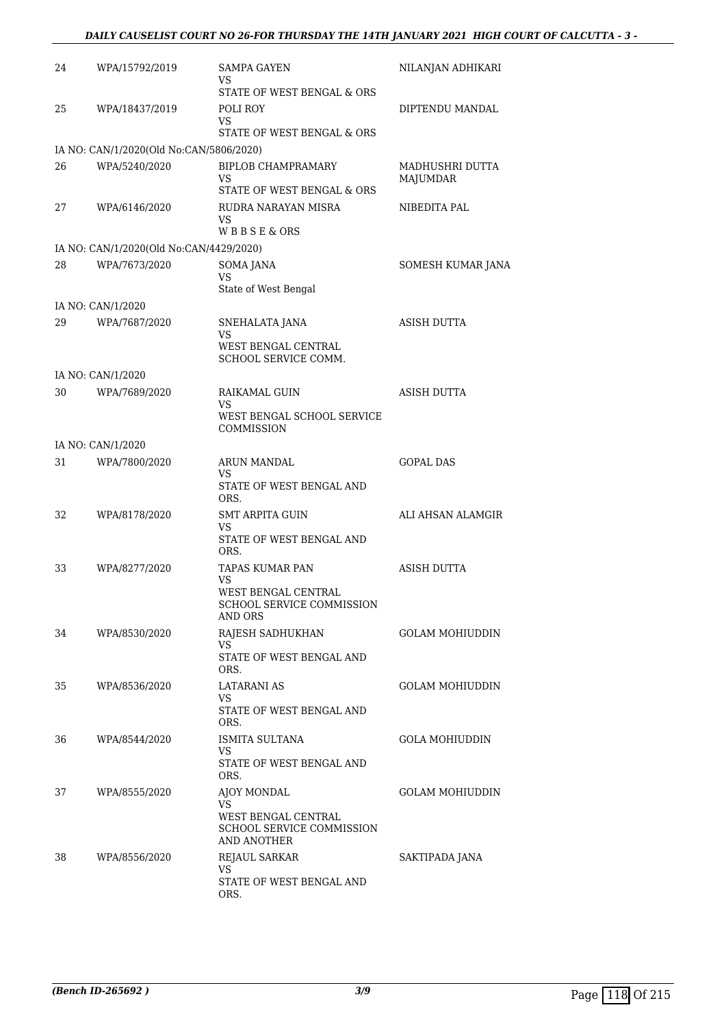#### *DAILY CAUSELIST COURT NO 26-FOR THURSDAY THE 14TH JANUARY 2021 HIGH COURT OF CALCUTTA - 3 -*

| 24 | WPA/15792/2019                          | <b>SAMPA GAYEN</b><br>VS                                        | NILANJAN ADHIKARI           |
|----|-----------------------------------------|-----------------------------------------------------------------|-----------------------------|
|    |                                         | STATE OF WEST BENGAL & ORS                                      |                             |
| 25 | WPA/18437/2019                          | POLI ROY<br>VS                                                  | DIPTENDU MANDAL             |
|    |                                         | STATE OF WEST BENGAL & ORS                                      |                             |
|    | IA NO: CAN/1/2020(Old No:CAN/5806/2020) |                                                                 |                             |
| 26 | WPA/5240/2020                           | <b>BIPLOB CHAMPRAMARY</b><br>VS.                                | MADHUSHRI DUTTA<br>MAJUMDAR |
|    |                                         | STATE OF WEST BENGAL & ORS                                      |                             |
| 27 | WPA/6146/2020                           | RUDRA NARAYAN MISRA<br>VS<br>WBBSE&ORS                          | NIBEDITA PAL                |
|    | IA NO: CAN/1/2020(Old No:CAN/4429/2020) |                                                                 |                             |
| 28 | WPA/7673/2020                           | SOMA JANA                                                       |                             |
|    |                                         | VS                                                              | SOMESH KUMAR JANA           |
|    |                                         | State of West Bengal                                            |                             |
|    | IA NO: CAN/1/2020                       |                                                                 |                             |
| 29 | WPA/7687/2020                           | SNEHALATA JANA<br>VS                                            | ASISH DUTTA                 |
|    |                                         | WEST BENGAL CENTRAL<br>SCHOOL SERVICE COMM.                     |                             |
|    | IA NO: CAN/1/2020                       |                                                                 |                             |
| 30 | WPA/7689/2020                           | RAIKAMAL GUIN<br>VS                                             | <b>ASISH DUTTA</b>          |
|    |                                         | WEST BENGAL SCHOOL SERVICE<br>COMMISSION                        |                             |
|    | IA NO: CAN/1/2020                       |                                                                 |                             |
| 31 | WPA/7800/2020                           | ARUN MANDAL<br>VS.                                              | <b>GOPAL DAS</b>            |
|    |                                         | STATE OF WEST BENGAL AND<br>ORS.                                |                             |
| 32 | WPA/8178/2020                           | SMT ARPITA GUIN<br>VS.                                          | ALI AHSAN ALAMGIR           |
|    |                                         | STATE OF WEST BENGAL AND<br>ORS.                                |                             |
| 33 | WPA/8277/2020                           | TAPAS KUMAR PAN<br>VS                                           | ASISH DUTTA                 |
|    |                                         | WEST BENGAL CENTRAL<br>SCHOOL SERVICE COMMISSION<br>AND ORS     |                             |
| 34 | WPA/8530/2020                           | RAJESH SADHUKHAN<br>VS                                          | <b>GOLAM MOHIUDDIN</b>      |
|    |                                         | STATE OF WEST BENGAL AND<br>ORS.                                |                             |
| 35 | WPA/8536/2020                           | LATARANI AS<br>VS.                                              | GOLAM MOHIUDDIN             |
|    |                                         | STATE OF WEST BENGAL AND<br>ORS.                                |                             |
| 36 | WPA/8544/2020                           | ISMITA SULTANA<br>VS                                            | <b>GOLA MOHIUDDIN</b>       |
|    |                                         | STATE OF WEST BENGAL AND<br>ORS.                                |                             |
| 37 | WPA/8555/2020                           | AJOY MONDAL<br>VS                                               | GOLAM MOHIUDDIN             |
|    |                                         | WEST BENGAL CENTRAL<br>SCHOOL SERVICE COMMISSION<br>AND ANOTHER |                             |
| 38 | WPA/8556/2020                           | <b>REJAUL SARKAR</b>                                            | SAKTIPADA JANA              |
|    |                                         | VS.<br>STATE OF WEST BENGAL AND<br>ORS.                         |                             |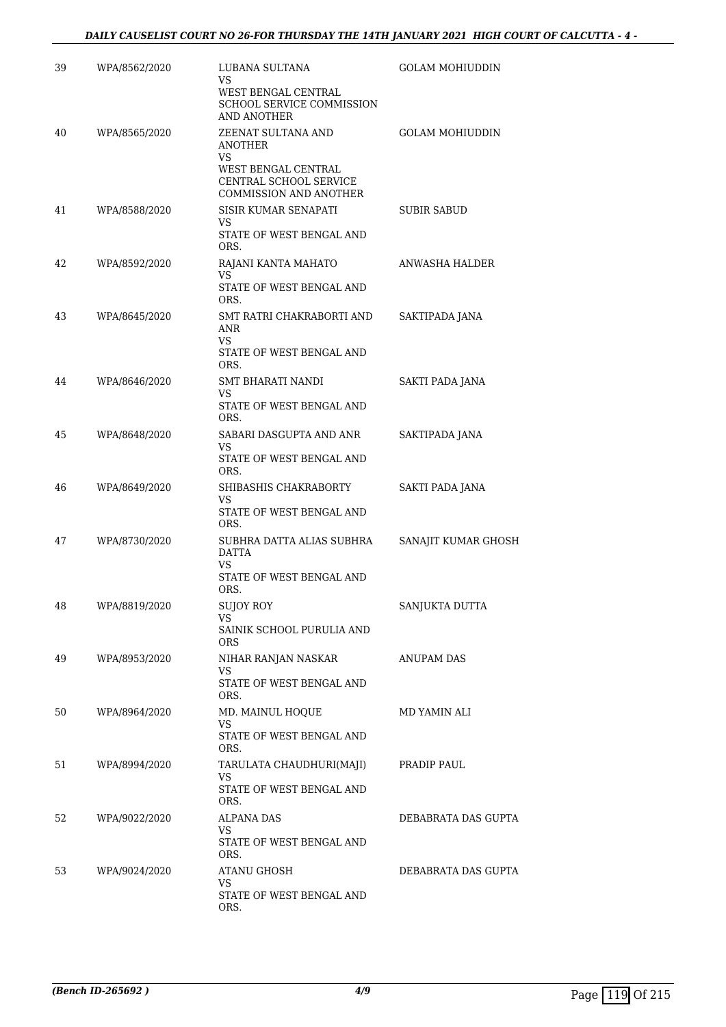| 39 | WPA/8562/2020 | LUBANA SULTANA<br>VS                                                                        | <b>GOLAM MOHIUDDIN</b> |
|----|---------------|---------------------------------------------------------------------------------------------|------------------------|
|    |               | WEST BENGAL CENTRAL<br><b>SCHOOL SERVICE COMMISSION</b><br>AND ANOTHER                      |                        |
| 40 | WPA/8565/2020 | ZEENAT SULTANA AND<br><b>ANOTHER</b><br>VS                                                  | <b>GOLAM MOHIUDDIN</b> |
|    |               | WEST BENGAL CENTRAL<br>CENTRAL SCHOOL SERVICE<br>COMMISSION AND ANOTHER                     |                        |
| 41 | WPA/8588/2020 | SISIR KUMAR SENAPATI<br>VS<br>STATE OF WEST BENGAL AND<br>ORS.                              | SUBIR SABUD            |
| 42 | WPA/8592/2020 | RAJANI KANTA MAHATO<br>VS<br>STATE OF WEST BENGAL AND<br>ORS.                               | ANWASHA HALDER         |
| 43 | WPA/8645/2020 | SMT RATRI CHAKRABORTI AND<br>ANR<br>VS                                                      | SAKTIPADA JANA         |
|    |               | STATE OF WEST BENGAL AND<br>ORS.                                                            |                        |
| 44 | WPA/8646/2020 | SMT BHARATI NANDI<br>VS                                                                     | SAKTI PADA JANA        |
|    |               | STATE OF WEST BENGAL AND<br>ORS.                                                            |                        |
| 45 | WPA/8648/2020 | SABARI DASGUPTA AND ANR<br>VS                                                               | SAKTIPADA JANA         |
|    |               | STATE OF WEST BENGAL AND<br>ORS.                                                            |                        |
| 46 | WPA/8649/2020 | SHIBASHIS CHAKRABORTY<br>VS<br>STATE OF WEST BENGAL AND                                     | SAKTI PADA JANA        |
| 47 | WPA/8730/2020 | ORS.<br>SUBHRA DATTA ALIAS SUBHRA<br><b>DATTA</b><br>VS<br>STATE OF WEST BENGAL AND<br>ORS. | SANAJIT KUMAR GHOSH    |
| 48 | WPA/8819/2020 | SUJOY ROY<br>VS                                                                             | SANJUKTA DUTTA         |
|    |               | SAINIK SCHOOL PURULIA AND<br>ORS.                                                           |                        |
| 49 | WPA/8953/2020 | NIHAR RANJAN NASKAR<br>VS<br>STATE OF WEST BENGAL AND                                       | ANUPAM DAS             |
|    |               | ORS.                                                                                        |                        |
| 50 | WPA/8964/2020 | MD. MAINUL HOOUE<br>VS.<br>STATE OF WEST BENGAL AND<br>ORS.                                 | MD YAMIN ALI           |
| 51 | WPA/8994/2020 | TARULATA CHAUDHURI(MAJI)<br>VS<br>STATE OF WEST BENGAL AND<br>ORS.                          | PRADIP PAUL            |
| 52 | WPA/9022/2020 | ALPANA DAS<br>VS<br>STATE OF WEST BENGAL AND<br>ORS.                                        | DEBABRATA DAS GUPTA    |
| 53 | WPA/9024/2020 | ATANU GHOSH<br>VS<br>STATE OF WEST BENGAL AND<br>ORS.                                       | DEBABRATA DAS GUPTA    |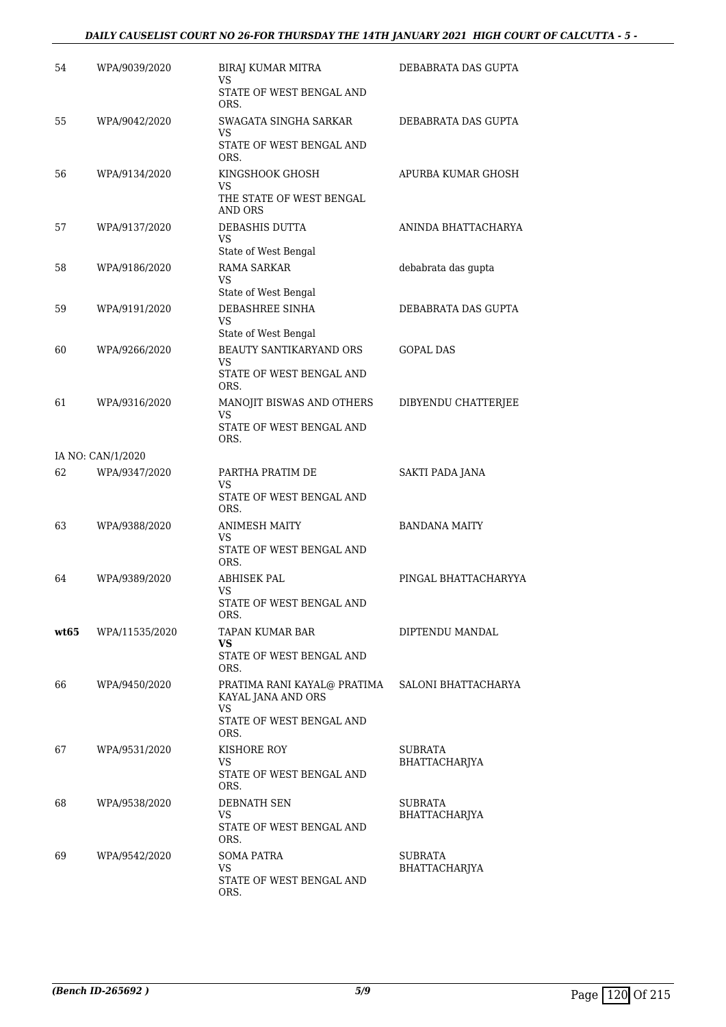#### *DAILY CAUSELIST COURT NO 26-FOR THURSDAY THE 14TH JANUARY 2021 HIGH COURT OF CALCUTTA - 5 -*

| 54   | WPA/9039/2020     | BIRAJ KUMAR MITRA<br>VS                                   | DEBABRATA DAS GUPTA  |
|------|-------------------|-----------------------------------------------------------|----------------------|
|      |                   | STATE OF WEST BENGAL AND<br>ORS.                          |                      |
| 55   | WPA/9042/2020     | SWAGATA SINGHA SARKAR<br>VS                               | DEBABRATA DAS GUPTA  |
|      |                   | STATE OF WEST BENGAL AND<br>ORS.                          |                      |
| 56   | WPA/9134/2020     | KINGSHOOK GHOSH<br>VS                                     | APURBA KUMAR GHOSH   |
|      |                   | THE STATE OF WEST BENGAL<br><b>AND ORS</b>                |                      |
| 57   | WPA/9137/2020     | DEBASHIS DUTTA<br>VS                                      | ANINDA BHATTACHARYA  |
|      |                   | State of West Bengal                                      |                      |
| 58   | WPA/9186/2020     | <b>RAMA SARKAR</b><br>VS                                  | debabrata das gupta  |
|      |                   | State of West Bengal                                      |                      |
| 59   | WPA/9191/2020     | DEBASHREE SINHA<br>VS                                     | DEBABRATA DAS GUPTA  |
|      |                   | State of West Bengal                                      |                      |
| 60   | WPA/9266/2020     | BEAUTY SANTIKARYAND ORS<br>VS<br>STATE OF WEST BENGAL AND | <b>GOPAL DAS</b>     |
|      |                   | ORS.                                                      |                      |
| 61   | WPA/9316/2020     | MANOJIT BISWAS AND OTHERS<br>VS                           | DIBYENDU CHATTERJEE  |
|      |                   | STATE OF WEST BENGAL AND<br>ORS.                          |                      |
|      | IA NO: CAN/1/2020 |                                                           |                      |
| 62   | WPA/9347/2020     | PARTHA PRATIM DE<br>VS                                    | SAKTI PADA JANA      |
|      |                   | STATE OF WEST BENGAL AND<br>ORS.                          |                      |
| 63   | WPA/9388/2020     | <b>ANIMESH MAITY</b><br>VS                                | <b>BANDANA MAITY</b> |
|      |                   | STATE OF WEST BENGAL AND<br>ORS.                          |                      |
| 64   | WPA/9389/2020     | ABHISEK PAL<br>VS                                         | PINGAL BHATTACHARYYA |
|      |                   | STATE OF WEST BENGAL AND<br>ORS.                          |                      |
| wt65 | WPA/11535/2020    | TAPAN KUMAR BAR<br>VS                                     | DIPTENDU MANDAL      |
|      |                   | STATE OF WEST BENGAL AND<br>ORS.                          |                      |
| 66   | WPA/9450/2020     | PRATIMA RANI KAYAL@ PRATIMA<br>KAYAL JANA AND ORS         | SALONI BHATTACHARYA  |
|      |                   | VS<br>STATE OF WEST BENGAL AND<br>ORS.                    |                      |
| 67   | WPA/9531/2020     | KISHORE ROY                                               | <b>SUBRATA</b>       |
|      |                   | VS<br>STATE OF WEST BENGAL AND<br>ORS.                    | <b>BHATTACHARJYA</b> |
| 68   | WPA/9538/2020     | DEBNATH SEN                                               | SUBRATA              |
|      |                   | VS<br>STATE OF WEST BENGAL AND                            | BHATTACHARJYA        |
| 69   | WPA/9542/2020     | ORS.<br>SOMA PATRA                                        | SUBRATA              |
|      |                   | VS                                                        | <b>BHATTACHARJYA</b> |
|      |                   | STATE OF WEST BENGAL AND<br>ORS.                          |                      |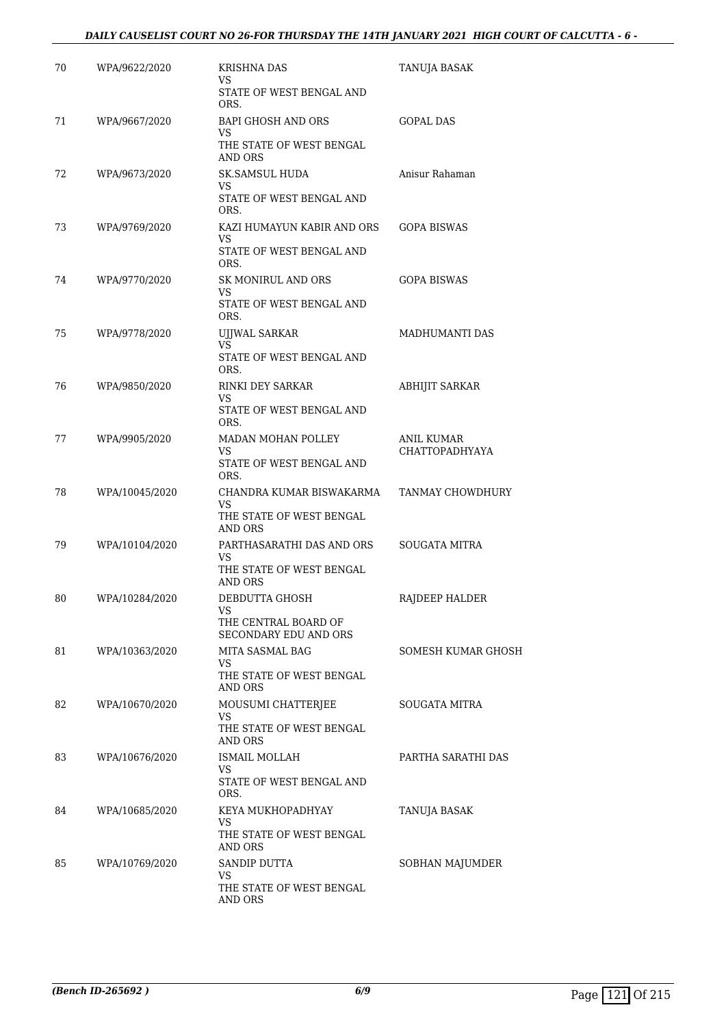#### *DAILY CAUSELIST COURT NO 26-FOR THURSDAY THE 14TH JANUARY 2021 HIGH COURT OF CALCUTTA - 6 -*

| 70 | WPA/9622/2020  | KRISHNA DAS<br>VS.<br>STATE OF WEST BENGAL AND<br>ORS.                       | TANUJA BASAK                               |
|----|----------------|------------------------------------------------------------------------------|--------------------------------------------|
| 71 | WPA/9667/2020  | <b>BAPI GHOSH AND ORS</b><br>VS<br>THE STATE OF WEST BENGAL<br>AND ORS       | <b>GOPAL DAS</b>                           |
| 72 | WPA/9673/2020  | <b>SK.SAMSUL HUDA</b><br>VS.<br>STATE OF WEST BENGAL AND<br>ORS.             | Anisur Rahaman                             |
| 73 | WPA/9769/2020  | KAZI HUMAYUN KABIR AND ORS<br>VS.<br>STATE OF WEST BENGAL AND<br>ORS.        | <b>GOPA BISWAS</b>                         |
| 74 | WPA/9770/2020  | SK MONIRUL AND ORS<br>VS<br>STATE OF WEST BENGAL AND<br>ORS.                 | <b>GOPA BISWAS</b>                         |
| 75 | WPA/9778/2020  | UJJWAL SARKAR<br>VS<br>STATE OF WEST BENGAL AND<br>ORS.                      | MADHUMANTI DAS                             |
| 76 | WPA/9850/2020  | RINKI DEY SARKAR<br>VS<br>STATE OF WEST BENGAL AND<br>ORS.                   | <b>ABHIJIT SARKAR</b>                      |
| 77 | WPA/9905/2020  | MADAN MOHAN POLLEY<br>VS.<br>STATE OF WEST BENGAL AND<br>ORS.                | <b>ANIL KUMAR</b><br><b>CHATTOPADHYAYA</b> |
| 78 | WPA/10045/2020 | CHANDRA KUMAR BISWAKARMA<br>VS<br>THE STATE OF WEST BENGAL<br>AND ORS        | TANMAY CHOWDHURY                           |
| 79 | WPA/10104/2020 | PARTHASARATHI DAS AND ORS<br>VS.<br>THE STATE OF WEST BENGAL<br>AND ORS      | <b>SOUGATA MITRA</b>                       |
| 80 | WPA/10284/2020 | DEBDUTTA GHOSH<br><b>VS</b><br>THE CENTRAL BOARD OF<br>SECONDARY EDU AND ORS | RAJDEEP HALDER                             |
| 81 | WPA/10363/2020 | MITA SASMAL BAG<br>VS<br>THE STATE OF WEST BENGAL<br>AND ORS                 | SOMESH KUMAR GHOSH                         |
| 82 | WPA/10670/2020 | MOUSUMI CHATTERJEE<br>VS<br>THE STATE OF WEST BENGAL<br>AND ORS              | <b>SOUGATA MITRA</b>                       |
| 83 | WPA/10676/2020 | ISMAIL MOLLAH<br>VS.<br>STATE OF WEST BENGAL AND<br>ORS.                     | PARTHA SARATHI DAS                         |
| 84 | WPA/10685/2020 | KEYA MUKHOPADHYAY<br>VS<br>THE STATE OF WEST BENGAL<br>AND ORS               | TANUJA BASAK                               |
| 85 | WPA/10769/2020 | SANDIP DUTTA<br>VS.<br>THE STATE OF WEST BENGAL<br>AND ORS                   | SOBHAN MAJUMDER                            |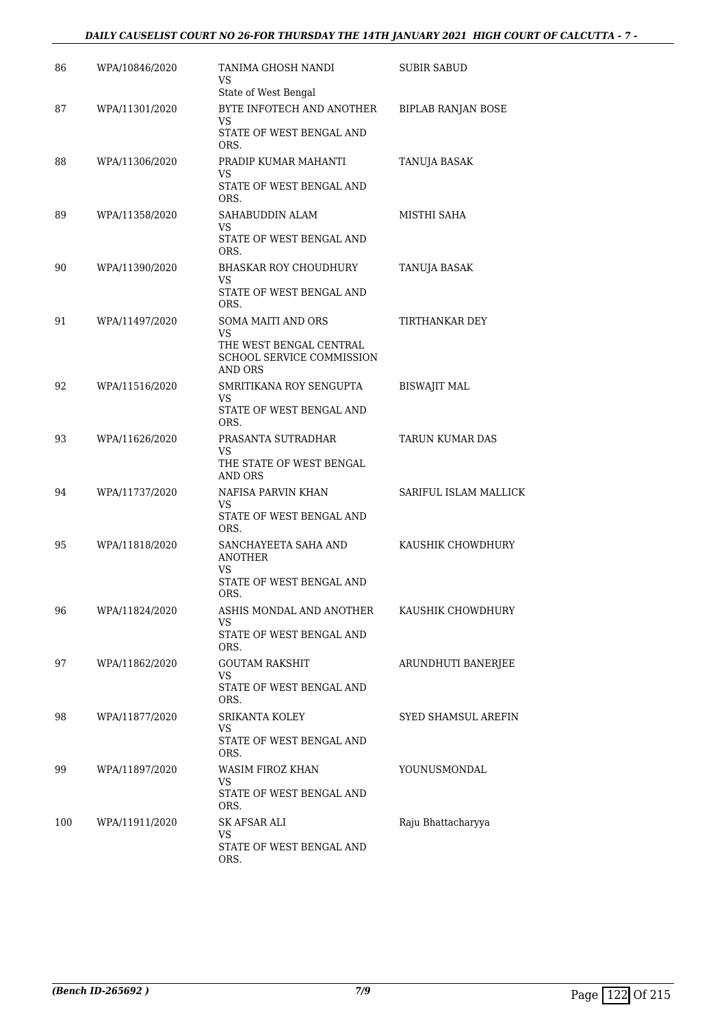#### *DAILY CAUSELIST COURT NO 26-FOR THURSDAY THE 14TH JANUARY 2021 HIGH COURT OF CALCUTTA - 7 -*

| 86  | WPA/10846/2020 | TANIMA GHOSH NANDI<br>VS<br>State of West Bengal                                                   | SUBIR SABUD               |
|-----|----------------|----------------------------------------------------------------------------------------------------|---------------------------|
| 87  | WPA/11301/2020 | BYTE INFOTECH AND ANOTHER<br>VS<br>STATE OF WEST BENGAL AND<br>ORS.                                | <b>BIPLAB RANJAN BOSE</b> |
| 88  | WPA/11306/2020 | PRADIP KUMAR MAHANTI<br>VS<br>STATE OF WEST BENGAL AND<br>ORS.                                     | TANUJA BASAK              |
| 89  | WPA/11358/2020 | SAHABUDDIN ALAM<br>VS<br>STATE OF WEST BENGAL AND<br>ORS.                                          | MISTHI SAHA               |
| 90  | WPA/11390/2020 | <b>BHASKAR ROY CHOUDHURY</b><br>VS<br>STATE OF WEST BENGAL AND<br>ORS.                             | TANUJA BASAK              |
| 91  | WPA/11497/2020 | <b>SOMA MAITI AND ORS</b><br>VS<br>THE WEST BENGAL CENTRAL<br>SCHOOL SERVICE COMMISSION<br>AND ORS | TIRTHANKAR DEY            |
| 92  | WPA/11516/2020 | SMRITIKANA ROY SENGUPTA<br>VS<br>STATE OF WEST BENGAL AND<br>ORS.                                  | <b>BISWAJIT MAL</b>       |
| 93  | WPA/11626/2020 | PRASANTA SUTRADHAR<br>VS<br>THE STATE OF WEST BENGAL<br>AND ORS                                    | <b>TARUN KUMAR DAS</b>    |
| 94  | WPA/11737/2020 | NAFISA PARVIN KHAN<br>VS.<br>STATE OF WEST BENGAL AND<br>ORS.                                      | SARIFUL ISLAM MALLICK     |
| 95  | WPA/11818/2020 | SANCHAYEETA SAHA AND<br><b>ANOTHER</b><br>VS<br>STATE OF WEST BENGAL AND<br>ORS.                   | KAUSHIK CHOWDHURY         |
| 96  | WPA/11824/2020 | ASHIS MONDAL AND ANOTHER<br>VS.<br>STATE OF WEST BENGAL AND<br>ORS.                                | KAUSHIK CHOWDHURY         |
| 97  | WPA/11862/2020 | <b>GOUTAM RAKSHIT</b><br>VS<br>STATE OF WEST BENGAL AND<br>ORS.                                    | ARUNDHUTI BANERJEE        |
| 98  | WPA/11877/2020 | SRIKANTA KOLEY<br>VS<br>STATE OF WEST BENGAL AND<br>ORS.                                           | SYED SHAMSUL AREFIN       |
| 99  | WPA/11897/2020 | <b>WASIM FIROZ KHAN</b><br>VS<br>STATE OF WEST BENGAL AND<br>ORS.                                  | YOUNUSMONDAL              |
| 100 | WPA/11911/2020 | SK AFSAR ALI<br>VS<br>STATE OF WEST BENGAL AND<br>ORS.                                             | Raju Bhattacharyya        |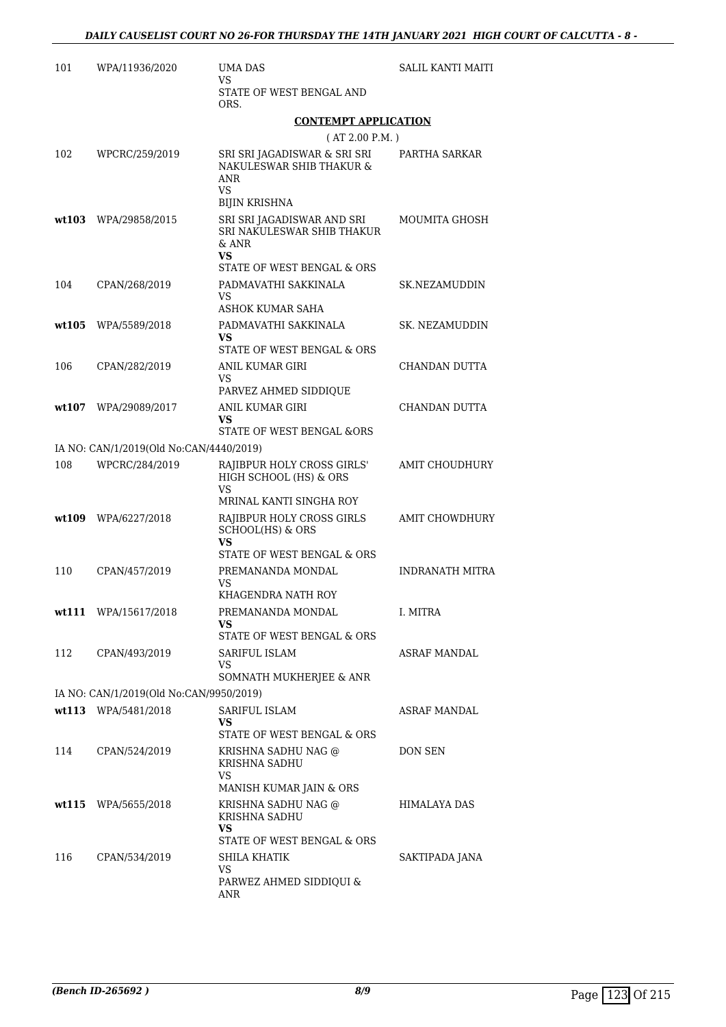| 101    | WPA/11936/2020                          | UMA DAS<br><b>SALIL KANTI MAITI</b><br>VS                                              |                       |
|--------|-----------------------------------------|----------------------------------------------------------------------------------------|-----------------------|
|        |                                         | STATE OF WEST BENGAL AND<br>ORS.                                                       |                       |
|        |                                         | <b>CONTEMPT APPLICATION</b>                                                            |                       |
|        |                                         | (AT 2.00 P.M.)                                                                         |                       |
| 102    | WPCRC/259/2019                          | SRI SRI JAGADISWAR & SRI SRI<br>NAKULESWAR SHIB THAKUR &<br>ANR<br>VS<br>BIJIN KRISHNA | PARTHA SARKAR         |
|        | wt103 WPA/29858/2015                    | SRI SRI JAGADISWAR AND SRI<br>SRI NAKULESWAR SHIB THAKUR<br>& ANR<br><b>VS</b>         | MOUMITA GHOSH         |
|        |                                         | STATE OF WEST BENGAL & ORS                                                             |                       |
| 104    | CPAN/268/2019                           | PADMAVATHI SAKKINALA<br>VS<br>ASHOK KUMAR SAHA                                         | SK.NEZAMUDDIN         |
| wt105  | WPA/5589/2018                           | PADMAVATHI SAKKINALA                                                                   | SK. NEZAMUDDIN        |
|        |                                         | VS.                                                                                    |                       |
|        |                                         | STATE OF WEST BENGAL & ORS                                                             |                       |
| 106    | CPAN/282/2019                           | ANIL KUMAR GIRI<br>VS<br>PARVEZ AHMED SIDDIQUE                                         | CHANDAN DUTTA         |
| wt.107 | WPA/29089/2017                          | ANIL KUMAR GIRI                                                                        | CHANDAN DUTTA         |
|        |                                         | VS<br>STATE OF WEST BENGAL &ORS                                                        |                       |
|        | IA NO: CAN/1/2019(Old No:CAN/4440/2019) |                                                                                        |                       |
| 108    | WPCRC/284/2019                          | RAJIBPUR HOLY CROSS GIRLS'<br>HIGH SCHOOL (HS) & ORS<br>VS<br>MRINAL KANTI SINGHA ROY  | AMIT CHOUDHURY        |
| wt109  | WPA/6227/2018                           | RAJIBPUR HOLY CROSS GIRLS<br><b>SCHOOL(HS) &amp; ORS</b><br>VS                         | <b>AMIT CHOWDHURY</b> |
| 110    | CPAN/457/2019                           | STATE OF WEST BENGAL & ORS<br>PREMANANDA MONDAL<br>VS                                  | INDRANATH MITRA       |
|        |                                         | KHAGENDRA NATH ROY                                                                     |                       |
|        | wt111 WPA/15617/2018                    | PREMANANDA MONDAL<br>VS<br>STATE OF WEST BENGAL & ORS                                  | I. MITRA              |
| 112    | CPAN/493/2019                           | SARIFUL ISLAM<br>VS<br>SOMNATH MUKHERJEE & ANR                                         | <b>ASRAF MANDAL</b>   |
|        | IA NO: CAN/1/2019(Old No:CAN/9950/2019) |                                                                                        |                       |
|        | wt113 WPA/5481/2018                     | SARIFUL ISLAM                                                                          | ASRAF MANDAL          |
|        |                                         | VS                                                                                     |                       |
| 114    | CPAN/524/2019                           | STATE OF WEST BENGAL & ORS<br>KRISHNA SADHU NAG @<br>KRISHNA SADHU                     | DON SEN               |
|        |                                         | VS.<br>MANISH KUMAR JAIN & ORS                                                         |                       |
|        | $wt115$ WPA/5655/2018                   | KRISHNA SADHU NAG @<br>KRISHNA SADHU                                                   | HIMALAYA DAS          |
|        |                                         | VS<br>STATE OF WEST BENGAL & ORS                                                       |                       |
| 116    | CPAN/534/2019                           | SHILA KHATIK                                                                           | SAKTIPADA JANA        |
|        |                                         | VS.<br>PARWEZ AHMED SIDDIQUI &<br>ANR                                                  |                       |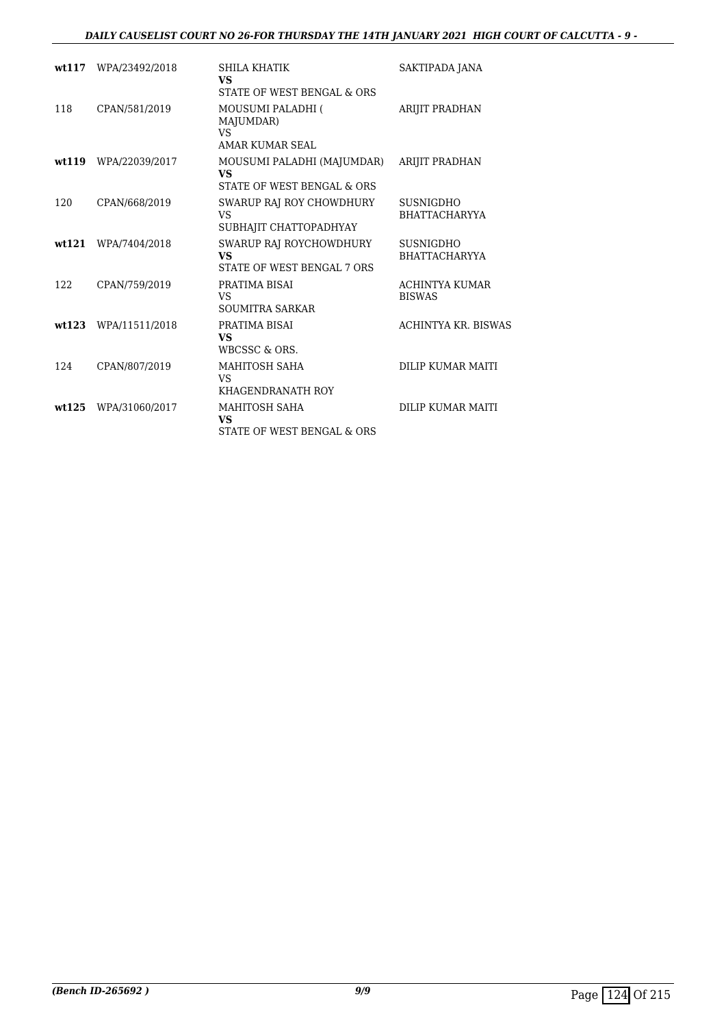#### *DAILY CAUSELIST COURT NO 26-FOR THURSDAY THE 14TH JANUARY 2021 HIGH COURT OF CALCUTTA - 9 -*

| wt117 | WPA/23492/2018 | SHILA KHATIK<br><b>VS</b><br>STATE OF WEST BENGAL & ORS               | SAKTIPADA JANA                           |
|-------|----------------|-----------------------------------------------------------------------|------------------------------------------|
| 118   | CPAN/581/2019  | <b>MOUSUMI PALADHI (</b><br>MAJUMDAR)<br>VS<br>AMAR KUMAR SEAL        | <b>ARIJIT PRADHAN</b>                    |
| wt119 | WPA/22039/2017 | MOUSUMI PALADHI (MAJUMDAR)<br><b>VS</b><br>STATE OF WEST BENGAL & ORS | <b>ARIJIT PRADHAN</b>                    |
| 120   | CPAN/668/2019  | SWARUP RAJ ROY CHOWDHURY<br><b>VS</b><br>SUBHAJIT CHATTOPADHYAY       | SUSNIGDHO<br><b>BHATTACHARYYA</b>        |
| wt121 | WPA/7404/2018  | SWARUP RAJ ROYCHOWDHURY<br><b>VS</b><br>STATE OF WEST BENGAL 7 ORS    | <b>SUSNIGDHO</b><br><b>BHATTACHARYYA</b> |
| 122   | CPAN/759/2019  | PRATIMA BISAI<br><b>VS</b><br><b>SOUMITRA SARKAR</b>                  | <b>ACHINTYA KUMAR</b><br><b>BISWAS</b>   |
| wt123 | WPA/11511/2018 | PRATIMA BISAI<br><b>VS</b><br>WBCSSC & ORS.                           | ACHINTYA KR. BISWAS                      |
| 124   | CPAN/807/2019  | MAHITOSH SAHA<br><b>VS</b><br>KHAGENDRANATH ROY                       | DILIP KUMAR MAITI                        |
| wt125 | WPA/31060/2017 | MAHITOSH SAHA<br><b>VS</b><br>STATE OF WEST BENGAL & ORS              | DILIP KUMAR MAITI                        |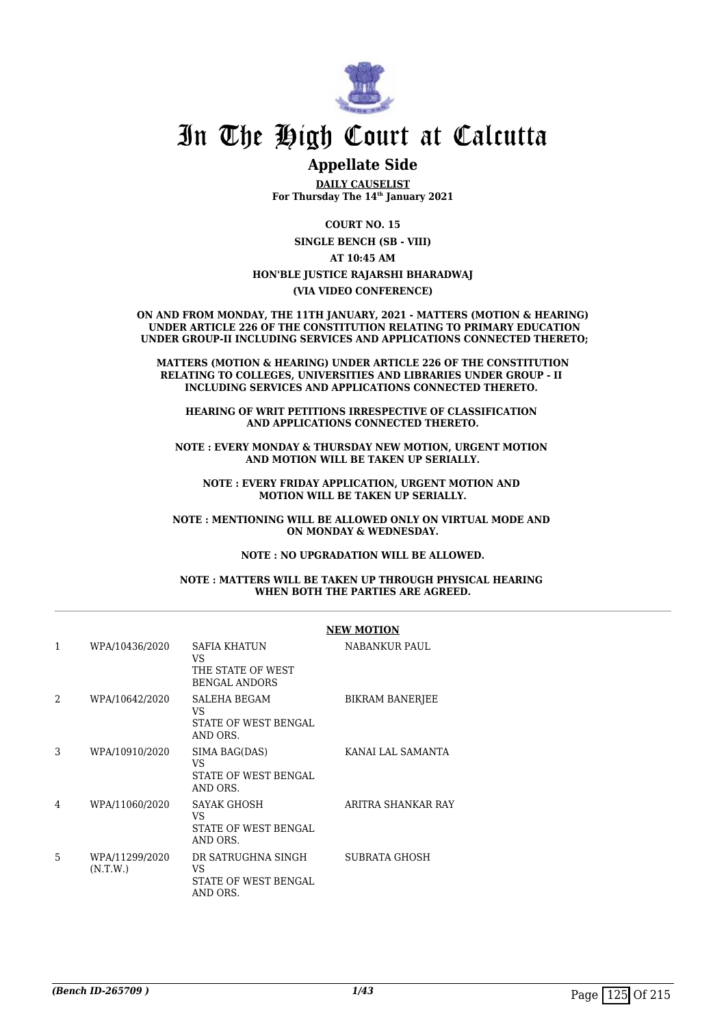

## In The High Court at Calcutta

### **Appellate Side**

**DAILY CAUSELIST For Thursday The 14th January 2021**

**COURT NO. 15**

**SINGLE BENCH (SB - VIII)**

**AT 10:45 AM HON'BLE JUSTICE RAJARSHI BHARADWAJ**

**(VIA VIDEO CONFERENCE)**

**ON AND FROM MONDAY, THE 11TH JANUARY, 2021 - MATTERS (MOTION & HEARING) UNDER ARTICLE 226 OF THE CONSTITUTION RELATING TO PRIMARY EDUCATION UNDER GROUP-II INCLUDING SERVICES AND APPLICATIONS CONNECTED THERETO;**

**MATTERS (MOTION & HEARING) UNDER ARTICLE 226 OF THE CONSTITUTION RELATING TO COLLEGES, UNIVERSITIES AND LIBRARIES UNDER GROUP - II INCLUDING SERVICES AND APPLICATIONS CONNECTED THERETO.** 

**HEARING OF WRIT PETITIONS IRRESPECTIVE OF CLASSIFICATION AND APPLICATIONS CONNECTED THERETO.**

**NOTE : EVERY MONDAY & THURSDAY NEW MOTION, URGENT MOTION AND MOTION WILL BE TAKEN UP SERIALLY.**

**NOTE : EVERY FRIDAY APPLICATION, URGENT MOTION AND MOTION WILL BE TAKEN UP SERIALLY.**

**NOTE : MENTIONING WILL BE ALLOWED ONLY ON VIRTUAL MODE AND ON MONDAY & WEDNESDAY.**

**NOTE : NO UPGRADATION WILL BE ALLOWED.**

**NOTE : MATTERS WILL BE TAKEN UP THROUGH PHYSICAL HEARING WHEN BOTH THE PARTIES ARE AGREED.**

|                |                            |                                                                         | <b>NEW MOTION</b>      |
|----------------|----------------------------|-------------------------------------------------------------------------|------------------------|
| 1              | WPA/10436/2020             | <b>SAFIA KHATUN</b><br>VS.<br>THE STATE OF WEST<br><b>BENGAL ANDORS</b> | <b>NABANKUR PAUL</b>   |
| $\mathfrak{D}$ | WPA/10642/2020             | SALEHA BEGAM<br>VS<br>STATE OF WEST BENGAL<br>AND ORS.                  | <b>BIKRAM BANERJEE</b> |
| 3              | WPA/10910/2020             | SIMA BAG(DAS)<br>VS<br>STATE OF WEST BENGAL<br>AND ORS.                 | KANAI LAL SAMANTA      |
| 4              | WPA/11060/2020             | SAYAK GHOSH<br>VS<br>STATE OF WEST BENGAL<br>AND ORS.                   | ARITRA SHANKAR RAY     |
| 5              | WPA/11299/2020<br>(N.T.W.) | DR SATRUGHNA SINGH<br>VS<br>STATE OF WEST BENGAL<br>AND ORS.            | SUBRATA GHOSH          |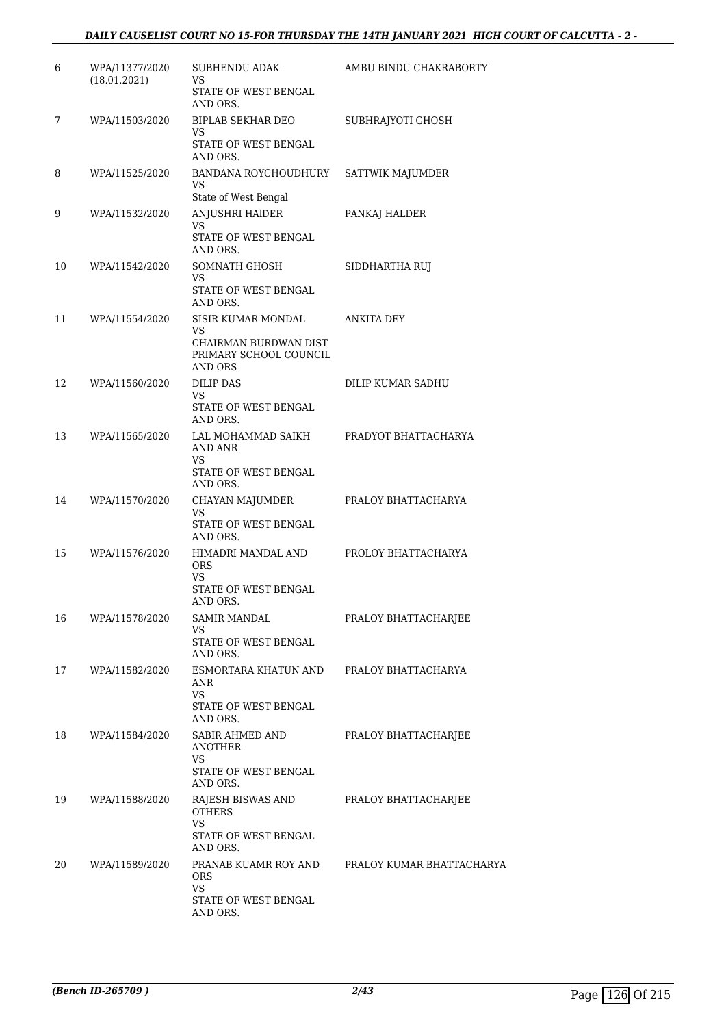#### *DAILY CAUSELIST COURT NO 15-FOR THURSDAY THE 14TH JANUARY 2021 HIGH COURT OF CALCUTTA - 2 -*

| 6  | WPA/11377/2020<br>(18.01.2021) | <b>SUBHENDU ADAK</b><br>VS<br>STATE OF WEST BENGAL<br>AND ORS.                         | AMBU BINDU CHAKRABORTY    |
|----|--------------------------------|----------------------------------------------------------------------------------------|---------------------------|
| 7  | WPA/11503/2020                 | <b>BIPLAB SEKHAR DEO</b><br>VS.<br>STATE OF WEST BENGAL<br>AND ORS.                    | SUBHRAJYOTI GHOSH         |
| 8  | WPA/11525/2020                 | BANDANA ROYCHOUDHURY<br>VS<br>State of West Bengal                                     | SATTWIK MAJUMDER          |
| 9  | WPA/11532/2020                 | ANJUSHRI HAIDER<br>VS<br>STATE OF WEST BENGAL<br>AND ORS.                              | PANKAJ HALDER             |
| 10 | WPA/11542/2020                 | SOMNATH GHOSH<br>VS<br>STATE OF WEST BENGAL<br>AND ORS.                                | SIDDHARTHA RUJ            |
| 11 | WPA/11554/2020                 | SISIR KUMAR MONDAL<br>VS<br>CHAIRMAN BURDWAN DIST<br>PRIMARY SCHOOL COUNCIL<br>AND ORS | <b>ANKITA DEY</b>         |
| 12 | WPA/11560/2020                 | <b>DILIP DAS</b><br>VS<br>STATE OF WEST BENGAL<br>AND ORS.                             | DILIP KUMAR SADHU         |
| 13 | WPA/11565/2020                 | LAL MOHAMMAD SAIKH<br><b>AND ANR</b><br>VS<br>STATE OF WEST BENGAL<br>AND ORS.         | PRADYOT BHATTACHARYA      |
| 14 | WPA/11570/2020                 | CHAYAN MAJUMDER<br>VS<br>STATE OF WEST BENGAL<br>AND ORS.                              | PRALOY BHATTACHARYA       |
| 15 | WPA/11576/2020                 | HIMADRI MANDAL AND<br><b>ORS</b><br>VS.<br>STATE OF WEST BENGAL<br>AND ORS.            | PROLOY BHATTACHARYA       |
| 16 | WPA/11578/2020                 | <b>SAMIR MANDAL</b><br>VS<br>STATE OF WEST BENGAL<br>AND ORS.                          | PRALOY BHATTACHARJEE      |
| 17 | WPA/11582/2020                 | ESMORTARA KHATUN AND<br>ANR<br>VS<br>STATE OF WEST BENGAL<br>AND ORS.                  | PRALOY BHATTACHARYA       |
| 18 | WPA/11584/2020                 | SABIR AHMED AND<br><b>ANOTHER</b><br>VS<br>STATE OF WEST BENGAL<br>AND ORS.            | PRALOY BHATTACHARJEE      |
| 19 | WPA/11588/2020                 | RAJESH BISWAS AND<br><b>OTHERS</b><br>VS<br>STATE OF WEST BENGAL<br>AND ORS.           | PRALOY BHATTACHARJEE      |
| 20 | WPA/11589/2020                 | PRANAB KUAMR ROY AND<br>ORS<br>VS<br>STATE OF WEST BENGAL<br>AND ORS.                  | PRALOY KUMAR BHATTACHARYA |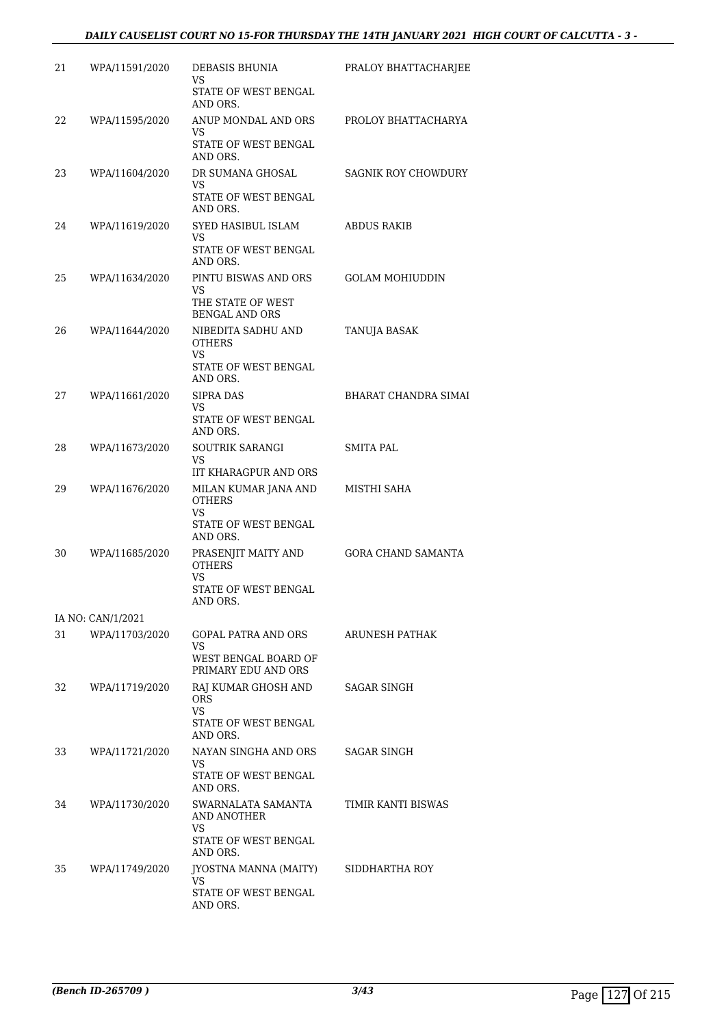| 21 | WPA/11591/2020    | DEBASIS BHUNIA<br>VS.<br>STATE OF WEST BENGAL<br>AND ORS.                        | PRALOY BHATTACHARJEE      |
|----|-------------------|----------------------------------------------------------------------------------|---------------------------|
| 22 | WPA/11595/2020    | ANUP MONDAL AND ORS<br>VS.<br>STATE OF WEST BENGAL<br>AND ORS.                   | PROLOY BHATTACHARYA       |
| 23 | WPA/11604/2020    | DR SUMANA GHOSAL<br>VS<br>STATE OF WEST BENGAL<br>AND ORS.                       | SAGNIK ROY CHOWDURY       |
| 24 | WPA/11619/2020    | SYED HASIBUL ISLAM<br>VS<br>STATE OF WEST BENGAL<br>AND ORS.                     | ABDUS RAKIB               |
| 25 | WPA/11634/2020    | PINTU BISWAS AND ORS<br>VS.<br>THE STATE OF WEST<br><b>BENGAL AND ORS</b>        | <b>GOLAM MOHIUDDIN</b>    |
| 26 | WPA/11644/2020    | NIBEDITA SADHU AND<br><b>OTHERS</b><br>VS.<br>STATE OF WEST BENGAL<br>AND ORS.   | <b>TANUJA BASAK</b>       |
| 27 | WPA/11661/2020    | <b>SIPRA DAS</b><br>VS.<br>STATE OF WEST BENGAL<br>AND ORS.                      | BHARAT CHANDRA SIMAI      |
| 28 | WPA/11673/2020    | SOUTRIK SARANGI<br>VS.<br>IIT KHARAGPUR AND ORS                                  | SMITA PAL                 |
| 29 | WPA/11676/2020    | MILAN KUMAR JANA AND<br><b>OTHERS</b><br>VS.<br>STATE OF WEST BENGAL<br>AND ORS. | MISTHI SAHA               |
| 30 | WPA/11685/2020    | PRASENJIT MAITY AND<br><b>OTHERS</b><br>VS.<br>STATE OF WEST BENGAL<br>AND ORS.  | <b>GORA CHAND SAMANTA</b> |
|    | IA NO: CAN/1/2021 |                                                                                  |                           |
| 31 | WPA/11703/2020    | GOPAL PATRA AND ORS<br>VS<br>WEST BENGAL BOARD OF<br>PRIMARY EDU AND ORS         | ARUNESH PATHAK            |
| 32 | WPA/11719/2020    | RAJ KUMAR GHOSH AND<br>ORS.<br>VS<br>STATE OF WEST BENGAL<br>AND ORS.            | SAGAR SINGH               |
| 33 | WPA/11721/2020    | NAYAN SINGHA AND ORS<br>VS.<br>STATE OF WEST BENGAL<br>AND ORS.                  | SAGAR SINGH               |
| 34 | WPA/11730/2020    | SWARNALATA SAMANTA<br>AND ANOTHER<br>VS<br>STATE OF WEST BENGAL<br>AND ORS.      | TIMIR KANTI BISWAS        |
| 35 | WPA/11749/2020    | JYOSTNA MANNA (MAITY)<br>VS<br>STATE OF WEST BENGAL<br>AND ORS.                  | SIDDHARTHA ROY            |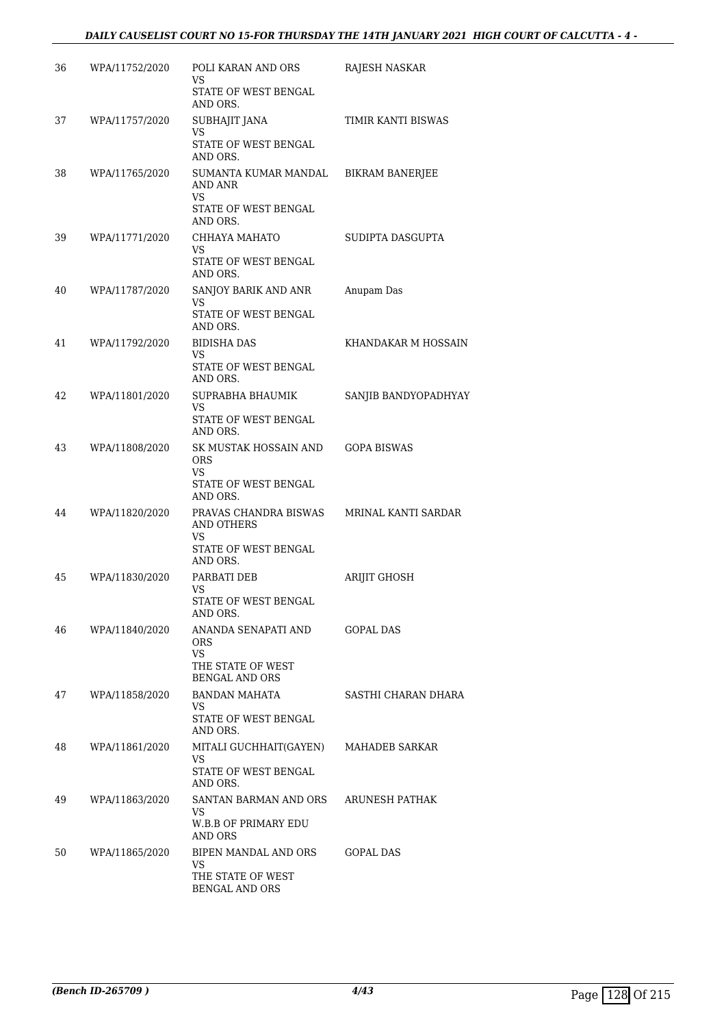#### *DAILY CAUSELIST COURT NO 15-FOR THURSDAY THE 14TH JANUARY 2021 HIGH COURT OF CALCUTTA - 4 -*

| 36 | WPA/11752/2020 | POLI KARAN AND ORS<br>VS<br>STATE OF WEST BENGAL<br>AND ORS.                         | RAJESH NASKAR          |
|----|----------------|--------------------------------------------------------------------------------------|------------------------|
| 37 | WPA/11757/2020 | SUBHAJIT JANA<br>VS<br>STATE OF WEST BENGAL<br>AND ORS.                              | TIMIR KANTI BISWAS     |
| 38 | WPA/11765/2020 | SUMANTA KUMAR MANDAL<br>AND ANR<br>VS<br>STATE OF WEST BENGAL                        | <b>BIKRAM BANERJEE</b> |
| 39 | WPA/11771/2020 | AND ORS.<br>CHHAYA MAHATO<br>VS.<br>STATE OF WEST BENGAL                             | SUDIPTA DASGUPTA       |
| 40 | WPA/11787/2020 | AND ORS.<br>SANJOY BARIK AND ANR<br>VS<br>STATE OF WEST BENGAL                       | Anupam Das             |
| 41 | WPA/11792/2020 | AND ORS.<br><b>BIDISHA DAS</b><br>VS<br>STATE OF WEST BENGAL                         | KHANDAKAR M HOSSAIN    |
| 42 | WPA/11801/2020 | AND ORS.<br>SUPRABHA BHAUMIK<br>VS<br>STATE OF WEST BENGAL                           | SANJIB BANDYOPADHYAY   |
| 43 | WPA/11808/2020 | AND ORS.<br>SK MUSTAK HOSSAIN AND<br>ORS<br>VS.<br>STATE OF WEST BENGAL<br>AND ORS.  | <b>GOPA BISWAS</b>     |
| 44 | WPA/11820/2020 | PRAVAS CHANDRA BISWAS<br><b>AND OTHERS</b><br>VS<br>STATE OF WEST BENGAL<br>AND ORS. | MRINAL KANTI SARDAR    |
| 45 | WPA/11830/2020 | PARBATI DEB<br>VS<br>STATE OF WEST BENGAL<br>AND ORS.                                | <b>ARIJIT GHOSH</b>    |
| 46 | WPA/11840/2020 | ANANDA SENAPATI AND<br><b>ORS</b><br><b>VS</b><br>THE STATE OF WEST                  | GOPAL DAS              |
| 47 | WPA/11858/2020 | <b>BENGAL AND ORS</b><br>BANDAN MAHATA<br>VS.<br>STATE OF WEST BENGAL<br>AND ORS.    | SASTHI CHARAN DHARA    |
| 48 | WPA/11861/2020 | MITALI GUCHHAIT(GAYEN)<br>VS.<br>STATE OF WEST BENGAL<br>AND ORS.                    | MAHADEB SARKAR         |
| 49 | WPA/11863/2020 | SANTAN BARMAN AND ORS<br>VS<br>W.B.B OF PRIMARY EDU<br>AND ORS                       | ARUNESH PATHAK         |
| 50 | WPA/11865/2020 | BIPEN MANDAL AND ORS<br>VS<br>THE STATE OF WEST<br><b>BENGAL AND ORS</b>             | GOPAL DAS              |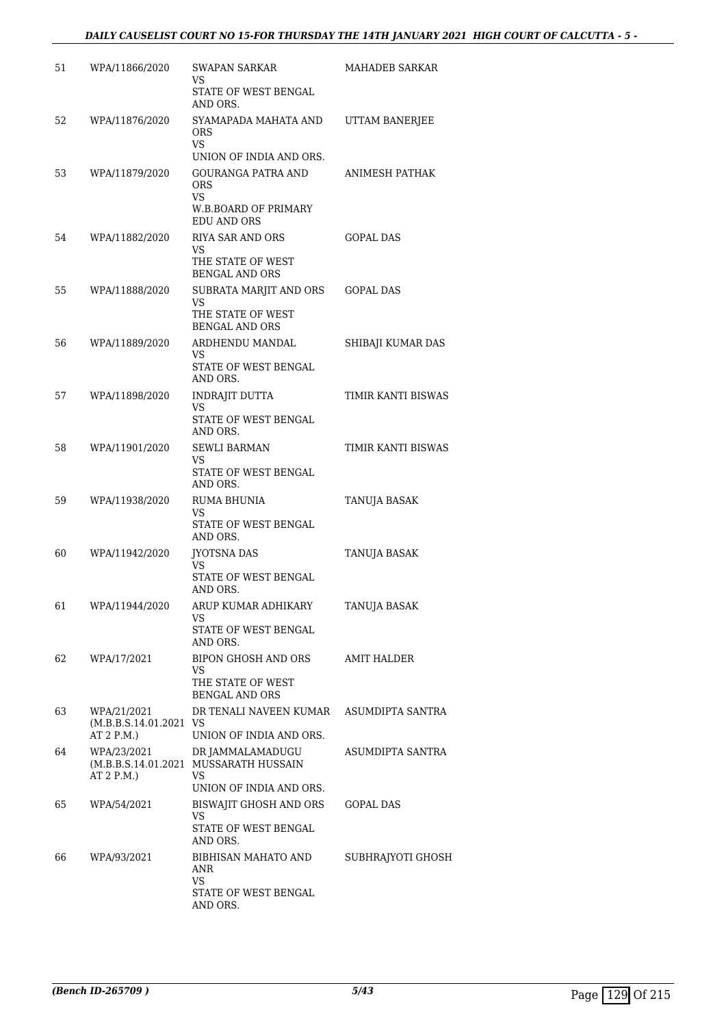| 51 | WPA/11866/2020                        | SWAPAN SARKAR<br>VS.<br>STATE OF WEST BENGAL<br>AND ORS.                                    | MAHADEB SARKAR      |
|----|---------------------------------------|---------------------------------------------------------------------------------------------|---------------------|
| 52 | WPA/11876/2020                        | SYAMAPADA MAHATA AND<br><b>ORS</b><br>VS.                                                   | UTTAM BANERJEE      |
|    |                                       | UNION OF INDIA AND ORS.                                                                     |                     |
| 53 | WPA/11879/2020                        | <b>GOURANGA PATRA AND</b><br><b>ORS</b><br><b>VS</b>                                        | ANIMESH PATHAK      |
|    |                                       | W.B.BOARD OF PRIMARY<br><b>EDU AND ORS</b>                                                  |                     |
| 54 | WPA/11882/2020                        | <b>RIYA SAR AND ORS</b><br>VS                                                               | <b>GOPAL DAS</b>    |
|    |                                       | THE STATE OF WEST<br><b>BENGAL AND ORS</b>                                                  |                     |
| 55 | WPA/11888/2020                        | SUBRATA MARJIT AND ORS<br>VS                                                                | <b>GOPAL DAS</b>    |
|    |                                       | THE STATE OF WEST<br><b>BENGAL AND ORS</b>                                                  |                     |
| 56 | WPA/11889/2020                        | ARDHENDU MANDAL<br>VS.                                                                      | SHIBAJI KUMAR DAS   |
|    |                                       | STATE OF WEST BENGAL<br>AND ORS.                                                            |                     |
| 57 | WPA/11898/2020                        | <b>INDRAJIT DUTTA</b><br>VS                                                                 | TIMIR KANTI BISWAS  |
|    |                                       | STATE OF WEST BENGAL<br>AND ORS.                                                            |                     |
| 58 | WPA/11901/2020                        | <b>SEWLI BARMAN</b><br>VS.                                                                  | TIMIR KANTI BISWAS  |
|    |                                       | STATE OF WEST BENGAL<br>AND ORS.                                                            |                     |
| 59 | WPA/11938/2020                        | RUMA BHUNIA<br>VS                                                                           | TANUJA BASAK        |
|    |                                       | STATE OF WEST BENGAL<br>AND ORS.                                                            |                     |
| 60 | WPA/11942/2020                        | <b>JYOTSNA DAS</b><br>VS                                                                    | TANUJA BASAK        |
|    |                                       | STATE OF WEST BENGAL<br>AND ORS.                                                            |                     |
| 61 | WPA/11944/2020                        | ARUP KUMAR ADHIKARY<br>VS.                                                                  | <b>TANUJA BASAK</b> |
|    |                                       | STATE OF WEST BENGAL<br>AND ORS.                                                            |                     |
| 62 | WPA/17/2021                           | BIPON GHOSH AND ORS<br>VS                                                                   | AMIT HALDER         |
|    |                                       | THE STATE OF WEST<br><b>BENGAL AND ORS</b>                                                  |                     |
| 63 | WPA/21/2021<br>(M.B.B.S.14.01.2021 VS | DR TENALI NAVEEN KUMAR                                                                      | ASUMDIPTA SANTRA    |
|    | AT 2 P.M.)                            | UNION OF INDIA AND ORS.                                                                     |                     |
| 64 | WPA/23/2021<br>AT 2 P.M.)             | DR JAMMALAMADUGU<br>(M.B.B.S.14.01.2021 MUSSARATH HUSSAIN<br>VS.<br>UNION OF INDIA AND ORS. | ASUMDIPTA SANTRA    |
| 65 | WPA/54/2021                           | BISWAJIT GHOSH AND ORS                                                                      | GOPAL DAS           |
|    |                                       | <b>VS</b><br>STATE OF WEST BENGAL<br>AND ORS.                                               |                     |
| 66 | WPA/93/2021                           | BIBHISAN MAHATO AND<br>ANR                                                                  | SUBHRAJYOTI GHOSH   |
|    |                                       | VS<br>STATE OF WEST BENGAL<br>AND ORS.                                                      |                     |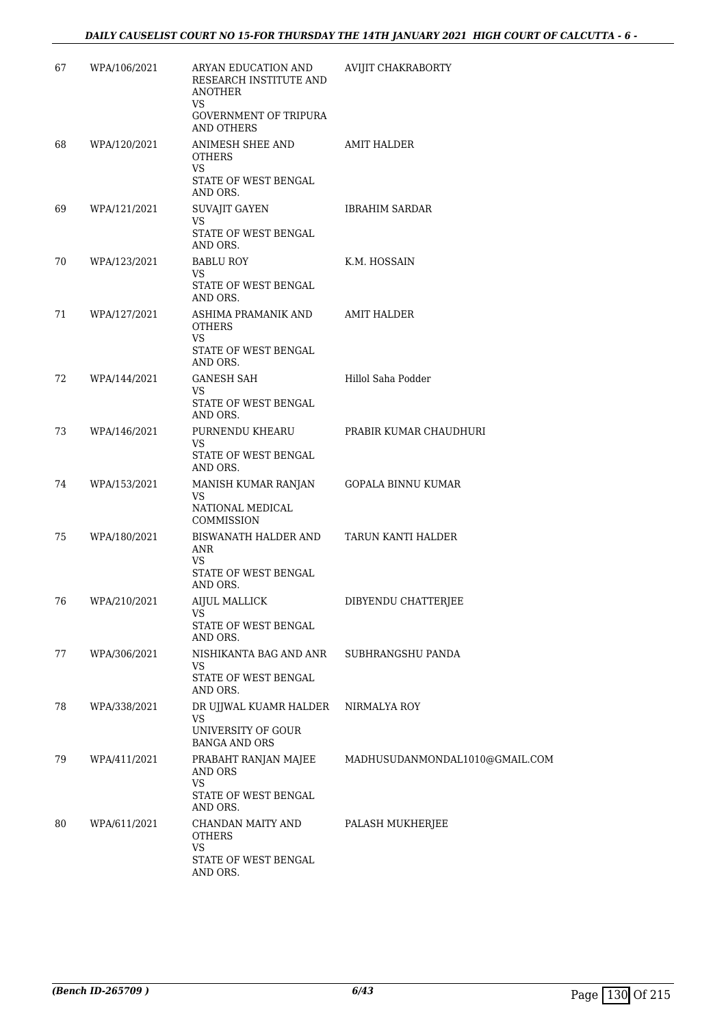| 67 | WPA/106/2021 | ARYAN EDUCATION AND<br>RESEARCH INSTITUTE AND<br><b>ANOTHER</b><br>VS<br><b>GOVERNMENT OF TRIPURA</b><br>AND OTHERS | <b>AVIJIT CHAKRABORTY</b>      |
|----|--------------|---------------------------------------------------------------------------------------------------------------------|--------------------------------|
| 68 | WPA/120/2021 | ANIMESH SHEE AND<br><b>OTHERS</b><br><b>VS</b><br>STATE OF WEST BENGAL<br>AND ORS.                                  | AMIT HALDER                    |
| 69 | WPA/121/2021 | SUVAJIT GAYEN<br>VS<br>STATE OF WEST BENGAL<br>AND ORS.                                                             | <b>IBRAHIM SARDAR</b>          |
| 70 | WPA/123/2021 | <b>BABLU ROY</b><br>VS<br>STATE OF WEST BENGAL<br>AND ORS.                                                          | K.M. HOSSAIN                   |
| 71 | WPA/127/2021 | ASHIMA PRAMANIK AND<br><b>OTHERS</b><br>VS<br>STATE OF WEST BENGAL<br>AND ORS.                                      | AMIT HALDER                    |
| 72 | WPA/144/2021 | <b>GANESH SAH</b><br>VS<br>STATE OF WEST BENGAL<br>AND ORS.                                                         | Hillol Saha Podder             |
| 73 | WPA/146/2021 | PURNENDU KHEARU<br>VS.<br>STATE OF WEST BENGAL<br>AND ORS.                                                          | PRABIR KUMAR CHAUDHURI         |
| 74 | WPA/153/2021 | MANISH KUMAR RANJAN<br>VS<br>NATIONAL MEDICAL<br>COMMISSION                                                         | GOPALA BINNU KUMAR             |
| 75 | WPA/180/2021 | BISWANATH HALDER AND<br>ANR<br>VS<br>STATE OF WEST BENGAL<br>AND ORS.                                               | TARUN KANTI HALDER             |
| 76 | WPA/210/2021 | <b>AIJUL MALLICK</b><br>VS<br>STATE OF WEST BENGAL<br>AND ORS.                                                      | DIBYENDU CHATTERJEE            |
| 77 | WPA/306/2021 | NISHIKANTA BAG AND ANR<br>VS<br>STATE OF WEST BENGAL<br>AND ORS.                                                    | SUBHRANGSHU PANDA              |
| 78 | WPA/338/2021 | DR UJJWAL KUAMR HALDER<br>VS<br>UNIVERSITY OF GOUR<br><b>BANGA AND ORS</b>                                          | NIRMALYA ROY                   |
| 79 | WPA/411/2021 | PRABAHT RANJAN MAJEE<br>AND ORS<br><b>VS</b><br>STATE OF WEST BENGAL<br>AND ORS.                                    | MADHUSUDANMONDAL1010@GMAIL.COM |
| 80 | WPA/611/2021 | CHANDAN MAITY AND<br><b>OTHERS</b><br>VS<br>STATE OF WEST BENGAL<br>AND ORS.                                        | PALASH MUKHERJEE               |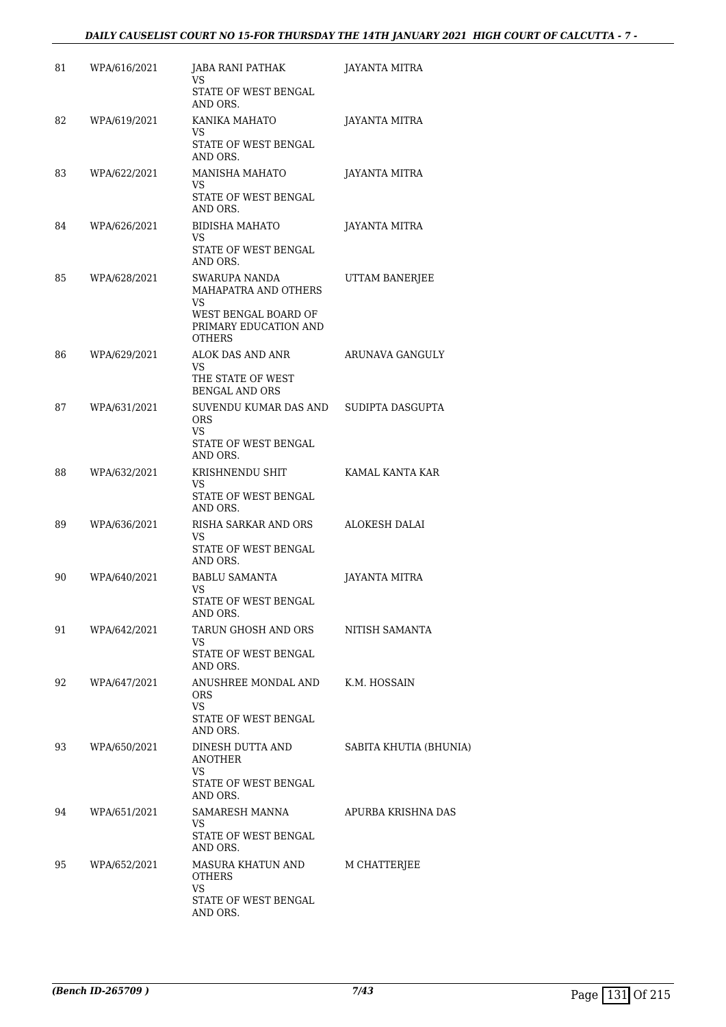#### *DAILY CAUSELIST COURT NO 15-FOR THURSDAY THE 14TH JANUARY 2021 HIGH COURT OF CALCUTTA - 7 -*

| 81 | WPA/616/2021 | <b>JABA RANI PATHAK</b><br>VS<br>STATE OF WEST BENGAL<br>AND ORS.                                             | JAYANTA MITRA          |
|----|--------------|---------------------------------------------------------------------------------------------------------------|------------------------|
| 82 | WPA/619/2021 | KANIKA MAHATO<br>VS<br>STATE OF WEST BENGAL<br>AND ORS.                                                       | JAYANTA MITRA          |
| 83 | WPA/622/2021 | MANISHA MAHATO<br>VS<br>STATE OF WEST BENGAL<br>AND ORS.                                                      | JAYANTA MITRA          |
| 84 | WPA/626/2021 | <b>BIDISHA MAHATO</b><br>VS<br>STATE OF WEST BENGAL<br>AND ORS.                                               | JAYANTA MITRA          |
| 85 | WPA/628/2021 | SWARUPA NANDA<br>MAHAPATRA AND OTHERS<br>VS<br>WEST BENGAL BOARD OF<br>PRIMARY EDUCATION AND<br><b>OTHERS</b> | UTTAM BANERJEE         |
| 86 | WPA/629/2021 | ALOK DAS AND ANR<br>VS<br>THE STATE OF WEST<br><b>BENGAL AND ORS</b>                                          | ARUNAVA GANGULY        |
| 87 | WPA/631/2021 | SUVENDU KUMAR DAS AND<br><b>ORS</b><br>VS<br>STATE OF WEST BENGAL<br>AND ORS.                                 | SUDIPTA DASGUPTA       |
| 88 | WPA/632/2021 | KRISHNENDU SHIT<br>VS<br>STATE OF WEST BENGAL<br>AND ORS.                                                     | KAMAL KANTA KAR        |
| 89 | WPA/636/2021 | RISHA SARKAR AND ORS<br>VS<br>STATE OF WEST BENGAL<br>AND ORS.                                                | ALOKESH DALAI          |
| 90 | WPA/640/2021 | <b>BABLU SAMANTA</b><br>VS<br>STATE OF WEST BENGAL<br>AND ORS.                                                | <b>JAYANTA MITRA</b>   |
| 91 | WPA/642/2021 | TARUN GHOSH AND ORS<br>VS<br>STATE OF WEST BENGAL<br>AND ORS.                                                 | NITISH SAMANTA         |
| 92 | WPA/647/2021 | ANUSHREE MONDAL AND<br><b>ORS</b><br>VS<br>STATE OF WEST BENGAL<br>AND ORS.                                   | K.M. HOSSAIN           |
| 93 | WPA/650/2021 | DINESH DUTTA AND<br>ANOTHER<br>VS<br>STATE OF WEST BENGAL<br>AND ORS.                                         | SABITA KHUTIA (BHUNIA) |
| 94 | WPA/651/2021 | SAMARESH MANNA<br>VS<br>STATE OF WEST BENGAL<br>AND ORS.                                                      | APURBA KRISHNA DAS     |
| 95 | WPA/652/2021 | MASURA KHATUN AND<br><b>OTHERS</b><br>VS<br>STATE OF WEST BENGAL<br>AND ORS.                                  | M CHATTERJEE           |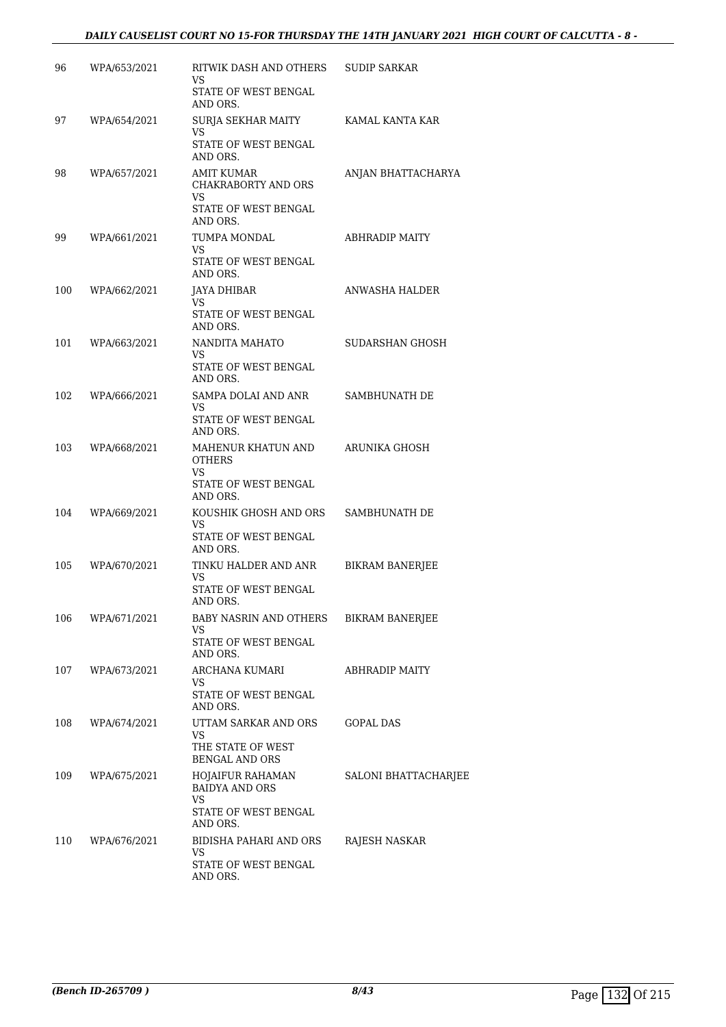#### *DAILY CAUSELIST COURT NO 15-FOR THURSDAY THE 14TH JANUARY 2021 HIGH COURT OF CALCUTTA - 8 -*

| 96  | WPA/653/2021 | RITWIK DASH AND OTHERS<br>VS<br>STATE OF WEST BENGAL<br>AND ORS.                     | <b>SUDIP SARKAR</b>    |
|-----|--------------|--------------------------------------------------------------------------------------|------------------------|
| 97  | WPA/654/2021 | SURJA SEKHAR MAITY<br>VS.<br>STATE OF WEST BENGAL<br>AND ORS.                        | KAMAL KANTA KAR        |
| 98  | WPA/657/2021 | AMIT KUMAR<br>CHAKRABORTY AND ORS<br>VS<br>STATE OF WEST BENGAL<br>AND ORS.          | ANJAN BHATTACHARYA     |
| 99  | WPA/661/2021 | TUMPA MONDAL<br>VS.<br>STATE OF WEST BENGAL<br>AND ORS.                              | ABHRADIP MAITY         |
| 100 | WPA/662/2021 | JAYA DHIBAR<br>VS.<br>STATE OF WEST BENGAL<br>AND ORS.                               | ANWASHA HALDER         |
| 101 | WPA/663/2021 | NANDITA MAHATO<br>VS<br>STATE OF WEST BENGAL<br>AND ORS.                             | SUDARSHAN GHOSH        |
| 102 | WPA/666/2021 | SAMPA DOLAI AND ANR<br>VS<br>STATE OF WEST BENGAL<br>AND ORS.                        | SAMBHUNATH DE          |
| 103 | WPA/668/2021 | MAHENUR KHATUN AND<br><b>OTHERS</b><br>VS.<br>STATE OF WEST BENGAL<br>AND ORS.       | ARUNIKA GHOSH          |
| 104 | WPA/669/2021 | KOUSHIK GHOSH AND ORS<br>VS<br>STATE OF WEST BENGAL<br>AND ORS.                      | SAMBHUNATH DE          |
| 105 | WPA/670/2021 | TINKU HALDER AND ANR<br>VS<br>STATE OF WEST BENGAL<br>AND ORS.                       | <b>BIKRAM BANERJEE</b> |
| 106 | WPA/671/2021 | BABY NASRIN AND OTHERS<br>VS.<br>STATE OF WEST BENGAL<br>AND ORS.                    | BIKRAM BANERJEE        |
| 107 | WPA/673/2021 | ARCHANA KUMARI<br>VS<br>STATE OF WEST BENGAL<br>AND ORS.                             | ABHRADIP MAITY         |
| 108 | WPA/674/2021 | UTTAM SARKAR AND ORS<br>VS<br>THE STATE OF WEST<br><b>BENGAL AND ORS</b>             | GOPAL DAS              |
| 109 | WPA/675/2021 | HOJAIFUR RAHAMAN<br><b>BAIDYA AND ORS</b><br>VS.<br>STATE OF WEST BENGAL<br>AND ORS. | SALONI BHATTACHARJEE   |
| 110 | WPA/676/2021 | BIDISHA PAHARI AND ORS<br>VS<br>STATE OF WEST BENGAL<br>AND ORS.                     | RAJESH NASKAR          |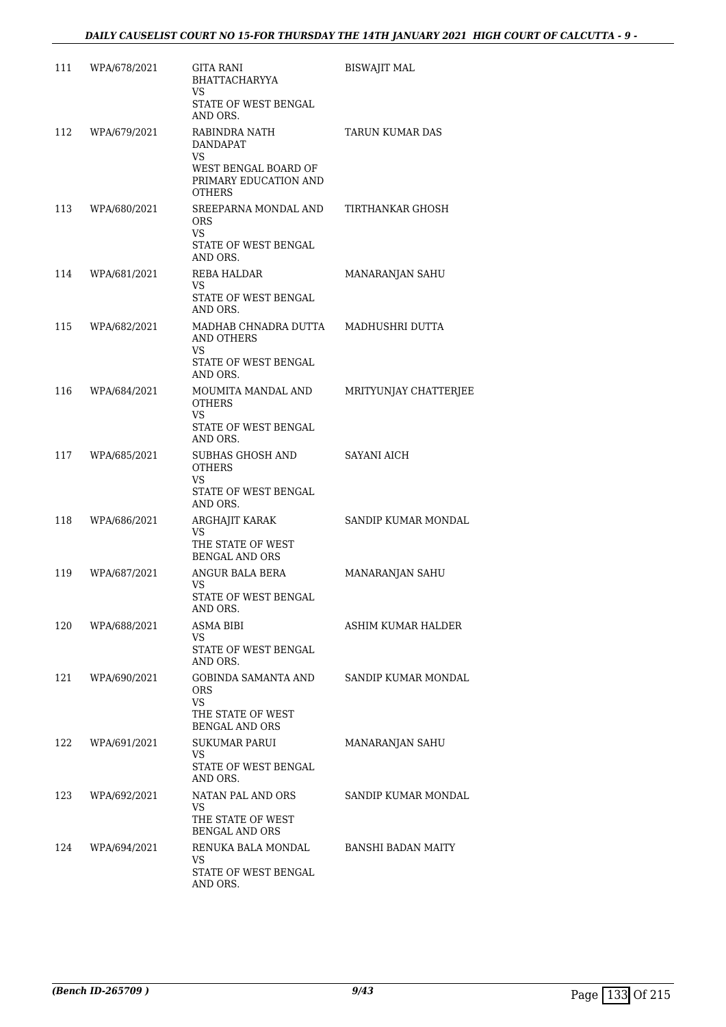| 111 | WPA/678/2021 | GITA RANI<br>BHATTACHARYYA<br>VS<br>STATE OF WEST BENGAL                    | <b>BISWAJIT MAL</b>       |
|-----|--------------|-----------------------------------------------------------------------------|---------------------------|
|     |              | AND ORS.                                                                    |                           |
| 112 | WPA/679/2021 | RABINDRA NATH<br><b>DANDAPAT</b><br>VS                                      | <b>TARUN KUMAR DAS</b>    |
|     |              | WEST BENGAL BOARD OF<br>PRIMARY EDUCATION AND<br><b>OTHERS</b>              |                           |
| 113 | WPA/680/2021 | SREEPARNA MONDAL AND<br><b>ORS</b><br>VS                                    | TIRTHANKAR GHOSH          |
|     |              | STATE OF WEST BENGAL<br>AND ORS.                                            |                           |
| 114 | WPA/681/2021 | REBA HALDAR<br>VS.                                                          | MANARANJAN SAHU           |
|     |              | STATE OF WEST BENGAL<br>AND ORS.                                            |                           |
| 115 | WPA/682/2021 | MADHAB CHNADRA DUTTA<br>AND OTHERS<br>VS                                    | MADHUSHRI DUTTA           |
|     |              | STATE OF WEST BENGAL<br>AND ORS.                                            |                           |
| 116 | WPA/684/2021 | MOUMITA MANDAL AND<br><b>OTHERS</b><br>VS                                   | MRITYUNJAY CHATTERJEE     |
|     |              | STATE OF WEST BENGAL<br>AND ORS.                                            |                           |
| 117 | WPA/685/2021 | SUBHAS GHOSH AND<br><b>OTHERS</b><br>VS<br>STATE OF WEST BENGAL<br>AND ORS. | SAYANI AICH               |
| 118 | WPA/686/2021 | ARGHAJIT KARAK<br>VS<br>THE STATE OF WEST<br><b>BENGAL AND ORS</b>          | SANDIP KUMAR MONDAL       |
| 119 | WPA/687/2021 | ANGUR BALA BERA<br>VS<br>STATE OF WEST BENGAL                               | MANARANJAN SAHU           |
|     |              | AND ORS.                                                                    |                           |
| 120 | WPA/688/2021 | ASMA BIBI<br>VS.<br>STATE OF WEST BENGAL<br>AND ORS.                        | ASHIM KUMAR HALDER        |
| 121 | WPA/690/2021 | GOBINDA SAMANTA AND<br>ORS<br>VS                                            | SANDIP KUMAR MONDAL       |
|     |              | THE STATE OF WEST<br><b>BENGAL AND ORS</b>                                  |                           |
| 122 | WPA/691/2021 | <b>SUKUMAR PARUI</b><br>VS                                                  | MANARANJAN SAHU           |
|     |              | STATE OF WEST BENGAL<br>AND ORS.                                            |                           |
| 123 | WPA/692/2021 | NATAN PAL AND ORS<br>VS                                                     | SANDIP KUMAR MONDAL       |
|     |              | THE STATE OF WEST<br><b>BENGAL AND ORS</b>                                  |                           |
| 124 | WPA/694/2021 | RENUKA BALA MONDAL<br>VS                                                    | <b>BANSHI BADAN MAITY</b> |
|     |              | STATE OF WEST BENGAL<br>AND ORS.                                            |                           |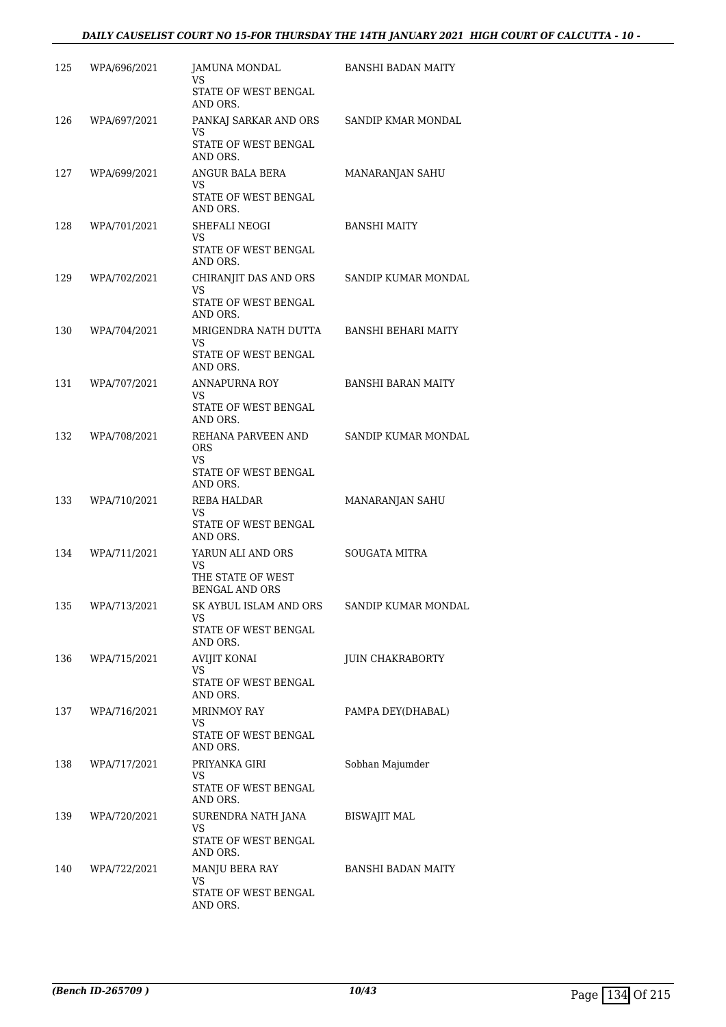| 125 | WPA/696/2021 | JAMUNA MONDAL<br>VS<br>STATE OF WEST BENGAL<br>AND ORS.                    | <b>BANSHI BADAN MAITY</b>  |
|-----|--------------|----------------------------------------------------------------------------|----------------------------|
| 126 | WPA/697/2021 | PANKAJ SARKAR AND ORS<br>VS<br>STATE OF WEST BENGAL<br>AND ORS.            | SANDIP KMAR MONDAL         |
| 127 | WPA/699/2021 | ANGUR BALA BERA<br>VS.<br>STATE OF WEST BENGAL<br>AND ORS.                 | MANARANJAN SAHU            |
| 128 | WPA/701/2021 | SHEFALI NEOGI<br>VS.<br>STATE OF WEST BENGAL<br>AND ORS.                   | <b>BANSHI MAITY</b>        |
| 129 | WPA/702/2021 | CHIRANJIT DAS AND ORS<br>VS.<br>STATE OF WEST BENGAL<br>AND ORS.           | SANDIP KUMAR MONDAL        |
| 130 | WPA/704/2021 | MRIGENDRA NATH DUTTA<br>VS<br>STATE OF WEST BENGAL<br>AND ORS.             | <b>BANSHI BEHARI MAITY</b> |
| 131 | WPA/707/2021 | ANNAPURNA ROY<br>VS.<br>STATE OF WEST BENGAL<br>AND ORS.                   | <b>BANSHI BARAN MAITY</b>  |
| 132 | WPA/708/2021 | REHANA PARVEEN AND<br><b>ORS</b><br>VS<br>STATE OF WEST BENGAL<br>AND ORS. | SANDIP KUMAR MONDAL        |
| 133 | WPA/710/2021 | REBA HALDAR<br>VS<br>STATE OF WEST BENGAL<br>AND ORS.                      | MANARANJAN SAHU            |
| 134 | WPA/711/2021 | YARUN ALI AND ORS<br>VS<br>THE STATE OF WEST<br><b>BENGAL AND ORS</b>      | SOUGATA MITRA              |
| 135 | WPA/713/2021 | SK AYBUL ISLAM AND ORS<br>VS<br>STATE OF WEST BENGAL<br>AND ORS.           | SANDIP KUMAR MONDAL        |
| 136 | WPA/715/2021 | <b>AVIJIT KONAI</b><br>VS<br>STATE OF WEST BENGAL<br>AND ORS.              | <b>JUIN CHAKRABORTY</b>    |
| 137 | WPA/716/2021 | MRINMOY RAY<br>VS<br>STATE OF WEST BENGAL<br>AND ORS.                      | PAMPA DEY(DHABAL)          |
| 138 | WPA/717/2021 | PRIYANKA GIRI<br>VS<br>STATE OF WEST BENGAL<br>AND ORS.                    | Sobhan Majumder            |
| 139 | WPA/720/2021 | SURENDRA NATH JANA<br>VS<br>STATE OF WEST BENGAL<br>AND ORS.               | <b>BISWAJIT MAL</b>        |
| 140 | WPA/722/2021 | <b>MANJU BERA RAY</b><br>VS<br>STATE OF WEST BENGAL<br>AND ORS.            | <b>BANSHI BADAN MAITY</b>  |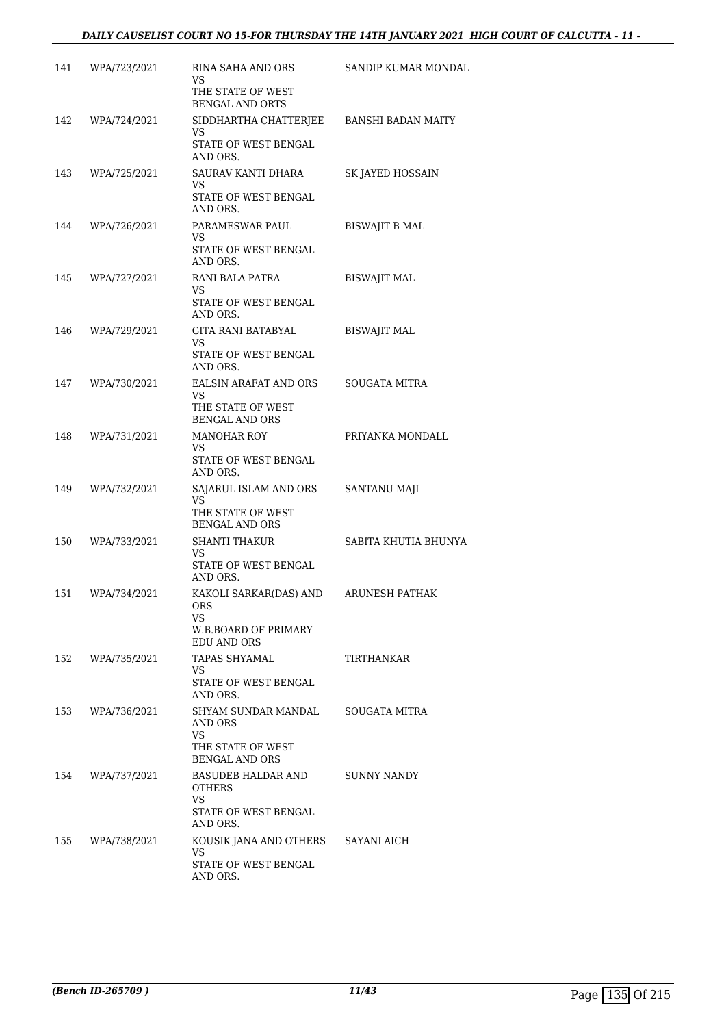| 141 | WPA/723/2021 | RINA SAHA AND ORS<br>VS<br>THE STATE OF WEST                                        | SANDIP KUMAR MONDAL  |
|-----|--------------|-------------------------------------------------------------------------------------|----------------------|
| 142 | WPA/724/2021 | <b>BENGAL AND ORTS</b><br>SIDDHARTHA CHATTERIEE BANSHI BADAN MAITY                  |                      |
|     |              | VS.<br>STATE OF WEST BENGAL<br>AND ORS.                                             |                      |
| 143 | WPA/725/2021 | SAURAV KANTI DHARA<br>VS.<br>STATE OF WEST BENGAL<br>AND ORS.                       | SK JAYED HOSSAIN     |
| 144 | WPA/726/2021 | PARAMESWAR PAUL<br>VS.<br>STATE OF WEST BENGAL<br>AND ORS.                          | BISWAJIT B MAL       |
| 145 | WPA/727/2021 | RANI BALA PATRA<br>VS.<br>STATE OF WEST BENGAL<br>AND ORS.                          | <b>BISWAJIT MAL</b>  |
| 146 | WPA/729/2021 | GITA RANI BATABYAL<br>VS<br>STATE OF WEST BENGAL<br>AND ORS.                        | <b>BISWAJIT MAL</b>  |
| 147 | WPA/730/2021 | <b>EALSIN ARAFAT AND ORS</b><br>VS<br>THE STATE OF WEST                             | SOUGATA MITRA        |
| 148 | WPA/731/2021 | BENGAL AND ORS<br><b>MANOHAR ROY</b><br>VS.<br>STATE OF WEST BENGAL                 | PRIYANKA MONDALL     |
| 149 | WPA/732/2021 | AND ORS.<br>SAJARUL ISLAM AND ORS<br>VS.<br>THE STATE OF WEST                       | <b>SANTANU MAJI</b>  |
| 150 | WPA/733/2021 | <b>BENGAL AND ORS</b><br><b>SHANTI THAKUR</b><br>VS.<br>STATE OF WEST BENGAL        | SABITA KHUTIA BHUNYA |
| 151 | WPA/734/2021 | AND ORS.<br>KAKOLI SARKAR(DAS) AND<br>ORS<br>VS<br>W.B.BOARD OF PRIMARY             | ARUNESH PATHAK       |
| 152 | WPA/735/2021 | EDU AND ORS<br>TAPAS SHYAMAL<br>VS.<br>STATE OF WEST BENGAL<br>AND ORS.             | TIRTHANKAR           |
| 153 | WPA/736/2021 | SHYAM SUNDAR MANDAL<br>AND ORS<br>VS.<br>THE STATE OF WEST<br><b>BENGAL AND ORS</b> | SOUGATA MITRA        |
| 154 | WPA/737/2021 | BASUDEB HALDAR AND<br><b>OTHERS</b><br>VS<br>STATE OF WEST BENGAL<br>AND ORS.       | SUNNY NANDY          |
| 155 | WPA/738/2021 | KOUSIK JANA AND OTHERS<br>VS<br>STATE OF WEST BENGAL<br>AND ORS.                    | SAYANI AICH          |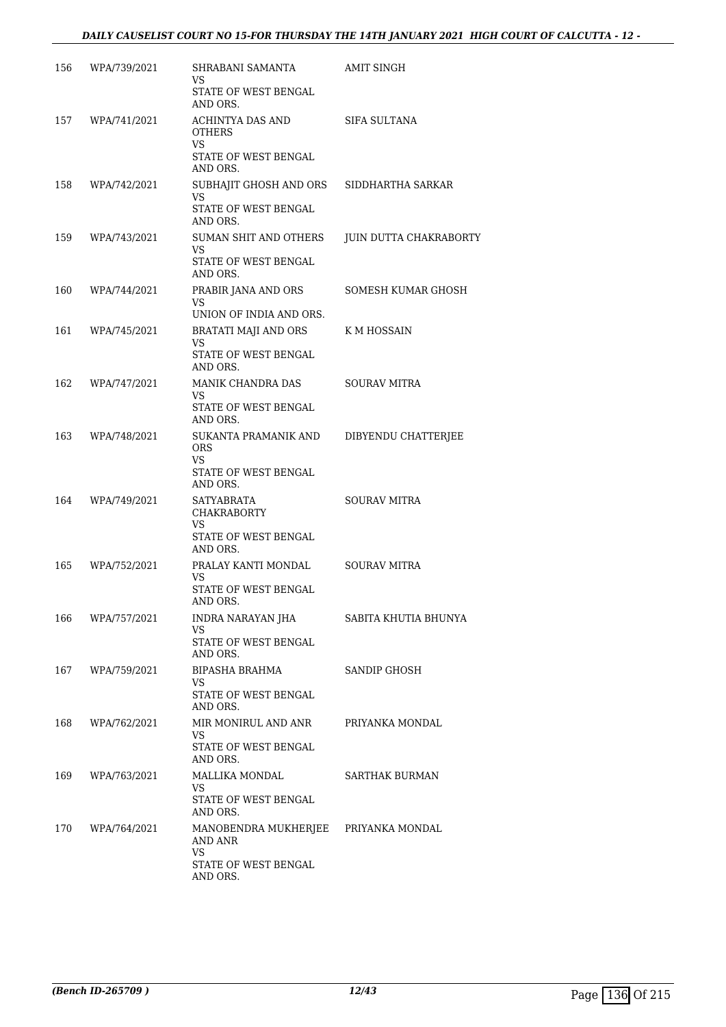| 156 | WPA/739/2021 | SHRABANI SAMANTA<br>VS<br>STATE OF WEST BENGAL                                            | AMIT SINGH             |
|-----|--------------|-------------------------------------------------------------------------------------------|------------------------|
| 157 | WPA/741/2021 | AND ORS.<br>ACHINTYA DAS AND<br><b>OTHERS</b>                                             | SIFA SULTANA           |
|     |              | VS.<br>STATE OF WEST BENGAL<br>AND ORS.                                                   |                        |
| 158 | WPA/742/2021 | SUBHAJIT GHOSH AND ORS SIDDHARTHA SARKAR<br>VS<br>STATE OF WEST BENGAL<br>AND ORS.        |                        |
| 159 | WPA/743/2021 | SUMAN SHIT AND OTHERS<br>VS<br>STATE OF WEST BENGAL<br>AND ORS.                           | JUIN DUTTA CHAKRABORTY |
| 160 | WPA/744/2021 | PRABIR JANA AND ORS<br>VS.<br>UNION OF INDIA AND ORS.                                     | SOMESH KUMAR GHOSH     |
| 161 | WPA/745/2021 | <b>BRATATI MAJI AND ORS</b><br>VS.<br>STATE OF WEST BENGAL<br>AND ORS.                    | K M HOSSAIN            |
| 162 | WPA/747/2021 | MANIK CHANDRA DAS<br>VS<br>STATE OF WEST BENGAL<br>AND ORS.                               | <b>SOURAV MITRA</b>    |
| 163 | WPA/748/2021 | SUKANTA PRAMANIK AND<br><b>ORS</b><br>VS.<br>STATE OF WEST BENGAL<br>AND ORS.             | DIBYENDU CHATTERJEE    |
| 164 | WPA/749/2021 | SATYABRATA<br><b>CHAKRABORTY</b><br>VS.<br>STATE OF WEST BENGAL<br>AND ORS.               | <b>SOURAV MITRA</b>    |
| 165 | WPA/752/2021 | PRALAY KANTI MONDAL<br>VS<br>STATE OF WEST BENGAL<br>AND ORS.                             | <b>SOURAV MITRA</b>    |
| 166 | WPA/757/2021 | INDRA NARAYAN JHA<br>VS<br>STATE OF WEST BENGAL<br>AND ORS.                               | SABITA KHUTIA BHUNYA   |
| 167 | WPA/759/2021 | BIPASHA BRAHMA<br>VS<br>STATE OF WEST BENGAL<br>AND ORS.                                  | SANDIP GHOSH           |
| 168 | WPA/762/2021 | MIR MONIRUL AND ANR<br>VS.<br>STATE OF WEST BENGAL<br>AND ORS.                            | PRIYANKA MONDAL        |
| 169 | WPA/763/2021 | MALLIKA MONDAL<br>VS<br>STATE OF WEST BENGAL<br>AND ORS.                                  | SARTHAK BURMAN         |
| 170 | WPA/764/2021 | MANOBENDRA MUKHERJEE PRIYANKA MONDAL<br>AND ANR<br>VS<br>STATE OF WEST BENGAL<br>AND ORS. |                        |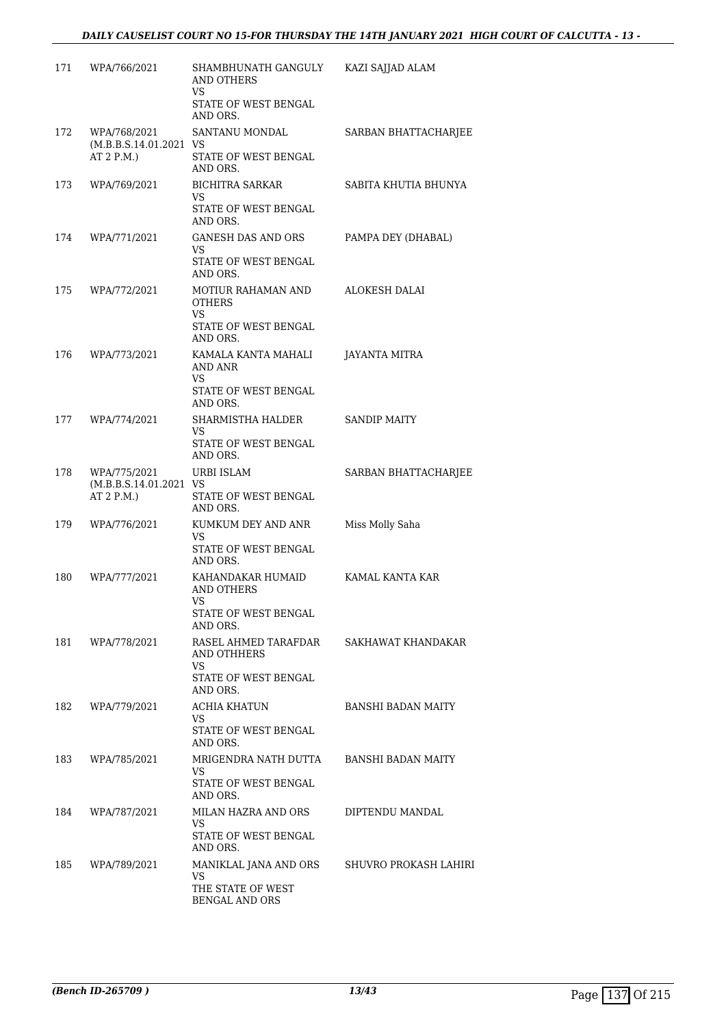| 171 | WPA/766/2021                           | SHAMBHUNATH GANGULY<br><b>AND OTHERS</b><br>VS                                | KAZI SAJJAD ALAM          |
|-----|----------------------------------------|-------------------------------------------------------------------------------|---------------------------|
|     |                                        | STATE OF WEST BENGAL<br>AND ORS.                                              |                           |
| 172 | WPA/768/2021<br>(M.B.B.S.14.01.2021 VS | SANTANU MONDAL                                                                | SARBAN BHATTACHARJEE      |
|     | AT 2 P.M.)                             | STATE OF WEST BENGAL<br>AND ORS.                                              |                           |
| 173 | WPA/769/2021                           | <b>BICHITRA SARKAR</b><br>VS                                                  | SABITA KHUTIA BHUNYA      |
|     |                                        | STATE OF WEST BENGAL<br>AND ORS.                                              |                           |
| 174 | WPA/771/2021                           | <b>GANESH DAS AND ORS</b><br>VS                                               | PAMPA DEY (DHABAL)        |
|     |                                        | STATE OF WEST BENGAL<br>AND ORS.                                              |                           |
| 175 | WPA/772/2021                           | MOTIUR RAHAMAN AND<br><b>OTHERS</b><br>VS<br>STATE OF WEST BENGAL<br>AND ORS. | ALOKESH DALAI             |
| 176 | WPA/773/2021                           | KAMALA KANTA MAHALI<br>AND ANR<br>VS                                          | JAYANTA MITRA             |
|     |                                        | STATE OF WEST BENGAL<br>AND ORS.                                              |                           |
| 177 | WPA/774/2021                           | SHARMISTHA HALDER<br>VS                                                       | <b>SANDIP MAITY</b>       |
|     |                                        | STATE OF WEST BENGAL<br>AND ORS.                                              |                           |
| 178 | WPA/775/2021<br>(M.B.B.S.14.01.2021 VS | URBI ISLAM                                                                    | SARBAN BHATTACHARJEE      |
|     | AT 2 P.M.)                             | STATE OF WEST BENGAL<br>AND ORS.                                              |                           |
| 179 | WPA/776/2021                           | KUMKUM DEY AND ANR<br>VS                                                      | Miss Molly Saha           |
|     |                                        | STATE OF WEST BENGAL<br>AND ORS.                                              |                           |
| 180 | WPA/777/2021                           | KAHANDAKAR HUMAID<br>AND OTHERS<br>VS                                         | KAMAL KANTA KAR           |
|     |                                        | STATE OF WEST BENGAL<br>AND ORS.                                              |                           |
| 181 | WPA/778/2021                           | RASEL AHMED TARAFDAR<br>AND OTHHERS<br>VS.                                    | SAKHAWAT KHANDAKAR        |
|     |                                        | STATE OF WEST BENGAL<br>AND ORS.                                              |                           |
| 182 | WPA/779/2021                           | ACHIA KHATUN<br>VS<br>STATE OF WEST BENGAL<br>AND ORS.                        | <b>BANSHI BADAN MAITY</b> |
| 183 | WPA/785/2021                           | MRIGENDRA NATH DUTTA                                                          | <b>BANSHI BADAN MAITY</b> |
|     |                                        | VS<br>STATE OF WEST BENGAL<br>AND ORS.                                        |                           |
| 184 | WPA/787/2021                           | MILAN HAZRA AND ORS<br>VS                                                     | DIPTENDU MANDAL           |
|     |                                        | STATE OF WEST BENGAL<br>AND ORS.                                              |                           |
| 185 | WPA/789/2021                           | MANIKLAL JANA AND ORS<br>VS                                                   | SHUVRO PROKASH LAHIRI     |
|     |                                        | THE STATE OF WEST<br><b>BENGAL AND ORS</b>                                    |                           |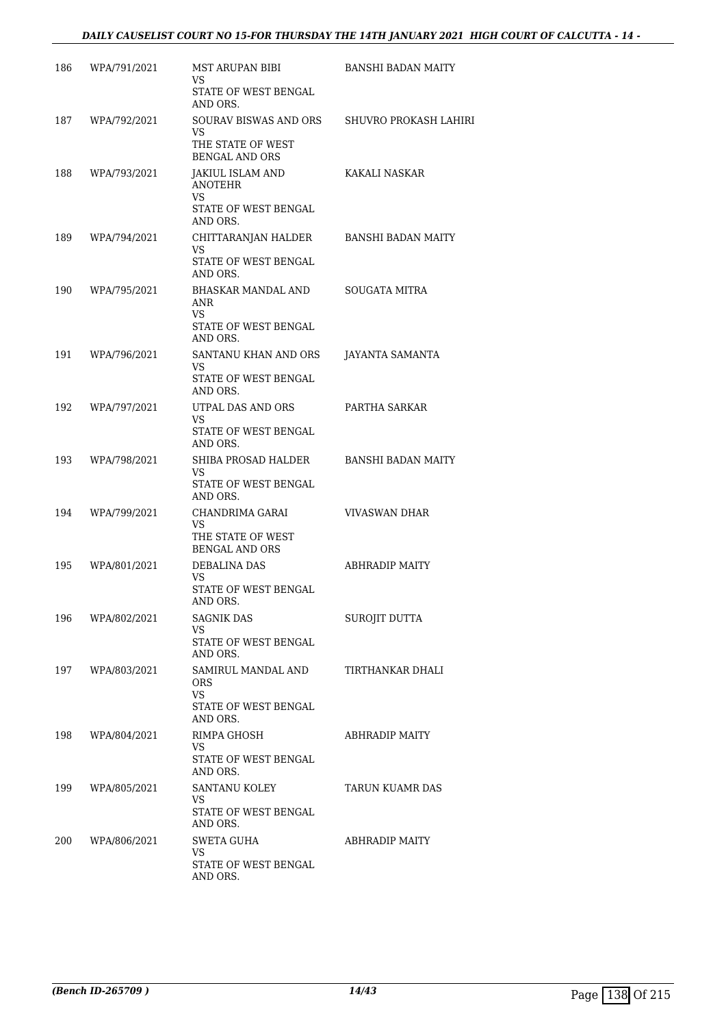#### *DAILY CAUSELIST COURT NO 15-FOR THURSDAY THE 14TH JANUARY 2021 HIGH COURT OF CALCUTTA - 14 -*

| 186 | WPA/791/2021 | MST ARUPAN BIBI<br>VS.<br>STATE OF WEST BENGAL                                             | <b>BANSHI BADAN MAITY</b> |
|-----|--------------|--------------------------------------------------------------------------------------------|---------------------------|
| 187 | WPA/792/2021 | AND ORS.<br>SOURAV BISWAS AND ORS<br>VS<br>THE STATE OF WEST                               | SHUVRO PROKASH LAHIRI     |
| 188 | WPA/793/2021 | <b>BENGAL AND ORS</b><br>JAKIUL ISLAM AND<br><b>ANOTEHR</b><br>VS.<br>STATE OF WEST BENGAL | KAKALI NASKAR             |
| 189 | WPA/794/2021 | AND ORS.<br>CHITTARANJAN HALDER<br>VS<br>STATE OF WEST BENGAL<br>AND ORS.                  | BANSHI BADAN MAITY        |
| 190 | WPA/795/2021 | BHASKAR MANDAL AND<br>ANR<br>VS.<br>STATE OF WEST BENGAL<br>AND ORS.                       | SOUGATA MITRA             |
| 191 | WPA/796/2021 | SANTANU KHAN AND ORS<br>VS.<br>STATE OF WEST BENGAL<br>AND ORS.                            | JAYANTA SAMANTA           |
| 192 | WPA/797/2021 | UTPAL DAS AND ORS<br>VS.<br>STATE OF WEST BENGAL<br>AND ORS.                               | PARTHA SARKAR             |
| 193 | WPA/798/2021 | SHIBA PROSAD HALDER<br>VS<br>STATE OF WEST BENGAL<br>AND ORS.                              | <b>BANSHI BADAN MAITY</b> |
| 194 | WPA/799/2021 | CHANDRIMA GARAI<br>VS.<br>THE STATE OF WEST<br><b>BENGAL AND ORS</b>                       | VIVASWAN DHAR             |
| 195 | WPA/801/2021 | DEBALINA DAS<br>VS.<br>STATE OF WEST BENGAL<br>AND ORS.                                    | ABHRADIP MAITY            |
| 196 | WPA/802/2021 | SAGNIK DAS<br>VS.<br>STATE OF WEST BENGAL<br>AND ORS.                                      | SUROJIT DUTTA             |
| 197 | WPA/803/2021 | SAMIRUL MANDAL AND<br>ORS.<br>VS<br>STATE OF WEST BENGAL                                   | TIRTHANKAR DHALI          |
| 198 | WPA/804/2021 | AND ORS.<br>RIMPA GHOSH<br>VS<br>STATE OF WEST BENGAL                                      | ABHRADIP MAITY            |
| 199 | WPA/805/2021 | AND ORS.<br>SANTANU KOLEY<br>VS<br>STATE OF WEST BENGAL<br>AND ORS.                        | TARUN KUAMR DAS           |
| 200 | WPA/806/2021 | SWETA GUHA<br>VS<br>STATE OF WEST BENGAL<br>AND ORS.                                       | ABHRADIP MAITY            |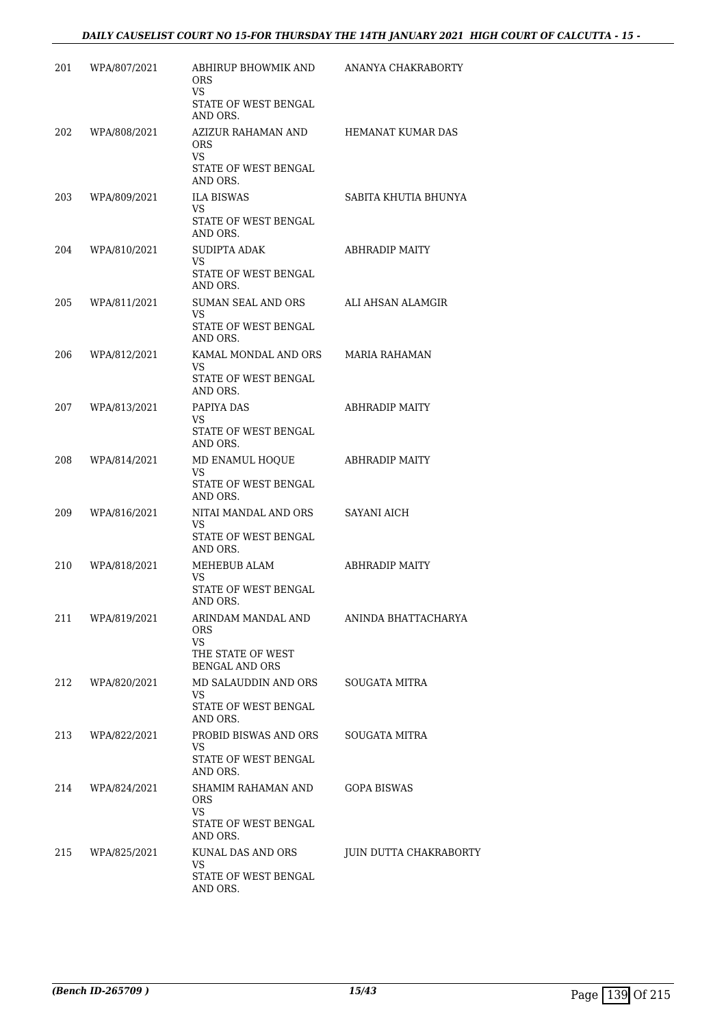| 201 | WPA/807/2021 | ABHIRUP BHOWMIK AND<br>ORS.<br>VS<br>STATE OF WEST BENGAL                               | ANANYA CHAKRABORTY     |
|-----|--------------|-----------------------------------------------------------------------------------------|------------------------|
| 202 | WPA/808/2021 | AND ORS.<br>AZIZUR RAHAMAN AND<br><b>ORS</b><br>VS.<br>STATE OF WEST BENGAL<br>AND ORS. | HEMANAT KUMAR DAS      |
| 203 | WPA/809/2021 | <b>ILA BISWAS</b><br>VS.<br>STATE OF WEST BENGAL<br>AND ORS.                            | SABITA KHUTIA BHUNYA   |
| 204 | WPA/810/2021 | SUDIPTA ADAK<br>VS<br>STATE OF WEST BENGAL<br>AND ORS.                                  | ABHRADIP MAITY         |
| 205 | WPA/811/2021 | SUMAN SEAL AND ORS<br>VS.<br>STATE OF WEST BENGAL<br>AND ORS.                           | ALI AHSAN ALAMGIR      |
| 206 | WPA/812/2021 | KAMAL MONDAL AND ORS<br>VS<br>STATE OF WEST BENGAL<br>AND ORS.                          | <b>MARIA RAHAMAN</b>   |
| 207 | WPA/813/2021 | PAPIYA DAS<br>VS.<br>STATE OF WEST BENGAL<br>AND ORS.                                   | ABHRADIP MAITY         |
| 208 | WPA/814/2021 | MD ENAMUL HOQUE<br>VS.<br>STATE OF WEST BENGAL<br>AND ORS.                              | ABHRADIP MAITY         |
| 209 | WPA/816/2021 | NITAI MANDAL AND ORS<br>VS.<br>STATE OF WEST BENGAL<br>AND ORS.                         | SAYANI AICH            |
| 210 | WPA/818/2021 | MEHEBUB ALAM<br>VS<br>STATE OF WEST BENGAL<br>AND ORS.                                  | ABHRADIP MAITY         |
| 211 | WPA/819/2021 | ARINDAM MANDAL AND<br>ORS.<br>VS<br>THE STATE OF WEST<br><b>BENGAL AND ORS</b>          | ANINDA BHATTACHARYA    |
| 212 | WPA/820/2021 | MD SALAUDDIN AND ORS<br>VS<br>STATE OF WEST BENGAL<br>AND ORS.                          | SOUGATA MITRA          |
| 213 | WPA/822/2021 | PROBID BISWAS AND ORS<br>VS<br>STATE OF WEST BENGAL<br>AND ORS.                         | SOUGATA MITRA          |
| 214 | WPA/824/2021 | SHAMIM RAHAMAN AND<br><b>ORS</b><br>VS<br>STATE OF WEST BENGAL<br>AND ORS.              | <b>GOPA BISWAS</b>     |
| 215 | WPA/825/2021 | KUNAL DAS AND ORS<br>VS<br>STATE OF WEST BENGAL<br>AND ORS.                             | JUIN DUTTA CHAKRABORTY |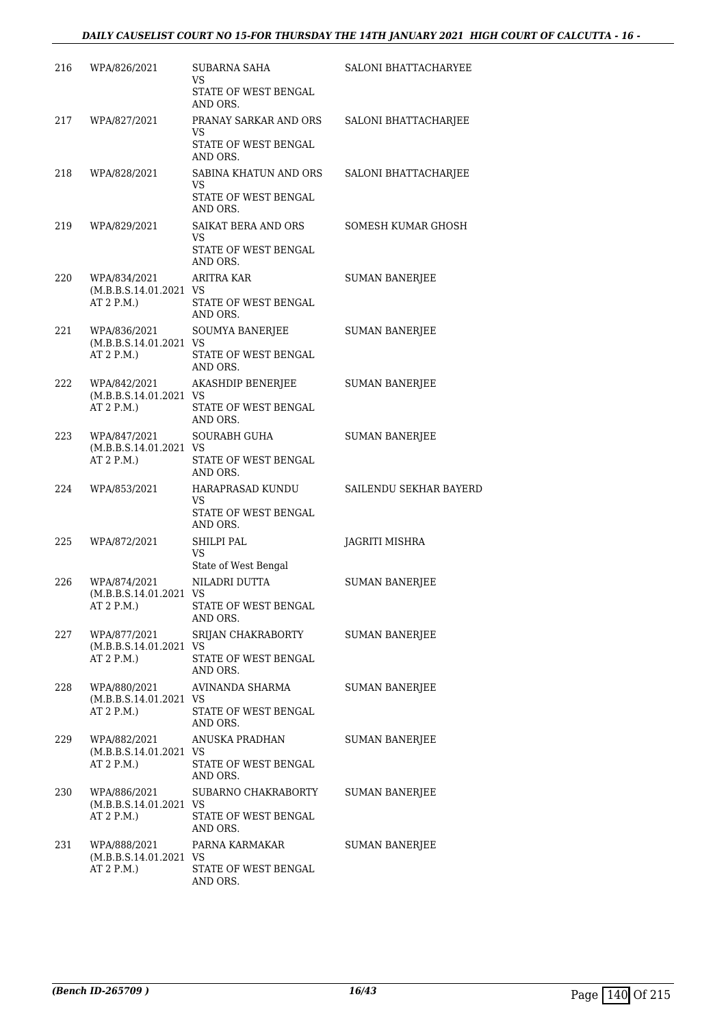| 216 | WPA/826/2021                                         | SUBARNA SAHA<br>VS                                                   | <b>SALONI BHATTACHARYEE</b> |
|-----|------------------------------------------------------|----------------------------------------------------------------------|-----------------------------|
|     |                                                      | STATE OF WEST BENGAL<br>AND ORS.                                     |                             |
| 217 | WPA/827/2021                                         | PRANAY SARKAR AND ORS<br>VS<br>STATE OF WEST BENGAL<br>AND ORS.      | SALONI BHATTACHARJEE        |
| 218 | WPA/828/2021                                         | SABINA KHATUN AND ORS<br>VS<br>STATE OF WEST BENGAL<br>AND ORS.      | SALONI BHATTACHARJEE        |
| 219 | WPA/829/2021                                         | SAIKAT BERA AND ORS<br><b>VS</b><br>STATE OF WEST BENGAL<br>AND ORS. | SOMESH KUMAR GHOSH          |
| 220 | WPA/834/2021<br>(M.B.B.S.14.01.2021 VS<br>AT 2 P.M.  | <b>ARITRA KAR</b><br>STATE OF WEST BENGAL<br>AND ORS.                | <b>SUMAN BANERJEE</b>       |
| 221 | WPA/836/2021<br>(M.B.B.S.14.01.2021 VS<br>AT 2 P.M.) | <b>SOUMYA BANERJEE</b><br>STATE OF WEST BENGAL<br>AND ORS.           | <b>SUMAN BANERJEE</b>       |
| 222 | WPA/842/2021<br>(M.B.B.S.14.01.2021 VS<br>AT 2 P.M.) | AKASHDIP BENERJEE<br>STATE OF WEST BENGAL<br>AND ORS.                | <b>SUMAN BANERJEE</b>       |
| 223 | WPA/847/2021<br>(M.B.B.S.14.01.2021 VS<br>AT 2 P.M.) | SOURABH GUHA<br>STATE OF WEST BENGAL<br>AND ORS.                     | <b>SUMAN BANERJEE</b>       |
| 224 | WPA/853/2021                                         | HARAPRASAD KUNDU<br>VS<br>STATE OF WEST BENGAL<br>AND ORS.           | SAILENDU SEKHAR BAYERD      |
| 225 | WPA/872/2021                                         | SHILPI PAL<br>VS<br>State of West Bengal                             | JAGRITI MISHRA              |
| 226 | WPA/874/2021<br>(M.B.B.S.14.01.2021 VS<br>AT 2 P.M.) | NILADRI DUTTA<br>STATE OF WEST BENGAL<br>AND ORS.                    | <b>SUMAN BANERJEE</b>       |
| 227 | WPA/877/2021<br>(M.B.B.S.14.01.2021 VS<br>AT 2 P.M.) | SRIJAN CHAKRABORTY<br>STATE OF WEST BENGAL<br>AND ORS.               | <b>SUMAN BANERIEE</b>       |
| 228 | WPA/880/2021<br>(M.B.B.S.14.01.2021 VS<br>AT 2 P.M.  | AVINANDA SHARMA<br>STATE OF WEST BENGAL<br>AND ORS.                  | <b>SUMAN BANERJEE</b>       |
| 229 | WPA/882/2021<br>(M.B.B.S.14.01.2021 VS<br>AT 2 P.M.) | ANUSKA PRADHAN<br>STATE OF WEST BENGAL<br>AND ORS.                   | <b>SUMAN BANERJEE</b>       |
| 230 | WPA/886/2021<br>(M.B.B.S.14.01.2021 VS<br>AT 2 P.M.) | SUBARNO CHAKRABORTY<br>STATE OF WEST BENGAL<br>AND ORS.              | SUMAN BANERJEE              |
| 231 | WPA/888/2021<br>(M.B.B.S.14.01.2021 VS<br>AT 2 P.M.  | PARNA KARMAKAR<br>STATE OF WEST BENGAL<br>AND ORS.                   | <b>SUMAN BANERJEE</b>       |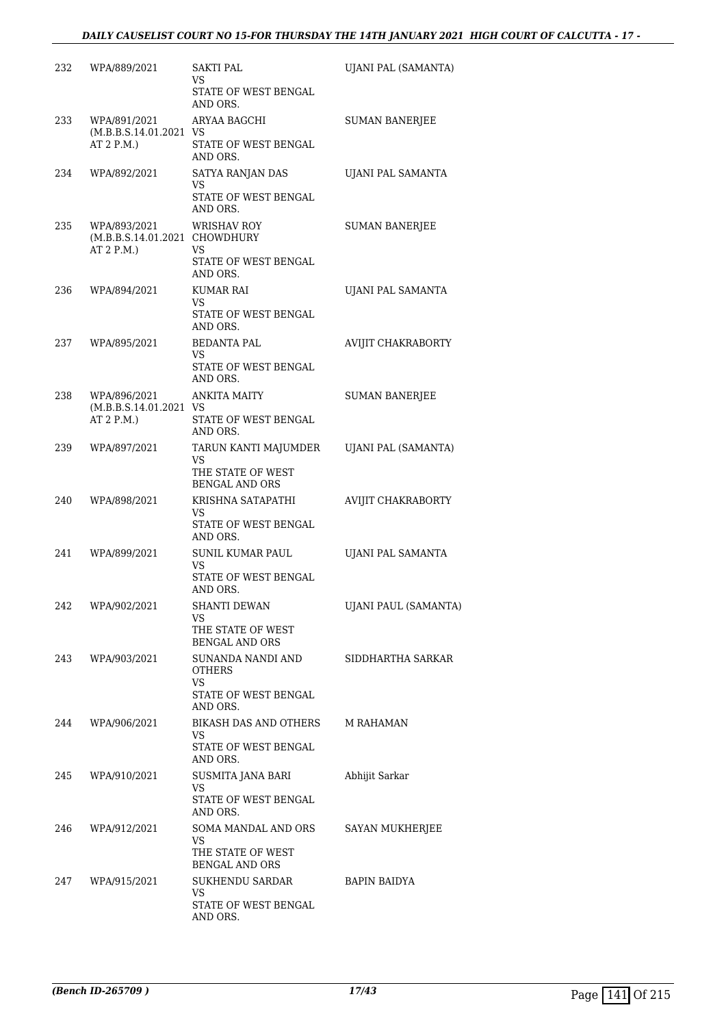| 232 | WPA/889/2021                                                | SAKTI PAL<br>VS.                                                         | UJANI PAL (SAMANTA)    |
|-----|-------------------------------------------------------------|--------------------------------------------------------------------------|------------------------|
|     |                                                             | STATE OF WEST BENGAL<br>AND ORS.                                         |                        |
| 233 | WPA/891/2021<br>(M.B.B.S.14.01.2021 VS                      | ARYAA BAGCHI                                                             | <b>SUMAN BANERJEE</b>  |
|     | AT 2 P.M.                                                   | STATE OF WEST BENGAL<br>AND ORS.                                         |                        |
| 234 | WPA/892/2021                                                | SATYA RANJAN DAS<br>VS                                                   | UJANI PAL SAMANTA      |
|     |                                                             | STATE OF WEST BENGAL<br>AND ORS.                                         |                        |
| 235 | WPA/893/2021<br>(M.B.B.S.14.01.2021 CHOWDHURY<br>AT 2 P.M.) | <b>WRISHAV ROY</b><br>VS                                                 | <b>SUMAN BANERJEE</b>  |
|     |                                                             | STATE OF WEST BENGAL<br>AND ORS.                                         |                        |
| 236 | WPA/894/2021                                                | KUMAR RAI<br>VS                                                          | UJANI PAL SAMANTA      |
|     |                                                             | STATE OF WEST BENGAL<br>AND ORS.                                         |                        |
| 237 | WPA/895/2021                                                | <b>BEDANTA PAL</b><br>VS                                                 | AVIJIT CHAKRABORTY     |
|     |                                                             | STATE OF WEST BENGAL<br>AND ORS.                                         |                        |
| 238 | WPA/896/2021<br>(M.B.B.S.14.01.2021 VS                      | <b>ANKITA MAITY</b>                                                      | <b>SUMAN BANERJEE</b>  |
|     | AT 2 P.M.)                                                  | STATE OF WEST BENGAL<br>AND ORS.                                         |                        |
| 239 | WPA/897/2021                                                | TARUN KANTI MAJUMDER<br>VS<br>THE STATE OF WEST<br><b>BENGAL AND ORS</b> | UJANI PAL (SAMANTA)    |
| 240 | WPA/898/2021                                                | KRISHNA SATAPATHI                                                        | AVIJIT CHAKRABORTY     |
|     |                                                             | VS<br>STATE OF WEST BENGAL<br>AND ORS.                                   |                        |
| 241 | WPA/899/2021                                                | <b>SUNIL KUMAR PAUL</b><br>VS                                            | UJANI PAL SAMANTA      |
|     |                                                             | STATE OF WEST BENGAL<br>AND ORS.                                         |                        |
| 242 | WPA/902/2021                                                | SHANTI DEWAN<br>VS                                                       | UJANI PAUL (SAMANTA)   |
|     |                                                             | THE STATE OF WEST<br><b>BENGAL AND ORS</b>                               |                        |
|     | 243 WPA/903/2021                                            | SUNANDA NANDI AND<br>OTHERS<br>VS.                                       | SIDDHARTHA SARKAR      |
|     |                                                             | STATE OF WEST BENGAL<br>AND ORS.                                         |                        |
| 244 | WPA/906/2021                                                | BIKASH DAS AND OTHERS<br>VS.                                             | M RAHAMAN              |
|     |                                                             | STATE OF WEST BENGAL<br>AND ORS.                                         |                        |
| 245 | WPA/910/2021                                                | SUSMITA JANA BARI<br>VS.<br>STATE OF WEST BENGAL                         | Abhijit Sarkar         |
|     |                                                             | AND ORS.                                                                 |                        |
| 246 | WPA/912/2021                                                | SOMA MANDAL AND ORS<br>VS.<br>THE STATE OF WEST                          | <b>SAYAN MUKHERJEE</b> |
|     | 247 WPA/915/2021                                            | <b>BENGAL AND ORS</b><br>SUKHENDU SARDAR                                 | BAPIN BAIDYA           |
|     |                                                             | VS<br>STATE OF WEST BENGAL<br>AND ORS.                                   |                        |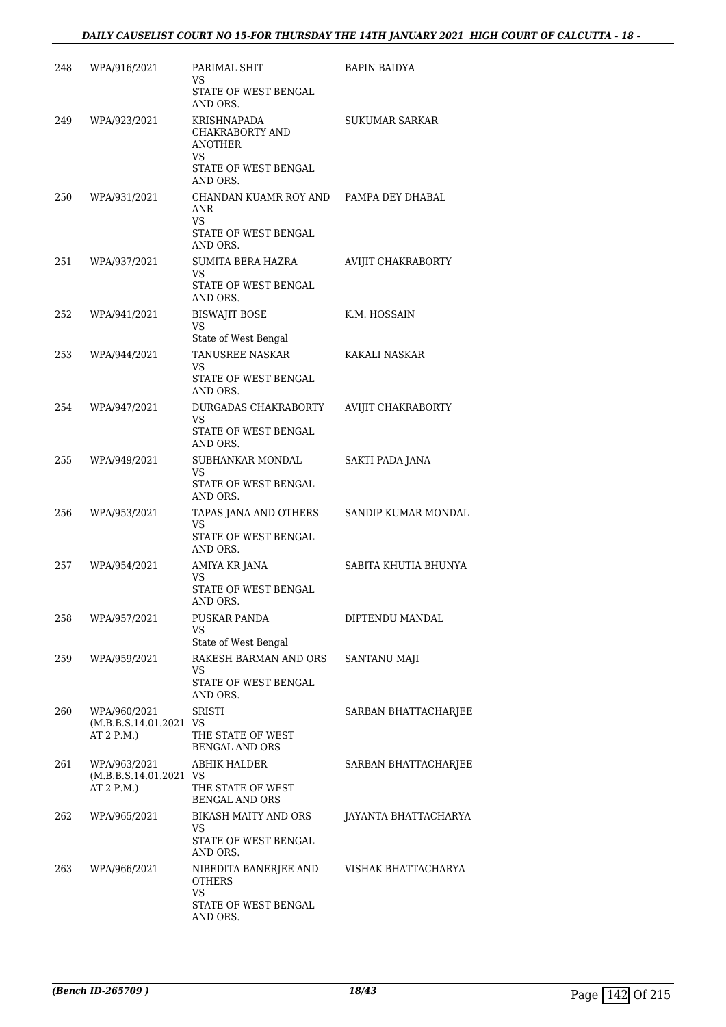| 248 | WPA/916/2021                                         | PARIMAL SHIT<br>VS.<br>STATE OF WEST BENGAL<br>AND ORS.                                    | BAPIN BAIDYA         |
|-----|------------------------------------------------------|--------------------------------------------------------------------------------------------|----------------------|
| 249 | WPA/923/2021                                         | KRISHNAPADA<br>CHAKRABORTY AND<br><b>ANOTHER</b><br>VS<br>STATE OF WEST BENGAL<br>AND ORS. | SUKUMAR SARKAR       |
| 250 | WPA/931/2021                                         | CHANDAN KUAMR ROY AND<br>ANR<br><b>VS</b><br>STATE OF WEST BENGAL<br>AND ORS.              | PAMPA DEY DHABAL     |
| 251 | WPA/937/2021                                         | SUMITA BERA HAZRA<br>VS.<br>STATE OF WEST BENGAL<br>AND ORS.                               | AVIJIT CHAKRABORTY   |
| 252 | WPA/941/2021                                         | <b>BISWAJIT BOSE</b><br>VS<br>State of West Bengal                                         | K.M. HOSSAIN         |
| 253 | WPA/944/2021                                         | TANUSREE NASKAR<br>VS.<br>STATE OF WEST BENGAL<br>AND ORS.                                 | KAKALI NASKAR        |
| 254 | WPA/947/2021                                         | DURGADAS CHAKRABORTY<br>VS.<br>STATE OF WEST BENGAL<br>AND ORS.                            | AVIJIT CHAKRABORTY   |
| 255 | WPA/949/2021                                         | SUBHANKAR MONDAL<br>VS<br>STATE OF WEST BENGAL<br>AND ORS.                                 | SAKTI PADA JANA      |
| 256 | WPA/953/2021                                         | TAPAS JANA AND OTHERS<br>VS<br>STATE OF WEST BENGAL<br>AND ORS.                            | SANDIP KUMAR MONDAL  |
| 257 | WPA/954/2021                                         | AMIYA KR JANA<br>VS<br>STATE OF WEST BENGAL<br>AND ORS.                                    | SABITA KHUTIA BHUNYA |
| 258 | WPA/957/2021                                         | PUSKAR PANDA<br>VS.<br>State of West Bengal                                                | DIPTENDU MANDAL      |
| 259 | WPA/959/2021                                         | RAKESH BARMAN AND ORS<br>VS<br>STATE OF WEST BENGAL<br>AND ORS.                            | <b>SANTANU MAJI</b>  |
| 260 | WPA/960/2021<br>(M.B.B.S.14.01.2021 VS<br>AT 2 P.M.) | <b>SRISTI</b><br>THE STATE OF WEST<br><b>BENGAL AND ORS</b>                                | SARBAN BHATTACHARJEE |
| 261 | WPA/963/2021<br>(M.B.B.S.14.01.2021 VS<br>AT 2 P.M.) | ABHIK HALDER<br>THE STATE OF WEST<br><b>BENGAL AND ORS</b>                                 | SARBAN BHATTACHARJEE |
| 262 | WPA/965/2021                                         | BIKASH MAITY AND ORS<br>VS<br>STATE OF WEST BENGAL<br>AND ORS.                             | JAYANTA BHATTACHARYA |
| 263 | WPA/966/2021                                         | NIBEDITA BANERJEE AND<br>OTHERS<br><b>VS</b><br>STATE OF WEST BENGAL<br>AND ORS.           | VISHAK BHATTACHARYA  |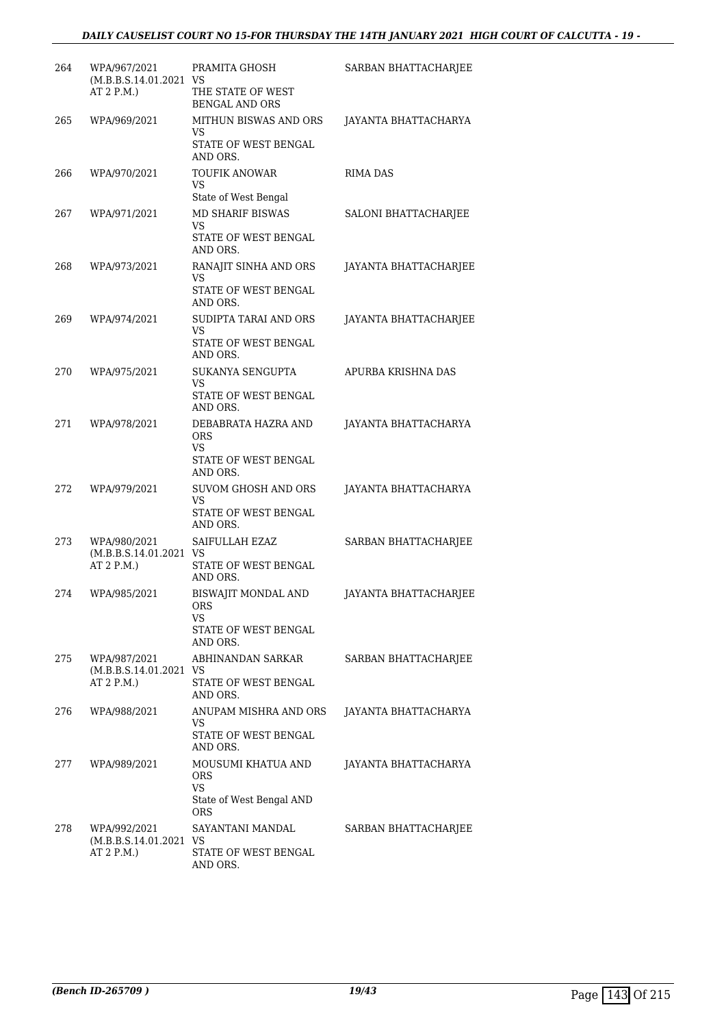# *DAILY CAUSELIST COURT NO 15-FOR THURSDAY THE 14TH JANUARY 2021 HIGH COURT OF CALCUTTA - 19 -*

| 264 | WPA/967/2021<br>(M.B.B.S.14.01.2021 VS<br>AT 2 P.M.  | PRAMITA GHOSH<br>THE STATE OF WEST<br><b>BENGAL AND ORS</b>          | SARBAN BHATTACHARJEE  |
|-----|------------------------------------------------------|----------------------------------------------------------------------|-----------------------|
| 265 | WPA/969/2021                                         | MITHUN BISWAS AND ORS<br>VS<br>STATE OF WEST BENGAL<br>AND ORS.      | JAYANTA BHATTACHARYA  |
| 266 | WPA/970/2021                                         | <b>TOUFIK ANOWAR</b><br>VS<br>State of West Bengal                   | RIMA DAS              |
| 267 | WPA/971/2021                                         | MD SHARIF BISWAS<br>VS<br>STATE OF WEST BENGAL<br>AND ORS.           | SALONI BHATTACHARJEE  |
| 268 | WPA/973/2021                                         | RANAJIT SINHA AND ORS<br>VS<br>STATE OF WEST BENGAL<br>AND ORS.      | JAYANTA BHATTACHARJEE |
| 269 | WPA/974/2021                                         | SUDIPTA TARAI AND ORS<br>VS<br>STATE OF WEST BENGAL<br>AND ORS.      | JAYANTA BHATTACHARJEE |
| 270 | WPA/975/2021                                         | SUKANYA SENGUPTA<br>VS<br>STATE OF WEST BENGAL<br>AND ORS.           | APURBA KRISHNA DAS    |
| 271 | WPA/978/2021                                         | DEBABRATA HAZRA AND<br>ORS<br>VS<br>STATE OF WEST BENGAL<br>AND ORS. | JAYANTA BHATTACHARYA  |
| 272 | WPA/979/2021                                         | SUVOM GHOSH AND ORS<br>VS<br>STATE OF WEST BENGAL<br>AND ORS.        | JAYANTA BHATTACHARYA  |
| 273 | WPA/980/2021<br>(M.B.B.S.14.01.2021 VS<br>AT 2 P.M.) | SAIFULLAH EZAZ<br>STATE OF WEST BENGAL<br>AND ORS.                   | SARBAN BHATTACHARJEE  |
| 274 | WPA/985/2021                                         | BISWAJIT MONDAL AND<br>ORS<br>VS<br>STATE OF WEST BENGAL<br>AND ORS. | JAYANTA BHATTACHARJEE |
| 275 | WPA/987/2021<br>(M.B.B.S.14.01.2021 VS<br>AT 2 P.M.) | ABHINANDAN SARKAR<br>STATE OF WEST BENGAL<br>AND ORS.                | SARBAN BHATTACHARJEE  |
| 276 | WPA/988/2021                                         | ANUPAM MISHRA AND ORS<br>VS<br>STATE OF WEST BENGAL<br>AND ORS.      | JAYANTA BHATTACHARYA  |
| 277 | WPA/989/2021                                         | MOUSUMI KHATUA AND<br>ORS<br>VS<br>State of West Bengal AND<br>ORS   | JAYANTA BHATTACHARYA  |
| 278 | WPA/992/2021<br>(M.B.B.S.14.01.2021 VS<br>AT 2 P.M.) | SAYANTANI MANDAL<br>STATE OF WEST BENGAL<br>AND ORS.                 | SARBAN BHATTACHARJEE  |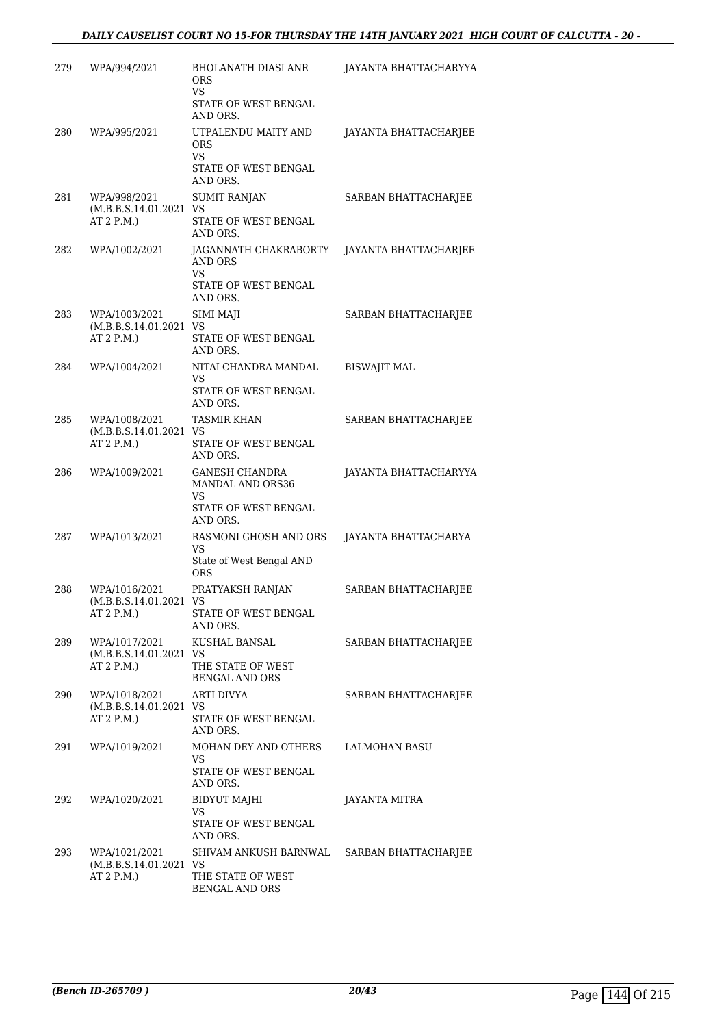| 279 | WPA/994/2021                                           | <b>BHOLANATH DIASI ANR</b><br><b>ORS</b><br>VS.                                     | JAYANTA BHATTACHARYYA |
|-----|--------------------------------------------------------|-------------------------------------------------------------------------------------|-----------------------|
|     |                                                        | STATE OF WEST BENGAL<br>AND ORS.                                                    |                       |
| 280 | WPA/995/2021                                           | UTPALENDU MAITY AND<br><b>ORS</b><br><b>VS</b><br>STATE OF WEST BENGAL<br>AND ORS.  | JAYANTA BHATTACHARJEE |
| 281 | WPA/998/2021<br>(M.B.B.S.14.01.2021 VS<br>AT 2 P.M.)   | <b>SUMIT RANJAN</b><br>STATE OF WEST BENGAL<br>AND ORS.                             | SARBAN BHATTACHARJEE  |
| 282 | WPA/1002/2021                                          | JAGANNATH CHAKRABORTY<br>AND ORS<br><b>VS</b><br>STATE OF WEST BENGAL<br>AND ORS.   | JAYANTA BHATTACHARJEE |
| 283 | WPA/1003/2021<br>(M.B.B.S.14.01.2021 VS<br>AT 2 P.M.)  | SIMI MAJI<br>STATE OF WEST BENGAL<br>AND ORS.                                       | SARBAN BHATTACHARJEE  |
| 284 | WPA/1004/2021                                          | NITAI CHANDRA MANDAL<br>VS<br>STATE OF WEST BENGAL<br>AND ORS.                      | <b>BISWAJIT MAL</b>   |
| 285 | WPA/1008/2021<br>(M.B.B.S.14.01.2021 VS<br>AT 2 P.M.)  | <b>TASMIR KHAN</b><br>STATE OF WEST BENGAL<br>AND ORS.                              | SARBAN BHATTACHARJEE  |
| 286 | WPA/1009/2021                                          | <b>GANESH CHANDRA</b><br>MANDAL AND ORS36<br>VS<br>STATE OF WEST BENGAL<br>AND ORS. | JAYANTA BHATTACHARYYA |
| 287 | WPA/1013/2021                                          | RASMONI GHOSH AND ORS<br>VS<br>State of West Bengal AND<br><b>ORS</b>               | JAYANTA BHATTACHARYA  |
| 288 | WPA/1016/2021<br>(M.B.B.S.14.01.2021 VS<br>AT 2 P.M.)  | PRATYAKSH RANJAN<br>STATE OF WEST BENGAL<br>AND ORS.                                | SARBAN BHATTACHARJEE  |
| 289 | WPA/1017/2021<br>(M.B.B.S.14.01.2021 VS<br>AT 2 P.M.)  | KUSHAL BANSAL<br>THE STATE OF WEST<br>BENGAL AND ORS                                | SARBAN BHATTACHARJEE  |
| 290 | WPA/1018/2021<br>(M.B.B.S.14.01.2021 VS<br>AT 2 P.M.   | ARTI DIVYA<br>STATE OF WEST BENGAL<br>AND ORS.                                      | SARBAN BHATTACHARJEE  |
| 291 | WPA/1019/2021                                          | MOHAN DEY AND OTHERS<br>VS<br>STATE OF WEST BENGAL<br>AND ORS.                      | <b>LALMOHAN BASU</b>  |
| 292 | WPA/1020/2021                                          | <b>BIDYUT MAJHI</b><br>VS<br>STATE OF WEST BENGAL<br>AND ORS.                       | JAYANTA MITRA         |
| 293 | WPA/1021/2021<br>(M.B.B.S.14.01.2021 VS)<br>AT 2 P.M.) | SHIVAM ANKUSH BARNWAL<br>THE STATE OF WEST<br><b>BENGAL AND ORS</b>                 | SARBAN BHATTACHARJEE  |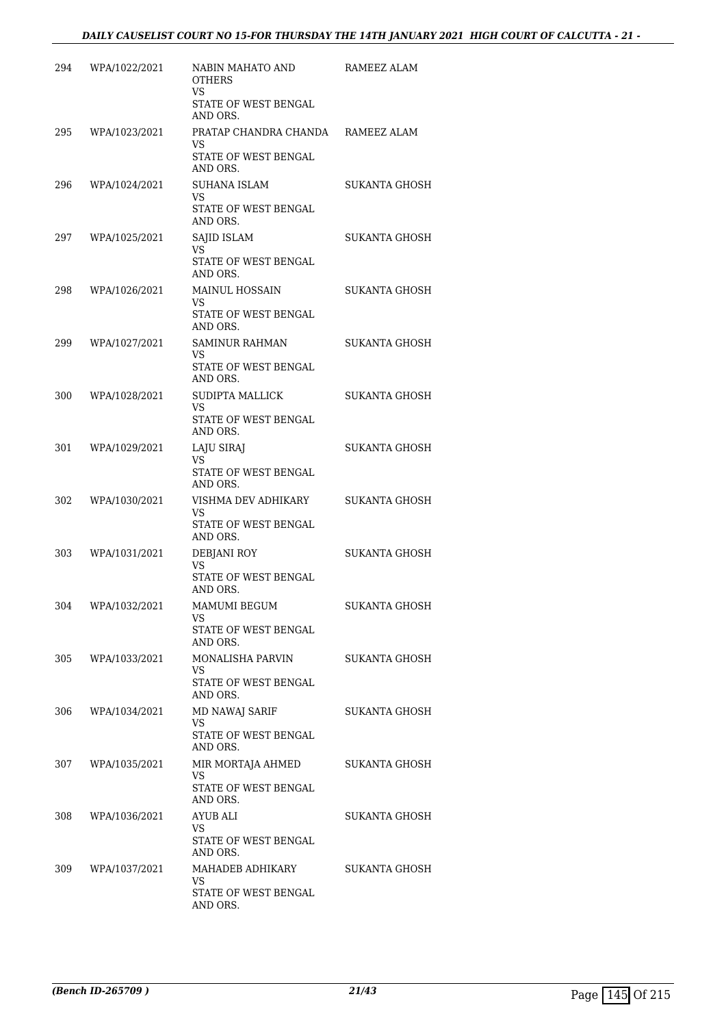| 294 | WPA/1022/2021     | NABIN MAHATO AND<br><b>OTHERS</b><br>VS<br>STATE OF WEST BENGAL<br>AND ORS.  | RAMEEZ ALAM          |
|-----|-------------------|------------------------------------------------------------------------------|----------------------|
| 295 | WPA/1023/2021     | PRATAP CHANDRA CHANDA RAMEEZ ALAM<br>VS.<br>STATE OF WEST BENGAL<br>AND ORS. |                      |
| 296 | WPA/1024/2021     | SUHANA ISLAM<br>VS.<br>STATE OF WEST BENGAL<br>AND ORS.                      | SUKANTA GHOSH        |
| 297 | WPA/1025/2021     | SAJID ISLAM<br>VS.<br>STATE OF WEST BENGAL<br>AND ORS.                       | SUKANTA GHOSH        |
| 298 | WPA/1026/2021     | <b>MAINUL HOSSAIN</b><br>VS.<br>STATE OF WEST BENGAL<br>AND ORS.             | SUKANTA GHOSH        |
| 299 | WPA/1027/2021     | <b>SAMINUR RAHMAN</b><br>VS<br>STATE OF WEST BENGAL<br>AND ORS.              | SUKANTA GHOSH        |
| 300 | WPA/1028/2021     | SUDIPTA MALLICK<br>VS<br>STATE OF WEST BENGAL<br>AND ORS.                    | SUKANTA GHOSH        |
| 301 | WPA/1029/2021     | LAJU SIRAJ<br>VS.<br>STATE OF WEST BENGAL<br>AND ORS.                        | SUKANTA GHOSH        |
| 302 | WPA/1030/2021     | VISHMA DEV ADHIKARY<br>VS.<br>STATE OF WEST BENGAL<br>AND ORS.               | SUKANTA GHOSH        |
| 303 | WPA/1031/2021     | DEBJANI ROY<br>VS<br>STATE OF WEST BENGAL<br>AND ORS.                        | <b>SUKANTA GHOSH</b> |
| 304 | WPA/1032/2021     | MAMUMI BEGUM<br>VS<br>STATE OF WEST BENGAL<br>AND ORS.                       | SUKANTA GHOSH        |
|     | 305 WPA/1033/2021 | MONALISHA PARVIN<br>VS.<br>STATE OF WEST BENGAL<br>AND ORS.                  | SUKANTA GHOSH        |
| 306 | WPA/1034/2021     | <b>MD NAWAJ SARIF</b><br>VS.<br>STATE OF WEST BENGAL<br>AND ORS.             | SUKANTA GHOSH        |
|     | 307 WPA/1035/2021 | MIR MORTAJA AHMED<br>VS<br>STATE OF WEST BENGAL<br>AND ORS.                  | SUKANTA GHOSH        |
| 308 | WPA/1036/2021     | AYUB ALI<br>VS<br>STATE OF WEST BENGAL<br>AND ORS.                           | SUKANTA GHOSH        |
|     | 309 WPA/1037/2021 | MAHADEB ADHIKARY<br>VS.<br>STATE OF WEST BENGAL<br>AND ORS.                  | SUKANTA GHOSH        |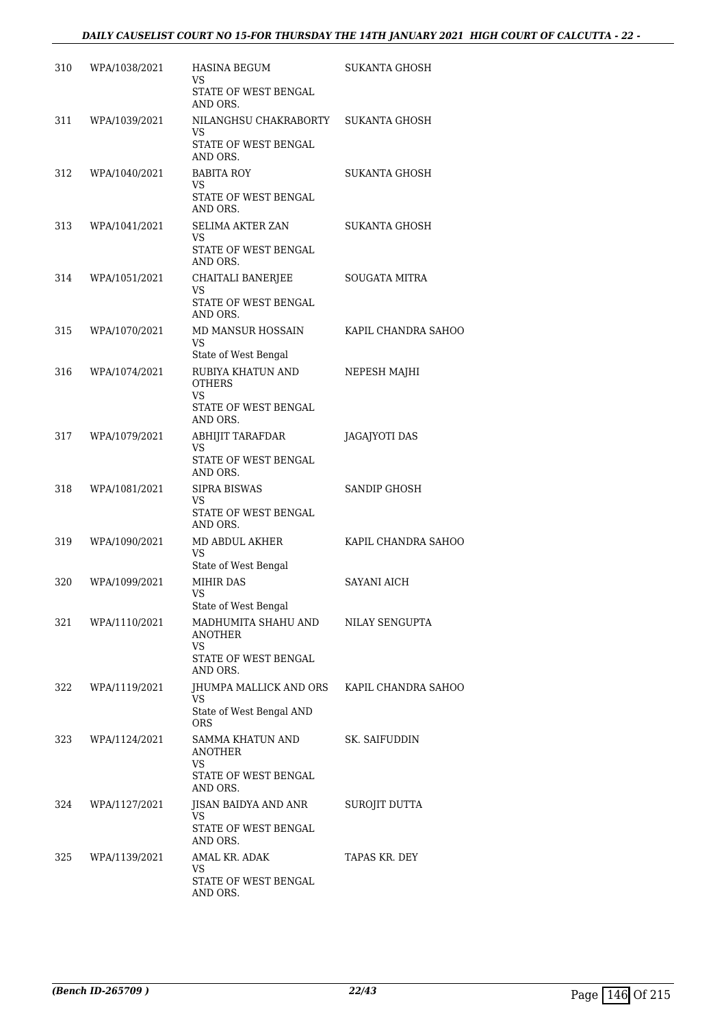| 310 | WPA/1038/2021 | <b>HASINA BEGUM</b><br>VS<br>STATE OF WEST BENGAL                 | SUKANTA GHOSH        |
|-----|---------------|-------------------------------------------------------------------|----------------------|
|     |               | AND ORS.                                                          |                      |
| 311 | WPA/1039/2021 | NILANGHSU CHAKRABORTY SUKANTA GHOSH<br>VS<br>STATE OF WEST BENGAL |                      |
|     |               | AND ORS.                                                          |                      |
| 312 | WPA/1040/2021 | BABITA ROY<br>VS<br>STATE OF WEST BENGAL                          | SUKANTA GHOSH        |
|     |               | AND ORS.<br><b>SELIMA AKTER ZAN</b>                               |                      |
| 313 | WPA/1041/2021 | VS<br>STATE OF WEST BENGAL<br>AND ORS.                            | SUKANTA GHOSH        |
| 314 | WPA/1051/2021 | CHAITALI BANERJEE                                                 | <b>SOUGATA MITRA</b> |
|     |               | VS<br>STATE OF WEST BENGAL<br>AND ORS.                            |                      |
| 315 | WPA/1070/2021 | MD MANSUR HOSSAIN                                                 | KAPIL CHANDRA SAHOO  |
|     |               | VS                                                                |                      |
| 316 | WPA/1074/2021 | State of West Bengal<br>RUBIYA KHATUN AND                         | NEPESH MAJHI         |
|     |               | <b>OTHERS</b><br>VS                                               |                      |
|     |               | STATE OF WEST BENGAL<br>AND ORS.                                  |                      |
| 317 | WPA/1079/2021 | ABHIJIT TARAFDAR<br>VS                                            | JAGAJYOTI DAS        |
|     |               | STATE OF WEST BENGAL<br>AND ORS.                                  |                      |
| 318 | WPA/1081/2021 | <b>SIPRA BISWAS</b>                                               | SANDIP GHOSH         |
|     |               | VS<br>STATE OF WEST BENGAL<br>AND ORS.                            |                      |
| 319 | WPA/1090/2021 | MD ABDUL AKHER<br>VS                                              | KAPIL CHANDRA SAHOO  |
|     |               | State of West Bengal                                              | <b>SAYANI AICH</b>   |
| 320 | WPA/1099/2021 | MIHIR DAS<br>VS<br>State of West Bengal                           |                      |
| 321 | WPA/1110/2021 | MADHUMITA SHAHU AND<br>ANOTHER<br>VS.                             | NILAY SENGUPTA       |
|     |               | STATE OF WEST BENGAL<br>AND ORS.                                  |                      |
| 322 | WPA/1119/2021 | <b>IHUMPA MALLICK AND ORS KAPIL CHANDRA SAHOO</b><br>VS           |                      |
|     |               | State of West Bengal AND<br><b>ORS</b>                            |                      |
| 323 | WPA/1124/2021 | SAMMA KHATUN AND<br><b>ANOTHER</b><br>VS                          | SK. SAIFUDDIN        |
|     |               | STATE OF WEST BENGAL<br>AND ORS.                                  |                      |
| 324 | WPA/1127/2021 | JISAN BAIDYA AND ANR<br>VS                                        | SUROJIT DUTTA        |
|     |               | STATE OF WEST BENGAL<br>AND ORS.                                  |                      |
| 325 | WPA/1139/2021 | AMAL KR. ADAK                                                     | TAPAS KR. DEY        |
|     |               | VS.<br>STATE OF WEST BENGAL<br>AND ORS.                           |                      |
|     |               |                                                                   |                      |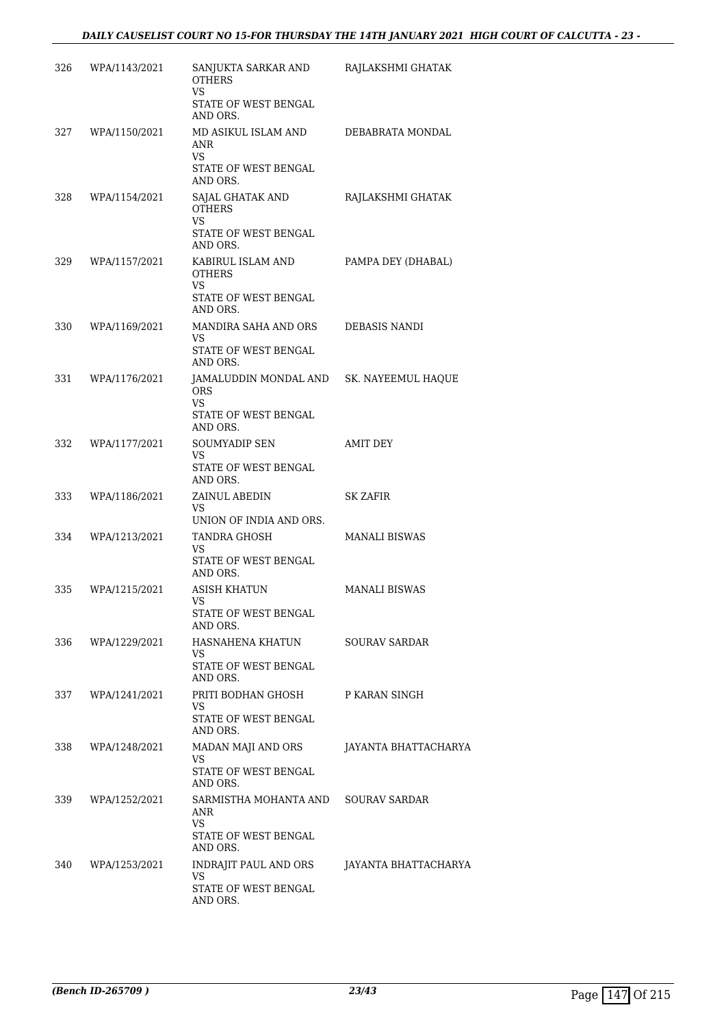| 326 | WPA/1143/2021 | SANJUKTA SARKAR AND<br><b>OTHERS</b><br>VS.<br>STATE OF WEST BENGAL<br>AND ORS.                   | RAJLAKSHMI GHATAK    |
|-----|---------------|---------------------------------------------------------------------------------------------------|----------------------|
| 327 | WPA/1150/2021 | MD ASIKUL ISLAM AND<br>ANR<br>VS.<br>STATE OF WEST BENGAL<br>AND ORS.                             | DEBABRATA MONDAL     |
| 328 | WPA/1154/2021 | SAJAL GHATAK AND<br><b>OTHERS</b><br>VS<br>STATE OF WEST BENGAL<br>AND ORS.                       | RAJLAKSHMI GHATAK    |
| 329 | WPA/1157/2021 | KABIRUL ISLAM AND<br><b>OTHERS</b><br>VS.<br>STATE OF WEST BENGAL<br>AND ORS.                     | PAMPA DEY (DHABAL)   |
| 330 | WPA/1169/2021 | MANDIRA SAHA AND ORS<br>VS<br>STATE OF WEST BENGAL<br>AND ORS.                                    | DEBASIS NANDI        |
| 331 | WPA/1176/2021 | JAMALUDDIN MONDAL AND SK. NAYEEMUL HAQUE<br><b>ORS</b><br>VS.<br>STATE OF WEST BENGAL<br>AND ORS. |                      |
| 332 | WPA/1177/2021 | SOUMYADIP SEN<br>VS<br>STATE OF WEST BENGAL<br>AND ORS.                                           | AMIT DEY             |
| 333 | WPA/1186/2021 | ZAINUL ABEDIN<br>VS.<br>UNION OF INDIA AND ORS.                                                   | SK ZAFIR             |
| 334 | WPA/1213/2021 | <b>TANDRA GHOSH</b><br><b>VS</b><br>STATE OF WEST BENGAL<br>AND ORS.                              | <b>MANALI BISWAS</b> |
| 335 | WPA/1215/2021 | ASISH KHATUN<br>VS<br>STATE OF WEST BENGAL<br>AND ORS.                                            | <b>MANALI BISWAS</b> |
| 336 | WPA/1229/2021 | HASNAHENA KHATUN<br>VS<br>STATE OF WEST BENGAL<br>AND ORS.                                        | <b>SOURAV SARDAR</b> |
| 337 | WPA/1241/2021 | PRITI BODHAN GHOSH<br>VS.<br>STATE OF WEST BENGAL<br>AND ORS.                                     | P KARAN SINGH        |
| 338 | WPA/1248/2021 | MADAN MAJI AND ORS<br>VS<br>STATE OF WEST BENGAL<br>AND ORS.                                      | JAYANTA BHATTACHARYA |
| 339 | WPA/1252/2021 | SARMISTHA MOHANTA AND<br>ANR<br>VS.<br>STATE OF WEST BENGAL<br>AND ORS.                           | <b>SOURAV SARDAR</b> |
| 340 | WPA/1253/2021 | INDRAJIT PAUL AND ORS<br>VS<br>STATE OF WEST BENGAL<br>AND ORS.                                   | JAYANTA BHATTACHARYA |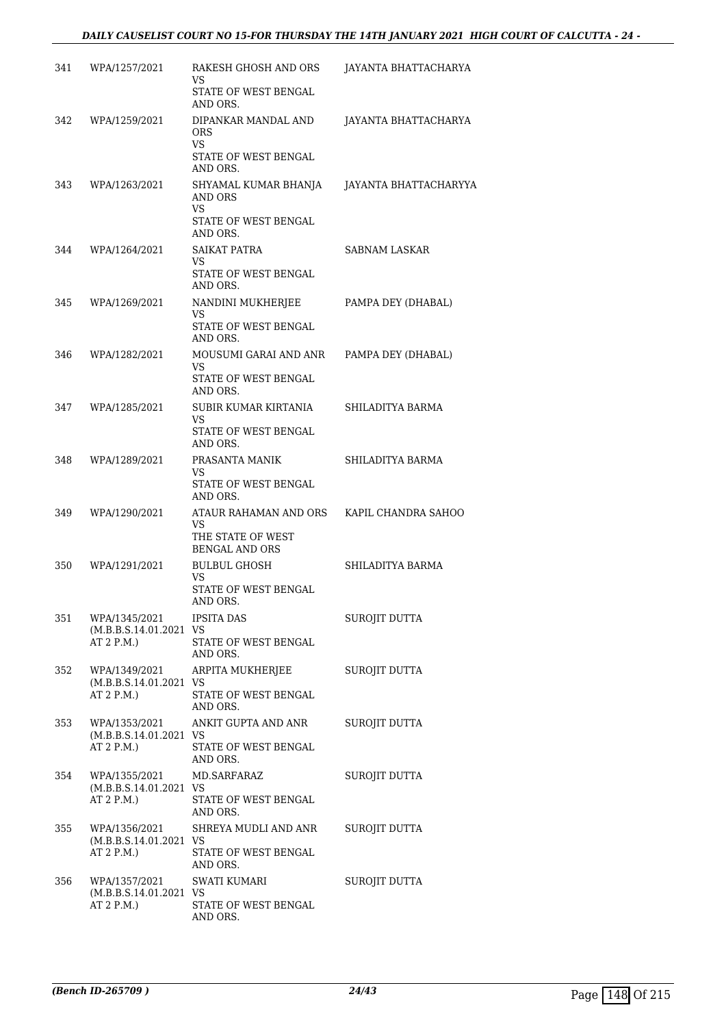| 341 | WPA/1257/2021                                          | RAKESH GHOSH AND ORS<br>VS.<br>STATE OF WEST BENGAL<br>AND ORS.                       | JAYANTA BHATTACHARYA  |
|-----|--------------------------------------------------------|---------------------------------------------------------------------------------------|-----------------------|
| 342 | WPA/1259/2021                                          | DIPANKAR MANDAL AND<br><b>ORS</b><br>VS.<br>STATE OF WEST BENGAL                      | JAYANTA BHATTACHARYA  |
| 343 | WPA/1263/2021                                          | AND ORS.<br>SHYAMAL KUMAR BHANJA<br>AND ORS<br>VS<br>STATE OF WEST BENGAL<br>AND ORS. | JAYANTA BHATTACHARYYA |
| 344 | WPA/1264/2021                                          | SAIKAT PATRA<br>VS.<br>STATE OF WEST BENGAL<br>AND ORS.                               | SABNAM LASKAR         |
| 345 | WPA/1269/2021                                          | NANDINI MUKHERJEE<br>VS<br>STATE OF WEST BENGAL<br>AND ORS.                           | PAMPA DEY (DHABAL)    |
| 346 | WPA/1282/2021                                          | MOUSUMI GARAI AND ANR<br>VS.<br>STATE OF WEST BENGAL<br>AND ORS.                      | PAMPA DEY (DHABAL)    |
| 347 | WPA/1285/2021                                          | SUBIR KUMAR KIRTANIA<br>VS.<br>STATE OF WEST BENGAL<br>AND ORS.                       | SHILADITYA BARMA      |
| 348 | WPA/1289/2021                                          | PRASANTA MANIK<br>VS.<br>STATE OF WEST BENGAL<br>AND ORS.                             | SHILADITYA BARMA      |
| 349 | WPA/1290/2021                                          | ATAUR RAHAMAN AND ORS<br>VS.<br>THE STATE OF WEST<br><b>BENGAL AND ORS</b>            | KAPIL CHANDRA SAHOO   |
| 350 | WPA/1291/2021                                          | <b>BULBUL GHOSH</b><br>VS.<br>STATE OF WEST BENGAL<br>AND ORS.                        | SHILADITYA BARMA      |
| 351 | WPA/1345/2021<br>(M.B.B.S.14.01.2021 VS<br>AT 2 P.M.)  | <b>IPSITA DAS</b><br>STATE OF WEST BENGAL<br>AND ORS.                                 | SUROJIT DUTTA         |
| 352 | WPA/1349/2021<br>(M.B.B.S.14.01.2021 VS)<br>AT 2 P.M.) | ARPITA MUKHERJEE<br>STATE OF WEST BENGAL<br>AND ORS.                                  | SUROJIT DUTTA         |
| 353 | WPA/1353/2021<br>(M.B.B.S.14.01.2021 VS<br>AT 2 P.M.)  | ANKIT GUPTA AND ANR<br>STATE OF WEST BENGAL<br>AND ORS.                               | SUROJIT DUTTA         |
| 354 | WPA/1355/2021<br>(M.B.B.S.14.01.2021 VS<br>AT 2 P.M.   | MD.SARFARAZ<br>STATE OF WEST BENGAL<br>AND ORS.                                       | SUROJIT DUTTA         |
| 355 | WPA/1356/2021<br>(M.B.B.S.14.01.2021 VS<br>AT 2 P.M.)  | SHREYA MUDLI AND ANR<br>STATE OF WEST BENGAL<br>AND ORS.                              | SUROJIT DUTTA         |
| 356 | WPA/1357/2021<br>(M.B.B.S.14.01.2021 VS<br>AT 2 P.M.)  | SWATI KUMARI<br>STATE OF WEST BENGAL<br>AND ORS.                                      | SUROJIT DUTTA         |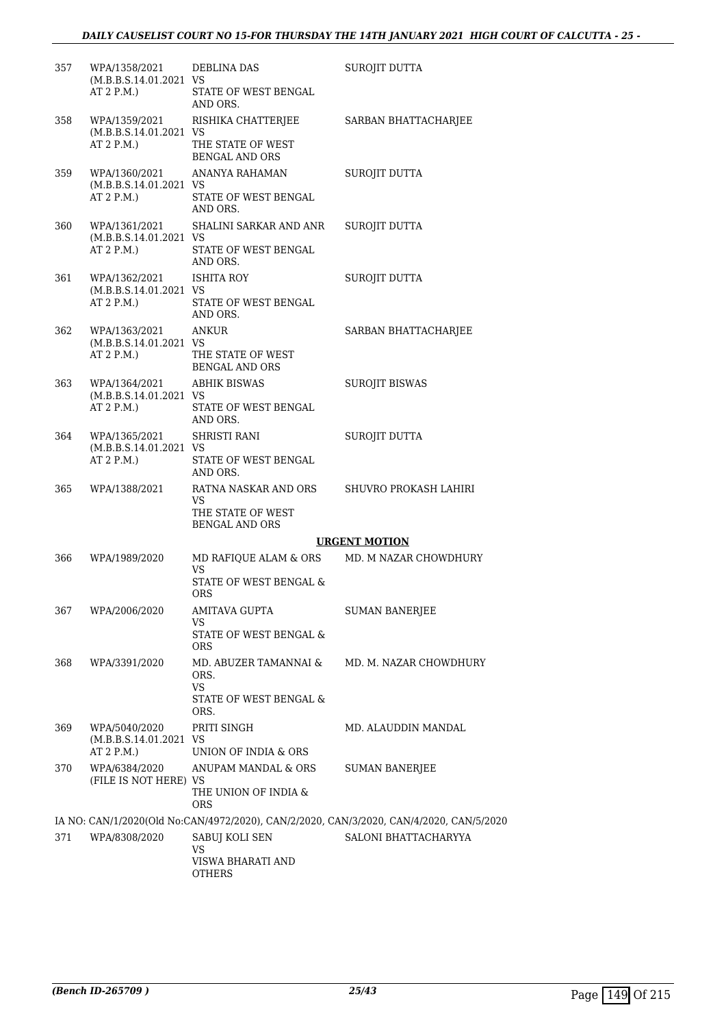| 357 | WPA/1358/2021<br>(M.B.B.S.14.01.2021 VS<br>AT 2 P.M.) | DEBLINA DAS<br>STATE OF WEST BENGAL<br>AND ORS.                                    | SUROJIT DUTTA                                                                           |
|-----|-------------------------------------------------------|------------------------------------------------------------------------------------|-----------------------------------------------------------------------------------------|
| 358 | WPA/1359/2021<br>(M.B.B.S.14.01.2021 VS<br>AT 2 P.M.) | RISHIKA CHATTERJEE<br>THE STATE OF WEST<br><b>BENGAL AND ORS</b>                   | SARBAN BHATTACHARJEE                                                                    |
| 359 | WPA/1360/2021<br>(M.B.B.S.14.01.2021 VS<br>AT 2 P.M.) | ANANYA RAHAMAN<br>STATE OF WEST BENGAL<br>AND ORS.                                 | SUROJIT DUTTA                                                                           |
| 360 | WPA/1361/2021<br>(M.B.B.S.14.01.2021 VS<br>AT 2 P.M.) | SHALINI SARKAR AND ANR<br>STATE OF WEST BENGAL<br>AND ORS.                         | SUROJIT DUTTA                                                                           |
| 361 | WPA/1362/2021<br>(M.B.B.S.14.01.2021 VS<br>AT 2 P.M.) | ISHITA ROY<br>STATE OF WEST BENGAL<br>AND ORS.                                     | SUROJIT DUTTA                                                                           |
| 362 | WPA/1363/2021<br>(M.B.B.S.14.01.2021 VS<br>AT 2 P.M.  | ANKUR<br>THE STATE OF WEST<br><b>BENGAL AND ORS</b>                                | SARBAN BHATTACHARJEE                                                                    |
| 363 | WPA/1364/2021<br>(M.B.B.S.14.01.2021 VS<br>AT 2 P.M.) | <b>ABHIK BISWAS</b><br>STATE OF WEST BENGAL<br>AND ORS.                            | <b>SUROJIT BISWAS</b>                                                                   |
| 364 | WPA/1365/2021<br>(M.B.B.S.14.01.2021 VS<br>AT 2 P.M.) | <b>SHRISTI RANI</b><br>STATE OF WEST BENGAL<br>AND ORS.                            | SUROJIT DUTTA                                                                           |
| 365 | WPA/1388/2021                                         | RATNA NASKAR AND ORS<br>VS<br>THE STATE OF WEST<br><b>BENGAL AND ORS</b>           | SHUVRO PROKASH LAHIRI                                                                   |
|     |                                                       |                                                                                    | <b>URGENT MOTION</b>                                                                    |
| 366 | WPA/1989/2020                                         | MD RAFIOUE ALAM & ORS<br>VS<br>STATE OF WEST BENGAL &                              | MD. M NAZAR CHOWDHURY                                                                   |
| 367 | WPA/2006/2020                                         | ORS<br>AMITAVA GUPTA<br>VS<br>STATE OF WEST BENGAL &                               | <b>SUMAN BANERJEE</b>                                                                   |
| 368 | WPA/3391/2020                                         | <b>ORS</b><br>MD. ABUZER TAMANNAI &<br>ORS.<br><b>VS</b><br>STATE OF WEST BENGAL & | MD. M. NAZAR CHOWDHURY                                                                  |
| 369 | WPA/5040/2020<br>(M.B.B.S.14.01.2021 VS<br>AT 2 P.M.) | ORS.<br>PRITI SINGH<br>UNION OF INDIA & ORS                                        | MD. ALAUDDIN MANDAL                                                                     |
| 370 | WPA/6384/2020<br>(FILE IS NOT HERE) VS                | ANUPAM MANDAL & ORS<br>THE UNION OF INDIA &<br><b>ORS</b>                          | <b>SUMAN BANERJEE</b>                                                                   |
|     |                                                       |                                                                                    | IA NO: CAN/1/2020(Old No:CAN/4972/2020), CAN/2/2020, CAN/3/2020, CAN/4/2020, CAN/5/2020 |
| 371 | WPA/8308/2020                                         | SABUJ KOLI SEN<br>VS<br>VISWA BHARATI AND<br><b>OTHERS</b>                         | SALONI BHATTACHARYYA                                                                    |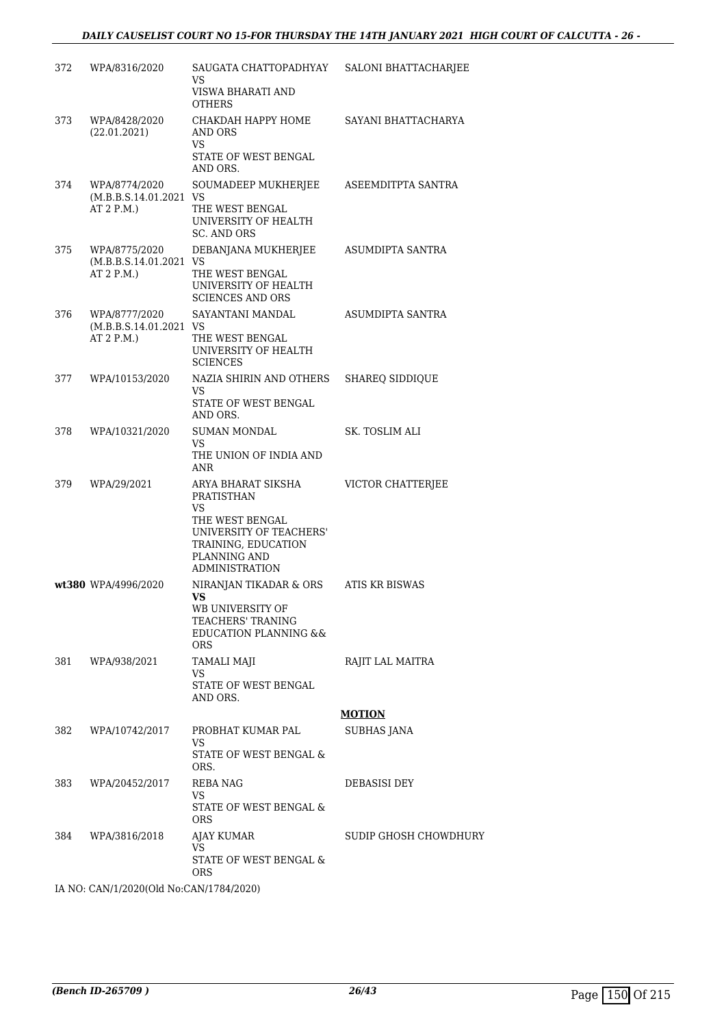| 372 | WPA/8316/2020                                        | SAUGATA CHATTOPADHYAY<br>VS<br>VISWA BHARATI AND                                                           | SALONI BHATTACHARJEE   |
|-----|------------------------------------------------------|------------------------------------------------------------------------------------------------------------|------------------------|
| 373 | WPA/8428/2020<br>(22.01.2021)                        | <b>OTHERS</b><br>CHAKDAH HAPPY HOME<br>AND ORS<br>VS                                                       | SAYANI BHATTACHARYA    |
|     |                                                      | STATE OF WEST BENGAL<br>AND ORS.                                                                           |                        |
| 374 | WPA/8774/2020<br>(M.B.B.S.14.01.2021 VS<br>AT 2 P.M. | SOUMADEEP MUKHERJEE<br>THE WEST BENGAL                                                                     | ASEEMDITPTA SANTRA     |
|     |                                                      | UNIVERSITY OF HEALTH<br><b>SC. AND ORS</b>                                                                 |                        |
| 375 | WPA/8775/2020<br>(M.B.B.S.14.01.2021 VS              | DEBANJANA MUKHERJEE                                                                                        | ASUMDIPTA SANTRA       |
|     | AT 2 P.M.)                                           | THE WEST BENGAL<br>UNIVERSITY OF HEALTH<br><b>SCIENCES AND ORS</b>                                         |                        |
| 376 | WPA/8777/2020<br>(M.B.B.S.14.01.2021 VS<br>AT 2 P.M. | SAYANTANI MANDAL<br>THE WEST BENGAL<br>UNIVERSITY OF HEALTH<br><b>SCIENCES</b>                             | ASUMDIPTA SANTRA       |
| 377 | WPA/10153/2020                                       | NAZIA SHIRIN AND OTHERS<br>VS.                                                                             | <b>SHAREQ SIDDIQUE</b> |
|     |                                                      | STATE OF WEST BENGAL<br>AND ORS.                                                                           |                        |
| 378 | WPA/10321/2020                                       | SUMAN MONDAL<br>VS.                                                                                        | SK. TOSLIM ALI         |
|     |                                                      | THE UNION OF INDIA AND<br>ANR                                                                              |                        |
| 379 | WPA/29/2021                                          | ARYA BHARAT SIKSHA<br>PRATISTHAN<br>VS                                                                     | VICTOR CHATTERJEE      |
|     |                                                      | THE WEST BENGAL<br>UNIVERSITY OF TEACHERS'<br>TRAINING, EDUCATION<br>PLANNING AND<br><b>ADMINISTRATION</b> |                        |
|     | wt380 WPA/4996/2020                                  | NIRANJAN TIKADAR & ORS<br>VS                                                                               | ATIS KR BISWAS         |
|     |                                                      | WB UNIVERSITY OF<br>TEACHERS' TRANING<br><b>EDUCATION PLANNING &amp;&amp;</b><br><b>ORS</b>                |                        |
| 381 | WPA/938/2021                                         | <b>TAMALI MAJI</b><br>VS                                                                                   | RAJIT LAL MAITRA       |
|     |                                                      | STATE OF WEST BENGAL<br>AND ORS.                                                                           |                        |
|     |                                                      |                                                                                                            | <b>MOTION</b>          |
| 382 | WPA/10742/2017                                       | PROBHAT KUMAR PAL<br>VS.                                                                                   | SUBHAS JANA            |
|     |                                                      | STATE OF WEST BENGAL &<br>ORS.                                                                             |                        |
| 383 | WPA/20452/2017                                       | REBA NAG<br>VS.                                                                                            | DEBASISI DEY           |
|     |                                                      | STATE OF WEST BENGAL &<br><b>ORS</b>                                                                       |                        |
| 384 | WPA/3816/2018                                        | AJAY KUMAR<br>VS                                                                                           | SUDIP GHOSH CHOWDHURY  |
|     |                                                      | STATE OF WEST BENGAL &<br><b>ORS</b>                                                                       |                        |
|     | IA NO: CAN/1/2020(Old No:CAN/1784/2020)              |                                                                                                            |                        |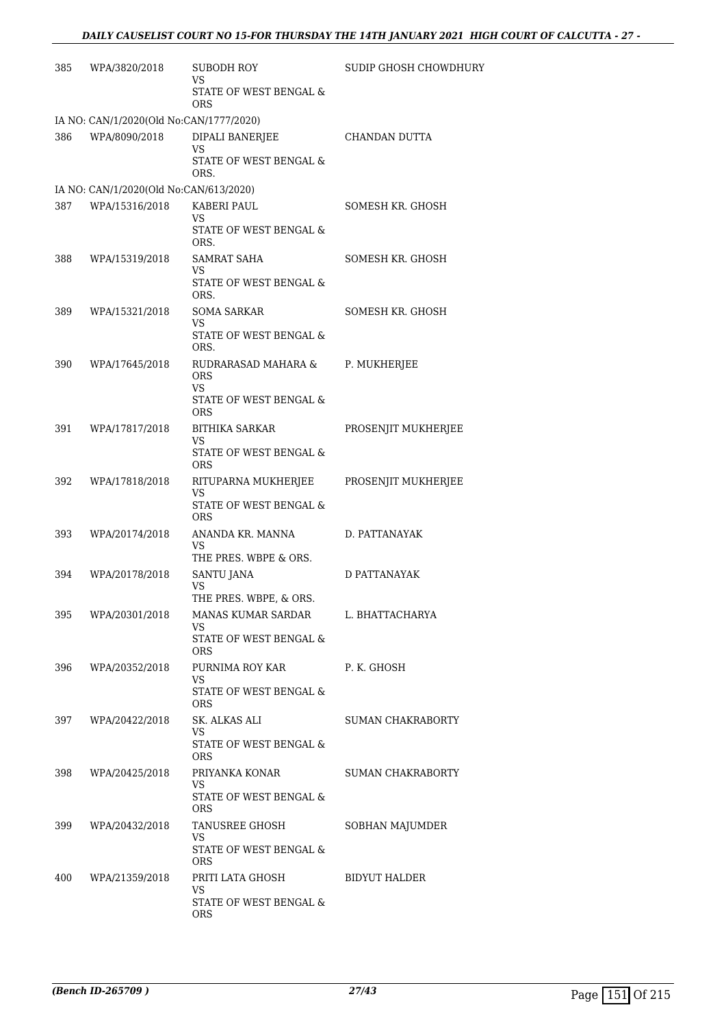| 385 | WPA/3820/2018                           | SUBODH ROY<br>VS                                  | SUDIP GHOSH CHOWDHURY    |
|-----|-----------------------------------------|---------------------------------------------------|--------------------------|
|     |                                         | STATE OF WEST BENGAL &<br><b>ORS</b>              |                          |
|     | IA NO: CAN/1/2020(Old No:CAN/1777/2020) |                                                   |                          |
| 386 | WPA/8090/2018                           | DIPALI BANERJEE<br>VS                             | CHANDAN DUTTA            |
|     |                                         | STATE OF WEST BENGAL &<br>ORS.                    |                          |
|     | IA NO: CAN/1/2020(Old No:CAN/613/2020)  |                                                   |                          |
| 387 | WPA/15316/2018                          | KABERI PAUL<br>VS                                 | SOMESH KR. GHOSH         |
|     |                                         | STATE OF WEST BENGAL &<br>ORS.                    |                          |
| 388 | WPA/15319/2018                          | SAMRAT SAHA<br>VS.                                | SOMESH KR. GHOSH         |
|     |                                         | STATE OF WEST BENGAL &<br>ORS.                    |                          |
| 389 | WPA/15321/2018                          | <b>SOMA SARKAR</b><br>VS                          | SOMESH KR. GHOSH         |
|     |                                         | STATE OF WEST BENGAL &<br>ORS.                    |                          |
| 390 | WPA/17645/2018                          | RUDRARASAD MAHARA &<br><b>ORS</b>                 | P. MUKHERJEE             |
|     |                                         | VS.<br>STATE OF WEST BENGAL &<br><b>ORS</b>       |                          |
| 391 | WPA/17817/2018                          | <b>BITHIKA SARKAR</b><br>VS                       | PROSENJIT MUKHERJEE      |
|     |                                         | STATE OF WEST BENGAL &<br><b>ORS</b>              |                          |
| 392 | WPA/17818/2018                          | RITUPARNA MUKHERJEE<br>VS                         | PROSENJIT MUKHERJEE      |
|     |                                         | STATE OF WEST BENGAL &<br><b>ORS</b>              |                          |
| 393 | WPA/20174/2018                          | ANANDA KR. MANNA<br>VS                            | D. PATTANAYAK            |
|     |                                         | THE PRES. WBPE & ORS.                             |                          |
| 394 | WPA/20178/2018                          | <b>SANTU JANA</b><br>VS<br>THE PRES. WBPE, & ORS. | D PATTANAYAK             |
| 395 | WPA/20301/2018                          | MANAS KUMAR SARDAR<br>VS                          | L. BHATTACHARYA          |
|     |                                         | STATE OF WEST BENGAL &<br><b>ORS</b>              |                          |
| 396 | WPA/20352/2018                          | PURNIMA ROY KAR<br>VS                             | P. K. GHOSH              |
|     |                                         | STATE OF WEST BENGAL &<br>ORS.                    |                          |
|     | 397 WPA/20422/2018                      | SK. ALKAS ALI<br>VS                               | <b>SUMAN CHAKRABORTY</b> |
|     |                                         | STATE OF WEST BENGAL &<br>ORS.                    |                          |
| 398 | WPA/20425/2018                          | PRIYANKA KONAR<br>VS                              | SUMAN CHAKRABORTY        |
|     |                                         | STATE OF WEST BENGAL &<br>ORS.                    |                          |
| 399 | WPA/20432/2018                          | TANUSREE GHOSH<br>VS                              | SOBHAN MAJUMDER          |
|     |                                         | STATE OF WEST BENGAL &<br>ORS.                    |                          |
| 400 | WPA/21359/2018                          | PRITI LATA GHOSH                                  | BIDYUT HALDER            |
|     |                                         | VS<br>STATE OF WEST BENGAL &<br>ORS.              |                          |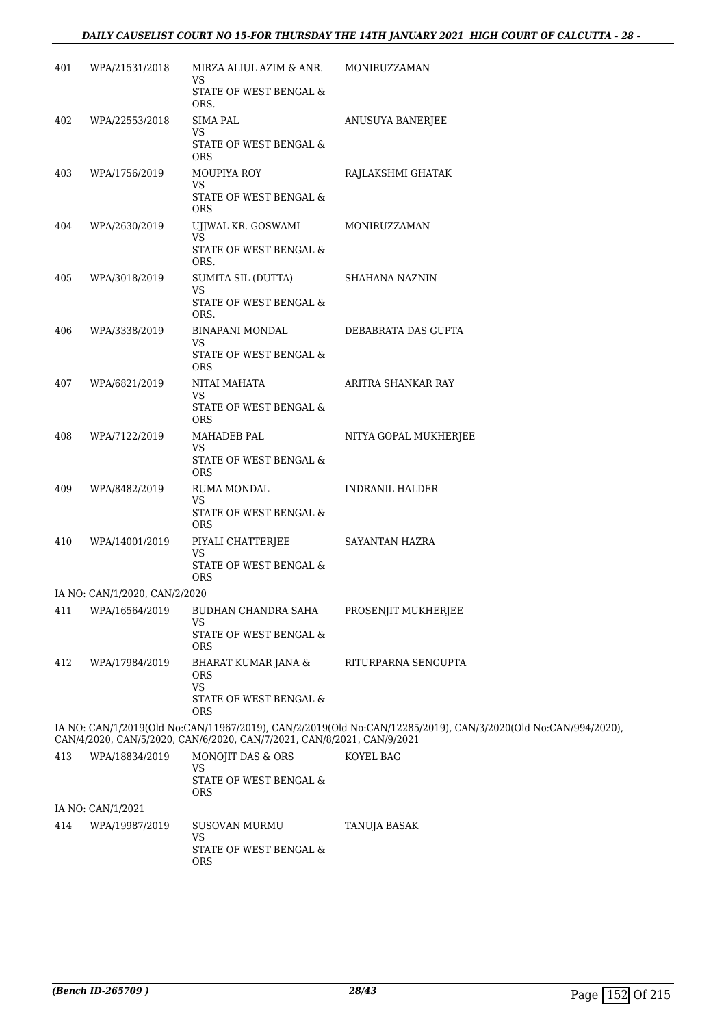#### *DAILY CAUSELIST COURT NO 15-FOR THURSDAY THE 14TH JANUARY 2021 HIGH COURT OF CALCUTTA - 28 -*

| 401 | WPA/21531/2018                | MIRZA ALIUL AZIM & ANR.<br>VS.<br>STATE OF WEST BENGAL &<br>ORS.                           | MONIRUZZAMAN                                                                                                  |
|-----|-------------------------------|--------------------------------------------------------------------------------------------|---------------------------------------------------------------------------------------------------------------|
| 402 | WPA/22553/2018                | SIMA PAL<br>VS<br>STATE OF WEST BENGAL &<br><b>ORS</b>                                     | ANUSUYA BANERJEE                                                                                              |
| 403 | WPA/1756/2019                 | MOUPIYA ROY<br>VS<br>STATE OF WEST BENGAL $\&$                                             | RAJLAKSHMI GHATAK                                                                                             |
| 404 | WPA/2630/2019                 | <b>ORS</b><br>UJJWAL KR. GOSWAMI<br>VS.<br>STATE OF WEST BENGAL &<br>ORS.                  | MONIRUZZAMAN                                                                                                  |
| 405 | WPA/3018/2019                 | SUMITA SIL (DUTTA)<br>VS<br>STATE OF WEST BENGAL &<br>ORS.                                 | SHAHANA NAZNIN                                                                                                |
| 406 | WPA/3338/2019                 | BINAPANI MONDAL<br>VS.<br>STATE OF WEST BENGAL &<br><b>ORS</b>                             | DEBABRATA DAS GUPTA                                                                                           |
| 407 | WPA/6821/2019                 | NITAI MAHATA<br><b>VS</b><br>STATE OF WEST BENGAL &<br><b>ORS</b>                          | ARITRA SHANKAR RAY                                                                                            |
| 408 | WPA/7122/2019                 | MAHADEB PAL<br>VS<br>STATE OF WEST BENGAL $\&$<br>ORS                                      | NITYA GOPAL MUKHERJEE                                                                                         |
| 409 | WPA/8482/2019                 | RUMA MONDAL<br>VS.<br>STATE OF WEST BENGAL &<br><b>ORS</b>                                 | <b>INDRANIL HALDER</b>                                                                                        |
| 410 | WPA/14001/2019                | PIYALI CHATTERJEE<br><b>VS</b><br>STATE OF WEST BENGAL &<br><b>ORS</b>                     | SAYANTAN HAZRA                                                                                                |
|     | IA NO: CAN/1/2020, CAN/2/2020 |                                                                                            |                                                                                                               |
| 411 | WPA/16564/2019                | BUDHAN CHANDRA SAHA<br>VS<br>STATE OF WEST BENGAL &<br><b>ORS</b>                          | PROSENJIT MUKHERJEE                                                                                           |
| 412 | WPA/17984/2019                | <b>BHARAT KUMAR JANA &amp;</b><br><b>ORS</b><br><b>VS</b><br>STATE OF WEST BENGAL &<br>ORS | RITURPARNA SENGUPTA                                                                                           |
|     |                               | CAN/4/2020, CAN/5/2020, CAN/6/2020, CAN/7/2021, CAN/8/2021, CAN/9/2021                     | IA NO: CAN/1/2019(Old No:CAN/11967/2019), CAN/2/2019(Old No:CAN/12285/2019), CAN/3/2020(Old No:CAN/994/2020), |
| 413 | WPA/18834/2019                | MONOJIT DAS & ORS<br>VS.<br>STATE OF WEST BENGAL &<br><b>ORS</b>                           | KOYEL BAG                                                                                                     |
|     | IA NO: CAN/1/2021             |                                                                                            |                                                                                                               |
| 414 | WPA/19987/2019                | <b>SUSOVAN MURMU</b><br>VS                                                                 | TANUJA BASAK                                                                                                  |

STATE OF WEST BENGAL &

ORS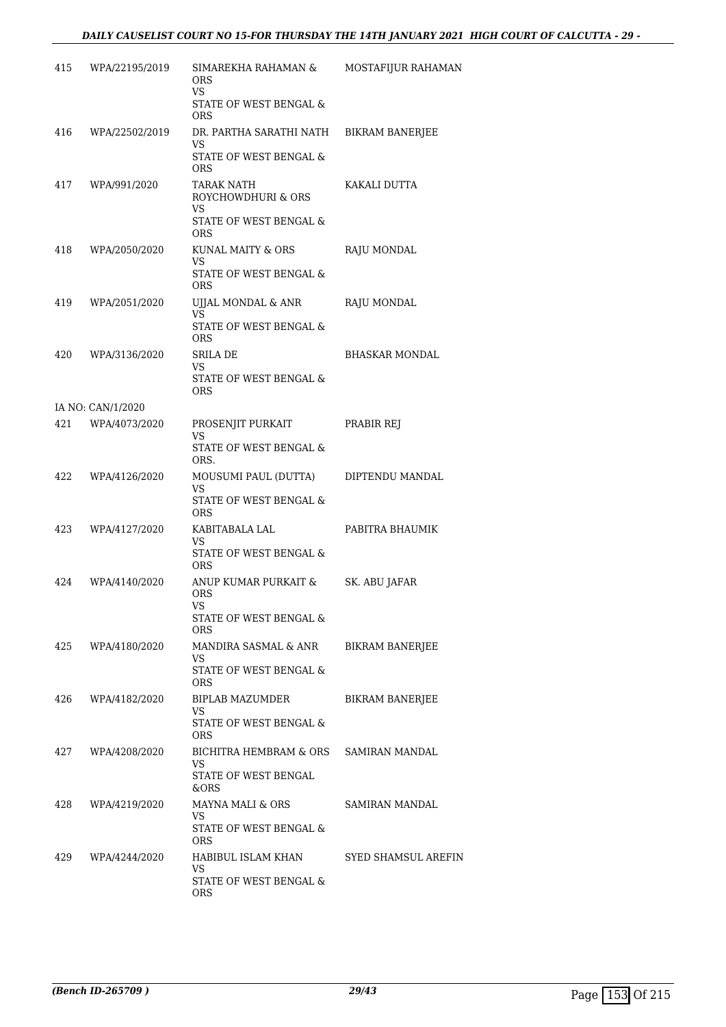| 415 | WPA/22195/2019    | SIMAREKHA RAHAMAN &<br>ORS<br>VS.<br>STATE OF WEST BENGAL & | MOSTAFIJUR RAHAMAN     |
|-----|-------------------|-------------------------------------------------------------|------------------------|
|     |                   | ORS                                                         |                        |
| 416 | WPA/22502/2019    | DR. PARTHA SARATHI NATH<br>VS.<br>STATE OF WEST BENGAL &    | <b>BIKRAM BANERJEE</b> |
| 417 | WPA/991/2020      | ORS<br>TARAK NATH                                           | KAKALI DUTTA           |
|     |                   | ROYCHOWDHURI & ORS<br>VS.<br>STATE OF WEST BENGAL &         |                        |
| 418 | WPA/2050/2020     | ORS<br>KUNAL MAITY & ORS                                    | RAJU MONDAL            |
|     |                   | VS<br>STATE OF WEST BENGAL &<br><b>ORS</b>                  |                        |
| 419 | WPA/2051/2020     | UJJAL MONDAL & ANR<br>VS.                                   | RAJU MONDAL            |
|     |                   | STATE OF WEST BENGAL &<br><b>ORS</b>                        |                        |
| 420 | WPA/3136/2020     | SRILA DE<br>VS                                              | <b>BHASKAR MONDAL</b>  |
|     |                   | STATE OF WEST BENGAL &<br><b>ORS</b>                        |                        |
|     | IA NO: CAN/1/2020 |                                                             |                        |
| 421 | WPA/4073/2020     | PROSENJIT PURKAIT<br>VS.                                    | PRABIR REJ             |
|     |                   | STATE OF WEST BENGAL &<br>ORS.                              |                        |
| 422 | WPA/4126/2020     | MOUSUMI PAUL (DUTTA)<br>VS.                                 | DIPTENDU MANDAL        |
|     |                   | STATE OF WEST BENGAL &<br><b>ORS</b>                        |                        |
| 423 | WPA/4127/2020     | KABITABALA LAL<br>VS                                        | PABITRA BHAUMIK        |
|     |                   | STATE OF WEST BENGAL &<br>ORS                               |                        |
| 424 | WPA/4140/2020     | ANUP KUMAR PURKAIT &<br>ORS<br>VS                           | SK. ABU JAFAR          |
|     |                   | STATE OF WEST BENGAL &<br><b>ORS</b>                        |                        |
| 425 | WPA/4180/2020     | MANDIRA SASMAL & ANR<br>VS.                                 | BIKRAM BANERJEE        |
|     |                   | STATE OF WEST BENGAL &<br><b>ORS</b>                        |                        |
| 426 | WPA/4182/2020     | <b>BIPLAB MAZUMDER</b><br>VS                                | <b>BIKRAM BANERJEE</b> |
|     |                   | STATE OF WEST BENGAL &<br><b>ORS</b>                        |                        |
| 427 | WPA/4208/2020     | BICHITRA HEMBRAM & ORS SAMIRAN MANDAL<br>VS                 |                        |
|     |                   | STATE OF WEST BENGAL<br>&ORS                                |                        |
| 428 | WPA/4219/2020     | MAYNA MALI & ORS<br>VS.                                     | SAMIRAN MANDAL         |
|     |                   | STATE OF WEST BENGAL &<br><b>ORS</b>                        |                        |
| 429 | WPA/4244/2020     | HABIBUL ISLAM KHAN<br>VS.                                   | SYED SHAMSUL AREFIN    |
|     |                   | STATE OF WEST BENGAL &<br>ORS                               |                        |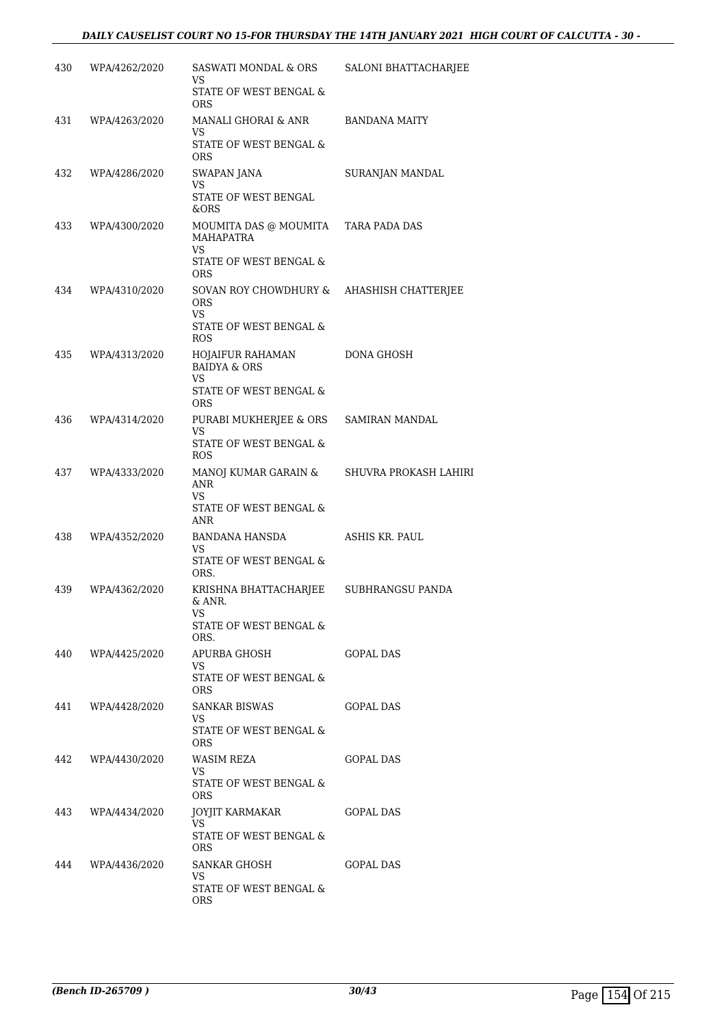| 430 | WPA/4262/2020     | SASWATI MONDAL & ORS<br>VS                                           | SALONI BHATTACHARJEE  |
|-----|-------------------|----------------------------------------------------------------------|-----------------------|
|     |                   | STATE OF WEST BENGAL &<br><b>ORS</b>                                 |                       |
| 431 | WPA/4263/2020     | MANALI GHORAI & ANR<br>VS                                            | <b>BANDANA MAITY</b>  |
|     |                   | STATE OF WEST BENGAL &<br><b>ORS</b>                                 |                       |
| 432 | WPA/4286/2020     | SWAPAN JANA<br>VS                                                    | SURANJAN MANDAL       |
|     |                   | STATE OF WEST BENGAL<br>&ORS                                         |                       |
| 433 | WPA/4300/2020     | MOUMITA DAS @ MOUMITA<br>MAHAPATRA<br>VS.                            | TARA PADA DAS         |
|     |                   | STATE OF WEST BENGAL &<br><b>ORS</b>                                 |                       |
| 434 | WPA/4310/2020     | SOVAN ROY CHOWDHURY &<br><b>ORS</b><br>VS.<br>STATE OF WEST BENGAL & | AHASHISH CHATTERJEE   |
| 435 | WPA/4313/2020     | <b>ROS</b><br>HOJAIFUR RAHAMAN                                       | DONA GHOSH            |
|     |                   | <b>BAIDYA &amp; ORS</b><br>VS                                        |                       |
|     |                   | STATE OF WEST BENGAL &<br><b>ORS</b>                                 |                       |
| 436 | WPA/4314/2020     | PURABI MUKHERJEE & ORS<br>VS.                                        | SAMIRAN MANDAL        |
|     |                   | STATE OF WEST BENGAL &<br>ROS                                        |                       |
| 437 | WPA/4333/2020     | MANOJ KUMAR GARAIN &<br>ANR<br>VS                                    | SHUVRA PROKASH LAHIRI |
|     |                   | STATE OF WEST BENGAL &<br>ANR                                        |                       |
| 438 | WPA/4352/2020     | BANDANA HANSDA<br>VS                                                 | ASHIS KR. PAUL        |
|     |                   | STATE OF WEST BENGAL &<br>ORS.                                       |                       |
| 439 | WPA/4362/2020     | KRISHNA BHATTACHARJEE<br>& ANR.                                      | SUBHRANGSU PANDA      |
|     |                   | VS<br>STATE OF WEST BENGAL &<br>ORS.                                 |                       |
| 440 | WPA/4425/2020     | APURBA GHOSH                                                         | GOPAL DAS             |
|     |                   | VS<br>STATE OF WEST BENGAL &<br>ORS.                                 |                       |
|     | 441 WPA/4428/2020 | SANKAR BISWAS<br>VS.                                                 | GOPAL DAS             |
|     |                   | STATE OF WEST BENGAL &<br><b>ORS</b>                                 |                       |
| 442 | WPA/4430/2020     | WASIM REZA<br>VS                                                     | <b>GOPAL DAS</b>      |
|     |                   | STATE OF WEST BENGAL &<br><b>ORS</b>                                 |                       |
| 443 | WPA/4434/2020     | JOYJIT KARMAKAR<br>VS                                                | GOPAL DAS             |
|     |                   | STATE OF WEST BENGAL &<br><b>ORS</b>                                 |                       |
| 444 | WPA/4436/2020     | SANKAR GHOSH<br>VS                                                   | GOPAL DAS             |
|     |                   | STATE OF WEST BENGAL &<br>ORS.                                       |                       |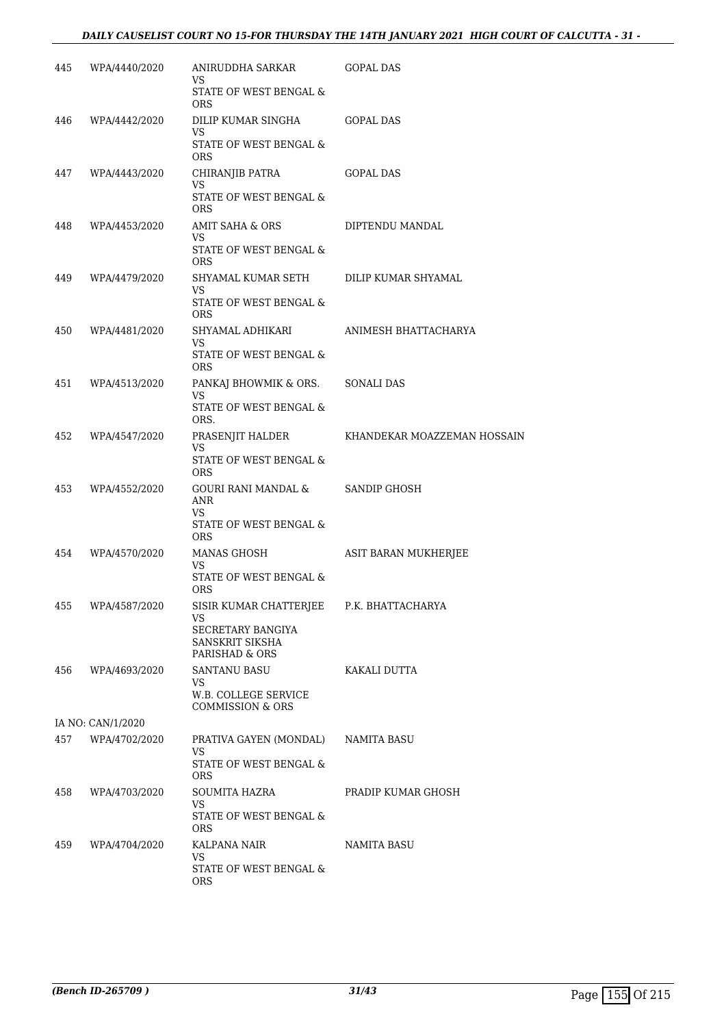|     | 445 WPA/4440/2020 | ANIRUDDHA SARKAR GOPAL DAS<br>VS.               |                                              |
|-----|-------------------|-------------------------------------------------|----------------------------------------------|
|     |                   | STATE OF WEST BENGAL &<br><b>ORS</b>            |                                              |
| 446 | WPA/4442/2020     | DILIP KUMAR SINGHA GOPAL DAS<br>VS              |                                              |
|     |                   | STATE OF WEST BENGAL &<br><b>ORS</b>            |                                              |
|     | 447 WPA/4443/2020 | CHIRANJIB PATRA<br>VS.                          | GOPAL DAS                                    |
|     |                   | STATE OF WEST BENGAL &<br><b>ORS</b>            |                                              |
|     | 448 WPA/4453/2020 | AMIT SAHA & ORS<br>VS.                          | DIPTENDU MANDAL                              |
|     |                   | STATE OF WEST BENGAL &<br><b>ORS</b>            |                                              |
| 449 | WPA/4479/2020     | SHYAMAL KUMAR SETH DILIP KUMAR SHYAMAL<br>VS.   |                                              |
|     |                   | STATE OF WEST BENGAL $\&$<br><b>ORS</b>         |                                              |
|     | 450 WPA/4481/2020 | SHYAMAL ADHIKARI ANIMESH BHATTACHARYA<br>VS     |                                              |
|     |                   | STATE OF WEST BENGAL &<br><b>ORS</b>            |                                              |
| 451 | WPA/4513/2020     | PANKAJ BHOWMIK & ORS. SONALI DAS<br>VS.         |                                              |
|     |                   | STATE OF WEST BENGAL &<br>ORS.                  |                                              |
|     | 452 WPA/4547/2020 | VS.                                             | PRASENJIT HALDER KHANDEKAR MOAZZEMAN HOSSAIN |
|     |                   | STATE OF WEST BENGAL &<br>ORS.                  |                                              |
|     | 453 WPA/4552/2020 | GOURI RANI MANDAL & SANDIP GHOSH<br>ANR<br>VS   |                                              |
|     |                   | STATE OF WEST BENGAL &<br><b>ORS</b>            |                                              |
|     | 454 WPA/4570/2020 | MANAS GHOSH<br>VS                               | ASIT BARAN MUKHERJEE                         |
|     |                   | STATE OF WEST BENGAL &<br><b>ORS</b>            |                                              |
|     | 455 WPA/4587/2020 | SISIR KUMAR CHATTERJEE P.K. BHATTACHARYA<br>VS. |                                              |
|     |                   | SECRETARY BANGIYA                               |                                              |
|     |                   | SANSKRIT SIKSHA<br>PARISHAD & ORS               |                                              |
| 456 | WPA/4693/2020     | SANTANU BASU                                    | KAKALI DUTTA                                 |
|     |                   | VS<br>W.B. COLLEGE SERVICE<br>COMMISSION & ORS  |                                              |
|     | IA NO: CAN/1/2020 |                                                 |                                              |
| 457 | WPA/4702/2020     | PRATIVA GAYEN (MONDAL)<br>VS.                   | NAMITA BASU                                  |
|     |                   | STATE OF WEST BENGAL &<br><b>ORS</b>            |                                              |
| 458 | WPA/4703/2020     | SOUMITA HAZRA<br>VS                             | PRADIP KUMAR GHOSH                           |
|     |                   | STATE OF WEST BENGAL &<br><b>ORS</b>            |                                              |
| 459 | WPA/4704/2020     | KALPANA NAIR<br>VS                              | NAMITA BASU                                  |
|     |                   | STATE OF WEST BENGAL &<br>ORS.                  |                                              |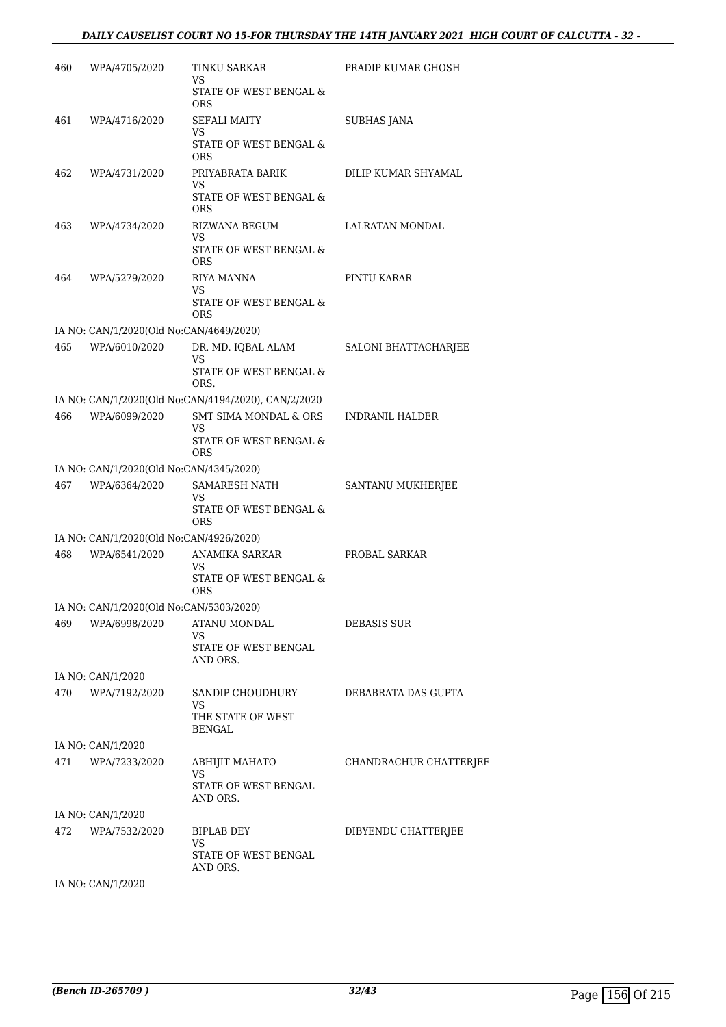| 460 | WPA/4705/2020                           | TINKU SARKAR<br>VS<br>STATE OF WEST BENGAL &        | PRADIP KUMAR GHOSH     |
|-----|-----------------------------------------|-----------------------------------------------------|------------------------|
| 461 | WPA/4716/2020                           | ORS<br>SEFALI MAITY<br>VS                           | SUBHAS JANA            |
|     |                                         | STATE OF WEST BENGAL &<br>ORS                       |                        |
| 462 | WPA/4731/2020                           | PRIYABRATA BARIK<br>VS                              | DILIP KUMAR SHYAMAL    |
|     |                                         | STATE OF WEST BENGAL &<br>ORS                       |                        |
| 463 | WPA/4734/2020                           | RIZWANA BEGUM<br>VS                                 | LALRATAN MONDAL        |
|     |                                         | STATE OF WEST BENGAL &<br><b>ORS</b>                |                        |
| 464 | WPA/5279/2020                           | RIYA MANNA<br>VS                                    | PINTU KARAR            |
|     |                                         | STATE OF WEST BENGAL &<br>ORS                       |                        |
|     | IA NO: CAN/1/2020(Old No:CAN/4649/2020) |                                                     |                        |
| 465 | WPA/6010/2020                           | DR. MD. IQBAL ALAM<br>VS                            | SALONI BHATTACHARJEE   |
|     |                                         | STATE OF WEST BENGAL &<br>ORS.                      |                        |
|     |                                         | IA NO: CAN/1/2020(Old No:CAN/4194/2020), CAN/2/2020 |                        |
| 466 | WPA/6099/2020                           | SMT SIMA MONDAL & ORS<br>VS.                        | INDRANIL HALDER        |
|     |                                         | STATE OF WEST BENGAL &<br><b>ORS</b>                |                        |
|     | IA NO: CAN/1/2020(Old No:CAN/4345/2020) |                                                     |                        |
| 467 | WPA/6364/2020                           | SAMARESH NATH<br>VS                                 | SANTANU MUKHERJEE      |
|     |                                         | STATE OF WEST BENGAL &<br><b>ORS</b>                |                        |
|     | IA NO: CAN/1/2020(Old No:CAN/4926/2020) |                                                     |                        |
| 468 | WPA/6541/2020                           | ANAMIKA SARKAR<br>VS                                | PROBAL SARKAR          |
|     |                                         | STATE OF WEST BENGAL &<br>ORS                       |                        |
|     | IA NO: CAN/1/2020(Old No:CAN/5303/2020) |                                                     |                        |
| 469 | WPA/6998/2020                           | ATANU MONDAL<br>VS                                  | DEBASIS SUR            |
|     |                                         | STATE OF WEST BENGAL<br>AND ORS.                    |                        |
|     | IA NO: CAN/1/2020                       |                                                     |                        |
| 470 | WPA/7192/2020                           | SANDIP CHOUDHURY<br>VS                              | DEBABRATA DAS GUPTA    |
|     |                                         | THE STATE OF WEST<br>BENGAL                         |                        |
|     | IA NO: CAN/1/2020                       |                                                     |                        |
|     | 471 WPA/7233/2020                       | ABHIJIT MAHATO                                      | CHANDRACHUR CHATTERJEE |
|     |                                         | VS<br>STATE OF WEST BENGAL<br>AND ORS.              |                        |
|     | IA NO: CAN/1/2020                       |                                                     |                        |
|     | 472 WPA/7532/2020                       | BIPLAB DEY                                          | DIBYENDU CHATTERJEE    |
|     |                                         | VS.<br>STATE OF WEST BENGAL<br>AND ORS.             |                        |
|     | IA NO: CAN/1/2020                       |                                                     |                        |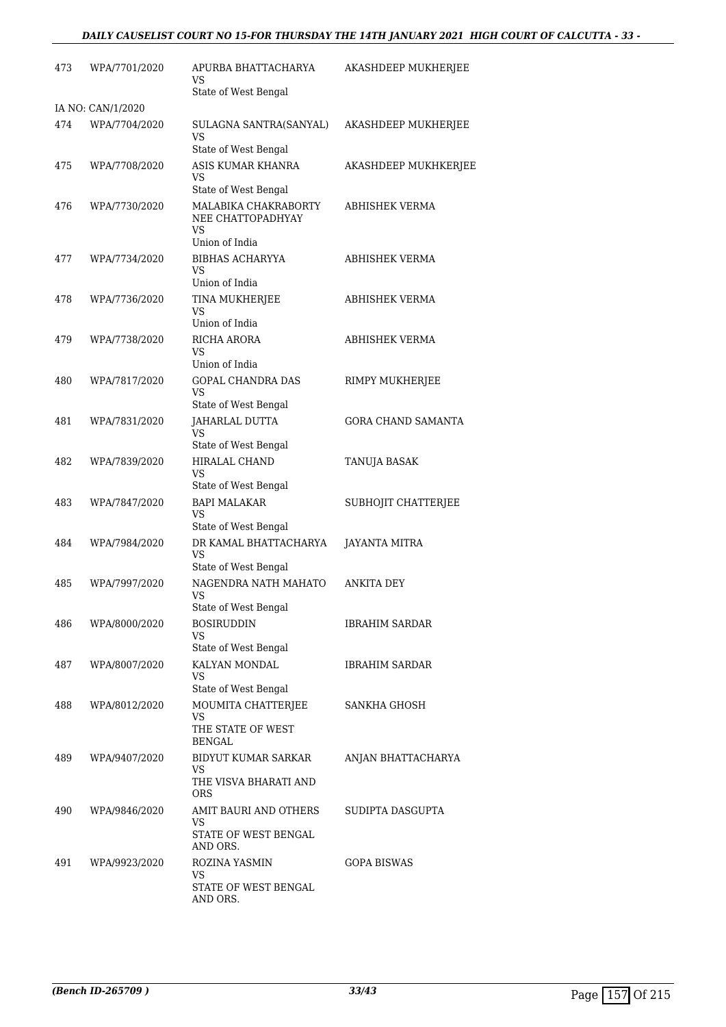# *DAILY CAUSELIST COURT NO 15-FOR THURSDAY THE 14TH JANUARY 2021 HIGH COURT OF CALCUTTA - 33 -*

| 473 | WPA/7701/2020     | APURBA BHATTACHARYA<br>VS<br>State of West Bengal                           | AKASHDEEP MUKHERJEE       |
|-----|-------------------|-----------------------------------------------------------------------------|---------------------------|
|     | IA NO: CAN/1/2020 |                                                                             |                           |
| 474 | WPA/7704/2020     | SULAGNA SANTRA(SANYAL)<br>VS<br>State of West Bengal                        | AKASHDEEP MUKHERJEE       |
| 475 | WPA/7708/2020     | ASIS KUMAR KHANRA<br>VS<br>State of West Bengal                             | AKASHDEEP MUKHKERJEE      |
| 476 | WPA/7730/2020     | MALABIKA CHAKRABORTY<br>NEE CHATTOPADHYAY<br>VS                             | ABHISHEK VERMA            |
| 477 | WPA/7734/2020     | Union of India<br><b>BIBHAS ACHARYYA</b><br>VS<br>Union of India            | ABHISHEK VERMA            |
| 478 | WPA/7736/2020     | TINA MUKHERJEE<br>VS<br>Union of India                                      | ABHISHEK VERMA            |
| 479 | WPA/7738/2020     | <b>RICHA ARORA</b><br>VS<br>Union of India                                  | ABHISHEK VERMA            |
| 480 | WPA/7817/2020     | <b>GOPAL CHANDRA DAS</b><br>VS<br>State of West Bengal                      | RIMPY MUKHERJEE           |
| 481 | WPA/7831/2020     | JAHARLAL DUTTA<br>VS<br>State of West Bengal                                | <b>GORA CHAND SAMANTA</b> |
| 482 | WPA/7839/2020     | <b>HIRALAL CHAND</b><br>VS<br>State of West Bengal                          | TANUJA BASAK              |
| 483 | WPA/7847/2020     | <b>BAPI MALAKAR</b><br>VS                                                   | SUBHOJIT CHATTERJEE       |
| 484 | WPA/7984/2020     | State of West Bengal<br>DR KAMAL BHATTACHARYA<br>VS<br>State of West Bengal | <b>JAYANTA MITRA</b>      |
| 485 | WPA/7997/2020     | NAGENDRA NATH MAHATO<br>VS<br>State of West Bengal                          | <b>ANKITA DEY</b>         |
| 486 | WPA/8000/2020     | <b>BOSIRUDDIN</b><br>VS<br>State of West Bengal                             | <b>IBRAHIM SARDAR</b>     |
| 487 | WPA/8007/2020     | KALYAN MONDAL<br>VS<br>State of West Bengal                                 | <b>IBRAHIM SARDAR</b>     |
| 488 | WPA/8012/2020     | MOUMITA CHATTERJEE<br>VS<br>THE STATE OF WEST<br>BENGAL                     | SANKHA GHOSH              |
| 489 | WPA/9407/2020     | BIDYUT KUMAR SARKAR<br>VS<br>THE VISVA BHARATI AND<br><b>ORS</b>            | ANJAN BHATTACHARYA        |
| 490 | WPA/9846/2020     | AMIT BAURI AND OTHERS<br>VS<br>STATE OF WEST BENGAL<br>AND ORS.             | SUDIPTA DASGUPTA          |
| 491 | WPA/9923/2020     | ROZINA YASMIN<br>VS<br>STATE OF WEST BENGAL<br>AND ORS.                     | <b>GOPA BISWAS</b>        |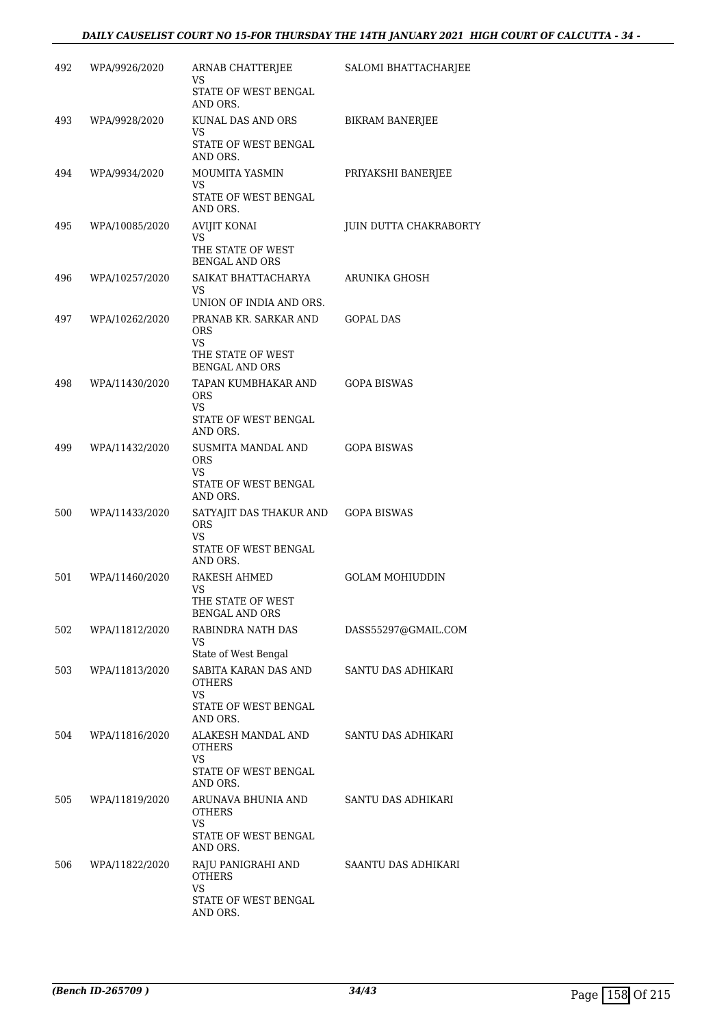| 492 | WPA/9926/2020  | ARNAB CHATTERJEE<br>VS                           | SALOMI BHATTACHARJEE   |
|-----|----------------|--------------------------------------------------|------------------------|
|     |                | STATE OF WEST BENGAL<br>AND ORS.                 |                        |
| 493 | WPA/9928/2020  | KUNAL DAS AND ORS<br>VS                          | <b>BIKRAM BANERJEE</b> |
|     |                | STATE OF WEST BENGAL<br>AND ORS.                 |                        |
| 494 | WPA/9934/2020  | MOUMITA YASMIN<br>VS                             | PRIYAKSHI BANERJEE     |
|     |                | STATE OF WEST BENGAL<br>AND ORS.                 |                        |
| 495 | WPA/10085/2020 | AVIJIT KONAI<br>VS                               | JUIN DUTTA CHAKRABORTY |
|     |                | THE STATE OF WEST<br><b>BENGAL AND ORS</b>       |                        |
| 496 | WPA/10257/2020 | SAIKAT BHATTACHARYA<br>VS.                       | ARUNIKA GHOSH          |
|     |                | UNION OF INDIA AND ORS.                          |                        |
| 497 | WPA/10262/2020 | PRANAB KR. SARKAR AND<br><b>ORS</b><br><b>VS</b> | <b>GOPAL DAS</b>       |
|     |                | THE STATE OF WEST<br><b>BENGAL AND ORS</b>       |                        |
| 498 | WPA/11430/2020 | TAPAN KUMBHAKAR AND<br><b>ORS</b>                | <b>GOPA BISWAS</b>     |
|     |                | VS<br>STATE OF WEST BENGAL<br>AND ORS.           |                        |
| 499 | WPA/11432/2020 | SUSMITA MANDAL AND<br><b>ORS</b>                 | <b>GOPA BISWAS</b>     |
|     |                | VS.<br>STATE OF WEST BENGAL<br>AND ORS.          |                        |
| 500 | WPA/11433/2020 | SATYAJIT DAS THAKUR AND<br><b>ORS</b><br>VS      | <b>GOPA BISWAS</b>     |
|     |                | STATE OF WEST BENGAL<br>AND ORS.                 |                        |
| 501 | WPA/11460/2020 | RAKESH AHMED<br>VS                               | <b>GOLAM MOHIUDDIN</b> |
|     |                | THE STATE OF WEST<br><b>BENGAL AND ORS</b>       |                        |
| 502 | WPA/11812/2020 | RABINDRA NATH DAS<br>VS<br>State of West Bengal  | DASS55297@GMAIL.COM    |
| 503 | WPA/11813/2020 | SABITA KARAN DAS AND                             | SANTU DAS ADHIKARI     |
|     |                | <b>OTHERS</b><br>VS                              |                        |
|     |                | STATE OF WEST BENGAL<br>AND ORS.                 |                        |
| 504 | WPA/11816/2020 | ALAKESH MANDAL AND<br><b>OTHERS</b><br><b>VS</b> | SANTU DAS ADHIKARI     |
|     |                | STATE OF WEST BENGAL<br>AND ORS.                 |                        |
| 505 | WPA/11819/2020 | ARUNAVA BHUNIA AND<br><b>OTHERS</b><br>VS.       | SANTU DAS ADHIKARI     |
|     |                | STATE OF WEST BENGAL<br>AND ORS.                 |                        |
| 506 | WPA/11822/2020 | RAJU PANIGRAHI AND<br><b>OTHERS</b><br>VS.       | SAANTU DAS ADHIKARI    |
|     |                | STATE OF WEST BENGAL<br>AND ORS.                 |                        |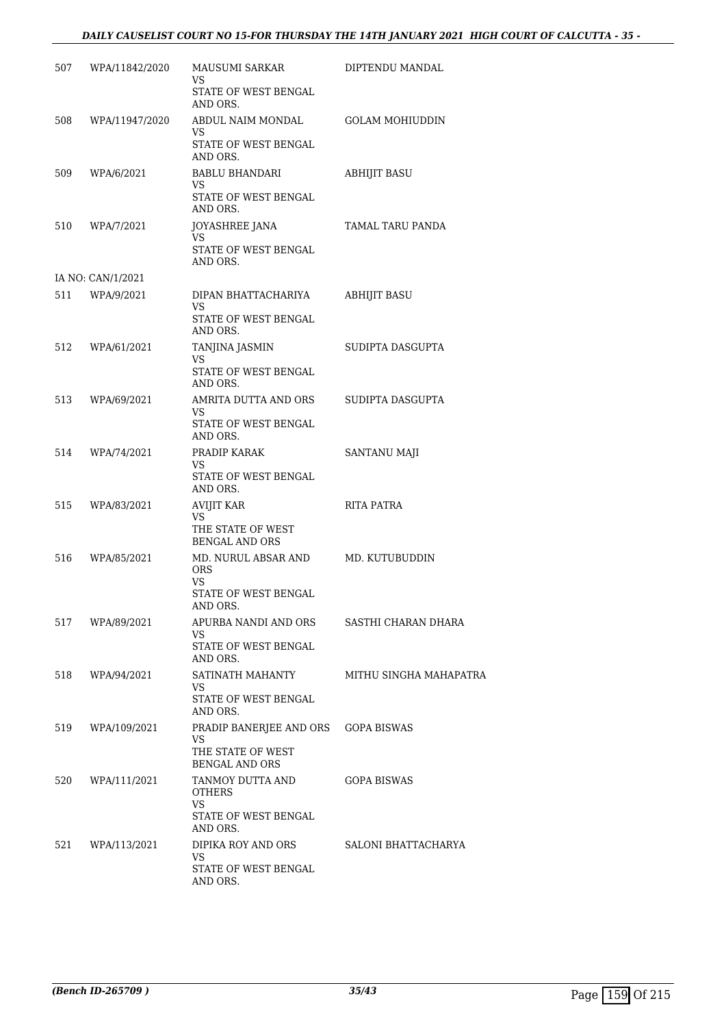# *DAILY CAUSELIST COURT NO 15-FOR THURSDAY THE 14TH JANUARY 2021 HIGH COURT OF CALCUTTA - 35 -*

| 507  | WPA/11842/2020    | MAUSUMI SARKAR<br>VS                       | DIPTENDU MANDAL        |
|------|-------------------|--------------------------------------------|------------------------|
|      |                   | STATE OF WEST BENGAL<br>AND ORS.           |                        |
| 508  | WPA/11947/2020    | ABDUL NAIM MONDAL<br>VS.                   | <b>GOLAM MOHIUDDIN</b> |
|      |                   | STATE OF WEST BENGAL<br>AND ORS.           |                        |
| 509. | WPA/6/2021        | BABLU BHANDARI<br>VS.                      | <b>ABHIJIT BASU</b>    |
|      |                   | STATE OF WEST BENGAL<br>AND ORS.           |                        |
|      | 510 WPA/7/2021    | JOYASHREE JANA<br>VS                       | TAMAL TARU PANDA       |
|      |                   | STATE OF WEST BENGAL<br>AND ORS.           |                        |
|      | IA NO: CAN/1/2021 |                                            |                        |
|      | 511 WPA/9/2021    | DIPAN BHATTACHARIYA<br>VS                  | <b>ABHIJIT BASU</b>    |
|      |                   | STATE OF WEST BENGAL<br>AND ORS.           |                        |
| 512  | WPA/61/2021       | TANJINA JASMIN<br>VS.                      | SUDIPTA DASGUPTA       |
|      |                   | STATE OF WEST BENGAL<br>AND ORS.           |                        |
|      | 513 WPA/69/2021   | AMRITA DUTTA AND ORS<br>VS.                | SUDIPTA DASGUPTA       |
|      |                   | STATE OF WEST BENGAL<br>AND ORS.           |                        |
| 514  | WPA/74/2021       | PRADIP KARAK<br>VS.                        | SANTANU MAJI           |
|      |                   | STATE OF WEST BENGAL<br>AND ORS.           |                        |
| 515  | WPA/83/2021       | AVIJIT KAR<br>VS                           | RITA PATRA             |
|      |                   | THE STATE OF WEST<br><b>BENGAL AND ORS</b> |                        |
| 516  | WPA/85/2021       | MD. NURUL ABSAR AND<br><b>ORS</b><br>VS.   | MD. KUTUBUDDIN         |
|      |                   | STATE OF WEST BENGAL<br>AND ORS.           |                        |
| 517  | WPA/89/2021       | APURBA NANDI AND ORS<br>VS.                | SASTHI CHARAN DHARA    |
|      |                   | STATE OF WEST BENGAL<br>AND ORS.           |                        |
| 518  | WPA/94/2021       | SATINATH MAHANTY<br>VS.                    | MITHU SINGHA MAHAPATRA |
|      |                   | STATE OF WEST BENGAL<br>AND ORS.           |                        |
| 519  | WPA/109/2021      | PRADIP BANERJEE AND ORS<br>VS.             | <b>GOPA BISWAS</b>     |
|      |                   | THE STATE OF WEST<br><b>BENGAL AND ORS</b> |                        |
| 520  | WPA/111/2021      | TANMOY DUTTA AND<br><b>OTHERS</b>          | <b>GOPA BISWAS</b>     |
|      |                   | VS.<br>STATE OF WEST BENGAL<br>AND ORS.    |                        |
| 521  | WPA/113/2021      | DIPIKA ROY AND ORS<br>VS.                  | SALONI BHATTACHARYA    |
|      |                   | STATE OF WEST BENGAL<br>AND ORS.           |                        |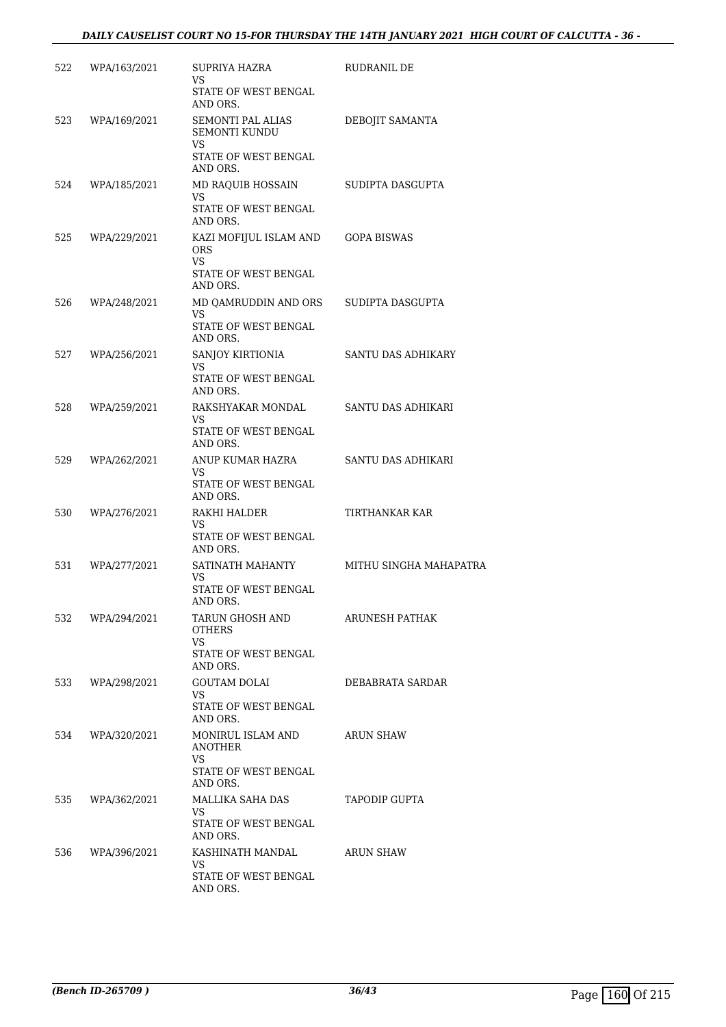| 522 | WPA/163/2021     | SUPRIYA HAZRA<br>VS                                                                   | RUDRANIL DE            |
|-----|------------------|---------------------------------------------------------------------------------------|------------------------|
|     |                  | STATE OF WEST BENGAL<br>AND ORS.                                                      |                        |
| 523 | WPA/169/2021     | SEMONTI PAL ALIAS<br><b>SEMONTI KUNDU</b><br>VS.                                      | DEBOJIT SAMANTA        |
|     |                  | STATE OF WEST BENGAL<br>AND ORS.                                                      |                        |
| 524 | WPA/185/2021     | MD RAQUIB HOSSAIN<br>VS                                                               | SUDIPTA DASGUPTA       |
|     |                  | STATE OF WEST BENGAL<br>AND ORS.                                                      |                        |
| 525 | WPA/229/2021     | KAZI MOFIJUL ISLAM AND<br><b>ORS</b><br><b>VS</b><br>STATE OF WEST BENGAL<br>AND ORS. | GOPA BISWAS            |
| 526 | WPA/248/2021     | MD QAMRUDDIN AND ORS<br>VS.<br>STATE OF WEST BENGAL                                   | SUDIPTA DASGUPTA       |
|     |                  | AND ORS.                                                                              |                        |
| 527 | WPA/256/2021     | SANJOY KIRTIONIA<br>VS.                                                               | SANTU DAS ADHIKARY     |
|     |                  | STATE OF WEST BENGAL<br>AND ORS.                                                      |                        |
| 528 | WPA/259/2021     | RAKSHYAKAR MONDAL<br>VS                                                               | SANTU DAS ADHIKARI     |
|     |                  | STATE OF WEST BENGAL<br>AND ORS.                                                      |                        |
| 529 | WPA/262/2021     | ANUP KUMAR HAZRA<br>VS<br>STATE OF WEST BENGAL<br>AND ORS.                            | SANTU DAS ADHIKARI     |
| 530 | WPA/276/2021     | RAKHI HALDER<br>VS                                                                    | TIRTHANKAR KAR         |
|     |                  | STATE OF WEST BENGAL<br>AND ORS.                                                      |                        |
| 531 | WPA/277/2021     | SATINATH MAHANTY<br>VS.<br>STATE OF WEST BENGAL<br>AND ORS.                           | MITHU SINGHA MAHAPATRA |
| 532 | WPA/294/2021     | TARUN GHOSH AND<br><b>OTHERS</b><br>VS<br>STATE OF WEST BENGAL<br>AND ORS.            | ARUNESH PATHAK         |
| 533 | WPA/298/2021     | GOUTAM DOLAI<br>VS<br>STATE OF WEST BENGAL<br>AND ORS.                                | DEBABRATA SARDAR       |
|     | 534 WPA/320/2021 | MONIRUL ISLAM AND<br>ANOTHER<br>VS                                                    | ARUN SHAW              |
|     |                  | STATE OF WEST BENGAL<br>AND ORS.                                                      |                        |
| 535 | WPA/362/2021     | MALLIKA SAHA DAS<br>VS                                                                | TAPODIP GUPTA          |
|     |                  | STATE OF WEST BENGAL<br>AND ORS.                                                      |                        |
| 536 | WPA/396/2021     | KASHINATH MANDAL<br>VS                                                                | ARUN SHAW              |
|     |                  | STATE OF WEST BENGAL<br>AND ORS.                                                      |                        |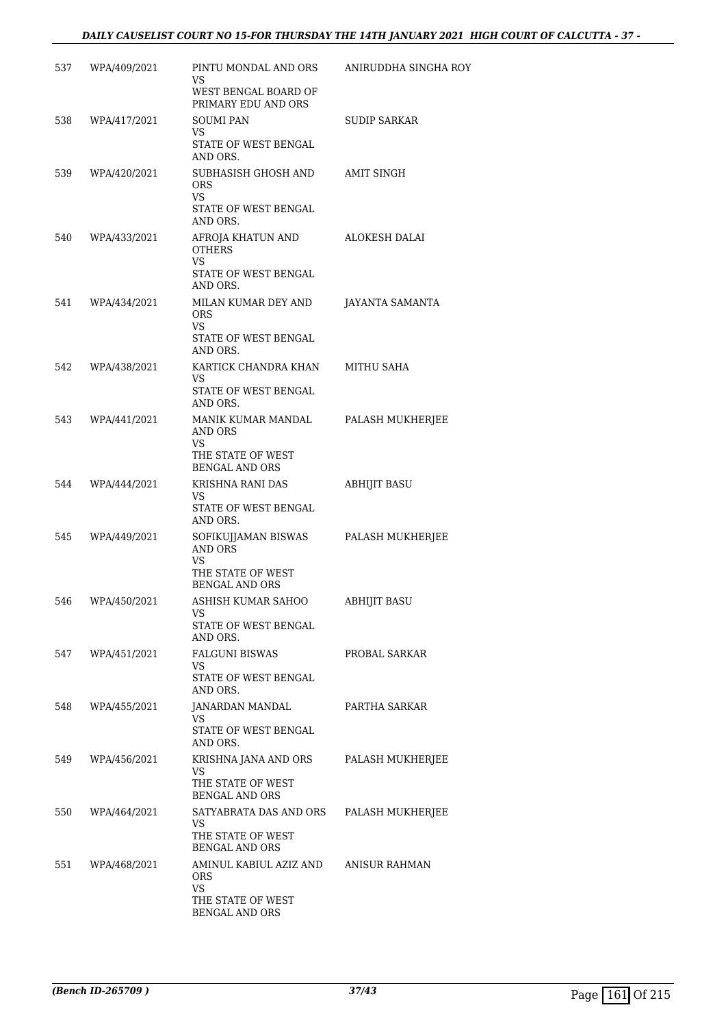# *DAILY CAUSELIST COURT NO 15-FOR THURSDAY THE 14TH JANUARY 2021 HIGH COURT OF CALCUTTA - 37 -*

| 537 | WPA/409/2021 | PINTU MONDAL AND ORS<br>VS.<br>WEST BENGAL BOARD OF<br>PRIMARY EDU AND ORS                      | ANIRUDDHA SINGHA ROY |
|-----|--------------|-------------------------------------------------------------------------------------------------|----------------------|
| 538 | WPA/417/2021 | <b>SOUMI PAN</b><br>VS<br>STATE OF WEST BENGAL<br>AND ORS.                                      | <b>SUDIP SARKAR</b>  |
| 539 | WPA/420/2021 | SUBHASISH GHOSH AND<br><b>ORS</b><br>VS.<br>STATE OF WEST BENGAL                                | AMIT SINGH           |
| 540 | WPA/433/2021 | AND ORS.<br>AFROJA KHATUN AND<br><b>OTHERS</b><br><b>VS</b><br>STATE OF WEST BENGAL<br>AND ORS. | ALOKESH DALAI        |
| 541 | WPA/434/2021 | MILAN KUMAR DEY AND<br><b>ORS</b><br>VS<br>STATE OF WEST BENGAL<br>AND ORS.                     | JAYANTA SAMANTA      |
| 542 | WPA/438/2021 | KARTICK CHANDRA KHAN<br>VS<br>STATE OF WEST BENGAL<br>AND ORS.                                  | MITHU SAHA           |
| 543 | WPA/441/2021 | MANIK KUMAR MANDAL<br>AND ORS<br>VS<br>THE STATE OF WEST<br><b>BENGAL AND ORS</b>               | PALASH MUKHERJEE     |
| 544 | WPA/444/2021 | KRISHNA RANI DAS<br>VS<br>STATE OF WEST BENGAL<br>AND ORS.                                      | <b>ABHIJIT BASU</b>  |
| 545 | WPA/449/2021 | SOFIKUJJAMAN BISWAS<br><b>AND ORS</b><br>VS<br>THE STATE OF WEST<br><b>BENGAL AND ORS</b>       | PALASH MUKHERJEE     |
| 546 | WPA/450/2021 | ASHISH KUMAR SAHOO<br>VS<br>STATE OF WEST BENGAL<br>AND ORS.                                    | ABHIJIT BASU         |
| 547 | WPA/451/2021 | <b>FALGUNI BISWAS</b><br>VS<br>STATE OF WEST BENGAL<br>AND ORS.                                 | PROBAL SARKAR        |
| 548 | WPA/455/2021 | JANARDAN MANDAL<br>VS.<br>STATE OF WEST BENGAL<br>AND ORS.                                      | PARTHA SARKAR        |
| 549 | WPA/456/2021 | KRISHNA JANA AND ORS<br>VS<br>THE STATE OF WEST<br><b>BENGAL AND ORS</b>                        | PALASH MUKHERJEE     |
| 550 | WPA/464/2021 | SATYABRATA DAS AND ORS<br>VS<br>THE STATE OF WEST<br><b>BENGAL AND ORS</b>                      | PALASH MUKHERJEE     |
| 551 | WPA/468/2021 | AMINUL KABIUL AZIZ AND<br><b>ORS</b><br>VS.<br>THE STATE OF WEST<br><b>BENGAL AND ORS</b>       | ANISUR RAHMAN        |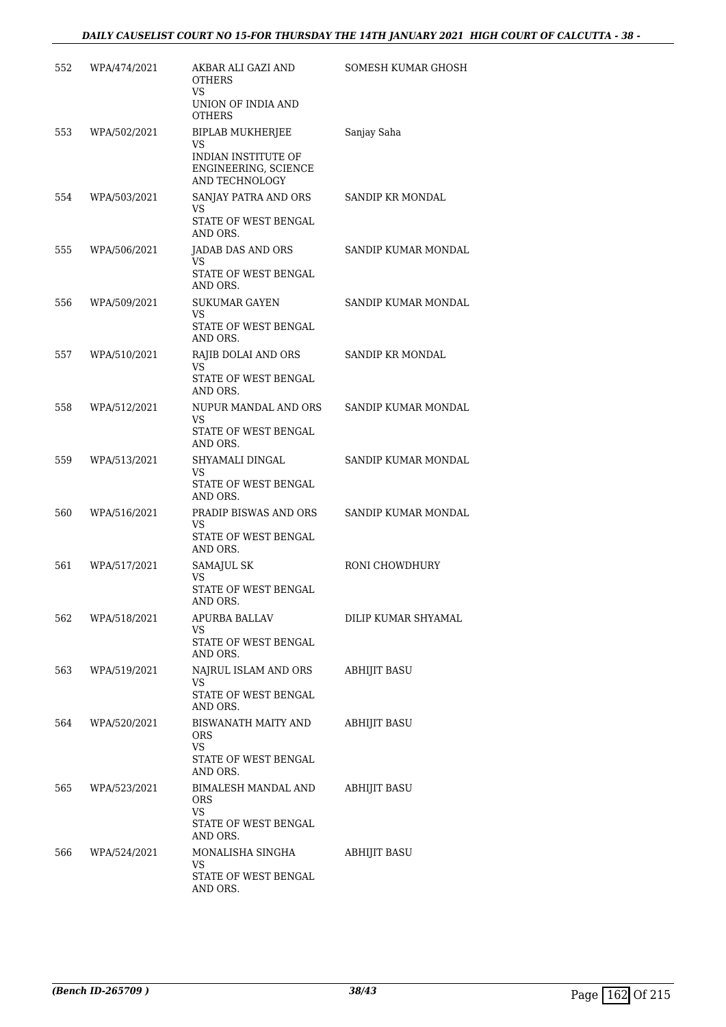| 552 | WPA/474/2021 | AKBAR ALI GAZI AND<br><b>OTHERS</b><br>VS.                                  | SOMESH KUMAR GHOSH  |
|-----|--------------|-----------------------------------------------------------------------------|---------------------|
|     |              | UNION OF INDIA AND<br><b>OTHERS</b>                                         |                     |
| 553 | WPA/502/2021 | BIPLAB MUKHERJEE<br>VS                                                      | Sanjay Saha         |
|     |              | INDIAN INSTITUTE OF<br>ENGINEERING, SCIENCE<br>AND TECHNOLOGY               |                     |
| 554 | WPA/503/2021 | SANJAY PATRA AND ORS<br>VS<br>STATE OF WEST BENGAL<br>AND ORS.              | SANDIP KR MONDAL    |
| 555 | WPA/506/2021 | JADAB DAS AND ORS<br>VS.<br>STATE OF WEST BENGAL<br>AND ORS.                | SANDIP KUMAR MONDAL |
| 556 | WPA/509/2021 | <b>SUKUMAR GAYEN</b><br>VS<br>STATE OF WEST BENGAL<br>AND ORS.              | SANDIP KUMAR MONDAL |
| 557 | WPA/510/2021 | RAJIB DOLAI AND ORS<br>VS.<br>STATE OF WEST BENGAL                          | SANDIP KR MONDAL    |
|     |              | AND ORS.                                                                    |                     |
| 558 | WPA/512/2021 | NUPUR MANDAL AND ORS<br>VS.<br>STATE OF WEST BENGAL<br>AND ORS.             | SANDIP KUMAR MONDAL |
| 559 | WPA/513/2021 | SHYAMALI DINGAL<br>VS                                                       | SANDIP KUMAR MONDAL |
|     |              | STATE OF WEST BENGAL<br>AND ORS.                                            |                     |
| 560 | WPA/516/2021 | PRADIP BISWAS AND ORS<br>VS.                                                | SANDIP KUMAR MONDAL |
|     |              | STATE OF WEST BENGAL<br>AND ORS.                                            |                     |
| 561 | WPA/517/2021 | SAMAJUL SK<br>VS<br>STATE OF WEST BENGAL                                    | RONI CHOWDHURY      |
|     |              | AND ORS.                                                                    |                     |
| 562 | WPA/518/2021 | APURBA BALLAV<br>VS<br>STATE OF WEST BENGAL                                 | DILIP KUMAR SHYAMAL |
| 563 | WPA/519/2021 | AND ORS.<br>NAJRUL ISLAM AND ORS                                            | ABHIJIT BASU        |
|     |              | VS.<br>STATE OF WEST BENGAL<br>AND ORS.                                     |                     |
| 564 | WPA/520/2021 | BISWANATH MAITY AND<br><b>ORS</b><br>VS<br>STATE OF WEST BENGAL<br>AND ORS. | <b>ABHIJIT BASU</b> |
| 565 | WPA/523/2021 | BIMALESH MANDAL AND<br><b>ORS</b>                                           | ABHIJIT BASU        |
|     |              | VS<br>STATE OF WEST BENGAL<br>AND ORS.                                      |                     |
| 566 | WPA/524/2021 | MONALISHA SINGHA<br>VS<br>STATE OF WEST BENGAL<br>AND ORS.                  | ABHIJIT BASU        |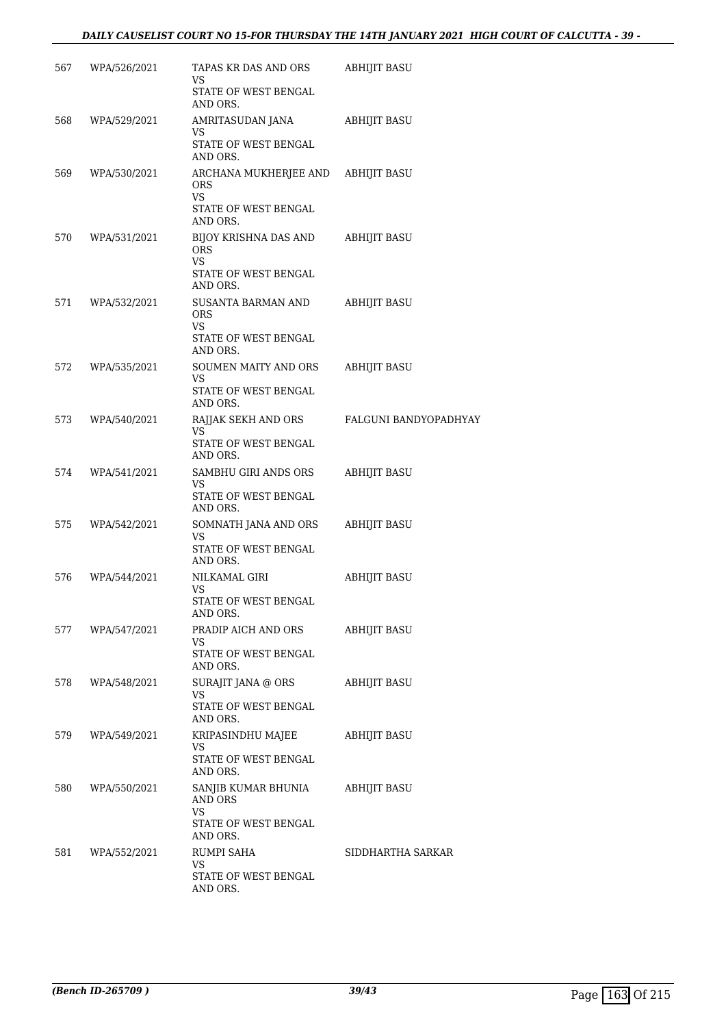# *DAILY CAUSELIST COURT NO 15-FOR THURSDAY THE 14TH JANUARY 2021 HIGH COURT OF CALCUTTA - 39 -*

| 567 | WPA/526/2021     | TAPAS KR DAS AND ORS<br>VS<br>STATE OF WEST BENGAL                             | <b>ABHIJIT BASU</b>   |
|-----|------------------|--------------------------------------------------------------------------------|-----------------------|
| 568 | WPA/529/2021     | AND ORS.<br>AMRITASUDAN JANA<br><b>VS</b><br>STATE OF WEST BENGAL<br>AND ORS.  | ABHIJIT BASU          |
| 569 | WPA/530/2021     | ARCHANA MUKHERJEE AND ABHIJIT BASU<br><b>ORS</b><br>VS                         |                       |
|     |                  | STATE OF WEST BENGAL<br>AND ORS.                                               |                       |
| 570 | WPA/531/2021     | BIJOY KRISHNA DAS AND<br><b>ORS</b><br>VS.<br>STATE OF WEST BENGAL<br>AND ORS. | ABHIJIT BASU          |
| 571 | WPA/532/2021     | SUSANTA BARMAN AND<br><b>ORS</b><br>VS<br>STATE OF WEST BENGAL<br>AND ORS.     | <b>ABHIJIT BASU</b>   |
| 572 | WPA/535/2021     | SOUMEN MAITY AND ORS<br>VS.<br>STATE OF WEST BENGAL<br>AND ORS.                | ABHIJIT BASU          |
| 573 | WPA/540/2021     | RAJJAK SEKH AND ORS<br>VS<br>STATE OF WEST BENGAL<br>AND ORS.                  | FALGUNI BANDYOPADHYAY |
| 574 | WPA/541/2021     | SAMBHU GIRI ANDS ORS<br>VS<br>STATE OF WEST BENGAL<br>AND ORS.                 | ABHIJIT BASU          |
| 575 | WPA/542/2021     | SOMNATH JANA AND ORS<br>VS<br>STATE OF WEST BENGAL<br>AND ORS.                 | ABHIJIT BASU          |
| 576 | WPA/544/2021     | NILKAMAL GIRI<br>VS<br>STATE OF WEST BENGAL<br>AND ORS.                        | ABHIJIT BASU          |
|     | 577 WPA/547/2021 | PRADIP AICH AND ORS<br>VS.<br>STATE OF WEST BENGAL<br>AND ORS.                 | ABHIJIT BASU          |
| 578 | WPA/548/2021     | SURAJIT JANA @ ORS<br>VS.<br>STATE OF WEST BENGAL<br>AND ORS.                  | ABHIJIT BASU          |
|     | 579 WPA/549/2021 | KRIPASINDHU MAJEE<br>VS.<br>STATE OF WEST BENGAL<br>AND ORS.                   | ABHIJIT BASU          |
| 580 | WPA/550/2021     | SANJIB KUMAR BHUNIA ABHIJIT BASU<br>AND ORS<br>VS<br>STATE OF WEST BENGAL      |                       |
|     | 581 WPA/552/2021 | AND ORS.<br>RUMPI SAHA<br>VS<br>STATE OF WEST BENGAL<br>AND ORS.               | SIDDHARTHA SARKAR     |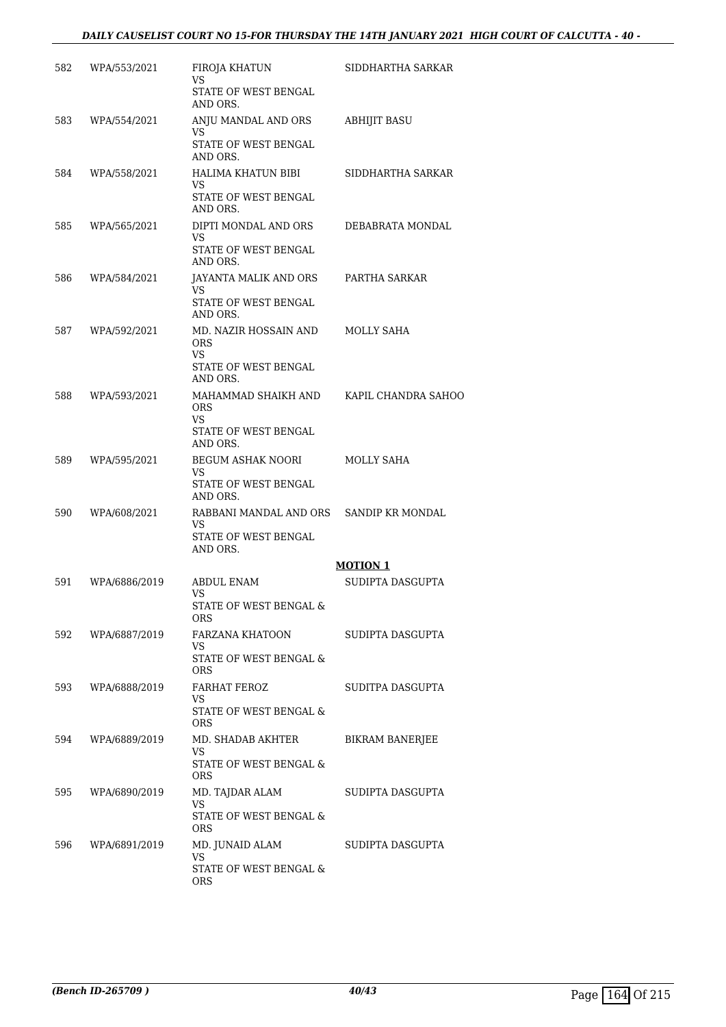# *DAILY CAUSELIST COURT NO 15-FOR THURSDAY THE 14TH JANUARY 2021 HIGH COURT OF CALCUTTA - 40 -*

| 582 | WPA/553/2021  | FIROJA KHATUN<br>VS<br>STATE OF WEST BENGAL<br>AND ORS.                                  | SIDDHARTHA SARKAR      |
|-----|---------------|------------------------------------------------------------------------------------------|------------------------|
| 583 | WPA/554/2021  | ANJU MANDAL AND ORS<br>VS<br>STATE OF WEST BENGAL<br>AND ORS.                            | <b>ABHIJIT BASU</b>    |
| 584 | WPA/558/2021  | HALIMA KHATUN BIBI<br>VS.<br>STATE OF WEST BENGAL<br>AND ORS.                            | SIDDHARTHA SARKAR      |
| 585 | WPA/565/2021  | DIPTI MONDAL AND ORS<br>VS<br>STATE OF WEST BENGAL<br>AND ORS.                           | DEBABRATA MONDAL       |
| 586 | WPA/584/2021  | JAYANTA MALIK AND ORS<br>VS<br>STATE OF WEST BENGAL<br>AND ORS.                          | PARTHA SARKAR          |
| 587 | WPA/592/2021  | MD. NAZIR HOSSAIN AND<br><b>ORS</b><br>VS<br>STATE OF WEST BENGAL                        | MOLLY SAHA             |
| 588 | WPA/593/2021  | AND ORS.<br>MAHAMMAD SHAIKH AND<br><b>ORS</b><br>VS.<br>STATE OF WEST BENGAL<br>AND ORS. | KAPIL CHANDRA SAHOO    |
| 589 | WPA/595/2021  | <b>BEGUM ASHAK NOORI</b><br>VS<br>STATE OF WEST BENGAL<br>AND ORS.                       | MOLLY SAHA             |
| 590 | WPA/608/2021  | RABBANI MANDAL AND ORS SANDIP KR MONDAL<br>VS<br>STATE OF WEST BENGAL<br>AND ORS.        |                        |
|     |               |                                                                                          | <b>MOTION 1</b>        |
| 591 | WPA/6886/2019 | <b>ABDUL ENAM</b><br>VS<br>STATE OF WEST BENGAL &<br>ORS                                 | SUDIPTA DASGUPTA       |
| 592 | WPA/6887/2019 | FARZANA KHATOON<br>VS.<br>STATE OF WEST BENGAL &<br><b>ORS</b>                           | SUDIPTA DASGUPTA       |
| 593 | WPA/6888/2019 | FARHAT FEROZ<br>VS<br>STATE OF WEST BENGAL &<br><b>ORS</b>                               | SUDITPA DASGUPTA       |
| 594 | WPA/6889/2019 | MD. SHADAB AKHTER<br>VS<br>STATE OF WEST BENGAL &<br><b>ORS</b>                          | <b>BIKRAM BANERJEE</b> |
| 595 | WPA/6890/2019 | MD. TAJDAR ALAM<br>VS.<br>STATE OF WEST BENGAL &<br>ORS                                  | SUDIPTA DASGUPTA       |
| 596 | WPA/6891/2019 | MD. JUNAID ALAM<br>VS.<br>STATE OF WEST BENGAL &<br>ORS                                  | SUDIPTA DASGUPTA       |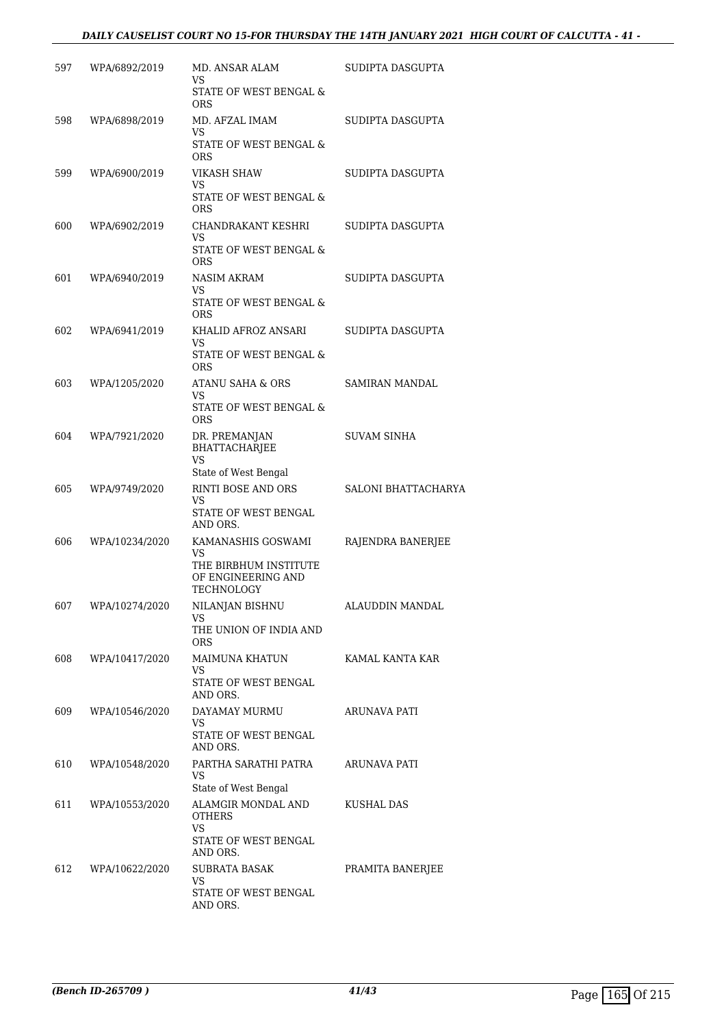# *DAILY CAUSELIST COURT NO 15-FOR THURSDAY THE 14TH JANUARY 2021 HIGH COURT OF CALCUTTA - 41 -*

| 597 | WPA/6892/2019  | MD. ANSAR ALAM<br>VS                                      | SUDIPTA DASGUPTA    |
|-----|----------------|-----------------------------------------------------------|---------------------|
|     |                | STATE OF WEST BENGAL &<br><b>ORS</b>                      |                     |
| 598 | WPA/6898/2019  | MD. AFZAL IMAM<br>VS                                      | SUDIPTA DASGUPTA    |
|     |                | STATE OF WEST BENGAL &<br><b>ORS</b>                      |                     |
| 599 | WPA/6900/2019  | VIKASH SHAW<br>VS                                         | SUDIPTA DASGUPTA    |
|     |                | STATE OF WEST BENGAL &<br><b>ORS</b>                      |                     |
| 600 | WPA/6902/2019  | CHANDRAKANT KESHRI<br>VS                                  | SUDIPTA DASGUPTA    |
|     |                | STATE OF WEST BENGAL &<br><b>ORS</b>                      |                     |
| 601 | WPA/6940/2019  | NASIM AKRAM<br>VS                                         | SUDIPTA DASGUPTA    |
|     |                | STATE OF WEST BENGAL &<br>ORS                             |                     |
| 602 | WPA/6941/2019  | KHALID AFROZ ANSARI<br>VS                                 | SUDIPTA DASGUPTA    |
|     |                | STATE OF WEST BENGAL &<br><b>ORS</b>                      |                     |
| 603 | WPA/1205/2020  | <b>ATANU SAHA &amp; ORS</b><br>VS                         | SAMIRAN MANDAL      |
|     |                | STATE OF WEST BENGAL &<br><b>ORS</b>                      |                     |
| 604 | WPA/7921/2020  | DR. PREMANJAN<br>BHATTACHARJEE<br>VS                      | <b>SUVAM SINHA</b>  |
|     |                | State of West Bengal                                      |                     |
| 605 | WPA/9749/2020  | RINTI BOSE AND ORS<br><b>VS</b>                           | SALONI BHATTACHARYA |
|     |                | STATE OF WEST BENGAL<br>AND ORS.                          |                     |
| 606 | WPA/10234/2020 | KAMANASHIS GOSWAMI<br>VS                                  | RAJENDRA BANERJEE   |
|     |                | THE BIRBHUM INSTITUTE<br>OF ENGINEERING AND<br>TECHNOLOGY |                     |
| 607 | WPA/10274/2020 | NILANJAN BISHNU<br>VS                                     | ALAUDDIN MANDAL     |
|     |                | THE UNION OF INDIA AND<br><b>ORS</b>                      |                     |
| 608 | WPA/10417/2020 | MAIMUNA KHATUN<br>VS                                      | KAMAL KANTA KAR     |
|     |                | STATE OF WEST BENGAL<br>AND ORS.                          |                     |
| 609 | WPA/10546/2020 | DAYAMAY MURMU<br>VS                                       | ARUNAVA PATI        |
|     |                | STATE OF WEST BENGAL<br>AND ORS.                          |                     |
| 610 | WPA/10548/2020 | PARTHA SARATHI PATRA<br>VS<br>State of West Bengal        | ARUNAVA PATI        |
| 611 | WPA/10553/2020 | ALAMGIR MONDAL AND                                        | KUSHAL DAS          |
|     |                | <b>OTHERS</b><br>VS<br>STATE OF WEST BENGAL               |                     |
|     |                | AND ORS.                                                  |                     |
| 612 | WPA/10622/2020 | SUBRATA BASAK<br>VS.                                      | PRAMITA BANERJEE    |
|     |                | STATE OF WEST BENGAL<br>AND ORS.                          |                     |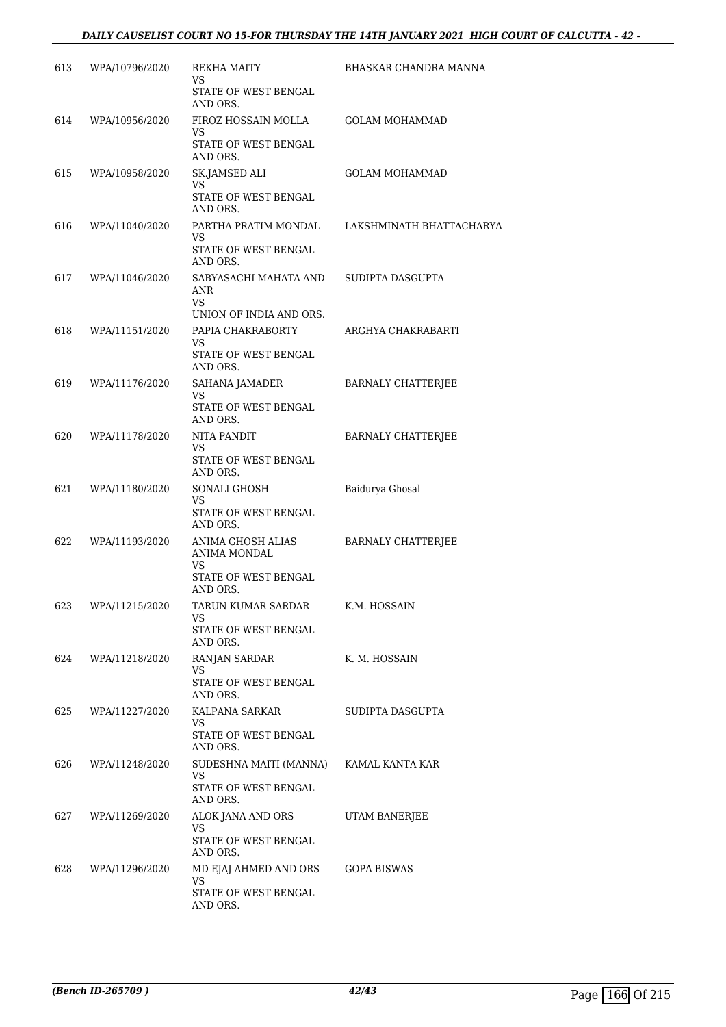| 613 | WPA/10796/2020 | REKHA MAITY<br>VS<br>STATE OF WEST BENGAL<br>AND ORS.                                   | BHASKAR CHANDRA MANNA     |
|-----|----------------|-----------------------------------------------------------------------------------------|---------------------------|
| 614 | WPA/10956/2020 | FIROZ HOSSAIN MOLLA<br>VS<br>STATE OF WEST BENGAL<br>AND ORS.                           | <b>GOLAM MOHAMMAD</b>     |
| 615 | WPA/10958/2020 | SK.JAMSED ALI<br>VS<br>STATE OF WEST BENGAL<br>AND ORS.                                 | <b>GOLAM MOHAMMAD</b>     |
| 616 | WPA/11040/2020 | PARTHA PRATIM MONDAL<br>VS<br>STATE OF WEST BENGAL<br>AND ORS.                          | LAKSHMINATH BHATTACHARYA  |
| 617 | WPA/11046/2020 | SABYASACHI MAHATA AND<br>ANR<br>VS<br>UNION OF INDIA AND ORS.                           | SUDIPTA DASGUPTA          |
| 618 | WPA/11151/2020 | PAPIA CHAKRABORTY<br>VS<br>STATE OF WEST BENGAL                                         | ARGHYA CHAKRABARTI        |
| 619 | WPA/11176/2020 | AND ORS.<br>SAHANA JAMADER<br>VS<br>STATE OF WEST BENGAL                                | <b>BARNALY CHATTERJEE</b> |
| 620 | WPA/11178/2020 | AND ORS.<br>NITA PANDIT<br>VS<br>STATE OF WEST BENGAL                                   | BARNALY CHATTERJEE        |
| 621 | WPA/11180/2020 | AND ORS.<br>SONALI GHOSH<br>VS<br>STATE OF WEST BENGAL                                  | Baidurya Ghosal           |
| 622 | WPA/11193/2020 | AND ORS.<br>ANIMA GHOSH ALIAS<br>ANIMA MONDAL<br>VS<br>STATE OF WEST BENGAL<br>AND ORS. | <b>BARNALY CHATTERJEE</b> |
| 623 | WPA/11215/2020 | TARUN KUMAR SARDAR<br>VS<br>STATE OF WEST BENGAL<br>AND ORS.                            | K.M. HOSSAIN              |
| 624 | WPA/11218/2020 | RANJAN SARDAR<br>VS<br>STATE OF WEST BENGAL<br>AND ORS.                                 | K. M. HOSSAIN             |
| 625 | WPA/11227/2020 | KALPANA SARKAR<br>VS.<br>STATE OF WEST BENGAL<br>AND ORS.                               | SUDIPTA DASGUPTA          |
| 626 | WPA/11248/2020 | SUDESHNA MAITI (MANNA)<br>VS<br>STATE OF WEST BENGAL<br>AND ORS.                        | KAMAL KANTA KAR           |
| 627 | WPA/11269/2020 | ALOK JANA AND ORS<br>VS<br>STATE OF WEST BENGAL<br>AND ORS.                             | UTAM BANERJEE             |
| 628 | WPA/11296/2020 | MD EJAJ AHMED AND ORS<br>VS.<br>STATE OF WEST BENGAL<br>AND ORS.                        | GOPA BISWAS               |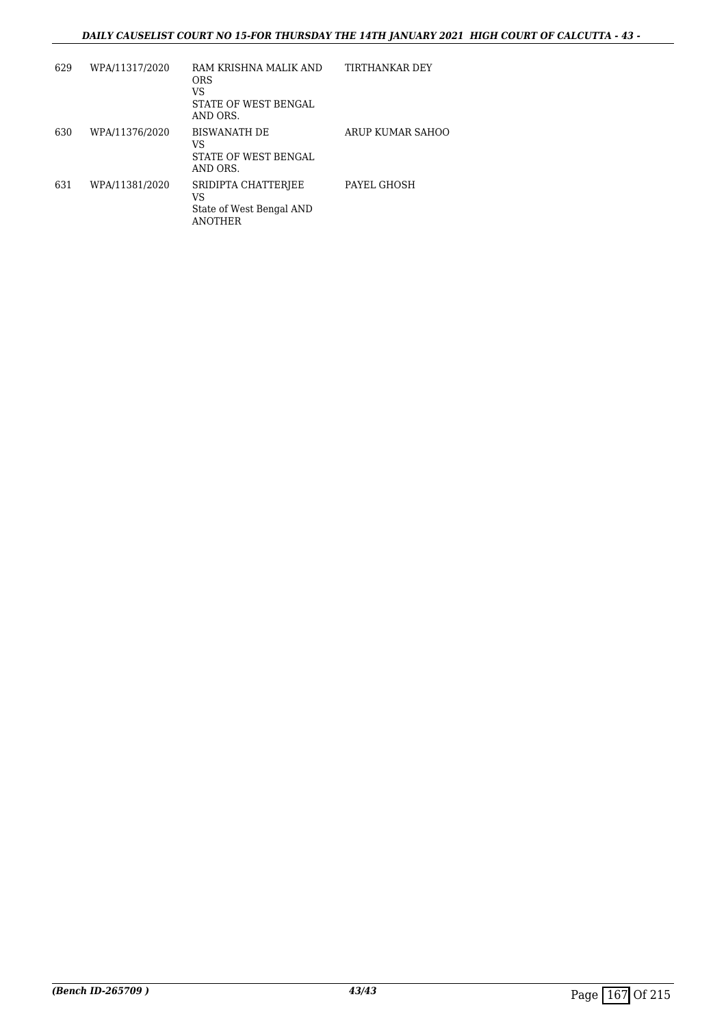# *DAILY CAUSELIST COURT NO 15-FOR THURSDAY THE 14TH JANUARY 2021 HIGH COURT OF CALCUTTA - 43 -*

| 629 | WPA/11317/2020 | RAM KRISHNA MALIK AND<br><b>ORS</b><br>VS<br>STATE OF WEST BENGAL<br>AND ORS. | TIRTHANKAR DEY   |
|-----|----------------|-------------------------------------------------------------------------------|------------------|
| 630 | WPA/11376/2020 | <b>BISWANATH DE</b><br>VS<br>STATE OF WEST BENGAL<br>AND ORS.                 | ARUP KUMAR SAHOO |
| 631 | WPA/11381/2020 | SRIDIPTA CHATTERJEE<br>VS<br>State of West Bengal AND<br><b>ANOTHER</b>       | PAYEL GHOSH      |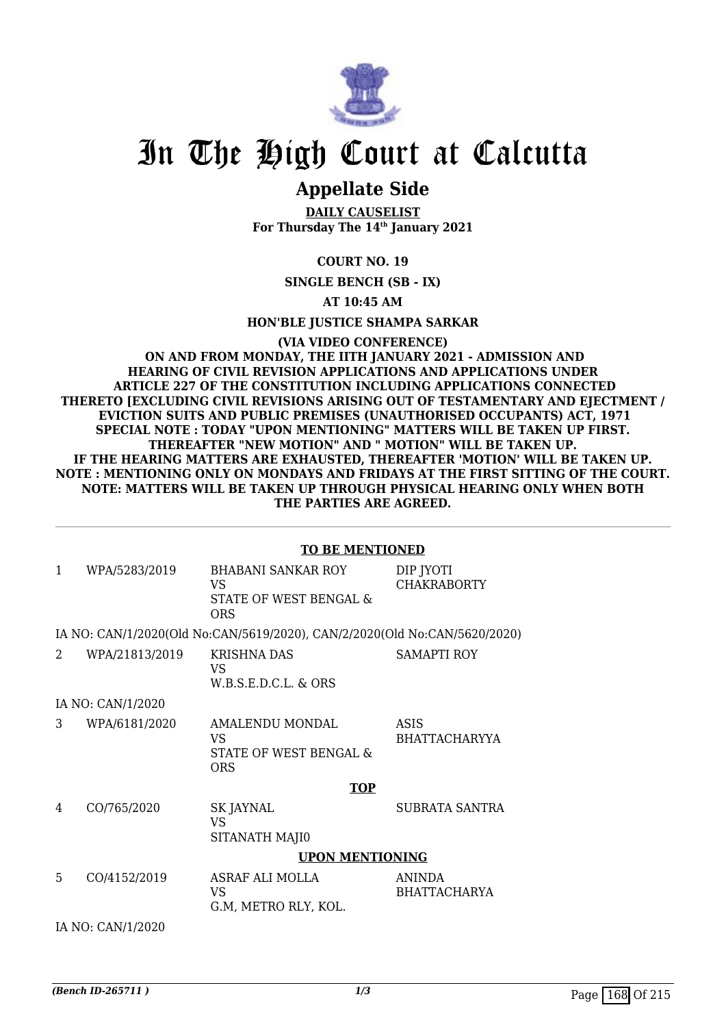

# In The High Court at Calcutta

# **Appellate Side**

**DAILY CAUSELIST For Thursday The 14th January 2021**

**COURT NO. 19**

**SINGLE BENCH (SB - IX)**

**AT 10:45 AM**

**HON'BLE JUSTICE SHAMPA SARKAR**

**(VIA VIDEO CONFERENCE) ON AND FROM MONDAY, THE IITH JANUARY 2021 - ADMISSION AND HEARING OF CIVIL REVISION APPLICATIONS AND APPLICATIONS UNDER ARTICLE 227 OF THE CONSTITUTION INCLUDING APPLICATIONS CONNECTED THERETO [EXCLUDING CIVIL REVISIONS ARISING OUT OF TESTAMENTARY AND EJECTMENT / EVICTION SUITS AND PUBLIC PREMISES (UNAUTHORISED OCCUPANTS) ACT, 1971 SPECIAL NOTE : TODAY "UPON MENTIONING" MATTERS WILL BE TAKEN UP FIRST. THEREAFTER "NEW MOTION" AND " MOTION" WILL BE TAKEN UP. IF THE HEARING MATTERS ARE EXHAUSTED, THEREAFTER 'MOTION' WILL BE TAKEN UP. NOTE : MENTIONING ONLY ON MONDAYS AND FRIDAYS AT THE FIRST SITTING OF THE COURT. NOTE: MATTERS WILL BE TAKEN UP THROUGH PHYSICAL HEARING ONLY WHEN BOTH THE PARTIES ARE AGREED.**

|                | <b>TO BE MENTIONED</b> |                                                                           |                                     |  |
|----------------|------------------------|---------------------------------------------------------------------------|-------------------------------------|--|
| $\mathbf{1}$   | WPA/5283/2019          | <b>BHABANI SANKAR ROY</b><br>VS.<br>STATE OF WEST BENGAL &<br><b>ORS</b>  | DIP JYOTI<br><b>CHAKRABORTY</b>     |  |
|                |                        | IA NO: CAN/1/2020(Old No:CAN/5619/2020), CAN/2/2020(Old No:CAN/5620/2020) |                                     |  |
| $\overline{2}$ | WPA/21813/2019         | <b>KRISHNA DAS</b><br>VS<br>W.B.S.E.D.C.L. & ORS                          | <b>SAMAPTI ROY</b>                  |  |
|                | IA NO: CAN/1/2020      |                                                                           |                                     |  |
| 3              | WPA/6181/2020          | AMALENDU MONDAL<br>VS.<br>STATE OF WEST BENGAL &<br><b>ORS</b>            | <b>ASIS</b><br><b>BHATTACHARYYA</b> |  |
|                |                        | <b>TOP</b>                                                                |                                     |  |
| 4              | CO/765/2020            | <b>SK JAYNAL</b><br><b>VS</b><br>SITANATH MAJI0                           | <b>SUBRATA SANTRA</b>               |  |
|                | <b>UPON MENTIONING</b> |                                                                           |                                     |  |
| 5              | CO/4152/2019           | ASRAF ALI MOLLA<br>VS.<br>G.M, METRO RLY, KOL.                            | ANINDA<br><b>BHATTACHARYA</b>       |  |
|                | IA NO: CAN/1/2020      |                                                                           |                                     |  |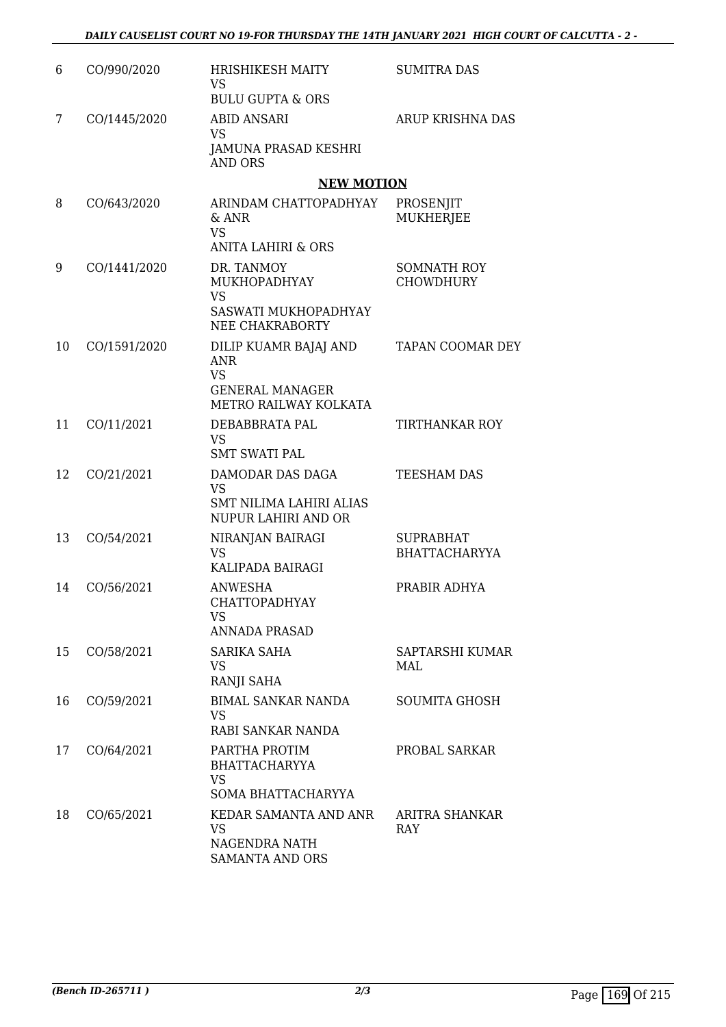| 6  | CO/990/2020  | <b>HRISHIKESH MAITY</b><br><b>VS</b><br><b>BULU GUPTA &amp; ORS</b>                          | <b>SUMITRA DAS</b>                       |
|----|--------------|----------------------------------------------------------------------------------------------|------------------------------------------|
| 7  | CO/1445/2020 | <b>ABID ANSARI</b><br><b>VS</b><br>JAMUNA PRASAD KESHRI<br><b>AND ORS</b>                    | <b>ARUP KRISHNA DAS</b>                  |
|    |              | <b>NEW MOTION</b>                                                                            |                                          |
| 8  | CO/643/2020  | ARINDAM CHATTOPADHYAY<br>& ANR<br><b>VS</b><br><b>ANITA LAHIRI &amp; ORS</b>                 | PROSENJIT<br><b>MUKHERJEE</b>            |
| 9  | CO/1441/2020 | DR. TANMOY<br>MUKHOPADHYAY<br><b>VS</b><br>SASWATI MUKHOPADHYAY<br><b>NEE CHAKRABORTY</b>    | SOMNATH ROY<br><b>CHOWDHURY</b>          |
| 10 | CO/1591/2020 | DILIP KUAMR BAJAJ AND<br>ANR<br><b>VS</b><br><b>GENERAL MANAGER</b><br>METRO RAILWAY KOLKATA | TAPAN COOMAR DEY                         |
| 11 | CO/11/2021   | DEBABBRATA PAL<br><b>VS</b><br><b>SMT SWATI PAL</b>                                          | <b>TIRTHANKAR ROY</b>                    |
| 12 | CO/21/2021   | DAMODAR DAS DAGA<br><b>VS</b><br>SMT NILIMA LAHIRI ALIAS<br>NUPUR LAHIRI AND OR              | <b>TEESHAM DAS</b>                       |
| 13 | CO/54/2021   | NIRANJAN BAIRAGI<br><b>VS</b><br>KALIPADA BAIRAGI                                            | <b>SUPRABHAT</b><br><b>BHATTACHARYYA</b> |
| 14 | CO/56/2021   | ANWESHA<br>CHATTOPADHYAY<br>VS<br><b>ANNADA PRASAD</b>                                       | PRABIR ADHYA                             |
| 15 | CO/58/2021   | SARIKA SAHA<br>VS<br>RANJI SAHA                                                              | SAPTARSHI KUMAR<br>MAI.                  |
| 16 | CO/59/2021   | <b>BIMAL SANKAR NANDA</b><br><b>VS</b><br>RABI SANKAR NANDA                                  | <b>SOUMITA GHOSH</b>                     |
| 17 | CO/64/2021   | PARTHA PROTIM<br><b>BHATTACHARYYA</b><br><b>VS</b><br>SOMA BHATTACHARYYA                     | PROBAL SARKAR                            |
| 18 | CO/65/2021   | KEDAR SAMANTA AND ANR<br><b>VS</b><br>NAGENDRA NATH<br><b>SAMANTA AND ORS</b>                | ARITRA SHANKAR<br><b>RAY</b>             |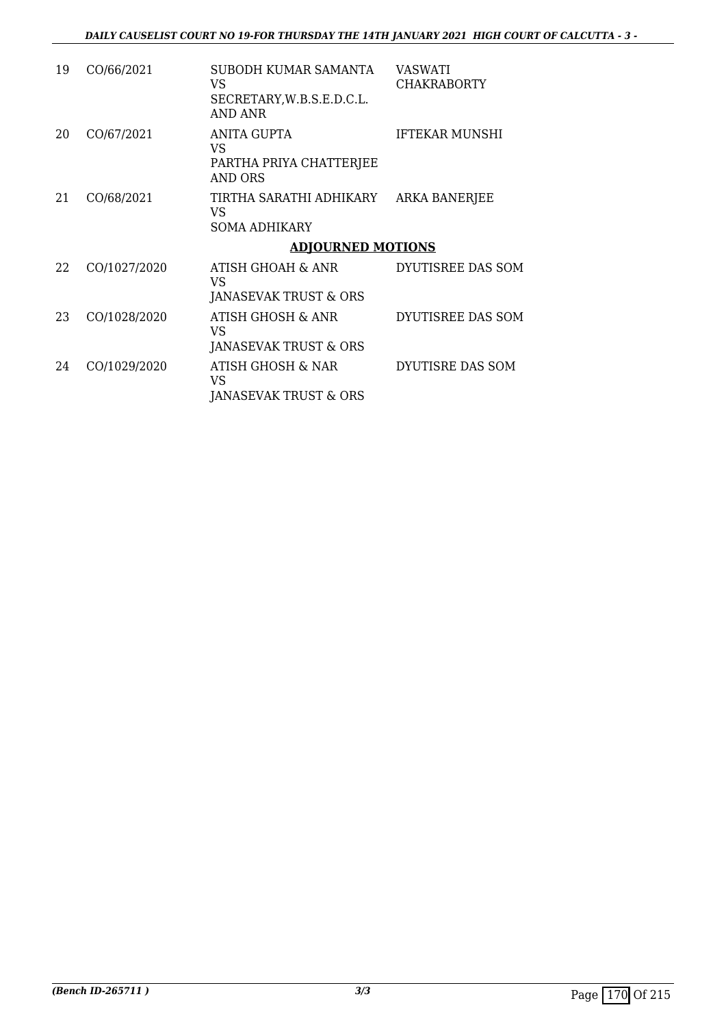| 19 | CO/66/2021   | SUBODH KUMAR SAMANTA<br>VS.<br>SECRETARY, W.B.S.E.D.C.L.<br>AND ANR           | VASWATI<br><b>CHAKRABORTY</b> |
|----|--------------|-------------------------------------------------------------------------------|-------------------------------|
| 20 | CO/67/2021   | ANITA GUPTA<br>VS.<br>PARTHA PRIYA CHATTERJEE<br>AND ORS                      | <b>IFTEKAR MUNSHI</b>         |
| 21 | CO/68/2021   | TIRTHA SARATHI ADHIKARY<br>VS<br><b>SOMA ADHIKARY</b>                         | <b>ARKA BANERJEE</b>          |
|    |              | <b>ADJOURNED MOTIONS</b>                                                      |                               |
| 22 | CO/1027/2020 | ATISH GHOAH & ANR<br>VS.<br>JANASEVAK TRUST & ORS                             | DYUTISREE DAS SOM             |
| 23 | CO/1028/2020 | ATISH GHOSH & ANR<br>VS<br>JANASEVAK TRUST & ORS                              | DYUTISREE DAS SOM             |
| 24 | CO/1029/2020 | <b>ATISH GHOSH &amp; NAR</b><br><b>VS</b><br><b>JANASEVAK TRUST &amp; ORS</b> | DYUTISRE DAS SOM              |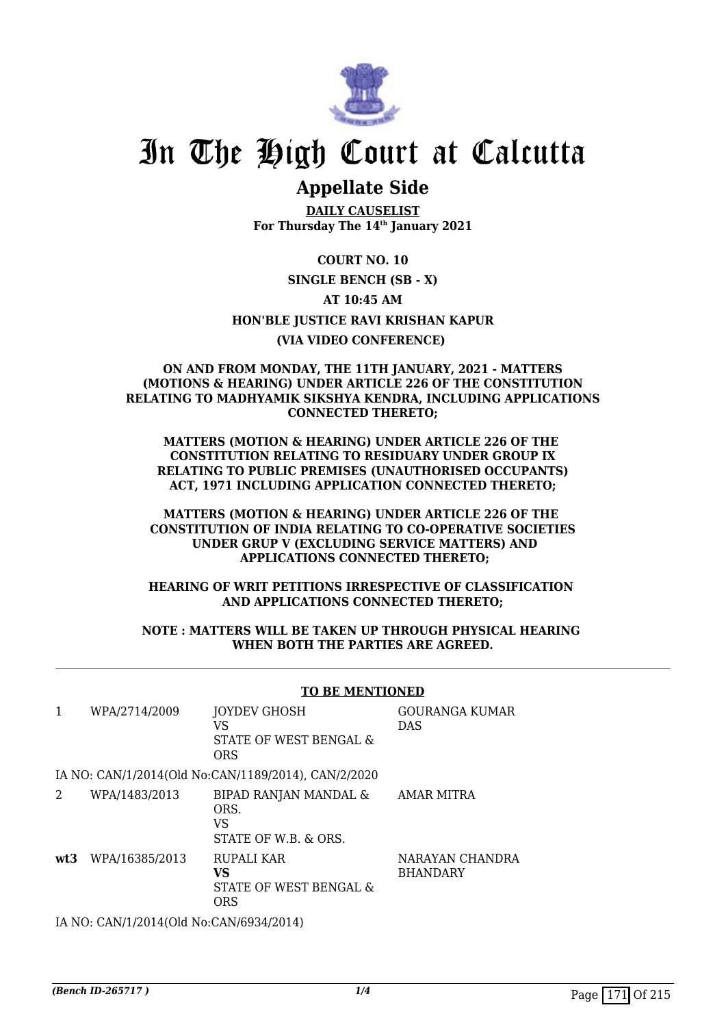

# In The High Court at Calcutta

# **Appellate Side**

**DAILY CAUSELIST For Thursday The 14th January 2021**

**COURT NO. 10 SINGLE BENCH (SB - X) AT 10:45 AM HON'BLE JUSTICE RAVI KRISHAN KAPUR (VIA VIDEO CONFERENCE)** 

#### **ON AND FROM MONDAY, THE 11TH JANUARY, 2021 - MATTERS (MOTIONS & HEARING) UNDER ARTICLE 226 OF THE CONSTITUTION RELATING TO MADHYAMIK SIKSHYA KENDRA, INCLUDING APPLICATIONS CONNECTED THERETO;**

**MATTERS (MOTION & HEARING) UNDER ARTICLE 226 OF THE CONSTITUTION RELATING TO RESIDUARY UNDER GROUP IX RELATING TO PUBLIC PREMISES (UNAUTHORISED OCCUPANTS) ACT, 1971 INCLUDING APPLICATION CONNECTED THERETO;**

**MATTERS (MOTION & HEARING) UNDER ARTICLE 226 OF THE CONSTITUTION OF INDIA RELATING TO CO-OPERATIVE SOCIETIES UNDER GRUP V (EXCLUDING SERVICE MATTERS) AND APPLICATIONS CONNECTED THERETO;**

**HEARING OF WRIT PETITIONS IRRESPECTIVE OF CLASSIFICATION AND APPLICATIONS CONNECTED THERETO;**

#### **NOTE : MATTERS WILL BE TAKEN UP THROUGH PHYSICAL HEARING WHEN BOTH THE PARTIES ARE AGREED.**

#### **TO BE MENTIONED**

| 1   | WPA/2714/2009                                | <b>JOYDEV GHOSH</b><br>VS<br>STATE OF WEST BENGAL &<br><b>ORS</b> | <b>GOURANGA KUMAR</b><br><b>DAS</b> |
|-----|----------------------------------------------|-------------------------------------------------------------------|-------------------------------------|
|     |                                              | IA NO: CAN/1/2014(Old No:CAN/1189/2014), CAN/2/2020               |                                     |
| 2   | WPA/1483/2013                                | BIPAD RANJAN MANDAL &<br>ORS.<br>VS<br>STATE OF W.B. & ORS.       | AMAR MITRA                          |
| wt3 | WPA/16385/2013                               | RUPALI KAR<br>VS<br>STATE OF WEST BENGAL &<br><b>ORS</b>          | NARAYAN CHANDRA<br><b>BHANDARY</b>  |
|     | LA NO. CANIJI (2014) OLA No.CANIGO 24 (2014) |                                                                   |                                     |

IA NO: CAN/1/2014(Old No:CAN/6934/2014)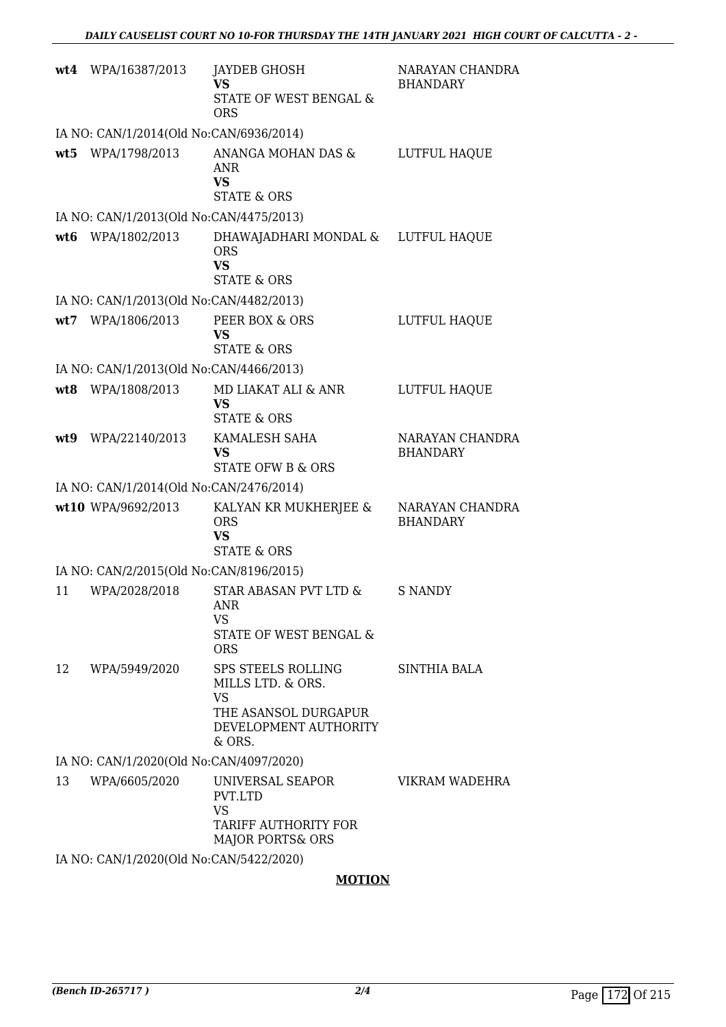|     | wt4 WPA/16387/2013                      | JAYDEB GHOSH<br>VS<br><b>STATE OF WEST BENGAL &amp;</b><br><b>ORS</b>                                                    | NARAYAN CHANDRA<br><b>BHANDARY</b> |
|-----|-----------------------------------------|--------------------------------------------------------------------------------------------------------------------------|------------------------------------|
|     | IA NO: CAN/1/2014(Old No:CAN/6936/2014) |                                                                                                                          |                                    |
|     | wt5 WPA/1798/2013                       | ANANGA MOHAN DAS &<br><b>ANR</b><br><b>VS</b><br><b>STATE &amp; ORS</b>                                                  | LUTFUL HAQUE                       |
|     | IA NO: CAN/1/2013(Old No:CAN/4475/2013) |                                                                                                                          |                                    |
|     | wt6 WPA/1802/2013                       | DHAWAJADHARI MONDAL & LUTFUL HAQUE<br><b>ORS</b><br><b>VS</b><br><b>STATE &amp; ORS</b>                                  |                                    |
|     | IA NO: CAN/1/2013(Old No:CAN/4482/2013) |                                                                                                                          |                                    |
|     | wt7 WPA/1806/2013                       | PEER BOX & ORS<br><b>VS</b><br><b>STATE &amp; ORS</b>                                                                    | LUTFUL HAQUE                       |
|     | IA NO: CAN/1/2013(Old No:CAN/4466/2013) |                                                                                                                          |                                    |
|     | wt8 WPA/1808/2013                       | MD LIAKAT ALI & ANR<br><b>VS</b><br><b>STATE &amp; ORS</b>                                                               | LUTFUL HAQUE                       |
| wt9 | WPA/22140/2013                          | KAMALESH SAHA<br><b>VS</b><br>STATE OFW B & ORS                                                                          | NARAYAN CHANDRA<br><b>BHANDARY</b> |
|     | IA NO: CAN/1/2014(Old No:CAN/2476/2014) |                                                                                                                          |                                    |
|     | wt10 WPA/9692/2013                      | KALYAN KR MUKHERJEE &<br><b>ORS</b><br><b>VS</b><br><b>STATE &amp; ORS</b>                                               | NARAYAN CHANDRA<br><b>BHANDARY</b> |
|     | IA NO: CAN/2/2015(Old No:CAN/8196/2015) |                                                                                                                          |                                    |
| 11  | WPA/2028/2018                           | STAR ABASAN PVT LTD &<br>ANR<br>VS<br>STATE OF WEST BENGAL &<br><b>ORS</b>                                               | S NANDY                            |
| 12  | WPA/5949/2020                           | <b>SPS STEELS ROLLING</b><br>MILLS LTD. & ORS.<br><b>VS</b><br>THE ASANSOL DURGAPUR<br>DEVELOPMENT AUTHORITY<br>$&$ ORS. | <b>SINTHIA BALA</b>                |
|     | IA NO: CAN/1/2020(Old No:CAN/4097/2020) |                                                                                                                          |                                    |
| 13  | WPA/6605/2020                           | UNIVERSAL SEAPOR<br>PVT.LTD<br><b>VS</b><br>TARIFF AUTHORITY FOR<br><b>MAJOR PORTS&amp; ORS</b>                          | VIKRAM WADEHRA                     |
|     | IA NO: CAN/1/2020(Old No:CAN/5422/2020) |                                                                                                                          |                                    |

# **MOTION**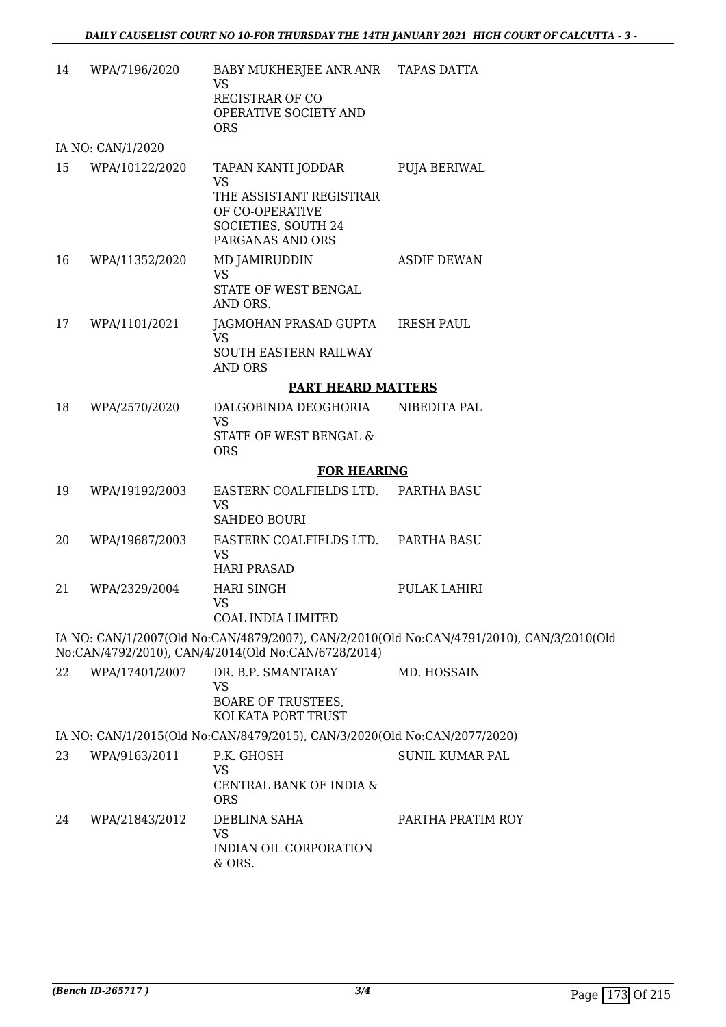| 14 | WPA/7196/2020     | BABY MUKHERJEE ANR ANR TAPAS DATTA<br><b>VS</b><br><b>REGISTRAR OF CO</b><br>OPERATIVE SOCIETY AND<br><b>ORS</b>         |                                                                                           |
|----|-------------------|--------------------------------------------------------------------------------------------------------------------------|-------------------------------------------------------------------------------------------|
|    | IA NO: CAN/1/2020 |                                                                                                                          |                                                                                           |
| 15 | WPA/10122/2020    | TAPAN KANTI JODDAR<br><b>VS</b><br>THE ASSISTANT REGISTRAR<br>OF CO-OPERATIVE<br>SOCIETIES, SOUTH 24<br>PARGANAS AND ORS | <b>PUJA BERIWAL</b>                                                                       |
| 16 | WPA/11352/2020    | MD JAMIRUDDIN<br><b>VS</b><br>STATE OF WEST BENGAL<br>AND ORS.                                                           | <b>ASDIF DEWAN</b>                                                                        |
| 17 | WPA/1101/2021     | JAGMOHAN PRASAD GUPTA<br><b>VS</b><br>SOUTH EASTERN RAILWAY<br><b>AND ORS</b>                                            | <b>IRESH PAUL</b>                                                                         |
|    |                   | <b>PART HEARD MATTERS</b>                                                                                                |                                                                                           |
| 18 | WPA/2570/2020     | DALGOBINDA DEOGHORIA<br><b>VS</b><br>STATE OF WEST BENGAL &<br><b>ORS</b>                                                | NIBEDITA PAL                                                                              |
|    |                   | <b>FOR HEARING</b>                                                                                                       |                                                                                           |
| 19 | WPA/19192/2003    | EASTERN COALFIELDS LTD.<br><b>VS</b><br><b>SAHDEO BOURI</b>                                                              | PARTHA BASU                                                                               |
| 20 | WPA/19687/2003    | EASTERN COALFIELDS LTD.<br><b>VS</b><br><b>HARI PRASAD</b>                                                               | PARTHA BASU                                                                               |
| 21 | WPA/2329/2004     | <b>HARI SINGH</b><br>VS.<br>COAL INDIA LIMITED                                                                           | PULAK LAHIRI                                                                              |
|    |                   | No:CAN/4792/2010), CAN/4/2014(Old No:CAN/6728/2014)                                                                      | IA NO: CAN/1/2007(Old No:CAN/4879/2007), CAN/2/2010(Old No:CAN/4791/2010), CAN/3/2010(Old |
| 22 | WPA/17401/2007    | DR. B.P. SMANTARAY<br><b>VS</b><br><b>BOARE OF TRUSTEES,</b><br>KOLKATA PORT TRUST                                       | MD. HOSSAIN                                                                               |
|    |                   | IA NO: CAN/1/2015(Old No:CAN/8479/2015), CAN/3/2020(Old No:CAN/2077/2020)                                                |                                                                                           |
| 23 | WPA/9163/2011     | P.K. GHOSH<br>VS<br>CENTRAL BANK OF INDIA &<br><b>ORS</b>                                                                | <b>SUNIL KUMAR PAL</b>                                                                    |
| 24 | WPA/21843/2012    | DEBLINA SAHA<br><b>VS</b><br>INDIAN OIL CORPORATION<br>& ORS.                                                            | PARTHA PRATIM ROY                                                                         |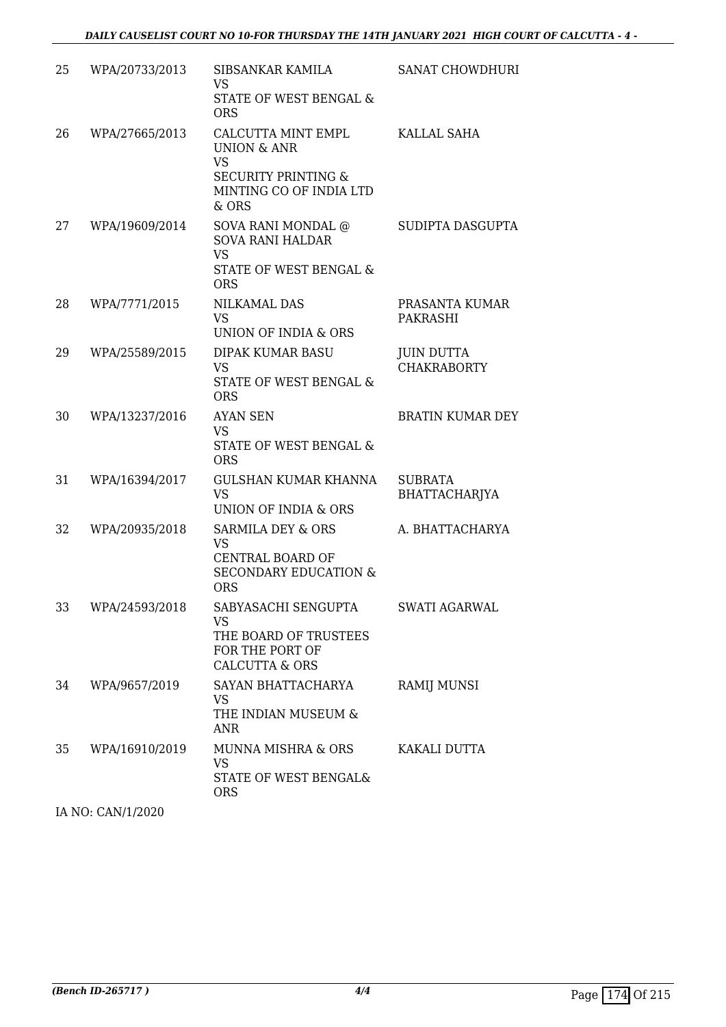| 25 | WPA/20733/2013 | SIBSANKAR KAMILA<br><b>VS</b><br>STATE OF WEST BENGAL &<br><b>ORS</b>                                                           | SANAT CHOWDHURI                         |
|----|----------------|---------------------------------------------------------------------------------------------------------------------------------|-----------------------------------------|
| 26 | WPA/27665/2013 | CALCUTTA MINT EMPL<br><b>UNION &amp; ANR</b><br><b>VS</b><br><b>SECURITY PRINTING &amp;</b><br>MINTING CO OF INDIA LTD<br>& ORS | KALLAL SAHA                             |
| 27 | WPA/19609/2014 | SOVA RANI MONDAL @<br><b>SOVA RANI HALDAR</b><br><b>VS</b><br>STATE OF WEST BENGAL &<br><b>ORS</b>                              | SUDIPTA DASGUPTA                        |
| 28 | WPA/7771/2015  | <b>NILKAMAL DAS</b><br><b>VS</b><br>UNION OF INDIA & ORS                                                                        | PRASANTA KUMAR<br><b>PAKRASHI</b>       |
| 29 | WPA/25589/2015 | <b>DIPAK KUMAR BASU</b><br>VS<br>STATE OF WEST BENGAL &<br><b>ORS</b>                                                           | <b>JUIN DUTTA</b><br><b>CHAKRABORTY</b> |
| 30 | WPA/13237/2016 | <b>AYAN SEN</b><br><b>VS</b><br>STATE OF WEST BENGAL &<br><b>ORS</b>                                                            | <b>BRATIN KUMAR DEY</b>                 |
| 31 | WPA/16394/2017 | GULSHAN KUMAR KHANNA<br><b>VS</b><br>UNION OF INDIA & ORS                                                                       | <b>SUBRATA</b><br><b>BHATTACHARJYA</b>  |
| 32 | WPA/20935/2018 | <b>SARMILA DEY &amp; ORS</b><br><b>VS</b><br>CENTRAL BOARD OF<br><b>SECONDARY EDUCATION &amp;</b><br><b>ORS</b>                 | A. BHATTACHARYA                         |
| 33 | WPA/24593/2018 | SABYASACHI SENGUPTA<br>VS<br>THE BOARD OF TRUSTEES<br>FOR THE PORT OF<br><b>CALCUTTA &amp; ORS</b>                              | SWATI AGARWAL                           |
| 34 | WPA/9657/2019  | SAYAN BHATTACHARYA<br>VS<br>THE INDIAN MUSEUM &<br><b>ANR</b>                                                                   | <b>RAMIJ MUNSI</b>                      |
| 35 | WPA/16910/2019 | MUNNA MISHRA & ORS<br><b>VS</b><br>STATE OF WEST BENGAL&<br><b>ORS</b>                                                          | KAKALI DUTTA                            |

IA NO: CAN/1/2020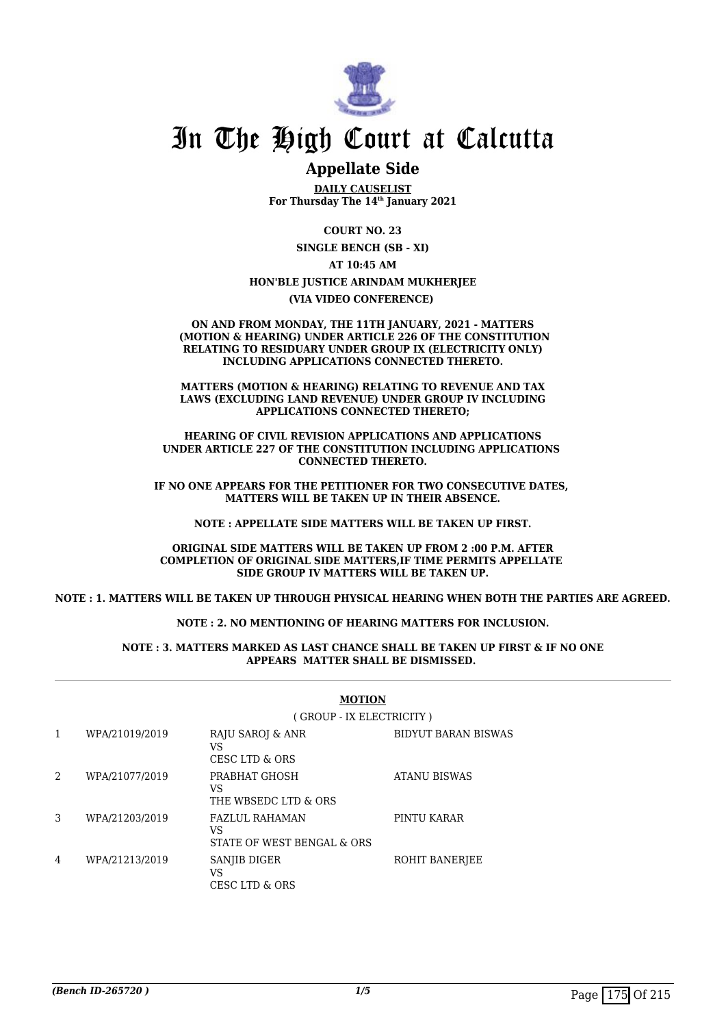

# In The High Court at Calcutta

# **Appellate Side**

**DAILY CAUSELIST For Thursday The 14th January 2021**

> **COURT NO. 23 SINGLE BENCH (SB - XI)**

> > **AT 10:45 AM**

#### **HON'BLE JUSTICE ARINDAM MUKHERJEE**

**(VIA VIDEO CONFERENCE)** 

**ON AND FROM MONDAY, THE 11TH JANUARY, 2021 - MATTERS (MOTION & HEARING) UNDER ARTICLE 226 OF THE CONSTITUTION RELATING TO RESIDUARY UNDER GROUP IX (ELECTRICITY ONLY) INCLUDING APPLICATIONS CONNECTED THERETO.**

**MATTERS (MOTION & HEARING) RELATING TO REVENUE AND TAX LAWS (EXCLUDING LAND REVENUE) UNDER GROUP IV INCLUDING APPLICATIONS CONNECTED THERETO;**

**HEARING OF CIVIL REVISION APPLICATIONS AND APPLICATIONS UNDER ARTICLE 227 OF THE CONSTITUTION INCLUDING APPLICATIONS CONNECTED THERETO.**

**IF NO ONE APPEARS FOR THE PETITIONER FOR TWO CONSECUTIVE DATES, MATTERS WILL BE TAKEN UP IN THEIR ABSENCE.**

**NOTE : APPELLATE SIDE MATTERS WILL BE TAKEN UP FIRST.**

**ORIGINAL SIDE MATTERS WILL BE TAKEN UP FROM 2 :00 P.M. AFTER COMPLETION OF ORIGINAL SIDE MATTERS,IF TIME PERMITS APPELLATE SIDE GROUP IV MATTERS WILL BE TAKEN UP.**

**NOTE : 1. MATTERS WILL BE TAKEN UP THROUGH PHYSICAL HEARING WHEN BOTH THE PARTIES ARE AGREED.**

**NOTE : 2. NO MENTIONING OF HEARING MATTERS FOR INCLUSION.**

#### **NOTE : 3. MATTERS MARKED AS LAST CHANCE SHALL BE TAKEN UP FIRST & IF NO ONE APPEARS MATTER SHALL BE DISMISSED.**

|   |                | (GROUP - IX ELECTRICITY)                                  |                            |  |
|---|----------------|-----------------------------------------------------------|----------------------------|--|
| 1 | WPA/21019/2019 | RAJU SAROJ & ANR<br>VS<br>CESC LTD & ORS                  | <b>BIDYUT BARAN BISWAS</b> |  |
| 2 | WPA/21077/2019 | PRABHAT GHOSH<br>VS<br>THE WBSEDC LTD & ORS               | ATANU BISWAS               |  |
| 3 | WPA/21203/2019 | <b>FAZLUL RAHAMAN</b><br>VS<br>STATE OF WEST BENGAL & ORS | PINTU KARAR                |  |
| 4 | WPA/21213/2019 | SANJIB DIGER<br>VS<br>CESC LTD & ORS                      | ROHIT BANERJEE             |  |

### **MOTION**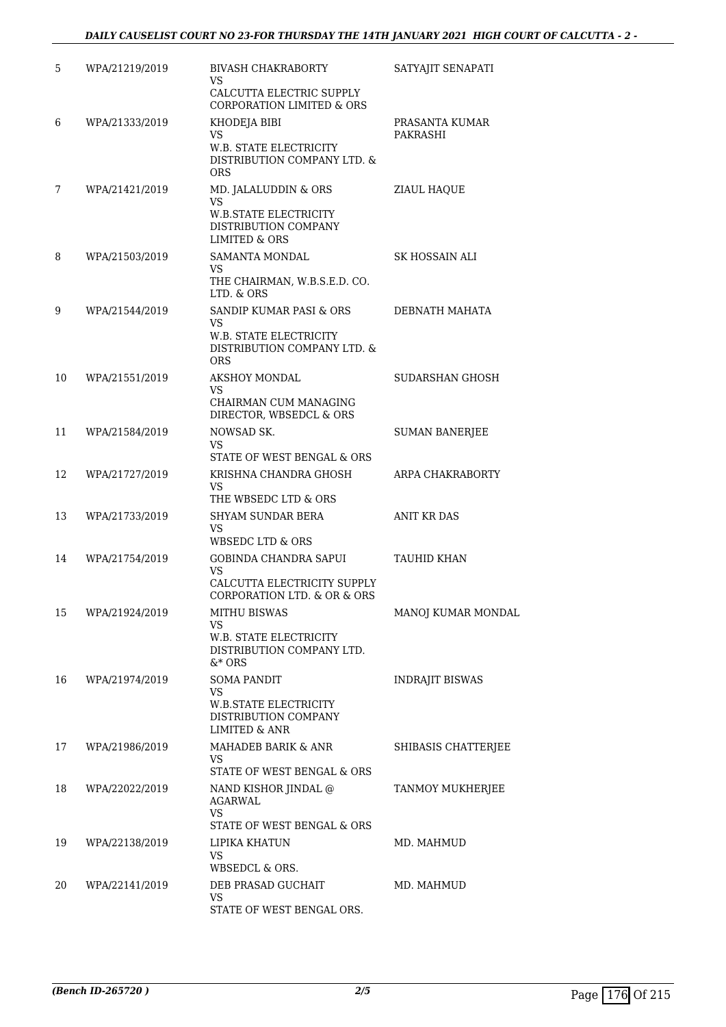# *DAILY CAUSELIST COURT NO 23-FOR THURSDAY THE 14TH JANUARY 2021 HIGH COURT OF CALCUTTA - 2 -*

| 5  | WPA/21219/2019 | <b>BIVASH CHAKRABORTY</b><br>VS.<br>CALCUTTA ELECTRIC SUPPLY<br><b>CORPORATION LIMITED &amp; ORS</b>            | SATYAJIT SENAPATI          |
|----|----------------|-----------------------------------------------------------------------------------------------------------------|----------------------------|
| 6  | WPA/21333/2019 | KHODEJA BIBI<br>VS.<br>W.B. STATE ELECTRICITY<br>DISTRIBUTION COMPANY LTD. &<br><b>ORS</b>                      | PRASANTA KUMAR<br>PAKRASHI |
| 7  | WPA/21421/2019 | MD. JALALUDDIN & ORS<br>VS.<br><b>W.B.STATE ELECTRICITY</b><br>DISTRIBUTION COMPANY<br><b>LIMITED &amp; ORS</b> | ZIAUL HAQUE                |
| 8  | WPA/21503/2019 | <b>SAMANTA MONDAL</b><br>VS.<br>THE CHAIRMAN, W.B.S.E.D. CO.<br>LTD. & ORS                                      | SK HOSSAIN ALI             |
| 9  | WPA/21544/2019 | SANDIP KUMAR PASI & ORS<br>VS.<br><b>W.B. STATE ELECTRICITY</b><br>DISTRIBUTION COMPANY LTD. &<br><b>ORS</b>    | DEBNATH MAHATA             |
| 10 | WPA/21551/2019 | <b>AKSHOY MONDAL</b><br>VS.<br>CHAIRMAN CUM MANAGING<br>DIRECTOR, WBSEDCL & ORS                                 | SUDARSHAN GHOSH            |
| 11 | WPA/21584/2019 | NOWSAD SK.<br>VS.<br>STATE OF WEST BENGAL & ORS                                                                 | <b>SUMAN BANERJEE</b>      |
| 12 | WPA/21727/2019 | KRISHNA CHANDRA GHOSH<br>VS<br>THE WBSEDC LTD & ORS                                                             | ARPA CHAKRABORTY           |
| 13 | WPA/21733/2019 | <b>SHYAM SUNDAR BERA</b><br>VS<br>WBSEDC LTD & ORS                                                              | ANIT KR DAS                |
| 14 | WPA/21754/2019 | GOBINDA CHANDRA SAPUI<br><b>VS</b><br>CALCUTTA ELECTRICITY SUPPLY<br>CORPORATION LTD. & OR & ORS                | TAUHID KHAN                |
| 15 | WPA/21924/2019 | <b>MITHU BISWAS</b><br>VS<br>W.B. STATE ELECTRICITY<br>DISTRIBUTION COMPANY LTD.<br>$&*$ ORS                    | MANOJ KUMAR MONDAL         |
| 16 | WPA/21974/2019 | <b>SOMA PANDIT</b><br>VS<br><b>W.B.STATE ELECTRICITY</b><br>DISTRIBUTION COMPANY<br>LIMITED & ANR               | <b>INDRAJIT BISWAS</b>     |
| 17 | WPA/21986/2019 | <b>MAHADEB BARIK &amp; ANR</b><br>VS.<br>STATE OF WEST BENGAL & ORS                                             | SHIBASIS CHATTERJEE        |
| 18 | WPA/22022/2019 | NAND KISHOR JINDAL @<br>AGARWAL<br>VS<br>STATE OF WEST BENGAL & ORS                                             | TANMOY MUKHERJEE           |
| 19 | WPA/22138/2019 | LIPIKA KHATUN<br>VS<br>WBSEDCL & ORS.                                                                           | MD. MAHMUD                 |
| 20 | WPA/22141/2019 | DEB PRASAD GUCHAIT<br>VS<br>STATE OF WEST BENGAL ORS.                                                           | MD. MAHMUD                 |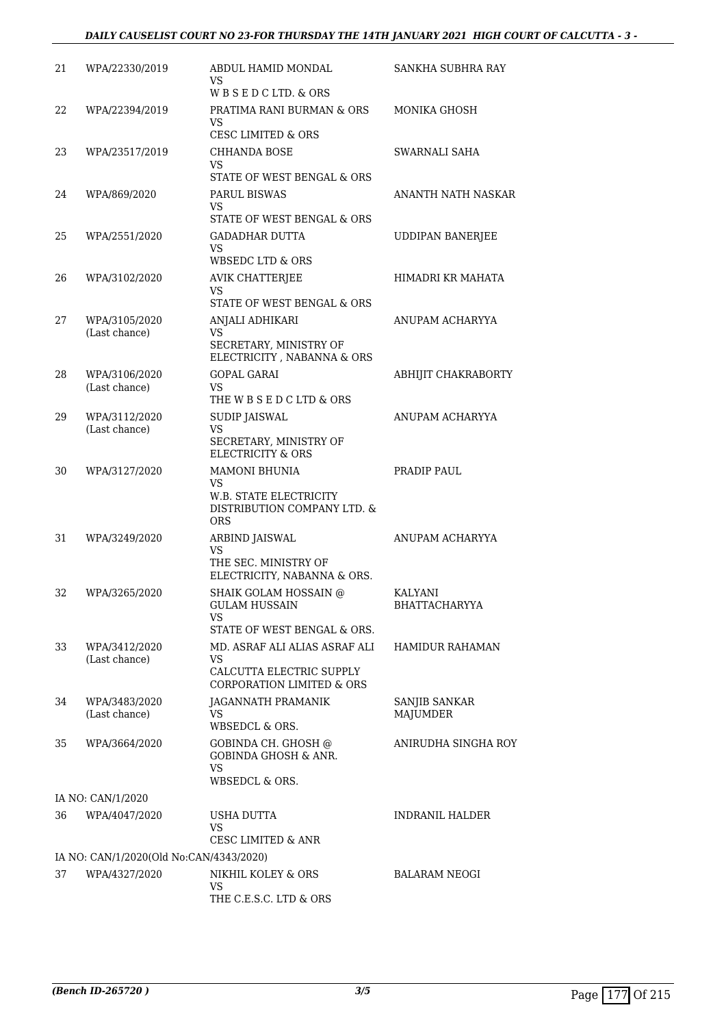# *DAILY CAUSELIST COURT NO 23-FOR THURSDAY THE 14TH JANUARY 2021 HIGH COURT OF CALCUTTA - 3 -*

| 21 | WPA/22330/2019                          | ABDUL HAMID MONDAL<br>VS<br>WBSEDCLTD. & ORS                                                             | SANKHA SUBHRA RAY                |
|----|-----------------------------------------|----------------------------------------------------------------------------------------------------------|----------------------------------|
| 22 | WPA/22394/2019                          | PRATIMA RANI BURMAN & ORS<br>VS                                                                          | MONIKA GHOSH                     |
| 23 | WPA/23517/2019                          | <b>CESC LIMITED &amp; ORS</b><br><b>CHHANDA BOSE</b><br>VS.                                              | SWARNALI SAHA                    |
| 24 | WPA/869/2020                            | STATE OF WEST BENGAL & ORS<br><b>PARUL BISWAS</b><br>VS.<br>STATE OF WEST BENGAL & ORS                   | ANANTH NATH NASKAR               |
| 25 | WPA/2551/2020                           | <b>GADADHAR DUTTA</b><br>VS                                                                              | <b>UDDIPAN BANERJEE</b>          |
| 26 | WPA/3102/2020                           | WBSEDC LTD & ORS<br><b>AVIK CHATTERJEE</b><br>VS<br>STATE OF WEST BENGAL & ORS                           | HIMADRI KR MAHATA                |
| 27 | WPA/3105/2020<br>(Last chance)          | ANJALI ADHIKARI<br>VS.<br>SECRETARY, MINISTRY OF<br>ELECTRICITY , NABANNA & ORS                          | ANUPAM ACHARYYA                  |
| 28 | WPA/3106/2020<br>(Last chance)          | GOPAL GARAI<br>VS.<br>THE W B S E D C LTD & ORS                                                          | ABHIJIT CHAKRABORTY              |
| 29 | WPA/3112/2020<br>(Last chance)          | SUDIP JAISWAL<br>VS<br>SECRETARY, MINISTRY OF<br><b>ELECTRICITY &amp; ORS</b>                            | ANUPAM ACHARYYA                  |
| 30 | WPA/3127/2020                           | <b>MAMONI BHUNIA</b><br>VS<br><b>W.B. STATE ELECTRICITY</b><br>DISTRIBUTION COMPANY LTD. &<br><b>ORS</b> | PRADIP PAUL                      |
| 31 | WPA/3249/2020                           | ARBIND JAISWAL<br>VS<br>THE SEC. MINISTRY OF<br>ELECTRICITY, NABANNA & ORS.                              | ANUPAM ACHARYYA                  |
| 32 | WPA/3265/2020                           | SHAIK GOLAM HOSSAIN @<br>GULAM HUSSAIN<br>VS.<br>STATE OF WEST BENGAL & ORS.                             | <b>KALYANI</b><br>BHATTACHARYYA  |
| 33 | WPA/3412/2020<br>(Last chance)          | MD. ASRAF ALI ALIAS ASRAF ALI<br>VS<br>CALCUTTA ELECTRIC SUPPLY<br><b>CORPORATION LIMITED &amp; ORS</b>  | <b>HAMIDUR RAHAMAN</b>           |
| 34 | WPA/3483/2020<br>(Last chance)          | JAGANNATH PRAMANIK<br>VS<br><b>WBSEDCL &amp; ORS.</b>                                                    | SANJIB SANKAR<br><b>MAJUMDER</b> |
| 35 | WPA/3664/2020                           | GOBINDA CH. GHOSH @<br><b>GOBINDA GHOSH &amp; ANR.</b><br>VS.<br><b>WBSEDCL &amp; ORS.</b>               | ANIRUDHA SINGHA ROY              |
|    | IA NO: CAN/1/2020                       |                                                                                                          |                                  |
| 36 | WPA/4047/2020                           | USHA DUTTA<br><b>VS</b><br><b>CESC LIMITED &amp; ANR</b>                                                 | <b>INDRANIL HALDER</b>           |
|    | IA NO: CAN/1/2020(Old No:CAN/4343/2020) |                                                                                                          |                                  |
| 37 | WPA/4327/2020                           | NIKHIL KOLEY & ORS<br>VS<br>THE C.E.S.C. LTD & ORS                                                       | <b>BALARAM NEOGI</b>             |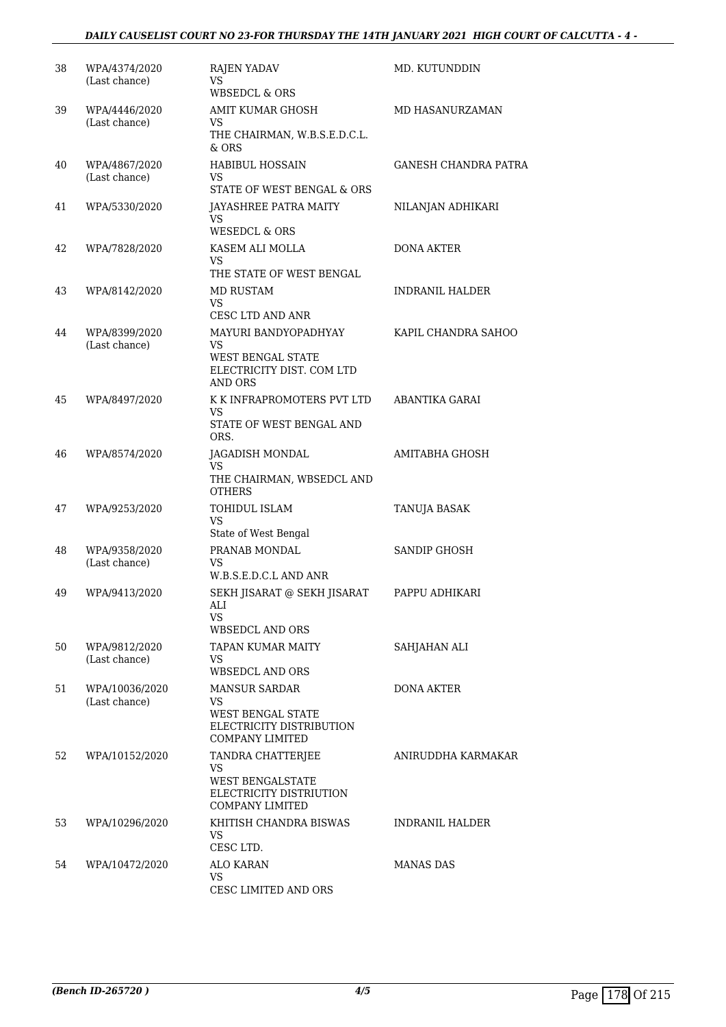# *DAILY CAUSELIST COURT NO 23-FOR THURSDAY THE 14TH JANUARY 2021 HIGH COURT OF CALCUTTA - 4 -*

| 38 | WPA/4374/2020                   | <b>RAJEN YADAV</b>                                                                                            | MD. KUTUNDDIN               |
|----|---------------------------------|---------------------------------------------------------------------------------------------------------------|-----------------------------|
|    | (Last chance)                   | VS.<br>WBSEDCL & ORS                                                                                          |                             |
| 39 | WPA/4446/2020<br>(Last chance)  | AMIT KUMAR GHOSH<br>VS                                                                                        | MD HASANURZAMAN             |
|    |                                 | THE CHAIRMAN, W.B.S.E.D.C.L.<br>$&$ ORS                                                                       |                             |
| 40 | WPA/4867/2020<br>(Last chance)  | <b>HABIBUL HOSSAIN</b><br>VS                                                                                  | <b>GANESH CHANDRA PATRA</b> |
| 41 | WPA/5330/2020                   | STATE OF WEST BENGAL & ORS<br>JAYASHREE PATRA MAITY<br>VS<br><b>WESEDCL &amp; ORS</b>                         | NILANJAN ADHIKARI           |
| 42 | WPA/7828/2020                   | KASEM ALI MOLLA<br>VS.<br>THE STATE OF WEST BENGAL                                                            | <b>DONA AKTER</b>           |
| 43 | WPA/8142/2020                   | MD RUSTAM<br>VS.<br>CESC LTD AND ANR                                                                          | <b>INDRANIL HALDER</b>      |
| 44 | WPA/8399/2020<br>(Last chance)  | MAYURI BANDYOPADHYAY<br>VS<br><b>WEST BENGAL STATE</b><br>ELECTRICITY DIST. COM LTD<br><b>AND ORS</b>         | KAPIL CHANDRA SAHOO         |
| 45 | WPA/8497/2020                   | K K INFRAPROMOTERS PVT LTD<br>VS<br>STATE OF WEST BENGAL AND<br>ORS.                                          | ABANTIKA GARAI              |
| 46 | WPA/8574/2020                   | JAGADISH MONDAL<br>VS<br>THE CHAIRMAN, WBSEDCL AND<br><b>OTHERS</b>                                           | AMITABHA GHOSH              |
| 47 | WPA/9253/2020                   | TOHIDUL ISLAM<br>VS<br>State of West Bengal                                                                   | TANUJA BASAK                |
| 48 | WPA/9358/2020<br>(Last chance)  | PRANAB MONDAL<br>VS<br>W.B.S.E.D.C.L AND ANR                                                                  | <b>SANDIP GHOSH</b>         |
| 49 | WPA/9413/2020                   | SEKH JISARAT @ SEKH JISARAT<br>ALI<br>VS<br><b>WBSEDCL AND ORS</b>                                            | PAPPU ADHIKARI              |
| 50 | WPA/9812/2020<br>(Last chance)  | <b>TAPAN KUMAR MAITY</b><br>VS.<br><b>WBSEDCL AND ORS</b>                                                     | SAHJAHAN ALI                |
| 51 | WPA/10036/2020<br>(Last chance) | <b>MANSUR SARDAR</b><br>VS.<br><b>WEST BENGAL STATE</b><br>ELECTRICITY DISTRIBUTION<br><b>COMPANY LIMITED</b> | <b>DONA AKTER</b>           |
| 52 | WPA/10152/2020                  | TANDRA CHATTERJEE<br>VS.<br><b>WEST BENGALSTATE</b><br>ELECTRICITY DISTRIUTION<br><b>COMPANY LIMITED</b>      | ANIRUDDHA KARMAKAR          |
| 53 | WPA/10296/2020                  | KHITISH CHANDRA BISWAS<br>VS.<br>CESC LTD.                                                                    | INDRANIL HALDER             |
| 54 | WPA/10472/2020                  | <b>ALO KARAN</b><br>VS.<br>CESC LIMITED AND ORS                                                               | MANAS DAS                   |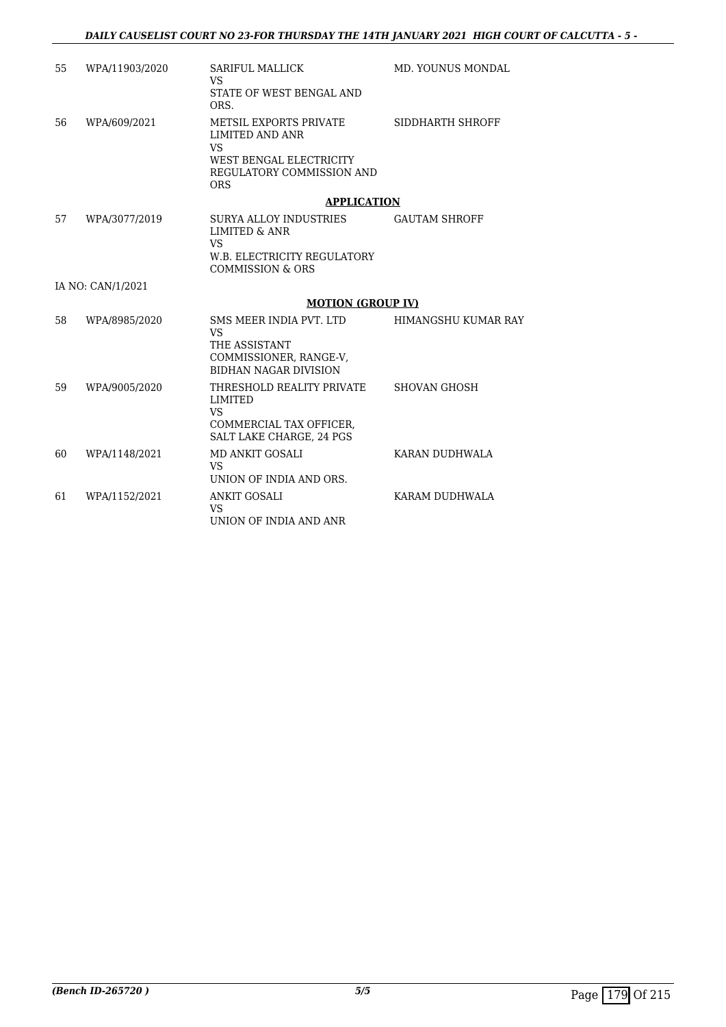| 55 | WPA/11903/2020    | <b>SARIFUL MALLICK</b><br><b>VS</b><br>STATE OF WEST BENGAL AND<br>ORS.                                                             | <b>MD. YOUNUS MONDAL</b> |
|----|-------------------|-------------------------------------------------------------------------------------------------------------------------------------|--------------------------|
| 56 | WPA/609/2021      | <b>METSIL EXPORTS PRIVATE</b><br>LIMITED AND ANR<br><b>VS</b><br>WEST BENGAL ELECTRICITY<br>REGULATORY COMMISSION AND<br><b>ORS</b> | SIDDHARTH SHROFF         |
|    |                   | <b>APPLICATION</b>                                                                                                                  |                          |
| 57 | WPA/3077/2019     | <b>SURYA ALLOY INDUSTRIES</b><br>LIMITED & ANR<br><b>VS</b><br>W.B. ELECTRICITY REGULATORY<br><b>COMMISSION &amp; ORS</b>           | <b>GAUTAM SHROFF</b>     |
|    | IA NO: CAN/1/2021 |                                                                                                                                     |                          |
|    |                   | <b>MOTION (GROUP IV)</b>                                                                                                            |                          |
| 58 | WPA/8985/2020     | SMS MEER INDIA PVT. LTD<br><b>VS</b><br>THE ASSISTANT<br>COMMISSIONER, RANGE-V,<br><b>BIDHAN NAGAR DIVISION</b>                     | HIMANGSHU KUMAR RAY      |
| 59 | WPA/9005/2020     | THRESHOLD REALITY PRIVATE<br><b>LIMITED</b><br><b>VS</b><br>COMMERCIAL TAX OFFICER,<br><b>SALT LAKE CHARGE. 24 PGS</b>              | <b>SHOVAN GHOSH</b>      |
| 60 | WPA/1148/2021     | <b>MD ANKIT GOSALI</b><br><b>VS</b><br>UNION OF INDIA AND ORS.                                                                      | KARAN DUDHWALA           |
| 61 | WPA/1152/2021     | <b>ANKIT GOSALI</b><br><b>VS</b><br>UNION OF INDIA AND ANR                                                                          | KARAM DUDHWALA           |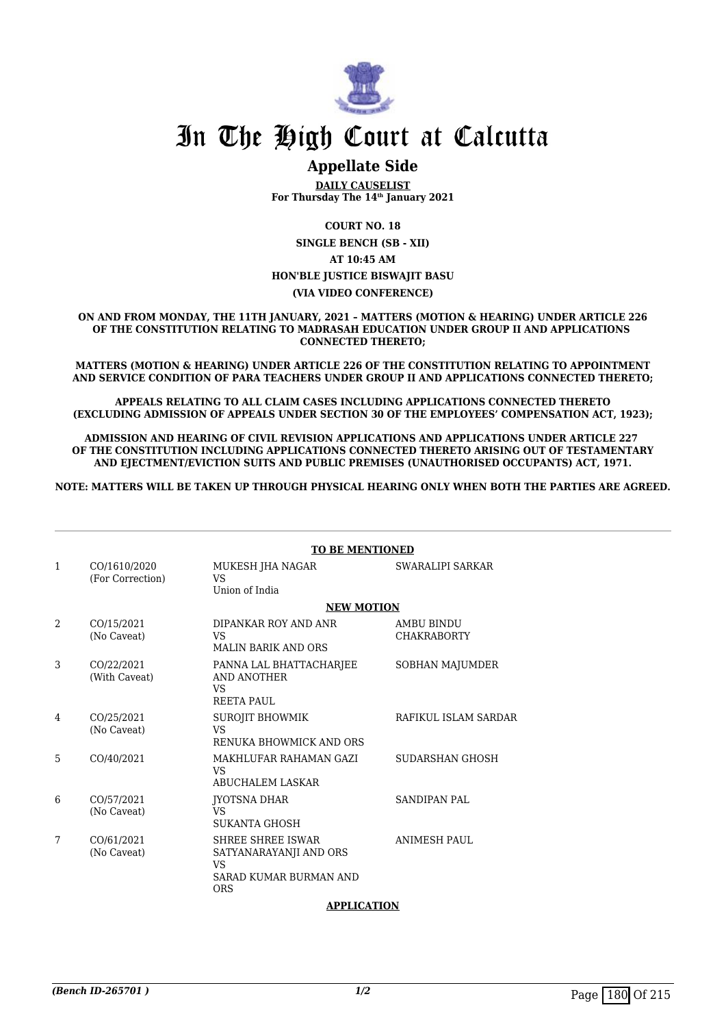

## **Appellate Side**

**DAILY CAUSELIST For Thursday The 14th January 2021**

**COURT NO. 18**

**SINGLE BENCH (SB - XII) AT 10:45 AM HON'BLE JUSTICE BISWAJIT BASU (VIA VIDEO CONFERENCE)**

**ON AND FROM MONDAY, THE 11TH JANUARY, 2021 – MATTERS (MOTION & HEARING) UNDER ARTICLE 226 OF THE CONSTITUTION RELATING TO MADRASAH EDUCATION UNDER GROUP II AND APPLICATIONS CONNECTED THERETO;**

**MATTERS (MOTION & HEARING) UNDER ARTICLE 226 OF THE CONSTITUTION RELATING TO APPOINTMENT AND SERVICE CONDITION OF PARA TEACHERS UNDER GROUP II AND APPLICATIONS CONNECTED THERETO;**

**APPEALS RELATING TO ALL CLAIM CASES INCLUDING APPLICATIONS CONNECTED THERETO (EXCLUDING ADMISSION OF APPEALS UNDER SECTION 30 OF THE EMPLOYEES' COMPENSATION ACT, 1923);**

**ADMISSION AND HEARING OF CIVIL REVISION APPLICATIONS AND APPLICATIONS UNDER ARTICLE 227 OF THE CONSTITUTION INCLUDING APPLICATIONS CONNECTED THERETO ARISING OUT OF TESTAMENTARY AND EJECTMENT/EVICTION SUITS AND PUBLIC PREMISES (UNAUTHORISED OCCUPANTS) ACT, 1971.**

**NOTE: MATTERS WILL BE TAKEN UP THROUGH PHYSICAL HEARING ONLY WHEN BOTH THE PARTIES ARE AGREED.**

|              | <b>TO BE MENTIONED</b>           |                                                                                                         |                                  |  |
|--------------|----------------------------------|---------------------------------------------------------------------------------------------------------|----------------------------------|--|
| $\mathbf{1}$ | CO/1610/2020<br>(For Correction) | MUKESH JHA NAGAR<br>VS<br>Union of India                                                                | SWARALIPI SARKAR                 |  |
|              | <b>NEW MOTION</b>                |                                                                                                         |                                  |  |
| 2            | CO/15/2021<br>(No Caveat)        | DIPANKAR ROY AND ANR<br><b>VS</b><br><b>MALIN BARIK AND ORS</b>                                         | AMBU BINDU<br><b>CHAKRABORTY</b> |  |
| 3            | CO/22/2021<br>(With Caveat)      | PANNA LAL BHATTACHARJEE<br>AND ANOTHER<br><b>VS</b><br><b>REETA PAUL</b>                                | SOBHAN MAJUMDER                  |  |
| 4            | CO/25/2021<br>(No Caveat)        | <b>SUROJIT BHOWMIK</b><br><b>VS</b><br>RENUKA BHOWMICK AND ORS                                          | RAFIKUL ISLAM SARDAR             |  |
| 5            | CO/40/2021                       | MAKHLUFAR RAHAMAN GAZI<br><b>VS</b><br><b>ABUCHALEM LASKAR</b>                                          | SUDARSHAN GHOSH                  |  |
| 6            | CO/57/2021<br>(No Caveat)        | <b>IYOTSNA DHAR</b><br>VS<br><b>SUKANTA GHOSH</b>                                                       | <b>SANDIPAN PAL</b>              |  |
| 7            | CO/61/2021<br>(No Caveat)        | <b>SHREE SHREE ISWAR</b><br>SATYANARAYANJI AND ORS<br><b>VS</b><br>SARAD KUMAR BURMAN AND<br><b>ORS</b> | <b>ANIMESH PAUL</b>              |  |

#### **APPLICATION**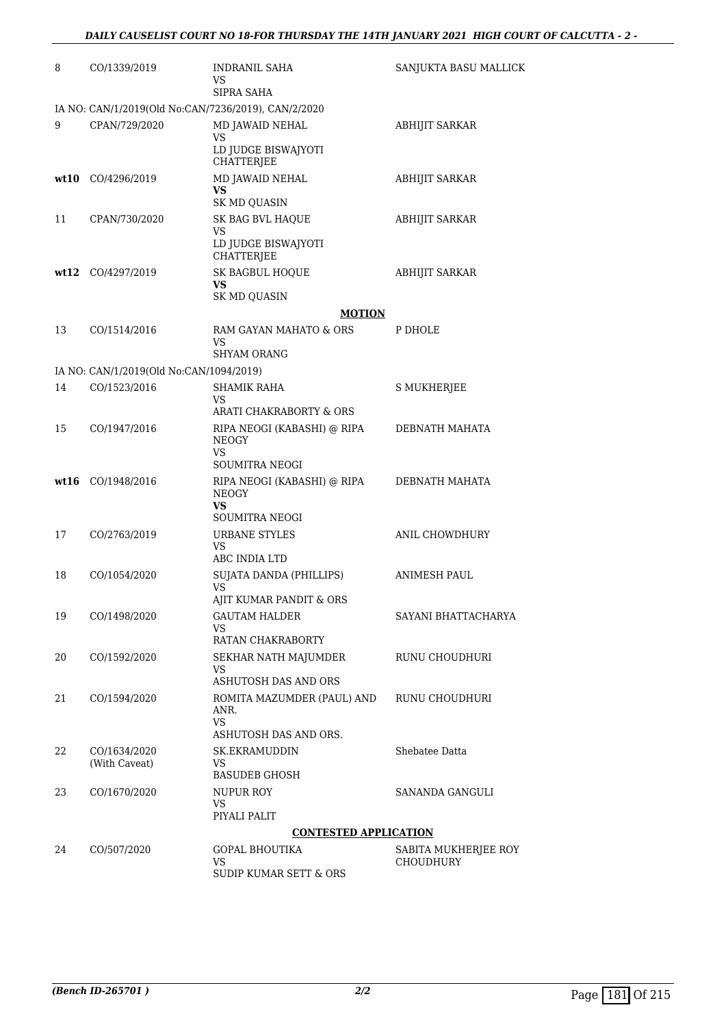| 8  | CO/1339/2019                                        | <b>INDRANIL SAHA</b><br>VS<br>SIPRA SAHA                  | SANJUKTA BASU MALLICK |
|----|-----------------------------------------------------|-----------------------------------------------------------|-----------------------|
|    | IA NO: CAN/1/2019(Old No:CAN/7236/2019), CAN/2/2020 |                                                           |                       |
| 9  | CPAN/729/2020                                       | MD JAWAID NEHAL<br>VS<br>LD JUDGE BISWAJYOTI              | <b>ABHIJIT SARKAR</b> |
|    | wt10 CO/4296/2019                                   | CHATTERJEE<br>MD JAWAID NEHAL<br>VS.                      | <b>ABHIJIT SARKAR</b> |
| 11 | CPAN/730/2020                                       | <b>SK MD QUASIN</b><br>SK BAG BVL HAQUE<br>VS             | <b>ABHIJIT SARKAR</b> |
|    |                                                     | LD JUDGE BISWAJYOTI<br>CHATTERJEE                         |                       |
|    | wt12 CO/4297/2019                                   | SK BAGBUL HOQUE<br>VS.<br><b>SK MD QUASIN</b>             | <b>ABHIJIT SARKAR</b> |
|    |                                                     | <b>MOTION</b>                                             |                       |
| 13 | CO/1514/2016                                        | RAM GAYAN MAHATO & ORS<br>VS<br>SHYAM ORANG               | P DHOLE               |
|    | IA NO: CAN/1/2019(Old No:CAN/1094/2019)             |                                                           |                       |
| 14 | CO/1523/2016                                        | <b>SHAMIK RAHA</b>                                        | S MUKHERJEE           |
|    |                                                     | VS<br>ARATI CHAKRABORTY & ORS                             |                       |
| 15 | CO/1947/2016                                        | RIPA NEOGI (KABASHI) @ RIPA<br><b>NEOGY</b>               | DEBNATH MAHATA        |
|    |                                                     | VS<br><b>SOUMITRA NEOGI</b>                               |                       |
|    | wt16 CO/1948/2016                                   | RIPA NEOGI (KABASHI) @ RIPA<br><b>NEOGY</b><br>VS.        | DEBNATH MAHATA        |
| 17 | CO/2763/2019                                        | <b>SOUMITRA NEOGI</b><br><b>URBANE STYLES</b>             | <b>ANIL CHOWDHURY</b> |
|    |                                                     | VS<br>ABC INDIA LTD                                       |                       |
| 18 | CO/1054/2020                                        | SUJATA DANDA (PHILLIPS)<br>VS.<br>AJIT KUMAR PANDIT & ORS | ANIMESH PAUL          |
| 19 | CO/1498/2020                                        | <b>GAUTAM HALDER</b><br>VS.<br>RATAN CHAKRABORTY          | SAYANI BHATTACHARYA   |
| 20 | CO/1592/2020                                        | SEKHAR NATH MAJUMDER<br>VS<br>ASHUTOSH DAS AND ORS        | RUNU CHOUDHURI        |
| 21 | CO/1594/2020                                        | ROMITA MAZUMDER (PAUL) AND<br>ANR.<br>VS.                 | RUNU CHOUDHURI        |
|    |                                                     | ASHUTOSH DAS AND ORS.                                     |                       |
| 22 | CO/1634/2020<br>(With Caveat)                       | SK.EKRAMUDDIN<br>VS.<br><b>BASUDEB GHOSH</b>              | Shebatee Datta        |
| 23 | CO/1670/2020                                        | NUPUR ROY<br>VS.<br>PIYALI PALIT                          | SANANDA GANGULI       |
|    |                                                     | <b>CONTESTED APPLICATION</b>                              |                       |
| 24 | CO/507/2020                                         | GOPAL BHOUTIKA                                            | SABITA MUKHERJEE ROY  |
|    |                                                     | VS.<br><b>SUDIP KUMAR SETT &amp; ORS</b>                  | <b>CHOUDHURY</b>      |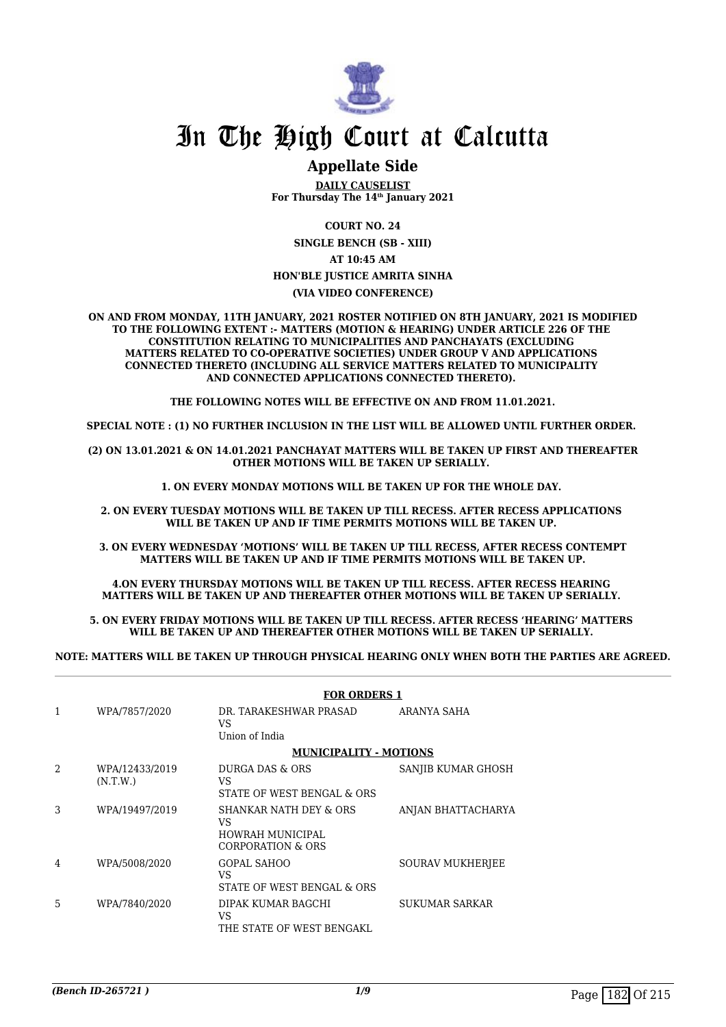

## **Appellate Side**

**DAILY CAUSELIST For Thursday The 14th January 2021**

**COURT NO. 24**

**SINGLE BENCH (SB - XIII) AT 10:45 AM**

#### **HON'BLE JUSTICE AMRITA SINHA**

#### **(VIA VIDEO CONFERENCE)**

**ON AND FROM MONDAY, 11TH JANUARY, 2021 ROSTER NOTIFIED ON 8TH JANUARY, 2021 IS MODIFIED TO THE FOLLOWING EXTENT :- MATTERS (MOTION & HEARING) UNDER ARTICLE 226 OF THE CONSTITUTION RELATING TO MUNICIPALITIES AND PANCHAYATS (EXCLUDING MATTERS RELATED TO CO-OPERATIVE SOCIETIES) UNDER GROUP V AND APPLICATIONS CONNECTED THERETO (INCLUDING ALL SERVICE MATTERS RELATED TO MUNICIPALITY AND CONNECTED APPLICATIONS CONNECTED THERETO).** 

**THE FOLLOWING NOTES WILL BE EFFECTIVE ON AND FROM 11.01.2021.**

**SPECIAL NOTE : (1) NO FURTHER INCLUSION IN THE LIST WILL BE ALLOWED UNTIL FURTHER ORDER.** 

**(2) ON 13.01.2021 & ON 14.01.2021 PANCHAYAT MATTERS WILL BE TAKEN UP FIRST AND THEREAFTER OTHER MOTIONS WILL BE TAKEN UP SERIALLY.** 

**1. ON EVERY MONDAY MOTIONS WILL BE TAKEN UP FOR THE WHOLE DAY.** 

**2. ON EVERY TUESDAY MOTIONS WILL BE TAKEN UP TILL RECESS. AFTER RECESS APPLICATIONS**  WILL BE TAKEN UP AND IF TIME PERMITS MOTIONS WILL BE TAKEN UP.

**3. ON EVERY WEDNESDAY 'MOTIONS' WILL BE TAKEN UP TILL RECESS, AFTER RECESS CONTEMPT MATTERS WILL BE TAKEN UP AND IF TIME PERMITS MOTIONS WILL BE TAKEN UP.**

**4.ON EVERY THURSDAY MOTIONS WILL BE TAKEN UP TILL RECESS. AFTER RECESS HEARING MATTERS WILL BE TAKEN UP AND THEREAFTER OTHER MOTIONS WILL BE TAKEN UP SERIALLY.** 

**5. ON EVERY FRIDAY MOTIONS WILL BE TAKEN UP TILL RECESS. AFTER RECESS 'HEARING' MATTERS**  WILL BE TAKEN UP AND THEREAFTER OTHER MOTIONS WILL BE TAKEN UP SERIALLY.

**NOTE: MATTERS WILL BE TAKEN UP THROUGH PHYSICAL HEARING ONLY WHEN BOTH THE PARTIES ARE AGREED.**

|                |                            | <b>FOR ORDERS 1</b>                                                              |                    |
|----------------|----------------------------|----------------------------------------------------------------------------------|--------------------|
| 1              | WPA/7857/2020              | DR. TARAKESHWAR PRASAD<br>VS.<br>Union of India                                  | ARANYA SAHA        |
|                |                            | <b>MUNICIPALITY - MOTIONS</b>                                                    |                    |
| $\mathfrak{D}$ | WPA/12433/2019<br>(N.T.W.) | DURGA DAS & ORS<br>VS<br>STATE OF WEST BENGAL & ORS                              | SANJIB KUMAR GHOSH |
| 3              | WPA/19497/2019             | <b>SHANKAR NATH DEY &amp; ORS</b><br>VS<br>HOWRAH MUNICIPAL<br>CORPORATION & ORS | ANJAN BHATTACHARYA |
| 4              | WPA/5008/2020              | GOPAL SAHOO<br>VS<br>STATE OF WEST BENGAL & ORS                                  | SOURAV MUKHERJEE   |
| 5              | WPA/7840/2020              | DIPAK KUMAR BAGCHI<br>VS<br>THE STATE OF WEST BENGAKL                            | SUKUMAR SARKAR     |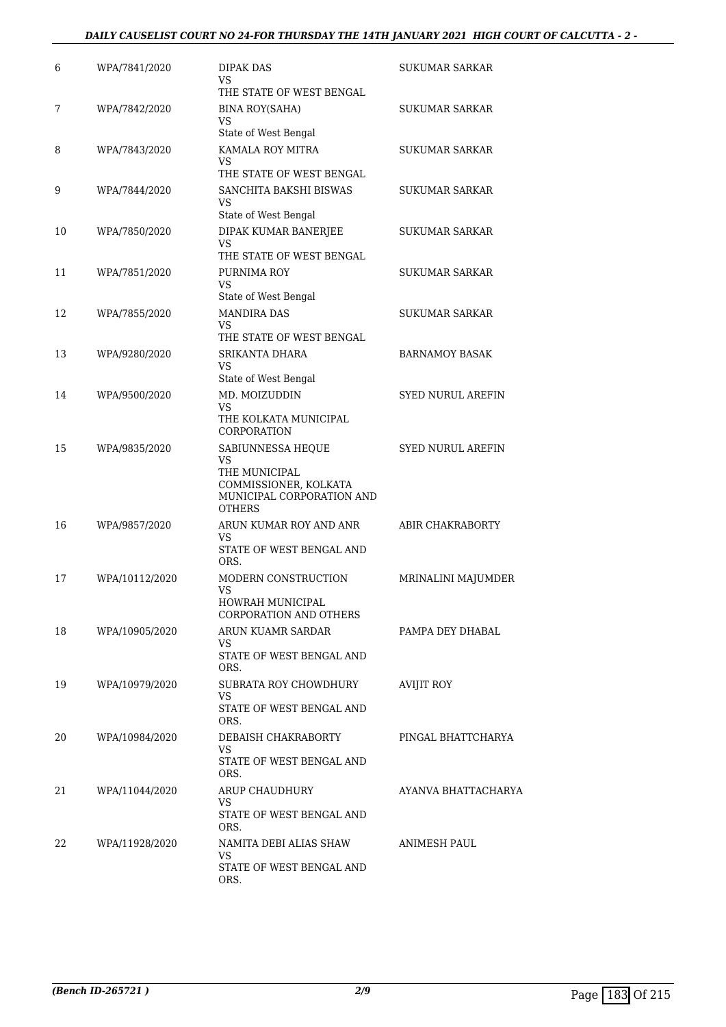### *DAILY CAUSELIST COURT NO 24-FOR THURSDAY THE 14TH JANUARY 2021 HIGH COURT OF CALCUTTA - 2 -*

| 6  | WPA/7841/2020  | DIPAK DAS<br>VS                                                                                                        | SUKUMAR SARKAR           |
|----|----------------|------------------------------------------------------------------------------------------------------------------------|--------------------------|
| 7  | WPA/7842/2020  | THE STATE OF WEST BENGAL<br><b>BINA ROY(SAHA)</b><br>VS                                                                | SUKUMAR SARKAR           |
| 8  | WPA/7843/2020  | State of West Bengal<br>KAMALA ROY MITRA                                                                               | SUKUMAR SARKAR           |
|    |                | VS.<br>THE STATE OF WEST BENGAL                                                                                        |                          |
| 9  | WPA/7844/2020  | SANCHITA BAKSHI BISWAS<br>VS<br>State of West Bengal                                                                   | <b>SUKUMAR SARKAR</b>    |
| 10 | WPA/7850/2020  | DIPAK KUMAR BANERJEE<br>VS                                                                                             | <b>SUKUMAR SARKAR</b>    |
| 11 | WPA/7851/2020  | THE STATE OF WEST BENGAL<br>PURNIMA ROY<br>VS                                                                          | SUKUMAR SARKAR           |
| 12 | WPA/7855/2020  | State of West Bengal<br><b>MANDIRA DAS</b><br>VS<br>THE STATE OF WEST BENGAL                                           | SUKUMAR SARKAR           |
| 13 | WPA/9280/2020  | SRIKANTA DHARA<br>VS                                                                                                   | <b>BARNAMOY BASAK</b>    |
| 14 | WPA/9500/2020  | State of West Bengal<br>MD. MOIZUDDIN<br>VS<br>THE KOLKATA MUNICIPAL<br>CORPORATION                                    | <b>SYED NURUL AREFIN</b> |
| 15 | WPA/9835/2020  | SABIUNNESSA HEQUE<br><b>VS</b><br>THE MUNICIPAL<br>COMMISSIONER, KOLKATA<br>MUNICIPAL CORPORATION AND<br><b>OTHERS</b> | <b>SYED NURUL AREFIN</b> |
| 16 | WPA/9857/2020  | ARUN KUMAR ROY AND ANR<br>VS<br>STATE OF WEST BENGAL AND<br>ORS.                                                       | ABIR CHAKRABORTY         |
| 17 | WPA/10112/2020 | MODERN CONSTRUCTION<br>VS<br>HOWRAH MUNICIPAL<br>CORPORATION AND OTHERS                                                | MRINALINI MAJUMDER       |
| 18 | WPA/10905/2020 | ARUN KUAMR SARDAR<br>VS.<br>STATE OF WEST BENGAL AND                                                                   | PAMPA DEY DHABAL         |
| 19 | WPA/10979/2020 | ORS.<br>SUBRATA ROY CHOWDHURY<br>VS.<br>STATE OF WEST BENGAL AND<br>ORS.                                               | <b>AVIJIT ROY</b>        |
| 20 | WPA/10984/2020 | DEBAISH CHAKRABORTY<br>VS<br>STATE OF WEST BENGAL AND<br>ORS.                                                          | PINGAL BHATTCHARYA       |
| 21 | WPA/11044/2020 | ARUP CHAUDHURY<br>VS.<br>STATE OF WEST BENGAL AND<br>ORS.                                                              | AYANVA BHATTACHARYA      |
| 22 | WPA/11928/2020 | NAMITA DEBI ALIAS SHAW<br>VS.<br>STATE OF WEST BENGAL AND<br>ORS.                                                      | ANIMESH PAUL             |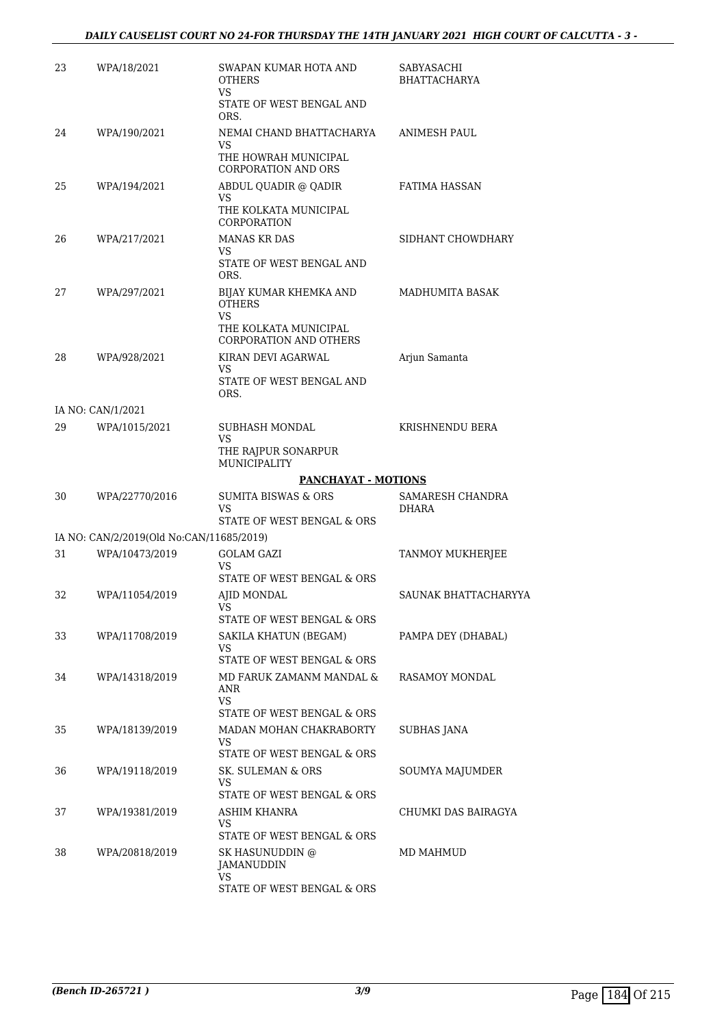| 23 | WPA/18/2021                                                | SWAPAN KUMAR HOTA AND<br><b>OTHERS</b><br><b>VS</b>         | SABYASACHI<br><b>BHATTACHARYA</b> |
|----|------------------------------------------------------------|-------------------------------------------------------------|-----------------------------------|
|    |                                                            | STATE OF WEST BENGAL AND<br>ORS.                            |                                   |
| 24 | WPA/190/2021                                               | NEMAI CHAND BHATTACHARYA                                    | <b>ANIMESH PAUL</b>               |
|    |                                                            | VS<br>THE HOWRAH MUNICIPAL<br><b>CORPORATION AND ORS</b>    |                                   |
| 25 | WPA/194/2021                                               | ABDUL QUADIR @ QADIR                                        | <b>FATIMA HASSAN</b>              |
|    |                                                            | VS<br>THE KOLKATA MUNICIPAL<br>CORPORATION                  |                                   |
| 26 | WPA/217/2021                                               | <b>MANAS KR DAS</b>                                         | SIDHANT CHOWDHARY                 |
|    |                                                            | VS<br>STATE OF WEST BENGAL AND<br>ORS.                      |                                   |
| 27 | WPA/297/2021                                               | BIJAY KUMAR KHEMKA AND<br><b>OTHERS</b><br>VS.              | MADHUMITA BASAK                   |
|    |                                                            | THE KOLKATA MUNICIPAL<br><b>CORPORATION AND OTHERS</b>      |                                   |
| 28 | WPA/928/2021                                               | KIRAN DEVI AGARWAL<br>VS                                    | Arjun Samanta                     |
|    |                                                            | STATE OF WEST BENGAL AND<br>ORS.                            |                                   |
|    | IA NO: CAN/1/2021                                          |                                                             |                                   |
| 29 | WPA/1015/2021                                              | SUBHASH MONDAL<br>VS                                        | KRISHNENDU BERA                   |
|    |                                                            | THE RAJPUR SONARPUR<br>MUNICIPALITY                         |                                   |
|    |                                                            | PANCHAYAT - MOTIONS                                         |                                   |
| 30 | WPA/22770/2016                                             | <b>SUMITA BISWAS &amp; ORS</b><br>VS                        | SAMARESH CHANDRA<br>DHARA         |
|    |                                                            | STATE OF WEST BENGAL & ORS                                  |                                   |
| 31 | IA NO: CAN/2/2019(Old No:CAN/11685/2019)<br>WPA/10473/2019 | <b>GOLAM GAZI</b>                                           | TANMOY MUKHERJEE                  |
|    |                                                            | VS<br>STATE OF WEST BENGAL & ORS                            |                                   |
| 32 | WPA/11054/2019                                             | AJID MONDAL                                                 | SAUNAK BHATTACHARYYA              |
|    |                                                            | STATE OF WEST BENGAL & ORS                                  |                                   |
| 33 | WPA/11708/2019                                             | SAKILA KHATUN (BEGAM)                                       | PAMPA DEY (DHABAL)                |
|    |                                                            | VS<br>STATE OF WEST BENGAL & ORS                            |                                   |
| 34 | WPA/14318/2019                                             | MD FARUK ZAMANM MANDAL &<br>ANR                             | RASAMOY MONDAL                    |
|    |                                                            | VS.<br>STATE OF WEST BENGAL & ORS                           |                                   |
| 35 | WPA/18139/2019                                             | MADAN MOHAN CHAKRABORTY<br>VS<br>STATE OF WEST BENGAL & ORS | <b>SUBHAS JANA</b>                |
| 36 | WPA/19118/2019                                             | SK. SULEMAN & ORS                                           | SOUMYA MAJUMDER                   |
|    |                                                            | VS<br>STATE OF WEST BENGAL & ORS                            |                                   |
| 37 | WPA/19381/2019                                             | ASHIM KHANRA                                                | CHUMKI DAS BAIRAGYA               |
|    |                                                            | VS<br>STATE OF WEST BENGAL & ORS                            |                                   |
| 38 | WPA/20818/2019                                             | SK HASUNUDDIN @<br>JAMANUDDIN                               | MD MAHMUD                         |
|    |                                                            | <b>VS</b><br>STATE OF WEST BENGAL & ORS                     |                                   |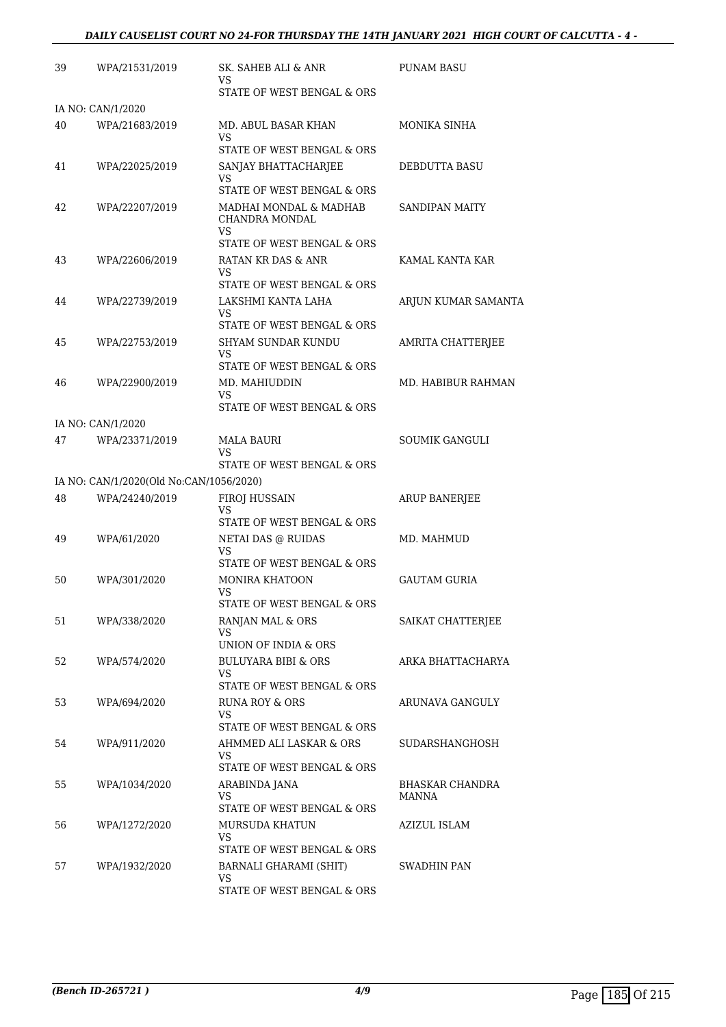| 39 | WPA/21531/2019                          | SK. SAHEB ALI & ANR<br>VS                                                            | PUNAM BASU               |
|----|-----------------------------------------|--------------------------------------------------------------------------------------|--------------------------|
|    |                                         | STATE OF WEST BENGAL & ORS                                                           |                          |
| 40 | IA NO: CAN/1/2020<br>WPA/21683/2019     | MD. ABUL BASAR KHAN<br>VS                                                            | MONIKA SINHA             |
| 41 | WPA/22025/2019                          | STATE OF WEST BENGAL & ORS<br>SANJAY BHATTACHARJEE                                   | DEBDUTTA BASU            |
|    |                                         | VS<br>STATE OF WEST BENGAL & ORS                                                     |                          |
| 42 | WPA/22207/2019                          | MADHAI MONDAL & MADHAB<br>CHANDRA MONDAL<br>VS.                                      | <b>SANDIPAN MAITY</b>    |
| 43 | WPA/22606/2019                          | STATE OF WEST BENGAL & ORS<br>RATAN KR DAS & ANR<br>VS                               | KAMAL KANTA KAR          |
| 44 | WPA/22739/2019                          | STATE OF WEST BENGAL & ORS<br>LAKSHMI KANTA LAHA<br>VS.                              | ARJUN KUMAR SAMANTA      |
| 45 | WPA/22753/2019                          | STATE OF WEST BENGAL & ORS<br>SHYAM SUNDAR KUNDU<br>VS                               | AMRITA CHATTERJEE        |
| 46 | WPA/22900/2019                          | STATE OF WEST BENGAL & ORS<br>MD. MAHIUDDIN<br>VS<br>STATE OF WEST BENGAL & ORS      | MD. HABIBUR RAHMAN       |
|    | IA NO: CAN/1/2020                       |                                                                                      |                          |
| 47 | WPA/23371/2019                          | MALA BAURI<br>VS<br>STATE OF WEST BENGAL & ORS                                       | SOUMIK GANGULI           |
|    | IA NO: CAN/1/2020(Old No:CAN/1056/2020) |                                                                                      |                          |
| 48 | WPA/24240/2019                          | FIROJ HUSSAIN<br>VS                                                                  | <b>ARUP BANERJEE</b>     |
| 49 | WPA/61/2020                             | STATE OF WEST BENGAL & ORS<br>NETAI DAS @ RUIDAS<br>VS<br>STATE OF WEST BENGAL & ORS | MD. MAHMUD               |
| 50 | WPA/301/2020                            | <b>MONIRA KHATOON</b><br>VS<br>STATE OF WEST BENGAL & ORS                            | <b>GAUTAM GURIA</b>      |
| 51 | WPA/338/2020                            | RANJAN MAL & ORS<br>VS<br>UNION OF INDIA & ORS                                       | SAIKAT CHATTERJEE        |
| 52 | WPA/574/2020                            | BULUYARA BIBI & ORS<br>VS<br>STATE OF WEST BENGAL & ORS                              | ARKA BHATTACHARYA        |
| 53 | WPA/694/2020                            | RUNA ROY & ORS<br>VS.<br>STATE OF WEST BENGAL & ORS                                  | ARUNAVA GANGULY          |
| 54 | WPA/911/2020                            | AHMMED ALI LASKAR & ORS<br>VS.<br>STATE OF WEST BENGAL & ORS                         | SUDARSHANGHOSH           |
| 55 | WPA/1034/2020                           | ARABINDA JANA<br>VS.<br>STATE OF WEST BENGAL & ORS                                   | BHASKAR CHANDRA<br>MANNA |
| 56 | WPA/1272/2020                           | MURSUDA KHATUN<br>VS.<br>STATE OF WEST BENGAL & ORS                                  | AZIZUL ISLAM             |
| 57 | WPA/1932/2020                           | BARNALI GHARAMI (SHIT)<br>VS<br>STATE OF WEST BENGAL & ORS                           | SWADHIN PAN              |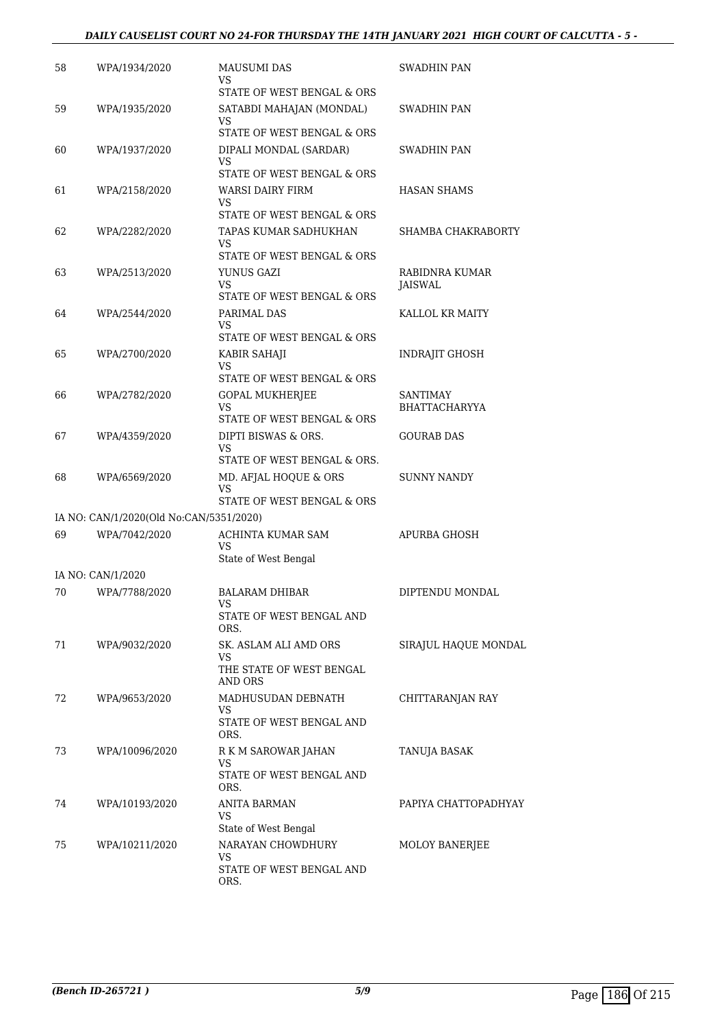### *DAILY CAUSELIST COURT NO 24-FOR THURSDAY THE 14TH JANUARY 2021 HIGH COURT OF CALCUTTA - 5 -*

| 58 | WPA/1934/2020                           | <b>MAUSUMI DAS</b><br>VS                               | SWADHIN PAN                      |
|----|-----------------------------------------|--------------------------------------------------------|----------------------------------|
| 59 | WPA/1935/2020                           | STATE OF WEST BENGAL & ORS<br>SATABDI MAHAJAN (MONDAL) | SWADHIN PAN                      |
|    |                                         | VS<br>STATE OF WEST BENGAL & ORS                       |                                  |
| 60 | WPA/1937/2020                           | DIPALI MONDAL (SARDAR)                                 | SWADHIN PAN                      |
|    |                                         | VS.                                                    |                                  |
|    |                                         | STATE OF WEST BENGAL & ORS                             |                                  |
| 61 | WPA/2158/2020                           | WARSI DAIRY FIRM<br>VS                                 | <b>HASAN SHAMS</b>               |
|    |                                         | STATE OF WEST BENGAL & ORS                             |                                  |
| 62 | WPA/2282/2020                           | TAPAS KUMAR SADHUKHAN<br>VS                            | SHAMBA CHAKRABORTY               |
|    |                                         | STATE OF WEST BENGAL & ORS                             |                                  |
| 63 | WPA/2513/2020                           | YUNUS GAZI                                             | RABIDNRA KUMAR                   |
|    |                                         | VS<br>STATE OF WEST BENGAL & ORS                       | JAISWAL                          |
| 64 | WPA/2544/2020                           | PARIMAL DAS                                            | KALLOL KR MAITY                  |
|    |                                         | VS                                                     |                                  |
|    |                                         | STATE OF WEST BENGAL & ORS                             |                                  |
| 65 | WPA/2700/2020                           | KABIR SAHAJI<br>VS                                     | <b>INDRAJIT GHOSH</b>            |
|    |                                         | STATE OF WEST BENGAL & ORS                             |                                  |
| 66 | WPA/2782/2020                           | <b>GOPAL MUKHERJEE</b><br><b>VS</b>                    | SANTIMAY<br><b>BHATTACHARYYA</b> |
|    |                                         | STATE OF WEST BENGAL & ORS                             |                                  |
| 67 | WPA/4359/2020                           | DIPTI BISWAS & ORS.                                    | <b>GOURAB DAS</b>                |
|    |                                         | VS<br>STATE OF WEST BENGAL & ORS.                      |                                  |
| 68 | WPA/6569/2020                           | MD. AFJAL HOQUE & ORS                                  | SUNNY NANDY                      |
|    |                                         | VS<br>STATE OF WEST BENGAL & ORS                       |                                  |
|    | IA NO: CAN/1/2020(Old No:CAN/5351/2020) |                                                        |                                  |
| 69 | WPA/7042/2020                           | ACHINTA KUMAR SAM<br>VS<br>State of West Bengal        | APURBA GHOSH                     |
|    | IA NO: CAN/1/2020                       |                                                        |                                  |
| 70 | WPA/7788/2020                           | BALARAM DHIBAR<br>VS                                   | DIPTENDU MONDAL                  |
|    |                                         | STATE OF WEST BENGAL AND<br>ORS.                       |                                  |
| 71 | WPA/9032/2020                           | SK. ASLAM ALI AMD ORS                                  | SIRAJUL HAQUE MONDAL             |
|    |                                         | VS<br>THE STATE OF WEST BENGAL                         |                                  |
|    |                                         | AND ORS                                                |                                  |
| 72 | WPA/9653/2020                           | MADHUSUDAN DEBNATH<br>VS.                              | CHITTARANJAN RAY                 |
|    |                                         | STATE OF WEST BENGAL AND<br>ORS.                       |                                  |
| 73 | WPA/10096/2020                          | R K M SAROWAR JAHAN<br>VS                              | TANUJA BASAK                     |
|    |                                         | STATE OF WEST BENGAL AND<br>ORS.                       |                                  |
| 74 | WPA/10193/2020                          | ANITA BARMAN                                           | PAPIYA CHATTOPADHYAY             |
|    |                                         | VS<br>State of West Bengal                             |                                  |
| 75 | WPA/10211/2020                          | NARAYAN CHOWDHURY                                      | MOLOY BANERJEE                   |
|    |                                         | VS.                                                    |                                  |
|    |                                         | STATE OF WEST BENGAL AND<br>ORS.                       |                                  |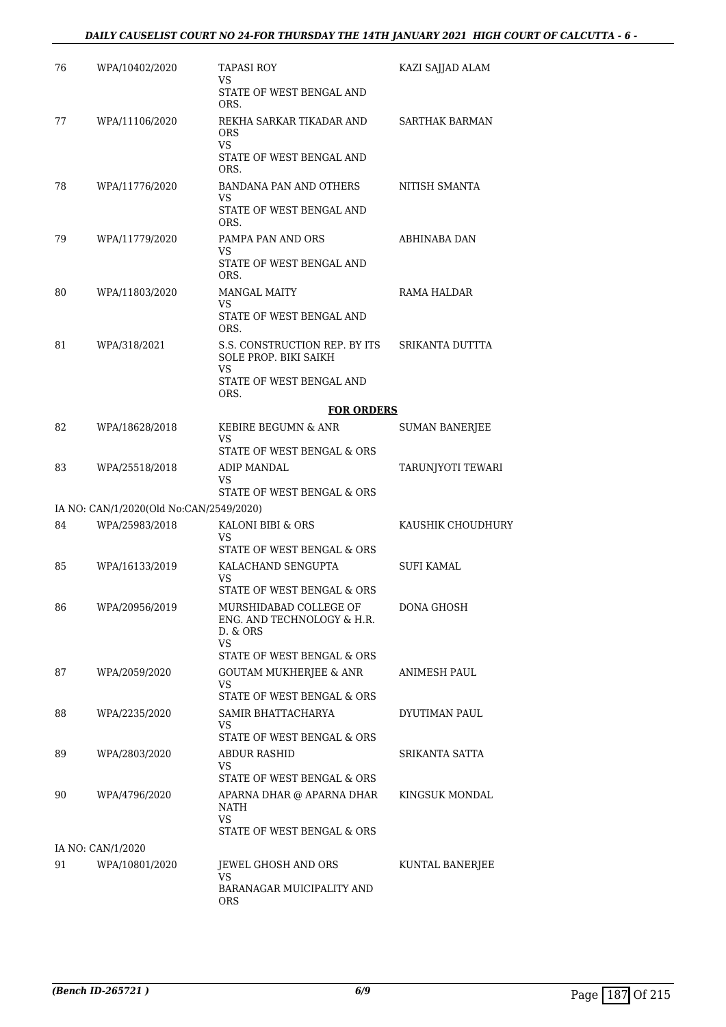| 76 | WPA/10402/2020                          | <b>TAPASI ROY</b><br>VS<br>STATE OF WEST BENGAL AND<br>ORS.         | KAZI SAJJAD ALAM      |
|----|-----------------------------------------|---------------------------------------------------------------------|-----------------------|
| 77 | WPA/11106/2020                          | REKHA SARKAR TIKADAR AND<br><b>ORS</b><br><b>VS</b>                 | <b>SARTHAK BARMAN</b> |
|    |                                         | STATE OF WEST BENGAL AND<br>ORS.                                    |                       |
| 78 | WPA/11776/2020                          | BANDANA PAN AND OTHERS<br>VS                                        | NITISH SMANTA         |
|    |                                         | STATE OF WEST BENGAL AND<br>ORS.                                    |                       |
| 79 | WPA/11779/2020                          | PAMPA PAN AND ORS<br>VS                                             | ABHINABA DAN          |
|    |                                         | STATE OF WEST BENGAL AND<br>ORS.                                    |                       |
| 80 | WPA/11803/2020                          | <b>MANGAL MAITY</b>                                                 | RAMA HALDAR           |
|    |                                         | VS<br>STATE OF WEST BENGAL AND<br>ORS.                              |                       |
| 81 | WPA/318/2021                            | S.S. CONSTRUCTION REP. BY ITS<br><b>SOLE PROP. BIKI SAIKH</b><br>VS | SRIKANTA DUTTTA       |
|    |                                         | STATE OF WEST BENGAL AND<br>ORS.                                    |                       |
|    |                                         | <b>FOR ORDERS</b>                                                   |                       |
| 82 | WPA/18628/2018                          | KEBIRE BEGUMN & ANR                                                 | <b>SUMAN BANERJEE</b> |
|    |                                         | VS<br>STATE OF WEST BENGAL & ORS                                    |                       |
| 83 | WPA/25518/2018                          | ADIP MANDAL<br>VS                                                   | TARUNJYOTI TEWARI     |
|    |                                         | STATE OF WEST BENGAL & ORS                                          |                       |
|    | IA NO: CAN/1/2020(Old No:CAN/2549/2020) |                                                                     |                       |
| 84 | WPA/25983/2018                          | KALONI BIBI & ORS<br>VS<br>STATE OF WEST BENGAL & ORS               | KAUSHIK CHOUDHURY     |
| 85 | WPA/16133/2019                          | KALACHAND SENGUPTA                                                  | SUFI KAMAL            |
|    |                                         | VS<br>STATE OF WEST BENGAL & ORS                                    |                       |
| 86 | WPA/20956/2019                          | MURSHIDABAD COLLEGE OF<br>ENG. AND TECHNOLOGY & H.R.<br>D. & ORS    | DONA GHOSH            |
|    |                                         | VS<br>STATE OF WEST BENGAL & ORS                                    |                       |
| 87 | WPA/2059/2020                           | <b>GOUTAM MUKHERJEE &amp; ANR</b><br>VS                             | <b>ANIMESH PAUL</b>   |
| 88 | WPA/2235/2020                           | STATE OF WEST BENGAL & ORS<br>SAMIR BHATTACHARYA                    | DYUTIMAN PAUL         |
|    |                                         | VS                                                                  |                       |
| 89 | WPA/2803/2020                           | STATE OF WEST BENGAL & ORS<br>ABDUR RASHID                          | SRIKANTA SATTA        |
|    |                                         | VS                                                                  |                       |
| 90 | WPA/4796/2020                           | STATE OF WEST BENGAL & ORS<br>APARNA DHAR @ APARNA DHAR<br>NATH     | KINGSUK MONDAL        |
|    |                                         | VS.                                                                 |                       |
|    | IA NO: CAN/1/2020                       | STATE OF WEST BENGAL & ORS                                          |                       |
| 91 | WPA/10801/2020                          | JEWEL GHOSH AND ORS<br>VS                                           | KUNTAL BANERJEE       |
|    |                                         | BARANAGAR MUICIPALITY AND<br>ORS                                    |                       |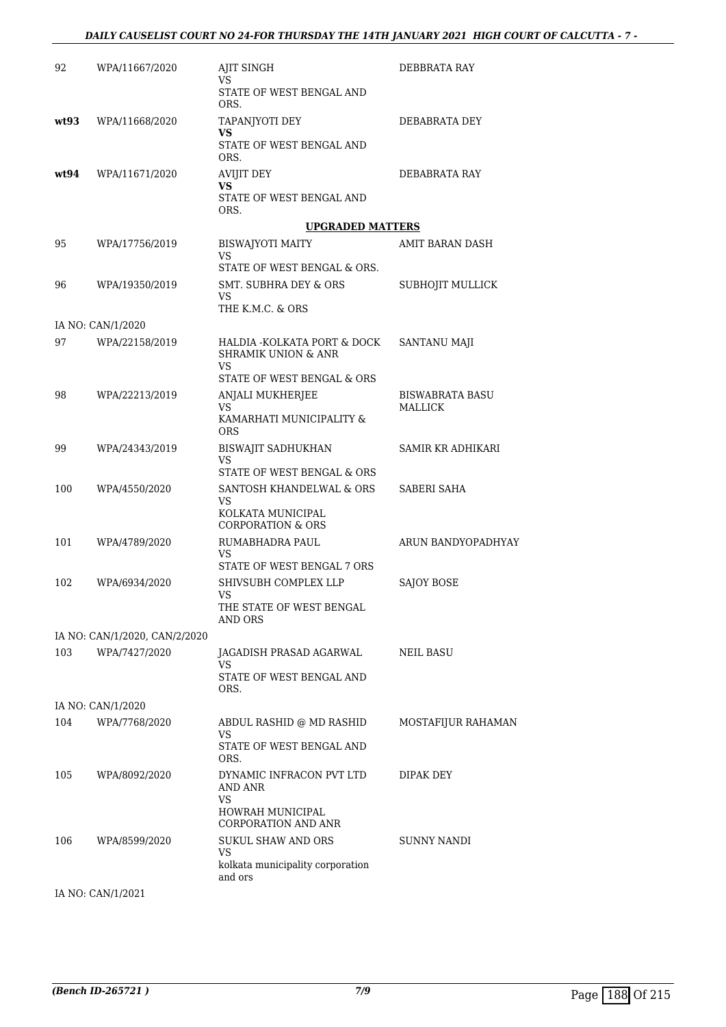| 92   | WPA/11667/2020                | AJIT SINGH<br>VS                                                     | DEBBRATA RAY                             |
|------|-------------------------------|----------------------------------------------------------------------|------------------------------------------|
|      |                               | STATE OF WEST BENGAL AND<br>ORS.                                     |                                          |
| wt93 | WPA/11668/2020                | TAPANJYOTI DEY                                                       | DEBABRATA DEY                            |
|      |                               | VS<br>STATE OF WEST BENGAL AND<br>ORS.                               |                                          |
| wt94 | WPA/11671/2020                | <b>AVIJIT DEY</b>                                                    | DEBABRATA RAY                            |
|      |                               | VS<br>STATE OF WEST BENGAL AND<br>ORS.                               |                                          |
|      |                               | <b>UPGRADED MATTERS</b>                                              |                                          |
| 95   | WPA/17756/2019                | <b>BISWAJYOTI MAITY</b><br><b>VS</b><br>STATE OF WEST BENGAL & ORS.  | AMIT BARAN DASH                          |
| 96   | WPA/19350/2019                | <b>SMT. SUBHRA DEY &amp; ORS</b><br>VS<br>THE K.M.C. & ORS           | SUBHOJIT MULLICK                         |
|      | IA NO: CAN/1/2020             |                                                                      |                                          |
| 97   | WPA/22158/2019                | HALDIA - KOLKATA PORT & DOCK<br><b>SHRAMIK UNION &amp; ANR</b><br>VS | SANTANU MAJI                             |
|      |                               | STATE OF WEST BENGAL & ORS                                           |                                          |
| 98   | WPA/22213/2019                | ANJALI MUKHERJEE<br><b>VS</b>                                        | <b>BISWABRATA BASU</b><br><b>MALLICK</b> |
|      |                               | KAMARHATI MUNICIPALITY &<br><b>ORS</b>                               |                                          |
| 99   | WPA/24343/2019                | <b>BISWAJIT SADHUKHAN</b><br>VS                                      | SAMIR KR ADHIKARI                        |
|      |                               | STATE OF WEST BENGAL & ORS                                           |                                          |
| 100  | WPA/4550/2020                 | SANTOSH KHANDELWAL & ORS<br><b>VS</b><br>KOLKATA MUNICIPAL           | SABERI SAHA                              |
|      |                               | <b>CORPORATION &amp; ORS</b>                                         |                                          |
| 101  | WPA/4789/2020                 | RUMABHADRA PAUL<br>VS<br>STATE OF WEST BENGAL 7 ORS                  | ARUN BANDYOPADHYAY                       |
| 102  | WPA/6934/2020                 | SHIVSUBH COMPLEX LLP                                                 | <b>SAJOY BOSE</b>                        |
|      |                               | VS<br>THE STATE OF WEST BENGAL                                       |                                          |
|      | IA NO: CAN/1/2020, CAN/2/2020 | AND ORS                                                              |                                          |
| 103  | WPA/7427/2020                 | JAGADISH PRASAD AGARWAL                                              | NEIL BASU                                |
|      |                               | VS<br>STATE OF WEST BENGAL AND<br>ORS.                               |                                          |
|      | IA NO: CAN/1/2020             |                                                                      |                                          |
| 104  | WPA/7768/2020                 | ABDUL RASHID @ MD RASHID                                             | MOSTAFIJUR RAHAMAN                       |
|      |                               | VS<br>STATE OF WEST BENGAL AND<br>ORS.                               |                                          |
| 105  | WPA/8092/2020                 | DYNAMIC INFRACON PVT LTD<br>AND ANR<br>VS<br>HOWRAH MUNICIPAL        | DIPAK DEY                                |
|      |                               | <b>CORPORATION AND ANR</b>                                           |                                          |
| 106  | WPA/8599/2020                 | <b>SUKUL SHAW AND ORS</b><br>VS<br>kolkata municipality corporation  | SUNNY NANDI                              |
|      | IA NO: CAN/1/2021             | and ors                                                              |                                          |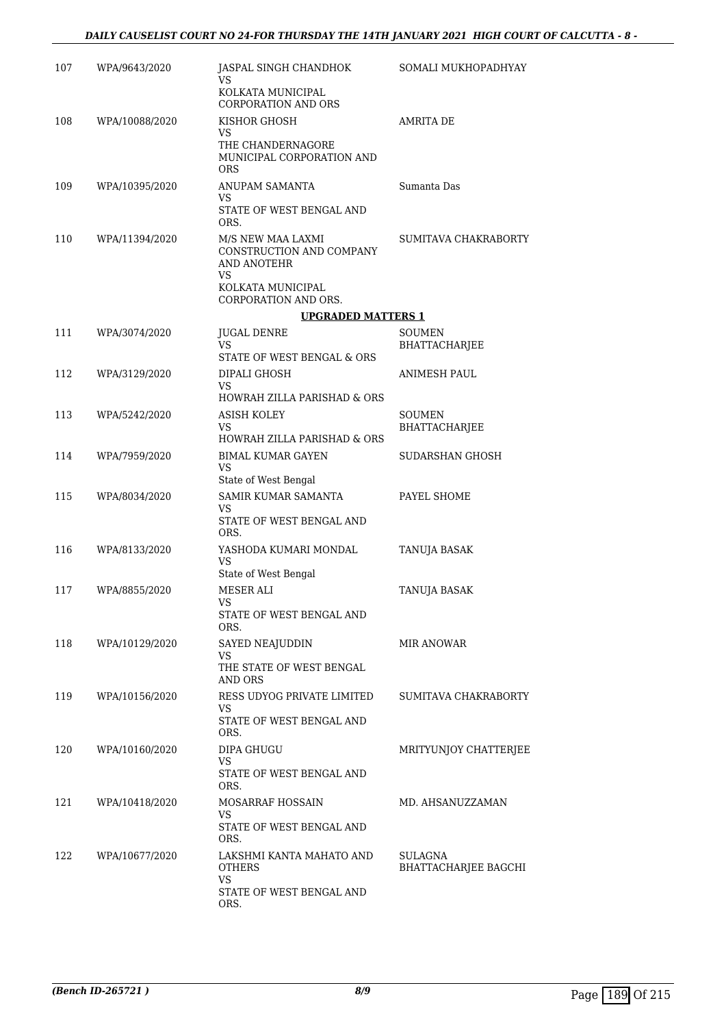| 107 | WPA/9643/2020  | JASPAL SINGH CHANDHOK<br>VS<br>KOLKATA MUNICIPAL<br><b>CORPORATION AND ORS</b>                                   | SOMALI MUKHOPADHYAY                    |
|-----|----------------|------------------------------------------------------------------------------------------------------------------|----------------------------------------|
| 108 | WPA/10088/2020 | KISHOR GHOSH<br>VS<br>THE CHANDERNAGORE<br>MUNICIPAL CORPORATION AND<br><b>ORS</b>                               | AMRITA DE                              |
| 109 | WPA/10395/2020 | ANUPAM SAMANTA<br>VS<br>STATE OF WEST BENGAL AND<br>ORS.                                                         | Sumanta Das                            |
| 110 | WPA/11394/2020 | M/S NEW MAA LAXMI<br>CONSTRUCTION AND COMPANY<br>AND ANOTEHR<br>VS.<br>KOLKATA MUNICIPAL<br>CORPORATION AND ORS. | SUMITAVA CHAKRABORTY                   |
|     |                | <b>UPGRADED MATTERS 1</b>                                                                                        |                                        |
| 111 | WPA/3074/2020  | JUGAL DENRE<br>VS.<br>STATE OF WEST BENGAL & ORS                                                                 | SOUMEN<br>BHATTACHARJEE                |
| 112 | WPA/3129/2020  | DIPALI GHOSH<br><b>VS</b><br><b>HOWRAH ZILLA PARISHAD &amp; ORS</b>                                              | ANIMESH PAUL                           |
| 113 | WPA/5242/2020  | <b>ASISH KOLEY</b><br>VS<br>HOWRAH ZILLA PARISHAD & ORS                                                          | <b>SOUMEN</b><br>BHATTACHARJEE         |
| 114 | WPA/7959/2020  | <b>BIMAL KUMAR GAYEN</b><br>VS<br>State of West Bengal                                                           | SUDARSHAN GHOSH                        |
| 115 | WPA/8034/2020  | SAMIR KUMAR SAMANTA<br>VS<br>STATE OF WEST BENGAL AND<br>ORS.                                                    | PAYEL SHOME                            |
| 116 | WPA/8133/2020  | YASHODA KUMARI MONDAL<br>VS<br>State of West Bengal                                                              | TANUJA BASAK                           |
| 117 | WPA/8855/2020  | <b>MESER ALI</b><br>VS<br>STATE OF WEST BENGAL AND<br>ORS.                                                       | TANUJA BASAK                           |
| 118 | WPA/10129/2020 | SAYED NEAJUDDIN<br>VS<br>THE STATE OF WEST BENGAL<br>AND ORS                                                     | <b>MIR ANOWAR</b>                      |
| 119 | WPA/10156/2020 | RESS UDYOG PRIVATE LIMITED<br>VS<br>STATE OF WEST BENGAL AND<br>ORS.                                             | SUMITAVA CHAKRABORTY                   |
| 120 | WPA/10160/2020 | DIPA GHUGU<br>VS<br>STATE OF WEST BENGAL AND<br>ORS.                                                             | MRITYUNJOY CHATTERJEE                  |
| 121 | WPA/10418/2020 | MOSARRAF HOSSAIN<br>VS<br>STATE OF WEST BENGAL AND<br>ORS.                                                       | MD. AHSANUZZAMAN                       |
| 122 | WPA/10677/2020 | LAKSHMI KANTA MAHATO AND<br>OTHERS<br>VS<br>STATE OF WEST BENGAL AND<br>ORS.                                     | SULAGNA<br><b>BHATTACHARJEE BAGCHI</b> |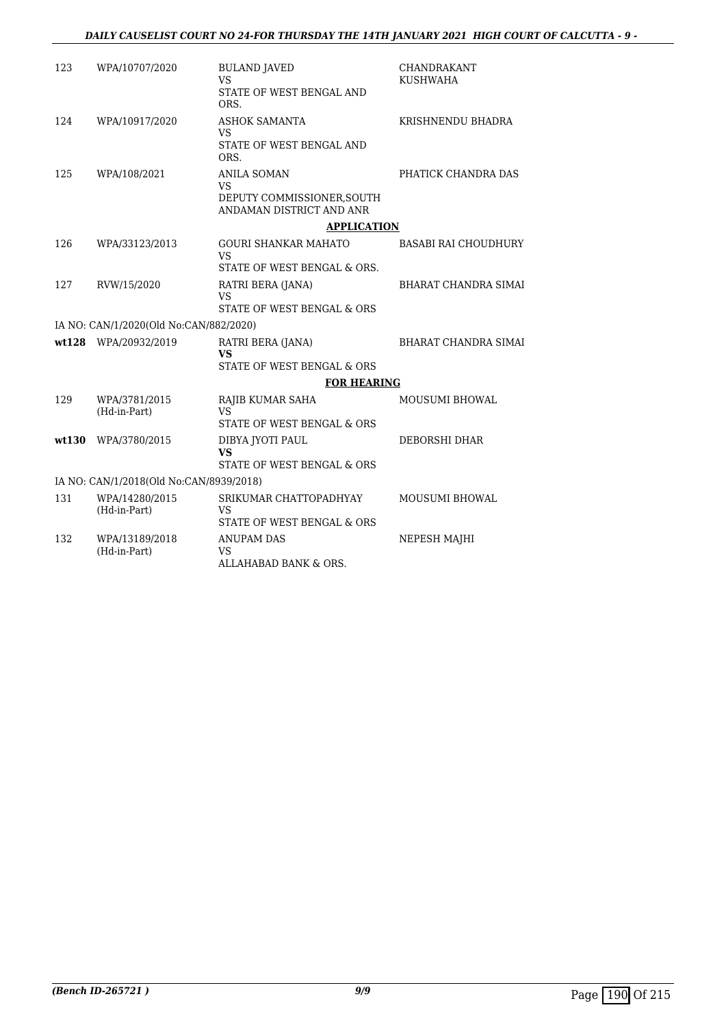| 123<br>WPA/10707/2020<br><b>BULAND JAVED</b><br>CHANDRAKANT<br>VS.<br><b>KUSHWAHA</b><br>STATE OF WEST BENGAL AND<br>ORS.<br>124<br>WPA/10917/2020<br><b>ASHOK SAMANTA</b><br>KRISHNENDU BHADRA<br>VS<br>STATE OF WEST BENGAL AND<br>ORS.<br>PHATICK CHANDRA DAS<br>125<br>WPA/108/2021<br><b>ANILA SOMAN</b><br><b>VS</b><br>DEPUTY COMMISSIONER, SOUTH<br>ANDAMAN DISTRICT AND ANR<br><b>APPLICATION</b><br>126<br>WPA/33123/2013<br><b>GOURI SHANKAR MAHATO</b><br><b>BASABI RAI CHOUDHURY</b><br><b>VS</b><br>STATE OF WEST BENGAL & ORS.<br>127<br>RVW/15/2020<br>RATRI BERA (JANA)<br><b>BHARAT CHANDRA SIMAI</b><br><b>VS</b><br>STATE OF WEST BENGAL & ORS<br>IA NO: CAN/1/2020(Old No:CAN/882/2020)<br>wt128 WPA/20932/2019<br><b>BHARAT CHANDRA SIMAI</b><br>RATRI BERA (JANA)<br><b>VS</b><br>STATE OF WEST BENGAL & ORS<br><b>FOR HEARING</b><br>129<br>WPA/3781/2015<br>RAJIB KUMAR SAHA<br>MOUSUMI BHOWAL<br>(Hd-in-Part)<br><b>VS</b><br>STATE OF WEST BENGAL & ORS<br>wt130<br>WPA/3780/2015<br>DIBYA JYOTI PAUL<br>DEBORSHI DHAR |  |
|---------------------------------------------------------------------------------------------------------------------------------------------------------------------------------------------------------------------------------------------------------------------------------------------------------------------------------------------------------------------------------------------------------------------------------------------------------------------------------------------------------------------------------------------------------------------------------------------------------------------------------------------------------------------------------------------------------------------------------------------------------------------------------------------------------------------------------------------------------------------------------------------------------------------------------------------------------------------------------------------------------------------------------------------------|--|
|                                                                                                                                                                                                                                                                                                                                                                                                                                                                                                                                                                                                                                                                                                                                                                                                                                                                                                                                                                                                                                                   |  |
|                                                                                                                                                                                                                                                                                                                                                                                                                                                                                                                                                                                                                                                                                                                                                                                                                                                                                                                                                                                                                                                   |  |
|                                                                                                                                                                                                                                                                                                                                                                                                                                                                                                                                                                                                                                                                                                                                                                                                                                                                                                                                                                                                                                                   |  |
|                                                                                                                                                                                                                                                                                                                                                                                                                                                                                                                                                                                                                                                                                                                                                                                                                                                                                                                                                                                                                                                   |  |
|                                                                                                                                                                                                                                                                                                                                                                                                                                                                                                                                                                                                                                                                                                                                                                                                                                                                                                                                                                                                                                                   |  |
|                                                                                                                                                                                                                                                                                                                                                                                                                                                                                                                                                                                                                                                                                                                                                                                                                                                                                                                                                                                                                                                   |  |
|                                                                                                                                                                                                                                                                                                                                                                                                                                                                                                                                                                                                                                                                                                                                                                                                                                                                                                                                                                                                                                                   |  |
|                                                                                                                                                                                                                                                                                                                                                                                                                                                                                                                                                                                                                                                                                                                                                                                                                                                                                                                                                                                                                                                   |  |
|                                                                                                                                                                                                                                                                                                                                                                                                                                                                                                                                                                                                                                                                                                                                                                                                                                                                                                                                                                                                                                                   |  |
|                                                                                                                                                                                                                                                                                                                                                                                                                                                                                                                                                                                                                                                                                                                                                                                                                                                                                                                                                                                                                                                   |  |
|                                                                                                                                                                                                                                                                                                                                                                                                                                                                                                                                                                                                                                                                                                                                                                                                                                                                                                                                                                                                                                                   |  |
|                                                                                                                                                                                                                                                                                                                                                                                                                                                                                                                                                                                                                                                                                                                                                                                                                                                                                                                                                                                                                                                   |  |
|                                                                                                                                                                                                                                                                                                                                                                                                                                                                                                                                                                                                                                                                                                                                                                                                                                                                                                                                                                                                                                                   |  |
|                                                                                                                                                                                                                                                                                                                                                                                                                                                                                                                                                                                                                                                                                                                                                                                                                                                                                                                                                                                                                                                   |  |
|                                                                                                                                                                                                                                                                                                                                                                                                                                                                                                                                                                                                                                                                                                                                                                                                                                                                                                                                                                                                                                                   |  |
|                                                                                                                                                                                                                                                                                                                                                                                                                                                                                                                                                                                                                                                                                                                                                                                                                                                                                                                                                                                                                                                   |  |
|                                                                                                                                                                                                                                                                                                                                                                                                                                                                                                                                                                                                                                                                                                                                                                                                                                                                                                                                                                                                                                                   |  |
| <b>VS</b>                                                                                                                                                                                                                                                                                                                                                                                                                                                                                                                                                                                                                                                                                                                                                                                                                                                                                                                                                                                                                                         |  |
| STATE OF WEST BENGAL & ORS                                                                                                                                                                                                                                                                                                                                                                                                                                                                                                                                                                                                                                                                                                                                                                                                                                                                                                                                                                                                                        |  |
| IA NO: CAN/1/2018(Old No:CAN/8939/2018)                                                                                                                                                                                                                                                                                                                                                                                                                                                                                                                                                                                                                                                                                                                                                                                                                                                                                                                                                                                                           |  |
| 131<br>SRIKUMAR CHATTOPADHYAY<br>WPA/14280/2015<br><b>MOUSUMI BHOWAL</b><br>(Hd-in-Part)<br>VS                                                                                                                                                                                                                                                                                                                                                                                                                                                                                                                                                                                                                                                                                                                                                                                                                                                                                                                                                    |  |
| STATE OF WEST BENGAL & ORS                                                                                                                                                                                                                                                                                                                                                                                                                                                                                                                                                                                                                                                                                                                                                                                                                                                                                                                                                                                                                        |  |
| 132<br>WPA/13189/2018<br><b>ANUPAM DAS</b><br>NEPESH MAJHI<br>(Hd-in-Part)<br>VS<br>ALLAHABAD BANK & ORS.                                                                                                                                                                                                                                                                                                                                                                                                                                                                                                                                                                                                                                                                                                                                                                                                                                                                                                                                         |  |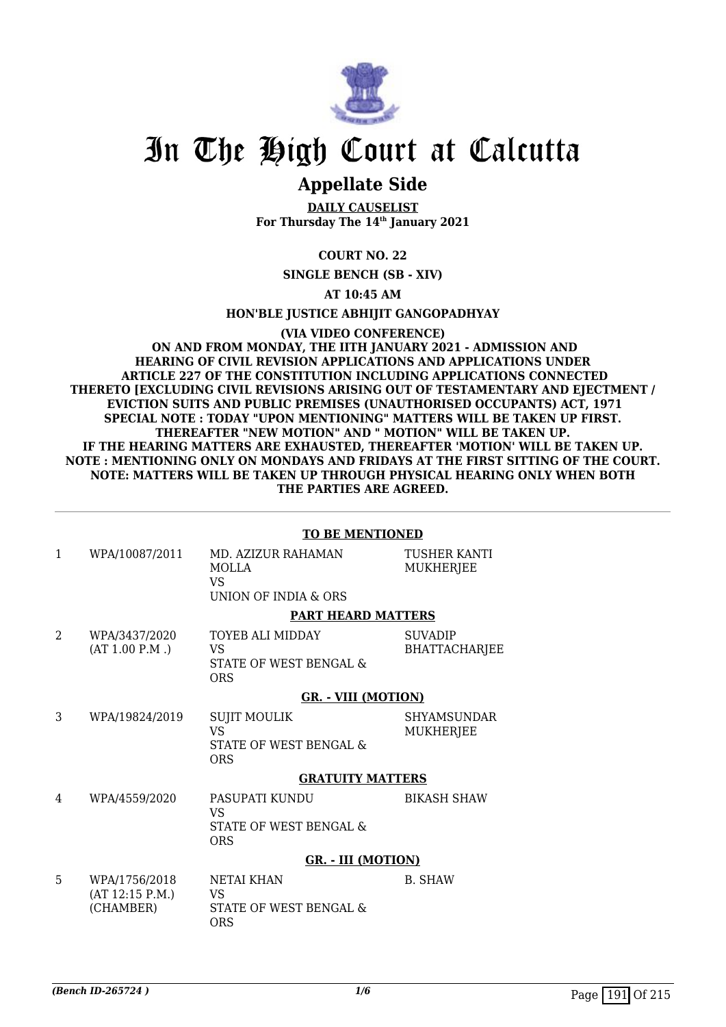

# **Appellate Side**

**DAILY CAUSELIST For Thursday The 14th January 2021**

## **COURT NO. 22**

**SINGLE BENCH (SB - XIV)**

**AT 10:45 AM**

#### **HON'BLE JUSTICE ABHIJIT GANGOPADHYAY**

**(VIA VIDEO CONFERENCE) ON AND FROM MONDAY, THE IITH JANUARY 2021 - ADMISSION AND HEARING OF CIVIL REVISION APPLICATIONS AND APPLICATIONS UNDER ARTICLE 227 OF THE CONSTITUTION INCLUDING APPLICATIONS CONNECTED THERETO [EXCLUDING CIVIL REVISIONS ARISING OUT OF TESTAMENTARY AND EJECTMENT / EVICTION SUITS AND PUBLIC PREMISES (UNAUTHORISED OCCUPANTS) ACT, 1971 SPECIAL NOTE : TODAY "UPON MENTIONING" MATTERS WILL BE TAKEN UP FIRST. THEREAFTER "NEW MOTION" AND " MOTION" WILL BE TAKEN UP. IF THE HEARING MATTERS ARE EXHAUSTED, THEREAFTER 'MOTION' WILL BE TAKEN UP. NOTE : MENTIONING ONLY ON MONDAYS AND FRIDAYS AT THE FIRST SITTING OF THE COURT. NOTE: MATTERS WILL BE TAKEN UP THROUGH PHYSICAL HEARING ONLY WHEN BOTH THE PARTIES ARE AGREED.**

#### **TO BE MENTIONED**

| 1                           | WPA/10087/2011                                | MD. AZIZUR RAHAMAN<br><b>MOLLA</b><br>VS.<br>UNION OF INDIA & ORS        | TUSHER KANTI<br><b>MUKHERJEE</b>       |
|-----------------------------|-----------------------------------------------|--------------------------------------------------------------------------|----------------------------------------|
|                             |                                               | <b>PART HEARD MATTERS</b>                                                |                                        |
| $\mathcal{D}_{\mathcal{L}}$ | WPA/3437/2020<br>(AT 1.00 P.M.)               | TOYEB ALI MIDDAY<br>VS<br>STATE OF WEST BENGAL &<br>ORS                  | <b>SUVADIP</b><br><b>BHATTACHARJEE</b> |
|                             |                                               | <b>GR. - VIII (MOTION)</b>                                               |                                        |
| 3                           | WPA/19824/2019                                | <b>SUJIT MOULIK</b><br><b>VS</b><br>STATE OF WEST BENGAL &<br><b>ORS</b> | <b>SHYAMSUNDAR</b><br>MUKHERJEE        |
|                             |                                               | <b>GRATUITY MATTERS</b>                                                  |                                        |
| 4                           | WPA/4559/2020                                 | PASUPATI KUNDU<br>VS<br>STATE OF WEST BENGAL &<br><b>ORS</b>             | <b>BIKASH SHAW</b>                     |
|                             |                                               | <b>GR. - III (MOTION)</b>                                                |                                        |
| 5                           | WPA/1756/2018<br>(AT 12:15 P.M.)<br>(CHAMBER) | NETAI KHAN<br>VS<br>STATE OF WEST BENGAL &<br><b>ORS</b>                 | <b>B. SHAW</b>                         |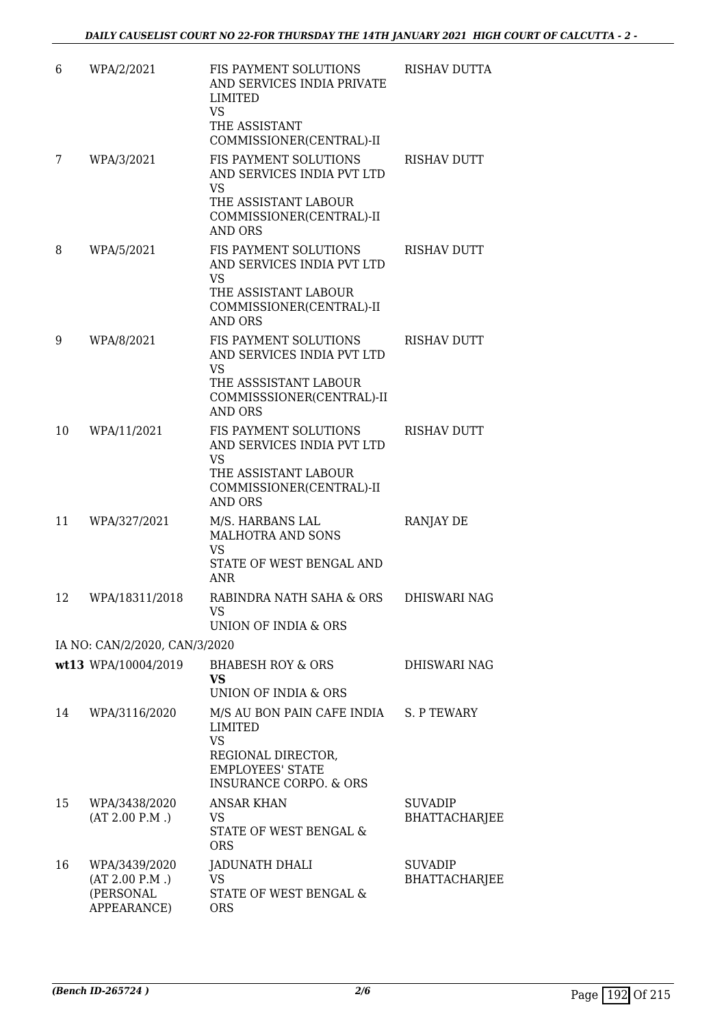| 6  | WPA/2/2021                                                  | FIS PAYMENT SOLUTIONS<br>AND SERVICES INDIA PRIVATE<br>LIMITED<br><b>VS</b><br>THE ASSISTANT                                                             | <b>RISHAV DUTTA</b>             |
|----|-------------------------------------------------------------|----------------------------------------------------------------------------------------------------------------------------------------------------------|---------------------------------|
| 7  | WPA/3/2021                                                  | COMMISSIONER(CENTRAL)-II<br>FIS PAYMENT SOLUTIONS<br>AND SERVICES INDIA PVT LTD<br>VS<br>THE ASSISTANT LABOUR<br>COMMISSIONER(CENTRAL)-II                | <b>RISHAV DUTT</b>              |
| 8  | WPA/5/2021                                                  | <b>AND ORS</b><br>FIS PAYMENT SOLUTIONS<br>AND SERVICES INDIA PVT LTD<br><b>VS</b><br>THE ASSISTANT LABOUR<br>COMMISSIONER(CENTRAL)-II<br><b>AND ORS</b> | <b>RISHAV DUTT</b>              |
| 9  | WPA/8/2021                                                  | <b>FIS PAYMENT SOLUTIONS</b><br>AND SERVICES INDIA PVT LTD<br>VS<br>THE ASSSISTANT LABOUR<br>COMMISSSIONER(CENTRAL)-II<br><b>AND ORS</b>                 | <b>RISHAV DUTT</b>              |
| 10 | WPA/11/2021                                                 | FIS PAYMENT SOLUTIONS<br>AND SERVICES INDIA PVT LTD<br><b>VS</b><br>THE ASSISTANT LABOUR<br>COMMISSIONER(CENTRAL)-II<br><b>AND ORS</b>                   | <b>RISHAV DUTT</b>              |
| 11 | WPA/327/2021                                                | M/S. HARBANS LAL<br>MALHOTRA AND SONS<br>VS<br>STATE OF WEST BENGAL AND<br>ANR                                                                           | RANJAY DE                       |
| 12 | WPA/18311/2018                                              | RABINDRA NATH SAHA & ORS<br>VS<br>UNION OF INDIA & ORS                                                                                                   | DHISWARI NAG                    |
|    | IA NO: CAN/2/2020, CAN/3/2020                               |                                                                                                                                                          |                                 |
|    | wt13 WPA/10004/2019                                         | <b>BHABESH ROY &amp; ORS</b><br>VS.<br>UNION OF INDIA & ORS                                                                                              | DHISWARI NAG                    |
| 14 | WPA/3116/2020                                               | M/S AU BON PAIN CAFE INDIA S. P TEWARY<br>LIMITED<br><b>VS</b><br>REGIONAL DIRECTOR,<br><b>EMPLOYEES' STATE</b><br><b>INSURANCE CORPO. &amp; ORS</b>     |                                 |
| 15 | WPA/3438/2020<br>(AT 2.00 P.M.)                             | <b>ANSAR KHAN</b><br>VS<br>STATE OF WEST BENGAL &<br><b>ORS</b>                                                                                          | <b>SUVADIP</b><br>BHATTACHARJEE |
| 16 | WPA/3439/2020<br>(AT 2.00 P.M.)<br>(PERSONAL<br>APPEARANCE) | JADUNATH DHALI<br>VS<br>STATE OF WEST BENGAL &<br><b>ORS</b>                                                                                             | <b>SUVADIP</b><br>BHATTACHARJEE |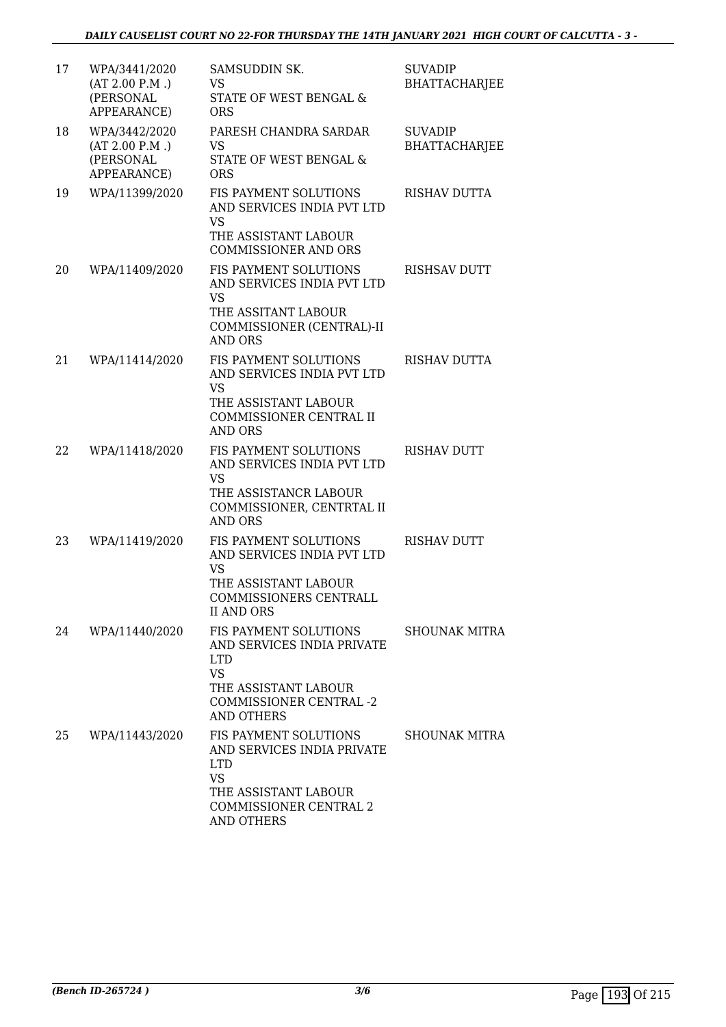| 17 | WPA/3441/2020<br>(AT 2.00 P.M.)<br>(PERSONAL<br>APPEARANCE) | SAMSUDDIN SK.<br>VS<br>STATE OF WEST BENGAL &<br><b>ORS</b>                                                                                                  | <b>SUVADIP</b><br><b>BHATTACHARJEE</b> |
|----|-------------------------------------------------------------|--------------------------------------------------------------------------------------------------------------------------------------------------------------|----------------------------------------|
| 18 | WPA/3442/2020<br>(AT 2.00 P.M.)<br>(PERSONAL<br>APPEARANCE) | PARESH CHANDRA SARDAR<br>VS<br>STATE OF WEST BENGAL &<br><b>ORS</b>                                                                                          | <b>SUVADIP</b><br><b>BHATTACHARJEE</b> |
| 19 | WPA/11399/2020                                              | <b>FIS PAYMENT SOLUTIONS</b><br>AND SERVICES INDIA PVT LTD<br><b>VS</b><br>THE ASSISTANT LABOUR<br><b>COMMISSIONER AND ORS</b>                               | <b>RISHAV DUTTA</b>                    |
| 20 | WPA/11409/2020                                              | <b>FIS PAYMENT SOLUTIONS</b><br>AND SERVICES INDIA PVT LTD<br><b>VS</b><br>THE ASSITANT LABOUR<br>COMMISSIONER (CENTRAL)-II<br>AND ORS                       | RISHSAV DUTT                           |
| 21 | WPA/11414/2020                                              | FIS PAYMENT SOLUTIONS<br>AND SERVICES INDIA PVT LTD<br><b>VS</b><br>THE ASSISTANT LABOUR<br>COMMISSIONER CENTRAL II<br>AND ORS                               | <b>RISHAV DUTTA</b>                    |
| 22 | WPA/11418/2020                                              | <b>FIS PAYMENT SOLUTIONS</b><br>AND SERVICES INDIA PVT LTD<br>VS<br>THE ASSISTANCR LABOUR<br>COMMISSIONER, CENTRTAL II<br>AND ORS                            | <b>RISHAV DUTT</b>                     |
| 23 | WPA/11419/2020                                              | <b>FIS PAYMENT SOLUTIONS</b><br>AND SERVICES INDIA PVT LTD<br><b>VS</b><br>THE ASSISTANT LABOUR<br>COMMISSIONERS CENTRALL<br><b>II AND ORS</b>               | <b>RISHAV DUTT</b>                     |
| 24 | WPA/11440/2020                                              | FIS PAYMENT SOLUTIONS<br>AND SERVICES INDIA PRIVATE<br>LTD<br><b>VS</b><br>THE ASSISTANT LABOUR<br><b>COMMISSIONER CENTRAL -2</b><br><b>AND OTHERS</b>       | SHOUNAK MITRA                          |
| 25 | WPA/11443/2020                                              | <b>FIS PAYMENT SOLUTIONS</b><br>AND SERVICES INDIA PRIVATE<br><b>LTD</b><br><b>VS</b><br>THE ASSISTANT LABOUR<br>COMMISSIONER CENTRAL 2<br><b>AND OTHERS</b> | <b>SHOUNAK MITRA</b>                   |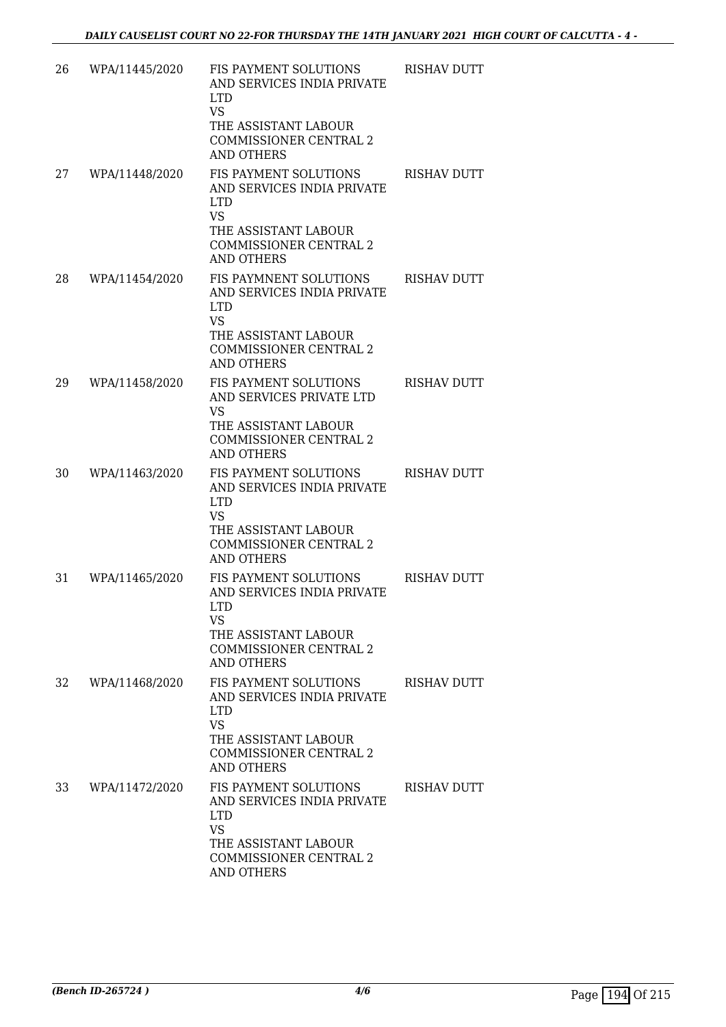| 26 | WPA/11445/2020 | FIS PAYMENT SOLUTIONS<br>AND SERVICES INDIA PRIVATE<br>LTD.<br><b>VS</b><br>THE ASSISTANT LABOUR<br><b>COMMISSIONER CENTRAL 2</b><br><b>AND OTHERS</b>               | <b>RISHAV DUTT</b> |
|----|----------------|----------------------------------------------------------------------------------------------------------------------------------------------------------------------|--------------------|
| 27 | WPA/11448/2020 | <b>FIS PAYMENT SOLUTIONS</b><br>AND SERVICES INDIA PRIVATE<br><b>LTD</b><br><b>VS</b><br>THE ASSISTANT LABOUR<br><b>COMMISSIONER CENTRAL 2</b><br><b>AND OTHERS</b>  | <b>RISHAV DUTT</b> |
| 28 | WPA/11454/2020 | <b>FIS PAYMNENT SOLUTIONS</b><br>AND SERVICES INDIA PRIVATE<br><b>LTD</b><br><b>VS</b><br>THE ASSISTANT LABOUR<br><b>COMMISSIONER CENTRAL 2</b><br><b>AND OTHERS</b> | <b>RISHAV DUTT</b> |
| 29 | WPA/11458/2020 | <b>FIS PAYMENT SOLUTIONS</b><br>AND SERVICES PRIVATE LTD<br>VS<br>THE ASSISTANT LABOUR<br><b>COMMISSIONER CENTRAL 2</b><br><b>AND OTHERS</b>                         | <b>RISHAV DUTT</b> |
| 30 | WPA/11463/2020 | <b>FIS PAYMENT SOLUTIONS</b><br>AND SERVICES INDIA PRIVATE<br><b>LTD</b><br><b>VS</b><br>THE ASSISTANT LABOUR<br><b>COMMISSIONER CENTRAL 2</b><br><b>AND OTHERS</b>  | <b>RISHAV DUTT</b> |
| 31 | WPA/11465/2020 | FIS PAYMENT SOLUTIONS<br>AND SERVICES INDIA PRIVATE<br>LTD<br>VS<br>THE ASSISTANT LABOUR<br><b>COMMISSIONER CENTRAL 2</b><br><b>AND OTHERS</b>                       | <b>RISHAV DUTT</b> |
| 32 | WPA/11468/2020 | <b>FIS PAYMENT SOLUTIONS</b><br>AND SERVICES INDIA PRIVATE<br>LTD.<br><b>VS</b><br>THE ASSISTANT LABOUR<br><b>COMMISSIONER CENTRAL 2</b><br><b>AND OTHERS</b>        | RISHAV DUTT        |
| 33 | WPA/11472/2020 | FIS PAYMENT SOLUTIONS<br>AND SERVICES INDIA PRIVATE<br><b>LTD</b><br>VS<br>THE ASSISTANT LABOUR<br><b>COMMISSIONER CENTRAL 2</b><br><b>AND OTHERS</b>                | RISHAV DUTT        |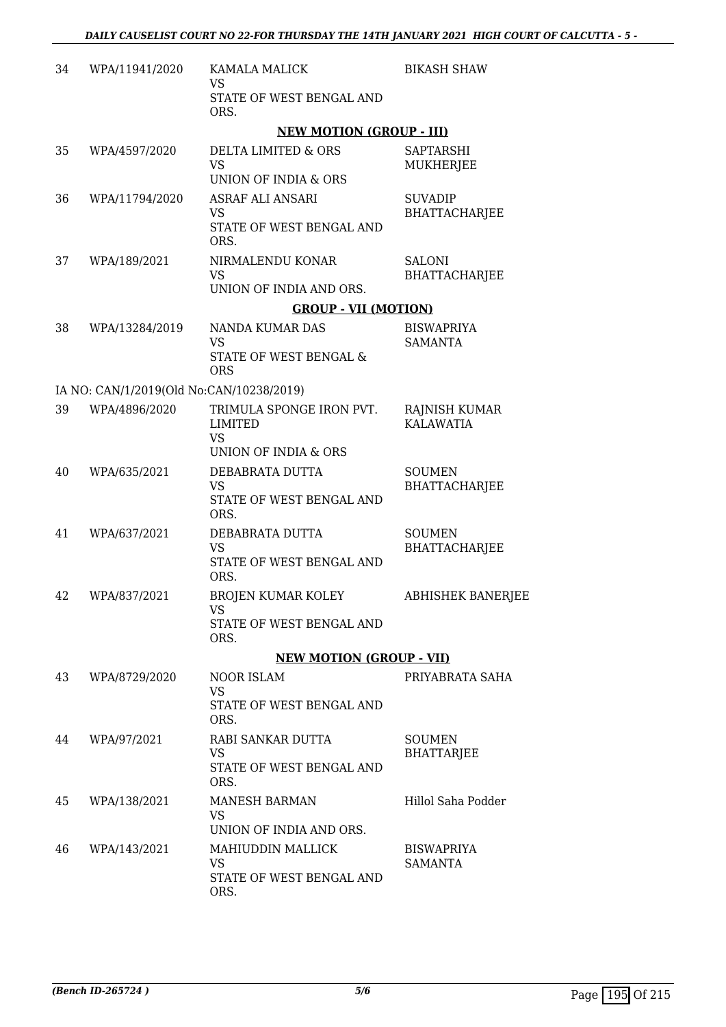| 34 | WPA/11941/2020                           | <b>KAMALA MALICK</b><br>VS                                         | <b>BIKASH SHAW</b>                       |
|----|------------------------------------------|--------------------------------------------------------------------|------------------------------------------|
|    |                                          | STATE OF WEST BENGAL AND<br>ORS.                                   |                                          |
|    |                                          | <b>NEW MOTION (GROUP - III)</b>                                    |                                          |
| 35 | WPA/4597/2020                            | DELTA LIMITED & ORS<br><b>VS</b><br>UNION OF INDIA & ORS           | <b>SAPTARSHI</b><br>MUKHERJEE            |
| 36 | WPA/11794/2020                           | ASRAF ALI ANSARI<br><b>VS</b><br>STATE OF WEST BENGAL AND<br>ORS.  | <b>SUVADIP</b><br><b>BHATTACHARJEE</b>   |
| 37 | WPA/189/2021                             | NIRMALENDU KONAR<br><b>VS</b><br>UNION OF INDIA AND ORS.           | SALONI<br><b>BHATTACHARJEE</b>           |
|    |                                          | <b>GROUP - VII (MOTION)</b>                                        |                                          |
| 38 | WPA/13284/2019                           | NANDA KUMAR DAS                                                    | <b>BISWAPRIYA</b>                        |
|    |                                          | <b>VS</b><br><b>STATE OF WEST BENGAL &amp;</b><br><b>ORS</b>       | <b>SAMANTA</b>                           |
|    | IA NO: CAN/1/2019(Old No:CAN/10238/2019) |                                                                    |                                          |
| 39 | WPA/4896/2020                            | TRIMULA SPONGE IRON PVT.<br>LIMITED<br><b>VS</b>                   | <b>RAJNISH KUMAR</b><br><b>KALAWATIA</b> |
|    |                                          | UNION OF INDIA & ORS                                               |                                          |
| 40 | WPA/635/2021                             | DEBABRATA DUTTA<br>VS<br>STATE OF WEST BENGAL AND<br>ORS.          | <b>SOUMEN</b><br><b>BHATTACHARJEE</b>    |
| 41 | WPA/637/2021                             | DEBABRATA DUTTA<br><b>VS</b><br>STATE OF WEST BENGAL AND<br>ORS.   | <b>SOUMEN</b><br><b>BHATTACHARJEE</b>    |
| 42 | WPA/837/2021                             | <b>BROJEN KUMAR KOLEY</b><br>VS                                    | <b>ABHISHEK BANERJEE</b>                 |
|    |                                          | STATE OF WEST BENGAL AND<br>ORS.                                   |                                          |
|    |                                          | <b>NEW MOTION (GROUP - VII)</b>                                    |                                          |
| 43 | WPA/8729/2020                            | NOOR ISLAM<br>VS<br>STATE OF WEST BENGAL AND<br>ORS.               | PRIYABRATA SAHA                          |
| 44 | WPA/97/2021                              | RABI SANKAR DUTTA<br>VS<br>STATE OF WEST BENGAL AND<br>ORS.        | <b>SOUMEN</b><br><b>BHATTARJEE</b>       |
| 45 | WPA/138/2021                             | <b>MANESH BARMAN</b><br><b>VS</b><br>UNION OF INDIA AND ORS.       | Hillol Saha Podder                       |
| 46 | WPA/143/2021                             | MAHIUDDIN MALLICK<br><b>VS</b><br>STATE OF WEST BENGAL AND<br>ORS. | <b>BISWAPRIYA</b><br>SAMANTA             |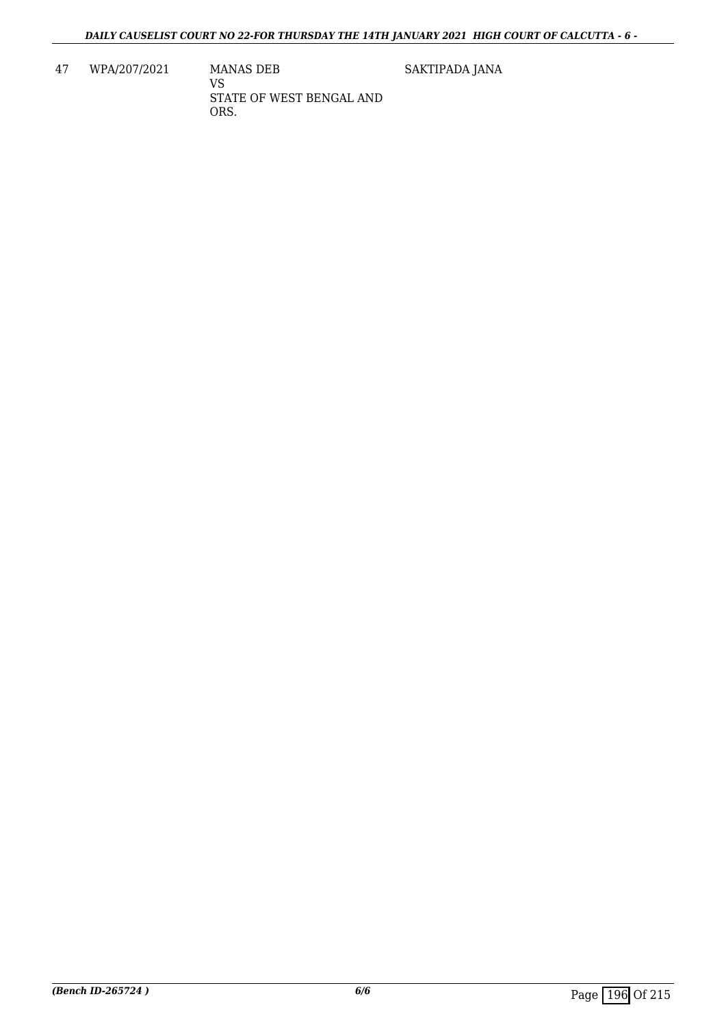47 WPA/207/2021 MANAS DEB

VS STATE OF WEST BENGAL AND ORS.

SAKTIPADA JANA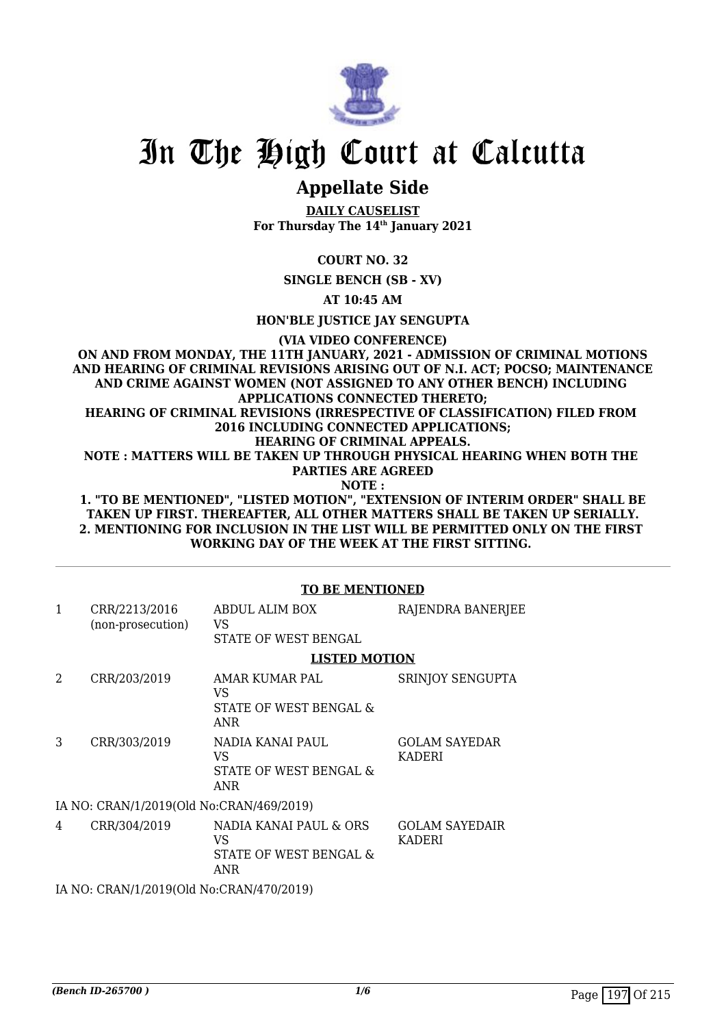

# **Appellate Side**

**DAILY CAUSELIST For Thursday The 14th January 2021**

**COURT NO. 32**

**SINGLE BENCH (SB - XV)**

**AT 10:45 AM**

**HON'BLE JUSTICE JAY SENGUPTA**

**(VIA VIDEO CONFERENCE)**

**ON AND FROM MONDAY, THE 11TH JANUARY, 2021 - ADMISSION OF CRIMINAL MOTIONS AND HEARING OF CRIMINAL REVISIONS ARISING OUT OF N.I. ACT; POCSO; MAINTENANCE AND CRIME AGAINST WOMEN (NOT ASSIGNED TO ANY OTHER BENCH) INCLUDING APPLICATIONS CONNECTED THERETO; HEARING OF CRIMINAL REVISIONS (IRRESPECTIVE OF CLASSIFICATION) FILED FROM 2016 INCLUDING CONNECTED APPLICATIONS; HEARING OF CRIMINAL APPEALS. NOTE : MATTERS WILL BE TAKEN UP THROUGH PHYSICAL HEARING WHEN BOTH THE PARTIES ARE AGREED NOTE : 1. "TO BE MENTIONED", "LISTED MOTION", "EXTENSION OF INTERIM ORDER" SHALL BE**

**TAKEN UP FIRST. THEREAFTER, ALL OTHER MATTERS SHALL BE TAKEN UP SERIALLY. 2. MENTIONING FOR INCLUSION IN THE LIST WILL BE PERMITTED ONLY ON THE FIRST WORKING DAY OF THE WEEK AT THE FIRST SITTING.** 

|                                          | <b>TO BE MENTIONED</b>                   |                                                                 |                                        |  |
|------------------------------------------|------------------------------------------|-----------------------------------------------------------------|----------------------------------------|--|
| $\mathbf{1}$                             | CRR/2213/2016<br>(non-prosecution)       | ABDUL ALIM BOX<br>VS.<br>STATE OF WEST BENGAL                   | RAJENDRA BANERJEE                      |  |
|                                          |                                          | <b>LISTED MOTION</b>                                            |                                        |  |
| $\mathcal{D}_{\mathcal{L}}$              | CRR/203/2019                             | AMAR KUMAR PAL<br>VS.<br>STATE OF WEST BENGAL &<br>ANR          | SRINJOY SENGUPTA                       |  |
| 3                                        | CRR/303/2019                             | NADIA KANAI PAUL<br>VS.<br>STATE OF WEST BENGAL &<br><b>ANR</b> | <b>GOLAM SAYEDAR</b><br><b>KADERI</b>  |  |
|                                          | IA NO: CRAN/1/2019(Old No:CRAN/469/2019) |                                                                 |                                        |  |
| 4                                        | CRR/304/2019                             | NADIA KANAI PAUL & ORS<br>VS.<br>STATE OF WEST BENGAL &<br>ANR  | <b>GOLAM SAYEDAIR</b><br><b>KADERI</b> |  |
| IA NO: CRAN/1/2019(Old No:CRAN/470/2019) |                                          |                                                                 |                                        |  |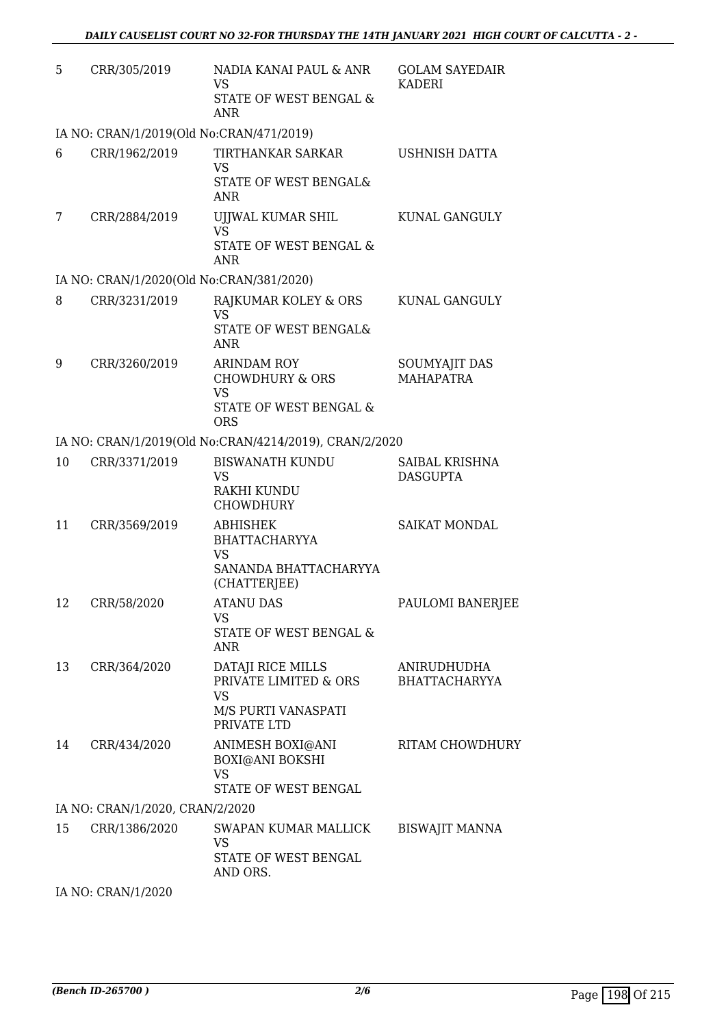| 5  | CRR/305/2019                             | NADIA KANAI PAUL & ANR<br><b>VS</b><br>STATE OF WEST BENGAL &                                         | <b>GOLAM SAYEDAIR</b><br><b>KADERI</b> |
|----|------------------------------------------|-------------------------------------------------------------------------------------------------------|----------------------------------------|
|    |                                          | <b>ANR</b>                                                                                            |                                        |
|    | IA NO: CRAN/1/2019(Old No:CRAN/471/2019) |                                                                                                       |                                        |
| 6  | CRR/1962/2019                            | TIRTHANKAR SARKAR<br><b>VS</b><br><b>STATE OF WEST BENGAL&amp;</b><br><b>ANR</b>                      | <b>USHNISH DATTA</b>                   |
| 7  | CRR/2884/2019                            | UJJWAL KUMAR SHIL<br><b>VS</b><br>STATE OF WEST BENGAL &<br><b>ANR</b>                                | KUNAL GANGULY                          |
|    | IA NO: CRAN/1/2020(Old No:CRAN/381/2020) |                                                                                                       |                                        |
| 8  | CRR/3231/2019                            | RAJKUMAR KOLEY & ORS<br><b>VS</b><br>STATE OF WEST BENGAL&<br><b>ANR</b>                              | KUNAL GANGULY                          |
| 9  | CRR/3260/2019                            | <b>ARINDAM ROY</b><br><b>CHOWDHURY &amp; ORS</b><br><b>VS</b><br>STATE OF WEST BENGAL &<br><b>ORS</b> | SOUMYAJIT DAS<br><b>MAHAPATRA</b>      |
|    |                                          | IA NO: CRAN/1/2019(Old No:CRAN/4214/2019), CRAN/2/2020                                                |                                        |
| 10 | CRR/3371/2019                            | <b>BISWANATH KUNDU</b><br>VS<br>RAKHI KUNDU<br><b>CHOWDHURY</b>                                       | SAIBAL KRISHNA<br><b>DASGUPTA</b>      |
| 11 | CRR/3569/2019                            | <b>ABHISHEK</b><br><b>BHATTACHARYYA</b><br><b>VS</b><br>SANANDA BHATTACHARYYA                         | <b>SAIKAT MONDAL</b>                   |
|    |                                          | (CHATTERJEE)                                                                                          |                                        |
| 12 | CRR/58/2020                              | <b>ATANU DAS</b><br>VS<br>STATE OF WEST BENGAL &<br><b>ANR</b>                                        | PAULOMI BANERJEE                       |
| 13 | CRR/364/2020                             | DATAJI RICE MILLS<br>PRIVATE LIMITED & ORS<br><b>VS</b>                                               | ANIRUDHUDHA<br><b>BHATTACHARYYA</b>    |
|    |                                          | M/S PURTI VANASPATI<br>PRIVATE LTD                                                                    |                                        |
| 14 | CRR/434/2020                             | ANIMESH BOXI@ANI<br><b>BOXI@ANI BOKSHI</b><br><b>VS</b><br>STATE OF WEST BENGAL                       | <b>RITAM CHOWDHURY</b>                 |
|    | IA NO: CRAN/1/2020, CRAN/2/2020          |                                                                                                       |                                        |
| 15 | CRR/1386/2020                            | SWAPAN KUMAR MALLICK<br><b>VS</b><br>STATE OF WEST BENGAL<br>AND ORS.                                 | <b>BISWAJIT MANNA</b>                  |

IA NO: CRAN/1/2020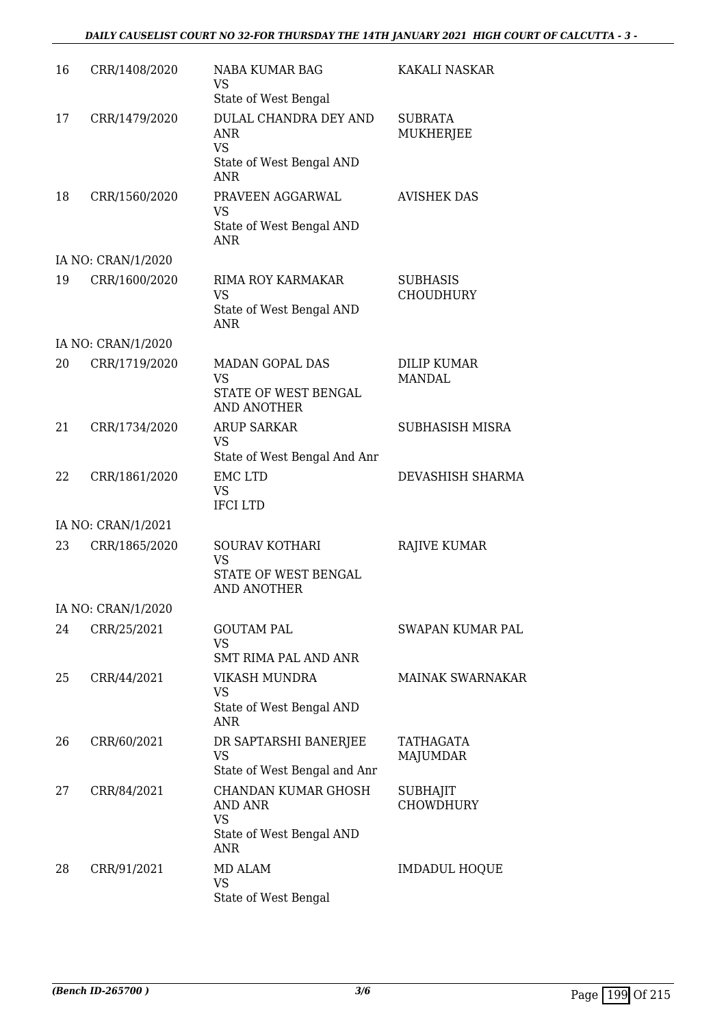## *DAILY CAUSELIST COURT NO 32-FOR THURSDAY THE 14TH JANUARY 2021 HIGH COURT OF CALCUTTA - 3 -*

| 16 | CRR/1408/2020      | NABA KUMAR BAG<br><b>VS</b><br>State of West Bengal                                   | <b>KAKALI NASKAR</b>                |
|----|--------------------|---------------------------------------------------------------------------------------|-------------------------------------|
| 17 | CRR/1479/2020      | DULAL CHANDRA DEY AND<br>ANR<br><b>VS</b><br>State of West Bengal AND<br><b>ANR</b>   | <b>SUBRATA</b><br><b>MUKHERJEE</b>  |
| 18 | CRR/1560/2020      | PRAVEEN AGGARWAL<br><b>VS</b><br>State of West Bengal AND<br>ANR                      | <b>AVISHEK DAS</b>                  |
|    | IA NO: CRAN/1/2020 |                                                                                       |                                     |
| 19 | CRR/1600/2020      | <b>RIMA ROY KARMAKAR</b><br><b>VS</b><br>State of West Bengal AND<br><b>ANR</b>       | <b>SUBHASIS</b><br><b>CHOUDHURY</b> |
|    | IA NO: CRAN/1/2020 |                                                                                       |                                     |
| 20 | CRR/1719/2020      | <b>MADAN GOPAL DAS</b><br><b>VS</b><br>STATE OF WEST BENGAL<br><b>AND ANOTHER</b>     | DILIP KUMAR<br><b>MANDAL</b>        |
| 21 | CRR/1734/2020      | <b>ARUP SARKAR</b><br><b>VS</b><br>State of West Bengal And Anr                       | <b>SUBHASISH MISRA</b>              |
| 22 | CRR/1861/2020      | <b>EMC LTD</b><br><b>VS</b><br><b>IFCILTD</b>                                         | DEVASHISH SHARMA                    |
|    | IA NO: CRAN/1/2021 |                                                                                       |                                     |
| 23 | CRR/1865/2020      | SOURAV KOTHARI<br><b>VS</b><br>STATE OF WEST BENGAL<br><b>AND ANOTHER</b>             | <b>RAJIVE KUMAR</b>                 |
|    | IA NO: CRAN/1/2020 |                                                                                       |                                     |
| 24 | CRR/25/2021        | <b>GOUTAM PAL</b><br><b>VS</b><br>SMT RIMA PAL AND ANR                                | SWAPAN KUMAR PAL                    |
| 25 | CRR/44/2021        | VIKASH MUNDRA<br>VS<br>State of West Bengal AND<br><b>ANR</b>                         | <b>MAINAK SWARNAKAR</b>             |
| 26 | CRR/60/2021        | DR SAPTARSHI BANERJEE<br><b>VS</b><br>State of West Bengal and Anr                    | TATHAGATA<br><b>MAJUMDAR</b>        |
| 27 | CRR/84/2021        | CHANDAN KUMAR GHOSH<br>AND ANR<br><b>VS</b><br>State of West Bengal AND<br><b>ANR</b> | SUBHAJIT<br><b>CHOWDHURY</b>        |
| 28 | CRR/91/2021        | MD ALAM<br>VS<br>State of West Bengal                                                 | <b>IMDADUL HOQUE</b>                |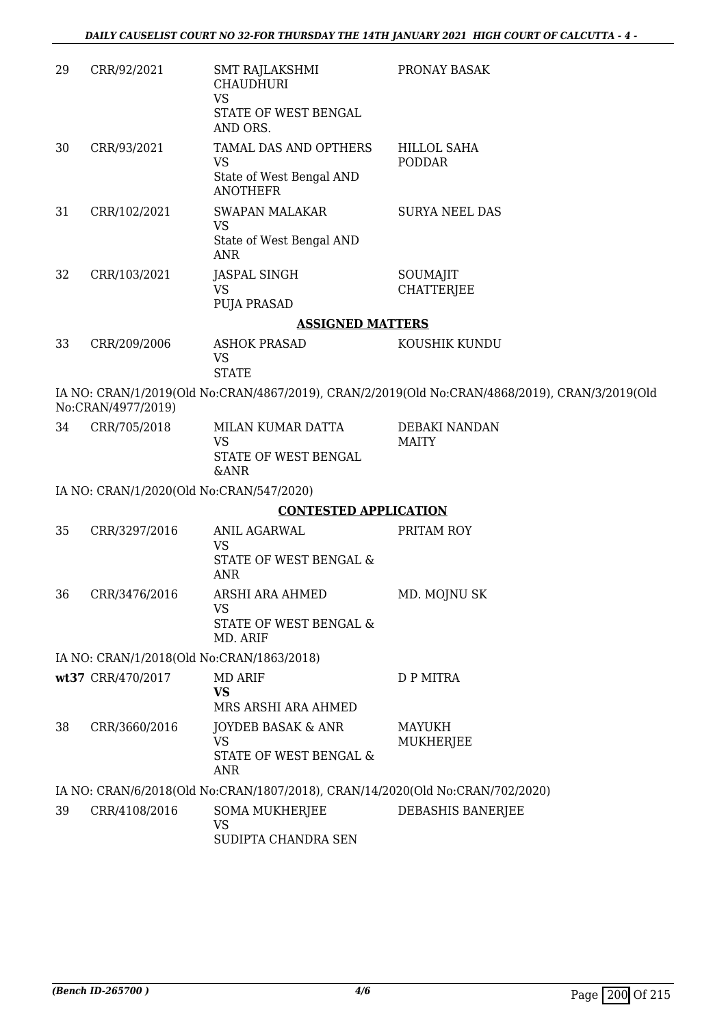| 29 | CRR/92/2021                              | SMT RAJLAKSHMI<br><b>CHAUDHURI</b><br><b>VS</b>                                                 | PRONAY BASAK                                                                                   |
|----|------------------------------------------|-------------------------------------------------------------------------------------------------|------------------------------------------------------------------------------------------------|
|    |                                          | STATE OF WEST BENGAL<br>AND ORS.                                                                |                                                                                                |
| 30 | CRR/93/2021                              | TAMAL DAS AND OPTHERS<br><b>VS</b><br>State of West Bengal AND                                  | <b>HILLOL SAHA</b><br><b>PODDAR</b>                                                            |
| 31 | CRR/102/2021                             | <b>ANOTHEFR</b><br><b>SWAPAN MALAKAR</b><br><b>VS</b><br>State of West Bengal AND<br><b>ANR</b> | <b>SURYA NEEL DAS</b>                                                                          |
| 32 | CRR/103/2021                             | <b>JASPAL SINGH</b><br><b>VS</b><br>PUJA PRASAD                                                 | SOUMAJIT<br><b>CHATTERJEE</b>                                                                  |
|    |                                          | <b>ASSIGNED MATTERS</b>                                                                         |                                                                                                |
| 33 | CRR/209/2006                             | <b>ASHOK PRASAD</b><br><b>VS</b><br><b>STATE</b>                                                | KOUSHIK KUNDU                                                                                  |
|    | No:CRAN/4977/2019)                       |                                                                                                 | IA NO: CRAN/1/2019(Old No:CRAN/4867/2019), CRAN/2/2019(Old No:CRAN/4868/2019), CRAN/3/2019(Old |
| 34 | CRR/705/2018                             | MILAN KUMAR DATTA<br><b>VS</b><br>STATE OF WEST BENGAL<br>&ANR                                  | DEBAKI NANDAN<br><b>MAITY</b>                                                                  |
|    | IA NO: CRAN/1/2020(Old No:CRAN/547/2020) |                                                                                                 |                                                                                                |
|    |                                          | <b>CONTESTED APPLICATION</b>                                                                    |                                                                                                |
| 35 | CRR/3297/2016                            | ANIL AGARWAL<br>VS<br>STATE OF WEST BENGAL &                                                    | PRITAM ROY                                                                                     |
|    |                                          | <b>ANR</b>                                                                                      |                                                                                                |
| 36 | CRR/3476/2016                            | ARSHI ARA AHMED<br><b>VS</b>                                                                    | MD. MOJNU SK                                                                                   |
|    |                                          | STATE OF WEST BENGAL &<br>MD. ARIF                                                              |                                                                                                |
|    |                                          | IA NO: CRAN/1/2018(Old No:CRAN/1863/2018)                                                       |                                                                                                |
|    | wt37 CRR/470/2017                        | MD ARIF<br><b>VS</b><br>MRS ARSHI ARA AHMED                                                     | D P MITRA                                                                                      |
| 38 | CRR/3660/2016                            | JOYDEB BASAK & ANR<br>VS<br>STATE OF WEST BENGAL &<br>ANR                                       | <b>MAYUKH</b><br>MUKHERJEE                                                                     |
|    |                                          | IA NO: CRAN/6/2018(Old No:CRAN/1807/2018), CRAN/14/2020(Old No:CRAN/702/2020)                   |                                                                                                |
| 39 | CRR/4108/2016                            | <b>SOMA MUKHERJEE</b><br><b>VS</b><br>SUDIPTA CHANDRA SEN                                       | DEBASHIS BANERJEE                                                                              |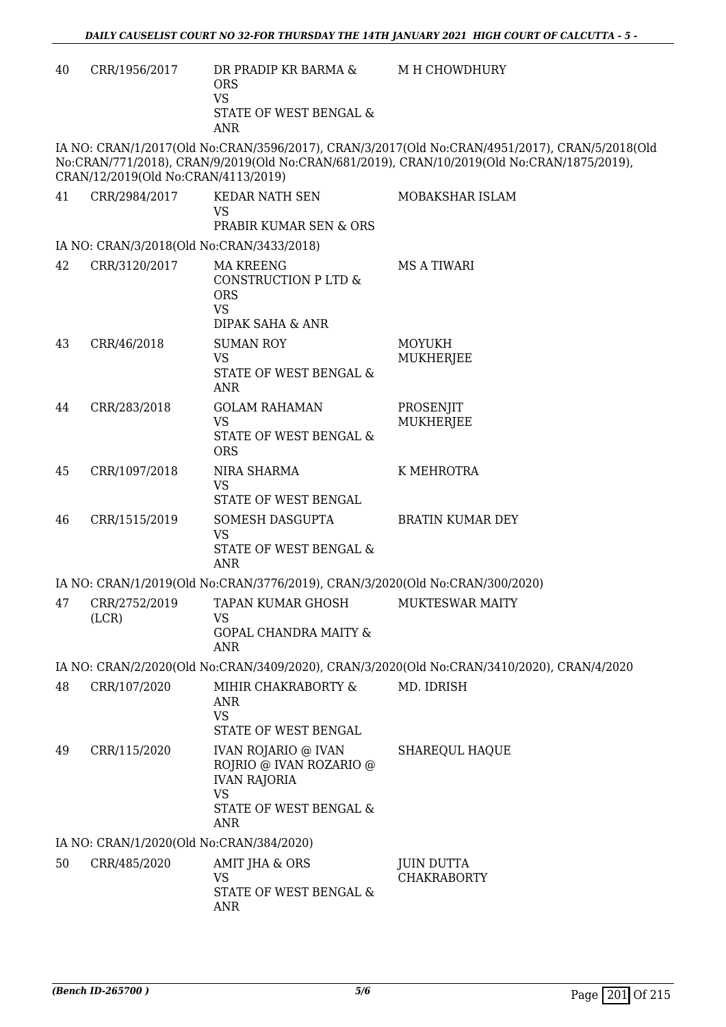| 40 | CRR/1956/2017                             | DR PRADIP KR BARMA &<br><b>ORS</b><br><b>VS</b><br>STATE OF WEST BENGAL &<br><b>ANR</b>              | M H CHOWDHURY                                                                                                                                                                                |
|----|-------------------------------------------|------------------------------------------------------------------------------------------------------|----------------------------------------------------------------------------------------------------------------------------------------------------------------------------------------------|
|    | CRAN/12/2019(Old No:CRAN/4113/2019)       |                                                                                                      | IA NO: CRAN/1/2017(Old No:CRAN/3596/2017), CRAN/3/2017(Old No:CRAN/4951/2017), CRAN/5/2018(Old<br>No:CRAN/771/2018), CRAN/9/2019(Old No:CRAN/681/2019), CRAN/10/2019(Old No:CRAN/1875/2019), |
| 41 | CRR/2984/2017                             | KEDAR NATH SEN<br><b>VS</b><br>PRABIR KUMAR SEN & ORS                                                | MOBAKSHAR ISLAM                                                                                                                                                                              |
|    | IA NO: CRAN/3/2018(Old No:CRAN/3433/2018) |                                                                                                      |                                                                                                                                                                                              |
| 42 | CRR/3120/2017                             | <b>MA KREENG</b><br>CONSTRUCTION P LTD &<br><b>ORS</b><br><b>VS</b>                                  | <b>MS A TIWARI</b>                                                                                                                                                                           |
| 43 | CRR/46/2018                               | <b>DIPAK SAHA &amp; ANR</b><br><b>SUMAN ROY</b><br><b>VS</b><br>STATE OF WEST BENGAL &<br><b>ANR</b> | <b>MOYUKH</b><br><b>MUKHERJEE</b>                                                                                                                                                            |
| 44 | CRR/283/2018                              | <b>GOLAM RAHAMAN</b><br><b>VS</b><br>STATE OF WEST BENGAL &<br><b>ORS</b>                            | PROSENJIT<br><b>MUKHERJEE</b>                                                                                                                                                                |
| 45 | CRR/1097/2018                             | NIRA SHARMA<br><b>VS</b><br>STATE OF WEST BENGAL                                                     | K MEHROTRA                                                                                                                                                                                   |
| 46 | CRR/1515/2019                             | SOMESH DASGUPTA<br><b>VS</b><br>STATE OF WEST BENGAL &<br><b>ANR</b>                                 | <b>BRATIN KUMAR DEY</b>                                                                                                                                                                      |
|    |                                           | IA NO: CRAN/1/2019(Old No:CRAN/3776/2019), CRAN/3/2020(Old No:CRAN/300/2020)                         |                                                                                                                                                                                              |
| 47 | CRR/2752/2019<br>(LCR)                    | <b>TAPAN KUMAR GHOSH</b><br><b>VS</b>                                                                | <b>MUKTESWAR MAITY</b>                                                                                                                                                                       |
|    |                                           | <b>GOPAL CHANDRA MAITY &amp;</b><br><b>ANR</b>                                                       |                                                                                                                                                                                              |
|    |                                           |                                                                                                      | IA NO: CRAN/2/2020(Old No:CRAN/3409/2020), CRAN/3/2020(Old No:CRAN/3410/2020), CRAN/4/2020                                                                                                   |
| 48 | CRR/107/2020                              | MIHIR CHAKRABORTY &<br><b>ANR</b><br>VS<br>STATE OF WEST BENGAL                                      | MD. IDRISH                                                                                                                                                                                   |
| 49 | CRR/115/2020                              | <b>IVAN ROJARIO @ IVAN</b><br>ROJRIO @ IVAN ROZARIO @<br><b>IVAN RAJORIA</b><br><b>VS</b>            | <b>SHAREQUL HAQUE</b>                                                                                                                                                                        |
|    |                                           | STATE OF WEST BENGAL &<br><b>ANR</b>                                                                 |                                                                                                                                                                                              |
|    | IA NO: CRAN/1/2020(Old No:CRAN/384/2020)  |                                                                                                      |                                                                                                                                                                                              |
| 50 | CRR/485/2020                              | AMIT JHA & ORS<br><b>VS</b><br>STATE OF WEST BENGAL &<br>ANR                                         | <b>JUIN DUTTA</b><br><b>CHAKRABORTY</b>                                                                                                                                                      |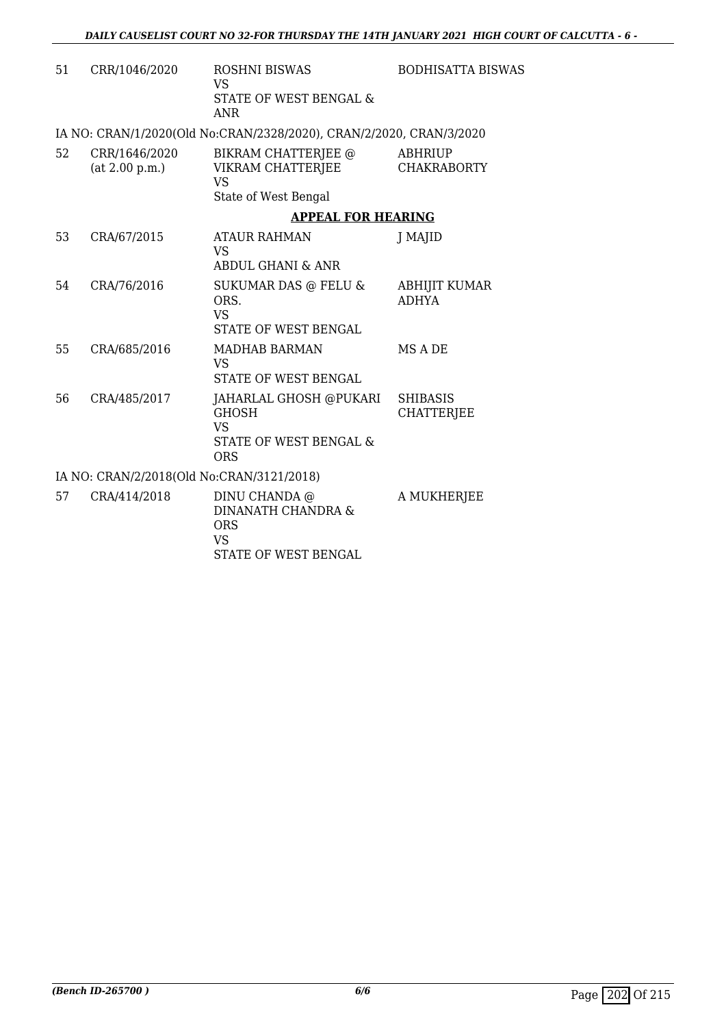| 51 | CRR/1046/2020                             | <b>ROSHNI BISWAS</b><br>VS<br>STATE OF WEST BENGAL &<br>ANR                                 | <b>BODHISATTA BISWAS</b>             |
|----|-------------------------------------------|---------------------------------------------------------------------------------------------|--------------------------------------|
|    |                                           | IA NO: CRAN/1/2020(Old No:CRAN/2328/2020), CRAN/2/2020, CRAN/3/2020                         |                                      |
| 52 | CRR/1646/2020<br>(at 2.00 p.m.)           | BIKRAM CHATTERJEE @<br>VIKRAM CHATTERJEE<br><b>VS</b>                                       | <b>ABHRIUP</b><br><b>CHAKRABORTY</b> |
|    |                                           | State of West Bengal                                                                        |                                      |
|    |                                           | <b>APPEAL FOR HEARING</b>                                                                   |                                      |
| 53 | CRA/67/2015                               | <b>ATAUR RAHMAN</b><br><b>VS</b>                                                            | J MAJID                              |
|    |                                           | ABDUL GHANI & ANR                                                                           |                                      |
| 54 | CRA/76/2016                               | <b>SUKUMAR DAS @ FELU &amp;</b><br>ORS.<br><b>VS</b><br><b>STATE OF WEST BENGAL</b>         | <b>ABHIJIT KUMAR</b><br><b>ADHYA</b> |
| 55 | CRA/685/2016                              | <b>MADHAB BARMAN</b><br><b>VS</b><br><b>STATE OF WEST BENGAL</b>                            | MS A DE                              |
| 56 | CRA/485/2017                              | JAHARLAL GHOSH @PUKARI<br><b>GHOSH</b><br><b>VS</b><br>STATE OF WEST BENGAL &<br><b>ORS</b> | <b>SHIBASIS</b><br><b>CHATTERJEE</b> |
|    | IA NO: CRAN/2/2018(Old No:CRAN/3121/2018) |                                                                                             |                                      |
| 57 | CRA/414/2018                              | DINU CHANDA @<br><b>DINANATH CHANDRA &amp;</b><br><b>ORS</b><br><b>VS</b>                   | A MUKHERJEE                          |

STATE OF WEST BENGAL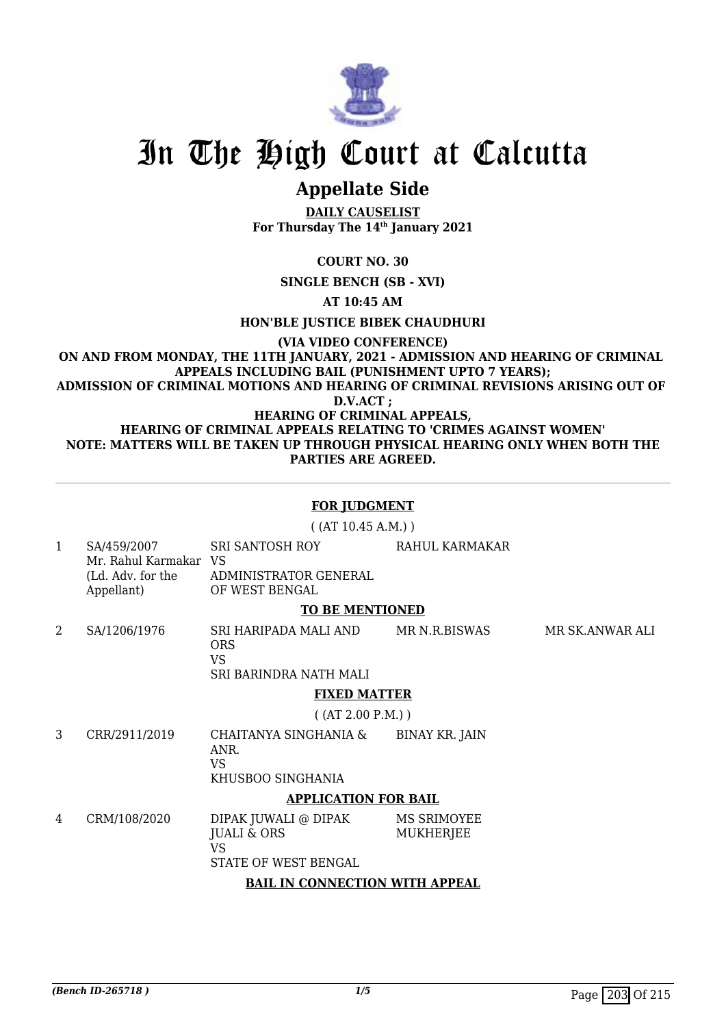

# **Appellate Side**

**DAILY CAUSELIST For Thursday The 14th January 2021**

**COURT NO. 30**

**SINGLE BENCH (SB - XVI)**

**AT 10:45 AM**

**HON'BLE JUSTICE BIBEK CHAUDHURI**

**(VIA VIDEO CONFERENCE)**

**ON AND FROM MONDAY, THE 11TH JANUARY, 2021 - ADMISSION AND HEARING OF CRIMINAL APPEALS INCLUDING BAIL (PUNISHMENT UPTO 7 YEARS); ADMISSION OF CRIMINAL MOTIONS AND HEARING OF CRIMINAL REVISIONS ARISING OUT OF D.V.ACT ;**

**HEARING OF CRIMINAL APPEALS, HEARING OF CRIMINAL APPEALS RELATING TO 'CRIMES AGAINST WOMEN' NOTE: MATTERS WILL BE TAKEN UP THROUGH PHYSICAL HEARING ONLY WHEN BOTH THE PARTIES ARE AGREED.**

### **FOR JUDGMENT**

( (AT 10.45 A.M.) )

1 SA/459/2007 Mr. Rahul Karmakar VS (Ld. Adv. for the Appellant) SRI SANTOSH ROY ADMINISTRATOR GENERAL OF WEST BENGAL RAHUL KARMAKAR

#### **TO BE MENTIONED**

2 SA/1206/1976 SRI HARIPADA MALI AND **ORS** VS SRI BARINDRA NATH MALI MR N.R.BISWAS MR SK.ANWAR ALI

## **FIXED MATTER**

( (AT 2.00 P.M.) )

3 CRR/2911/2019 CHAITANYA SINGHANIA & ANR. VS BINAY KR. JAIN

KHUSBOO SINGHANIA

## **APPLICATION FOR BAIL**

4 CRM/108/2020 DIPAK JUWALI @ DIPAK JUALI & ORS VS STATE OF WEST BENGAL MS SRIMOYEE MUKHERJEE

## **BAIL IN CONNECTION WITH APPEAL**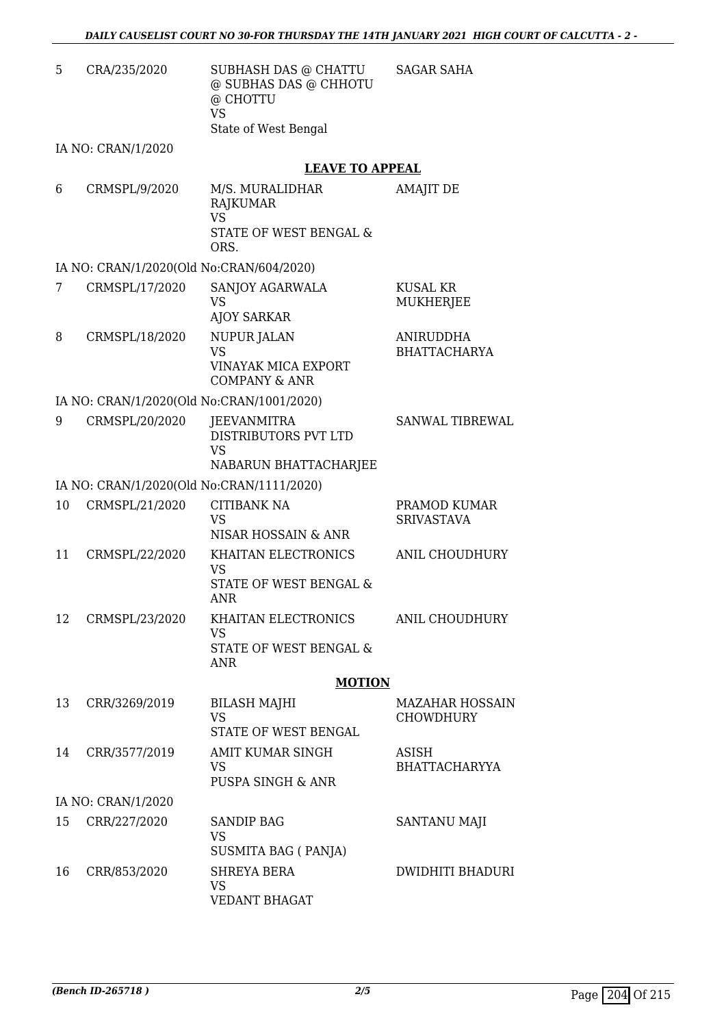| 5. | CRA/235/2020 | SUBHASH DAS @ CHATTU  | <b>SAGAR SAHA</b> |
|----|--------------|-----------------------|-------------------|
|    |              | @ SUBHAS DAS @ CHHOTU |                   |
|    |              | @ CHOTTU              |                   |
|    |              | VS                    |                   |
|    |              | State of West Bengal  |                   |

IA NO: CRAN/1/2020

## **LEAVE TO APPEAL**

| RAJKUMAR<br>VS<br>STATE OF WEST BENGAL &<br>ORS. | AMAJIT DE | M/S. MURALIDHAR | CRMSPL/9/2020 | 6. |
|--------------------------------------------------|-----------|-----------------|---------------|----|
|--------------------------------------------------|-----------|-----------------|---------------|----|

#### IA NO: CRAN/1/2020(Old No:CRAN/604/2020)

| 7  | CRMSPL/17/2020                            | SANJOY AGARWALA<br>VS<br><b>AJOY SARKAR</b>                                         | KUSAL KR<br><b>MUKHERJEE</b>               |
|----|-------------------------------------------|-------------------------------------------------------------------------------------|--------------------------------------------|
| 8  | CRMSPL/18/2020                            | <b>NUPUR JALAN</b><br><b>VS</b><br>VINAYAK MICA EXPORT<br><b>COMPANY &amp; ANR</b>  | <b>ANIRUDDHA</b><br><b>BHATTACHARYA</b>    |
|    | IA NO: CRAN/1/2020(Old No:CRAN/1001/2020) |                                                                                     |                                            |
| 9  | CRMSPL/20/2020                            | <b>JEEVANMITRA</b><br>DISTRIBUTORS PVT LTD<br><b>VS</b><br>NABARUN BHATTACHARJEE    | <b>SANWAL TIBREWAL</b>                     |
|    | IA NO: CRAN/1/2020(Old No:CRAN/1111/2020) |                                                                                     |                                            |
| 10 | CRMSPL/21/2020                            | <b>CITIBANK NA</b><br><b>VS</b><br>NISAR HOSSAIN & ANR                              | PRAMOD KUMAR<br><b>SRIVASTAVA</b>          |
| 11 | CRMSPL/22/2020                            | KHAITAN ELECTRONICS<br><b>VS</b><br><b>STATE OF WEST BENGAL &amp;</b><br><b>ANR</b> | ANIL CHOUDHURY                             |
| 12 | CRMSPL/23/2020                            | KHAITAN ELECTRONICS<br><b>VS</b><br><b>STATE OF WEST BENGAL &amp;</b><br><b>ANR</b> | <b>ANIL CHOUDHURY</b>                      |
|    |                                           | <b>MOTION</b>                                                                       |                                            |
| 13 | CRR/3269/2019                             | <b>BILASH MAJHI</b><br><b>VS</b>                                                    | <b>MAZAHAR HOSSAIN</b><br><b>CHOWDHURY</b> |

|    |                    | VS<br>STATE OF WEST BENGAL                       | <b>CHOWDHURY</b>              |
|----|--------------------|--------------------------------------------------|-------------------------------|
| 14 | CRR/3577/2019      | AMIT KUMAR SINGH<br>VS<br>PUSPA SINGH & ANR      | ASISH<br><b>BHATTACHARYYA</b> |
|    | IA NO: CRAN/1/2020 |                                                  |                               |
| 15 | CRR/227/2020       | <b>SANDIP BAG</b><br>VS<br>SUSMITA BAG (PANJA)   | SANTANU MAJI                  |
| 16 | CRR/853/2020       | <b>SHREYA BERA</b><br>VS<br><b>VEDANT BHAGAT</b> | <b>DWIDHITI BHADURI</b>       |
|    |                    |                                                  |                               |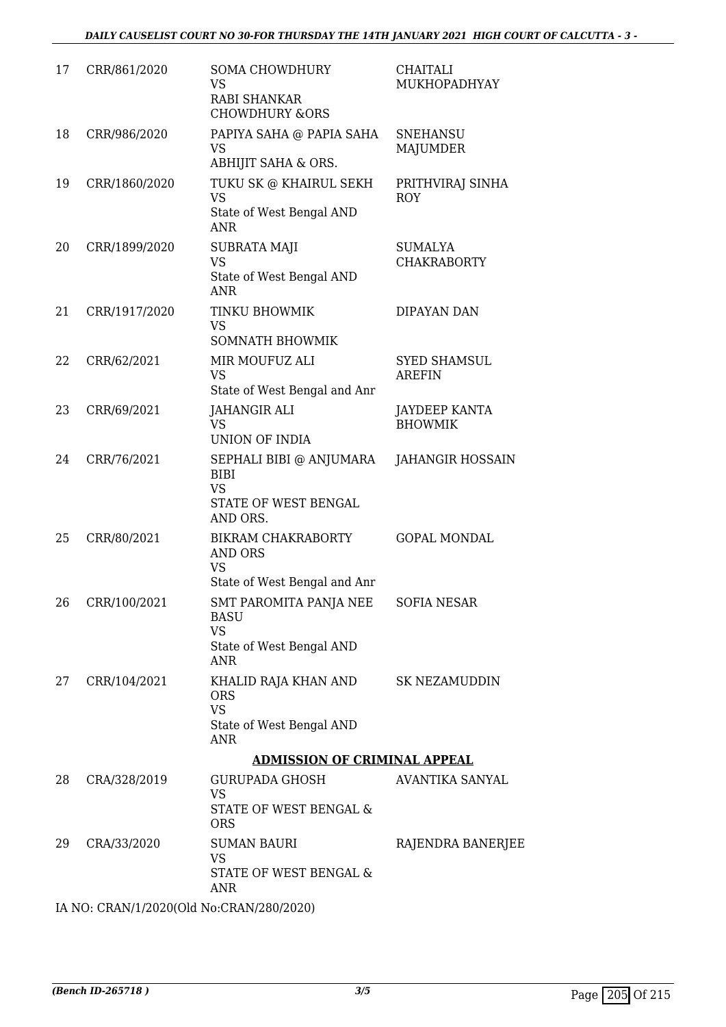| 17 | CRR/861/2020  | <b>SOMA CHOWDHURY</b><br><b>VS</b><br><b>RABI SHANKAR</b><br><b>CHOWDHURY &amp;ORS</b>                  | CHAITALI<br>MUKHOPADHYAY             |
|----|---------------|---------------------------------------------------------------------------------------------------------|--------------------------------------|
| 18 | CRR/986/2020  | PAPIYA SAHA @ PAPIA SAHA<br><b>VS</b><br>ABHIJIT SAHA & ORS.                                            | <b>SNEHANSU</b><br>MAJUMDER          |
| 19 | CRR/1860/2020 | TUKU SK @ KHAIRUL SEKH<br><b>VS</b><br>State of West Bengal AND<br>ANR                                  | PRITHVIRAJ SINHA<br><b>ROY</b>       |
| 20 | CRR/1899/2020 | SUBRATA MAJI<br><b>VS</b><br>State of West Bengal AND<br><b>ANR</b>                                     | <b>SUMALYA</b><br><b>CHAKRABORTY</b> |
| 21 | CRR/1917/2020 | TINKU BHOWMIK<br><b>VS</b><br>SOMNATH BHOWMIK                                                           | DIPAYAN DAN                          |
| 22 | CRR/62/2021   | MIR MOUFUZ ALI<br><b>VS</b><br>State of West Bengal and Anr                                             | <b>SYED SHAMSUL</b><br><b>AREFIN</b> |
| 23 | CRR/69/2021   | <b>JAHANGIR ALI</b><br><b>VS</b><br><b>UNION OF INDIA</b>                                               | JAYDEEP KANTA<br><b>BHOWMIK</b>      |
| 24 | CRR/76/2021   | SEPHALI BIBI @ ANJUMARA<br><b>BIBI</b><br><b>VS</b><br>STATE OF WEST BENGAL<br>AND ORS.                 | JAHANGIR HOSSAIN                     |
| 25 | CRR/80/2021   | BIKRAM CHAKRABORTY<br><b>AND ORS</b><br><b>VS</b><br>State of West Bengal and Anr                       | <b>GOPAL MONDAL</b>                  |
| 26 | CRR/100/2021  | SMT PAROMITA PANJA NEE<br><b>BASU</b><br><b>VS</b><br>State of West Bengal AND<br>ANR                   | SOFIA NESAR                          |
| 27 | CRR/104/2021  | KHALID RAJA KHAN AND SK NEZAMUDDIN<br><b>ORS</b><br><b>VS</b><br>State of West Bengal AND<br><b>ANR</b> |                                      |
|    |               | <b>ADMISSION OF CRIMINAL APPEAL</b>                                                                     |                                      |
| 28 | CRA/328/2019  | GURUPADA GHOSH<br><b>VS</b><br>STATE OF WEST BENGAL &<br><b>ORS</b>                                     | AVANTIKA SANYAL                      |
| 29 | CRA/33/2020   | <b>SUMAN BAURI</b><br><b>VS</b><br>STATE OF WEST BENGAL &<br><b>ANR</b>                                 | RAJENDRA BANERJEE                    |

IA NO: CRAN/1/2020(Old No:CRAN/280/2020)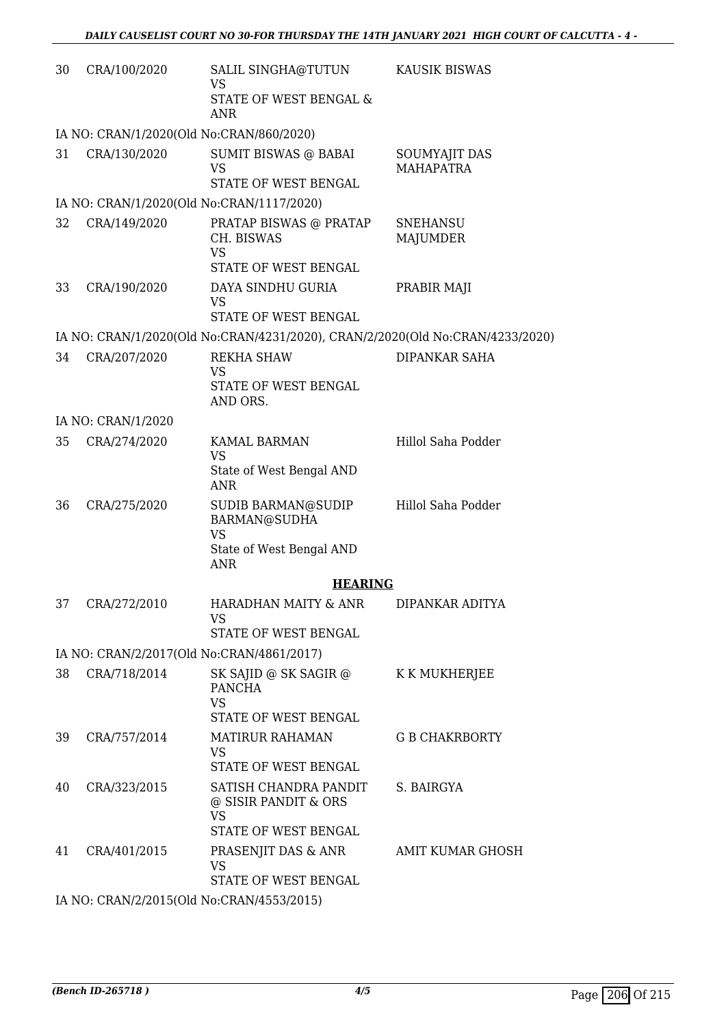| 30 | CRA/100/2020                              | SALIL SINGHA@TUTUN<br><b>VS</b><br>STATE OF WEST BENGAL &<br><b>ANR</b>                                                                                                                                                                       | <b>KAUSIK BISWAS</b>               |
|----|-------------------------------------------|-----------------------------------------------------------------------------------------------------------------------------------------------------------------------------------------------------------------------------------------------|------------------------------------|
|    | IA NO: CRAN/1/2020(Old No:CRAN/860/2020)  |                                                                                                                                                                                                                                               |                                    |
| 31 | CRA/130/2020                              | SUMIT BISWAS @ BABAI<br><b>VS</b><br>STATE OF WEST BENGAL                                                                                                                                                                                     | SOUMYAJIT DAS<br><b>MAHAPATRA</b>  |
|    | IA NO: CRAN/1/2020(Old No:CRAN/1117/2020) |                                                                                                                                                                                                                                               |                                    |
| 32 | CRA/149/2020                              | PRATAP BISWAS @ PRATAP<br>CH. BISWAS<br><b>VS</b><br>STATE OF WEST BENGAL                                                                                                                                                                     | <b>SNEHANSU</b><br><b>MAJUMDER</b> |
| 33 | CRA/190/2020                              | DAYA SINDHU GURIA<br><b>VS</b><br>STATE OF WEST BENGAL                                                                                                                                                                                        | PRABIR MAJI                        |
|    |                                           | IA NO: CRAN/1/2020(Old No:CRAN/4231/2020), CRAN/2/2020(Old No:CRAN/4233/2020)                                                                                                                                                                 |                                    |
| 34 | CRA/207/2020                              | <b>REKHA SHAW</b><br><b>VS</b><br><b>STATE OF WEST BENGAL</b>                                                                                                                                                                                 | DIPANKAR SAHA                      |
|    |                                           | AND ORS.                                                                                                                                                                                                                                      |                                    |
|    | IA NO: CRAN/1/2020                        |                                                                                                                                                                                                                                               |                                    |
| 35 | CRA/274/2020                              | <b>KAMAL BARMAN</b><br><b>VS</b><br>State of West Bengal AND<br><b>ANR</b>                                                                                                                                                                    | Hillol Saha Podder                 |
| 36 | CRA/275/2020                              | SUDIB BARMAN@SUDIP<br>BARMAN@SUDHA<br><b>VS</b><br>State of West Bengal AND<br><b>ANR</b>                                                                                                                                                     | Hillol Saha Podder                 |
|    |                                           | <b>HEARING</b>                                                                                                                                                                                                                                |                                    |
| 37 | CRA/272/2010                              | HARADHAN MAITY & ANR<br><b>VS</b><br>STATE OF WEST BENGAL                                                                                                                                                                                     | DIPANKAR ADITYA                    |
|    | IA NO: CRAN/2/2017(Old No:CRAN/4861/2017) |                                                                                                                                                                                                                                               |                                    |
| 38 | CRA/718/2014                              | SK SAJID @ SK SAGIR @ K K MUKHERJEE<br><b>PANCHA</b><br><b>VS</b><br>STATE OF WEST BENGAL                                                                                                                                                     |                                    |
| 39 | CRA/757/2014                              | <b>MATIRUR RAHAMAN</b><br><b>VS</b><br>STATE OF WEST BENGAL                                                                                                                                                                                   | <b>G B CHAKRBORTY</b>              |
| 40 | CRA/323/2015                              | SATISH CHANDRA PANDIT<br>@ SISIR PANDIT & ORS<br><b>VS</b><br>STATE OF WEST BENGAL                                                                                                                                                            | S. BAIRGYA                         |
| 41 | CRA/401/2015                              | PRASENJIT DAS & ANR<br><b>VS</b><br>STATE OF WEST BENGAL                                                                                                                                                                                      | AMIT KUMAR GHOSH                   |
|    |                                           | $\Lambda$ <sub>U</sub> $\Omega$ $\Omega$ $\Lambda$ $\Gamma$ $\Omega$ $\Lambda$ $\Lambda$ <sub>U</sub> $\Lambda$ <sub>U</sub> $\Lambda$ $\Gamma$ $\Lambda$ $\Gamma$ $\Lambda$ $\Gamma$ $\Gamma$ $\Omega$ $\Omega$ $\Lambda$ $\Gamma$ $\Lambda$ |                                    |

IA NO: CRAN/2/2015(Old No:CRAN/4553/2015)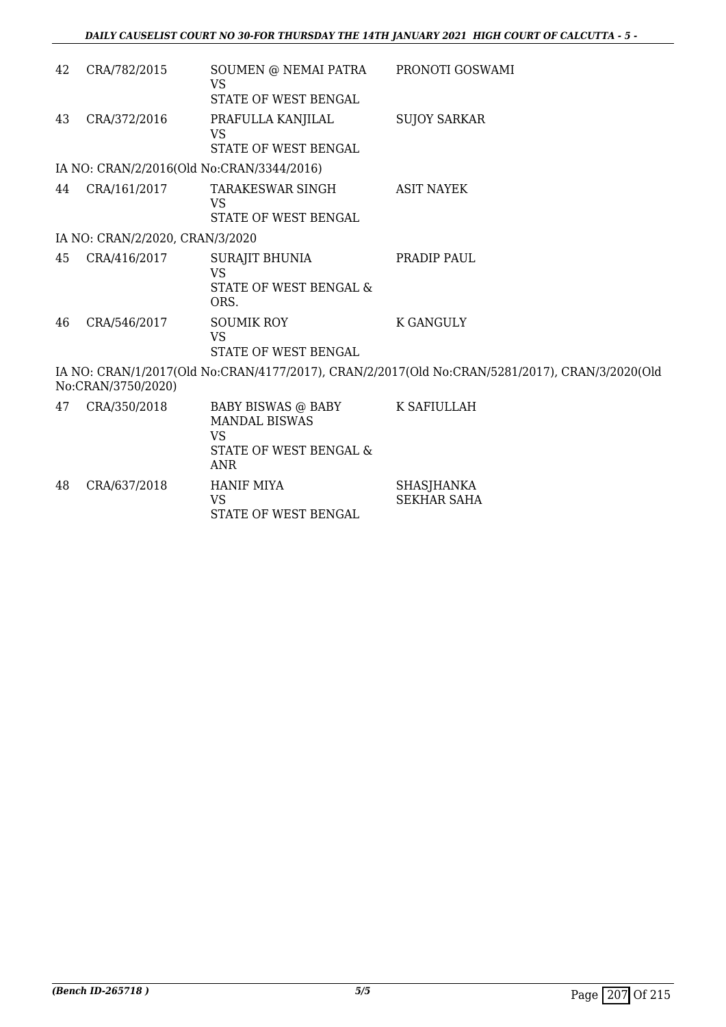| 42 | CRA/782/2015                    | SOUMEN @ NEMAI PATRA<br><b>VS</b>                                                                           | PRONOTI GOSWAMI                                                                                |
|----|---------------------------------|-------------------------------------------------------------------------------------------------------------|------------------------------------------------------------------------------------------------|
| 43 | CRA/372/2016                    | STATE OF WEST BENGAL<br>PRAFULLA KANJILAL                                                                   | <b>SUJOY SARKAR</b>                                                                            |
|    |                                 | <b>VS</b><br>STATE OF WEST BENGAL                                                                           |                                                                                                |
|    |                                 | IA NO: CRAN/2/2016(Old No:CRAN/3344/2016)                                                                   |                                                                                                |
| 44 | CRA/161/2017                    | TARAKESWAR SINGH<br><b>VS</b><br><b>STATE OF WEST BENGAL</b>                                                | <b>ASIT NAYEK</b>                                                                              |
|    | IA NO: CRAN/2/2020, CRAN/3/2020 |                                                                                                             |                                                                                                |
| 45 | CRA/416/2017                    | SURAJIT BHUNIA<br><b>VS</b><br>STATE OF WEST BENGAL &<br>ORS.                                               | PRADIP PAUL                                                                                    |
| 46 | CRA/546/2017                    | <b>SOUMIK ROY</b><br><b>VS</b><br><b>STATE OF WEST BENGAL</b>                                               | <b>K GANGULY</b>                                                                               |
|    | No:CRAN/3750/2020)              |                                                                                                             | IA NO: CRAN/1/2017(Old No:CRAN/4177/2017), CRAN/2/2017(Old No:CRAN/5281/2017), CRAN/3/2020(Old |
| 47 | CRA/350/2018                    | BABY BISWAS @ BABY K SAFIULLAH<br><b>MANDAL BISWAS</b><br><b>VS</b><br>STATE OF WEST BENGAL &<br><b>ANR</b> |                                                                                                |
| 48 | CRA/637/2018                    | <b>HANIF MIYA</b><br><b>VS</b><br>STATE OF WEST BENGAL                                                      | <b>SHASJHANKA</b><br><b>SEKHAR SAHA</b>                                                        |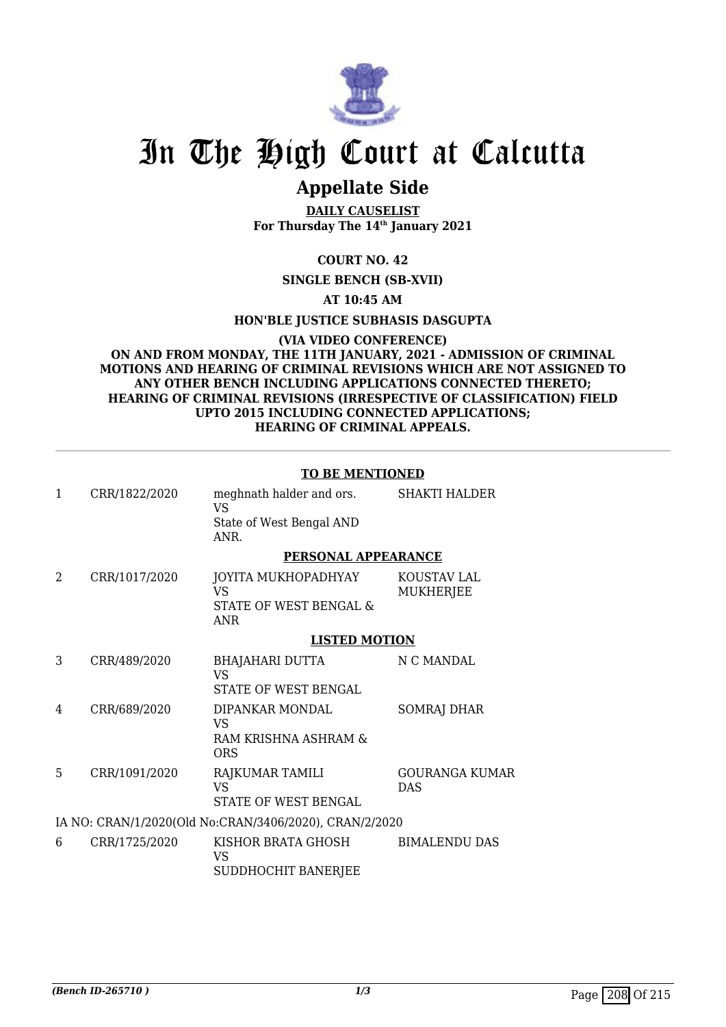

# **Appellate Side**

**DAILY CAUSELIST For Thursday The 14th January 2021**

## **COURT NO. 42**

## **SINGLE BENCH (SB-XVII)**

## **AT 10:45 AM**

#### **HON'BLE JUSTICE SUBHASIS DASGUPTA**

#### **(VIA VIDEO CONFERENCE) ON AND FROM MONDAY, THE 11TH JANUARY, 2021 - ADMISSION OF CRIMINAL MOTIONS AND HEARING OF CRIMINAL REVISIONS WHICH ARE NOT ASSIGNED TO ANY OTHER BENCH INCLUDING APPLICATIONS CONNECTED THERETO; HEARING OF CRIMINAL REVISIONS (IRRESPECTIVE OF CLASSIFICATION) FIELD UPTO 2015 INCLUDING CONNECTED APPLICATIONS; HEARING OF CRIMINAL APPEALS.**

#### **TO BE MENTIONED**

| $\mathbf{1}$ | CRR/1822/2020 | meghnath halder and ors.<br><b>VS</b>                              | <b>SHAKTI HALDER</b>            |
|--------------|---------------|--------------------------------------------------------------------|---------------------------------|
|              |               | State of West Bengal AND<br>ANR.                                   |                                 |
|              |               | <b>PERSONAL APPEARANCE</b>                                         |                                 |
| 2            | CRR/1017/2020 | JOYITA MUKHOPADHYAY<br>VS.<br>STATE OF WEST BENGAL &<br><b>ANR</b> | KOUSTAV LAL<br><b>MUKHERJEE</b> |
|              |               | <b>LISTED MOTION</b>                                               |                                 |
| 3            | CRR/489/2020  | <b>BHAJAHARI DUTTA</b><br><b>VS</b><br>STATE OF WEST BENGAL        | N C MANDAL                      |
| 4            | CRR/689/2020  | DIPANKAR MONDAL<br>VS.<br>RAM KRISHNA ASHRAM &<br>ORS              | SOMRAJ DHAR                     |
| 5            | CRR/1091/2020 | RAJKUMAR TAMILI<br><b>VS</b><br>STATE OF WEST BENGAL               | GOURANGA KUMAR<br><b>DAS</b>    |
|              |               | IA NO: CRAN/1/2020(Old No:CRAN/3406/2020), CRAN/2/2020             |                                 |
| 6            | CRR/1725/2020 | KISHOR BRATA GHOSH<br>VS.<br><b>SUDDHOCHIT BANERJEE</b>            | <b>BIMALENDU DAS</b>            |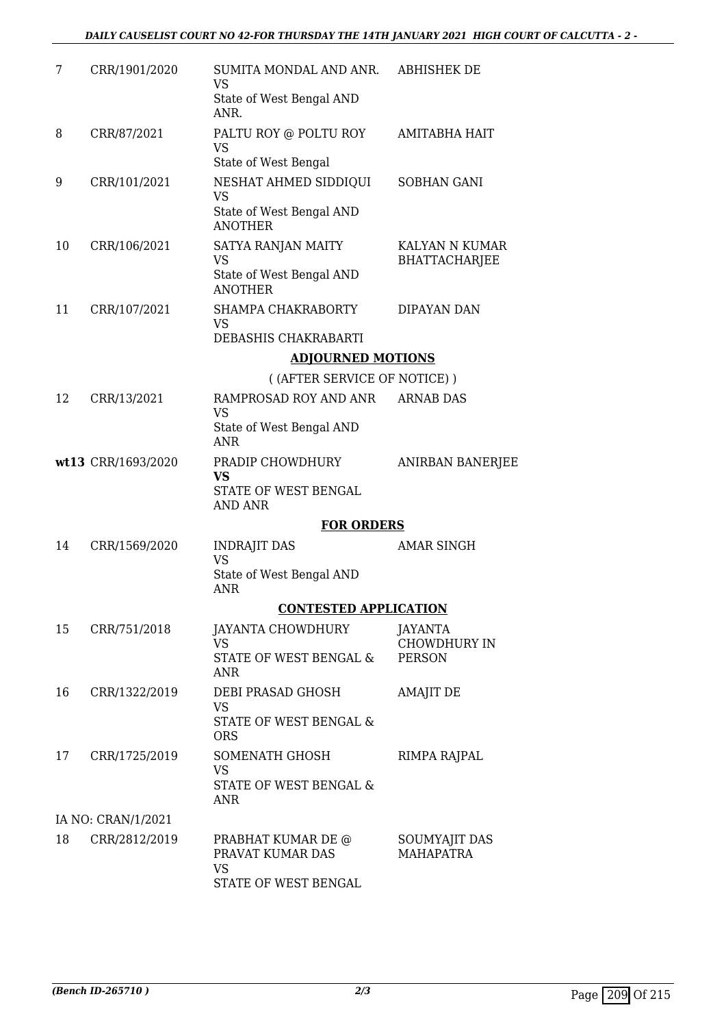| 7  | CRR/1901/2020      | SUMITA MONDAL AND ANR. ABHISHEK DE<br>VS                                |                                        |
|----|--------------------|-------------------------------------------------------------------------|----------------------------------------|
|    |                    | State of West Bengal AND<br>ANR.                                        |                                        |
| 8  | CRR/87/2021        | PALTU ROY @ POLTU ROY<br><b>VS</b><br>State of West Bengal              | AMITABHA HAIT                          |
| 9  | CRR/101/2021       | NESHAT AHMED SIDDIQUI<br><b>VS</b><br>State of West Bengal AND          | SOBHAN GANI                            |
|    |                    | <b>ANOTHER</b>                                                          |                                        |
| 10 | CRR/106/2021       | SATYA RANJAN MAITY<br>VS                                                | KALYAN N KUMAR<br><b>BHATTACHARJEE</b> |
|    |                    | State of West Bengal AND<br><b>ANOTHER</b>                              |                                        |
| 11 | CRR/107/2021       | SHAMPA CHAKRABORTY<br><b>VS</b>                                         | DIPAYAN DAN                            |
|    |                    | DEBASHIS CHAKRABARTI                                                    |                                        |
|    |                    | <b>ADJOURNED MOTIONS</b><br>((AFTER SERVICE OF NOTICE))                 |                                        |
| 12 | CRR/13/2021        | RAMPROSAD ROY AND ANR                                                   | <b>ARNAB DAS</b>                       |
|    |                    | <b>VS</b><br>State of West Bengal AND                                   |                                        |
|    |                    | <b>ANR</b>                                                              |                                        |
|    | wt13 CRR/1693/2020 | PRADIP CHOWDHURY<br><b>VS</b><br>STATE OF WEST BENGAL<br><b>AND ANR</b> | ANIRBAN BANERJEE                       |
|    |                    | <b>FOR ORDERS</b>                                                       |                                        |
| 14 | CRR/1569/2020      | <b>INDRAJIT DAS</b><br><b>VS</b>                                        | <b>AMAR SINGH</b>                      |
|    |                    | State of West Bengal AND<br><b>ANR</b>                                  |                                        |
|    |                    | <b>CONTESTED APPLICATION</b>                                            |                                        |
| 15 | CRR/751/2018       | <b>JAYANTA CHOWDHURY</b><br><b>VS</b>                                   | <b>JAYANTA</b><br><b>CHOWDHURY IN</b>  |
|    |                    | STATE OF WEST BENGAL &<br><b>ANR</b>                                    | <b>PERSON</b>                          |
| 16 | CRR/1322/2019      | DEBI PRASAD GHOSH<br><b>VS</b>                                          | <b>AMAJIT DE</b>                       |
|    |                    | <b>STATE OF WEST BENGAL &amp;</b><br><b>ORS</b>                         |                                        |
| 17 | CRR/1725/2019      | SOMENATH GHOSH<br><b>VS</b>                                             | RIMPA RAJPAL                           |
|    |                    | STATE OF WEST BENGAL &<br>ANR.                                          |                                        |
|    | IA NO: CRAN/1/2021 |                                                                         |                                        |
| 18 | CRR/2812/2019      | PRABHAT KUMAR DE @<br>PRAVAT KUMAR DAS<br><b>VS</b>                     | SOUMYAJIT DAS<br><b>MAHAPATRA</b>      |
|    |                    | STATE OF WEST BENGAL                                                    |                                        |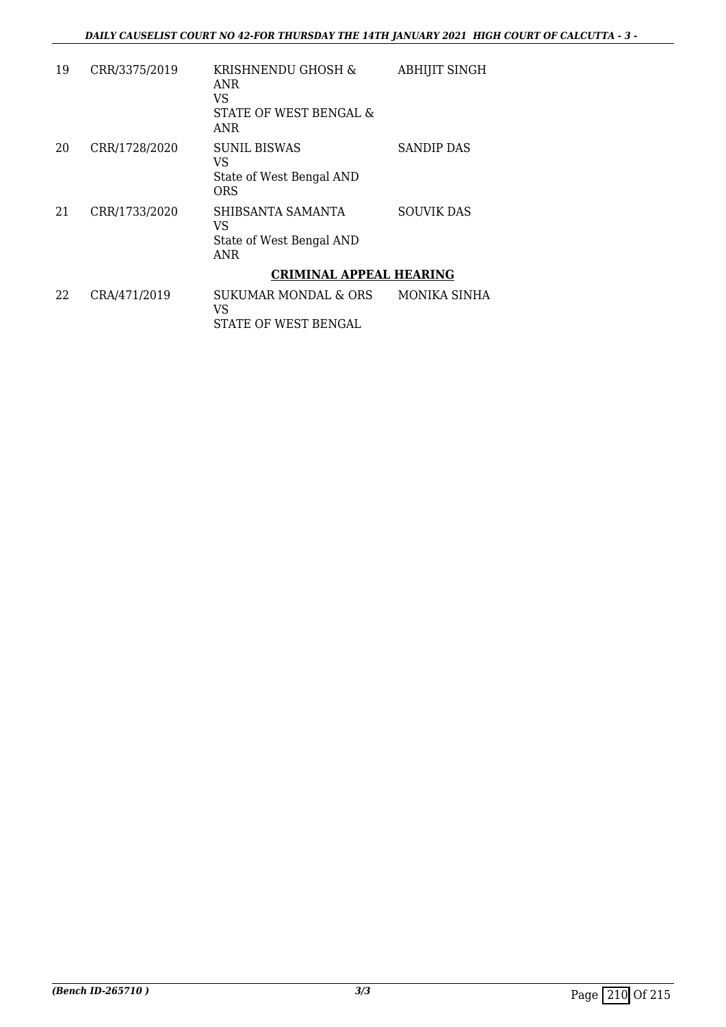| 19 | CRR/3375/2019 | KRISHNENDU GHOSH &<br><b>ANR</b><br>VS<br>STATE OF WEST BENGAL &<br>ANR | <b>ABHIJIT SINGH</b> |
|----|---------------|-------------------------------------------------------------------------|----------------------|
| 20 | CRR/1728/2020 | <b>SUNIL BISWAS</b><br>VS<br>State of West Bengal AND<br>ORS            | <b>SANDIP DAS</b>    |
| 21 | CRR/1733/2020 | SHIBSANTA SAMANTA<br>VS<br>State of West Bengal AND<br><b>ANR</b>       | <b>SOUVIK DAS</b>    |
|    |               | <b>CRIMINAL APPEAL HEARING</b>                                          |                      |
| 22 | CRA/471/2019  | SUKUMAR MONDAL & ORS<br>VS<br>STATE OF WEST BENGAL                      | MONIKA SINHA         |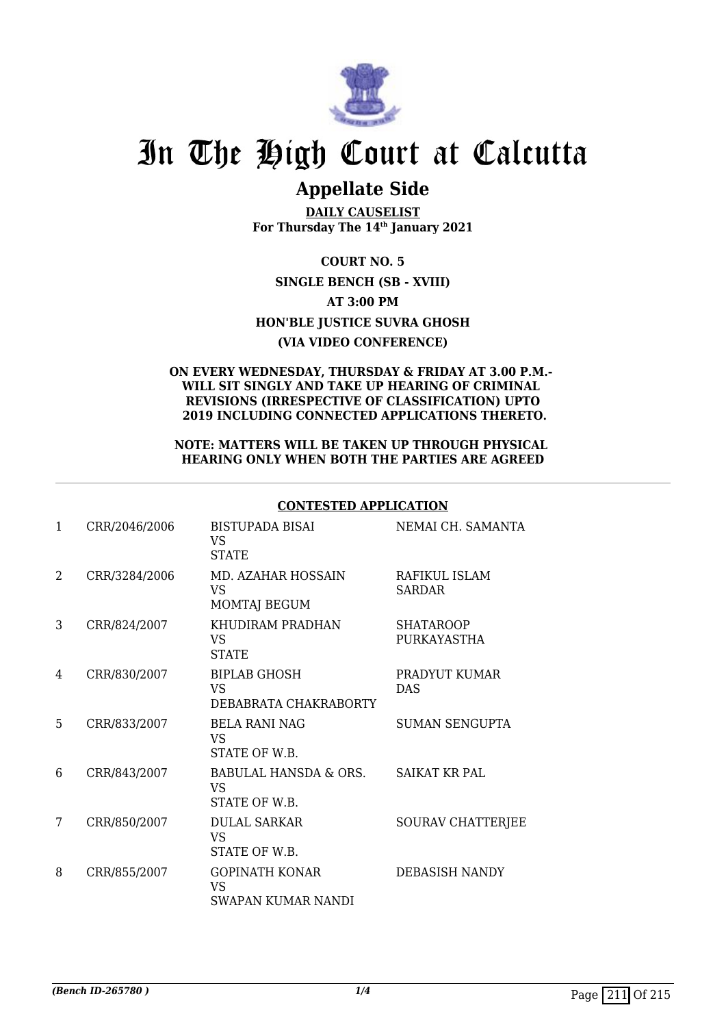

# **Appellate Side**

**DAILY CAUSELIST For Thursday The 14th January 2021**

**COURT NO. 5 SINGLE BENCH (SB - XVIII) AT 3:00 PM HON'BLE JUSTICE SUVRA GHOSH (VIA VIDEO CONFERENCE)**

#### **ON EVERY WEDNESDAY, THURSDAY & FRIDAY AT 3.00 P.M.- WILL SIT SINGLY AND TAKE UP HEARING OF CRIMINAL REVISIONS (IRRESPECTIVE OF CLASSIFICATION) UPTO 2019 INCLUDING CONNECTED APPLICATIONS THERETO.**

#### **NOTE: MATTERS WILL BE TAKEN UP THROUGH PHYSICAL HEARING ONLY WHEN BOTH THE PARTIES ARE AGREED**

|                |               | CONTESTED AFFEICATION                                     |                                 |
|----------------|---------------|-----------------------------------------------------------|---------------------------------|
| 1              | CRR/2046/2006 | <b>BISTUPADA BISAI</b><br>VS<br><b>STATE</b>              | NEMAI CH. SAMANTA               |
| $\mathfrak{D}$ | CRR/3284/2006 | MD. AZAHAR HOSSAIN<br><b>VS</b><br>MOMTAJ BEGUM           | RAFIKUL ISLAM<br><b>SARDAR</b>  |
| 3              | CRR/824/2007  | KHUDIRAM PRADHAN<br>VS.<br><b>STATE</b>                   | <b>SHATAROOP</b><br>PURKAYASTHA |
| 4              | CRR/830/2007  | <b>BIPLAB GHOSH</b><br><b>VS</b><br>DEBABRATA CHAKRABORTY | PRADYUT KUMAR<br><b>DAS</b>     |
| 5              | CRR/833/2007  | <b>BELA RANI NAG</b><br>VS<br>STATE OF W.B.               | <b>SUMAN SENGUPTA</b>           |
| 6              | CRR/843/2007  | BABULAL HANSDA & ORS.<br>VS<br>STATE OF W.B.              | <b>SAIKAT KR PAL</b>            |
| 7              | CRR/850/2007  | <b>DULAL SARKAR</b><br><b>VS</b><br>STATE OF W.B.         | <b>SOURAV CHATTERJEE</b>        |
| 8              | CRR/855/2007  | <b>GOPINATH KONAR</b><br><b>VS</b><br>SWAPAN KUMAR NANDI  | DEBASISH NANDY                  |

## **CONTESTED APPLICATION**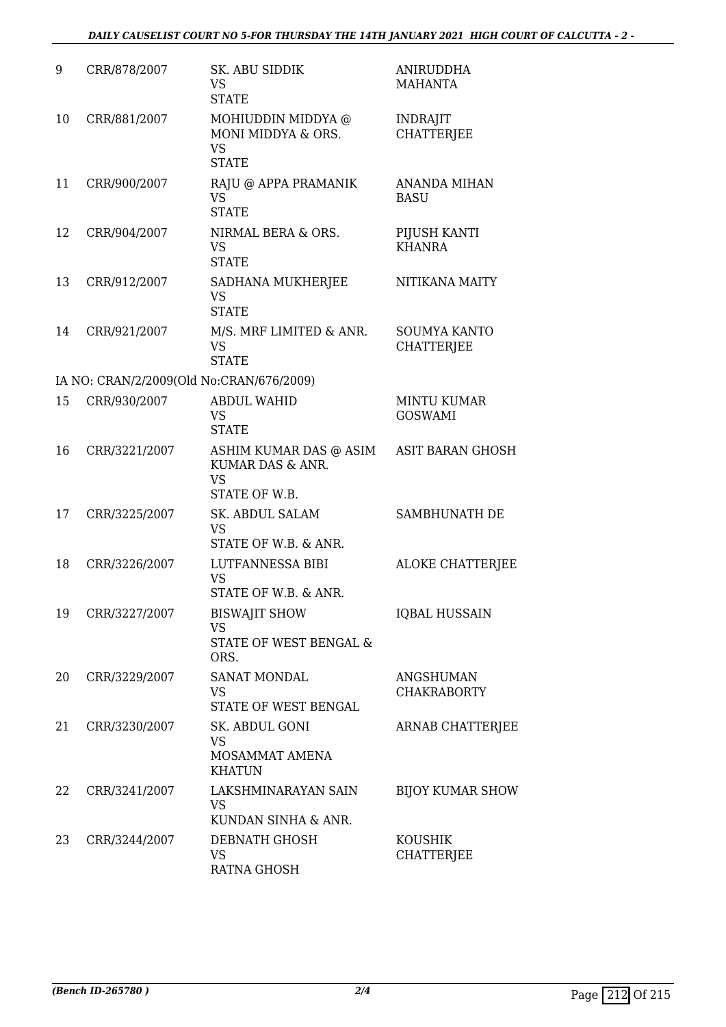| 9  | CRR/878/2007  | SK. ABU SIDDIK<br><b>VS</b><br><b>STATE</b>                              | <b>ANIRUDDHA</b><br><b>MAHANTA</b>       |
|----|---------------|--------------------------------------------------------------------------|------------------------------------------|
| 10 | CRR/881/2007  | MOHIUDDIN MIDDYA @<br>MONI MIDDYA & ORS.<br><b>VS</b><br><b>STATE</b>    | <b>INDRAJIT</b><br><b>CHATTERJEE</b>     |
| 11 | CRR/900/2007  | RAJU @ APPA PRAMANIK<br><b>VS</b><br><b>STATE</b>                        | ANANDA MIHAN<br><b>BASU</b>              |
| 12 | CRR/904/2007  | NIRMAL BERA & ORS.<br><b>VS</b><br><b>STATE</b>                          | PIJUSH KANTI<br><b>KHANRA</b>            |
| 13 | CRR/912/2007  | SADHANA MUKHERJEE<br><b>VS</b><br><b>STATE</b>                           | NITIKANA MAITY                           |
| 14 | CRR/921/2007  | M/S. MRF LIMITED & ANR.<br><b>VS</b><br><b>STATE</b>                     | <b>SOUMYA KANTO</b><br><b>CHATTERJEE</b> |
|    |               | IA NO: CRAN/2/2009(Old No:CRAN/676/2009)                                 |                                          |
| 15 | CRR/930/2007  | <b>ABDUL WAHID</b><br><b>VS</b><br><b>STATE</b>                          | <b>MINTU KUMAR</b><br><b>GOSWAMI</b>     |
| 16 | CRR/3221/2007 | ASHIM KUMAR DAS @ ASIM<br>KUMAR DAS & ANR.<br><b>VS</b><br>STATE OF W.B. | <b>ASIT BARAN GHOSH</b>                  |
| 17 | CRR/3225/2007 | SK. ABDUL SALAM<br><b>VS</b><br>STATE OF W.B. & ANR.                     | SAMBHUNATH DE                            |
| 18 | CRR/3226/2007 | LUTFANNESSA BIBI<br><b>VS</b><br>STATE OF W.B. & ANR.                    | <b>ALOKE CHATTERJEE</b>                  |
| 19 | CRR/3227/2007 | <b>BISWAJIT SHOW</b><br><b>VS</b><br>STATE OF WEST BENGAL &<br>ORS.      | <b>IQBAL HUSSAIN</b>                     |
| 20 | CRR/3229/2007 | <b>SANAT MONDAL</b><br><b>VS</b><br>STATE OF WEST BENGAL                 | <b>ANGSHUMAN</b><br><b>CHAKRABORTY</b>   |
| 21 | CRR/3230/2007 | SK. ABDUL GONI<br><b>VS</b><br>MOSAMMAT AMENA<br><b>KHATUN</b>           | <b>ARNAB CHATTERJEE</b>                  |
| 22 | CRR/3241/2007 | LAKSHMINARAYAN SAIN<br><b>VS</b><br>KUNDAN SINHA & ANR.                  | <b>BIJOY KUMAR SHOW</b>                  |
| 23 | CRR/3244/2007 | DEBNATH GHOSH<br><b>VS</b><br><b>RATNA GHOSH</b>                         | <b>KOUSHIK</b><br><b>CHATTERJEE</b>      |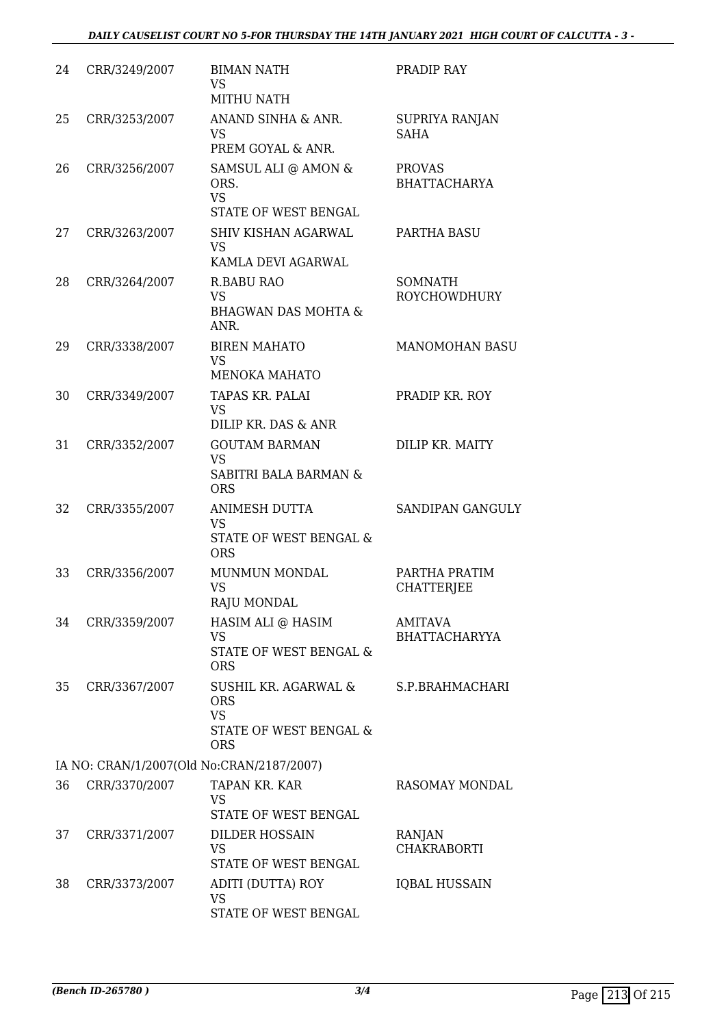## *DAILY CAUSELIST COURT NO 5-FOR THURSDAY THE 14TH JANUARY 2021 HIGH COURT OF CALCUTTA - 3 -*

| 24 | CRR/3249/2007 | <b>BIMAN NATH</b><br><b>VS</b><br><b>MITHU NATH</b>                                     | PRADIP RAY                             |
|----|---------------|-----------------------------------------------------------------------------------------|----------------------------------------|
| 25 | CRR/3253/2007 | ANAND SINHA & ANR.<br><b>VS</b><br>PREM GOYAL & ANR.                                    | SUPRIYA RANJAN<br><b>SAHA</b>          |
| 26 | CRR/3256/2007 | SAMSUL ALI @ AMON &<br>ORS.<br><b>VS</b><br>STATE OF WEST BENGAL                        | <b>PROVAS</b><br><b>BHATTACHARYA</b>   |
| 27 | CRR/3263/2007 | <b>SHIV KISHAN AGARWAL</b><br><b>VS</b><br>KAMLA DEVI AGARWAL                           | PARTHA BASU                            |
| 28 | CRR/3264/2007 | <b>R.BABU RAO</b><br><b>VS</b><br><b>BHAGWAN DAS MOHTA &amp;</b><br>ANR.                | <b>SOMNATH</b><br><b>ROYCHOWDHURY</b>  |
| 29 | CRR/3338/2007 | <b>BIREN MAHATO</b><br><b>VS</b><br><b>MENOKA MAHATO</b>                                | <b>MANOMOHAN BASU</b>                  |
| 30 | CRR/3349/2007 | TAPAS KR. PALAI<br><b>VS</b><br>DILIP KR. DAS & ANR                                     | PRADIP KR. ROY                         |
| 31 | CRR/3352/2007 | <b>GOUTAM BARMAN</b><br><b>VS</b><br><b>SABITRI BALA BARMAN &amp;</b><br><b>ORS</b>     | DILIP KR. MAITY                        |
| 32 | CRR/3355/2007 | <b>ANIMESH DUTTA</b><br><b>VS</b><br>STATE OF WEST BENGAL &<br><b>ORS</b>               | <b>SANDIPAN GANGULY</b>                |
| 33 | CRR/3356/2007 | MUNMUN MONDAL<br><b>VS</b><br>RAJU MONDAL                                               | PARTHA PRATIM<br><b>CHATTERJEE</b>     |
| 34 | CRR/3359/2007 | HASIM ALI @ HASIM<br><b>VS</b><br>STATE OF WEST BENGAL &<br><b>ORS</b>                  | <b>AMITAVA</b><br><b>BHATTACHARYYA</b> |
| 35 | CRR/3367/2007 | SUSHIL KR. AGARWAL &<br><b>ORS</b><br><b>VS</b><br>STATE OF WEST BENGAL &<br><b>ORS</b> | S.P.BRAHMACHARI                        |
|    |               | IA NO: CRAN/1/2007(Old No:CRAN/2187/2007)                                               |                                        |
| 36 | CRR/3370/2007 | TAPAN KR. KAR<br><b>VS</b><br>STATE OF WEST BENGAL                                      | RASOMAY MONDAL                         |
| 37 | CRR/3371/2007 | <b>DILDER HOSSAIN</b><br><b>VS</b><br>STATE OF WEST BENGAL                              | RANJAN<br><b>CHAKRABORTI</b>           |
| 38 | CRR/3373/2007 | ADITI (DUTTA) ROY<br><b>VS</b><br>STATE OF WEST BENGAL                                  | IQBAL HUSSAIN                          |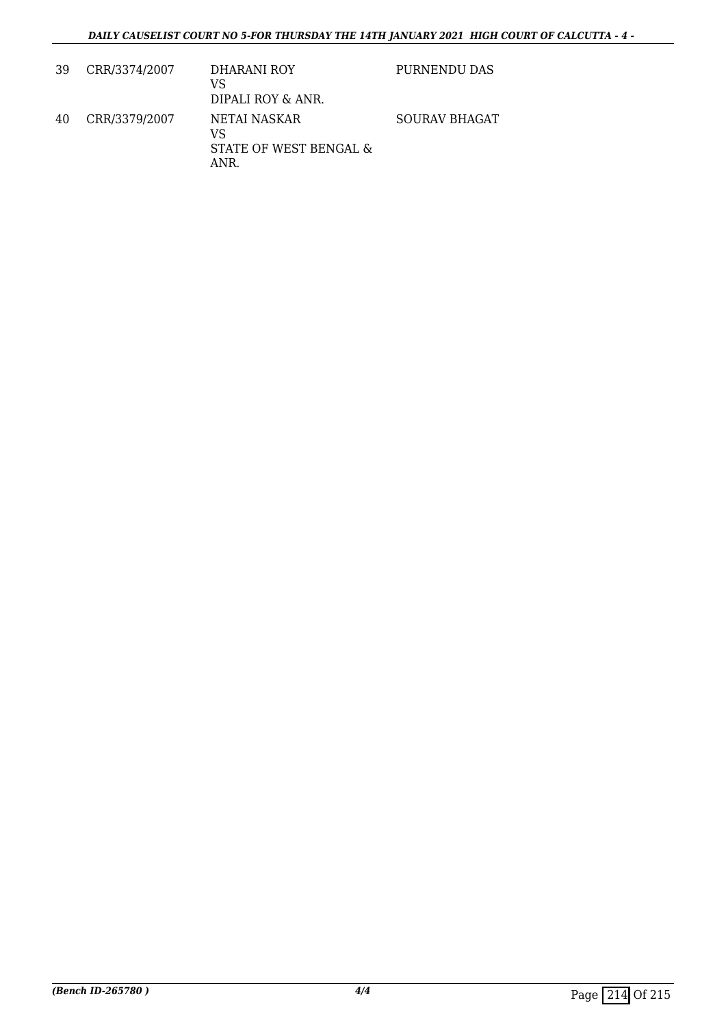| 39 | CRR/3374/2007 | DHARANI ROY<br>VS<br>DIPALI ROY & ANR.               | PURNENDU DAS  |
|----|---------------|------------------------------------------------------|---------------|
| 40 | CRR/3379/2007 | NETAI NASKAR<br>VS<br>STATE OF WEST BENGAL &<br>ANR. | SOURAV BHAGAT |